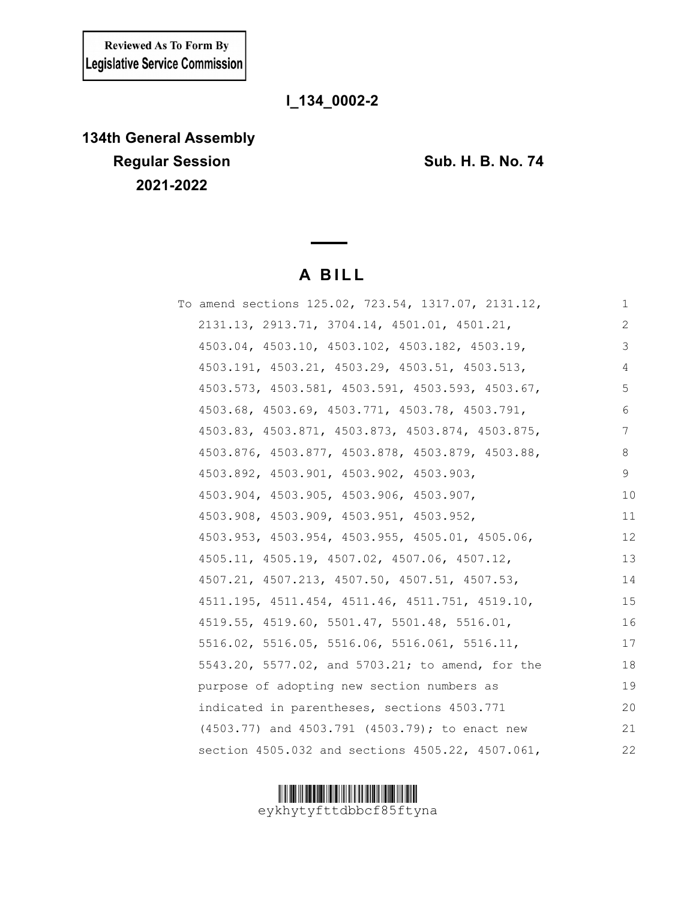**Reviewed As To Form By** Legislative Service Commission

## **l\_134\_0002-2**

**134th General Assembly Regular Session Sub. H. B. No. 74 2021-2022**

# **A B I L L**

| To amend sections 125.02, 723.54, 1317.07, 2131.12, | 1  |
|-----------------------------------------------------|----|
| 2131.13, 2913.71, 3704.14, 4501.01, 4501.21,        | 2  |
| 4503.04, 4503.10, 4503.102, 4503.182, 4503.19,      | 3  |
| 4503.191, 4503.21, 4503.29, 4503.51, 4503.513,      | 4  |
| 4503.573, 4503.581, 4503.591, 4503.593, 4503.67,    | 5  |
| 4503.68, 4503.69, 4503.771, 4503.78, 4503.791,      | 6  |
| 4503.83, 4503.871, 4503.873, 4503.874, 4503.875,    | 7  |
| 4503.876, 4503.877, 4503.878, 4503.879, 4503.88,    | 8  |
| 4503.892, 4503.901, 4503.902, 4503.903,             | 9  |
| 4503.904, 4503.905, 4503.906, 4503.907,             | 10 |
| 4503.908, 4503.909, 4503.951, 4503.952,             | 11 |
| 4503.953, 4503.954, 4503.955, 4505.01, 4505.06,     | 12 |
| 4505.11, 4505.19, 4507.02, 4507.06, 4507.12,        | 13 |
| 4507.21, 4507.213, 4507.50, 4507.51, 4507.53,       | 14 |
| 4511.195, 4511.454, 4511.46, 4511.751, 4519.10,     | 15 |
| 4519.55, 4519.60, 5501.47, 5501.48, 5516.01,        | 16 |
| 5516.02, 5516.05, 5516.06, 5516.061, 5516.11,       | 17 |
| 5543.20, 5577.02, and 5703.21; to amend, for the    | 18 |
| purpose of adopting new section numbers as          | 19 |
| indicated in parentheses, sections 4503.771         | 20 |
| (4503.77) and 4503.791 (4503.79); to enact new      | 21 |
| section 4505.032 and sections 4505.22, 4507.061,    | 22 |

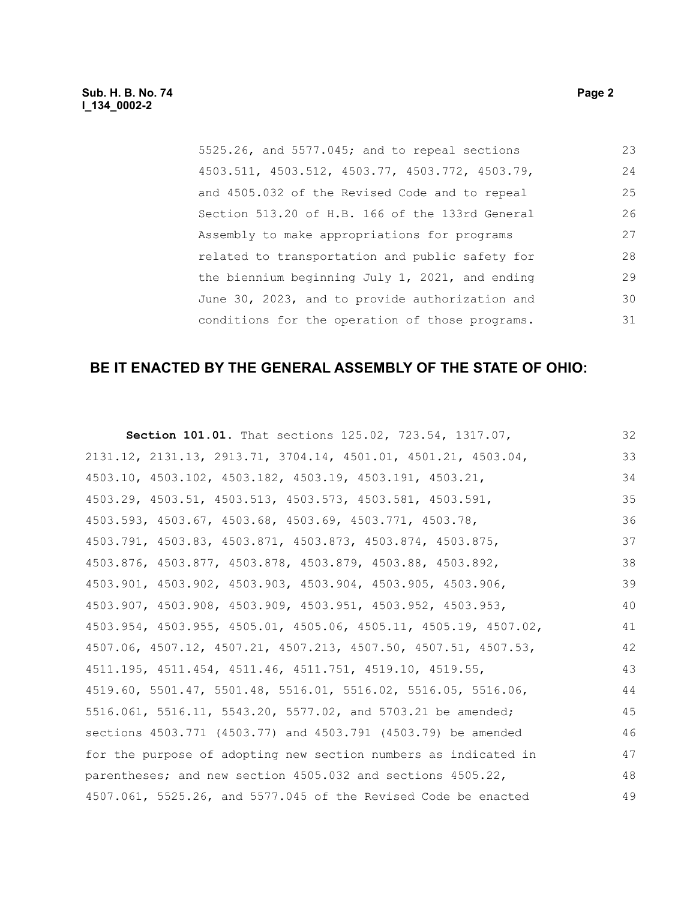### **Sub. H. B. No. 74** Page 2 **l\_134\_0002-2**

5525.26, and 5577.045; and to repeal sections 4503.511, 4503.512, 4503.77, 4503.772, 4503.79, and 4505.032 of the Revised Code and to repeal Section 513.20 of H.B. 166 of the 133rd General Assembly to make appropriations for programs related to transportation and public safety for the biennium beginning July 1, 2021, and ending June 30, 2023, and to provide authorization and conditions for the operation of those programs. 23 24 25 26 27 28 29 30 31

## **BE IT ENACTED BY THE GENERAL ASSEMBLY OF THE STATE OF OHIO:**

| Section 101.01. That sections 125.02, 723.54, 1317.07,           | 32 |
|------------------------------------------------------------------|----|
| 2131.12, 2131.13, 2913.71, 3704.14, 4501.01, 4501.21, 4503.04,   | 33 |
| 4503.10, 4503.102, 4503.182, 4503.19, 4503.191, 4503.21,         | 34 |
| 4503.29, 4503.51, 4503.513, 4503.573, 4503.581, 4503.591,        | 35 |
| 4503.593, 4503.67, 4503.68, 4503.69, 4503.771, 4503.78,          | 36 |
| 4503.791, 4503.83, 4503.871, 4503.873, 4503.874, 4503.875,       | 37 |
| 4503.876, 4503.877, 4503.878, 4503.879, 4503.88, 4503.892,       | 38 |
| 4503.901, 4503.902, 4503.903, 4503.904, 4503.905, 4503.906,      | 39 |
| 4503.907, 4503.908, 4503.909, 4503.951, 4503.952, 4503.953,      | 40 |
| 4503.954, 4503.955, 4505.01, 4505.06, 4505.11, 4505.19, 4507.02, | 41 |
| 4507.06, 4507.12, 4507.21, 4507.213, 4507.50, 4507.51, 4507.53,  | 42 |
| 4511.195, 4511.454, 4511.46, 4511.751, 4519.10, 4519.55,         | 43 |
| 4519.60, 5501.47, 5501.48, 5516.01, 5516.02, 5516.05, 5516.06,   | 44 |
| 5516.061, 5516.11, 5543.20, 5577.02, and 5703.21 be amended;     | 45 |
| sections 4503.771 (4503.77) and 4503.791 (4503.79) be amended    | 46 |
| for the purpose of adopting new section numbers as indicated in  | 47 |
| parentheses; and new section 4505.032 and sections 4505.22,      | 48 |
| 4507.061, 5525.26, and 5577.045 of the Revised Code be enacted   | 49 |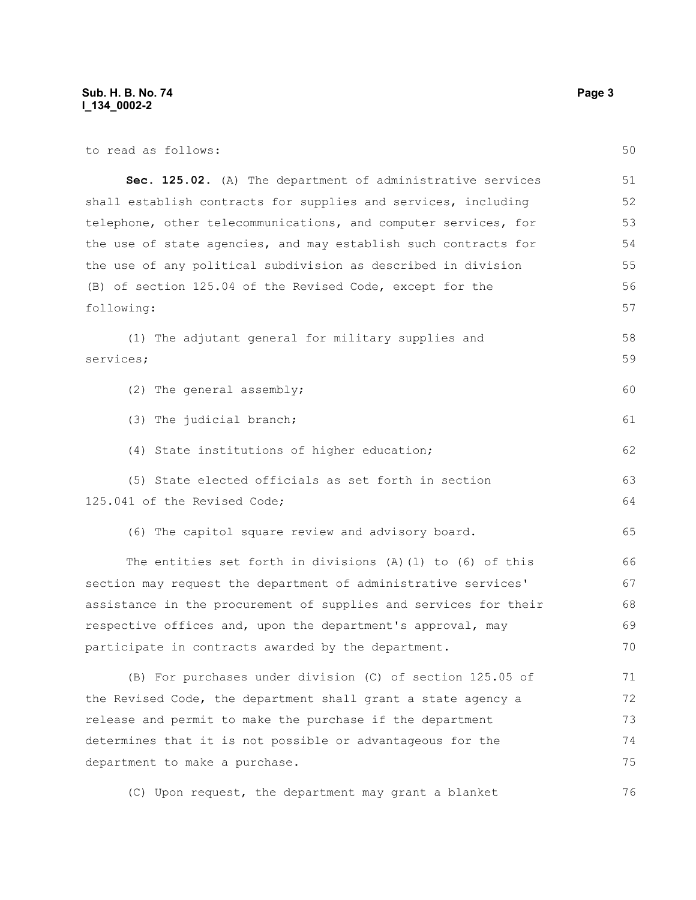to read as follows:

**Sec. 125.02.** (A) The department of administrative services shall establish contracts for supplies and services, including telephone, other telecommunications, and computer services, for the use of state agencies, and may establish such contracts for the use of any political subdivision as described in division (B) of section 125.04 of the Revised Code, except for the following: 51 52 53 54 55 56 57

(1) The adjutant general for military supplies and services;

(2) The general assembly;

- (3) The judicial branch;
- (4) State institutions of higher education;
- (5) State elected officials as set forth in section 125.041 of the Revised Code; 63 64
	- (6) The capitol square review and advisory board.

The entities set forth in divisions (A)(l) to (6) of this section may request the department of administrative services' assistance in the procurement of supplies and services for their respective offices and, upon the department's approval, may participate in contracts awarded by the department. 66 67 68 69 70

(B) For purchases under division (C) of section 125.05 of the Revised Code, the department shall grant a state agency a release and permit to make the purchase if the department determines that it is not possible or advantageous for the department to make a purchase. 71 72 73 74 75

(C) Upon request, the department may grant a blanket

50

58 59

60

61

62

65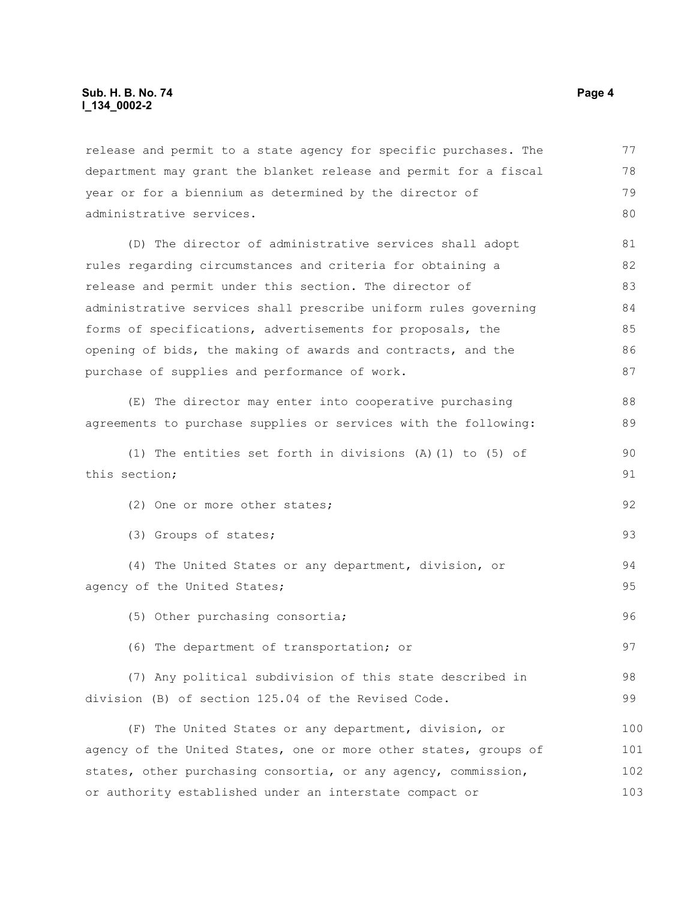#### **Sub. H. B. No. 74** Page 4 **l\_134\_0002-2**

release and permit to a state agency for specific purchases. The department may grant the blanket release and permit for a fiscal year or for a biennium as determined by the director of administrative services. 77 78 79 80

(D) The director of administrative services shall adopt rules regarding circumstances and criteria for obtaining a release and permit under this section. The director of administrative services shall prescribe uniform rules governing forms of specifications, advertisements for proposals, the opening of bids, the making of awards and contracts, and the purchase of supplies and performance of work. 81 82 83 84 85 86 87

(E) The director may enter into cooperative purchasing agreements to purchase supplies or services with the following: 88 89

(1) The entities set forth in divisions (A)(1) to (5) of this section; 90

(2) One or more other states;

(3) Groups of states;

(4) The United States or any department, division, or agency of the United States;

(5) Other purchasing consortia; 96

(6) The department of transportation; or

(7) Any political subdivision of this state described in division (B) of section 125.04 of the Revised Code. 98 99

(F) The United States or any department, division, or agency of the United States, one or more other states, groups of states, other purchasing consortia, or any agency, commission, or authority established under an interstate compact or 100 101 102 103

91

92

93

94 95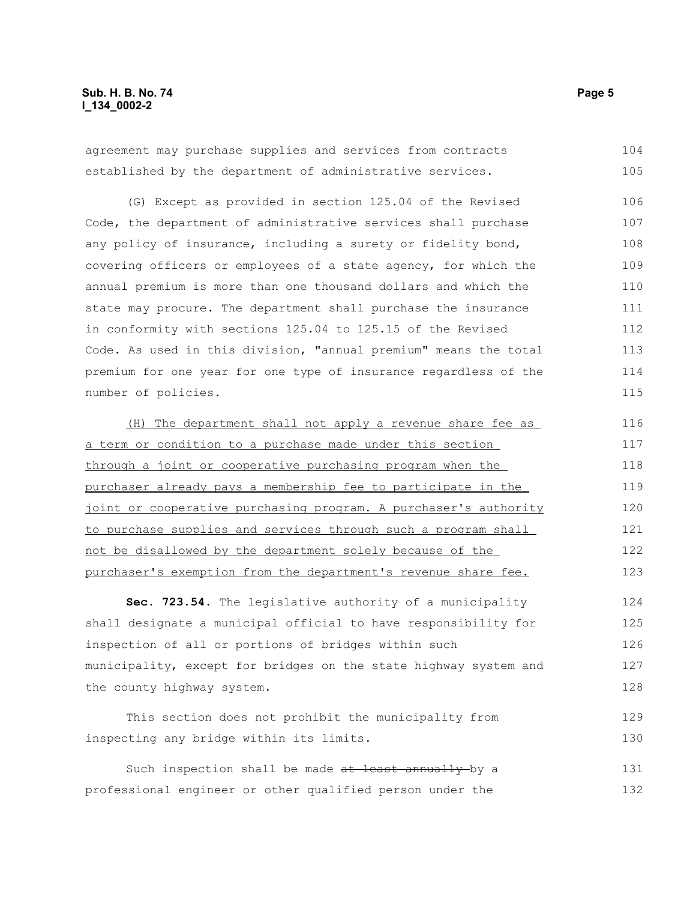#### **Sub. H. B. No. 74** Page 5 **l\_134\_0002-2**

established by the department of administrative services. (G) Except as provided in section 125.04 of the Revised Code, the department of administrative services shall purchase any policy of insurance, including a surety or fidelity bond, covering officers or employees of a state agency, for which the annual premium is more than one thousand dollars and which the state may procure. The department shall purchase the insurance in conformity with sections 125.04 to 125.15 of the Revised Code. As used in this division, "annual premium" means the total premium for one year for one type of insurance regardless of the number of policies. (H) The department shall not apply a revenue share fee as a term or condition to a purchase made under this section through a joint or cooperative purchasing program when the purchaser already pays a membership fee to participate in the joint or cooperative purchasing program. A purchaser's authority to purchase supplies and services through such a program shall not be disallowed by the department solely because of the purchaser's exemption from the department's revenue share fee. **Sec. 723.54.** The legislative authority of a municipality shall designate a municipal official to have responsibility for inspection of all or portions of bridges within such municipality, except for bridges on the state highway system and the county highway system. This section does not prohibit the municipality from inspecting any bridge within its limits. Such inspection shall be made at least annually-by a professional engineer or other qualified person under the 105 106 107 108 109 110 111 112 113 114 115 116 117 118 119 120 121 122 123 124 125 126 127 128 129 130 131 132

agreement may purchase supplies and services from contracts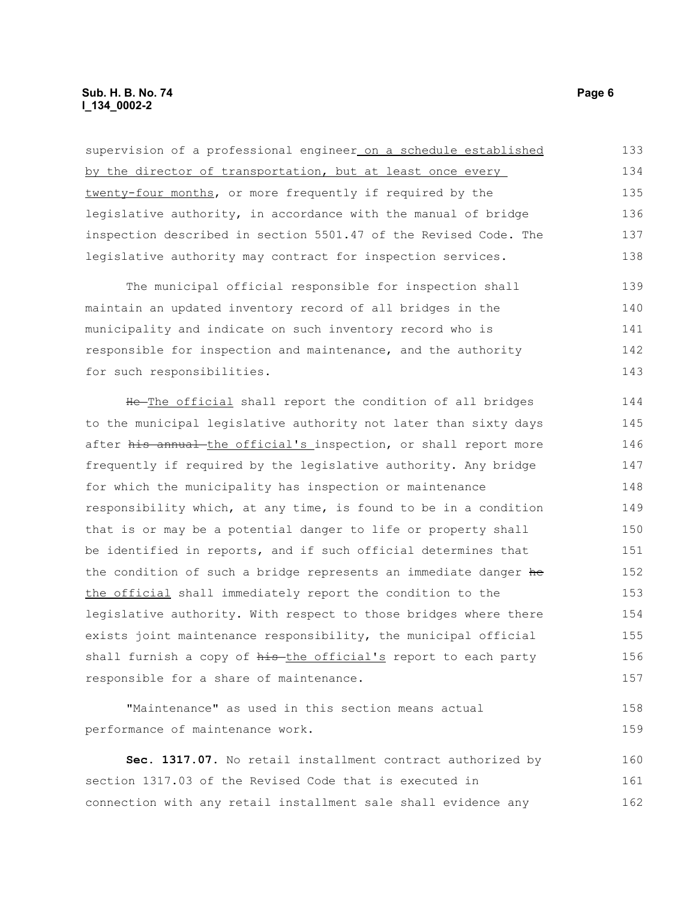#### **Sub. H. B. No. 74** Page 6 **l\_134\_0002-2**

supervision of a professional engineer on a schedule established by the director of transportation, but at least once every twenty-four months, or more frequently if required by the legislative authority, in accordance with the manual of bridge inspection described in section 5501.47 of the Revised Code. The legislative authority may contract for inspection services. 133 134 135 136 137 138

The municipal official responsible for inspection shall maintain an updated inventory record of all bridges in the municipality and indicate on such inventory record who is responsible for inspection and maintenance, and the authority for such responsibilities. 139 140 141 142 143

He-The official shall report the condition of all bridges to the municipal legislative authority not later than sixty days after his annual the official's inspection, or shall report more frequently if required by the legislative authority. Any bridge for which the municipality has inspection or maintenance responsibility which, at any time, is found to be in a condition that is or may be a potential danger to life or property shall be identified in reports, and if such official determines that the condition of such a bridge represents an immediate danger he the official shall immediately report the condition to the legislative authority. With respect to those bridges where there exists joint maintenance responsibility, the municipal official shall furnish a copy of his-the official's report to each party responsible for a share of maintenance. 144 145 146 147 148 149 150 151 152 153 154 155 156 157

"Maintenance" as used in this section means actual performance of maintenance work. 158 159

**Sec. 1317.07.** No retail installment contract authorized by section 1317.03 of the Revised Code that is executed in connection with any retail installment sale shall evidence any 160 161 162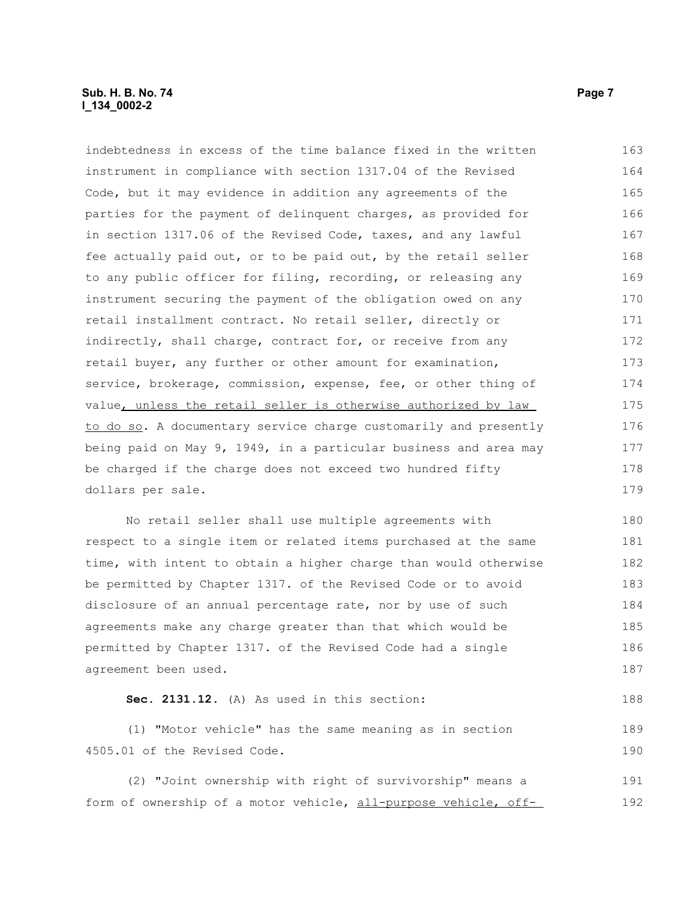#### **Sub. H. B. No. 74** Page 7 **l\_134\_0002-2**

indebtedness in excess of the time balance fixed in the written instrument in compliance with section 1317.04 of the Revised Code, but it may evidence in addition any agreements of the parties for the payment of delinquent charges, as provided for in section 1317.06 of the Revised Code, taxes, and any lawful fee actually paid out, or to be paid out, by the retail seller to any public officer for filing, recording, or releasing any instrument securing the payment of the obligation owed on any retail installment contract. No retail seller, directly or indirectly, shall charge, contract for, or receive from any retail buyer, any further or other amount for examination, service, brokerage, commission, expense, fee, or other thing of value, unless the retail seller is otherwise authorized by law to do so. A documentary service charge customarily and presently being paid on May 9, 1949, in a particular business and area may be charged if the charge does not exceed two hundred fifty dollars per sale. 163 164 165 166 167 168 169 170 171 172 173 174 175 176 177 178 179

No retail seller shall use multiple agreements with respect to a single item or related items purchased at the same time, with intent to obtain a higher charge than would otherwise be permitted by Chapter 1317. of the Revised Code or to avoid disclosure of an annual percentage rate, nor by use of such agreements make any charge greater than that which would be permitted by Chapter 1317. of the Revised Code had a single agreement been used. 180 181 182 183 184 185 186 187

#### **Sec. 2131.12.** (A) As used in this section:

(1) "Motor vehicle" has the same meaning as in section 4505.01 of the Revised Code. 189 190

(2) "Joint ownership with right of survivorship" means a form of ownership of a motor vehicle, all-purpose vehicle, off-191 192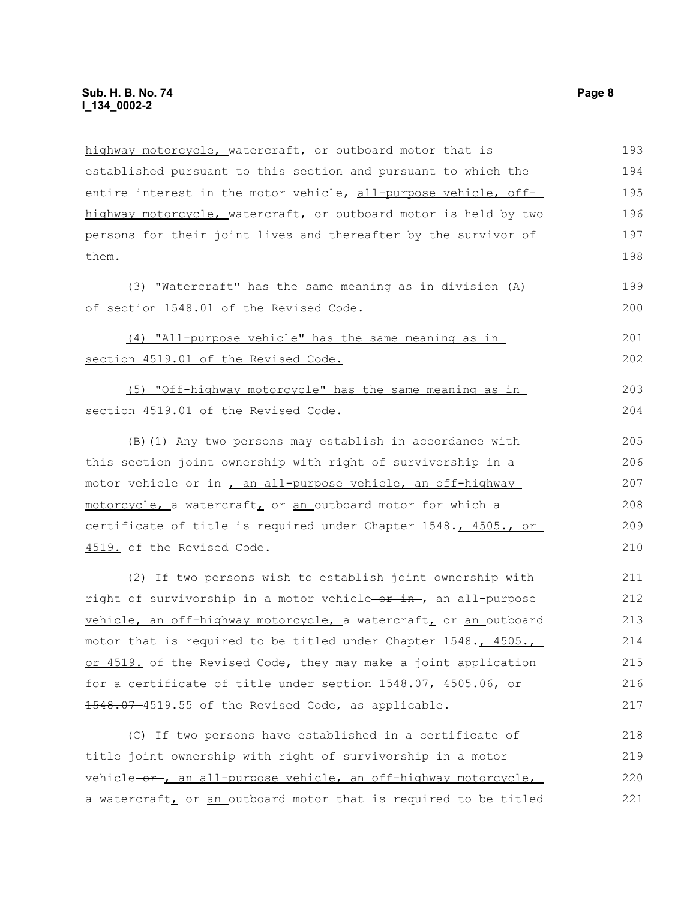highway motorcycle, watercraft, or outboard motor that is established pursuant to this section and pursuant to which the entire interest in the motor vehicle, all-purpose vehicle, offhighway motorcycle, watercraft, or outboard motor is held by two persons for their joint lives and thereafter by the survivor of them. 193 194 195 196 197 198

(3) "Watercraft" has the same meaning as in division (A) of section 1548.01 of the Revised Code.

(4) "All-purpose vehicle" has the same meaning as in section 4519.01 of the Revised Code.

(5) "Off-highway motorcycle" has the same meaning as in section 4519.01 of the Revised Code.

(B)(1) Any two persons may establish in accordance with this section joint ownership with right of survivorship in a motor vehicle or in , an all-purpose vehicle, an off-highway motorcycle, a watercraft, or an outboard motor for which a certificate of title is required under Chapter 1548., 4505., or 4519. of the Revised Code. 205 206 207 208 209 210

(2) If two persons wish to establish joint ownership with right of survivorship in a motor vehicle-or in-, an all-purpose vehicle, an off-highway motorcycle, a watercraft, or an outboard motor that is required to be titled under Chapter 1548., 4505., or 4519. of the Revised Code, they may make a joint application for a certificate of title under section 1548.07, 4505.06, or 1548.07 4519.55 of the Revised Code, as applicable. 211 212 213 214 215 216 217

(C) If two persons have established in a certificate of title joint ownership with right of survivorship in a motor vehicle or, an all-purpose vehicle, an off-highway motorcycle, a watercraft, or an outboard motor that is required to be titled 218 219 220 221

199 200

201 202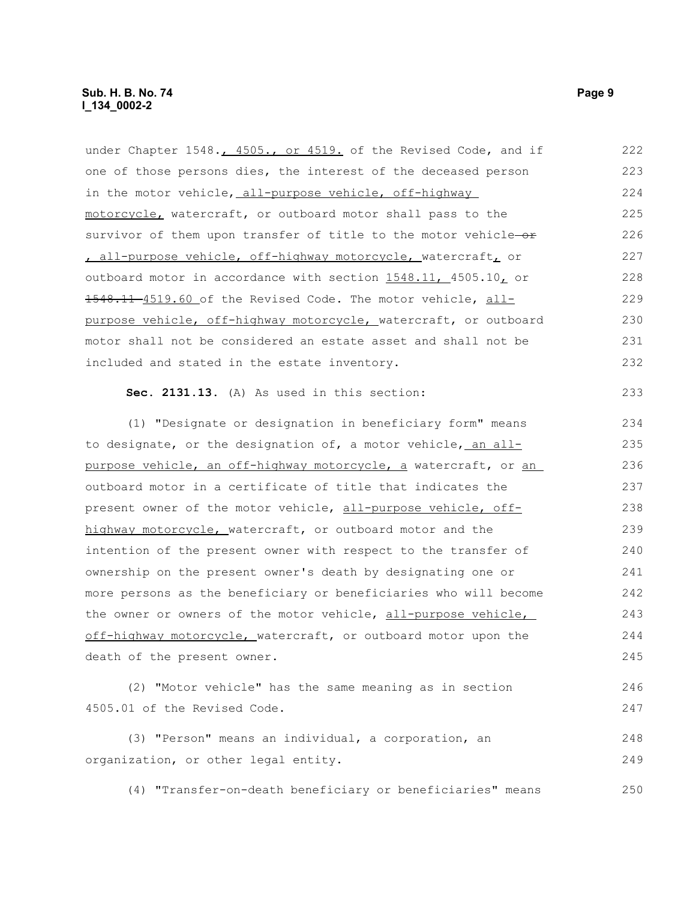under Chapter 1548., 4505., or 4519. of the Revised Code, and if one of those persons dies, the interest of the deceased person in the motor vehicle, all-purpose vehicle, off-highway motorcycle, watercraft, or outboard motor shall pass to the survivor of them upon transfer of title to the motor vehicle-or , all-purpose vehicle, off-highway motorcycle, watercraft, or outboard motor in accordance with section 1548.11, 4505.10, or 1548.11 4519.60 of the Revised Code. The motor vehicle, allpurpose vehicle, off-highway motorcycle, watercraft, or outboard motor shall not be considered an estate asset and shall not be included and stated in the estate inventory. 222 223 224 225 226 227 228 229 230 231 232

**Sec. 2131.13.** (A) As used in this section:

(1) "Designate or designation in beneficiary form" means to designate, or the designation of, a motor vehicle, an allpurpose vehicle, an off-highway motorcycle, a watercraft, or an outboard motor in a certificate of title that indicates the present owner of the motor vehicle, all-purpose vehicle, offhighway motorcycle, watercraft, or outboard motor and the intention of the present owner with respect to the transfer of ownership on the present owner's death by designating one or more persons as the beneficiary or beneficiaries who will become the owner or owners of the motor vehicle, all-purpose vehicle, off-highway motorcycle, watercraft, or outboard motor upon the death of the present owner. 234 235 236 237 238 239 240 241 242 243 244 245

(2) "Motor vehicle" has the same meaning as in section 4505.01 of the Revised Code. 246 247

(3) "Person" means an individual, a corporation, an organization, or other legal entity. 248 249

(4) "Transfer-on-death beneficiary or beneficiaries" means 250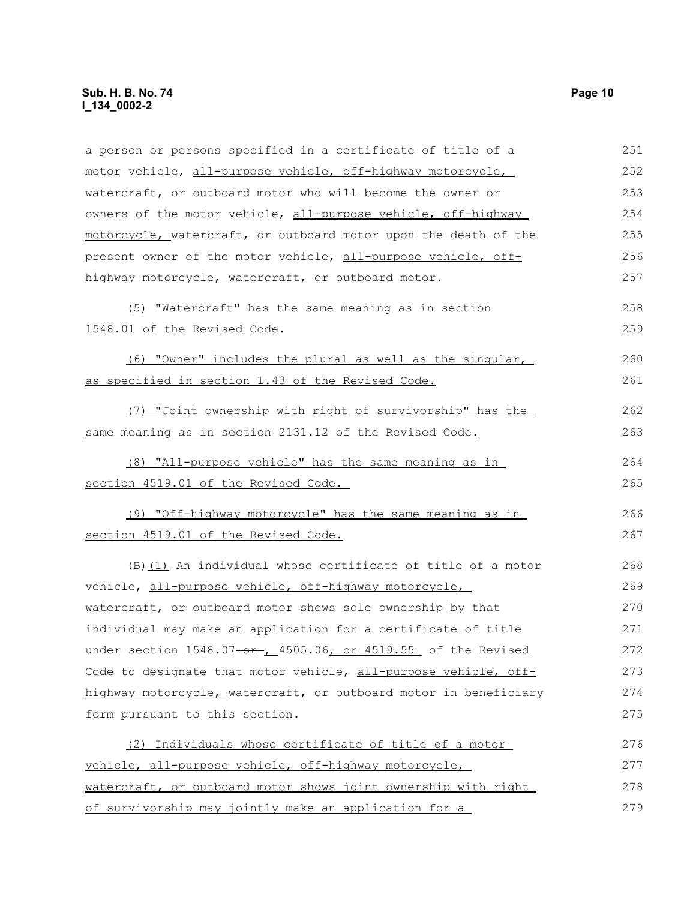### **Sub. H. B. No. 74** Page 10 **l\_134\_0002-2**

| a person or persons specified in a certificate of title of a     | 251 |
|------------------------------------------------------------------|-----|
| motor vehicle, all-purpose vehicle, off-highway motorcycle,      | 252 |
| watercraft, or outboard motor who will become the owner or       | 253 |
| owners of the motor vehicle, all-purpose vehicle, off-highway    | 254 |
| motorcycle, watercraft, or outboard motor upon the death of the  | 255 |
| present owner of the motor vehicle, all-purpose vehicle, off-    | 256 |
| highway motorcycle, watercraft, or outboard motor.               | 257 |
| (5) "Watercraft" has the same meaning as in section              | 258 |
| 1548.01 of the Revised Code.                                     | 259 |
|                                                                  |     |
| (6) "Owner" includes the plural as well as the singular,         | 260 |
| as specified in section 1.43 of the Revised Code.                | 261 |
| (7) "Joint ownership with right of survivorship" has the         | 262 |
| same meaning as in section 2131.12 of the Revised Code.          | 263 |
| (8) "All-purpose vehicle" has the same meaning as in             | 264 |
| section 4519.01 of the Revised Code.                             | 265 |
| (9) "Off-highway motorcycle" has the same meaning as in          | 266 |
| section 4519.01 of the Revised Code.                             | 267 |
| $(B)$ (1) An individual whose certificate of title of a motor    | 268 |
| vehicle, all-purpose vehicle, off-highway motorcycle,            | 269 |
| watercraft, or outboard motor shows sole ownership by that       | 270 |
| individual may make an application for a certificate of title    | 271 |
| under section 1548.07-or 1505.06, or 4519.55 of the Revised      | 272 |
| Code to designate that motor vehicle, all-purpose vehicle, off-  | 273 |
| highway motorcycle, watercraft, or outboard motor in beneficiary | 274 |
| form pursuant to this section.                                   | 275 |
| (2) Individuals whose certificate of title of a motor            | 276 |
| vehicle, all-purpose vehicle, off-highway motorcycle,            | 277 |
| watercraft, or outboard motor shows joint ownership with right   | 278 |
| of survivorship may jointly make an application for a            | 279 |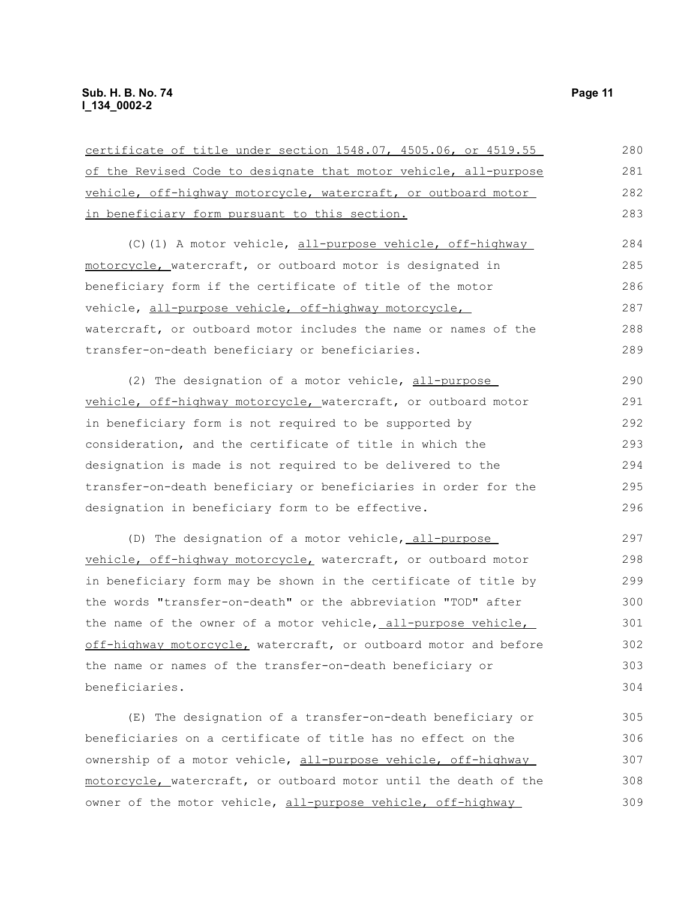| certificate of title under section 1548.07, 4505.06, or 4519.55  | 280 |
|------------------------------------------------------------------|-----|
| of the Revised Code to designate that motor vehicle, all-purpose | 281 |
| vehicle, off-highway motorcycle, watercraft, or outboard motor   | 282 |
| in beneficiary form pursuant to this section.                    | 283 |
| (C)(1) A motor vehicle, all-purpose vehicle, off-highway         | 284 |
| motorcycle, watercraft, or outboard motor is designated in       | 285 |
| beneficiary form if the certificate of title of the motor        | 286 |
| vehicle, all-purpose vehicle, off-highway motorcycle,            | 287 |
| watercraft, or outboard motor includes the name or names of the  | 288 |
| transfer-on-death beneficiary or beneficiaries.                  | 289 |
| (2) The designation of a motor vehicle, all-purpose              | 290 |
| vehicle, off-highway motorcycle, watercraft, or outboard motor   | 291 |
| in beneficiary form is not required to be supported by           | 292 |
| consideration, and the certificate of title in which the         | 293 |
| designation is made is not required to be delivered to the       | 294 |
| transfer-on-death beneficiary or beneficiaries in order for the  | 295 |
| designation in beneficiary form to be effective.                 | 296 |
| (D) The designation of a motor vehicle, all-purpose              | 297 |
| vehicle, off-highway motorcycle, watercraft, or outboard motor   | 298 |
| in beneficiary form may be shown in the certificate of title by  | 299 |
| the words "transfer-on-death" or the abbreviation "TOD" after    | 300 |
| the name of the owner of a motor vehicle, all-purpose vehicle,   | 301 |
| off-highway motorcycle, watercraft, or outboard motor and before | 302 |
| the name or names of the transfer-on-death beneficiary or        | 303 |
| beneficiaries.                                                   | 304 |
| (E) The designation of a transfer-on-death beneficiary or        | 305 |

beneficiaries on a certificate of title has no effect on the ownership of a motor vehicle, all-purpose vehicle, off-highway motorcycle, watercraft, or outboard motor until the death of the owner of the motor vehicle, all-purpose vehicle, off-highway 306 307 308 309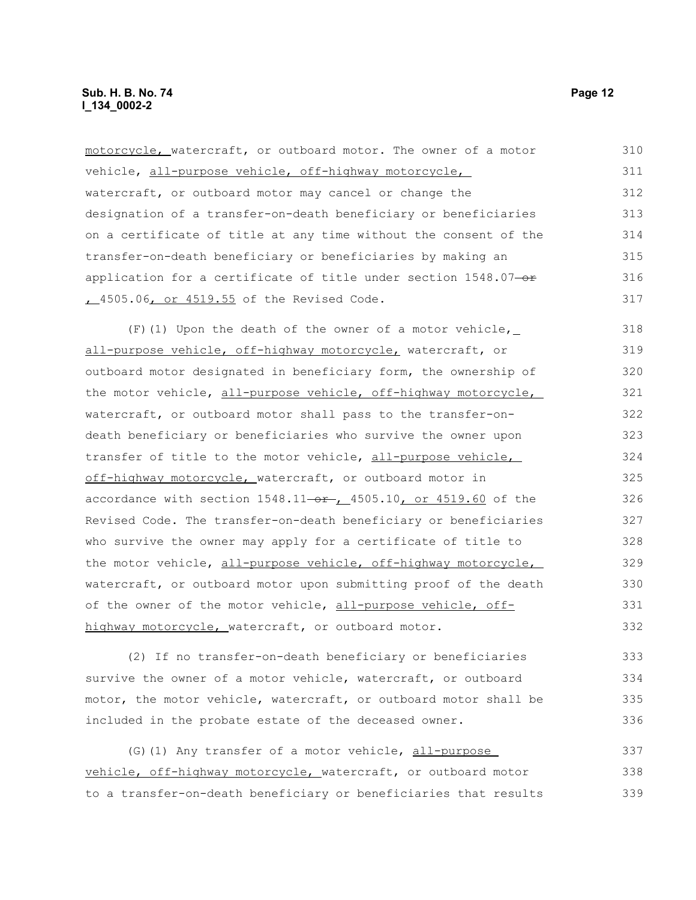motorcycle, watercraft, or outboard motor. The owner of a motor vehicle, all-purpose vehicle, off-highway motorcycle, watercraft, or outboard motor may cancel or change the designation of a transfer-on-death beneficiary or beneficiaries on a certificate of title at any time without the consent of the transfer-on-death beneficiary or beneficiaries by making an application for a certificate of title under section 1548.07-or 1505.06, or 4519.55 of the Revised Code. (F)(1) Upon the death of the owner of a motor vehicle, all-purpose vehicle, off-highway motorcycle, watercraft, or outboard motor designated in beneficiary form, the ownership of the motor vehicle, all-purpose vehicle, off-highway motorcycle, watercraft, or outboard motor shall pass to the transfer-ondeath beneficiary or beneficiaries who survive the owner upon transfer of title to the motor vehicle, all-purpose vehicle, off-highway motorcycle, watercraft, or outboard motor in accordance with section  $1548.11 - or$ ,  $4505.10$ , or  $4519.60$  of the Revised Code. The transfer-on-death beneficiary or beneficiaries who survive the owner may apply for a certificate of title to the motor vehicle, all-purpose vehicle, off-highway motorcycle, watercraft, or outboard motor upon submitting proof of the death of the owner of the motor vehicle, all-purpose vehicle, offhighway motorcycle, watercraft, or outboard motor. (2) If no transfer-on-death beneficiary or beneficiaries survive the owner of a motor vehicle, watercraft, or outboard motor, the motor vehicle, watercraft, or outboard motor shall be included in the probate estate of the deceased owner. 310 311 312 313 314 315 316 317 318 319 320 321 322 323 324 325 326 327 328 329 330 331 332 333 334 335 336

(G)(1) Any transfer of a motor vehicle, all-purpose vehicle, off-highway motorcycle, watercraft, or outboard motor to a transfer-on-death beneficiary or beneficiaries that results 337 338 339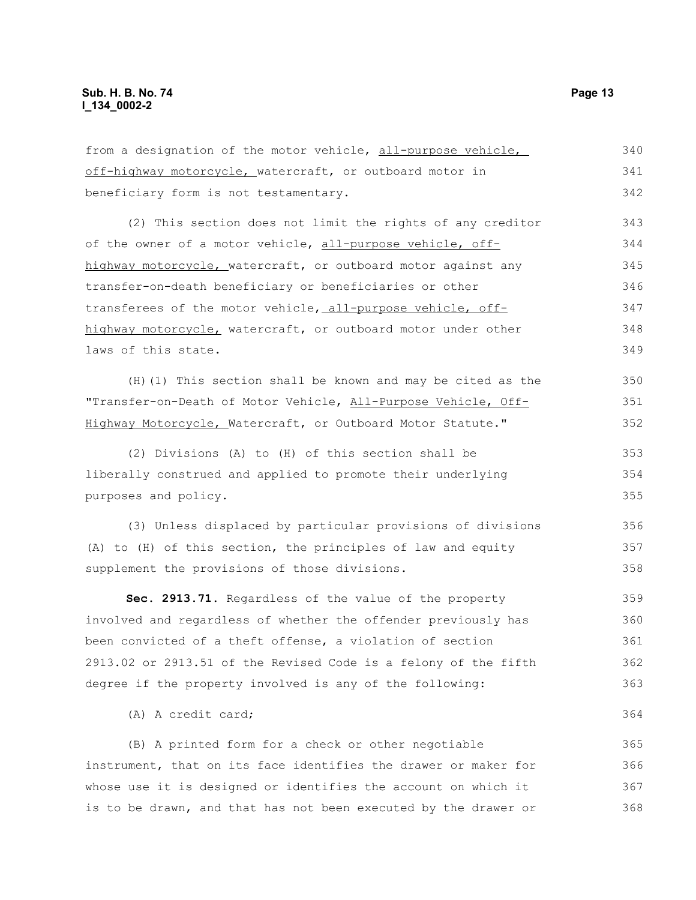from a designation of the motor vehicle, all-purpose vehicle, off-highway motorcycle, watercraft, or outboard motor in beneficiary form is not testamentary. 340 341 342

(2) This section does not limit the rights of any creditor of the owner of a motor vehicle, all-purpose vehicle, offhighway motorcycle, watercraft, or outboard motor against any transfer-on-death beneficiary or beneficiaries or other transferees of the motor vehicle, all-purpose vehicle, offhighway motorcycle, watercraft, or outboard motor under other laws of this state. 343 344 345 346 347 348 349

(H)(1) This section shall be known and may be cited as the "Transfer-on-Death of Motor Vehicle, All-Purpose Vehicle, Off-Highway Motorcycle, Watercraft, or Outboard Motor Statute." 350 351 352

(2) Divisions (A) to (H) of this section shall be liberally construed and applied to promote their underlying purposes and policy. 353 354 355

(3) Unless displaced by particular provisions of divisions (A) to (H) of this section, the principles of law and equity supplement the provisions of those divisions. 356 357 358

**Sec. 2913.71.** Regardless of the value of the property involved and regardless of whether the offender previously has been convicted of a theft offense, a violation of section 2913.02 or 2913.51 of the Revised Code is a felony of the fifth degree if the property involved is any of the following: 359 360 361 362 363

(A) A credit card;

(B) A printed form for a check or other negotiable instrument, that on its face identifies the drawer or maker for whose use it is designed or identifies the account on which it is to be drawn, and that has not been executed by the drawer or 365 366 367 368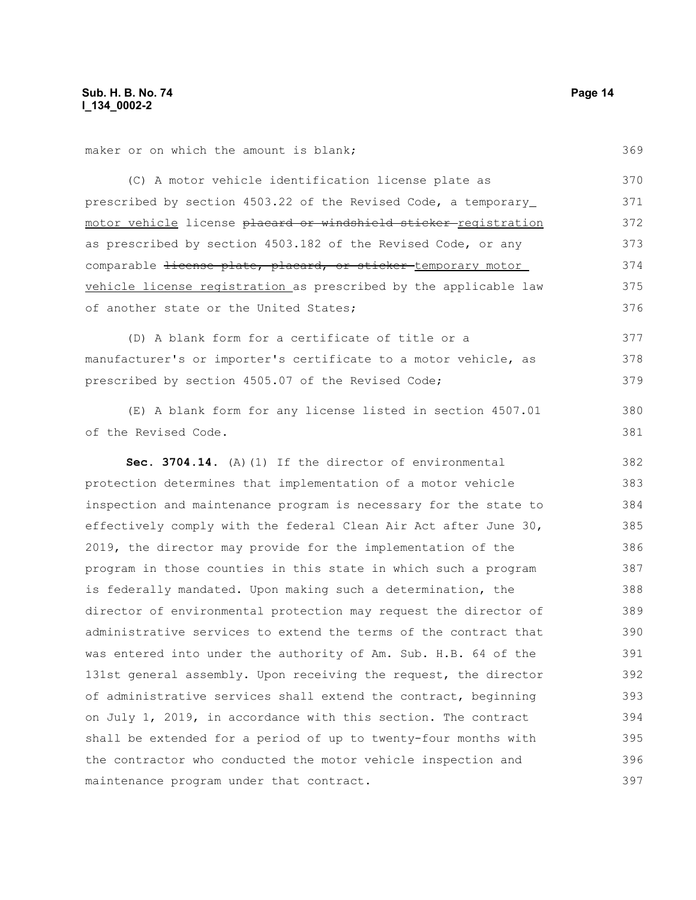maker or on which the amount is blank;

(C) A motor vehicle identification license plate as prescribed by section 4503.22 of the Revised Code, a temporary motor vehicle license placard or windshield sticker registration as prescribed by section 4503.182 of the Revised Code, or any comparable <del>license plate, placard, or sticker temporary motor</del> vehicle license registration as prescribed by the applicable law of another state or the United States; 370 371 372 373 374 375 376

(D) A blank form for a certificate of title or a manufacturer's or importer's certificate to a motor vehicle, as prescribed by section 4505.07 of the Revised Code; 377 378 379

(E) A blank form for any license listed in section 4507.01 of the Revised Code.

Sec. 3704.14. (A)(1) If the director of environmental protection determines that implementation of a motor vehicle inspection and maintenance program is necessary for the state to effectively comply with the federal Clean Air Act after June 30, 2019, the director may provide for the implementation of the program in those counties in this state in which such a program is federally mandated. Upon making such a determination, the director of environmental protection may request the director of administrative services to extend the terms of the contract that was entered into under the authority of Am. Sub. H.B. 64 of the 131st general assembly. Upon receiving the request, the director of administrative services shall extend the contract, beginning on July 1, 2019, in accordance with this section. The contract shall be extended for a period of up to twenty-four months with the contractor who conducted the motor vehicle inspection and maintenance program under that contract. 382 383 384 385 386 387 388 389 390 391 392 393 394 395 396 397

369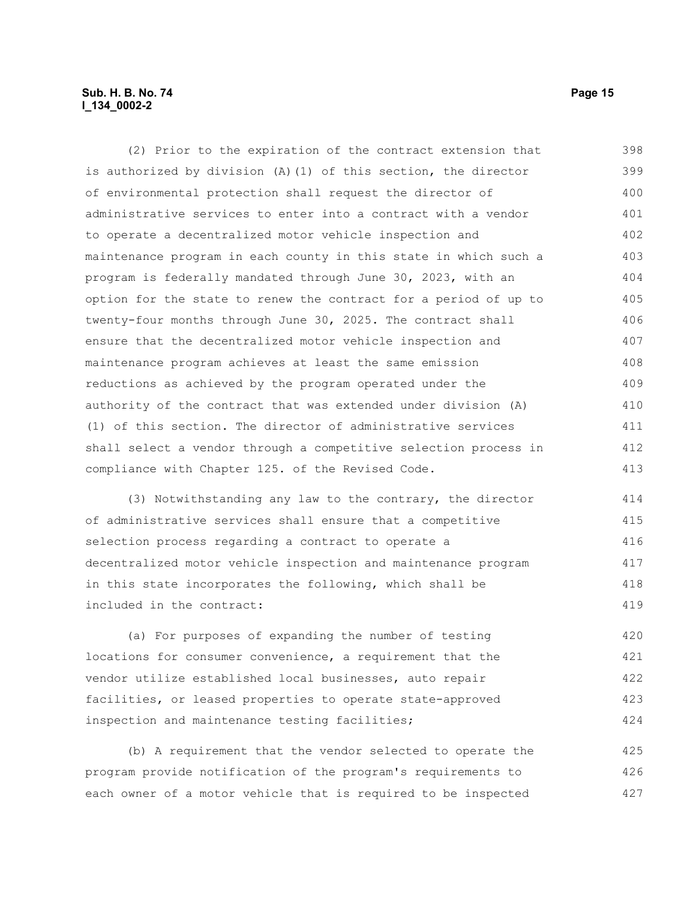#### **Sub. H. B. No. 74 Page 15 l\_134\_0002-2**

(2) Prior to the expiration of the contract extension that is authorized by division (A)(1) of this section, the director of environmental protection shall request the director of administrative services to enter into a contract with a vendor to operate a decentralized motor vehicle inspection and maintenance program in each county in this state in which such a program is federally mandated through June 30, 2023, with an option for the state to renew the contract for a period of up to twenty-four months through June 30, 2025. The contract shall ensure that the decentralized motor vehicle inspection and maintenance program achieves at least the same emission reductions as achieved by the program operated under the authority of the contract that was extended under division (A) (1) of this section. The director of administrative services shall select a vendor through a competitive selection process in compliance with Chapter 125. of the Revised Code. 398 399 400 401 402 403 404 405 406 407 408 409 410 411 412 413

(3) Notwithstanding any law to the contrary, the director of administrative services shall ensure that a competitive selection process regarding a contract to operate a decentralized motor vehicle inspection and maintenance program in this state incorporates the following, which shall be included in the contract: 414 415 416 417 418 419

(a) For purposes of expanding the number of testing locations for consumer convenience, a requirement that the vendor utilize established local businesses, auto repair facilities, or leased properties to operate state-approved inspection and maintenance testing facilities; 420 421 422 423 424

(b) A requirement that the vendor selected to operate the program provide notification of the program's requirements to each owner of a motor vehicle that is required to be inspected 425 426 427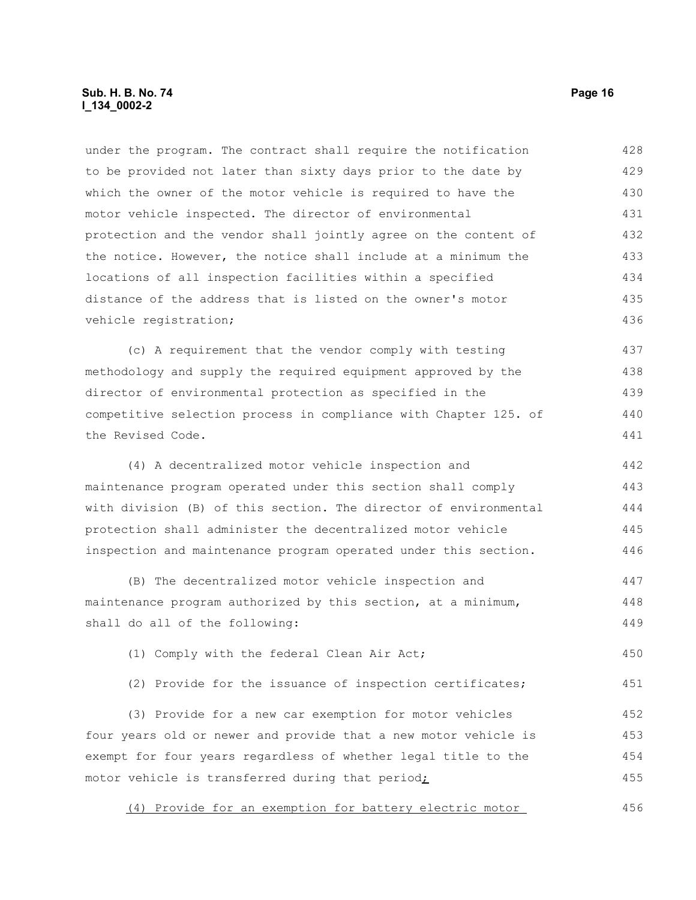#### **Sub. H. B. No. 74 Page 16 l\_134\_0002-2**

under the program. The contract shall require the notification to be provided not later than sixty days prior to the date by which the owner of the motor vehicle is required to have the motor vehicle inspected. The director of environmental protection and the vendor shall jointly agree on the content of the notice. However, the notice shall include at a minimum the locations of all inspection facilities within a specified distance of the address that is listed on the owner's motor vehicle registration; 428 429 430 431 432 433 434 435 436

(c) A requirement that the vendor comply with testing methodology and supply the required equipment approved by the director of environmental protection as specified in the competitive selection process in compliance with Chapter 125. of the Revised Code. 437 438 439 440 441

(4) A decentralized motor vehicle inspection and maintenance program operated under this section shall comply with division (B) of this section. The director of environmental protection shall administer the decentralized motor vehicle inspection and maintenance program operated under this section. 442 443 444 445 446

(B) The decentralized motor vehicle inspection and maintenance program authorized by this section, at a minimum, shall do all of the following: 447 448 449

(1) Comply with the federal Clean Air Act; 450

(2) Provide for the issuance of inspection certificates; 451

(3) Provide for a new car exemption for motor vehicles four years old or newer and provide that a new motor vehicle is exempt for four years regardless of whether legal title to the motor vehicle is transferred during that period; 452 453 454 455

(4) Provide for an exemption for battery electric motor 456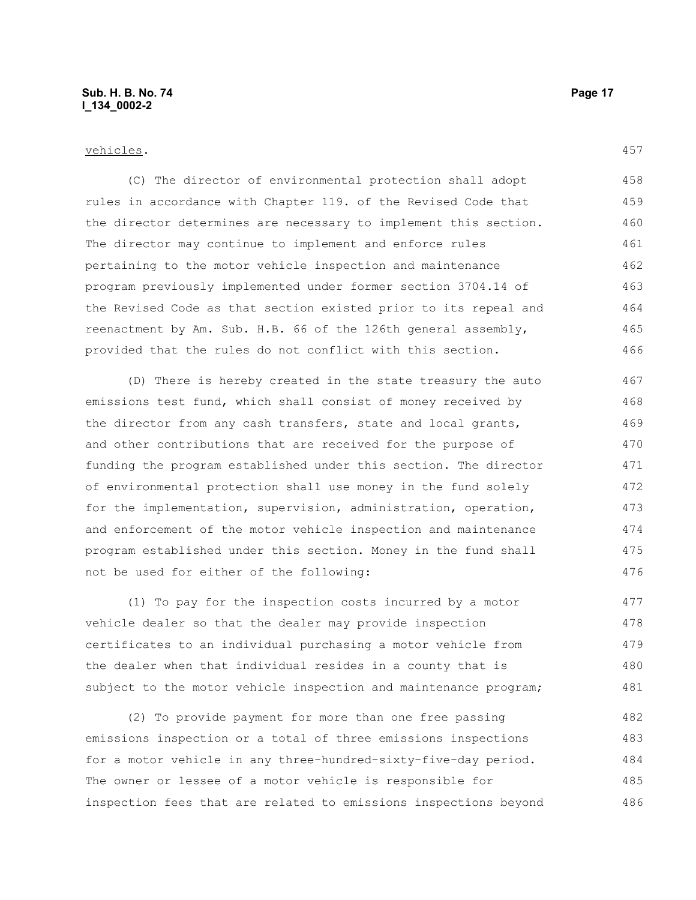(C) The director of environmental protection shall adopt rules in accordance with Chapter 119. of the Revised Code that the director determines are necessary to implement this section. The director may continue to implement and enforce rules pertaining to the motor vehicle inspection and maintenance program previously implemented under former section 3704.14 of the Revised Code as that section existed prior to its repeal and reenactment by Am. Sub. H.B. 66 of the 126th general assembly, provided that the rules do not conflict with this section. 458 459 460 461 462 463 464 465 466

(D) There is hereby created in the state treasury the auto emissions test fund, which shall consist of money received by the director from any cash transfers, state and local grants, and other contributions that are received for the purpose of funding the program established under this section. The director of environmental protection shall use money in the fund solely for the implementation, supervision, administration, operation, and enforcement of the motor vehicle inspection and maintenance program established under this section. Money in the fund shall not be used for either of the following: 467 468 469 470 471 472 473 474 475 476

(1) To pay for the inspection costs incurred by a motor vehicle dealer so that the dealer may provide inspection certificates to an individual purchasing a motor vehicle from the dealer when that individual resides in a county that is subject to the motor vehicle inspection and maintenance program; 477 478 479 480 481

(2) To provide payment for more than one free passing emissions inspection or a total of three emissions inspections for a motor vehicle in any three-hundred-sixty-five-day period. The owner or lessee of a motor vehicle is responsible for inspection fees that are related to emissions inspections beyond 482 483 484 485 486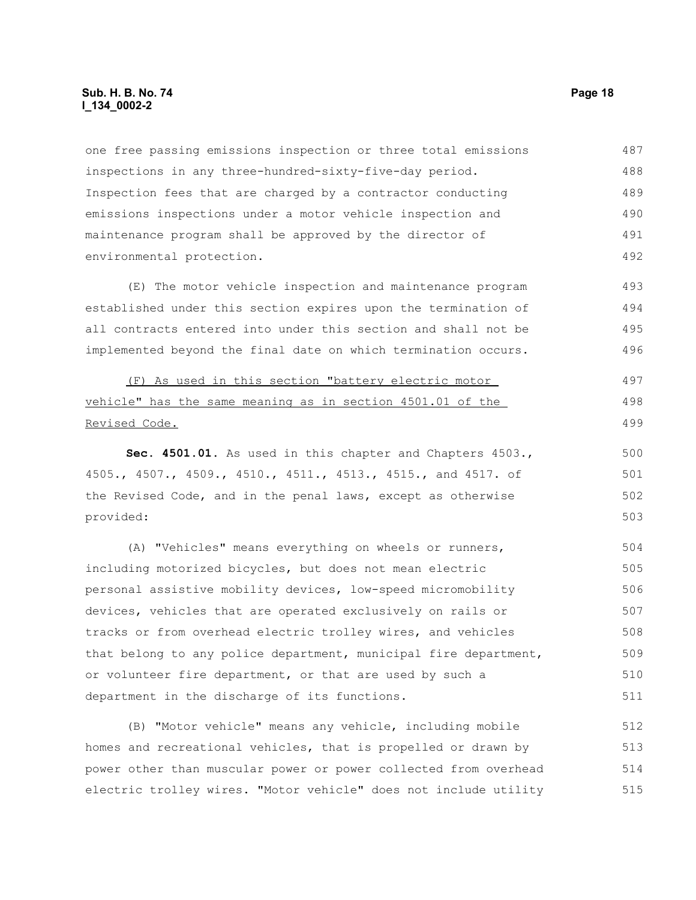#### **Sub. H. B. No. 74 Page 18 l\_134\_0002-2**

one free passing emissions inspection or three total emissions inspections in any three-hundred-sixty-five-day period. Inspection fees that are charged by a contractor conducting emissions inspections under a motor vehicle inspection and maintenance program shall be approved by the director of environmental protection. 487 488 489 490 491 492

(E) The motor vehicle inspection and maintenance program established under this section expires upon the termination of all contracts entered into under this section and shall not be implemented beyond the final date on which termination occurs. 493 494 495 496

|                                                            |  |  |  | (F) As used in this section "battery electric motor |  |  |  | 497 |
|------------------------------------------------------------|--|--|--|-----------------------------------------------------|--|--|--|-----|
| vehicle" has the same meaning as in section 4501.01 of the |  |  |  |                                                     |  |  |  | 498 |
| Revised Code.                                              |  |  |  |                                                     |  |  |  | 499 |

**Sec. 4501.01.** As used in this chapter and Chapters 4503., 4505., 4507., 4509., 4510., 4511., 4513., 4515., and 4517. of the Revised Code, and in the penal laws, except as otherwise provided: 500 501 502 503

(A) "Vehicles" means everything on wheels or runners, including motorized bicycles, but does not mean electric personal assistive mobility devices, low-speed micromobility devices, vehicles that are operated exclusively on rails or tracks or from overhead electric trolley wires, and vehicles that belong to any police department, municipal fire department, or volunteer fire department, or that are used by such a department in the discharge of its functions. 504 505 506 507 508 509 510 511

(B) "Motor vehicle" means any vehicle, including mobile homes and recreational vehicles, that is propelled or drawn by power other than muscular power or power collected from overhead electric trolley wires. "Motor vehicle" does not include utility 512 513 514 515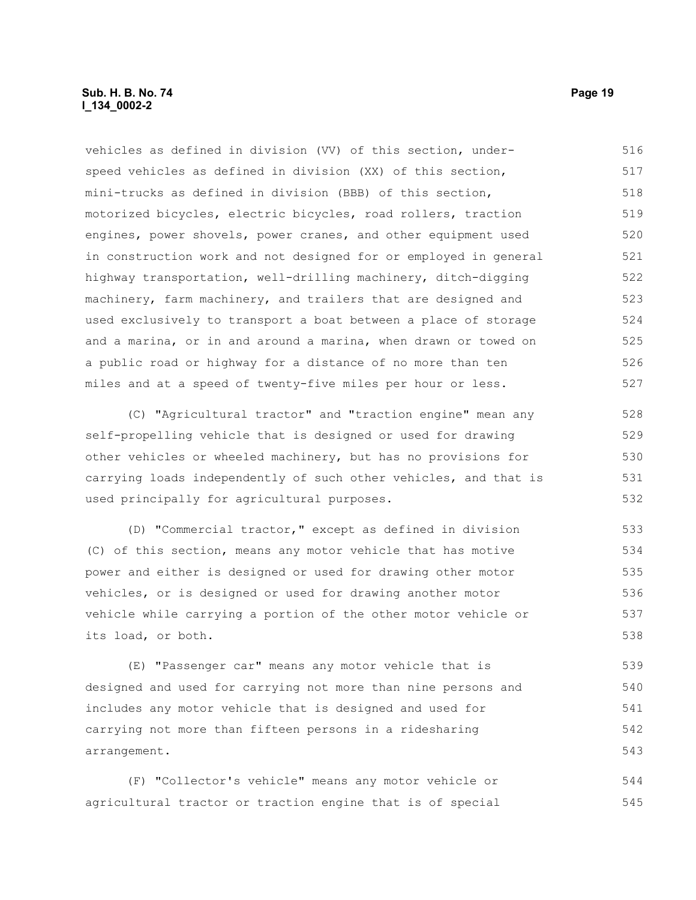#### **Sub. H. B. No. 74 Page 19 l\_134\_0002-2**

vehicles as defined in division (VV) of this section, underspeed vehicles as defined in division (XX) of this section, mini-trucks as defined in division (BBB) of this section, motorized bicycles, electric bicycles, road rollers, traction engines, power shovels, power cranes, and other equipment used in construction work and not designed for or employed in general highway transportation, well-drilling machinery, ditch-digging machinery, farm machinery, and trailers that are designed and used exclusively to transport a boat between a place of storage and a marina, or in and around a marina, when drawn or towed on a public road or highway for a distance of no more than ten miles and at a speed of twenty-five miles per hour or less. 516 517 518 519 520 521 522 523 524 525 526 527

(C) "Agricultural tractor" and "traction engine" mean any self-propelling vehicle that is designed or used for drawing other vehicles or wheeled machinery, but has no provisions for carrying loads independently of such other vehicles, and that is used principally for agricultural purposes.

(D) "Commercial tractor," except as defined in division (C) of this section, means any motor vehicle that has motive power and either is designed or used for drawing other motor vehicles, or is designed or used for drawing another motor vehicle while carrying a portion of the other motor vehicle or its load, or both. 533 534 535 536 537 538

(E) "Passenger car" means any motor vehicle that is designed and used for carrying not more than nine persons and includes any motor vehicle that is designed and used for carrying not more than fifteen persons in a ridesharing arrangement. 539 540 541 542 543

(F) "Collector's vehicle" means any motor vehicle or agricultural tractor or traction engine that is of special 544 545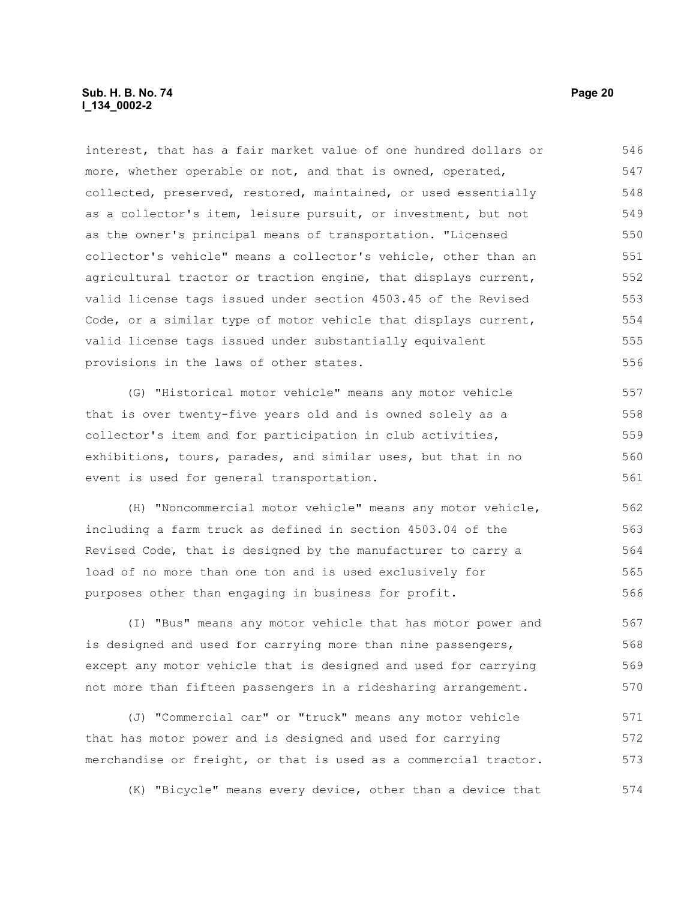#### **Sub. H. B. No. 74 Page 20 l\_134\_0002-2**

interest, that has a fair market value of one hundred dollars or more, whether operable or not, and that is owned, operated, collected, preserved, restored, maintained, or used essentially as a collector's item, leisure pursuit, or investment, but not as the owner's principal means of transportation. "Licensed collector's vehicle" means a collector's vehicle, other than an agricultural tractor or traction engine, that displays current, valid license tags issued under section 4503.45 of the Revised Code, or a similar type of motor vehicle that displays current, valid license tags issued under substantially equivalent provisions in the laws of other states. 546 547 548 549 550 551 552 553 554 555 556

(G) "Historical motor vehicle" means any motor vehicle that is over twenty-five years old and is owned solely as a collector's item and for participation in club activities, exhibitions, tours, parades, and similar uses, but that in no event is used for general transportation. 557 558 559 560 561

(H) "Noncommercial motor vehicle" means any motor vehicle, including a farm truck as defined in section 4503.04 of the Revised Code, that is designed by the manufacturer to carry a load of no more than one ton and is used exclusively for purposes other than engaging in business for profit. 562 563 564 565 566

(I) "Bus" means any motor vehicle that has motor power and is designed and used for carrying more than nine passengers, except any motor vehicle that is designed and used for carrying not more than fifteen passengers in a ridesharing arrangement. 567 568 569 570

(J) "Commercial car" or "truck" means any motor vehicle that has motor power and is designed and used for carrying merchandise or freight, or that is used as a commercial tractor. 571 572 573

(K) "Bicycle" means every device, other than a device that 574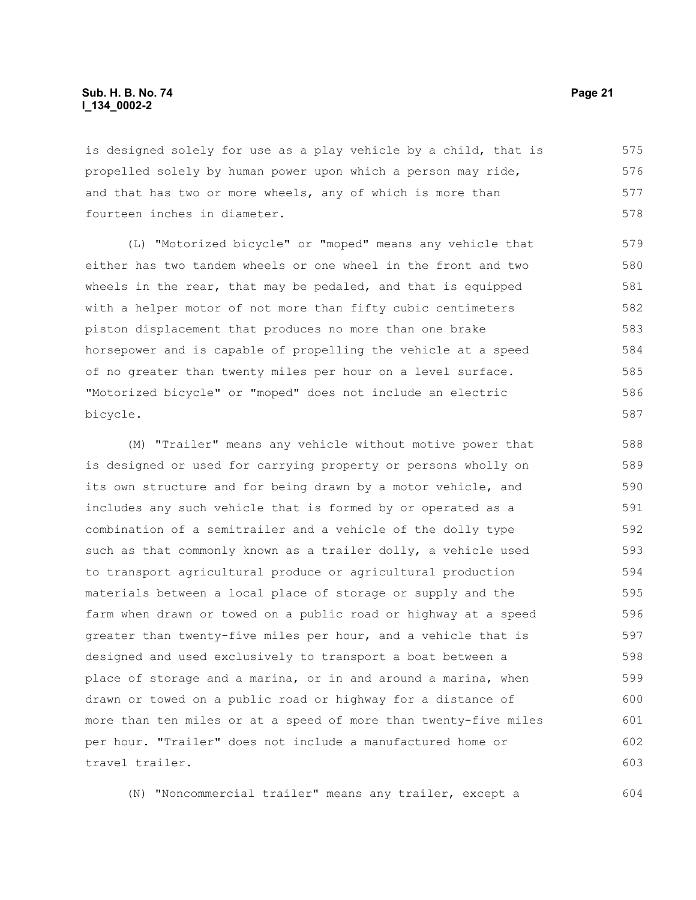#### **Sub. H. B. No. 74 Page 21 l\_134\_0002-2**

is designed solely for use as a play vehicle by a child, that is propelled solely by human power upon which a person may ride, and that has two or more wheels, any of which is more than fourteen inches in diameter. 575 576 577 578

(L) "Motorized bicycle" or "moped" means any vehicle that either has two tandem wheels or one wheel in the front and two wheels in the rear, that may be pedaled, and that is equipped with a helper motor of not more than fifty cubic centimeters piston displacement that produces no more than one brake horsepower and is capable of propelling the vehicle at a speed of no greater than twenty miles per hour on a level surface. "Motorized bicycle" or "moped" does not include an electric bicycle.

(M) "Trailer" means any vehicle without motive power that is designed or used for carrying property or persons wholly on its own structure and for being drawn by a motor vehicle, and includes any such vehicle that is formed by or operated as a combination of a semitrailer and a vehicle of the dolly type such as that commonly known as a trailer dolly, a vehicle used to transport agricultural produce or agricultural production materials between a local place of storage or supply and the farm when drawn or towed on a public road or highway at a speed greater than twenty-five miles per hour, and a vehicle that is designed and used exclusively to transport a boat between a place of storage and a marina, or in and around a marina, when drawn or towed on a public road or highway for a distance of more than ten miles or at a speed of more than twenty-five miles per hour. "Trailer" does not include a manufactured home or travel trailer. 588 589 590 591 592 593 594 595 596 597 598 599 600 601 602 603

(N) "Noncommercial trailer" means any trailer, except a

604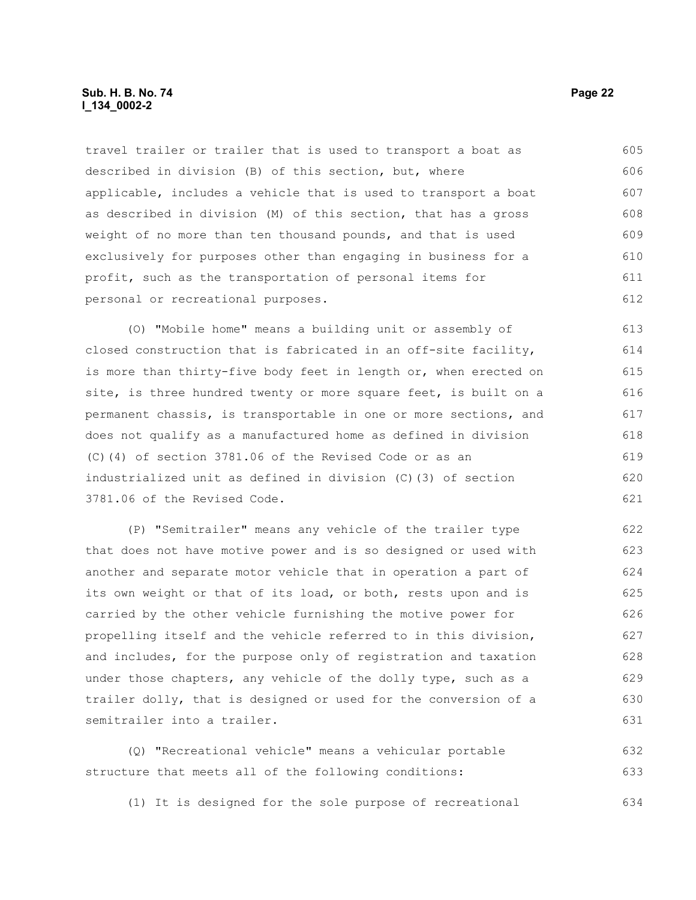#### **Sub. H. B. No. 74 Page 22 l\_134\_0002-2**

travel trailer or trailer that is used to transport a boat as described in division (B) of this section, but, where applicable, includes a vehicle that is used to transport a boat as described in division (M) of this section, that has a gross weight of no more than ten thousand pounds, and that is used exclusively for purposes other than engaging in business for a profit, such as the transportation of personal items for personal or recreational purposes. 605 606 607 608 609 610 611 612

(O) "Mobile home" means a building unit or assembly of closed construction that is fabricated in an off-site facility, is more than thirty-five body feet in length or, when erected on site, is three hundred twenty or more square feet, is built on a permanent chassis, is transportable in one or more sections, and does not qualify as a manufactured home as defined in division (C)(4) of section 3781.06 of the Revised Code or as an industrialized unit as defined in division (C)(3) of section 3781.06 of the Revised Code.

(P) "Semitrailer" means any vehicle of the trailer type that does not have motive power and is so designed or used with another and separate motor vehicle that in operation a part of its own weight or that of its load, or both, rests upon and is carried by the other vehicle furnishing the motive power for propelling itself and the vehicle referred to in this division, and includes, for the purpose only of registration and taxation under those chapters, any vehicle of the dolly type, such as a trailer dolly, that is designed or used for the conversion of a semitrailer into a trailer.

(Q) "Recreational vehicle" means a vehicular portable structure that meets all of the following conditions: 632 633

(1) It is designed for the sole purpose of recreational 634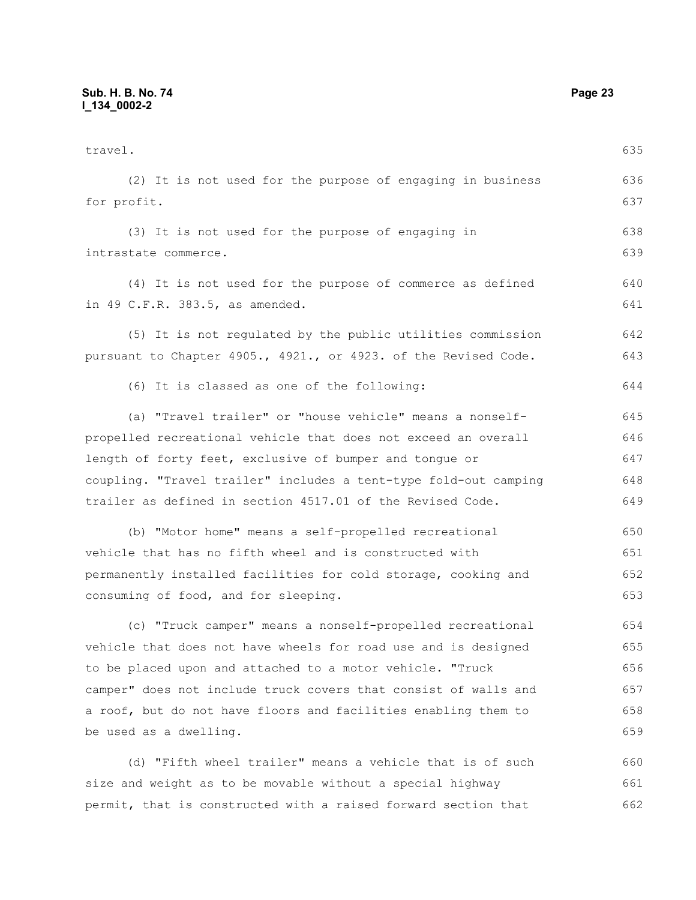| travel.                                                                                      | 635 |  |  |  |
|----------------------------------------------------------------------------------------------|-----|--|--|--|
| (2) It is not used for the purpose of engaging in business                                   | 636 |  |  |  |
| for profit.                                                                                  | 637 |  |  |  |
| (3) It is not used for the purpose of engaging in                                            | 638 |  |  |  |
| intrastate commerce.                                                                         | 639 |  |  |  |
|                                                                                              | 640 |  |  |  |
| (4) It is not used for the purpose of commerce as defined<br>in 49 C.F.R. 383.5, as amended. | 641 |  |  |  |
|                                                                                              |     |  |  |  |
| (5) It is not regulated by the public utilities commission                                   | 642 |  |  |  |
| pursuant to Chapter 4905., 4921., or 4923. of the Revised Code.                              | 643 |  |  |  |
| (6) It is classed as one of the following:                                                   | 644 |  |  |  |
| (a) "Travel trailer" or "house vehicle" means a nonself-                                     | 645 |  |  |  |
| propelled recreational vehicle that does not exceed an overall                               | 646 |  |  |  |
| length of forty feet, exclusive of bumper and tongue or                                      | 647 |  |  |  |
| coupling. "Travel trailer" includes a tent-type fold-out camping                             |     |  |  |  |
| trailer as defined in section 4517.01 of the Revised Code.                                   | 649 |  |  |  |
| (b) "Motor home" means a self-propelled recreational                                         | 650 |  |  |  |
| vehicle that has no fifth wheel and is constructed with                                      | 651 |  |  |  |
| permanently installed facilities for cold storage, cooking and                               |     |  |  |  |
| consuming of food, and for sleeping.                                                         | 653 |  |  |  |
| (c) "Truck camper" means a nonself-propelled recreational                                    | 654 |  |  |  |
| vehicle that does not have wheels for road use and is designed                               | 655 |  |  |  |
| to be placed upon and attached to a motor vehicle. "Truck                                    | 656 |  |  |  |
| camper" does not include truck covers that consist of walls and                              | 657 |  |  |  |
| a roof, but do not have floors and facilities enabling them to                               | 658 |  |  |  |
| be used as a dwelling.                                                                       | 659 |  |  |  |
| (d) "Fifth wheel trailer" means a vehicle that is of such                                    | 660 |  |  |  |
| size and weight as to be movable without a special highway                                   | 661 |  |  |  |
| permit, that is constructed with a raised forward section that                               | 662 |  |  |  |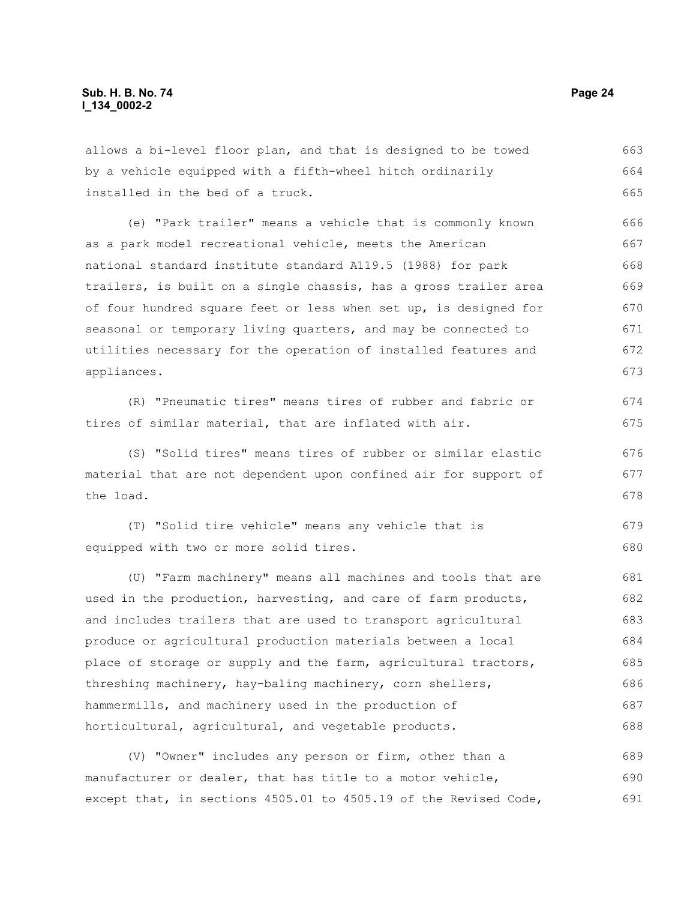allows a bi-level floor plan, and that is designed to be towed by a vehicle equipped with a fifth-wheel hitch ordinarily installed in the bed of a truck. 663 664 665

(e) "Park trailer" means a vehicle that is commonly known as a park model recreational vehicle, meets the American national standard institute standard A119.5 (1988) for park trailers, is built on a single chassis, has a gross trailer area of four hundred square feet or less when set up, is designed for seasonal or temporary living quarters, and may be connected to utilities necessary for the operation of installed features and appliances. 666 667 668 669 670 671 672 673

(R) "Pneumatic tires" means tires of rubber and fabric or tires of similar material, that are inflated with air. 674 675

(S) "Solid tires" means tires of rubber or similar elastic material that are not dependent upon confined air for support of the load. 676 677 678

(T) "Solid tire vehicle" means any vehicle that is equipped with two or more solid tires. 679 680

(U) "Farm machinery" means all machines and tools that are used in the production, harvesting, and care of farm products, and includes trailers that are used to transport agricultural produce or agricultural production materials between a local place of storage or supply and the farm, agricultural tractors, threshing machinery, hay-baling machinery, corn shellers, hammermills, and machinery used in the production of horticultural, agricultural, and vegetable products. 681 682 683 684 685 686 687 688

(V) "Owner" includes any person or firm, other than a manufacturer or dealer, that has title to a motor vehicle, except that, in sections 4505.01 to 4505.19 of the Revised Code, 689 690 691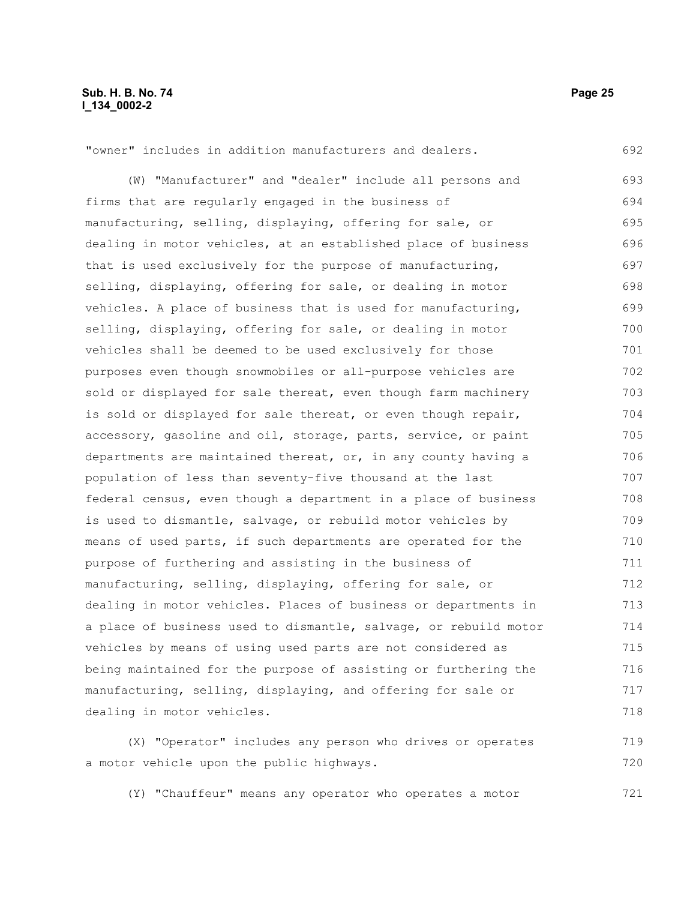692

"owner" includes in addition manufacturers and dealers. (W) "Manufacturer" and "dealer" include all persons and firms that are regularly engaged in the business of manufacturing, selling, displaying, offering for sale, or dealing in motor vehicles, at an established place of business that is used exclusively for the purpose of manufacturing, selling, displaying, offering for sale, or dealing in motor vehicles. A place of business that is used for manufacturing, selling, displaying, offering for sale, or dealing in motor vehicles shall be deemed to be used exclusively for those purposes even though snowmobiles or all-purpose vehicles are sold or displayed for sale thereat, even though farm machinery is sold or displayed for sale thereat, or even though repair, accessory, gasoline and oil, storage, parts, service, or paint departments are maintained thereat, or, in any county having a population of less than seventy-five thousand at the last federal census, even though a department in a place of business is used to dismantle, salvage, or rebuild motor vehicles by means of used parts, if such departments are operated for the purpose of furthering and assisting in the business of manufacturing, selling, displaying, offering for sale, or dealing in motor vehicles. Places of business or departments in a place of business used to dismantle, salvage, or rebuild motor vehicles by means of using used parts are not considered as being maintained for the purpose of assisting or furthering the manufacturing, selling, displaying, and offering for sale or dealing in motor vehicles. 693 694 695 696 697 698 699 700 701 702 703 704 705 706 707 708 709 710 711 712 713 714 715 716 717 718

(X) "Operator" includes any person who drives or operates a motor vehicle upon the public highways. 719 720

(Y) "Chauffeur" means any operator who operates a motor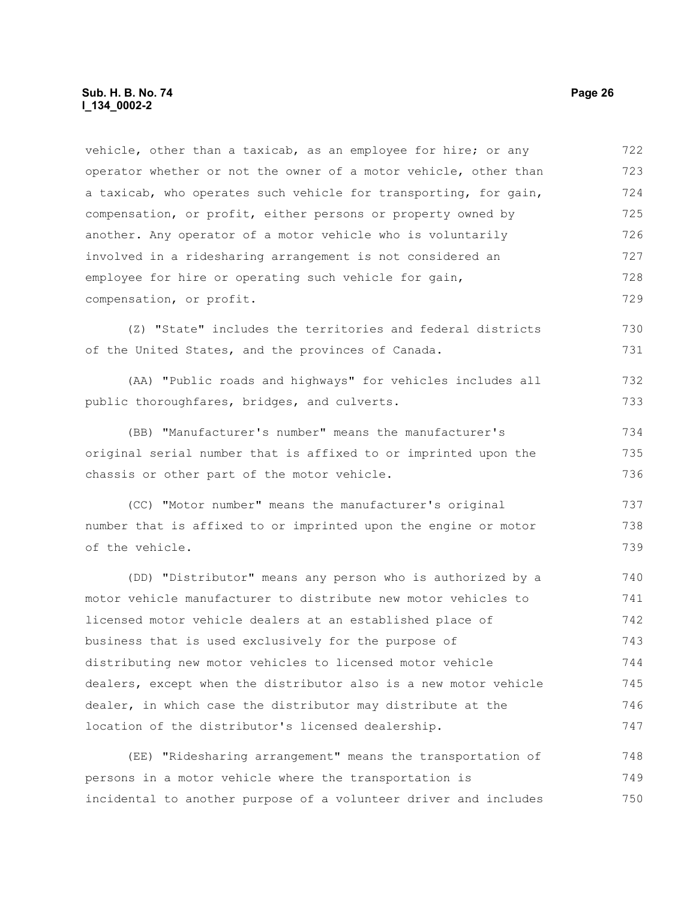#### **Sub. H. B. No. 74 Page 26 l\_134\_0002-2**

vehicle, other than a taxicab, as an employee for hire; or any operator whether or not the owner of a motor vehicle, other than a taxicab, who operates such vehicle for transporting, for gain, compensation, or profit, either persons or property owned by another. Any operator of a motor vehicle who is voluntarily involved in a ridesharing arrangement is not considered an employee for hire or operating such vehicle for gain, compensation, or profit. 722 723 724 725 726 727 728 729

(Z) "State" includes the territories and federal districts of the United States, and the provinces of Canada. 730 731

(AA) "Public roads and highways" for vehicles includes all public thoroughfares, bridges, and culverts. 732 733

(BB) "Manufacturer's number" means the manufacturer's original serial number that is affixed to or imprinted upon the chassis or other part of the motor vehicle. 734 735 736

(CC) "Motor number" means the manufacturer's original number that is affixed to or imprinted upon the engine or motor of the vehicle. 737 738 739

(DD) "Distributor" means any person who is authorized by a motor vehicle manufacturer to distribute new motor vehicles to licensed motor vehicle dealers at an established place of business that is used exclusively for the purpose of distributing new motor vehicles to licensed motor vehicle dealers, except when the distributor also is a new motor vehicle dealer, in which case the distributor may distribute at the location of the distributor's licensed dealership. 740 741 742 743 744 745 746 747

(EE) "Ridesharing arrangement" means the transportation of persons in a motor vehicle where the transportation is incidental to another purpose of a volunteer driver and includes 748 749 750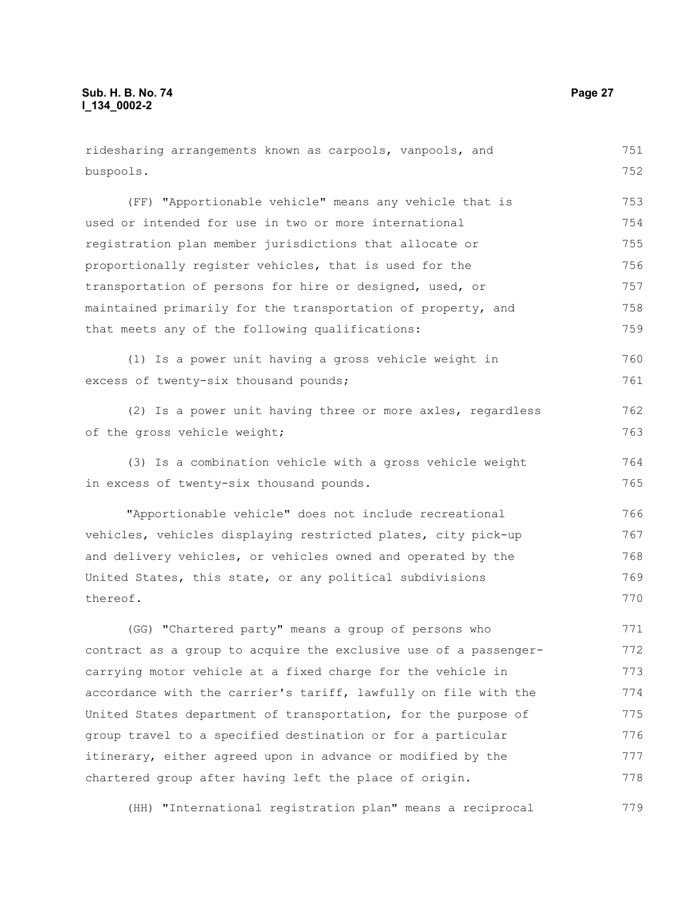ridesharing arrangements known as carpools, vanpools, and buspools. (FF) "Apportionable vehicle" means any vehicle that is used or intended for use in two or more international registration plan member jurisdictions that allocate or proportionally register vehicles, that is used for the transportation of persons for hire or designed, used, or maintained primarily for the transportation of property, and that meets any of the following qualifications: (1) Is a power unit having a gross vehicle weight in excess of twenty-six thousand pounds; (2) Is a power unit having three or more axles, regardless of the gross vehicle weight; (3) Is a combination vehicle with a gross vehicle weight in excess of twenty-six thousand pounds. "Apportionable vehicle" does not include recreational vehicles, vehicles displaying restricted plates, city pick-up and delivery vehicles, or vehicles owned and operated by the United States, this state, or any political subdivisions thereof. (GG) "Chartered party" means a group of persons who contract as a group to acquire the exclusive use of a passengercarrying motor vehicle at a fixed charge for the vehicle in accordance with the carrier's tariff, lawfully on file with the United States department of transportation, for the purpose of group travel to a specified destination or for a particular itinerary, either agreed upon in advance or modified by the 751 752 753 754 755 756 757 758 759 760 761 762 763 764 765 766 767 768 769 770 771 772 773 774 775 776 777

(HH) "International registration plan" means a reciprocal 779

chartered group after having left the place of origin.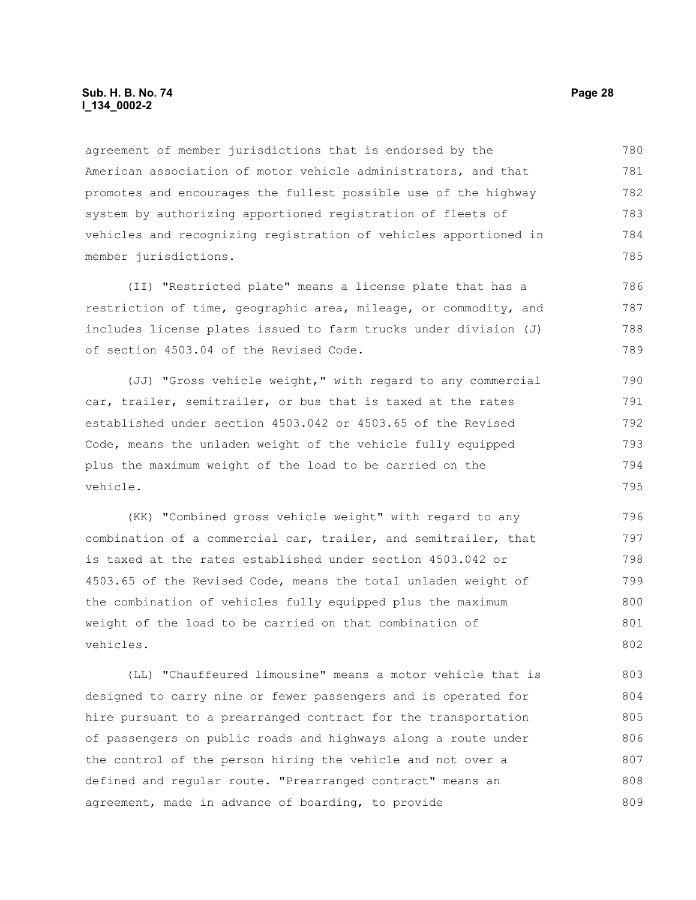#### **Sub. H. B. No. 74 Page 28 l\_134\_0002-2**

agreement of member jurisdictions that is endorsed by the American association of motor vehicle administrators, and that promotes and encourages the fullest possible use of the highway system by authorizing apportioned registration of fleets of vehicles and recognizing registration of vehicles apportioned in member jurisdictions. 780 781 782 783 784 785

(II) "Restricted plate" means a license plate that has a restriction of time, geographic area, mileage, or commodity, and includes license plates issued to farm trucks under division (J) of section 4503.04 of the Revised Code. 786 787 788 789

(JJ) "Gross vehicle weight," with regard to any commercial car, trailer, semitrailer, or bus that is taxed at the rates established under section 4503.042 or 4503.65 of the Revised Code, means the unladen weight of the vehicle fully equipped plus the maximum weight of the load to be carried on the vehicle. 790 791 792 793 794 795

(KK) "Combined gross vehicle weight" with regard to any combination of a commercial car, trailer, and semitrailer, that is taxed at the rates established under section 4503.042 or 4503.65 of the Revised Code, means the total unladen weight of the combination of vehicles fully equipped plus the maximum weight of the load to be carried on that combination of vehicles. 796 797 798 799 800 801 802

(LL) "Chauffeured limousine" means a motor vehicle that is designed to carry nine or fewer passengers and is operated for hire pursuant to a prearranged contract for the transportation of passengers on public roads and highways along a route under the control of the person hiring the vehicle and not over a defined and regular route. "Prearranged contract" means an agreement, made in advance of boarding, to provide 803 804 805 806 807 808 809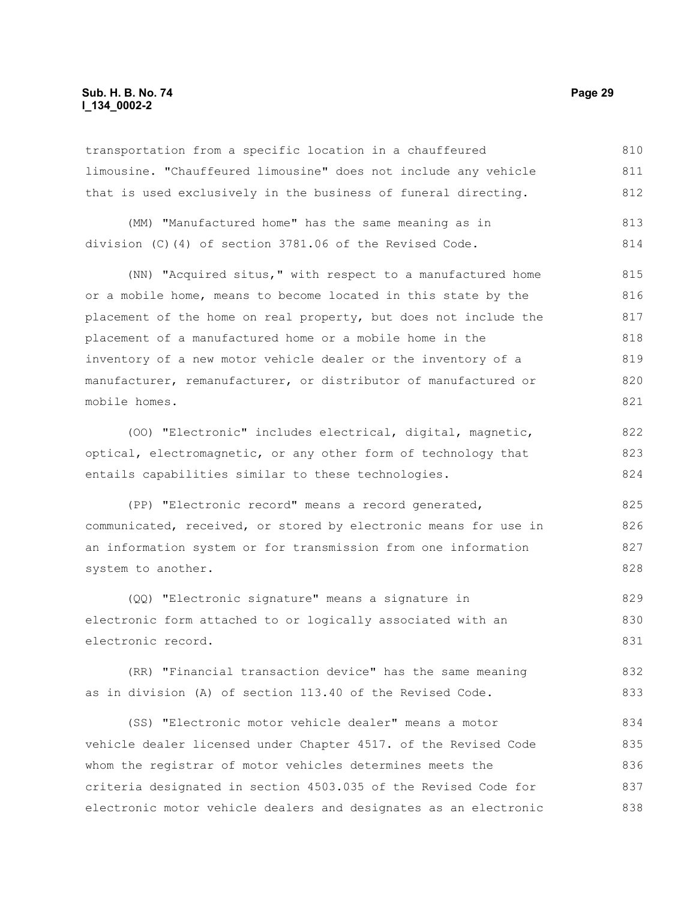#### **Sub. H. B. No. 74 Page 29 l\_134\_0002-2**

transportation from a specific location in a chauffeured limousine. "Chauffeured limousine" does not include any vehicle that is used exclusively in the business of funeral directing. 810 811 812

(MM) "Manufactured home" has the same meaning as in division (C)(4) of section 3781.06 of the Revised Code. 813 814

(NN) "Acquired situs," with respect to a manufactured home or a mobile home, means to become located in this state by the placement of the home on real property, but does not include the placement of a manufactured home or a mobile home in the inventory of a new motor vehicle dealer or the inventory of a manufacturer, remanufacturer, or distributor of manufactured or mobile homes. 815 816 817 818 819 820 821

(OO) "Electronic" includes electrical, digital, magnetic, optical, electromagnetic, or any other form of technology that entails capabilities similar to these technologies. 822 823 824

(PP) "Electronic record" means a record generated, communicated, received, or stored by electronic means for use in an information system or for transmission from one information system to another. 825 826 827 828

(QQ) "Electronic signature" means a signature in electronic form attached to or logically associated with an electronic record. 829 830 831

(RR) "Financial transaction device" has the same meaning as in division (A) of section 113.40 of the Revised Code. 832 833

(SS) "Electronic motor vehicle dealer" means a motor vehicle dealer licensed under Chapter 4517. of the Revised Code whom the registrar of motor vehicles determines meets the criteria designated in section 4503.035 of the Revised Code for electronic motor vehicle dealers and designates as an electronic 834 835 836 837 838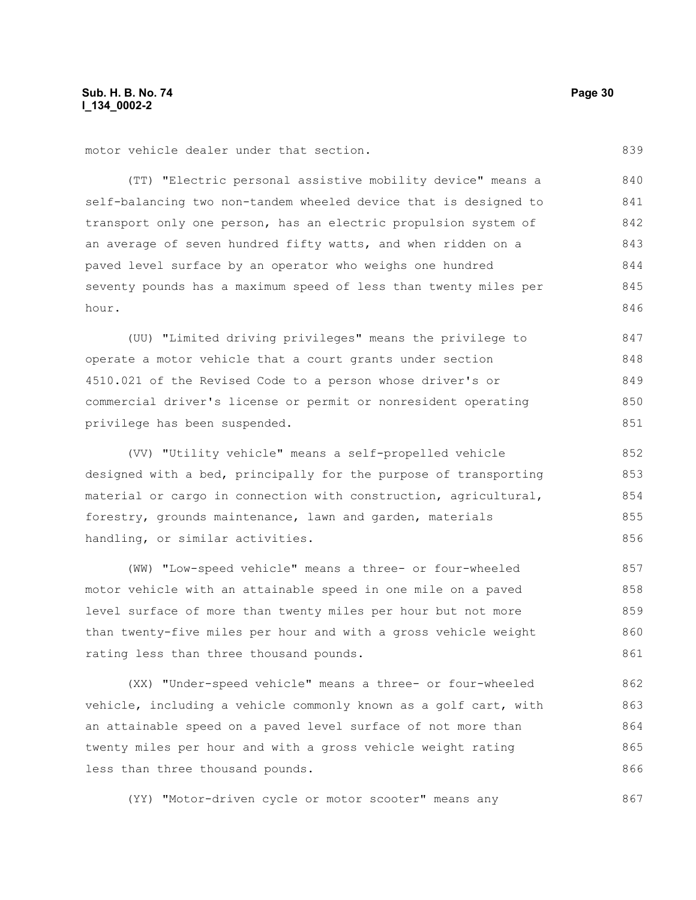motor vehicle dealer under that section.

(TT) "Electric personal assistive mobility device" means a self-balancing two non-tandem wheeled device that is designed to transport only one person, has an electric propulsion system of an average of seven hundred fifty watts, and when ridden on a paved level surface by an operator who weighs one hundred seventy pounds has a maximum speed of less than twenty miles per hour. 840 841 842 843 844 845 846

(UU) "Limited driving privileges" means the privilege to operate a motor vehicle that a court grants under section 4510.021 of the Revised Code to a person whose driver's or commercial driver's license or permit or nonresident operating privilege has been suspended. 847 848 849 850 851

(VV) "Utility vehicle" means a self-propelled vehicle designed with a bed, principally for the purpose of transporting material or cargo in connection with construction, agricultural, forestry, grounds maintenance, lawn and garden, materials handling, or similar activities.

(WW) "Low-speed vehicle" means a three- or four-wheeled motor vehicle with an attainable speed in one mile on a paved level surface of more than twenty miles per hour but not more than twenty-five miles per hour and with a gross vehicle weight rating less than three thousand pounds. 857 858 859 860 861

(XX) "Under-speed vehicle" means a three- or four-wheeled vehicle, including a vehicle commonly known as a golf cart, with an attainable speed on a paved level surface of not more than twenty miles per hour and with a gross vehicle weight rating less than three thousand pounds. 862 863 864 865 866

(YY) "Motor-driven cycle or motor scooter" means any

839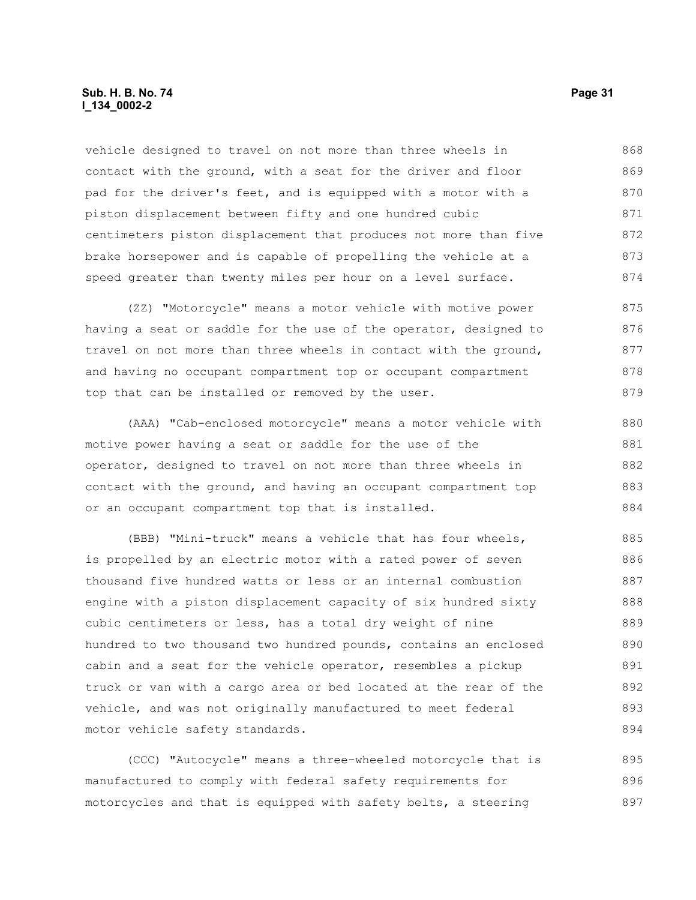#### **Sub. H. B. No. 74 Page 31 l\_134\_0002-2**

vehicle designed to travel on not more than three wheels in contact with the ground, with a seat for the driver and floor pad for the driver's feet, and is equipped with a motor with a piston displacement between fifty and one hundred cubic centimeters piston displacement that produces not more than five brake horsepower and is capable of propelling the vehicle at a speed greater than twenty miles per hour on a level surface. 868 869 870 871 872 873 874

(ZZ) "Motorcycle" means a motor vehicle with motive power having a seat or saddle for the use of the operator, designed to travel on not more than three wheels in contact with the ground, and having no occupant compartment top or occupant compartment top that can be installed or removed by the user. 875 876 877 878 879

(AAA) "Cab-enclosed motorcycle" means a motor vehicle with motive power having a seat or saddle for the use of the operator, designed to travel on not more than three wheels in contact with the ground, and having an occupant compartment top or an occupant compartment top that is installed. 880 881 882 883 884

(BBB) "Mini-truck" means a vehicle that has four wheels, is propelled by an electric motor with a rated power of seven thousand five hundred watts or less or an internal combustion engine with a piston displacement capacity of six hundred sixty cubic centimeters or less, has a total dry weight of nine hundred to two thousand two hundred pounds, contains an enclosed cabin and a seat for the vehicle operator, resembles a pickup truck or van with a cargo area or bed located at the rear of the vehicle, and was not originally manufactured to meet federal motor vehicle safety standards. 885 886 887 888 889 890 891 892 893 894

(CCC) "Autocycle" means a three-wheeled motorcycle that is manufactured to comply with federal safety requirements for motorcycles and that is equipped with safety belts, a steering 895 896 897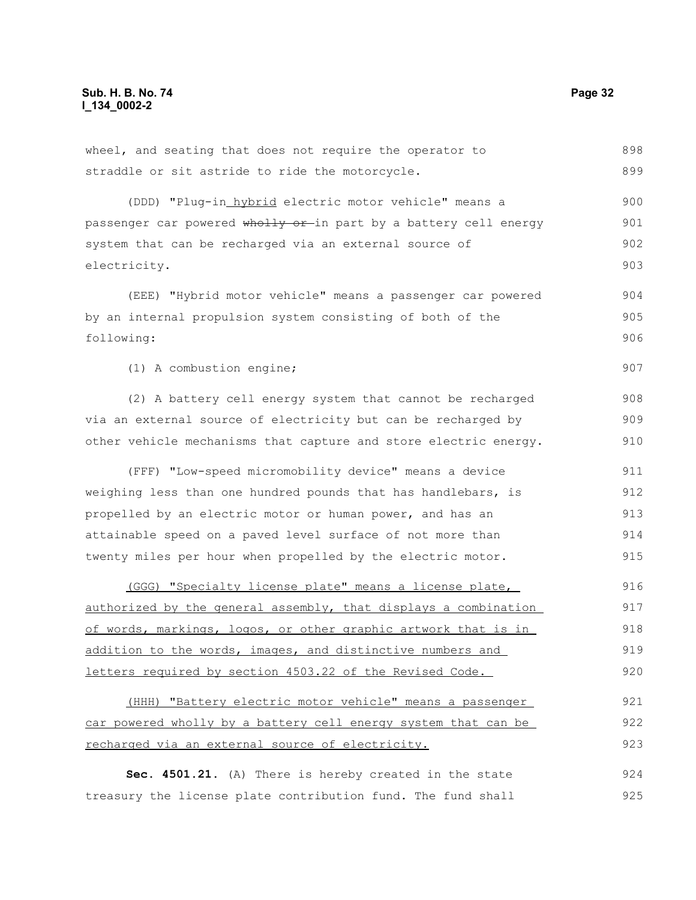| wheel, and seating that does not require the operator to         | 898 |
|------------------------------------------------------------------|-----|
| straddle or sit astride to ride the motorcycle.                  | 899 |
| (DDD) "Plug-in_hybrid electric motor vehicle" means a            | 900 |
| passenger car powered wholly or in part by a battery cell energy | 901 |
| system that can be recharged via an external source of           | 902 |
| electricity.                                                     | 903 |
| (EEE) "Hybrid motor vehicle" means a passenger car powered       | 904 |
| by an internal propulsion system consisting of both of the       | 905 |
| following:                                                       | 906 |
| (1) A combustion engine;                                         | 907 |
| (2) A battery cell energy system that cannot be recharged        | 908 |
| via an external source of electricity but can be recharged by    | 909 |
| other vehicle mechanisms that capture and store electric energy. | 910 |
| (FFF) "Low-speed micromobility device" means a device            | 911 |
| weighing less than one hundred pounds that has handlebars, is    | 912 |
| propelled by an electric motor or human power, and has an        | 913 |
| attainable speed on a paved level surface of not more than       | 914 |
| twenty miles per hour when propelled by the electric motor.      | 915 |
| (GGG) "Specialty license plate" means a license plate,           | 916 |
| authorized by the general assembly, that displays a combination  | 917 |
| of words, markings, logos, or other graphic artwork that is in   | 918 |
| addition to the words, images, and distinctive numbers and       | 919 |
| letters required by section 4503.22 of the Revised Code.         | 920 |
| (HHH) "Battery electric motor vehicle" means a passenger         | 921 |
| car powered wholly by a battery cell energy system that can be   | 922 |
| recharged via an external source of electricity.                 | 923 |
| Sec. 4501.21. (A) There is hereby created in the state           | 924 |
| treasury the license plate contribution fund. The fund shall     | 925 |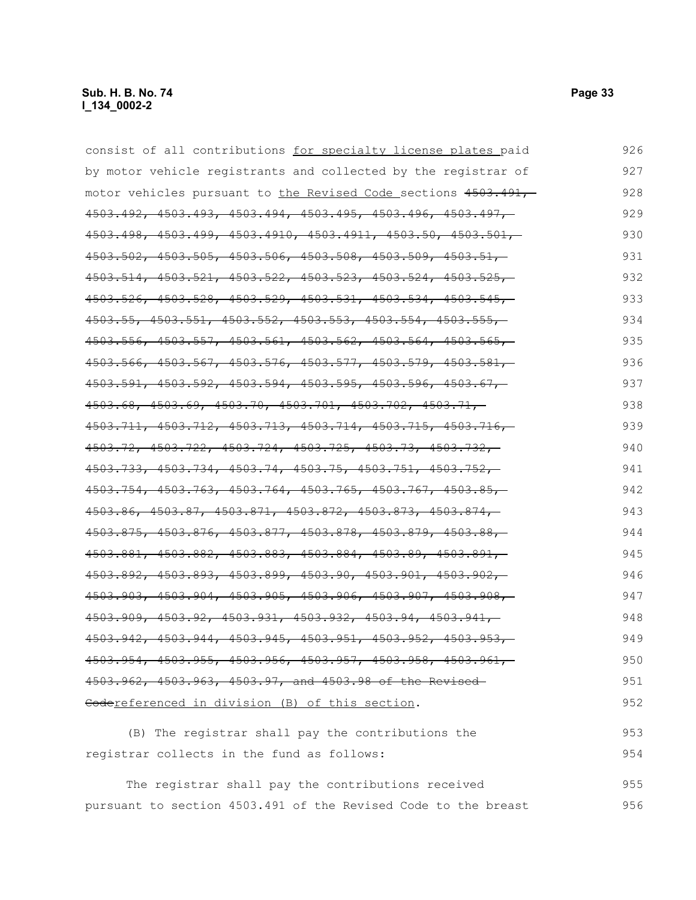| consist of all contributions for specialty license plates paid                 | 926 |
|--------------------------------------------------------------------------------|-----|
| by motor vehicle registrants and collected by the registrar of                 | 927 |
| motor vehicles pursuant to the Revised Code sections 4503.491,                 | 928 |
| 4503.492, 4503.493, 4503.494, 4503.495, 4503.496, 4503.497,                    | 929 |
| $4503.498$ , $4503.499$ , $4503.4910$ , $4503.4911$ , $4503.50$ , $4503.501$ , | 930 |
| $4503.502$ , $4503.505$ , $4503.506$ , $4503.508$ , $4503.509$ , $4503.51$ ,   | 931 |
| $4503.514$ , $4503.521$ , $4503.522$ , $4503.523$ , $4503.524$ , $4503.525$ ,  | 932 |
| $4503.526$ , $4503.528$ , $4503.529$ , $4503.531$ , $4503.534$ , $4503.545$ ,  | 933 |
| $4503.55$ , $4503.551$ , $4503.552$ , $4503.553$ , $4503.554$ , $4503.555$ ,   | 934 |
| $4503.556$ , $4503.557$ , $4503.561$ , $4503.562$ , $4503.564$ , $4503.565$ ,  | 935 |
| $4503.566$ , $4503.567$ , $4503.576$ , $4503.577$ , $4503.579$ , $4503.581$ ,  | 936 |
| $4503.591, 4503.592, 4503.594, 4503.595, 4503.596, 4503.67,$                   | 937 |
| $4503.68, 4503.69, 4503.70, 4503.701, 4503.702, 4503.71,$                      | 938 |
| $4503.711, 4503.712, 4503.713, 4503.714, 4503.715, 4503.716,$                  | 939 |
| $4503.72$ , $4503.722$ , $4503.724$ , $4503.725$ , $4503.73$ , $4503.732$ ,    | 940 |
| <del>4503.733, 4503.734, 4503.74, 4503.75, 4503.751, 4503.752, -</del>         | 941 |
| $4503.754$ , $4503.763$ , $4503.764$ , $4503.765$ , $4503.767$ , $4503.85$ ,   | 942 |
| <del>4503.86, 4503.87, 4503.871, 4503.872, 4503.873, 4503.874, -</del>         | 943 |
| $4503.875$ , $4503.876$ , $4503.877$ , $4503.878$ , $4503.879$ , $4503.88$ ,   | 944 |
| $4503.881, 4503.882, 4503.883, 4503.884, 4503.89, 4503.891,$                   | 945 |
| $4503.892, 4503.893, 4503.899, 4503.90, 4503.901, 4503.902,$                   | 946 |
| $4503, 903, 4503, 904, 4503, 905, 4503, 906, 4503, 907, 4503, 908,$            | 947 |
| $4503.909$ , $4503.92$ , $4503.931$ , $4503.932$ , $4503.94$ , $4503.941$ ,    | 948 |
| $4503.942, 4503.944, 4503.945, 4503.951, 4503.952, 4503.953,$                  | 949 |
| $4503.954, 4503.955, 4503.956, 4503.957, 4503.958, 4503.961,$                  | 950 |
| 4503.962, 4503.963, 4503.97, and 4503.98 of the Revised                        | 951 |
| Codereferenced in division (B) of this section.                                | 952 |
| (B) The registrar shall pay the contributions the                              | 953 |
| registrar collects in the fund as follows:                                     | 954 |
|                                                                                |     |

The registrar shall pay the contributions received pursuant to section 4503.491 of the Revised Code to the breast 955 956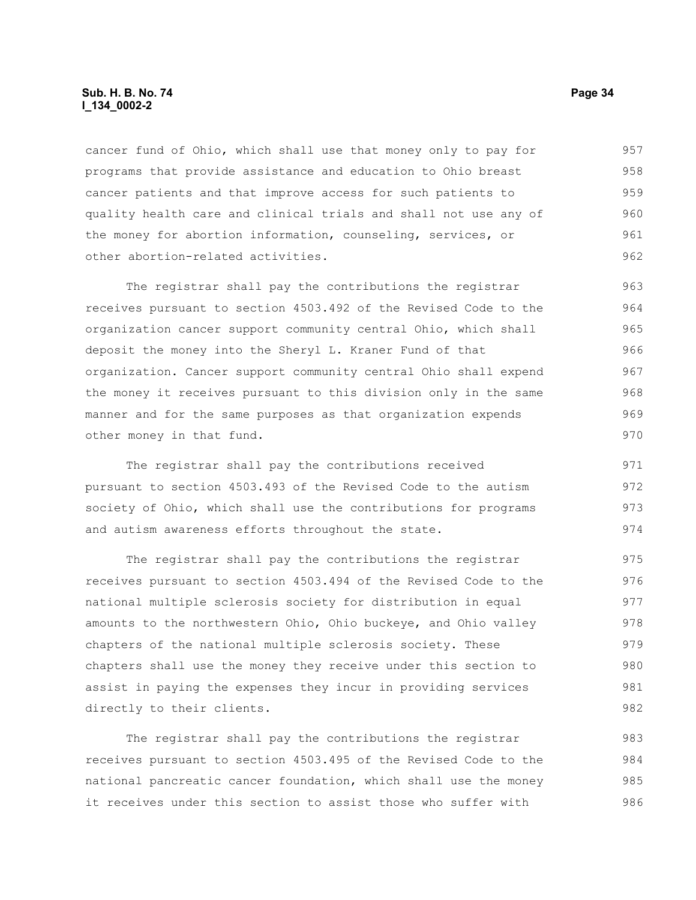#### **Sub. H. B. No. 74 Page 34 l\_134\_0002-2**

cancer fund of Ohio, which shall use that money only to pay for programs that provide assistance and education to Ohio breast cancer patients and that improve access for such patients to quality health care and clinical trials and shall not use any of the money for abortion information, counseling, services, or other abortion-related activities. 957 958 959 960 961 962

The registrar shall pay the contributions the registrar receives pursuant to section 4503.492 of the Revised Code to the organization cancer support community central Ohio, which shall deposit the money into the Sheryl L. Kraner Fund of that organization. Cancer support community central Ohio shall expend the money it receives pursuant to this division only in the same manner and for the same purposes as that organization expends other money in that fund. 963 964 965 966 967 968 969 970

The registrar shall pay the contributions received pursuant to section 4503.493 of the Revised Code to the autism society of Ohio, which shall use the contributions for programs and autism awareness efforts throughout the state. 971 972 973 974

The registrar shall pay the contributions the registrar receives pursuant to section 4503.494 of the Revised Code to the national multiple sclerosis society for distribution in equal amounts to the northwestern Ohio, Ohio buckeye, and Ohio valley chapters of the national multiple sclerosis society. These chapters shall use the money they receive under this section to assist in paying the expenses they incur in providing services directly to their clients.

The registrar shall pay the contributions the registrar receives pursuant to section 4503.495 of the Revised Code to the national pancreatic cancer foundation, which shall use the money it receives under this section to assist those who suffer with 983 984 985 986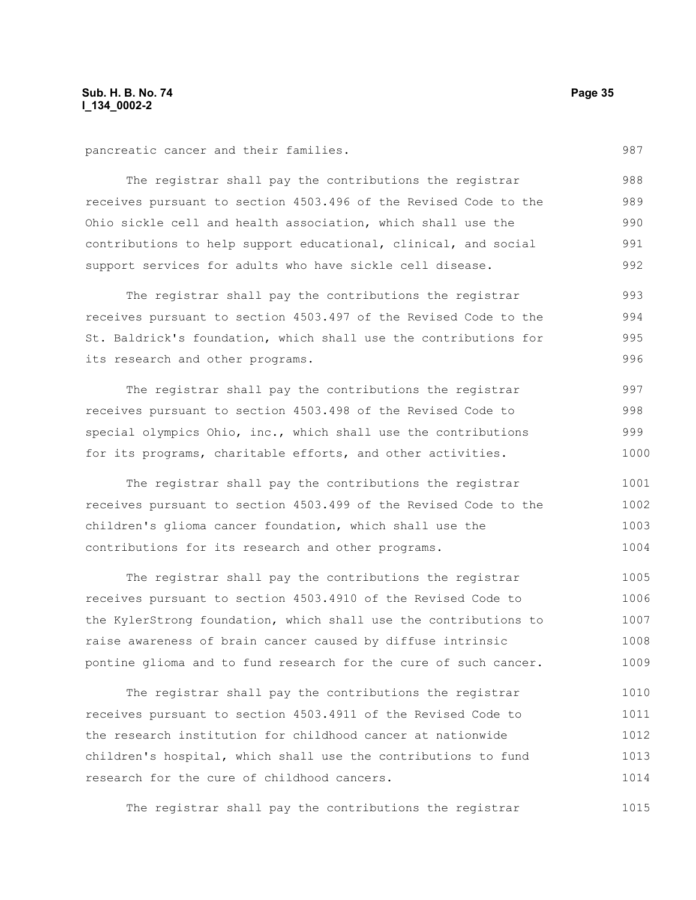pancreatic cancer and their families.

The registrar shall pay the contributions the registrar receives pursuant to section 4503.496 of the Revised Code to the Ohio sickle cell and health association, which shall use the contributions to help support educational, clinical, and social support services for adults who have sickle cell disease. 988 989 990 991 992

The registrar shall pay the contributions the registrar receives pursuant to section 4503.497 of the Revised Code to the St. Baldrick's foundation, which shall use the contributions for its research and other programs. 993 994 995 996

The registrar shall pay the contributions the registrar receives pursuant to section 4503.498 of the Revised Code to special olympics Ohio, inc., which shall use the contributions for its programs, charitable efforts, and other activities. 997 998 999 1000

The registrar shall pay the contributions the registrar receives pursuant to section 4503.499 of the Revised Code to the children's glioma cancer foundation, which shall use the contributions for its research and other programs. 1001 1002 1003 1004

The registrar shall pay the contributions the registrar receives pursuant to section 4503.4910 of the Revised Code to the KylerStrong foundation, which shall use the contributions to raise awareness of brain cancer caused by diffuse intrinsic pontine glioma and to fund research for the cure of such cancer. 1005 1006 1007 1008 1009

The registrar shall pay the contributions the registrar receives pursuant to section 4503.4911 of the Revised Code to the research institution for childhood cancer at nationwide children's hospital, which shall use the contributions to fund research for the cure of childhood cancers. 1010 1011 1012 1013 1014

The registrar shall pay the contributions the registrar 1015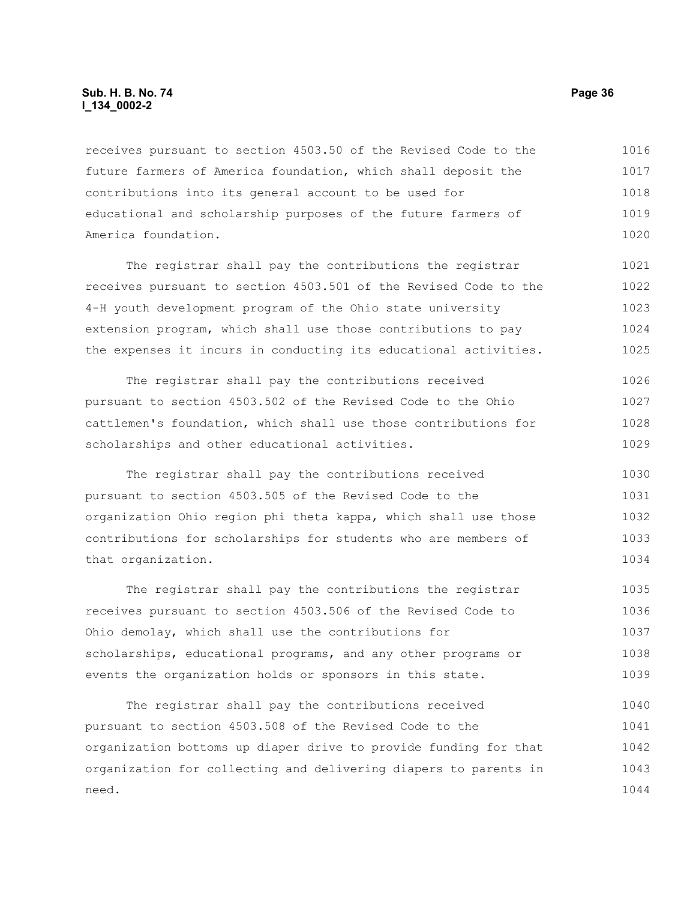#### **Sub. H. B. No. 74 Page 36 l\_134\_0002-2**

receives pursuant to section 4503.50 of the Revised Code to the future farmers of America foundation, which shall deposit the contributions into its general account to be used for educational and scholarship purposes of the future farmers of America foundation. 1016 1017 1018 1019 1020

The registrar shall pay the contributions the registrar receives pursuant to section 4503.501 of the Revised Code to the 4-H youth development program of the Ohio state university extension program, which shall use those contributions to pay the expenses it incurs in conducting its educational activities. 1021 1022 1023 1024 1025

The registrar shall pay the contributions received pursuant to section 4503.502 of the Revised Code to the Ohio cattlemen's foundation, which shall use those contributions for scholarships and other educational activities. 1026 1027 1028 1029

The registrar shall pay the contributions received pursuant to section 4503.505 of the Revised Code to the organization Ohio region phi theta kappa, which shall use those contributions for scholarships for students who are members of that organization. 1030 1031 1032 1033 1034

The registrar shall pay the contributions the registrar receives pursuant to section 4503.506 of the Revised Code to Ohio demolay, which shall use the contributions for scholarships, educational programs, and any other programs or events the organization holds or sponsors in this state. 1035 1036 1037 1038 1039

The registrar shall pay the contributions received pursuant to section 4503.508 of the Revised Code to the organization bottoms up diaper drive to provide funding for that organization for collecting and delivering diapers to parents in need. 1040 1041 1042 1043 1044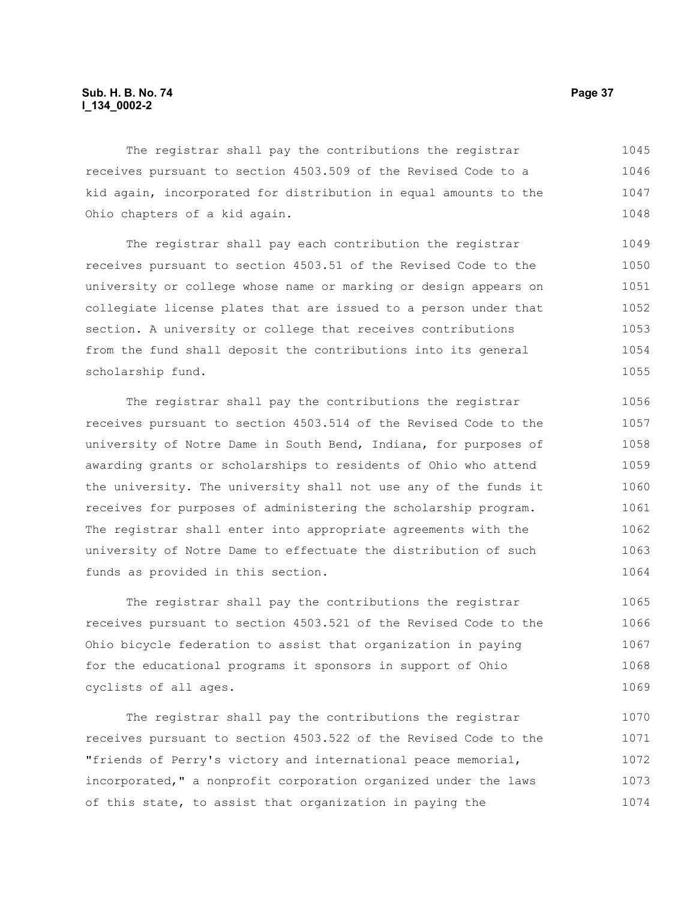## **Sub. H. B. No. 74 Page 37 l\_134\_0002-2**

The registrar shall pay the contributions the registrar receives pursuant to section 4503.509 of the Revised Code to a kid again, incorporated for distribution in equal amounts to the Ohio chapters of a kid again. 1045 1046 1047 1048

The registrar shall pay each contribution the registrar receives pursuant to section 4503.51 of the Revised Code to the university or college whose name or marking or design appears on collegiate license plates that are issued to a person under that section. A university or college that receives contributions from the fund shall deposit the contributions into its general scholarship fund. 1049 1050 1051 1052 1053 1054 1055

The registrar shall pay the contributions the registrar receives pursuant to section 4503.514 of the Revised Code to the university of Notre Dame in South Bend, Indiana, for purposes of awarding grants or scholarships to residents of Ohio who attend the university. The university shall not use any of the funds it receives for purposes of administering the scholarship program. The registrar shall enter into appropriate agreements with the university of Notre Dame to effectuate the distribution of such funds as provided in this section. 1056 1057 1058 1059 1060 1061 1062 1063 1064

The registrar shall pay the contributions the registrar receives pursuant to section 4503.521 of the Revised Code to the Ohio bicycle federation to assist that organization in paying for the educational programs it sponsors in support of Ohio cyclists of all ages. 1065 1066 1067 1068 1069

The registrar shall pay the contributions the registrar receives pursuant to section 4503.522 of the Revised Code to the "friends of Perry's victory and international peace memorial, incorporated," a nonprofit corporation organized under the laws of this state, to assist that organization in paying the 1070 1071 1072 1073 1074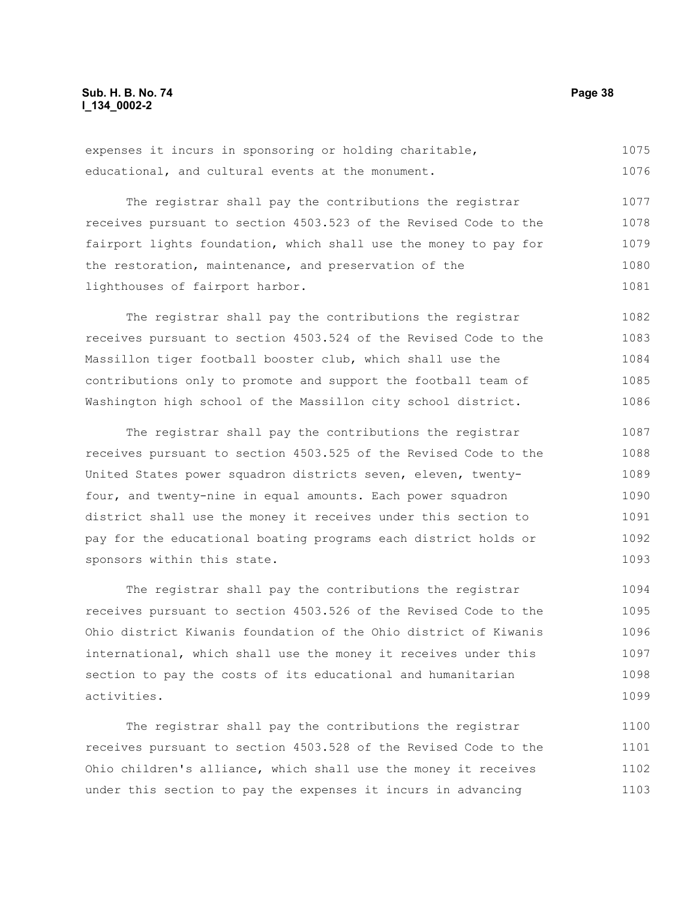# **Sub. H. B. No. 74 Page 38 l\_134\_0002-2**

expenses it incurs in sponsoring or holding charitable, educational, and cultural events at the monument. 1075 1076

The registrar shall pay the contributions the registrar receives pursuant to section 4503.523 of the Revised Code to the fairport lights foundation, which shall use the money to pay for the restoration, maintenance, and preservation of the lighthouses of fairport harbor. 1077 1078 1079 1080 1081

The registrar shall pay the contributions the registrar receives pursuant to section 4503.524 of the Revised Code to the Massillon tiger football booster club, which shall use the contributions only to promote and support the football team of Washington high school of the Massillon city school district. 1082 1083 1084 1085 1086

The registrar shall pay the contributions the registrar receives pursuant to section 4503.525 of the Revised Code to the United States power squadron districts seven, eleven, twentyfour, and twenty-nine in equal amounts. Each power squadron district shall use the money it receives under this section to pay for the educational boating programs each district holds or sponsors within this state. 1087 1088 1089 1090 1091 1092 1093

The registrar shall pay the contributions the registrar receives pursuant to section 4503.526 of the Revised Code to the Ohio district Kiwanis foundation of the Ohio district of Kiwanis international, which shall use the money it receives under this section to pay the costs of its educational and humanitarian activities. 1094 1095 1096 1097 1098 1099

The registrar shall pay the contributions the registrar receives pursuant to section 4503.528 of the Revised Code to the Ohio children's alliance, which shall use the money it receives under this section to pay the expenses it incurs in advancing 1100 1101 1102 1103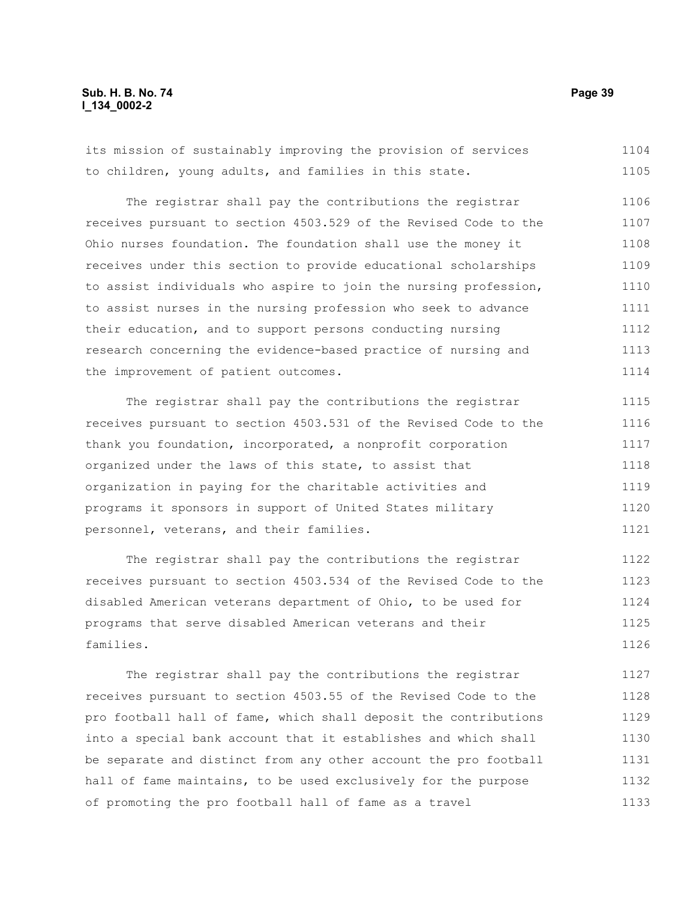# **Sub. H. B. No. 74 Page 39 l\_134\_0002-2**

its mission of sustainably improving the provision of services to children, young adults, and families in this state. 1104 1105

The registrar shall pay the contributions the registrar receives pursuant to section 4503.529 of the Revised Code to the Ohio nurses foundation. The foundation shall use the money it receives under this section to provide educational scholarships to assist individuals who aspire to join the nursing profession, to assist nurses in the nursing profession who seek to advance their education, and to support persons conducting nursing research concerning the evidence-based practice of nursing and the improvement of patient outcomes. 1106 1107 1108 1109 1110 1111 1112 1113 1114

The registrar shall pay the contributions the registrar receives pursuant to section 4503.531 of the Revised Code to the thank you foundation, incorporated, a nonprofit corporation organized under the laws of this state, to assist that organization in paying for the charitable activities and programs it sponsors in support of United States military personnel, veterans, and their families. 1115 1116 1117 1118 1119 1120 1121

The registrar shall pay the contributions the registrar receives pursuant to section 4503.534 of the Revised Code to the disabled American veterans department of Ohio, to be used for programs that serve disabled American veterans and their families. 1122 1123 1124 1125 1126

The registrar shall pay the contributions the registrar receives pursuant to section 4503.55 of the Revised Code to the pro football hall of fame, which shall deposit the contributions into a special bank account that it establishes and which shall be separate and distinct from any other account the pro football hall of fame maintains, to be used exclusively for the purpose of promoting the pro football hall of fame as a travel 1127 1128 1129 1130 1131 1132 1133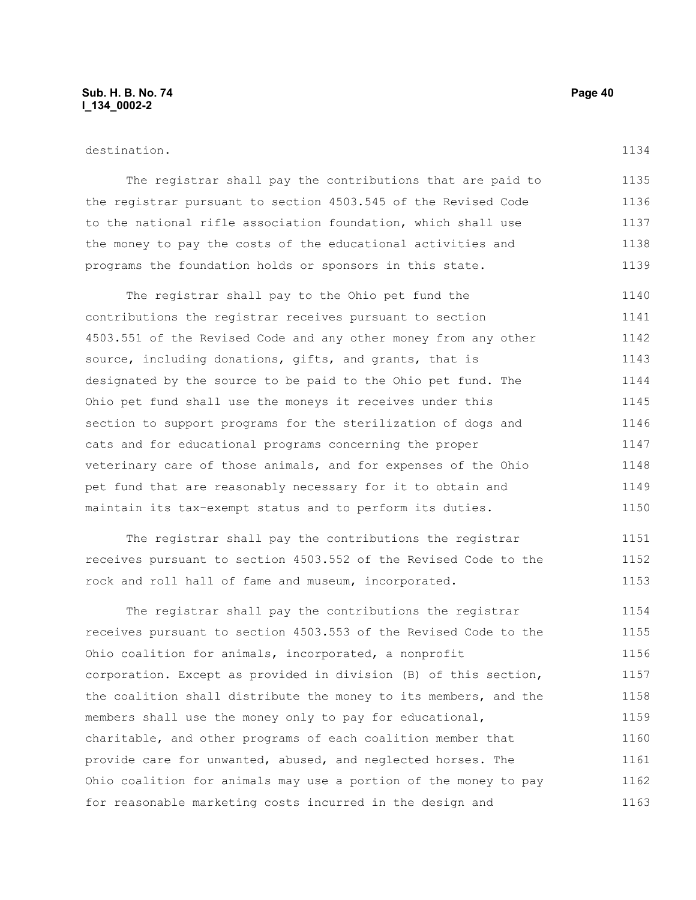# **Sub. H. B. No. 74 Page 40 l\_134\_0002-2**

#### destination.

The registrar shall pay the contributions that are paid to the registrar pursuant to section 4503.545 of the Revised Code to the national rifle association foundation, which shall use the money to pay the costs of the educational activities and programs the foundation holds or sponsors in this state. 1135 1136 1137 1138 1139

The registrar shall pay to the Ohio pet fund the contributions the registrar receives pursuant to section 4503.551 of the Revised Code and any other money from any other source, including donations, gifts, and grants, that is designated by the source to be paid to the Ohio pet fund. The Ohio pet fund shall use the moneys it receives under this section to support programs for the sterilization of dogs and cats and for educational programs concerning the proper veterinary care of those animals, and for expenses of the Ohio pet fund that are reasonably necessary for it to obtain and maintain its tax-exempt status and to perform its duties. 1140 1141 1142 1143 1144 1145 1146 1147 1148 1149 1150

The registrar shall pay the contributions the registrar receives pursuant to section 4503.552 of the Revised Code to the rock and roll hall of fame and museum, incorporated. 1151 1152 1153

The registrar shall pay the contributions the registrar receives pursuant to section 4503.553 of the Revised Code to the Ohio coalition for animals, incorporated, a nonprofit corporation. Except as provided in division (B) of this section, the coalition shall distribute the money to its members, and the members shall use the money only to pay for educational, charitable, and other programs of each coalition member that provide care for unwanted, abused, and neglected horses. The Ohio coalition for animals may use a portion of the money to pay for reasonable marketing costs incurred in the design and 1154 1155 1156 1157 1158 1159 1160 1161 1162 1163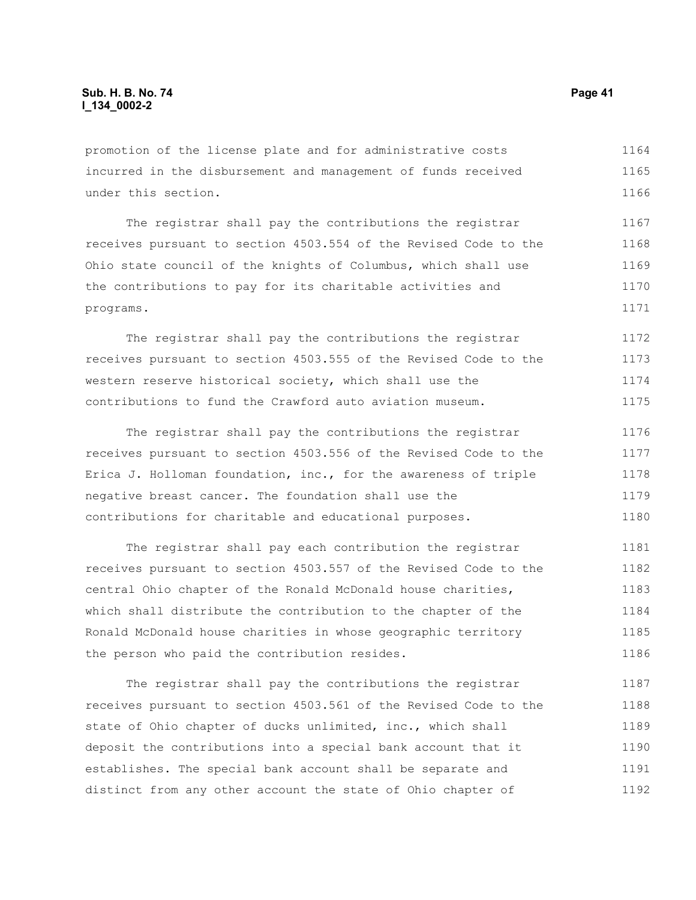# **Sub. H. B. No. 74 Page 41 l\_134\_0002-2**

promotion of the license plate and for administrative costs incurred in the disbursement and management of funds received under this section. 1164 1165 1166

The registrar shall pay the contributions the registrar receives pursuant to section 4503.554 of the Revised Code to the Ohio state council of the knights of Columbus, which shall use the contributions to pay for its charitable activities and programs. 1167 1168 1169 1170 1171

The registrar shall pay the contributions the registrar receives pursuant to section 4503.555 of the Revised Code to the western reserve historical society, which shall use the contributions to fund the Crawford auto aviation museum. 1172 1173 1174 1175

The registrar shall pay the contributions the registrar receives pursuant to section 4503.556 of the Revised Code to the Erica J. Holloman foundation, inc., for the awareness of triple negative breast cancer. The foundation shall use the contributions for charitable and educational purposes. 1176 1177 1178 1179 1180

The registrar shall pay each contribution the registrar receives pursuant to section 4503.557 of the Revised Code to the central Ohio chapter of the Ronald McDonald house charities, which shall distribute the contribution to the chapter of the Ronald McDonald house charities in whose geographic territory the person who paid the contribution resides. 1181 1182 1183 1184 1185 1186

The registrar shall pay the contributions the registrar receives pursuant to section 4503.561 of the Revised Code to the state of Ohio chapter of ducks unlimited, inc., which shall deposit the contributions into a special bank account that it establishes. The special bank account shall be separate and distinct from any other account the state of Ohio chapter of 1187 1188 1189 1190 1191 1192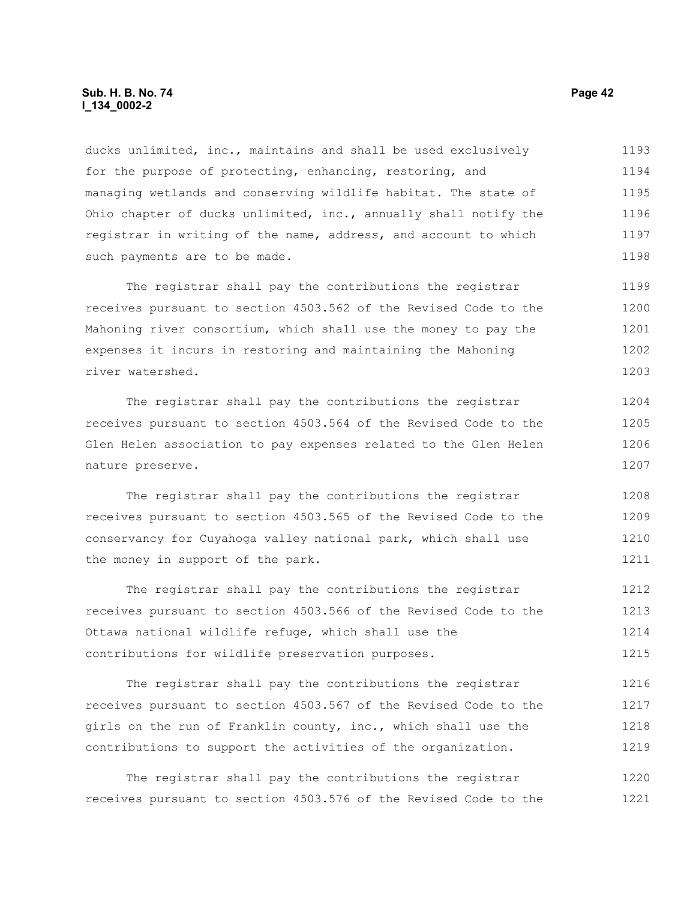## **Sub. H. B. No. 74 Page 42 l\_134\_0002-2**

ducks unlimited, inc., maintains and shall be used exclusively for the purpose of protecting, enhancing, restoring, and managing wetlands and conserving wildlife habitat. The state of Ohio chapter of ducks unlimited, inc., annually shall notify the registrar in writing of the name, address, and account to which such payments are to be made. 1193 1194 1195 1196 1197 1198

The registrar shall pay the contributions the registrar receives pursuant to section 4503.562 of the Revised Code to the Mahoning river consortium, which shall use the money to pay the expenses it incurs in restoring and maintaining the Mahoning river watershed. 1199 1200 1201 1202 1203

The registrar shall pay the contributions the registrar receives pursuant to section 4503.564 of the Revised Code to the Glen Helen association to pay expenses related to the Glen Helen nature preserve. 1204 1205 1206 1207

The registrar shall pay the contributions the registrar receives pursuant to section 4503.565 of the Revised Code to the conservancy for Cuyahoga valley national park, which shall use the money in support of the park. 1209

The registrar shall pay the contributions the registrar receives pursuant to section 4503.566 of the Revised Code to the Ottawa national wildlife refuge, which shall use the contributions for wildlife preservation purposes. 1212 1213 1214 1215

The registrar shall pay the contributions the registrar receives pursuant to section 4503.567 of the Revised Code to the girls on the run of Franklin county, inc., which shall use the contributions to support the activities of the organization. 1216 1217 1218 1219

The registrar shall pay the contributions the registrar receives pursuant to section 4503.576 of the Revised Code to the 1220 1221

1208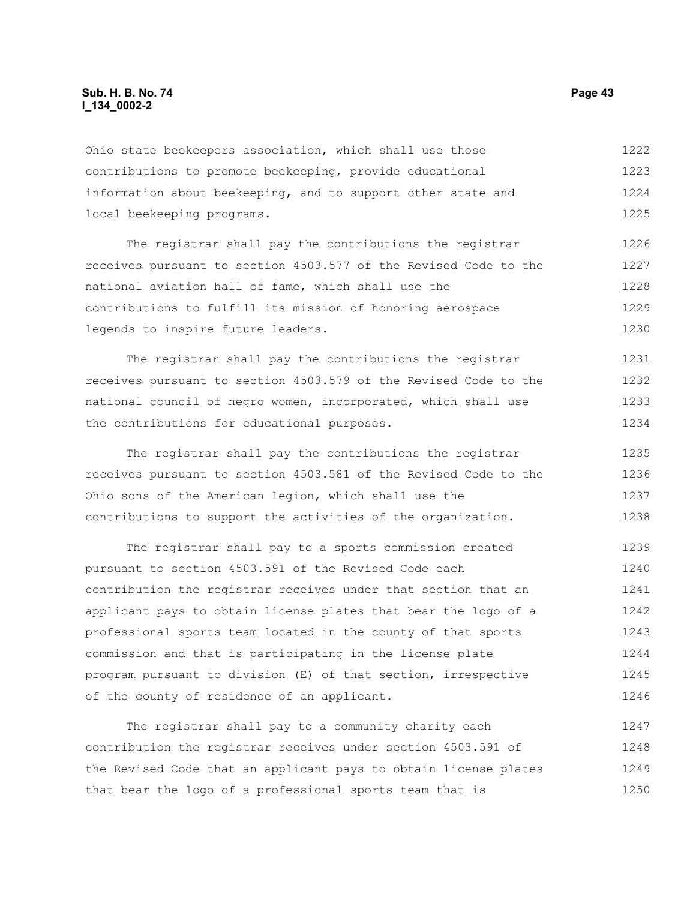## **Sub. H. B. No. 74 Page 43 l\_134\_0002-2**

Ohio state beekeepers association, which shall use those contributions to promote beekeeping, provide educational information about beekeeping, and to support other state and local beekeeping programs. 1222 1223 1224 1225

The registrar shall pay the contributions the registrar receives pursuant to section 4503.577 of the Revised Code to the national aviation hall of fame, which shall use the contributions to fulfill its mission of honoring aerospace legends to inspire future leaders. 1226 1227 1228 1229 1230

The registrar shall pay the contributions the registrar receives pursuant to section 4503.579 of the Revised Code to the national council of negro women, incorporated, which shall use the contributions for educational purposes. 1231 1232 1233 1234

The registrar shall pay the contributions the registrar receives pursuant to section 4503.581 of the Revised Code to the Ohio sons of the American legion, which shall use the contributions to support the activities of the organization. 1235 1236 1237 1238

The registrar shall pay to a sports commission created pursuant to section 4503.591 of the Revised Code each contribution the registrar receives under that section that an applicant pays to obtain license plates that bear the logo of a professional sports team located in the county of that sports commission and that is participating in the license plate program pursuant to division (E) of that section, irrespective of the county of residence of an applicant. 1239 1240 1241 1242 1243 1244 1245 1246

The registrar shall pay to a community charity each contribution the registrar receives under section 4503.591 of the Revised Code that an applicant pays to obtain license plates that bear the logo of a professional sports team that is 1247 1248 1249 1250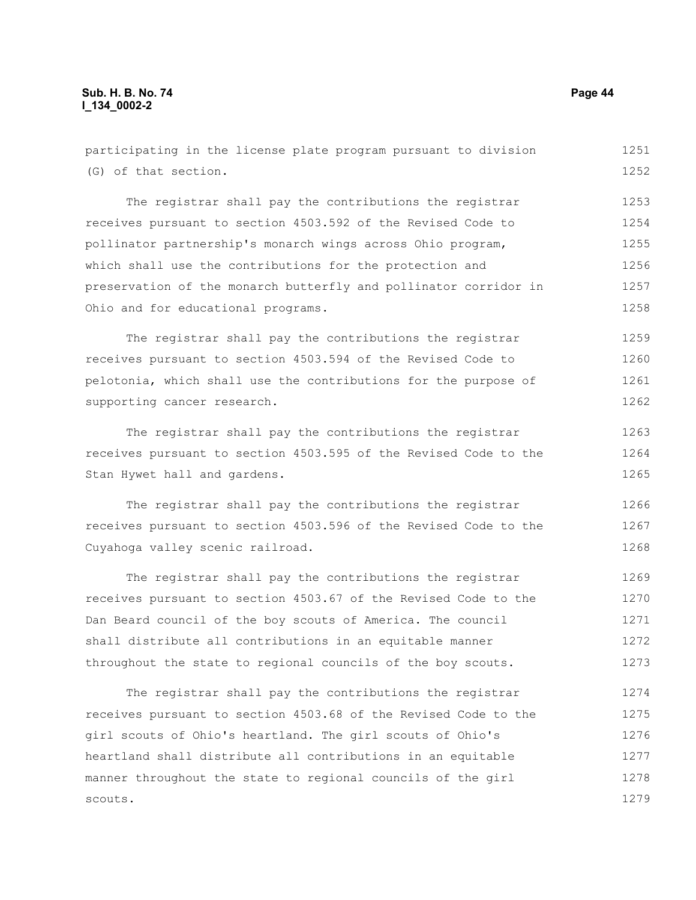(G) of that section. The registrar shall pay the contributions the registrar receives pursuant to section 4503.592 of the Revised Code to pollinator partnership's monarch wings across Ohio program, which shall use the contributions for the protection and preservation of the monarch butterfly and pollinator corridor in Ohio and for educational programs. The registrar shall pay the contributions the registrar receives pursuant to section 4503.594 of the Revised Code to pelotonia, which shall use the contributions for the purpose of supporting cancer research. The registrar shall pay the contributions the registrar receives pursuant to section 4503.595 of the Revised Code to the Stan Hywet hall and gardens. The registrar shall pay the contributions the registrar receives pursuant to section 4503.596 of the Revised Code to the Cuyahoga valley scenic railroad. 1252 1253 1254 1255 1256 1257 1258 1259 1260 1261 1262 1263 1264 1265 1266 1267 1268

participating in the license plate program pursuant to division

The registrar shall pay the contributions the registrar receives pursuant to section 4503.67 of the Revised Code to the Dan Beard council of the boy scouts of America. The council shall distribute all contributions in an equitable manner throughout the state to regional councils of the boy scouts. 1269 1270 1271 1272 1273

The registrar shall pay the contributions the registrar receives pursuant to section 4503.68 of the Revised Code to the girl scouts of Ohio's heartland. The girl scouts of Ohio's heartland shall distribute all contributions in an equitable manner throughout the state to regional councils of the girl scouts. 1274 1275 1276 1277 1278 1279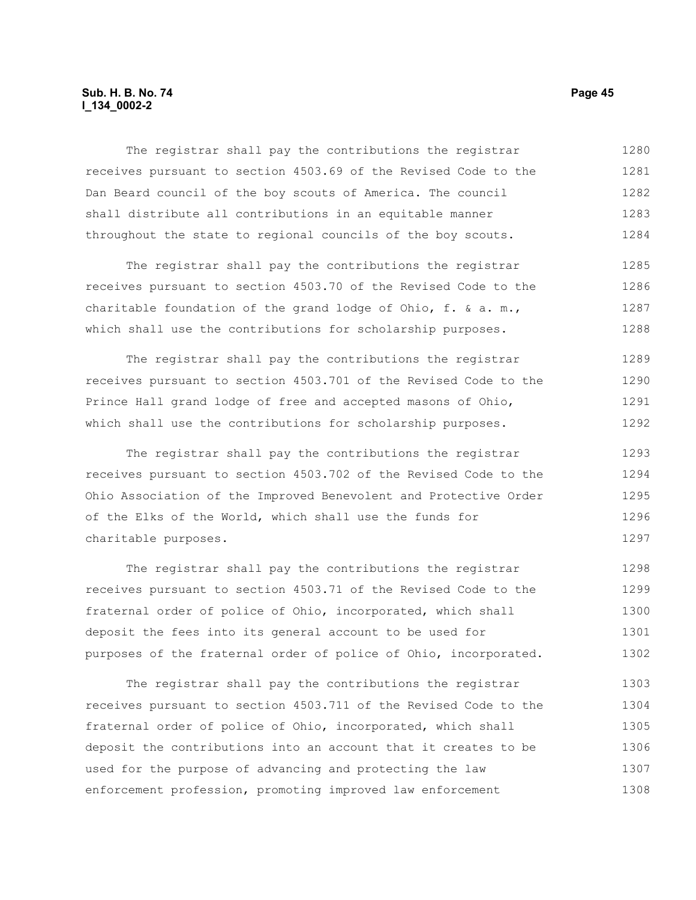# **Sub. H. B. No. 74 Page 45 l\_134\_0002-2**

The registrar shall pay the contributions the registrar receives pursuant to section 4503.69 of the Revised Code to the Dan Beard council of the boy scouts of America. The council shall distribute all contributions in an equitable manner throughout the state to regional councils of the boy scouts. 1280 1281 1282 1283 1284

The registrar shall pay the contributions the registrar receives pursuant to section 4503.70 of the Revised Code to the charitable foundation of the grand lodge of Ohio,  $f. \&a. m.$ which shall use the contributions for scholarship purposes. 1285 1286 1287 1288

The registrar shall pay the contributions the registrar receives pursuant to section 4503.701 of the Revised Code to the Prince Hall grand lodge of free and accepted masons of Ohio, which shall use the contributions for scholarship purposes. 1289 1290 1291 1292

The registrar shall pay the contributions the registrar receives pursuant to section 4503.702 of the Revised Code to the Ohio Association of the Improved Benevolent and Protective Order of the Elks of the World, which shall use the funds for charitable purposes. 1293 1294 1295 1296 1297

The registrar shall pay the contributions the registrar receives pursuant to section 4503.71 of the Revised Code to the fraternal order of police of Ohio, incorporated, which shall deposit the fees into its general account to be used for purposes of the fraternal order of police of Ohio, incorporated. 1298 1299 1300 1301 1302

The registrar shall pay the contributions the registrar receives pursuant to section 4503.711 of the Revised Code to the fraternal order of police of Ohio, incorporated, which shall deposit the contributions into an account that it creates to be used for the purpose of advancing and protecting the law enforcement profession, promoting improved law enforcement 1303 1304 1305 1306 1307 1308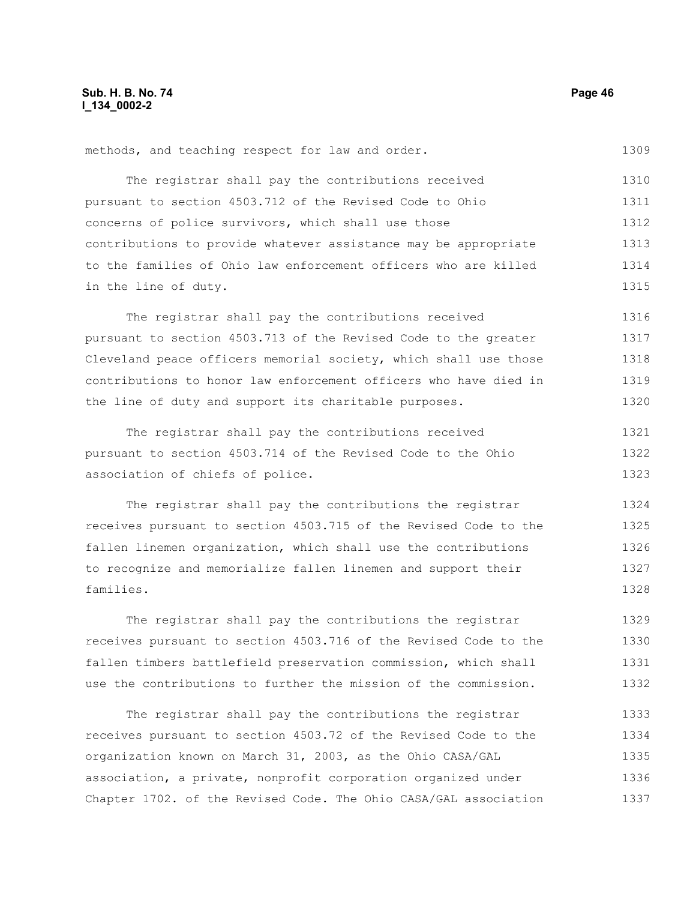methods, and teaching respect for law and order.

The registrar shall pay the contributions received pursuant to section 4503.712 of the Revised Code to Ohio concerns of police survivors, which shall use those contributions to provide whatever assistance may be appropriate to the families of Ohio law enforcement officers who are killed in the line of duty. 1310 1311 1312 1313 1314 1315

The registrar shall pay the contributions received pursuant to section 4503.713 of the Revised Code to the greater Cleveland peace officers memorial society, which shall use those contributions to honor law enforcement officers who have died in the line of duty and support its charitable purposes. 1316 1317 1318 1319 1320

The registrar shall pay the contributions received pursuant to section 4503.714 of the Revised Code to the Ohio association of chiefs of police. 1321 1322 1323

The registrar shall pay the contributions the registrar receives pursuant to section 4503.715 of the Revised Code to the fallen linemen organization, which shall use the contributions to recognize and memorialize fallen linemen and support their families. 1324 1325 1326 1327 1328

The registrar shall pay the contributions the registrar receives pursuant to section 4503.716 of the Revised Code to the fallen timbers battlefield preservation commission, which shall use the contributions to further the mission of the commission. 1329 1330 1331 1332

The registrar shall pay the contributions the registrar receives pursuant to section 4503.72 of the Revised Code to the organization known on March 31, 2003, as the Ohio CASA/GAL association, a private, nonprofit corporation organized under Chapter 1702. of the Revised Code. The Ohio CASA/GAL association 1333 1334 1335 1336 1337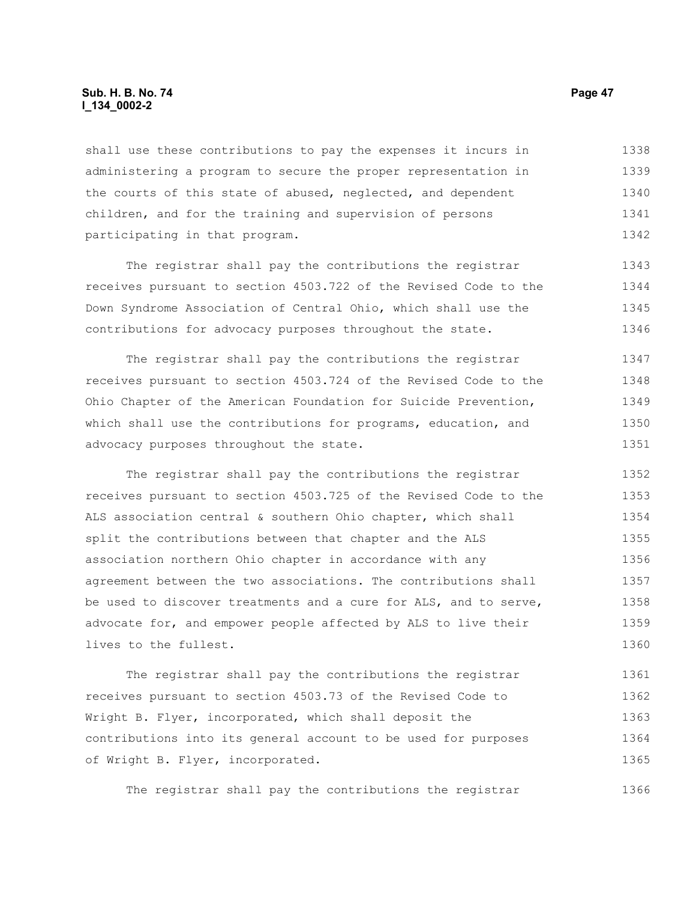## **Sub. H. B. No. 74 Page 47 l\_134\_0002-2**

shall use these contributions to pay the expenses it incurs in administering a program to secure the proper representation in the courts of this state of abused, neglected, and dependent children, and for the training and supervision of persons participating in that program. 1338 1339 1340 1341 1342

The registrar shall pay the contributions the registrar receives pursuant to section 4503.722 of the Revised Code to the Down Syndrome Association of Central Ohio, which shall use the contributions for advocacy purposes throughout the state. 1343 1344 1345 1346

The registrar shall pay the contributions the registrar receives pursuant to section 4503.724 of the Revised Code to the Ohio Chapter of the American Foundation for Suicide Prevention, which shall use the contributions for programs, education, and advocacy purposes throughout the state. 1347 1348 1349 1350 1351

The registrar shall pay the contributions the registrar receives pursuant to section 4503.725 of the Revised Code to the ALS association central & southern Ohio chapter, which shall split the contributions between that chapter and the ALS association northern Ohio chapter in accordance with any agreement between the two associations. The contributions shall be used to discover treatments and a cure for ALS, and to serve, advocate for, and empower people affected by ALS to live their lives to the fullest. 1352 1353 1354 1355 1356 1357 1358 1359 1360

The registrar shall pay the contributions the registrar receives pursuant to section 4503.73 of the Revised Code to Wright B. Flyer, incorporated, which shall deposit the contributions into its general account to be used for purposes of Wright B. Flyer, incorporated. 1361 1362 1363 1364 1365

The registrar shall pay the contributions the registrar 1366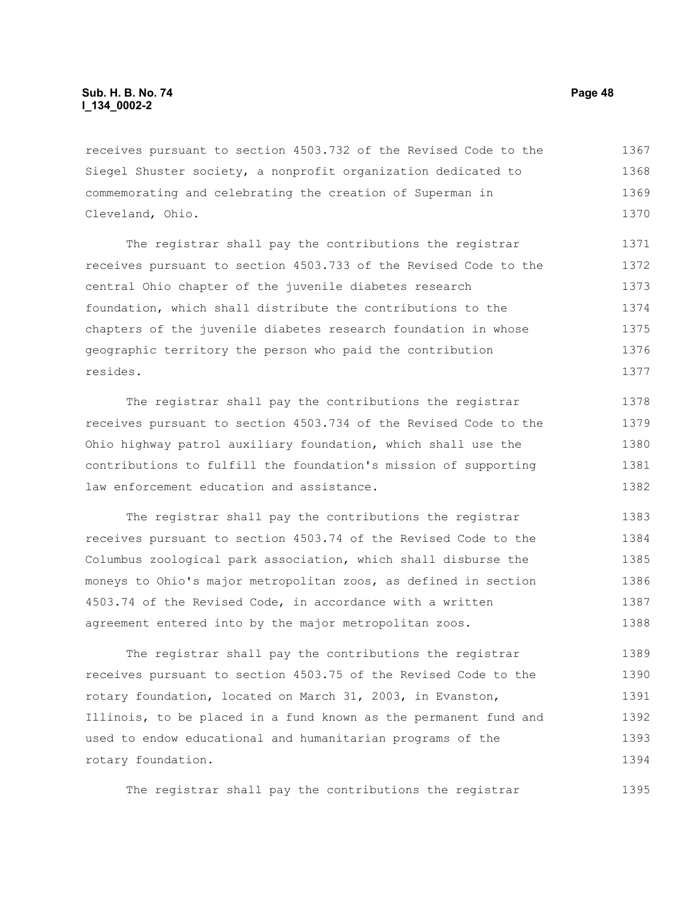## **Sub. H. B. No. 74 Page 48 l\_134\_0002-2**

receives pursuant to section 4503.732 of the Revised Code to the Siegel Shuster society, a nonprofit organization dedicated to commemorating and celebrating the creation of Superman in Cleveland, Ohio. 1367 1368 1369 1370

The registrar shall pay the contributions the registrar receives pursuant to section 4503.733 of the Revised Code to the central Ohio chapter of the juvenile diabetes research foundation, which shall distribute the contributions to the chapters of the juvenile diabetes research foundation in whose geographic territory the person who paid the contribution resides. 1371 1372 1373 1374 1375 1376 1377

The registrar shall pay the contributions the registrar receives pursuant to section 4503.734 of the Revised Code to the Ohio highway patrol auxiliary foundation, which shall use the contributions to fulfill the foundation's mission of supporting law enforcement education and assistance. 1378 1379 1380 1381 1382

The registrar shall pay the contributions the registrar receives pursuant to section 4503.74 of the Revised Code to the Columbus zoological park association, which shall disburse the moneys to Ohio's major metropolitan zoos, as defined in section 4503.74 of the Revised Code, in accordance with a written agreement entered into by the major metropolitan zoos. 1383 1384 1385 1386 1387 1388

The registrar shall pay the contributions the registrar receives pursuant to section 4503.75 of the Revised Code to the rotary foundation, located on March 31, 2003, in Evanston, Illinois, to be placed in a fund known as the permanent fund and used to endow educational and humanitarian programs of the rotary foundation. 1389 1390 1391 1392 1393 1394

The registrar shall pay the contributions the registrar 1395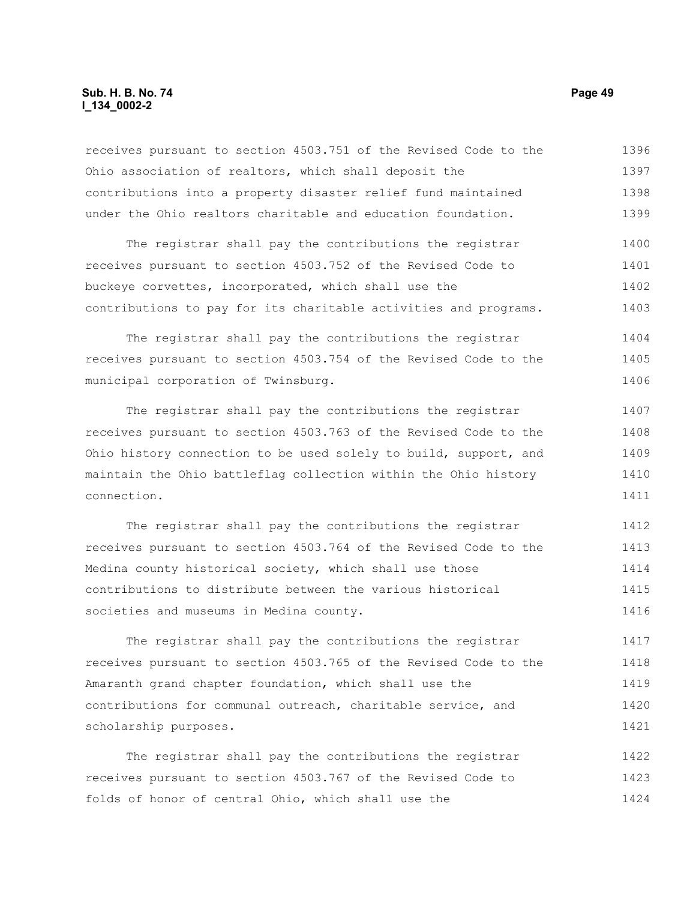## **Sub. H. B. No. 74 Page 49 l\_134\_0002-2**

receives pursuant to section 4503.751 of the Revised Code to the Ohio association of realtors, which shall deposit the contributions into a property disaster relief fund maintained under the Ohio realtors charitable and education foundation. 1396 1397 1398 1399

The registrar shall pay the contributions the registrar receives pursuant to section 4503.752 of the Revised Code to buckeye corvettes, incorporated, which shall use the contributions to pay for its charitable activities and programs. 1400 1401 1402 1403

The registrar shall pay the contributions the registrar receives pursuant to section 4503.754 of the Revised Code to the municipal corporation of Twinsburg. 1404 1405 1406

The registrar shall pay the contributions the registrar receives pursuant to section 4503.763 of the Revised Code to the Ohio history connection to be used solely to build, support, and maintain the Ohio battleflag collection within the Ohio history connection. 1407 1408 1409 1410 1411

The registrar shall pay the contributions the registrar receives pursuant to section 4503.764 of the Revised Code to the Medina county historical society, which shall use those contributions to distribute between the various historical societies and museums in Medina county. 1412 1413 1414 1415 1416

The registrar shall pay the contributions the registrar receives pursuant to section 4503.765 of the Revised Code to the Amaranth grand chapter foundation, which shall use the contributions for communal outreach, charitable service, and scholarship purposes. 1417 1418 1419 1420 1421

The registrar shall pay the contributions the registrar receives pursuant to section 4503.767 of the Revised Code to folds of honor of central Ohio, which shall use the 1422 1423 1424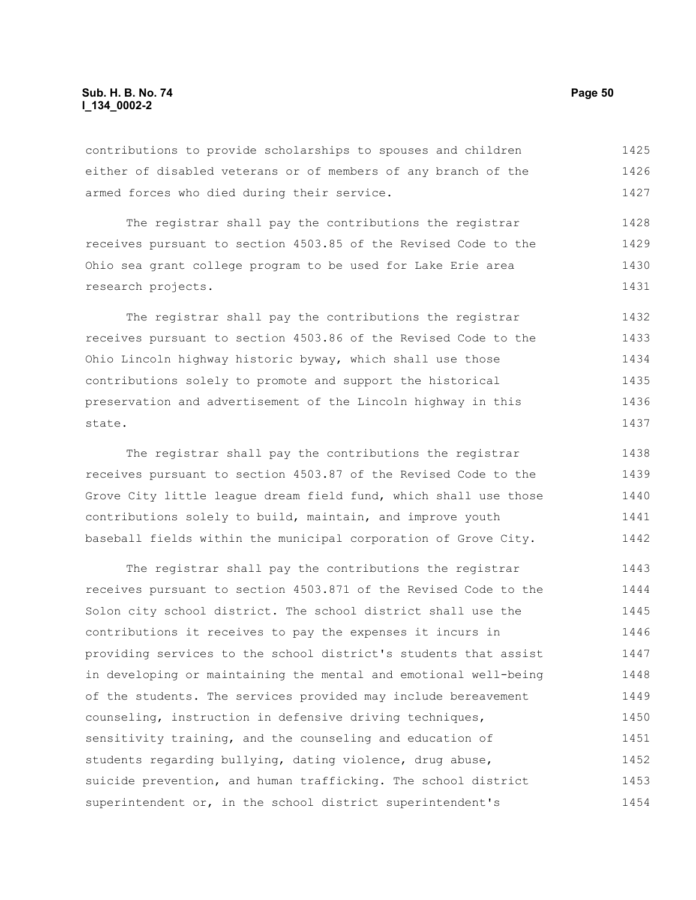contributions to provide scholarships to spouses and children either of disabled veterans or of members of any branch of the armed forces who died during their service. 1425 1426 1427

The registrar shall pay the contributions the registrar receives pursuant to section 4503.85 of the Revised Code to the Ohio sea grant college program to be used for Lake Erie area research projects. 1428 1429 1430 1431

The registrar shall pay the contributions the registrar receives pursuant to section 4503.86 of the Revised Code to the Ohio Lincoln highway historic byway, which shall use those contributions solely to promote and support the historical preservation and advertisement of the Lincoln highway in this state. 1432 1433 1434 1435 1436 1437

The registrar shall pay the contributions the registrar receives pursuant to section 4503.87 of the Revised Code to the Grove City little league dream field fund, which shall use those contributions solely to build, maintain, and improve youth baseball fields within the municipal corporation of Grove City. 1438 1439 1440 1441 1442

The registrar shall pay the contributions the registrar receives pursuant to section 4503.871 of the Revised Code to the Solon city school district. The school district shall use the contributions it receives to pay the expenses it incurs in providing services to the school district's students that assist in developing or maintaining the mental and emotional well-being of the students. The services provided may include bereavement counseling, instruction in defensive driving techniques, sensitivity training, and the counseling and education of students regarding bullying, dating violence, drug abuse, suicide prevention, and human trafficking. The school district superintendent or, in the school district superintendent's 1443 1444 1445 1446 1447 1448 1449 1450 1451 1452 1453 1454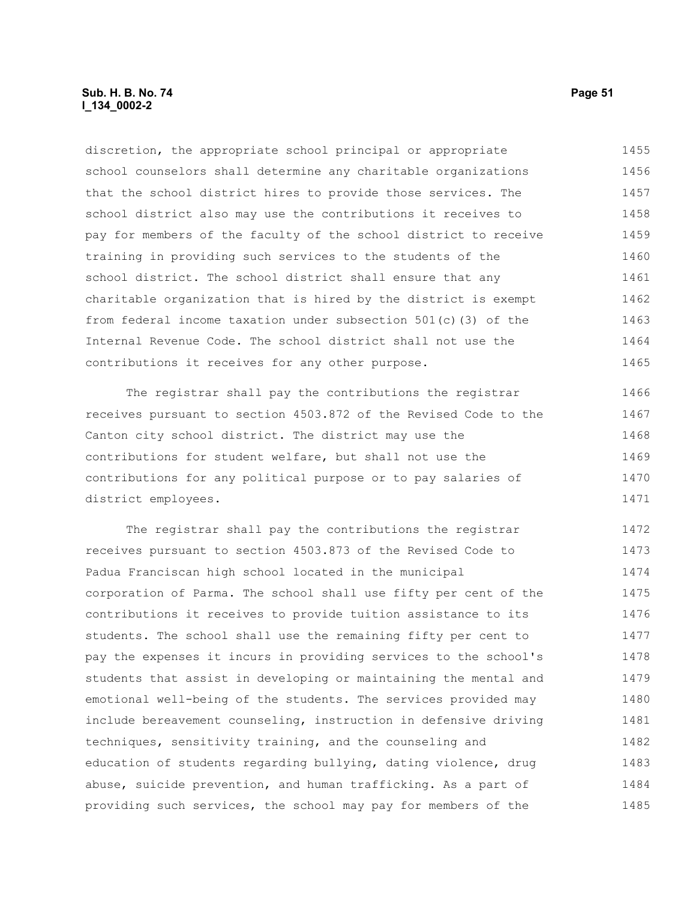# **Sub. H. B. No. 74 Page 51 l\_134\_0002-2**

discretion, the appropriate school principal or appropriate school counselors shall determine any charitable organizations that the school district hires to provide those services. The school district also may use the contributions it receives to pay for members of the faculty of the school district to receive training in providing such services to the students of the school district. The school district shall ensure that any charitable organization that is hired by the district is exempt from federal income taxation under subsection 501(c)(3) of the Internal Revenue Code. The school district shall not use the contributions it receives for any other purpose. 1455 1456 1457 1458 1459 1460 1461 1462 1463 1464 1465

The registrar shall pay the contributions the registrar receives pursuant to section 4503.872 of the Revised Code to the Canton city school district. The district may use the contributions for student welfare, but shall not use the contributions for any political purpose or to pay salaries of district employees. 1466 1467 1468 1469 1470 1471

The registrar shall pay the contributions the registrar receives pursuant to section 4503.873 of the Revised Code to Padua Franciscan high school located in the municipal corporation of Parma. The school shall use fifty per cent of the contributions it receives to provide tuition assistance to its students. The school shall use the remaining fifty per cent to pay the expenses it incurs in providing services to the school's students that assist in developing or maintaining the mental and emotional well-being of the students. The services provided may include bereavement counseling, instruction in defensive driving techniques, sensitivity training, and the counseling and education of students regarding bullying, dating violence, drug abuse, suicide prevention, and human trafficking. As a part of providing such services, the school may pay for members of the 1472 1473 1474 1475 1476 1477 1478 1479 1480 1481 1482 1483 1484 1485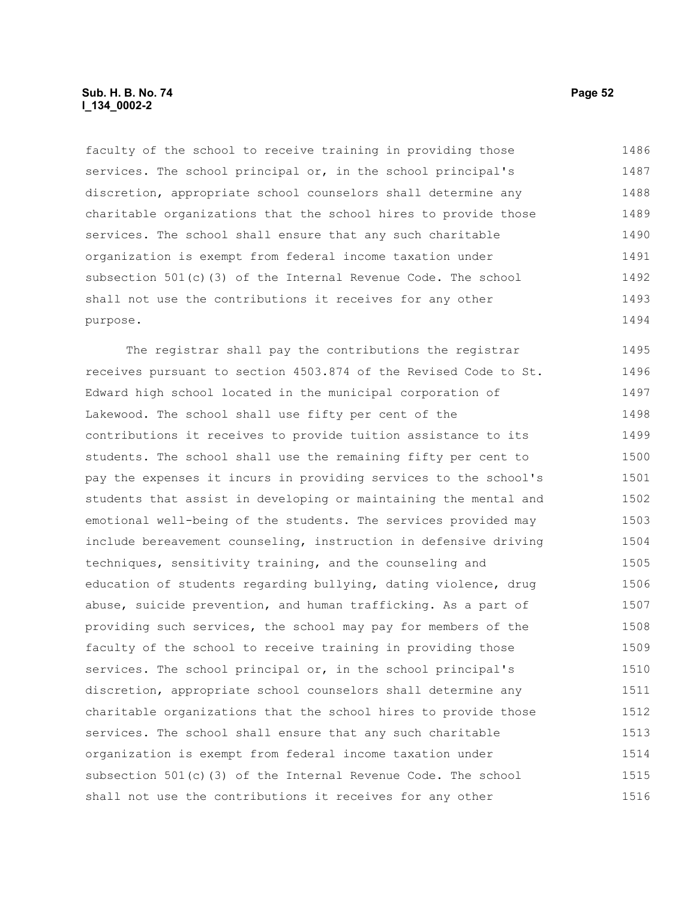# **Sub. H. B. No. 74 Page 52 l\_134\_0002-2**

faculty of the school to receive training in providing those services. The school principal or, in the school principal's discretion, appropriate school counselors shall determine any charitable organizations that the school hires to provide those services. The school shall ensure that any such charitable organization is exempt from federal income taxation under subsection  $501(c)(3)$  of the Internal Revenue Code. The school shall not use the contributions it receives for any other purpose. 1486 1487 1488 1489 1490 1491 1492 1493 1494

The registrar shall pay the contributions the registrar receives pursuant to section 4503.874 of the Revised Code to St. Edward high school located in the municipal corporation of Lakewood. The school shall use fifty per cent of the contributions it receives to provide tuition assistance to its students. The school shall use the remaining fifty per cent to pay the expenses it incurs in providing services to the school's students that assist in developing or maintaining the mental and emotional well-being of the students. The services provided may include bereavement counseling, instruction in defensive driving techniques, sensitivity training, and the counseling and education of students regarding bullying, dating violence, drug abuse, suicide prevention, and human trafficking. As a part of providing such services, the school may pay for members of the faculty of the school to receive training in providing those services. The school principal or, in the school principal's discretion, appropriate school counselors shall determine any charitable organizations that the school hires to provide those services. The school shall ensure that any such charitable organization is exempt from federal income taxation under subsection 501(c)(3) of the Internal Revenue Code. The school shall not use the contributions it receives for any other 1495 1496 1497 1498 1499 1500 1501 1502 1503 1504 1505 1506 1507 1508 1509 1510 1511 1512 1513 1514 1515 1516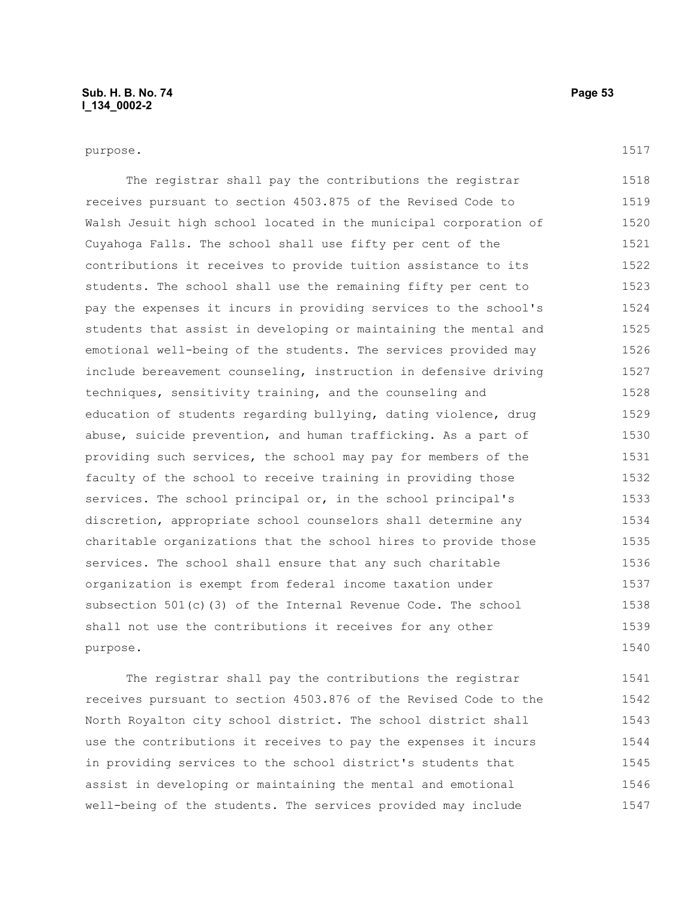purpose.

The registrar shall pay the contributions the registrar receives pursuant to section 4503.875 of the Revised Code to Walsh Jesuit high school located in the municipal corporation of Cuyahoga Falls. The school shall use fifty per cent of the contributions it receives to provide tuition assistance to its students. The school shall use the remaining fifty per cent to pay the expenses it incurs in providing services to the school's students that assist in developing or maintaining the mental and emotional well-being of the students. The services provided may include bereavement counseling, instruction in defensive driving techniques, sensitivity training, and the counseling and education of students regarding bullying, dating violence, drug abuse, suicide prevention, and human trafficking. As a part of providing such services, the school may pay for members of the faculty of the school to receive training in providing those services. The school principal or, in the school principal's discretion, appropriate school counselors shall determine any charitable organizations that the school hires to provide those services. The school shall ensure that any such charitable organization is exempt from federal income taxation under subsection 501(c)(3) of the Internal Revenue Code. The school shall not use the contributions it receives for any other purpose. 1518 1519 1520 1521 1522 1523 1524 1525 1526 1527 1528 1529 1530 1531 1532 1533 1534 1535 1536 1537 1538 1539 1540

The registrar shall pay the contributions the registrar receives pursuant to section 4503.876 of the Revised Code to the North Royalton city school district. The school district shall use the contributions it receives to pay the expenses it incurs in providing services to the school district's students that assist in developing or maintaining the mental and emotional well-being of the students. The services provided may include 1541 1542 1543 1544 1545 1546 1547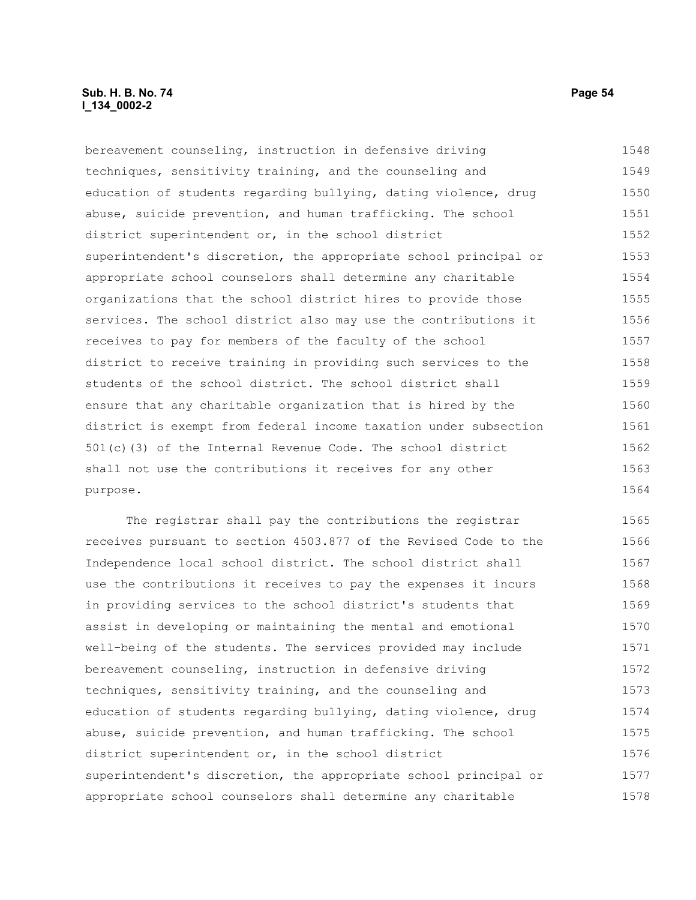bereavement counseling, instruction in defensive driving techniques, sensitivity training, and the counseling and education of students regarding bullying, dating violence, drug abuse, suicide prevention, and human trafficking. The school district superintendent or, in the school district superintendent's discretion, the appropriate school principal or appropriate school counselors shall determine any charitable organizations that the school district hires to provide those services. The school district also may use the contributions it receives to pay for members of the faculty of the school district to receive training in providing such services to the students of the school district. The school district shall ensure that any charitable organization that is hired by the district is exempt from federal income taxation under subsection 501(c)(3) of the Internal Revenue Code. The school district shall not use the contributions it receives for any other purpose. 1548 1549 1550 1551 1552 1553 1554 1555 1556 1557 1558 1559 1560 1561 1562 1563 1564

The registrar shall pay the contributions the registrar receives pursuant to section 4503.877 of the Revised Code to the Independence local school district. The school district shall use the contributions it receives to pay the expenses it incurs in providing services to the school district's students that assist in developing or maintaining the mental and emotional well-being of the students. The services provided may include bereavement counseling, instruction in defensive driving techniques, sensitivity training, and the counseling and education of students regarding bullying, dating violence, drug abuse, suicide prevention, and human trafficking. The school district superintendent or, in the school district superintendent's discretion, the appropriate school principal or appropriate school counselors shall determine any charitable 1565 1566 1567 1568 1569 1570 1571 1572 1573 1574 1575 1576 1577 1578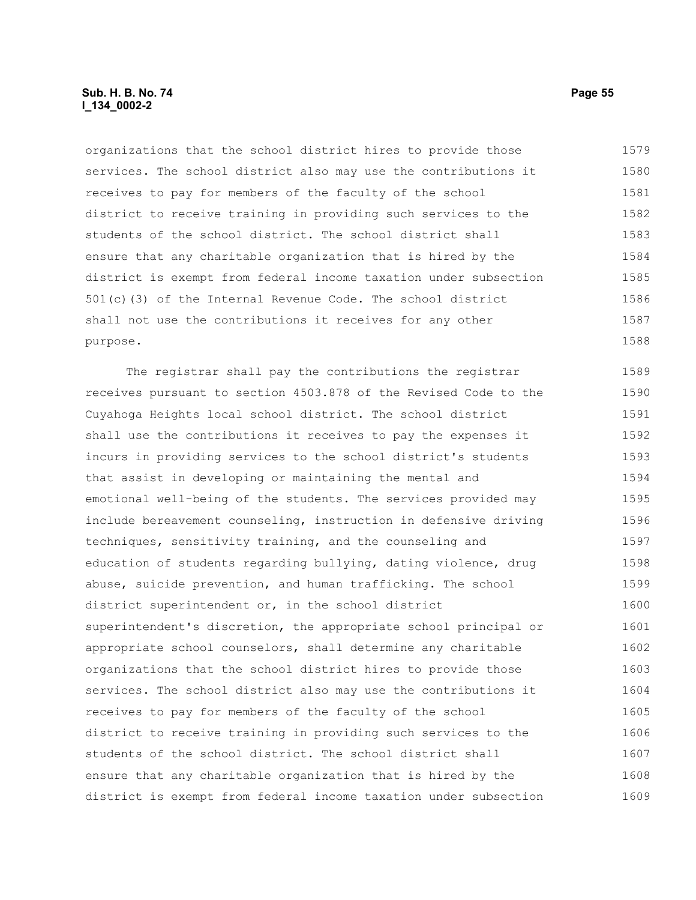# **Sub. H. B. No. 74 Page 55 l\_134\_0002-2**

organizations that the school district hires to provide those services. The school district also may use the contributions it receives to pay for members of the faculty of the school district to receive training in providing such services to the students of the school district. The school district shall ensure that any charitable organization that is hired by the district is exempt from federal income taxation under subsection 501(c)(3) of the Internal Revenue Code. The school district shall not use the contributions it receives for any other purpose. 1579 1580 1581 1582 1583 1584 1585 1586 1587 1588

The registrar shall pay the contributions the registrar receives pursuant to section 4503.878 of the Revised Code to the Cuyahoga Heights local school district. The school district shall use the contributions it receives to pay the expenses it incurs in providing services to the school district's students that assist in developing or maintaining the mental and emotional well-being of the students. The services provided may include bereavement counseling, instruction in defensive driving techniques, sensitivity training, and the counseling and education of students regarding bullying, dating violence, drug abuse, suicide prevention, and human trafficking. The school district superintendent or, in the school district superintendent's discretion, the appropriate school principal or appropriate school counselors, shall determine any charitable organizations that the school district hires to provide those services. The school district also may use the contributions it receives to pay for members of the faculty of the school district to receive training in providing such services to the students of the school district. The school district shall ensure that any charitable organization that is hired by the district is exempt from federal income taxation under subsection 1589 1590 1591 1592 1593 1594 1595 1596 1597 1598 1599 1600 1601 1602 1603 1604 1605 1606 1607 1608 1609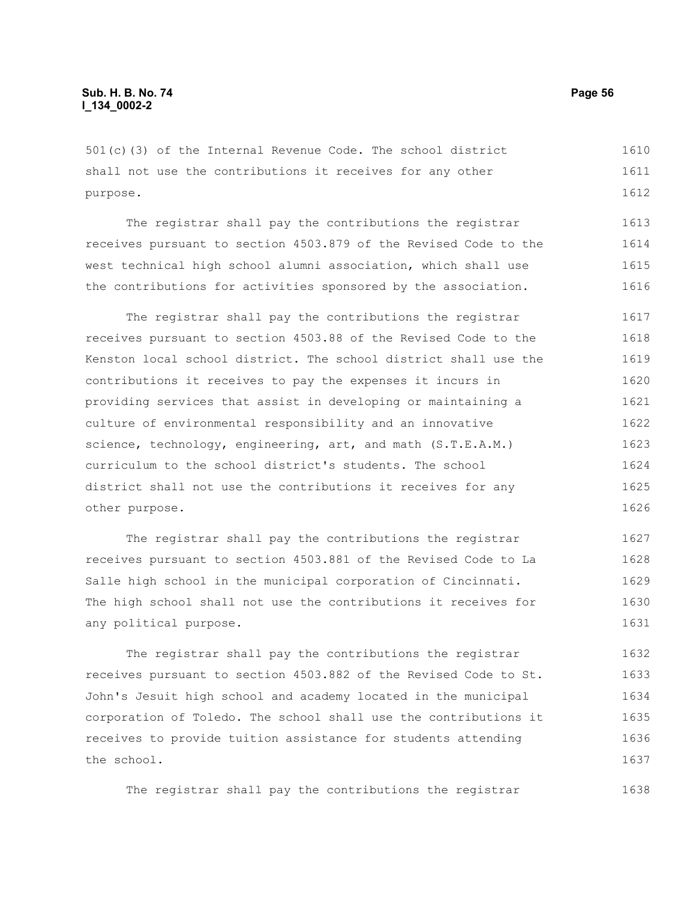501(c)(3) of the Internal Revenue Code. The school district shall not use the contributions it receives for any other purpose. 1610 1611 1612

The registrar shall pay the contributions the registrar receives pursuant to section 4503.879 of the Revised Code to the west technical high school alumni association, which shall use the contributions for activities sponsored by the association. 1613 1614 1615 1616

The registrar shall pay the contributions the registrar receives pursuant to section 4503.88 of the Revised Code to the Kenston local school district. The school district shall use the contributions it receives to pay the expenses it incurs in providing services that assist in developing or maintaining a culture of environmental responsibility and an innovative science, technology, engineering, art, and math (S.T.E.A.M.) curriculum to the school district's students. The school district shall not use the contributions it receives for any other purpose. 1617 1618 1619 1620 1621 1622 1623 1624 1625 1626

The registrar shall pay the contributions the registrar receives pursuant to section 4503.881 of the Revised Code to La Salle high school in the municipal corporation of Cincinnati. The high school shall not use the contributions it receives for any political purpose. 1627 1628 1629 1630 1631

The registrar shall pay the contributions the registrar receives pursuant to section 4503.882 of the Revised Code to St. John's Jesuit high school and academy located in the municipal corporation of Toledo. The school shall use the contributions it receives to provide tuition assistance for students attending the school. 1632 1633 1634 1635 1636 1637

The registrar shall pay the contributions the registrar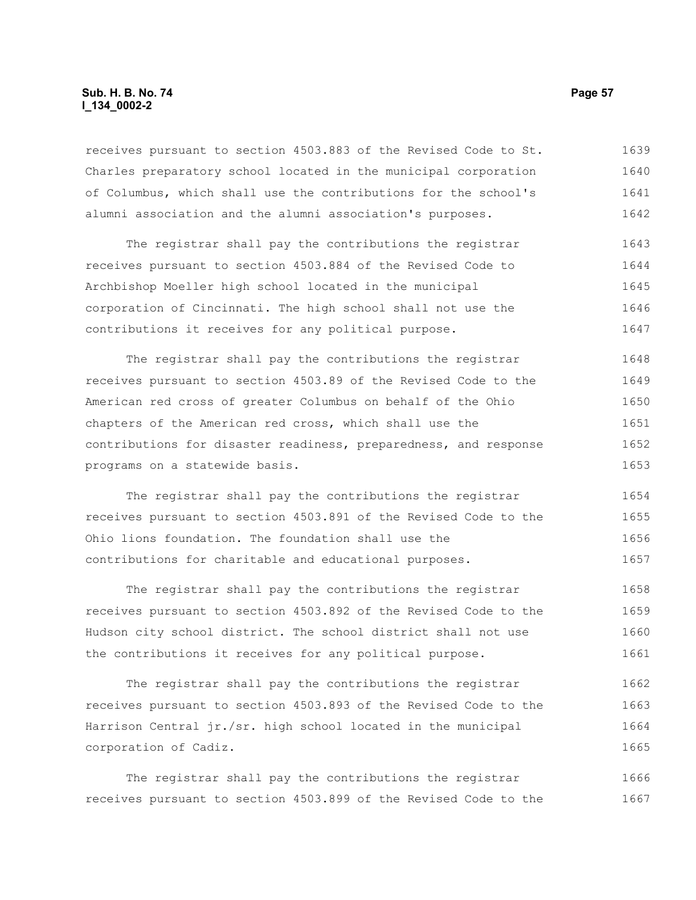# **Sub. H. B. No. 74 Page 57 l\_134\_0002-2**

receives pursuant to section 4503.883 of the Revised Code to St. Charles preparatory school located in the municipal corporation of Columbus, which shall use the contributions for the school's alumni association and the alumni association's purposes. 1639 1640 1641 1642

The registrar shall pay the contributions the registrar receives pursuant to section 4503.884 of the Revised Code to Archbishop Moeller high school located in the municipal corporation of Cincinnati. The high school shall not use the contributions it receives for any political purpose. 1643 1644 1645 1646 1647

The registrar shall pay the contributions the registrar receives pursuant to section 4503.89 of the Revised Code to the American red cross of greater Columbus on behalf of the Ohio chapters of the American red cross, which shall use the contributions for disaster readiness, preparedness, and response programs on a statewide basis. 1648 1649 1650 1651 1652 1653

The registrar shall pay the contributions the registrar receives pursuant to section 4503.891 of the Revised Code to the Ohio lions foundation. The foundation shall use the contributions for charitable and educational purposes. 1654 1655 1656 1657

The registrar shall pay the contributions the registrar receives pursuant to section 4503.892 of the Revised Code to the Hudson city school district. The school district shall not use the contributions it receives for any political purpose. 1658 1659 1660 1661

The registrar shall pay the contributions the registrar receives pursuant to section 4503.893 of the Revised Code to the Harrison Central jr./sr. high school located in the municipal corporation of Cadiz. 1662 1663 1664 1665

The registrar shall pay the contributions the registrar receives pursuant to section 4503.899 of the Revised Code to the 1666 1667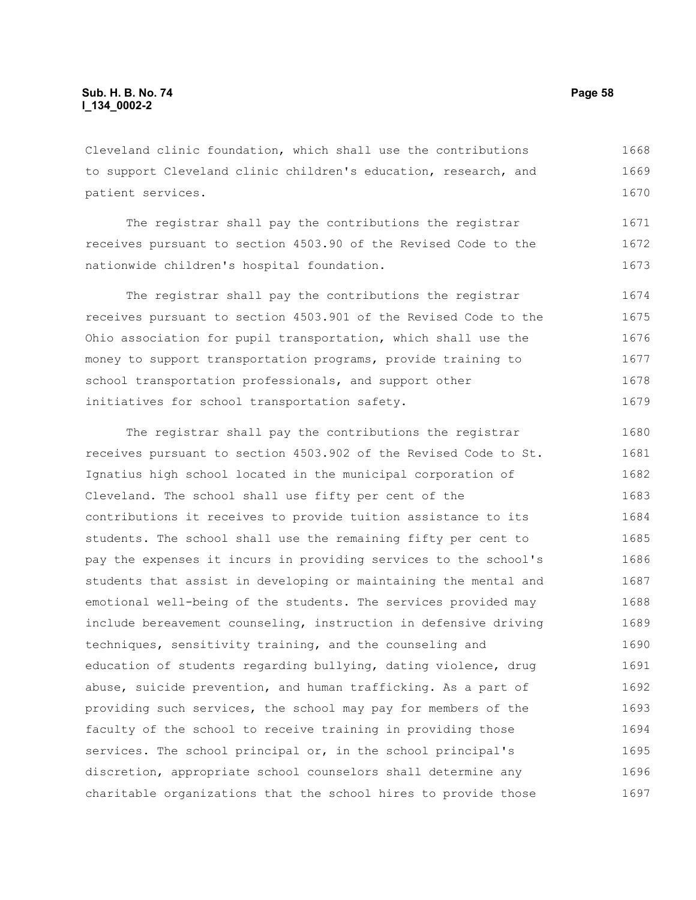Cleveland clinic foundation, which shall use the contributions to support Cleveland clinic children's education, research, and patient services. 1668 1669 1670

The registrar shall pay the contributions the registrar receives pursuant to section 4503.90 of the Revised Code to the nationwide children's hospital foundation. 1671 1672 1673

The registrar shall pay the contributions the registrar receives pursuant to section 4503.901 of the Revised Code to the Ohio association for pupil transportation, which shall use the money to support transportation programs, provide training to school transportation professionals, and support other initiatives for school transportation safety. 1674 1675 1676 1677 1678 1679

The registrar shall pay the contributions the registrar receives pursuant to section 4503.902 of the Revised Code to St. Ignatius high school located in the municipal corporation of Cleveland. The school shall use fifty per cent of the contributions it receives to provide tuition assistance to its students. The school shall use the remaining fifty per cent to pay the expenses it incurs in providing services to the school's students that assist in developing or maintaining the mental and emotional well-being of the students. The services provided may include bereavement counseling, instruction in defensive driving techniques, sensitivity training, and the counseling and education of students regarding bullying, dating violence, drug abuse, suicide prevention, and human trafficking. As a part of providing such services, the school may pay for members of the faculty of the school to receive training in providing those services. The school principal or, in the school principal's discretion, appropriate school counselors shall determine any charitable organizations that the school hires to provide those 1680 1681 1682 1683 1684 1685 1686 1687 1688 1689 1690 1691 1692 1693 1694 1695 1696 1697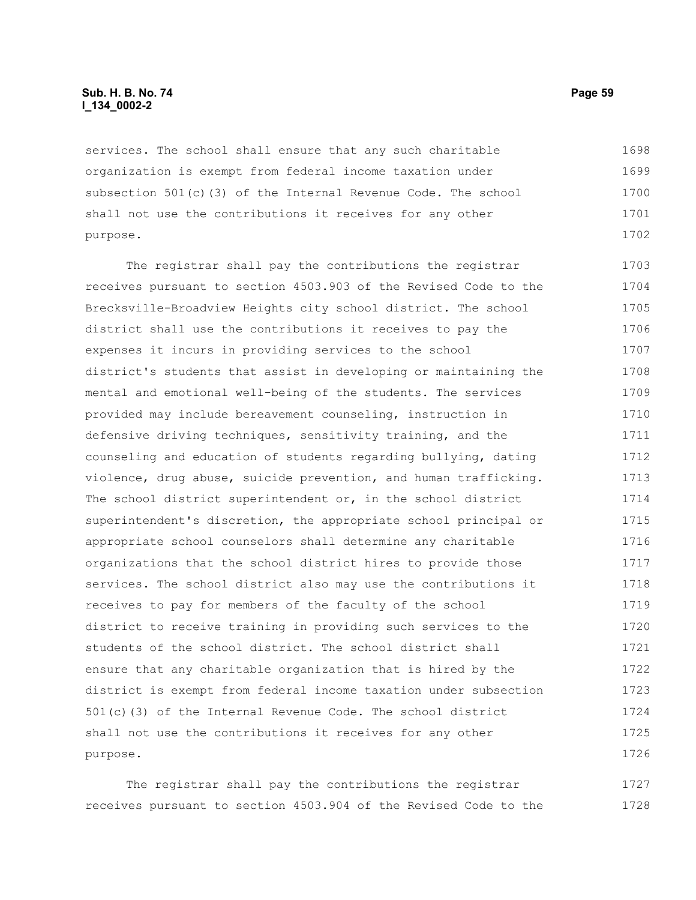## **Sub. H. B. No. 74 Page 59 l\_134\_0002-2**

services. The school shall ensure that any such charitable organization is exempt from federal income taxation under subsection 501(c)(3) of the Internal Revenue Code. The school shall not use the contributions it receives for any other purpose. 1698 1699 1700 1701 1702

The registrar shall pay the contributions the registrar receives pursuant to section 4503.903 of the Revised Code to the Brecksville-Broadview Heights city school district. The school district shall use the contributions it receives to pay the expenses it incurs in providing services to the school district's students that assist in developing or maintaining the mental and emotional well-being of the students. The services provided may include bereavement counseling, instruction in defensive driving techniques, sensitivity training, and the counseling and education of students regarding bullying, dating violence, drug abuse, suicide prevention, and human trafficking. The school district superintendent or, in the school district superintendent's discretion, the appropriate school principal or appropriate school counselors shall determine any charitable organizations that the school district hires to provide those services. The school district also may use the contributions it receives to pay for members of the faculty of the school district to receive training in providing such services to the students of the school district. The school district shall ensure that any charitable organization that is hired by the district is exempt from federal income taxation under subsection 501(c)(3) of the Internal Revenue Code. The school district shall not use the contributions it receives for any other purpose. 1703 1704 1705 1706 1707 1708 1709 1710 1711 1712 1713 1714 1715 1716 1717 1718 1719 1720 1721 1722 1723 1724 1725 1726

The registrar shall pay the contributions the registrar receives pursuant to section 4503.904 of the Revised Code to the 1727 1728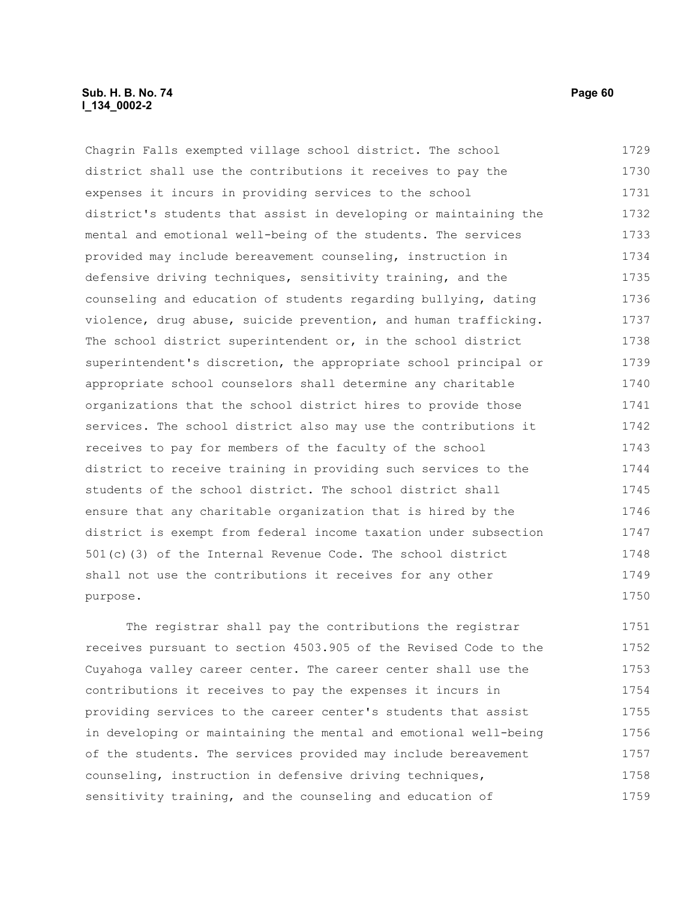## **Sub. H. B. No. 74 Page 60 l\_134\_0002-2**

Chagrin Falls exempted village school district. The school district shall use the contributions it receives to pay the expenses it incurs in providing services to the school district's students that assist in developing or maintaining the mental and emotional well-being of the students. The services provided may include bereavement counseling, instruction in defensive driving techniques, sensitivity training, and the counseling and education of students regarding bullying, dating violence, drug abuse, suicide prevention, and human trafficking. The school district superintendent or, in the school district superintendent's discretion, the appropriate school principal or appropriate school counselors shall determine any charitable organizations that the school district hires to provide those services. The school district also may use the contributions it receives to pay for members of the faculty of the school district to receive training in providing such services to the students of the school district. The school district shall ensure that any charitable organization that is hired by the district is exempt from federal income taxation under subsection 501(c)(3) of the Internal Revenue Code. The school district shall not use the contributions it receives for any other purpose. 1729 1730 1731 1732 1733 1734 1735 1736 1737 1738 1739 1740 1741 1742 1743 1744 1745 1746 1747 1748 1749 1750

The registrar shall pay the contributions the registrar receives pursuant to section 4503.905 of the Revised Code to the Cuyahoga valley career center. The career center shall use the contributions it receives to pay the expenses it incurs in providing services to the career center's students that assist in developing or maintaining the mental and emotional well-being of the students. The services provided may include bereavement counseling, instruction in defensive driving techniques, sensitivity training, and the counseling and education of 1751 1752 1753 1754 1755 1756 1757 1758 1759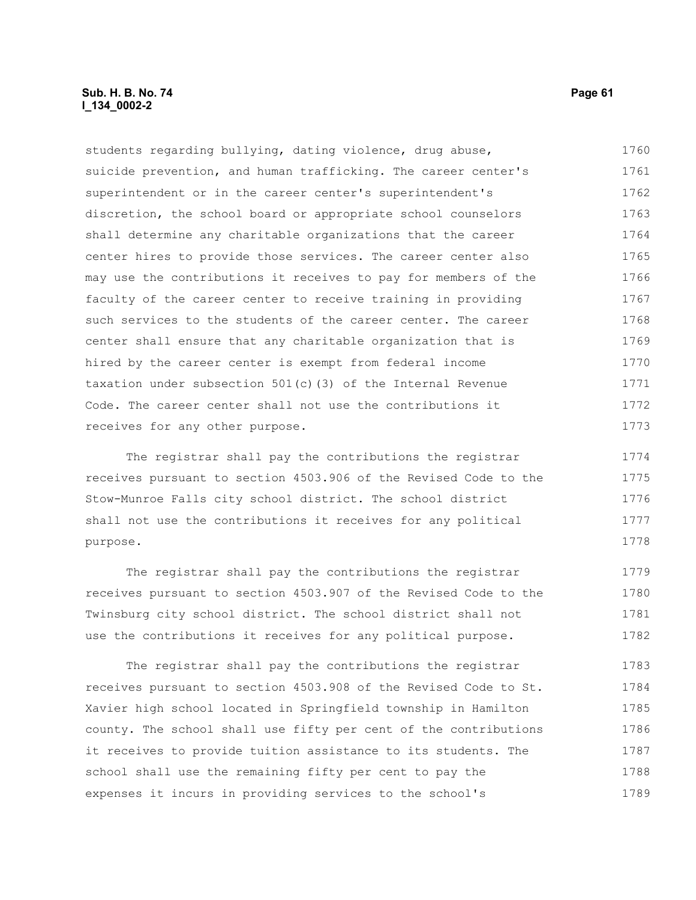# **Sub. H. B. No. 74 Page 61 l\_134\_0002-2**

students regarding bullying, dating violence, drug abuse, suicide prevention, and human trafficking. The career center's superintendent or in the career center's superintendent's discretion, the school board or appropriate school counselors shall determine any charitable organizations that the career center hires to provide those services. The career center also may use the contributions it receives to pay for members of the faculty of the career center to receive training in providing such services to the students of the career center. The career center shall ensure that any charitable organization that is hired by the career center is exempt from federal income taxation under subsection 501(c)(3) of the Internal Revenue Code. The career center shall not use the contributions it receives for any other purpose. 1760 1761 1762 1763 1764 1765 1766 1767 1768 1769 1770 1771 1772 1773

The registrar shall pay the contributions the registrar receives pursuant to section 4503.906 of the Revised Code to the Stow-Munroe Falls city school district. The school district shall not use the contributions it receives for any political purpose. 1774 1775 1776 1777 1778

The registrar shall pay the contributions the registrar receives pursuant to section 4503.907 of the Revised Code to the Twinsburg city school district. The school district shall not use the contributions it receives for any political purpose. 1779 1780 1781 1782

The registrar shall pay the contributions the registrar receives pursuant to section 4503.908 of the Revised Code to St. Xavier high school located in Springfield township in Hamilton county. The school shall use fifty per cent of the contributions it receives to provide tuition assistance to its students. The school shall use the remaining fifty per cent to pay the expenses it incurs in providing services to the school's 1783 1784 1785 1786 1787 1788 1789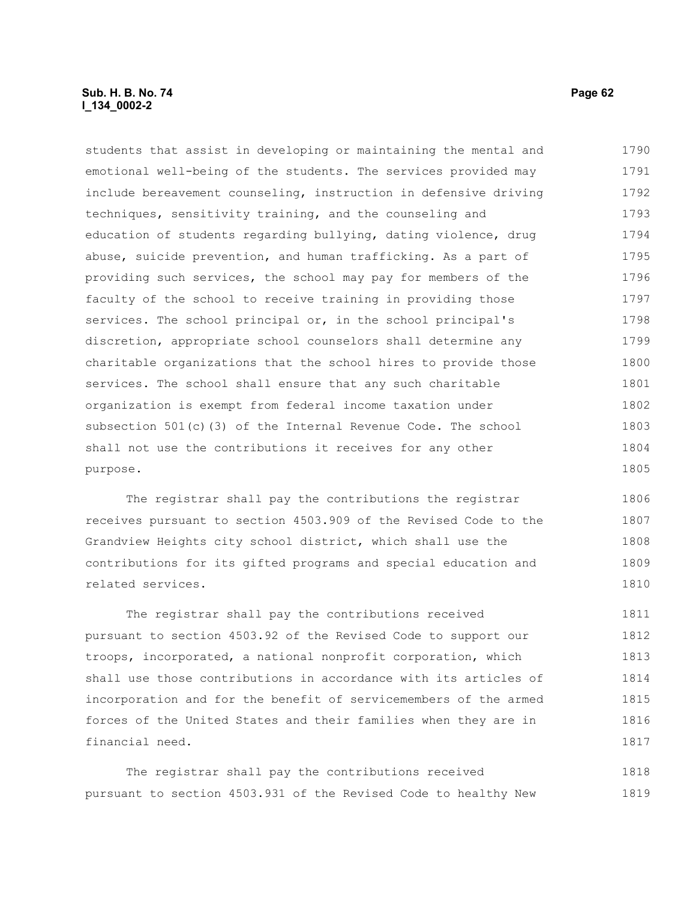## **Sub. H. B. No. 74 Page 62 l\_134\_0002-2**

students that assist in developing or maintaining the mental and emotional well-being of the students. The services provided may include bereavement counseling, instruction in defensive driving techniques, sensitivity training, and the counseling and education of students regarding bullying, dating violence, drug abuse, suicide prevention, and human trafficking. As a part of providing such services, the school may pay for members of the faculty of the school to receive training in providing those services. The school principal or, in the school principal's discretion, appropriate school counselors shall determine any charitable organizations that the school hires to provide those services. The school shall ensure that any such charitable organization is exempt from federal income taxation under subsection 501(c)(3) of the Internal Revenue Code. The school shall not use the contributions it receives for any other purpose. 1790 1791 1792 1793 1794 1795 1796 1797 1798 1799 1800 1801 1802 1803 1804 1805

The registrar shall pay the contributions the registrar receives pursuant to section 4503.909 of the Revised Code to the Grandview Heights city school district, which shall use the contributions for its gifted programs and special education and related services. 1806 1807 1808 1809 1810

The registrar shall pay the contributions received pursuant to section 4503.92 of the Revised Code to support our troops, incorporated, a national nonprofit corporation, which shall use those contributions in accordance with its articles of incorporation and for the benefit of servicemembers of the armed forces of the United States and their families when they are in financial need. 1811 1812 1813 1814 1815 1816 1817

The registrar shall pay the contributions received pursuant to section 4503.931 of the Revised Code to healthy New 1818 1819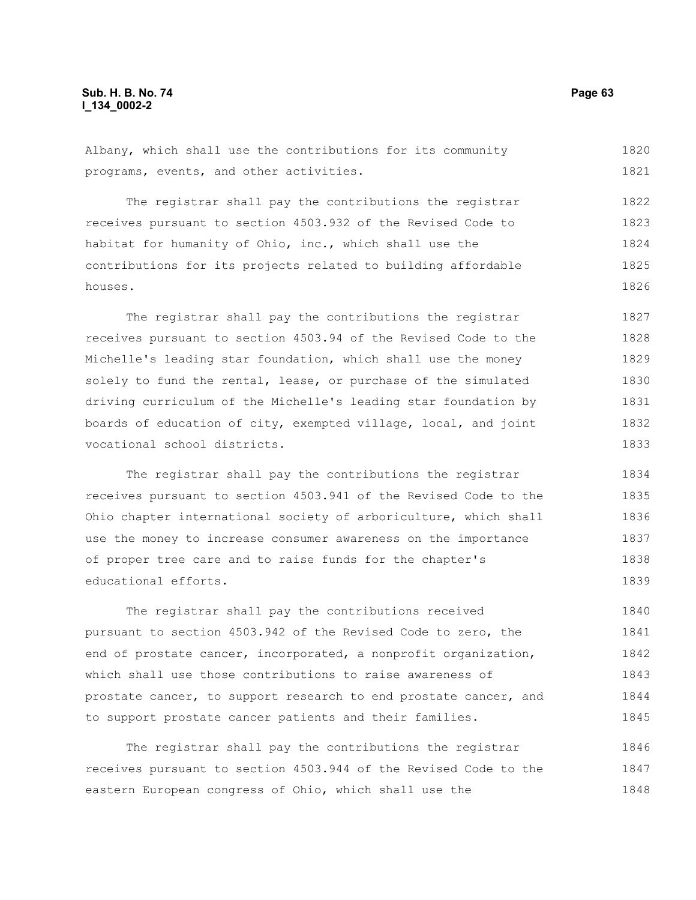# **Sub. H. B. No. 74 Page 63 l\_134\_0002-2**

Albany, which shall use the contributions for its community programs, events, and other activities. 1820 1821

The registrar shall pay the contributions the registrar receives pursuant to section 4503.932 of the Revised Code to habitat for humanity of Ohio, inc., which shall use the contributions for its projects related to building affordable houses. 1822 1823 1824 1825 1826

The registrar shall pay the contributions the registrar receives pursuant to section 4503.94 of the Revised Code to the Michelle's leading star foundation, which shall use the money solely to fund the rental, lease, or purchase of the simulated driving curriculum of the Michelle's leading star foundation by boards of education of city, exempted village, local, and joint vocational school districts. 1827 1828 1829 1830 1831 1832 1833

The registrar shall pay the contributions the registrar receives pursuant to section 4503.941 of the Revised Code to the Ohio chapter international society of arboriculture, which shall use the money to increase consumer awareness on the importance of proper tree care and to raise funds for the chapter's educational efforts. 1834 1835 1836 1837 1838 1839

The registrar shall pay the contributions received pursuant to section 4503.942 of the Revised Code to zero, the end of prostate cancer, incorporated, a nonprofit organization, which shall use those contributions to raise awareness of prostate cancer, to support research to end prostate cancer, and to support prostate cancer patients and their families. 1840 1841 1842 1843 1844 1845

The registrar shall pay the contributions the registrar receives pursuant to section 4503.944 of the Revised Code to the eastern European congress of Ohio, which shall use the 1846 1847 1848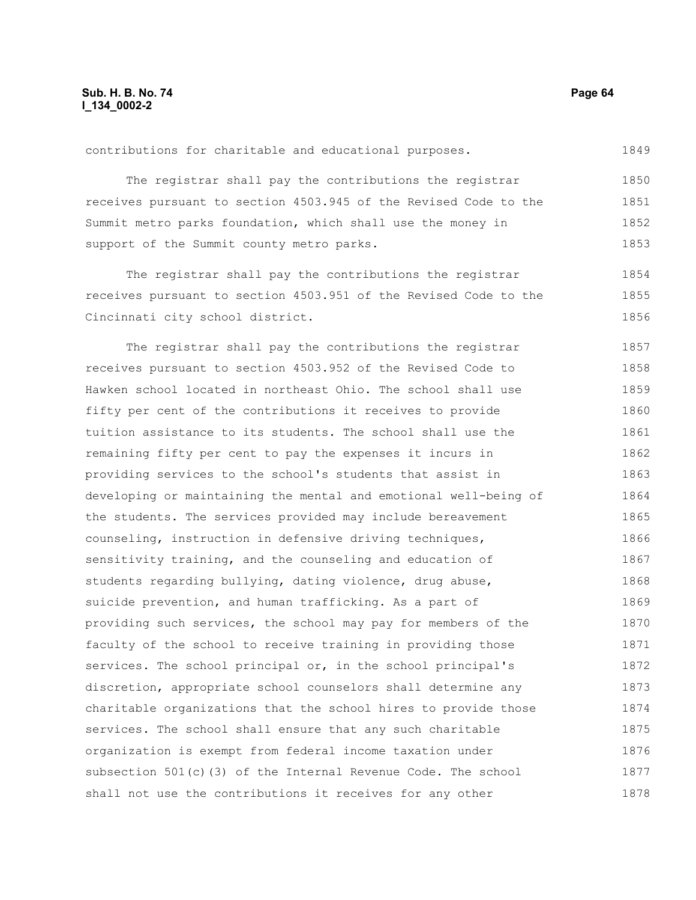# **Sub. H. B. No. 74 Page 64 l\_134\_0002-2**

contributions for charitable and educational purposes. 1849

The registrar shall pay the contributions the registrar receives pursuant to section 4503.945 of the Revised Code to the Summit metro parks foundation, which shall use the money in support of the Summit county metro parks. 1850 1851 1852 1853

The registrar shall pay the contributions the registrar receives pursuant to section 4503.951 of the Revised Code to the Cincinnati city school district. 1854 1855 1856

The registrar shall pay the contributions the registrar receives pursuant to section 4503.952 of the Revised Code to Hawken school located in northeast Ohio. The school shall use fifty per cent of the contributions it receives to provide tuition assistance to its students. The school shall use the remaining fifty per cent to pay the expenses it incurs in providing services to the school's students that assist in developing or maintaining the mental and emotional well-being of the students. The services provided may include bereavement counseling, instruction in defensive driving techniques, sensitivity training, and the counseling and education of students regarding bullying, dating violence, drug abuse, suicide prevention, and human trafficking. As a part of providing such services, the school may pay for members of the faculty of the school to receive training in providing those services. The school principal or, in the school principal's discretion, appropriate school counselors shall determine any charitable organizations that the school hires to provide those services. The school shall ensure that any such charitable organization is exempt from federal income taxation under subsection 501(c)(3) of the Internal Revenue Code. The school shall not use the contributions it receives for any other 1857 1858 1859 1860 1861 1862 1863 1864 1865 1866 1867 1868 1869 1870 1871 1872 1873 1874 1875 1876 1877 1878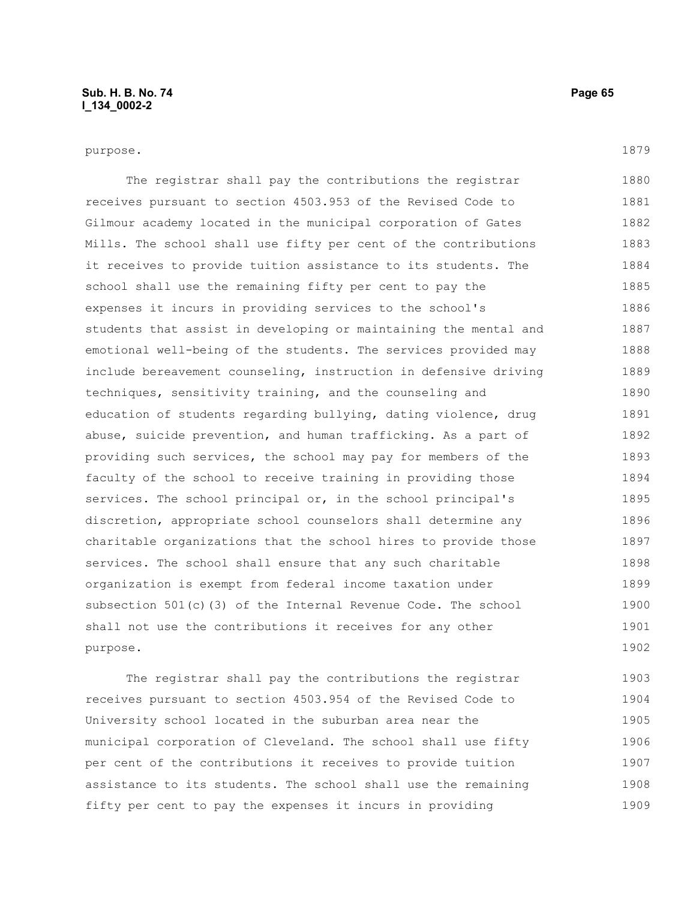purpose.

1879

The registrar shall pay the contributions the registrar receives pursuant to section 4503.953 of the Revised Code to Gilmour academy located in the municipal corporation of Gates Mills. The school shall use fifty per cent of the contributions it receives to provide tuition assistance to its students. The school shall use the remaining fifty per cent to pay the expenses it incurs in providing services to the school's students that assist in developing or maintaining the mental and emotional well-being of the students. The services provided may include bereavement counseling, instruction in defensive driving techniques, sensitivity training, and the counseling and education of students regarding bullying, dating violence, drug abuse, suicide prevention, and human trafficking. As a part of providing such services, the school may pay for members of the faculty of the school to receive training in providing those services. The school principal or, in the school principal's discretion, appropriate school counselors shall determine any charitable organizations that the school hires to provide those services. The school shall ensure that any such charitable organization is exempt from federal income taxation under subsection 501(c)(3) of the Internal Revenue Code. The school shall not use the contributions it receives for any other purpose. 1880 1881 1882 1883 1884 1885 1886 1887 1888 1889 1890 1891 1892 1893 1894 1895 1896 1897 1898 1899 1900 1901 1902

The registrar shall pay the contributions the registrar receives pursuant to section 4503.954 of the Revised Code to University school located in the suburban area near the municipal corporation of Cleveland. The school shall use fifty per cent of the contributions it receives to provide tuition assistance to its students. The school shall use the remaining fifty per cent to pay the expenses it incurs in providing 1903 1904 1905 1906 1907 1908 1909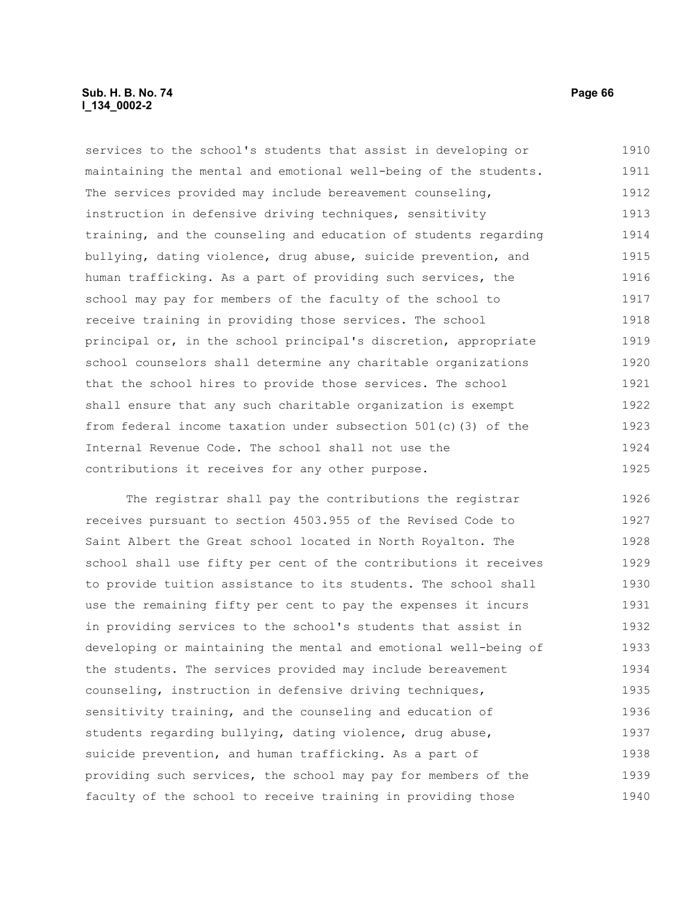## **Sub. H. B. No. 74 Page 66 l\_134\_0002-2**

services to the school's students that assist in developing or maintaining the mental and emotional well-being of the students. The services provided may include bereavement counseling, instruction in defensive driving techniques, sensitivity training, and the counseling and education of students regarding bullying, dating violence, drug abuse, suicide prevention, and human trafficking. As a part of providing such services, the school may pay for members of the faculty of the school to receive training in providing those services. The school principal or, in the school principal's discretion, appropriate school counselors shall determine any charitable organizations that the school hires to provide those services. The school shall ensure that any such charitable organization is exempt from federal income taxation under subsection 501(c)(3) of the Internal Revenue Code. The school shall not use the contributions it receives for any other purpose. 1910 1911 1912 1913 1914 1915 1916 1917 1918 1919 1920 1921 1922 1923 1924 1925

The registrar shall pay the contributions the registrar receives pursuant to section 4503.955 of the Revised Code to Saint Albert the Great school located in North Royalton. The school shall use fifty per cent of the contributions it receives to provide tuition assistance to its students. The school shall use the remaining fifty per cent to pay the expenses it incurs in providing services to the school's students that assist in developing or maintaining the mental and emotional well-being of the students. The services provided may include bereavement counseling, instruction in defensive driving techniques, sensitivity training, and the counseling and education of students regarding bullying, dating violence, drug abuse, suicide prevention, and human trafficking. As a part of providing such services, the school may pay for members of the faculty of the school to receive training in providing those 1926 1927 1928 1929 1930 1931 1932 1933 1934 1935 1936 1937 1938 1939 1940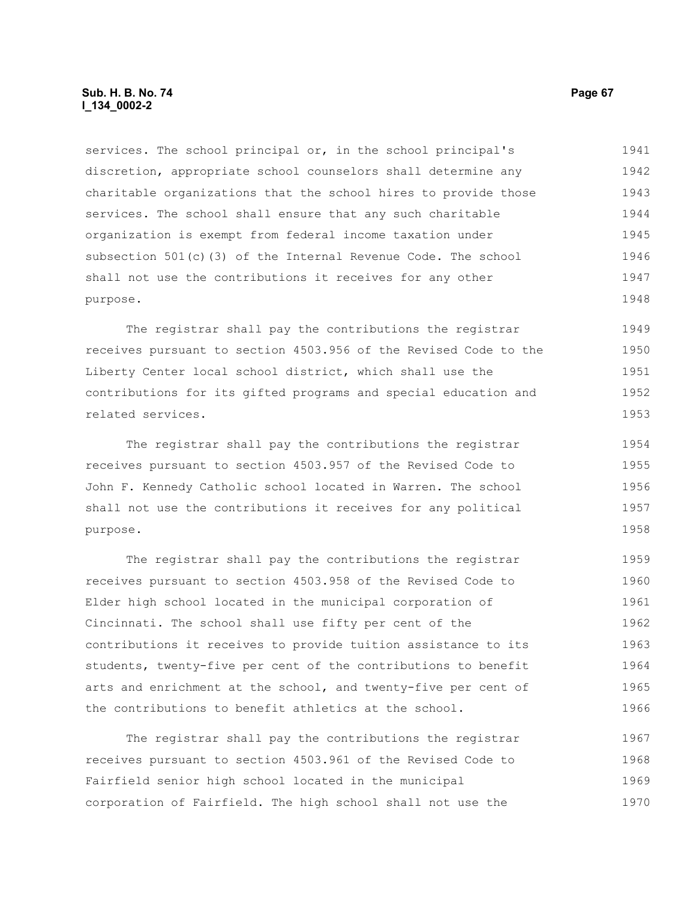# **Sub. H. B. No. 74 Page 67 l\_134\_0002-2**

services. The school principal or, in the school principal's discretion, appropriate school counselors shall determine any charitable organizations that the school hires to provide those services. The school shall ensure that any such charitable organization is exempt from federal income taxation under subsection 501(c)(3) of the Internal Revenue Code. The school shall not use the contributions it receives for any other purpose. 1941 1942 1943 1944 1945 1946 1947 1948

The registrar shall pay the contributions the registrar receives pursuant to section 4503.956 of the Revised Code to the Liberty Center local school district, which shall use the contributions for its gifted programs and special education and related services. 1949 1950 1951 1952 1953

The registrar shall pay the contributions the registrar receives pursuant to section 4503.957 of the Revised Code to John F. Kennedy Catholic school located in Warren. The school shall not use the contributions it receives for any political purpose. 1954 1955 1956 1957 1958

The registrar shall pay the contributions the registrar receives pursuant to section 4503.958 of the Revised Code to Elder high school located in the municipal corporation of Cincinnati. The school shall use fifty per cent of the contributions it receives to provide tuition assistance to its students, twenty-five per cent of the contributions to benefit arts and enrichment at the school, and twenty-five per cent of the contributions to benefit athletics at the school. 1959 1960 1961 1962 1963 1964 1965 1966

The registrar shall pay the contributions the registrar receives pursuant to section 4503.961 of the Revised Code to Fairfield senior high school located in the municipal corporation of Fairfield. The high school shall not use the 1967 1968 1969 1970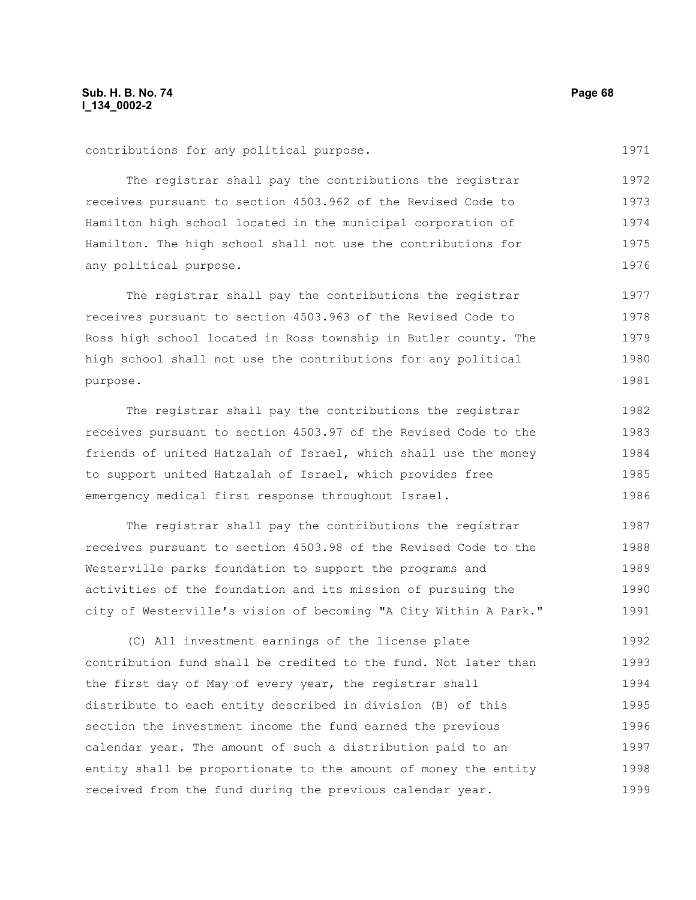contributions for any political purpose.

The registrar shall pay the contributions the registrar receives pursuant to section 4503.962 of the Revised Code to Hamilton high school located in the municipal corporation of Hamilton. The high school shall not use the contributions for any political purpose. 1972 1973 1974 1975 1976

The registrar shall pay the contributions the registrar receives pursuant to section 4503.963 of the Revised Code to Ross high school located in Ross township in Butler county. The high school shall not use the contributions for any political purpose. 1977 1978 1979 1980 1981

The registrar shall pay the contributions the registrar receives pursuant to section 4503.97 of the Revised Code to the friends of united Hatzalah of Israel, which shall use the money to support united Hatzalah of Israel, which provides free emergency medical first response throughout Israel. 1982 1983 1984 1985 1986

The registrar shall pay the contributions the registrar receives pursuant to section 4503.98 of the Revised Code to the Westerville parks foundation to support the programs and activities of the foundation and its mission of pursuing the city of Westerville's vision of becoming "A City Within A Park." 1987 1988 1989 1990 1991

(C) All investment earnings of the license plate contribution fund shall be credited to the fund. Not later than the first day of May of every year, the registrar shall distribute to each entity described in division (B) of this section the investment income the fund earned the previous calendar year. The amount of such a distribution paid to an entity shall be proportionate to the amount of money the entity received from the fund during the previous calendar year. 1992 1993 1994 1995 1996 1997 1998 1999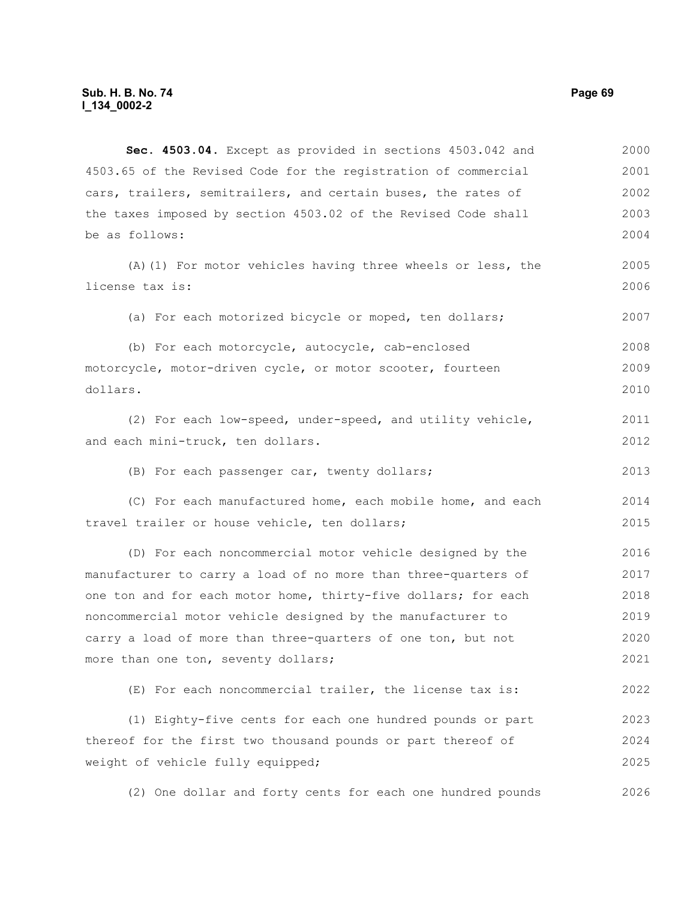**Sec. 4503.04.** Except as provided in sections 4503.042 and 4503.65 of the Revised Code for the registration of commercial cars, trailers, semitrailers, and certain buses, the rates of the taxes imposed by section 4503.02 of the Revised Code shall be as follows: (A)(1) For motor vehicles having three wheels or less, the license tax is: (a) For each motorized bicycle or moped, ten dollars; (b) For each motorcycle, autocycle, cab-enclosed motorcycle, motor-driven cycle, or motor scooter, fourteen dollars. (2) For each low-speed, under-speed, and utility vehicle, and each mini-truck, ten dollars. (B) For each passenger car, twenty dollars; (C) For each manufactured home, each mobile home, and each travel trailer or house vehicle, ten dollars; (D) For each noncommercial motor vehicle designed by the manufacturer to carry a load of no more than three-quarters of one ton and for each motor home, thirty-five dollars; for each noncommercial motor vehicle designed by the manufacturer to carry a load of more than three-quarters of one ton, but not more than one ton, seventy dollars; (E) For each noncommercial trailer, the license tax is: (1) Eighty-five cents for each one hundred pounds or part thereof for the first two thousand pounds or part thereof of weight of vehicle fully equipped; 2000 2001 2002 2003 2004 2005 2006 2007 2008 2009 2010 2011 2012 2013 2014 2015 2016 2017 2018 2019 2020 2021 2022 2023 2024 2025

(2) One dollar and forty cents for each one hundred pounds 2026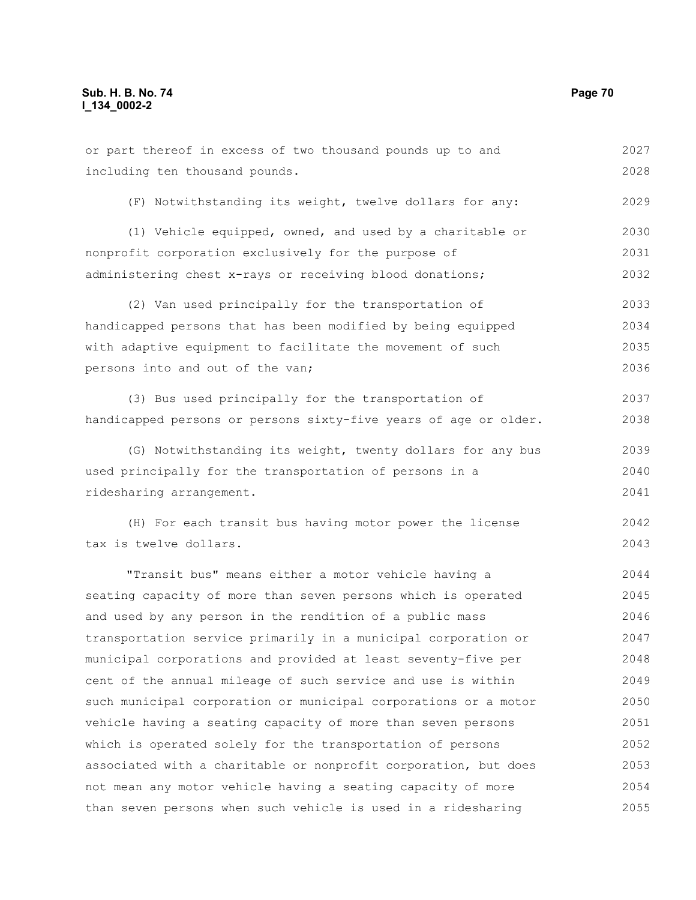| or part thereof in excess of two thousand pounds up to and       | 2027 |
|------------------------------------------------------------------|------|
| including ten thousand pounds.                                   | 2028 |
| (F) Notwithstanding its weight, twelve dollars for any:          | 2029 |
|                                                                  |      |
| (1) Vehicle equipped, owned, and used by a charitable or         | 2030 |
| nonprofit corporation exclusively for the purpose of             | 2031 |
| administering chest x-rays or receiving blood donations;         | 2032 |
| (2) Van used principally for the transportation of               | 2033 |
| handicapped persons that has been modified by being equipped     | 2034 |
| with adaptive equipment to facilitate the movement of such       | 2035 |
| persons into and out of the van;                                 | 2036 |
|                                                                  |      |
| (3) Bus used principally for the transportation of               | 2037 |
| handicapped persons or persons sixty-five years of age or older. | 2038 |
| (G) Notwithstanding its weight, twenty dollars for any bus       | 2039 |
| used principally for the transportation of persons in a          | 2040 |
| ridesharing arrangement.                                         | 2041 |
|                                                                  |      |
| (H) For each transit bus having motor power the license          | 2042 |
| tax is twelve dollars.                                           | 2043 |
| "Transit bus" means either a motor vehicle having a              | 2044 |
| seating capacity of more than seven persons which is operated    | 2045 |
| and used by any person in the rendition of a public mass         | 2046 |
| transportation service primarily in a municipal corporation or   | 2047 |
| municipal corporations and provided at least seventy-five per    | 2048 |
| cent of the annual mileage of such service and use is within     | 2049 |
| such municipal corporation or municipal corporations or a motor  | 2050 |

vehicle having a seating capacity of more than seven persons which is operated solely for the transportation of persons associated with a charitable or nonprofit corporation, but does not mean any motor vehicle having a seating capacity of more than seven persons when such vehicle is used in a ridesharing 2051 2052 2053 2054 2055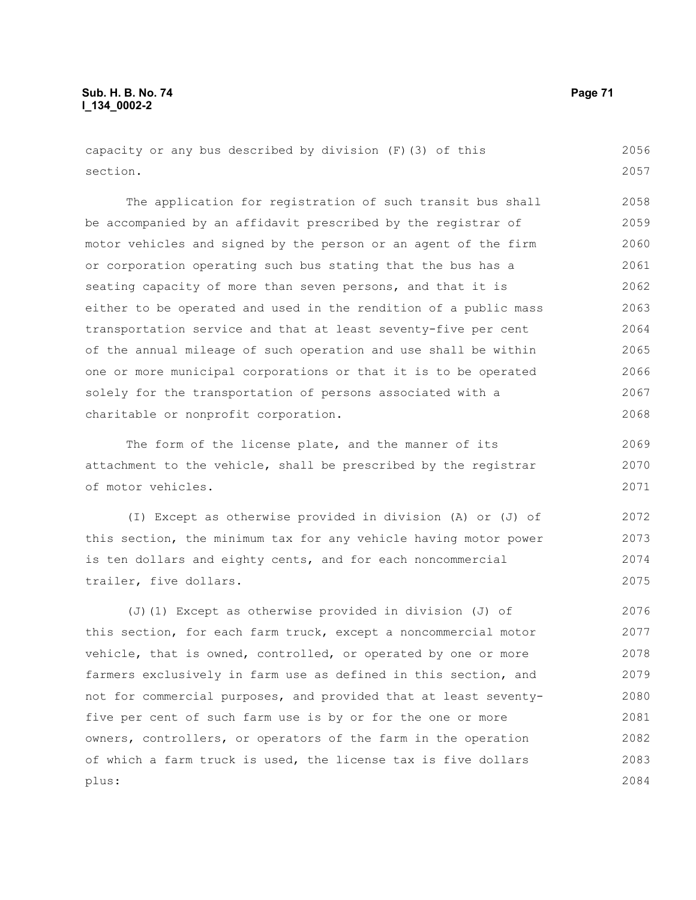section.

capacity or any bus described by division (F)(3) of this 2056

The application for registration of such transit bus shall be accompanied by an affidavit prescribed by the registrar of motor vehicles and signed by the person or an agent of the firm or corporation operating such bus stating that the bus has a seating capacity of more than seven persons, and that it is either to be operated and used in the rendition of a public mass transportation service and that at least seventy-five per cent of the annual mileage of such operation and use shall be within one or more municipal corporations or that it is to be operated solely for the transportation of persons associated with a charitable or nonprofit corporation. 2058 2059 2060 2061 2062 2063 2064 2065 2066 2067 2068

The form of the license plate, and the manner of its attachment to the vehicle, shall be prescribed by the registrar of motor vehicles. 2069 2070 2071

(I) Except as otherwise provided in division (A) or (J) of this section, the minimum tax for any vehicle having motor power is ten dollars and eighty cents, and for each noncommercial trailer, five dollars. 2072 2073 2074 2075

(J)(1) Except as otherwise provided in division (J) of this section, for each farm truck, except a noncommercial motor vehicle, that is owned, controlled, or operated by one or more farmers exclusively in farm use as defined in this section, and not for commercial purposes, and provided that at least seventyfive per cent of such farm use is by or for the one or more owners, controllers, or operators of the farm in the operation of which a farm truck is used, the license tax is five dollars plus: 2076 2077 2078 2079 2080 2081 2082 2083 2084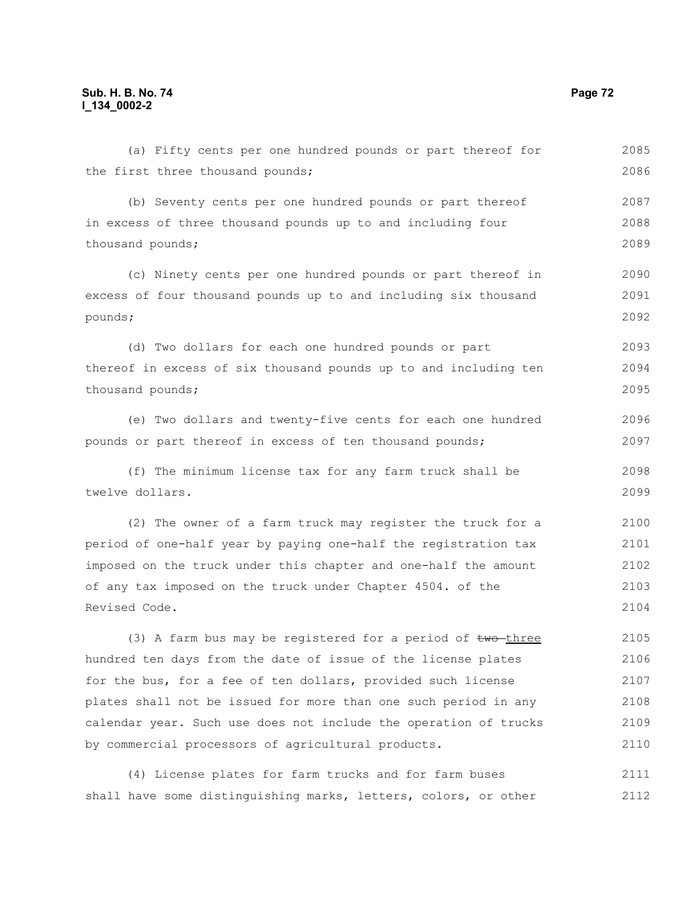| the first three thousand pounds;                                 | 2086 |
|------------------------------------------------------------------|------|
| (b) Seventy cents per one hundred pounds or part thereof         | 2087 |
| in excess of three thousand pounds up to and including four      | 2088 |
| thousand pounds;                                                 | 2089 |
| (c) Ninety cents per one hundred pounds or part thereof in       | 2090 |
| excess of four thousand pounds up to and including six thousand  | 2091 |
| pounds;                                                          | 2092 |
| (d) Two dollars for each one hundred pounds or part              | 2093 |
| thereof in excess of six thousand pounds up to and including ten | 2094 |
| thousand pounds;                                                 | 2095 |
| (e) Two dollars and twenty-five cents for each one hundred       | 2096 |
| pounds or part thereof in excess of ten thousand pounds;         | 2097 |
| (f) The minimum license tax for any farm truck shall be          | 2098 |
| twelve dollars.                                                  | 2099 |
| (2) The owner of a farm truck may register the truck for a       | 2100 |
| period of one-half year by paying one-half the registration tax  | 2101 |
| imposed on the truck under this chapter and one-half the amount  | 2102 |
| of any tax imposed on the truck under Chapter 4504. of the       | 2103 |
| Revised Code.                                                    | 2104 |
| (3) A farm bus may be registered for a period of two-three       | 2105 |
| hundred ten days from the date of issue of the license plates    | 2106 |
| for the bus, for a fee of ten dollars, provided such license     | 2107 |
| plates shall not be issued for more than one such period in any  | 2108 |
| calendar year. Such use does not include the operation of trucks | 2109 |
| by commercial processors of agricultural products.               | 2110 |
| (4) License plates for farm trucks and for farm buses            | 2111 |

shall have some distinguishing marks, letters, colors, or other 2112

(a) Fifty cents per one hundred pounds or part thereof for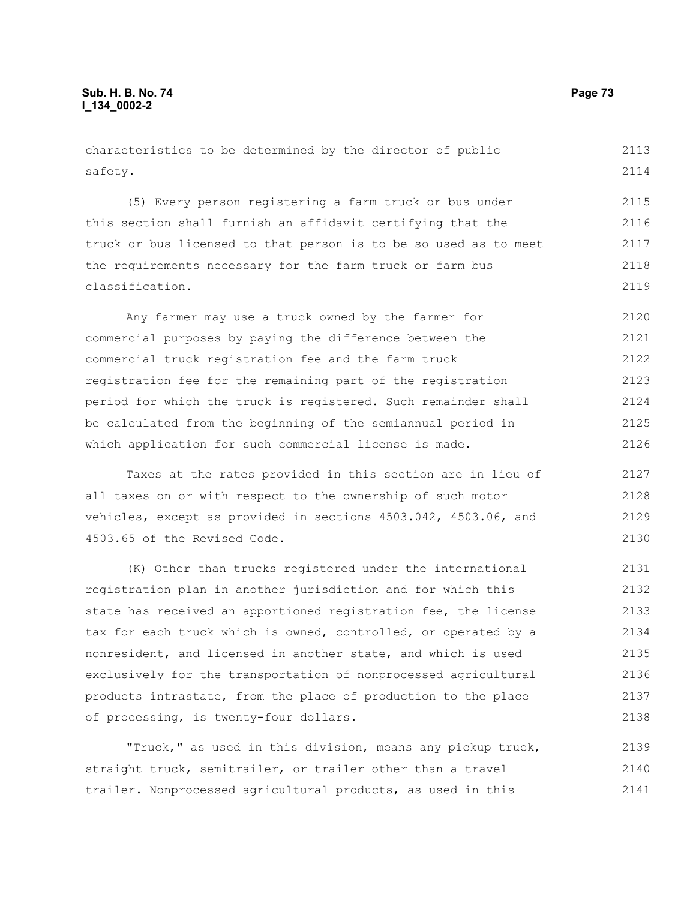characteristics to be determined by the director of public safety. 2113 2114

(5) Every person registering a farm truck or bus under this section shall furnish an affidavit certifying that the truck or bus licensed to that person is to be so used as to meet the requirements necessary for the farm truck or farm bus classification. 2115 2116 2117 2118 2119

Any farmer may use a truck owned by the farmer for commercial purposes by paying the difference between the commercial truck registration fee and the farm truck registration fee for the remaining part of the registration period for which the truck is registered. Such remainder shall be calculated from the beginning of the semiannual period in which application for such commercial license is made. 2120 2121 2122 2123 2124 2125 2126

Taxes at the rates provided in this section are in lieu of all taxes on or with respect to the ownership of such motor vehicles, except as provided in sections 4503.042, 4503.06, and 4503.65 of the Revised Code. 2127 2128 2129 2130

(K) Other than trucks registered under the international registration plan in another jurisdiction and for which this state has received an apportioned registration fee, the license tax for each truck which is owned, controlled, or operated by a nonresident, and licensed in another state, and which is used exclusively for the transportation of nonprocessed agricultural products intrastate, from the place of production to the place of processing, is twenty-four dollars. 2131 2132 2133 2134 2135 2136 2137 2138

"Truck," as used in this division, means any pickup truck, straight truck, semitrailer, or trailer other than a travel trailer. Nonprocessed agricultural products, as used in this 2139 2140 2141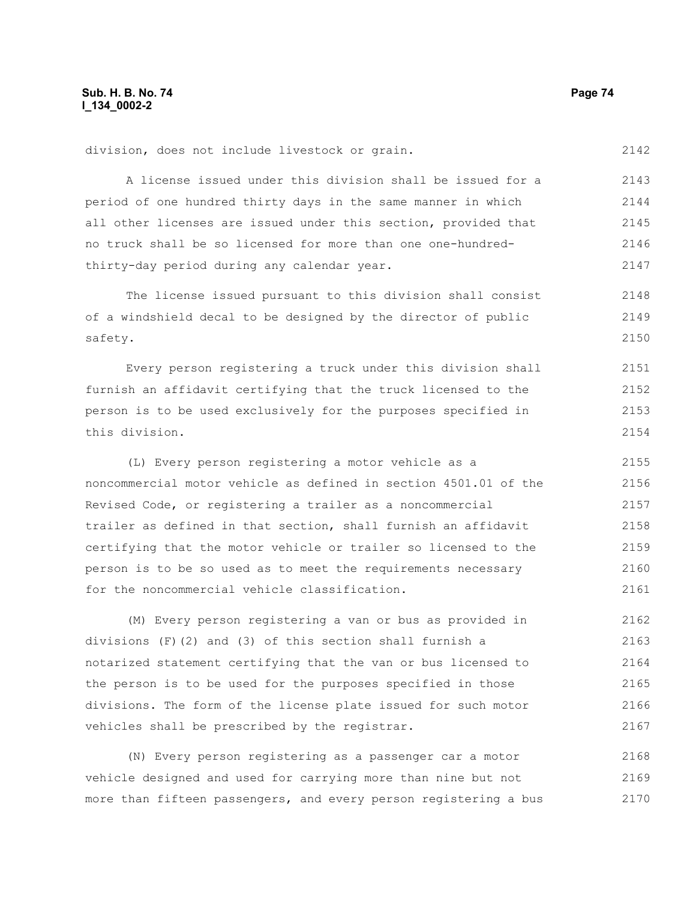| division, does not include livestock or grain.                | 2142 |
|---------------------------------------------------------------|------|
| A license issued under this division shall be issued for a    | 2143 |
| period of one hundred thirty days in the same manner in which | 2144 |

all other licenses are issued under this section, provided that no truck shall be so licensed for more than one one-hundredthirty-day period during any calendar year. 2145 2146 2147

The license issued pursuant to this division shall consist of a windshield decal to be designed by the director of public safety. 2148 2149 2150

Every person registering a truck under this division shall furnish an affidavit certifying that the truck licensed to the person is to be used exclusively for the purposes specified in this division. 2151 2152 2153 2154

(L) Every person registering a motor vehicle as a noncommercial motor vehicle as defined in section 4501.01 of the Revised Code, or registering a trailer as a noncommercial trailer as defined in that section, shall furnish an affidavit certifying that the motor vehicle or trailer so licensed to the person is to be so used as to meet the requirements necessary for the noncommercial vehicle classification. 2155 2156 2157 2158 2159 2160 2161

(M) Every person registering a van or bus as provided in divisions (F)(2) and (3) of this section shall furnish a notarized statement certifying that the van or bus licensed to the person is to be used for the purposes specified in those divisions. The form of the license plate issued for such motor vehicles shall be prescribed by the registrar. 2162 2163 2164 2165 2166 2167

(N) Every person registering as a passenger car a motor vehicle designed and used for carrying more than nine but not more than fifteen passengers, and every person registering a bus 2168 2169 2170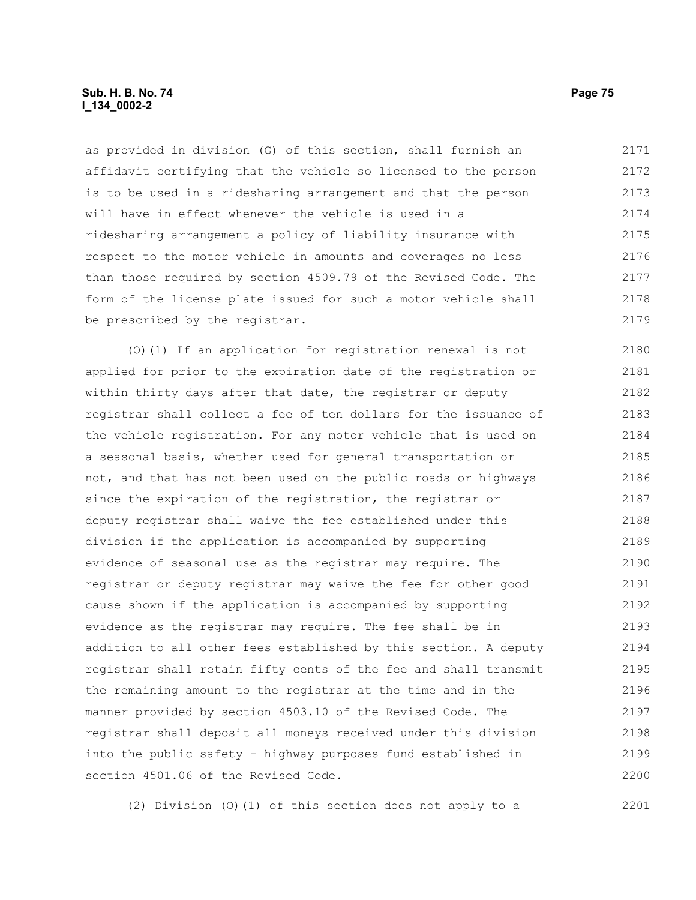as provided in division (G) of this section, shall furnish an affidavit certifying that the vehicle so licensed to the person is to be used in a ridesharing arrangement and that the person will have in effect whenever the vehicle is used in a ridesharing arrangement a policy of liability insurance with respect to the motor vehicle in amounts and coverages no less than those required by section 4509.79 of the Revised Code. The form of the license plate issued for such a motor vehicle shall be prescribed by the registrar. 2171 2172 2173 2174 2175 2176 2177 2178 2179

(O)(1) If an application for registration renewal is not applied for prior to the expiration date of the registration or within thirty days after that date, the registrar or deputy registrar shall collect a fee of ten dollars for the issuance of the vehicle registration. For any motor vehicle that is used on a seasonal basis, whether used for general transportation or not, and that has not been used on the public roads or highways since the expiration of the registration, the registrar or deputy registrar shall waive the fee established under this division if the application is accompanied by supporting evidence of seasonal use as the registrar may require. The registrar or deputy registrar may waive the fee for other good cause shown if the application is accompanied by supporting evidence as the registrar may require. The fee shall be in addition to all other fees established by this section. A deputy registrar shall retain fifty cents of the fee and shall transmit the remaining amount to the registrar at the time and in the manner provided by section 4503.10 of the Revised Code. The registrar shall deposit all moneys received under this division into the public safety - highway purposes fund established in section 4501.06 of the Revised Code. 2180 2181 2182 2183 2184 2185 2186 2187 2188 2189 2190 2191 2192 2193 2194 2195 2196 2197 2198 2199 2200

(2) Division (O)(1) of this section does not apply to a 2201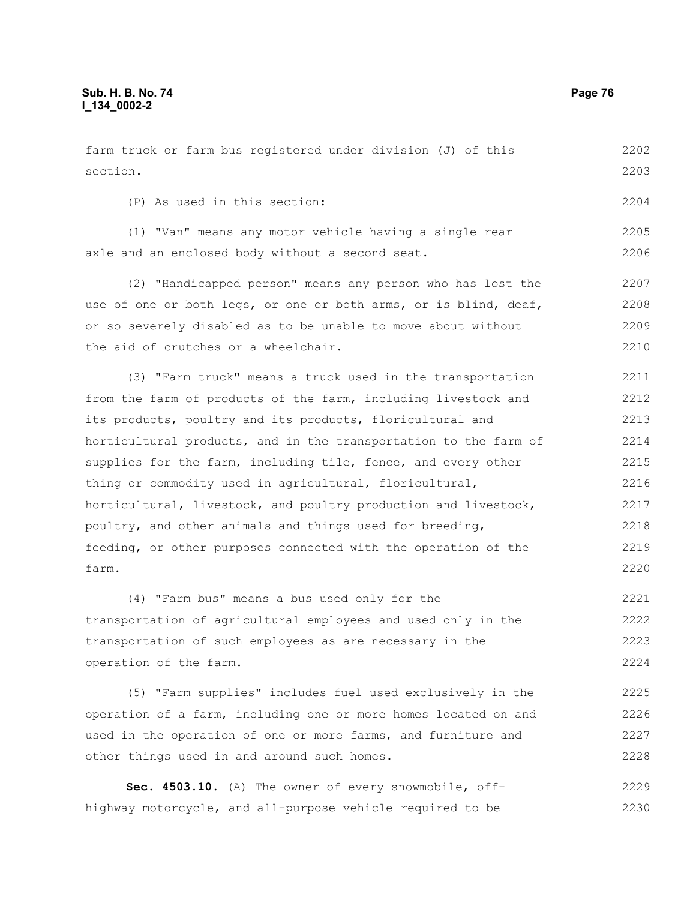the aid of crutches or a wheelchair.

farm truck or farm bus registered under division (J) of this section. (P) As used in this section: (1) "Van" means any motor vehicle having a single rear axle and an enclosed body without a second seat. (2) "Handicapped person" means any person who has lost the use of one or both legs, or one or both arms, or is blind, deaf, or so severely disabled as to be unable to move about without 2202 2203 2204 2205 2206 2207 2208 2209

(3) "Farm truck" means a truck used in the transportation from the farm of products of the farm, including livestock and its products, poultry and its products, floricultural and horticultural products, and in the transportation to the farm of supplies for the farm, including tile, fence, and every other thing or commodity used in agricultural, floricultural, horticultural, livestock, and poultry production and livestock, poultry, and other animals and things used for breeding, feeding, or other purposes connected with the operation of the farm. 2211 2212 2213 2214 2215 2216 2217 2218 2219 2220

(4) "Farm bus" means a bus used only for the transportation of agricultural employees and used only in the transportation of such employees as are necessary in the operation of the farm. 2221 2222 2223 2224

(5) "Farm supplies" includes fuel used exclusively in the operation of a farm, including one or more homes located on and used in the operation of one or more farms, and furniture and other things used in and around such homes. 2225 2226 2227 2228

**Sec. 4503.10.** (A) The owner of every snowmobile, offhighway motorcycle, and all-purpose vehicle required to be 2229 2230

2210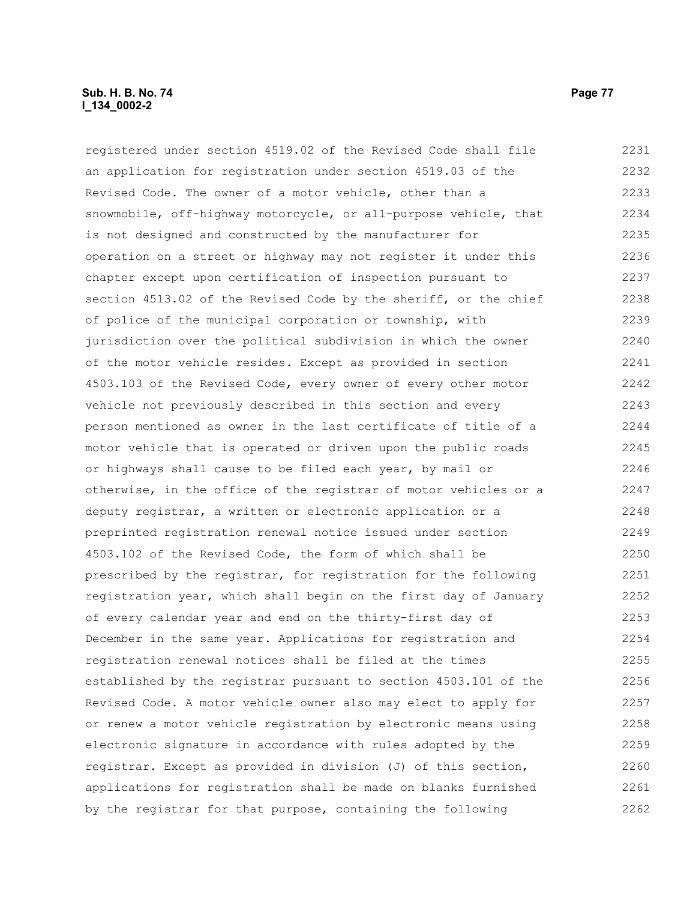#### **Sub. H. B. No. 74 Page 77 l\_134\_0002-2**

registered under section 4519.02 of the Revised Code shall file an application for registration under section 4519.03 of the Revised Code. The owner of a motor vehicle, other than a snowmobile, off-highway motorcycle, or all-purpose vehicle, that is not designed and constructed by the manufacturer for operation on a street or highway may not register it under this chapter except upon certification of inspection pursuant to section 4513.02 of the Revised Code by the sheriff, or the chief of police of the municipal corporation or township, with jurisdiction over the political subdivision in which the owner of the motor vehicle resides. Except as provided in section 4503.103 of the Revised Code, every owner of every other motor vehicle not previously described in this section and every person mentioned as owner in the last certificate of title of a motor vehicle that is operated or driven upon the public roads or highways shall cause to be filed each year, by mail or otherwise, in the office of the registrar of motor vehicles or a deputy registrar, a written or electronic application or a preprinted registration renewal notice issued under section 4503.102 of the Revised Code, the form of which shall be prescribed by the registrar, for registration for the following registration year, which shall begin on the first day of January of every calendar year and end on the thirty-first day of December in the same year. Applications for registration and registration renewal notices shall be filed at the times established by the registrar pursuant to section 4503.101 of the Revised Code. A motor vehicle owner also may elect to apply for or renew a motor vehicle registration by electronic means using electronic signature in accordance with rules adopted by the registrar. Except as provided in division (J) of this section, applications for registration shall be made on blanks furnished by the registrar for that purpose, containing the following 2231 2232 2233 2234 2235 2236 2237 2238 2239 2240 2241 2242 2243 2244 2245 2246 2247 2248 2249 2250 2251 2252 2253 2254 2255 2256 2257 2258 2259 2260 2261 2262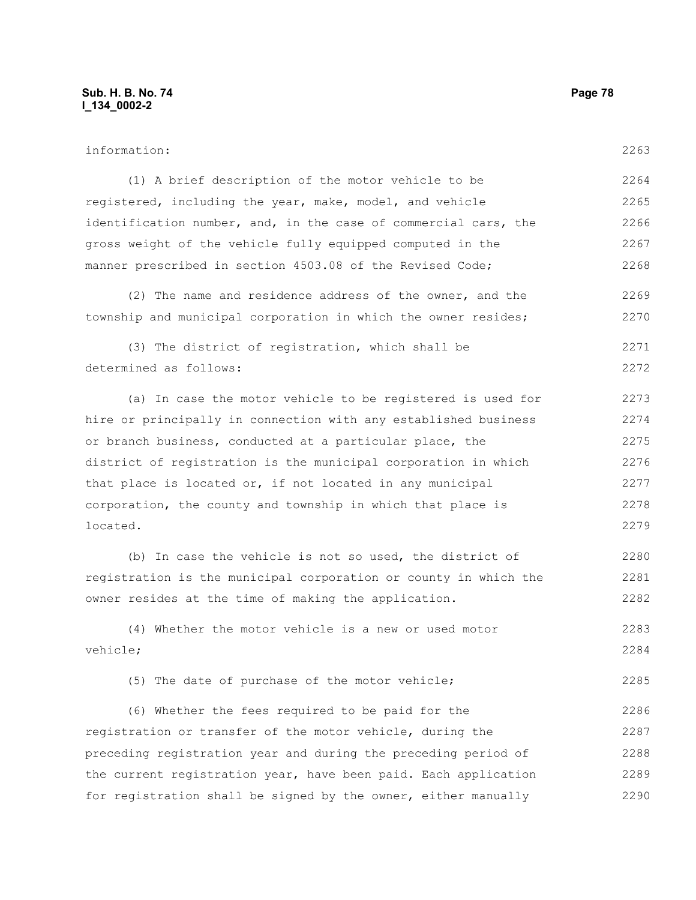#### information:

| (1) A brief description of the motor vehicle to be              | 2264 |
|-----------------------------------------------------------------|------|
| registered, including the year, make, model, and vehicle        | 2265 |
| identification number, and, in the case of commercial cars, the | 2266 |
| gross weight of the vehicle fully equipped computed in the      | 2267 |
| manner prescribed in section 4503.08 of the Revised Code;       | 2268 |

(2) The name and residence address of the owner, and the township and municipal corporation in which the owner resides; 2269 2270

(3) The district of registration, which shall be determined as follows: 2271 2272

(a) In case the motor vehicle to be registered is used for hire or principally in connection with any established business or branch business, conducted at a particular place, the district of registration is the municipal corporation in which that place is located or, if not located in any municipal corporation, the county and township in which that place is located. 2273 2274 2275 2276 2277 2278 2279

(b) In case the vehicle is not so used, the district of registration is the municipal corporation or county in which the owner resides at the time of making the application. 2280 2281 2282

(4) Whether the motor vehicle is a new or used motor vehicle; 2283 2284

(5) The date of purchase of the motor vehicle; 2285

(6) Whether the fees required to be paid for the registration or transfer of the motor vehicle, during the preceding registration year and during the preceding period of the current registration year, have been paid. Each application for registration shall be signed by the owner, either manually 2286 2287 2288 2289 2290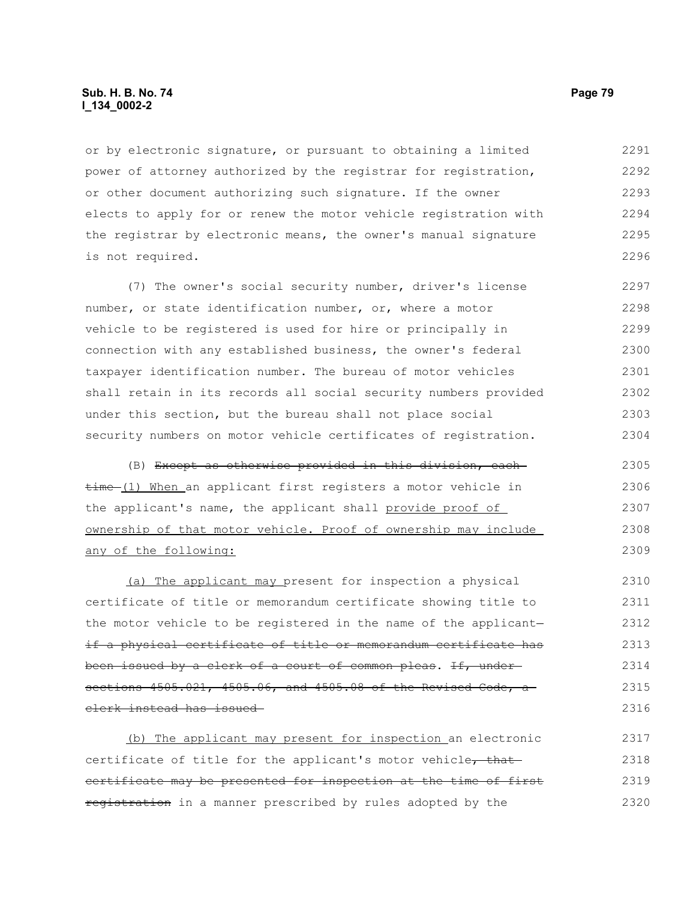#### **Sub. H. B. No. 74 Page 79 l\_134\_0002-2**

or by electronic signature, or pursuant to obtaining a limited power of attorney authorized by the registrar for registration, or other document authorizing such signature. If the owner elects to apply for or renew the motor vehicle registration with the registrar by electronic means, the owner's manual signature is not required. 2291 2292 2293 2294 2295 2296

(7) The owner's social security number, driver's license number, or state identification number, or, where a motor vehicle to be registered is used for hire or principally in connection with any established business, the owner's federal taxpayer identification number. The bureau of motor vehicles shall retain in its records all social security numbers provided under this section, but the bureau shall not place social security numbers on motor vehicle certificates of registration. 2297 2298 2299 2300 2301 2302 2303 2304

(B) Except as otherwise provided in this division, eachtime (1) When an applicant first registers a motor vehicle in the applicant's name, the applicant shall provide proof of ownership of that motor vehicle. Proof of ownership may include any of the following: 2305 2306 2307 2308 2309

(a) The applicant may present for inspection a physical certificate of title or memorandum certificate showing title to the motor vehicle to be registered in the name of the applicant if a physical certificate of title or memorandum certificate has been issued by a clerk of a court of common pleas. If, under sections  $4505.021$ ,  $4505.06$ , and  $4505.08$  of the Revised Code, a clerk instead has issued 2310 2311 2312 2313 2314 2315 2316

(b) The applicant may present for inspection an electronic certificate of title for the applicant's motor vehicle, that certificate may be presented for inspection at the time of first registration in a manner prescribed by rules adopted by the 2317 2318 2319 2320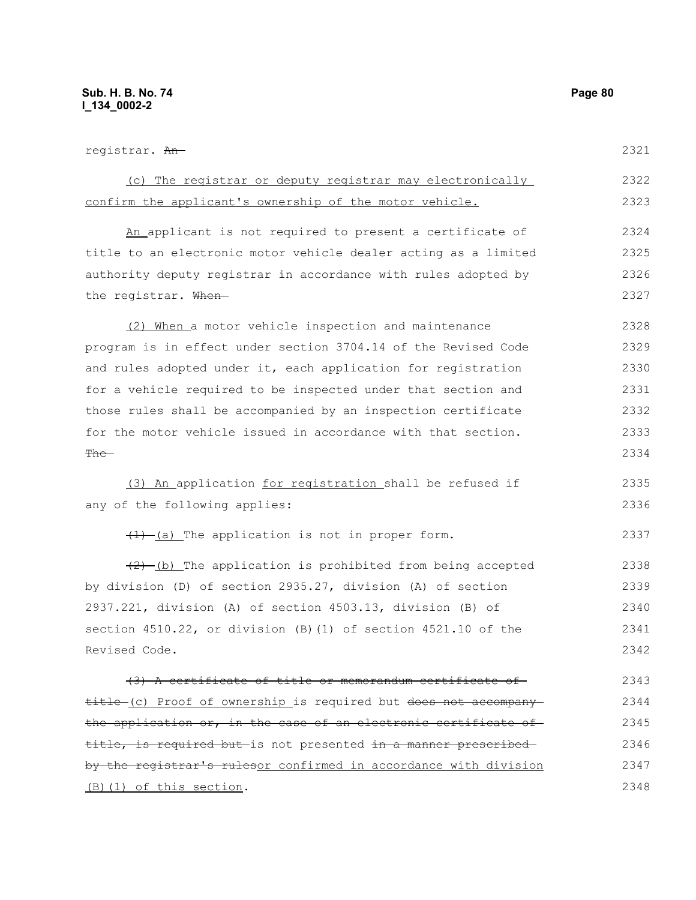# **Sub. H. B. No. 74 Page 80 l\_134\_0002-2**

| registrar. An-                                                   | 2321 |
|------------------------------------------------------------------|------|
| (c) The registrar or deputy registrar may electronically         | 2322 |
| confirm the applicant's ownership of the motor vehicle.          | 2323 |
| An applicant is not required to present a certificate of         | 2324 |
| title to an electronic motor vehicle dealer acting as a limited  | 2325 |
| authority deputy registrar in accordance with rules adopted by   | 2326 |
| the registrar. When-                                             | 2327 |
| (2) When a motor vehicle inspection and maintenance              | 2328 |
| program is in effect under section 3704.14 of the Revised Code   | 2329 |
| and rules adopted under it, each application for registration    | 2330 |
| for a vehicle required to be inspected under that section and    | 2331 |
| those rules shall be accompanied by an inspection certificate    | 2332 |
| for the motor vehicle issued in accordance with that section.    | 2333 |
| <del>The</del>                                                   | 2334 |
| (3) An application for registration shall be refused if          | 2335 |
| any of the following applies:                                    | 2336 |
| $\frac{(1)}{(1)}$ (a) The application is not in proper form.     | 2337 |
| $(2)$ (b) The application is prohibited from being accepted      | 2338 |
| by division (D) of section 2935.27, division (A) of section      | 2339 |
| 2937.221, division (A) of section 4503.13, division (B) of       | 2340 |
| section 4510.22, or division (B) (1) of section 4521.10 of the   | 2341 |
| Revised Code.                                                    | 2342 |
| (3) A certificate of title or memorandum certificate of          | 2343 |
| title (c) Proof of ownership is required but does not accompany  | 2344 |
| the application or, in the case of an electronic certificate of  | 2345 |
| title, is required but is not presented in a manner prescribed   | 2346 |
| by the registrar's rulesor confirmed in accordance with division | 2347 |
| (B) (1) of this section.                                         | 2348 |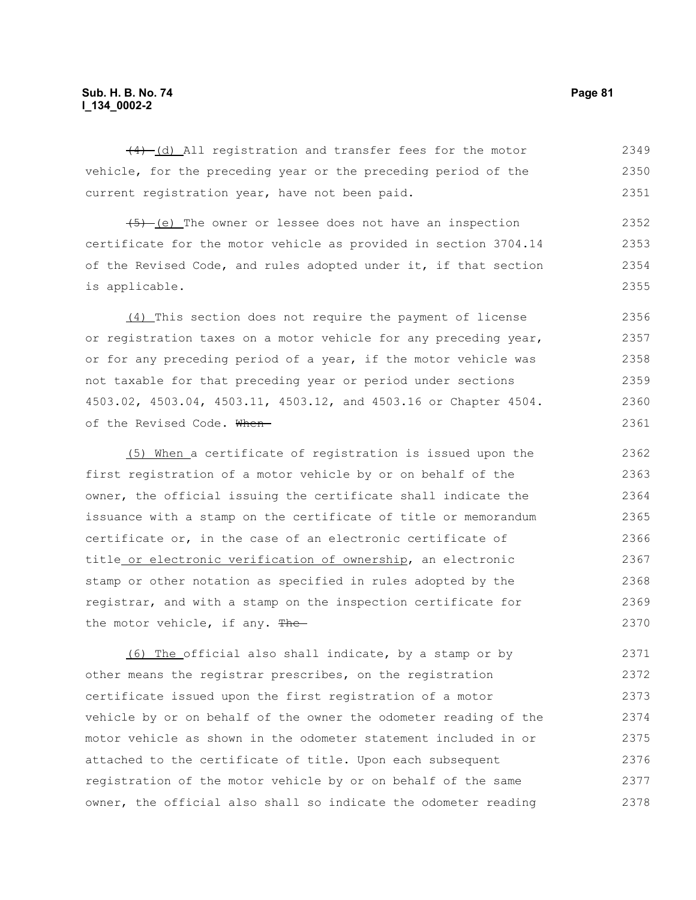(4) (d) All registration and transfer fees for the motor vehicle, for the preceding year or the preceding period of the current registration year, have not been paid. 2349 2350 2351

(5) (e) The owner or lessee does not have an inspection certificate for the motor vehicle as provided in section 3704.14 of the Revised Code, and rules adopted under it, if that section is applicable. 2352 2353 2354 2355

(4) This section does not require the payment of license or registration taxes on a motor vehicle for any preceding year, or for any preceding period of a year, if the motor vehicle was not taxable for that preceding year or period under sections 4503.02, 4503.04, 4503.11, 4503.12, and 4503.16 or Chapter 4504. of the Revised Code. When-2356 2357 2358 2359 2360 2361

(5) When a certificate of registration is issued upon the first registration of a motor vehicle by or on behalf of the owner, the official issuing the certificate shall indicate the issuance with a stamp on the certificate of title or memorandum certificate or, in the case of an electronic certificate of title or electronic verification of ownership, an electronic stamp or other notation as specified in rules adopted by the registrar, and with a stamp on the inspection certificate for the motor vehicle, if any. The 2362 2363 2364 2365 2366 2367 2368 2369 2370

(6) The official also shall indicate, by a stamp or by other means the registrar prescribes, on the registration certificate issued upon the first registration of a motor vehicle by or on behalf of the owner the odometer reading of the motor vehicle as shown in the odometer statement included in or attached to the certificate of title. Upon each subsequent registration of the motor vehicle by or on behalf of the same owner, the official also shall so indicate the odometer reading 2371 2372 2373 2374 2375 2376 2377 2378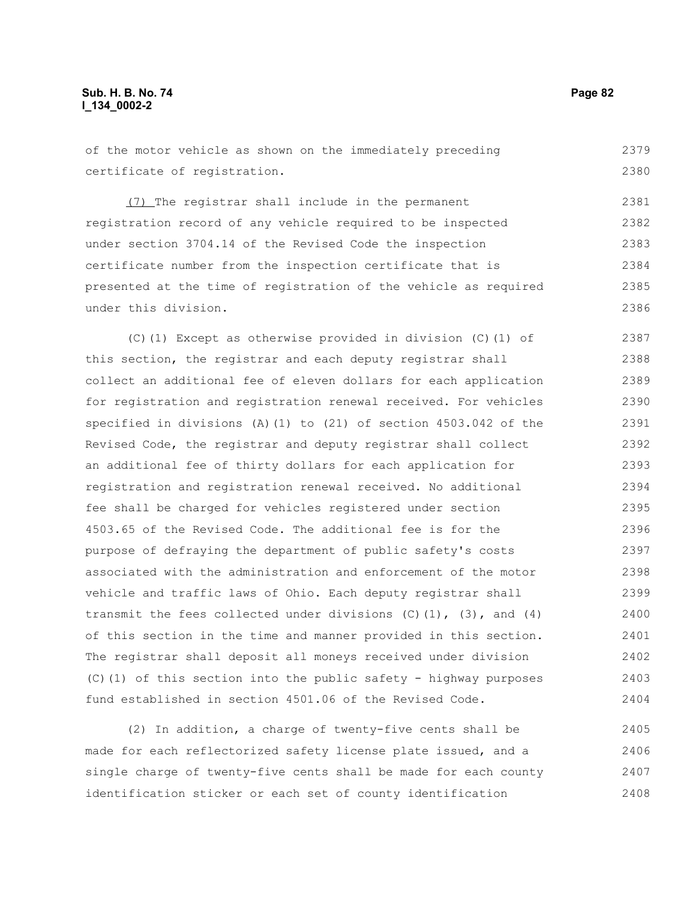of the motor vehicle as shown on the immediately preceding certificate of registration. 2379 2380

(7) The registrar shall include in the permanent registration record of any vehicle required to be inspected under section 3704.14 of the Revised Code the inspection certificate number from the inspection certificate that is presented at the time of registration of the vehicle as required under this division. 2381 2382 2383 2384 2385 2386

(C)(1) Except as otherwise provided in division (C)(1) of this section, the registrar and each deputy registrar shall collect an additional fee of eleven dollars for each application for registration and registration renewal received. For vehicles specified in divisions (A)(1) to (21) of section 4503.042 of the Revised Code, the registrar and deputy registrar shall collect an additional fee of thirty dollars for each application for registration and registration renewal received. No additional fee shall be charged for vehicles registered under section 4503.65 of the Revised Code. The additional fee is for the purpose of defraying the department of public safety's costs associated with the administration and enforcement of the motor vehicle and traffic laws of Ohio. Each deputy registrar shall transmit the fees collected under divisions  $(C)$   $(1)$ ,  $(3)$ , and  $(4)$ of this section in the time and manner provided in this section. The registrar shall deposit all moneys received under division (C)(1) of this section into the public safety - highway purposes fund established in section 4501.06 of the Revised Code. 2387 2388 2389 2390 2391 2392 2393 2394 2395 2396 2397 2398 2399 2400 2401 2402 2403 2404

(2) In addition, a charge of twenty-five cents shall be made for each reflectorized safety license plate issued, and a single charge of twenty-five cents shall be made for each county identification sticker or each set of county identification 2405 2406 2407 2408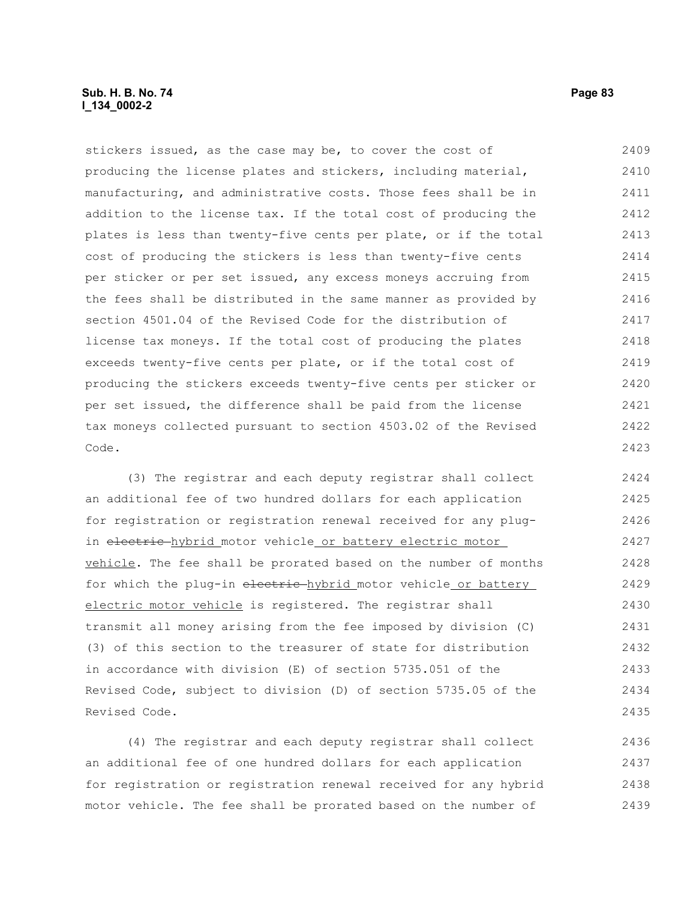### **Sub. H. B. No. 74 Page 83 l\_134\_0002-2**

stickers issued, as the case may be, to cover the cost of producing the license plates and stickers, including material, manufacturing, and administrative costs. Those fees shall be in addition to the license tax. If the total cost of producing the plates is less than twenty-five cents per plate, or if the total cost of producing the stickers is less than twenty-five cents per sticker or per set issued, any excess moneys accruing from the fees shall be distributed in the same manner as provided by section 4501.04 of the Revised Code for the distribution of license tax moneys. If the total cost of producing the plates exceeds twenty-five cents per plate, or if the total cost of producing the stickers exceeds twenty-five cents per sticker or per set issued, the difference shall be paid from the license tax moneys collected pursuant to section 4503.02 of the Revised Code. 2409 2410 2411 2412 2413 2414 2415 2416 2417 2418 2419 2420 2421 2422 2423

(3) The registrar and each deputy registrar shall collect an additional fee of two hundred dollars for each application for registration or registration renewal received for any plugin electric hybrid motor vehicle or battery electric motor vehicle. The fee shall be prorated based on the number of months for which the plug-in electric hybrid motor vehicle or battery electric motor vehicle is registered. The registrar shall transmit all money arising from the fee imposed by division (C) (3) of this section to the treasurer of state for distribution in accordance with division (E) of section 5735.051 of the Revised Code, subject to division (D) of section 5735.05 of the Revised Code.

(4) The registrar and each deputy registrar shall collect an additional fee of one hundred dollars for each application for registration or registration renewal received for any hybrid motor vehicle. The fee shall be prorated based on the number of 2436 2437 2438 2439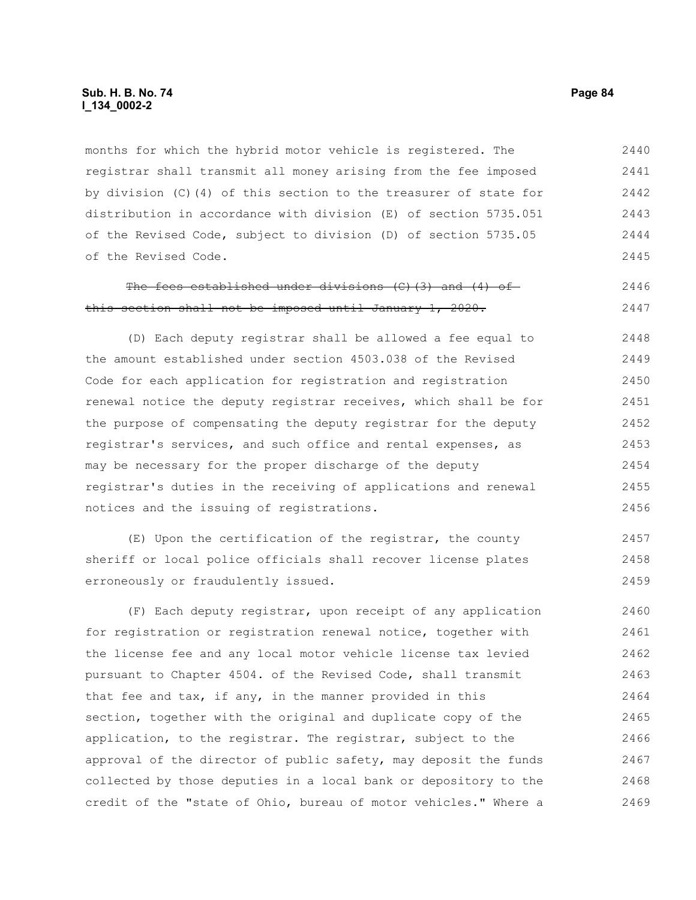months for which the hybrid motor vehicle is registered. The registrar shall transmit all money arising from the fee imposed by division (C)(4) of this section to the treasurer of state for distribution in accordance with division (E) of section 5735.051 of the Revised Code, subject to division (D) of section 5735.05 of the Revised Code. 2440 2441 2442 2443 2444 2445

#### The fees established under divisions (C)(3) and (4) of this section shall not be imposed until January 1, 2020. 2446 2447

(D) Each deputy registrar shall be allowed a fee equal to the amount established under section 4503.038 of the Revised Code for each application for registration and registration renewal notice the deputy registrar receives, which shall be for the purpose of compensating the deputy registrar for the deputy registrar's services, and such office and rental expenses, as may be necessary for the proper discharge of the deputy registrar's duties in the receiving of applications and renewal notices and the issuing of registrations. 2448 2449 2450 2451 2452 2453 2454 2455 2456

(E) Upon the certification of the registrar, the county sheriff or local police officials shall recover license plates erroneously or fraudulently issued. 2457 2458 2459

(F) Each deputy registrar, upon receipt of any application for registration or registration renewal notice, together with the license fee and any local motor vehicle license tax levied pursuant to Chapter 4504. of the Revised Code, shall transmit that fee and tax, if any, in the manner provided in this section, together with the original and duplicate copy of the application, to the registrar. The registrar, subject to the approval of the director of public safety, may deposit the funds collected by those deputies in a local bank or depository to the credit of the "state of Ohio, bureau of motor vehicles." Where a 2460 2461 2462 2463 2464 2465 2466 2467 2468 2469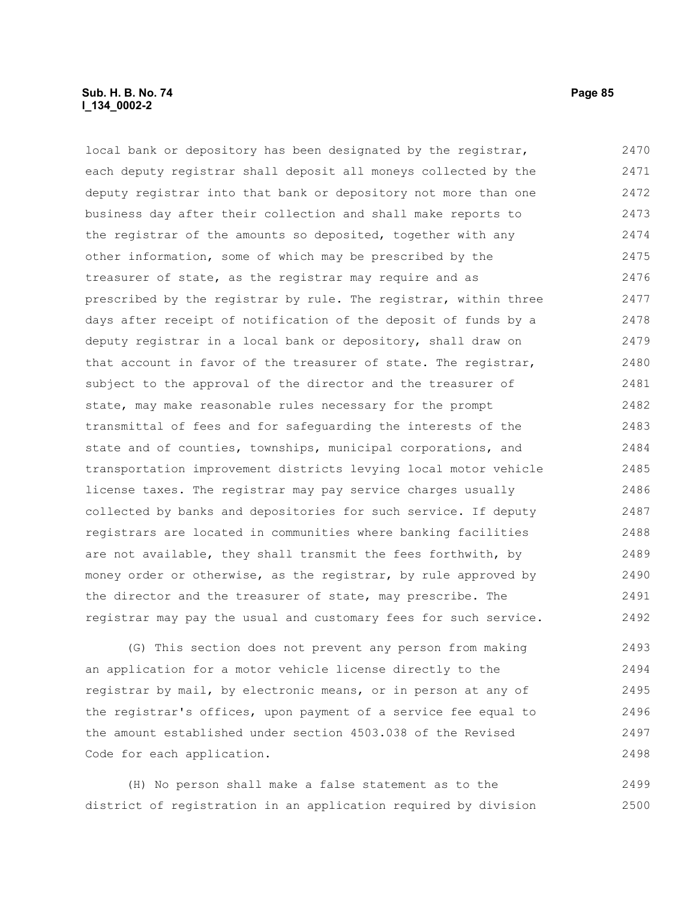#### **Sub. H. B. No. 74 Page 85 l\_134\_0002-2**

local bank or depository has been designated by the registrar, each deputy registrar shall deposit all moneys collected by the deputy registrar into that bank or depository not more than one business day after their collection and shall make reports to the registrar of the amounts so deposited, together with any other information, some of which may be prescribed by the treasurer of state, as the registrar may require and as prescribed by the registrar by rule. The registrar, within three days after receipt of notification of the deposit of funds by a deputy registrar in a local bank or depository, shall draw on that account in favor of the treasurer of state. The registrar, subject to the approval of the director and the treasurer of state, may make reasonable rules necessary for the prompt transmittal of fees and for safeguarding the interests of the state and of counties, townships, municipal corporations, and transportation improvement districts levying local motor vehicle license taxes. The registrar may pay service charges usually collected by banks and depositories for such service. If deputy registrars are located in communities where banking facilities are not available, they shall transmit the fees forthwith, by money order or otherwise, as the registrar, by rule approved by the director and the treasurer of state, may prescribe. The registrar may pay the usual and customary fees for such service. 2470 2471 2472 2473 2474 2475 2476 2477 2478 2479 2480 2481 2482 2483 2484 2485 2486 2487 2488 2489 2490 2491 2492

(G) This section does not prevent any person from making an application for a motor vehicle license directly to the registrar by mail, by electronic means, or in person at any of the registrar's offices, upon payment of a service fee equal to the amount established under section 4503.038 of the Revised Code for each application. 2493 2494 2495 2496 2497 2498

(H) No person shall make a false statement as to the district of registration in an application required by division 2499 2500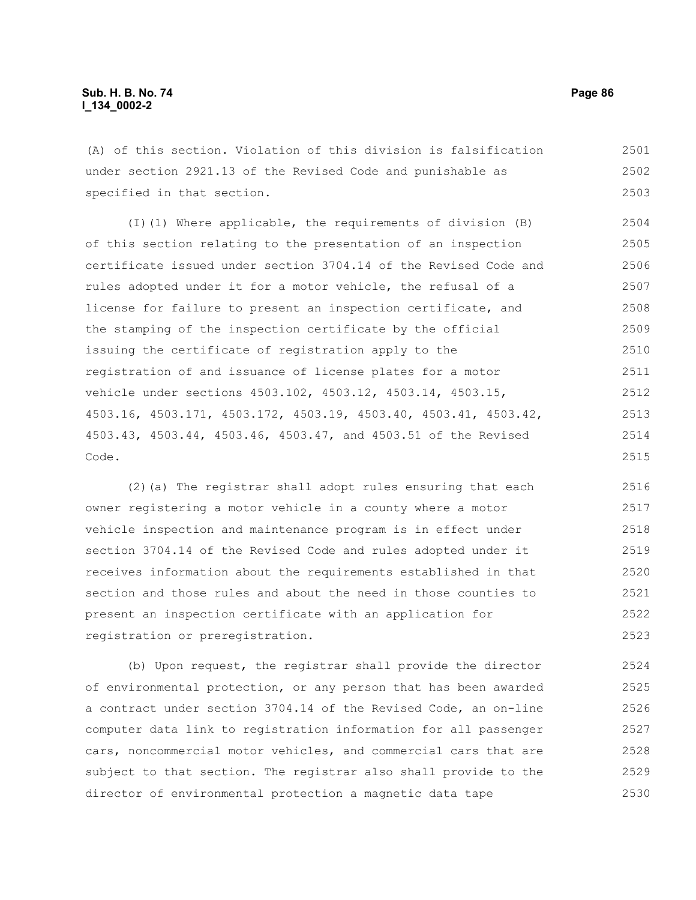(A) of this section. Violation of this division is falsification under section 2921.13 of the Revised Code and punishable as specified in that section. 2501 2502 2503

(I)(1) Where applicable, the requirements of division (B) of this section relating to the presentation of an inspection certificate issued under section 3704.14 of the Revised Code and rules adopted under it for a motor vehicle, the refusal of a license for failure to present an inspection certificate, and the stamping of the inspection certificate by the official issuing the certificate of registration apply to the registration of and issuance of license plates for a motor vehicle under sections 4503.102, 4503.12, 4503.14, 4503.15, 4503.16, 4503.171, 4503.172, 4503.19, 4503.40, 4503.41, 4503.42, 4503.43, 4503.44, 4503.46, 4503.47, and 4503.51 of the Revised Code. 2504 2505 2506 2507 2508 2509 2510 2511 2512 2513 2514 2515

(2)(a) The registrar shall adopt rules ensuring that each owner registering a motor vehicle in a county where a motor vehicle inspection and maintenance program is in effect under section 3704.14 of the Revised Code and rules adopted under it receives information about the requirements established in that section and those rules and about the need in those counties to present an inspection certificate with an application for registration or preregistration. 2516 2517 2518 2519 2520 2521 2522 2523

(b) Upon request, the registrar shall provide the director of environmental protection, or any person that has been awarded a contract under section 3704.14 of the Revised Code, an on-line computer data link to registration information for all passenger cars, noncommercial motor vehicles, and commercial cars that are subject to that section. The registrar also shall provide to the director of environmental protection a magnetic data tape 2524 2525 2526 2527 2528 2529 2530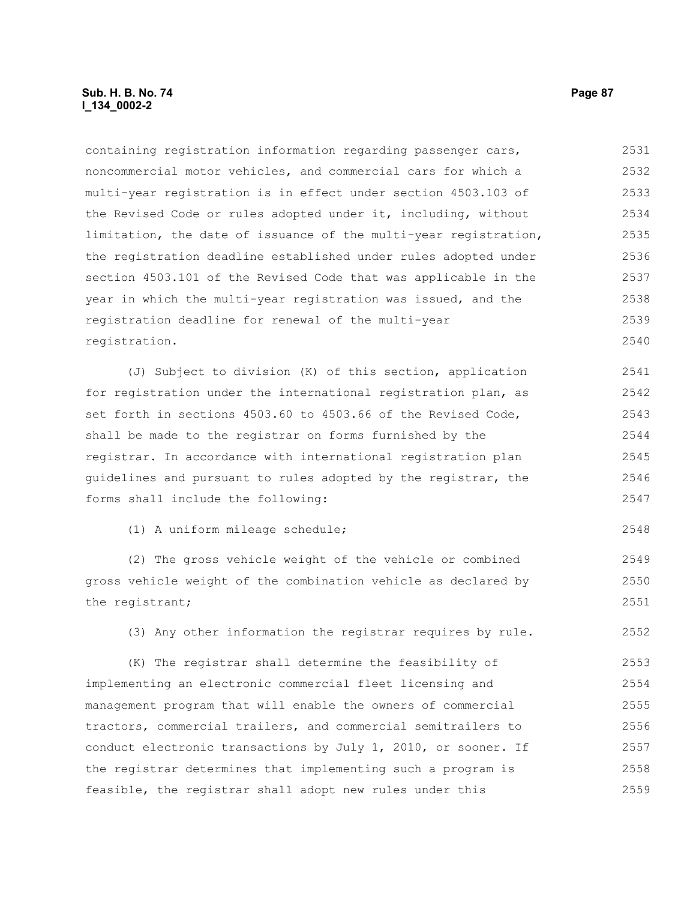#### **Sub. H. B. No. 74 Page 87 l\_134\_0002-2**

containing registration information regarding passenger cars, noncommercial motor vehicles, and commercial cars for which a multi-year registration is in effect under section 4503.103 of the Revised Code or rules adopted under it, including, without limitation, the date of issuance of the multi-year registration, the registration deadline established under rules adopted under section 4503.101 of the Revised Code that was applicable in the year in which the multi-year registration was issued, and the registration deadline for renewal of the multi-year registration. 2531 2532 2533 2534 2535 2536 2537 2538 2539 2540

(J) Subject to division (K) of this section, application for registration under the international registration plan, as set forth in sections 4503.60 to 4503.66 of the Revised Code, shall be made to the registrar on forms furnished by the registrar. In accordance with international registration plan guidelines and pursuant to rules adopted by the registrar, the forms shall include the following: 2541 2542 2543 2544 2545 2546 2547

(1) A uniform mileage schedule;

(2) The gross vehicle weight of the vehicle or combined gross vehicle weight of the combination vehicle as declared by the registrant;

(3) Any other information the registrar requires by rule. 2552

(K) The registrar shall determine the feasibility of implementing an electronic commercial fleet licensing and management program that will enable the owners of commercial tractors, commercial trailers, and commercial semitrailers to conduct electronic transactions by July 1, 2010, or sooner. If the registrar determines that implementing such a program is feasible, the registrar shall adopt new rules under this 2553 2554 2555 2556 2557 2558 2559

2548

2549 2550 2551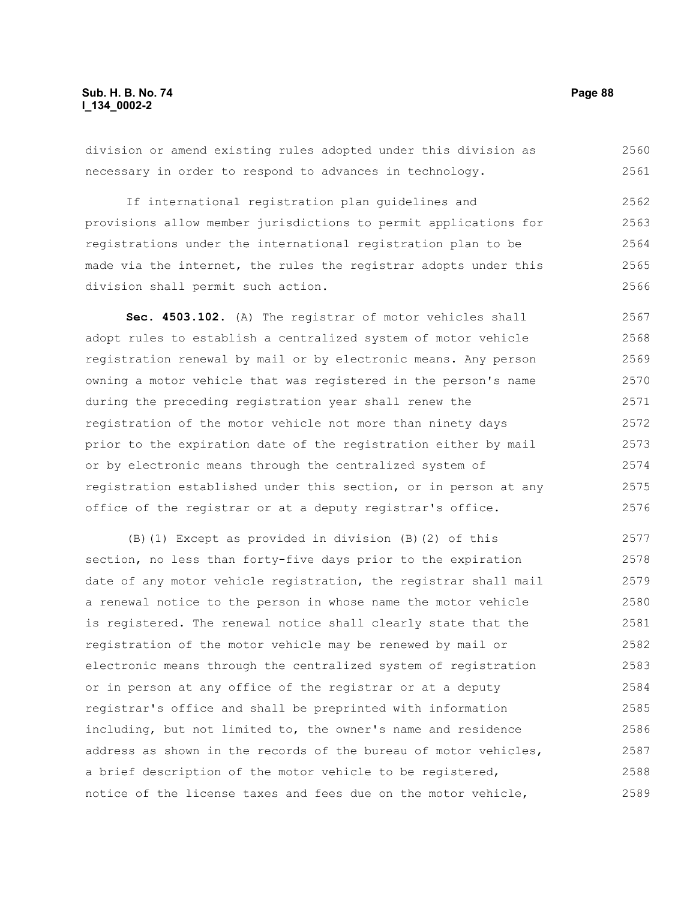### **Sub. H. B. No. 74 Page 88 l\_134\_0002-2**

division or amend existing rules adopted under this division as necessary in order to respond to advances in technology. 2560 2561

If international registration plan guidelines and provisions allow member jurisdictions to permit applications for registrations under the international registration plan to be made via the internet, the rules the registrar adopts under this division shall permit such action. 2562 2563 2564 2565 2566

**Sec. 4503.102.** (A) The registrar of motor vehicles shall adopt rules to establish a centralized system of motor vehicle registration renewal by mail or by electronic means. Any person owning a motor vehicle that was registered in the person's name during the preceding registration year shall renew the registration of the motor vehicle not more than ninety days prior to the expiration date of the registration either by mail or by electronic means through the centralized system of registration established under this section, or in person at any office of the registrar or at a deputy registrar's office. 2567 2568 2569 2570 2571 2572 2573 2574 2575 2576

(B)(1) Except as provided in division (B)(2) of this section, no less than forty-five days prior to the expiration date of any motor vehicle registration, the registrar shall mail a renewal notice to the person in whose name the motor vehicle is registered. The renewal notice shall clearly state that the registration of the motor vehicle may be renewed by mail or electronic means through the centralized system of registration or in person at any office of the registrar or at a deputy registrar's office and shall be preprinted with information including, but not limited to, the owner's name and residence address as shown in the records of the bureau of motor vehicles, a brief description of the motor vehicle to be registered, notice of the license taxes and fees due on the motor vehicle, 2577 2578 2579 2580 2581 2582 2583 2584 2585 2586 2587 2588 2589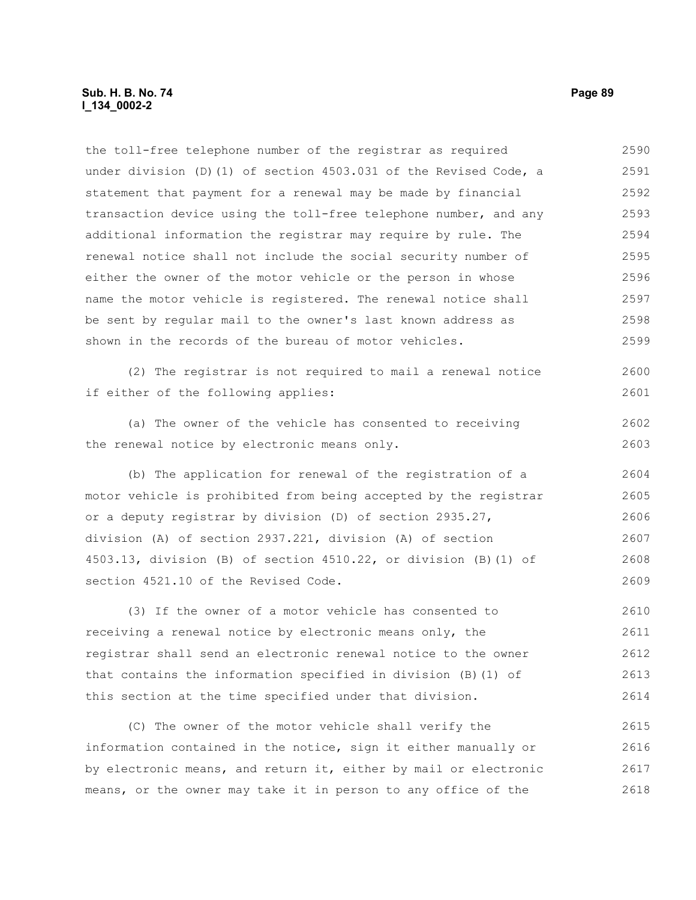#### **Sub. H. B. No. 74 Page 89 l\_134\_0002-2**

the toll-free telephone number of the registrar as required under division (D)(1) of section 4503.031 of the Revised Code, a statement that payment for a renewal may be made by financial transaction device using the toll-free telephone number, and any additional information the registrar may require by rule. The renewal notice shall not include the social security number of either the owner of the motor vehicle or the person in whose name the motor vehicle is registered. The renewal notice shall be sent by regular mail to the owner's last known address as shown in the records of the bureau of motor vehicles. 2590 2591 2592 2593 2594 2595 2596 2597 2598 2599

(2) The registrar is not required to mail a renewal notice if either of the following applies: 2600 2601

(a) The owner of the vehicle has consented to receiving the renewal notice by electronic means only. 2602 2603

(b) The application for renewal of the registration of a motor vehicle is prohibited from being accepted by the registrar or a deputy registrar by division (D) of section 2935.27, division (A) of section 2937.221, division (A) of section 4503.13, division (B) of section 4510.22, or division (B)(1) of section 4521.10 of the Revised Code. 2604 2605 2606 2607 2608 2609

(3) If the owner of a motor vehicle has consented to receiving a renewal notice by electronic means only, the registrar shall send an electronic renewal notice to the owner that contains the information specified in division (B)(1) of this section at the time specified under that division. 2610 2611 2612 2613 2614

(C) The owner of the motor vehicle shall verify the information contained in the notice, sign it either manually or by electronic means, and return it, either by mail or electronic means, or the owner may take it in person to any office of the 2615 2616 2617 2618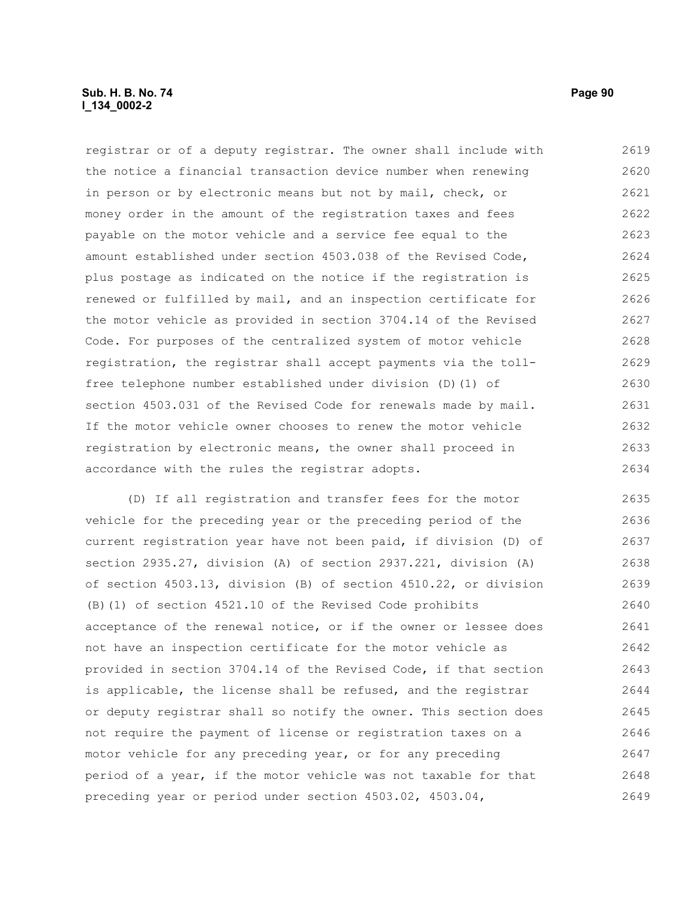#### **Sub. H. B. No. 74 Page 90 l\_134\_0002-2**

registrar or of a deputy registrar. The owner shall include with the notice a financial transaction device number when renewing in person or by electronic means but not by mail, check, or money order in the amount of the registration taxes and fees payable on the motor vehicle and a service fee equal to the amount established under section 4503.038 of the Revised Code, plus postage as indicated on the notice if the registration is renewed or fulfilled by mail, and an inspection certificate for the motor vehicle as provided in section 3704.14 of the Revised Code. For purposes of the centralized system of motor vehicle registration, the registrar shall accept payments via the tollfree telephone number established under division (D)(1) of section 4503.031 of the Revised Code for renewals made by mail. If the motor vehicle owner chooses to renew the motor vehicle registration by electronic means, the owner shall proceed in accordance with the rules the registrar adopts. 2619 2620 2621 2622 2623 2624 2625 2626 2627 2628 2629 2630 2631 2632 2633 2634

(D) If all registration and transfer fees for the motor vehicle for the preceding year or the preceding period of the current registration year have not been paid, if division (D) of section 2935.27, division (A) of section 2937.221, division (A) of section 4503.13, division (B) of section 4510.22, or division (B)(1) of section 4521.10 of the Revised Code prohibits acceptance of the renewal notice, or if the owner or lessee does not have an inspection certificate for the motor vehicle as provided in section 3704.14 of the Revised Code, if that section is applicable, the license shall be refused, and the registrar or deputy registrar shall so notify the owner. This section does not require the payment of license or registration taxes on a motor vehicle for any preceding year, or for any preceding period of a year, if the motor vehicle was not taxable for that preceding year or period under section 4503.02, 4503.04, 2635 2636 2637 2638 2639 2640 2641 2642 2643 2644 2645 2646 2647 2648 2649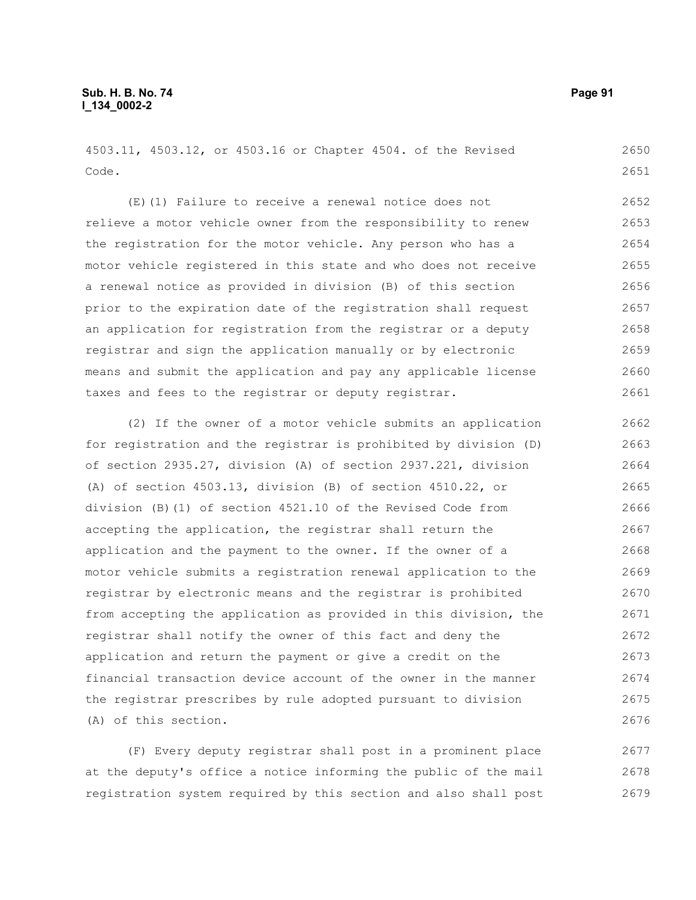4503.11, 4503.12, or 4503.16 or Chapter 4504. of the Revised Code. 2650 2651

(E)(1) Failure to receive a renewal notice does not relieve a motor vehicle owner from the responsibility to renew the registration for the motor vehicle. Any person who has a motor vehicle registered in this state and who does not receive a renewal notice as provided in division (B) of this section prior to the expiration date of the registration shall request an application for registration from the registrar or a deputy registrar and sign the application manually or by electronic means and submit the application and pay any applicable license taxes and fees to the registrar or deputy registrar. 2652 2653 2654 2655 2656 2657 2658 2659 2660 2661

(2) If the owner of a motor vehicle submits an application for registration and the registrar is prohibited by division (D) of section 2935.27, division (A) of section 2937.221, division (A) of section 4503.13, division (B) of section 4510.22, or division (B)(1) of section 4521.10 of the Revised Code from accepting the application, the registrar shall return the application and the payment to the owner. If the owner of a motor vehicle submits a registration renewal application to the registrar by electronic means and the registrar is prohibited from accepting the application as provided in this division, the registrar shall notify the owner of this fact and deny the application and return the payment or give a credit on the financial transaction device account of the owner in the manner the registrar prescribes by rule adopted pursuant to division (A) of this section. 2662 2663 2664 2665 2666 2667 2668 2669 2670 2671 2672 2673 2674 2675 2676

(F) Every deputy registrar shall post in a prominent place at the deputy's office a notice informing the public of the mail registration system required by this section and also shall post 2677 2678 2679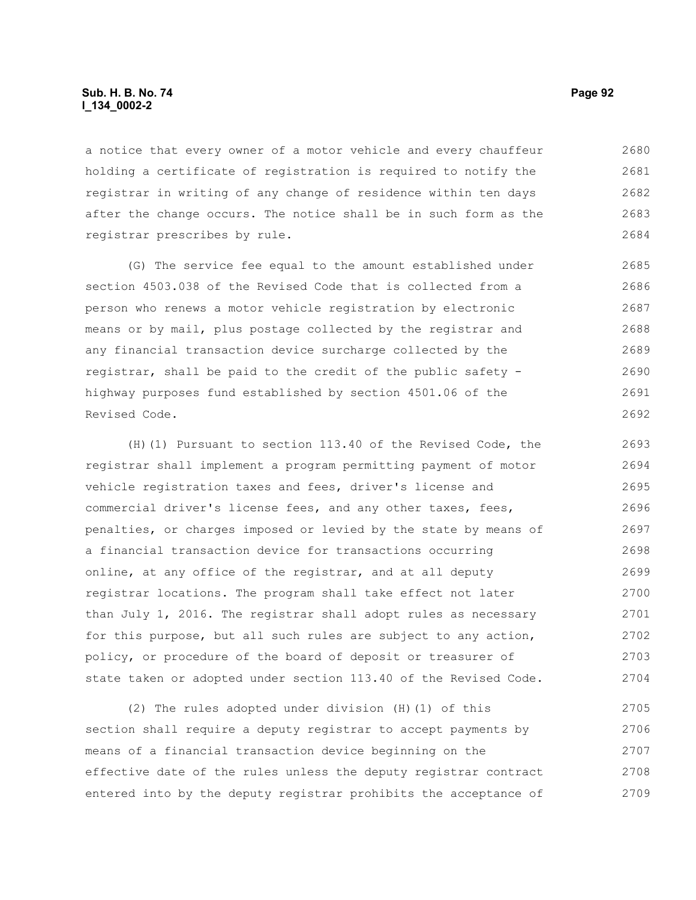#### **Sub. H. B. No. 74 Page 92 l\_134\_0002-2**

a notice that every owner of a motor vehicle and every chauffeur holding a certificate of registration is required to notify the registrar in writing of any change of residence within ten days after the change occurs. The notice shall be in such form as the registrar prescribes by rule. 2680 2681 2682 2683 2684

(G) The service fee equal to the amount established under section 4503.038 of the Revised Code that is collected from a person who renews a motor vehicle registration by electronic means or by mail, plus postage collected by the registrar and any financial transaction device surcharge collected by the registrar, shall be paid to the credit of the public safety highway purposes fund established by section 4501.06 of the Revised Code.

(H)(1) Pursuant to section 113.40 of the Revised Code, the registrar shall implement a program permitting payment of motor vehicle registration taxes and fees, driver's license and commercial driver's license fees, and any other taxes, fees, penalties, or charges imposed or levied by the state by means of a financial transaction device for transactions occurring online, at any office of the registrar, and at all deputy registrar locations. The program shall take effect not later than July 1, 2016. The registrar shall adopt rules as necessary for this purpose, but all such rules are subject to any action, policy, or procedure of the board of deposit or treasurer of state taken or adopted under section 113.40 of the Revised Code. 2693 2694 2695 2696 2697 2698 2699 2700 2701 2702 2703 2704

(2) The rules adopted under division (H)(1) of this section shall require a deputy registrar to accept payments by means of a financial transaction device beginning on the effective date of the rules unless the deputy registrar contract entered into by the deputy registrar prohibits the acceptance of 2705 2706 2707 2708 2709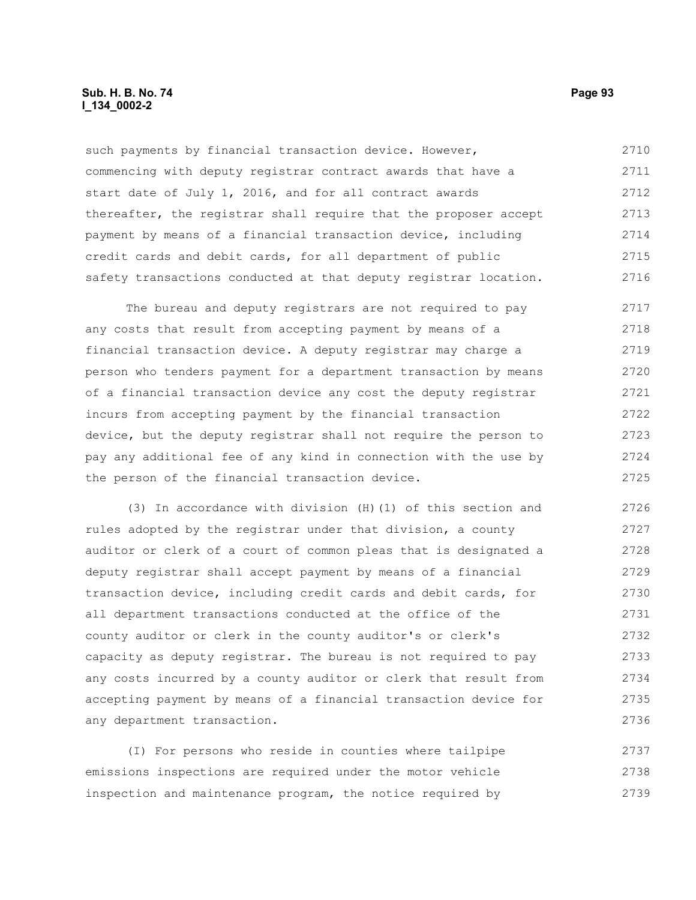#### **Sub. H. B. No. 74 Page 93 l\_134\_0002-2**

such payments by financial transaction device. However, commencing with deputy registrar contract awards that have a start date of July 1, 2016, and for all contract awards thereafter, the registrar shall require that the proposer accept payment by means of a financial transaction device, including credit cards and debit cards, for all department of public safety transactions conducted at that deputy registrar location. 2710 2711 2712 2713 2714 2715 2716

The bureau and deputy registrars are not required to pay any costs that result from accepting payment by means of a financial transaction device. A deputy registrar may charge a person who tenders payment for a department transaction by means of a financial transaction device any cost the deputy registrar incurs from accepting payment by the financial transaction device, but the deputy registrar shall not require the person to pay any additional fee of any kind in connection with the use by the person of the financial transaction device. 2717 2718 2719 2720 2721 2722 2723 2724 2725

(3) In accordance with division (H)(1) of this section and rules adopted by the registrar under that division, a county auditor or clerk of a court of common pleas that is designated a deputy registrar shall accept payment by means of a financial transaction device, including credit cards and debit cards, for all department transactions conducted at the office of the county auditor or clerk in the county auditor's or clerk's capacity as deputy registrar. The bureau is not required to pay any costs incurred by a county auditor or clerk that result from accepting payment by means of a financial transaction device for any department transaction. 2726 2727 2728 2729 2730 2731 2732 2733 2734 2735 2736

(I) For persons who reside in counties where tailpipe emissions inspections are required under the motor vehicle inspection and maintenance program, the notice required by 2737 2738 2739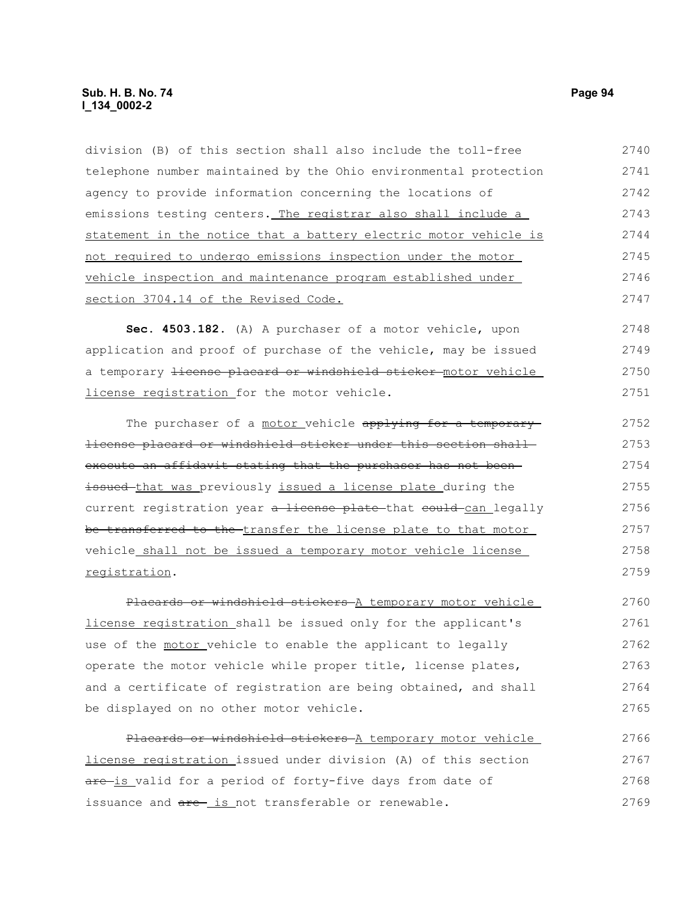| division (B) of this section shall also include the toll-free          | 2740 |
|------------------------------------------------------------------------|------|
| telephone number maintained by the Ohio environmental protection       | 2741 |
| agency to provide information concerning the locations of              | 2742 |
| emissions testing centers. The registrar also shall include a          | 2743 |
| statement in the notice that a battery electric motor vehicle is       | 2744 |
| not required to undergo emissions inspection under the motor           | 2745 |
| vehicle inspection and maintenance program established under           | 2746 |
| section 3704.14 of the Revised Code.                                   | 2747 |
| Sec. 4503.182. (A) A purchaser of a motor vehicle, upon                | 2748 |
| application and proof of purchase of the vehicle, may be issued        | 2749 |
| a temporary license placard or windshield sticker-motor vehicle        | 2750 |
| license registration for the motor vehicle.                            | 2751 |
| The purchaser of a motor vehicle applying for a temporary              | 2752 |
| license placard or windshield sticker under this section shall         | 2753 |
| execute an affidavit stating that the purchaser has not been-          | 2754 |
| issued-that was previously issued a license plate during the           | 2755 |
| current registration year a license plate that could can legally       | 2756 |
| be transferred to the transfer the license plate to that motor         | 2757 |
| vehicle_shall_not_be_issued_a_temporary_motor_vehicle_license_         | 2758 |
| registration.                                                          | 2759 |
| Placards or windshield stickers A temporary motor vehicle              | 2760 |
| license registration shall be issued only for the applicant's          | 2761 |
| use of the motor vehicle to enable the applicant to legally            | 2762 |
| operate the motor vehicle while proper title, license plates,          | 2763 |
| and a certificate of registration are being obtained, and shall        | 2764 |
| be displayed on no other motor vehicle.                                | 2765 |
| Placards or windshield stickers A temporary motor vehicle              | 2766 |
| license registration issued under division (A) of this section         | 2767 |
| are is valid for a period of forty-five days from date of              | 2768 |
| issuance and $\frac{are - is}{\text{not} } t$ ansferable or renewable. | 2769 |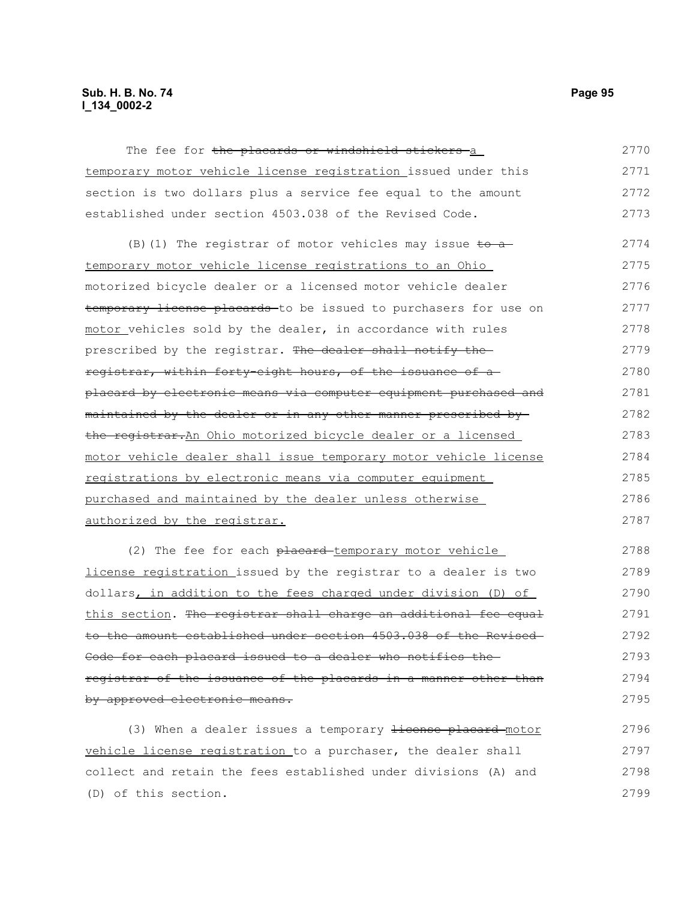## **Sub. H. B. No. 74** Page 95 **l\_134\_0002-2**

| The fee for the placards or windshield stickers a                     | 2770 |
|-----------------------------------------------------------------------|------|
| temporary motor vehicle license registration issued under this        | 2771 |
| section is two dollars plus a service fee equal to the amount         | 2772 |
| established under section 4503.038 of the Revised Code.               | 2773 |
| (B) (1) The registrar of motor vehicles may issue $\pm \circ -$       | 2774 |
| temporary motor vehicle license registrations to an Ohio              | 2775 |
| motorized bicycle dealer or a licensed motor vehicle dealer           | 2776 |
| temporary license placards to be issued to purchasers for use on      | 2777 |
| motor vehicles sold by the dealer, in accordance with rules           | 2778 |
| prescribed by the registrar. The dealer shall notify the              | 2779 |
| registrar, within forty-eight hours, of the issuance of a             | 2780 |
| placard by electronic means via computer equipment purchased and      | 2781 |
| maintained by the dealer or in any other manner prescribed by         | 2782 |
| the registrar. An Ohio motorized bicycle dealer or a licensed         | 2783 |
| motor vehicle dealer shall issue temporary motor vehicle license      | 2784 |
| registrations by electronic means via computer equipment              | 2785 |
| purchased and maintained by the dealer unless otherwise               | 2786 |
| authorized by the registrar.                                          | 2787 |
| (2) The fee for each placard-temporary motor vehicle                  | 2788 |
| license registration issued by the registrar to a dealer is two       | 2789 |
| dollars, in addition to the fees charged under division (D) of        | 2790 |
| this section. The registrar shall charge an additional fee equal      | 2791 |
| to the amount established under section 4503.038 of the Revised       | 2792 |
| Code for each placard issued to a dealer who notifies the-            | 2793 |
| registrar of the issuance of the placards in a manner other than      | 2794 |
| by approved electronic means.                                         | 2795 |
| (3) When a dealer issues a temporary <del>license placard motor</del> | 2796 |
| vehicle license registration to a purchaser, the dealer shall         | 2797 |
| collect and retain the fees established under divisions (A) and       | 2798 |

(D) of this section.

2799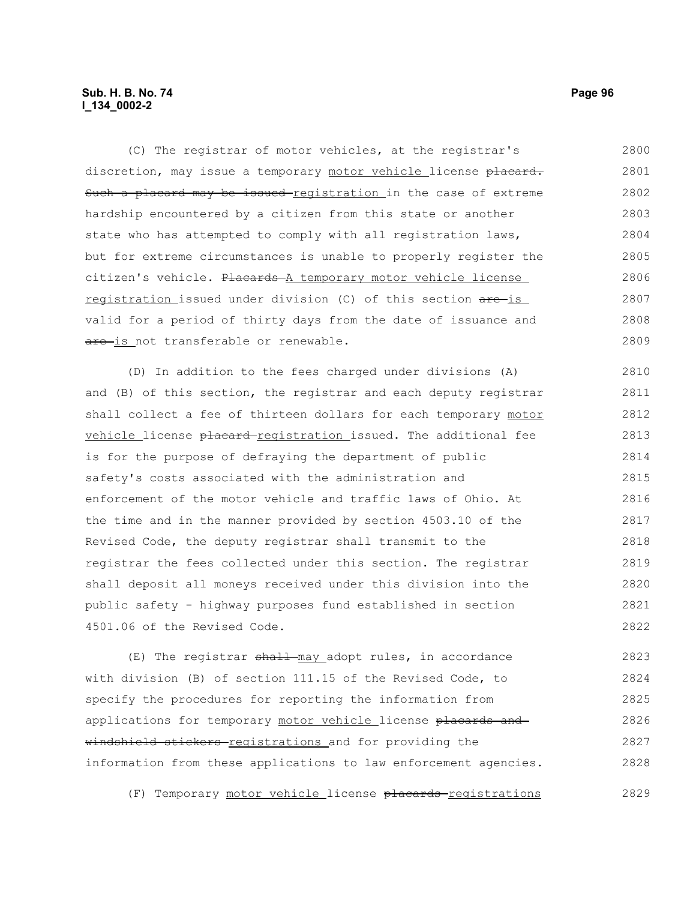### **Sub. H. B. No. 74 Page 96 l\_134\_0002-2**

(C) The registrar of motor vehicles, at the registrar's discretion, may issue a temporary motor vehicle license placard. Such a placard may be issued registration in the case of extreme hardship encountered by a citizen from this state or another state who has attempted to comply with all registration laws, but for extreme circumstances is unable to properly register the citizen's vehicle. Placards-A temporary motor vehicle license registration issued under division (C) of this section are is valid for a period of thirty days from the date of issuance and are-is not transferable or renewable. 2800 2801 2802 2803 2804 2805 2806 2807 2808 2809

(D) In addition to the fees charged under divisions (A) and (B) of this section, the registrar and each deputy registrar shall collect a fee of thirteen dollars for each temporary motor vehicle license placard registration issued. The additional fee is for the purpose of defraying the department of public safety's costs associated with the administration and enforcement of the motor vehicle and traffic laws of Ohio. At the time and in the manner provided by section 4503.10 of the Revised Code, the deputy registrar shall transmit to the registrar the fees collected under this section. The registrar shall deposit all moneys received under this division into the public safety - highway purposes fund established in section 4501.06 of the Revised Code. 2810 2811 2812 2813 2814 2815 2816 2817 2818 2819 2820 2821 2822

(E) The registrar shall may adopt rules, in accordance with division (B) of section 111.15 of the Revised Code, to specify the procedures for reporting the information from applications for temporary motor vehicle license placards and windshield stickers registrations and for providing the information from these applications to law enforcement agencies. 2823 2824 2825 2826 2827 2828

(F) Temporary motor vehicle license placards-registrations 2829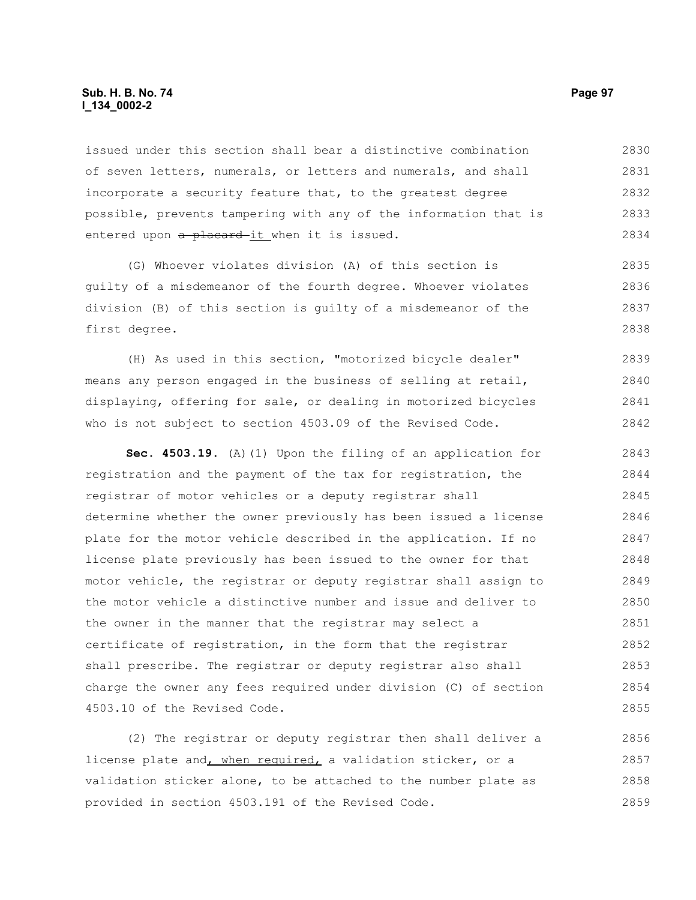#### **Sub. H. B. No. 74 Page 97 l\_134\_0002-2**

issued under this section shall bear a distinctive combination of seven letters, numerals, or letters and numerals, and shall incorporate a security feature that, to the greatest degree possible, prevents tampering with any of the information that is entered upon a placard it when it is issued. 2830 2831 2832 2833 2834

(G) Whoever violates division (A) of this section is guilty of a misdemeanor of the fourth degree. Whoever violates division (B) of this section is guilty of a misdemeanor of the first degree. 2835 2836 2837 2838

(H) As used in this section, "motorized bicycle dealer" means any person engaged in the business of selling at retail, displaying, offering for sale, or dealing in motorized bicycles who is not subject to section 4503.09 of the Revised Code. 2839 2840 2841 2842

**Sec. 4503.19.** (A)(1) Upon the filing of an application for registration and the payment of the tax for registration, the registrar of motor vehicles or a deputy registrar shall determine whether the owner previously has been issued a license plate for the motor vehicle described in the application. If no license plate previously has been issued to the owner for that motor vehicle, the registrar or deputy registrar shall assign to the motor vehicle a distinctive number and issue and deliver to the owner in the manner that the registrar may select a certificate of registration, in the form that the registrar shall prescribe. The registrar or deputy registrar also shall charge the owner any fees required under division (C) of section 4503.10 of the Revised Code. 2843 2844 2845 2846 2847 2848 2849 2850 2851 2852 2853 2854 2855

(2) The registrar or deputy registrar then shall deliver a license plate and, when required, a validation sticker, or a validation sticker alone, to be attached to the number plate as provided in section 4503.191 of the Revised Code. 2856 2857 2858 2859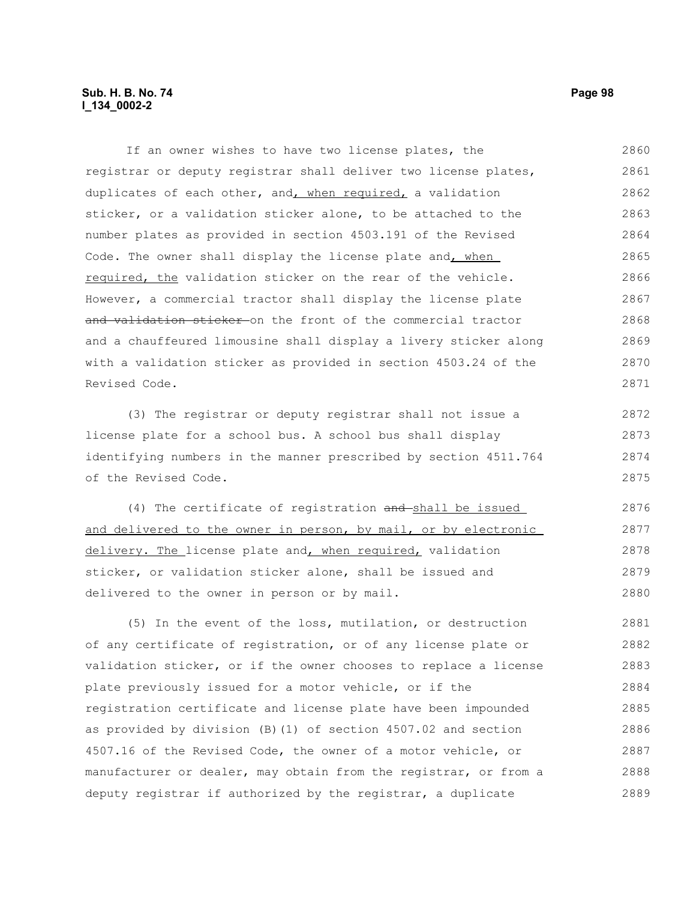#### **Sub. H. B. No. 74 Page 98 l\_134\_0002-2**

If an owner wishes to have two license plates, the registrar or deputy registrar shall deliver two license plates, duplicates of each other, and, when required, a validation sticker, or a validation sticker alone, to be attached to the number plates as provided in section 4503.191 of the Revised Code. The owner shall display the license plate and, when required, the validation sticker on the rear of the vehicle. However, a commercial tractor shall display the license plate and validation sticker on the front of the commercial tractor and a chauffeured limousine shall display a livery sticker along with a validation sticker as provided in section 4503.24 of the Revised Code. 2860 2861 2862 2863 2864 2865 2866 2867 2868 2869 2870 2871

(3) The registrar or deputy registrar shall not issue a license plate for a school bus. A school bus shall display identifying numbers in the manner prescribed by section 4511.764 of the Revised Code. 2872 2873 2874 2875

(4) The certificate of registration and shall be issued and delivered to the owner in person, by mail, or by electronic delivery. The license plate and, when required, validation sticker, or validation sticker alone, shall be issued and delivered to the owner in person or by mail. 2876 2877 2878 2879 2880

(5) In the event of the loss, mutilation, or destruction of any certificate of registration, or of any license plate or validation sticker, or if the owner chooses to replace a license plate previously issued for a motor vehicle, or if the registration certificate and license plate have been impounded as provided by division (B)(1) of section 4507.02 and section 4507.16 of the Revised Code, the owner of a motor vehicle, or manufacturer or dealer, may obtain from the registrar, or from a deputy registrar if authorized by the registrar, a duplicate 2881 2882 2883 2884 2885 2886 2887 2888 2889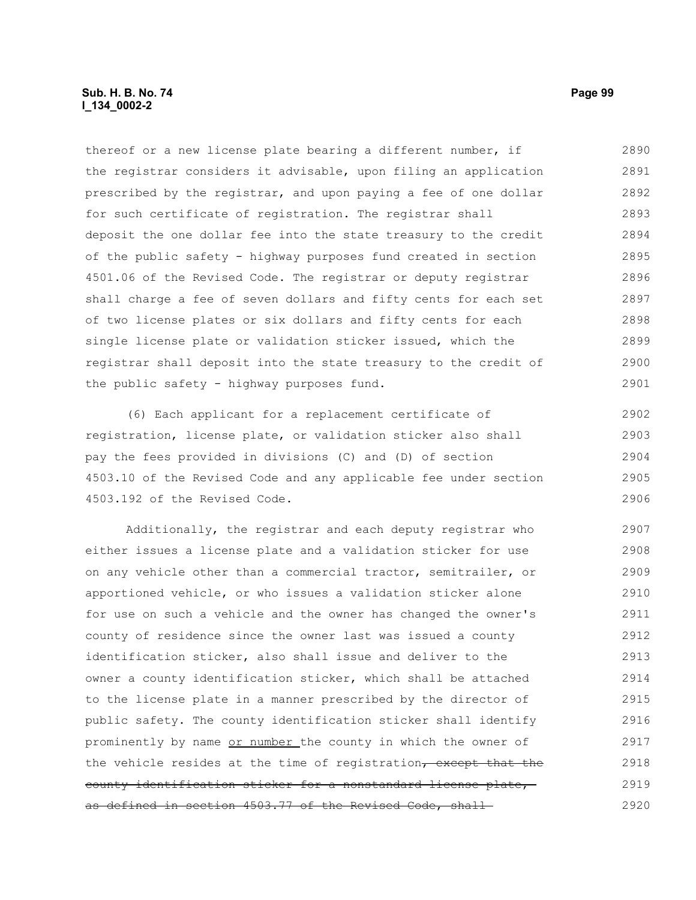### **Sub. H. B. No. 74 Page 99 l\_134\_0002-2**

thereof or a new license plate bearing a different number, if the registrar considers it advisable, upon filing an application prescribed by the registrar, and upon paying a fee of one dollar for such certificate of registration. The registrar shall deposit the one dollar fee into the state treasury to the credit of the public safety - highway purposes fund created in section 4501.06 of the Revised Code. The registrar or deputy registrar shall charge a fee of seven dollars and fifty cents for each set of two license plates or six dollars and fifty cents for each single license plate or validation sticker issued, which the registrar shall deposit into the state treasury to the credit of the public safety - highway purposes fund. 2890 2891 2892 2893 2894 2895 2896 2897 2898 2899 2900 2901

(6) Each applicant for a replacement certificate of registration, license plate, or validation sticker also shall pay the fees provided in divisions (C) and (D) of section 4503.10 of the Revised Code and any applicable fee under section 4503.192 of the Revised Code.

Additionally, the registrar and each deputy registrar who either issues a license plate and a validation sticker for use on any vehicle other than a commercial tractor, semitrailer, or apportioned vehicle, or who issues a validation sticker alone for use on such a vehicle and the owner has changed the owner's county of residence since the owner last was issued a county identification sticker, also shall issue and deliver to the owner a county identification sticker, which shall be attached to the license plate in a manner prescribed by the director of public safety. The county identification sticker shall identify prominently by name or number the county in which the owner of the vehicle resides at the time of registration, except that the county identification sticker for a nonstandard license plate, as defined in section 4503.77 of the Revised Code, shall 2907 2908 2909 2910 2911 2912 2913 2914 2915 2916 2917 2918 2919 2920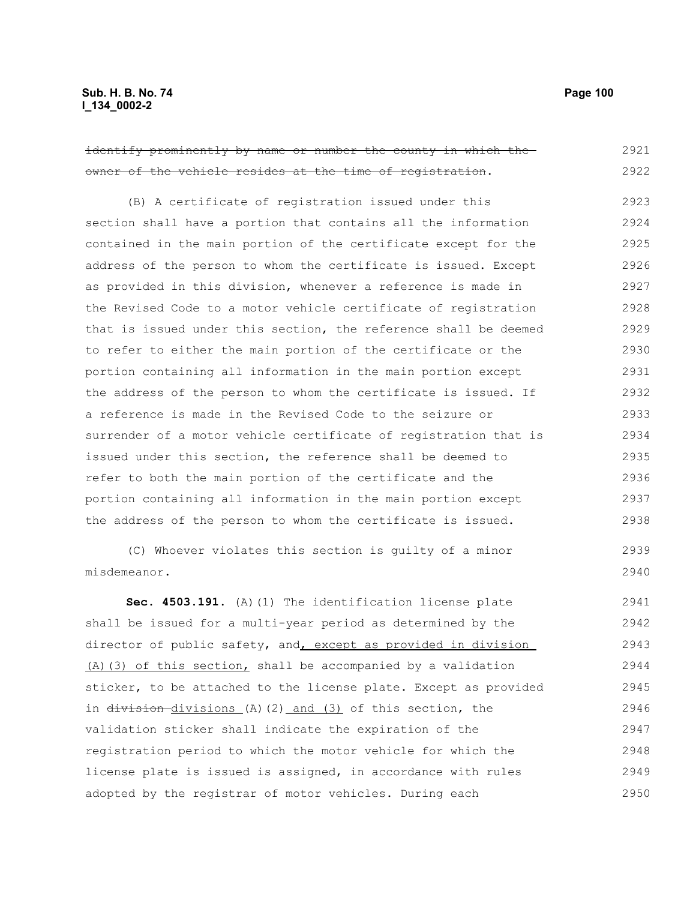| identify prominently by name or number the county in which the   | 2921 |
|------------------------------------------------------------------|------|
| owner of the vehicle resides at the time of registration.        | 2922 |
| (B) A certificate of registration issued under this              | 2923 |
| section shall have a portion that contains all the information   | 2924 |
| contained in the main portion of the certificate except for the  | 2925 |
| address of the person to whom the certificate is issued. Except  | 2926 |
| as provided in this division, whenever a reference is made in    | 2927 |
| the Revised Code to a motor vehicle certificate of registration  | 2928 |
| that is issued under this section, the reference shall be deemed | 2929 |
| to refer to either the main portion of the certificate or the    | 2930 |
| portion containing all information in the main portion except    | 2931 |
| the address of the person to whom the certificate is issued. If  | 2932 |
| a reference is made in the Revised Code to the seizure or        | 2933 |
| surrender of a motor vehicle certificate of registration that is | 2934 |
| issued under this section, the reference shall be deemed to      | 2935 |
| refer to both the main portion of the certificate and the        | 2936 |
| portion containing all information in the main portion except    | 2937 |
| the address of the person to whom the certificate is issued.     | 2938 |
| (C) Whoever violates this section is quilty of a minor           | 2939 |
| misdemeanor.                                                     | 2940 |
| Sec. 4503.191. (A) (1) The identification license plate          | 2941 |
| shall be issued for a multi-year period as determined by the     | 2942 |
| director of public safety, and, except as provided in division   | 2943 |
| (A) (3) of this section, shall be accompanied by a validation    | 2944 |
| sticker, to be attached to the license plate. Except as provided | 2945 |
| in division-divisions (A) (2) and (3) of this section, the       | 2946 |
| validation sticker shall indicate the expiration of the          | 2947 |
| registration period to which the motor vehicle for which the     | 2948 |
| license plate is issued is assigned, in accordance with rules    | 2949 |
| adopted by the registrar of motor vehicles. During each          | 2950 |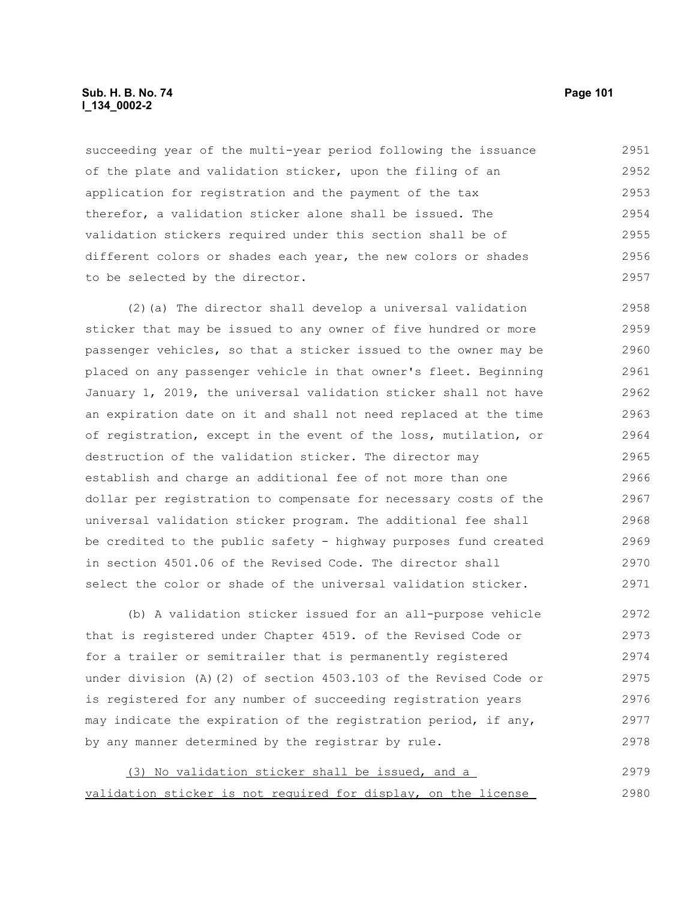#### **Sub. H. B. No. 74** Page 101 **l\_134\_0002-2**

succeeding year of the multi-year period following the issuance of the plate and validation sticker, upon the filing of an application for registration and the payment of the tax therefor, a validation sticker alone shall be issued. The validation stickers required under this section shall be of different colors or shades each year, the new colors or shades to be selected by the director. 2951 2952 2953 2954 2955 2956 2957

(2)(a) The director shall develop a universal validation sticker that may be issued to any owner of five hundred or more passenger vehicles, so that a sticker issued to the owner may be placed on any passenger vehicle in that owner's fleet. Beginning January 1, 2019, the universal validation sticker shall not have an expiration date on it and shall not need replaced at the time of registration, except in the event of the loss, mutilation, or destruction of the validation sticker. The director may establish and charge an additional fee of not more than one dollar per registration to compensate for necessary costs of the universal validation sticker program. The additional fee shall be credited to the public safety - highway purposes fund created in section 4501.06 of the Revised Code. The director shall select the color or shade of the universal validation sticker. 2958 2959 2960 2961 2962 2963 2964 2965 2966 2967 2968 2969 2970 2971

(b) A validation sticker issued for an all-purpose vehicle that is registered under Chapter 4519. of the Revised Code or for a trailer or semitrailer that is permanently registered under division (A)(2) of section 4503.103 of the Revised Code or is registered for any number of succeeding registration years may indicate the expiration of the registration period, if any, by any manner determined by the registrar by rule. 2972 2973 2974 2975 2976 2977 2978

(3) No validation sticker shall be issued, and a validation sticker is not required for display, on the license 2979 2980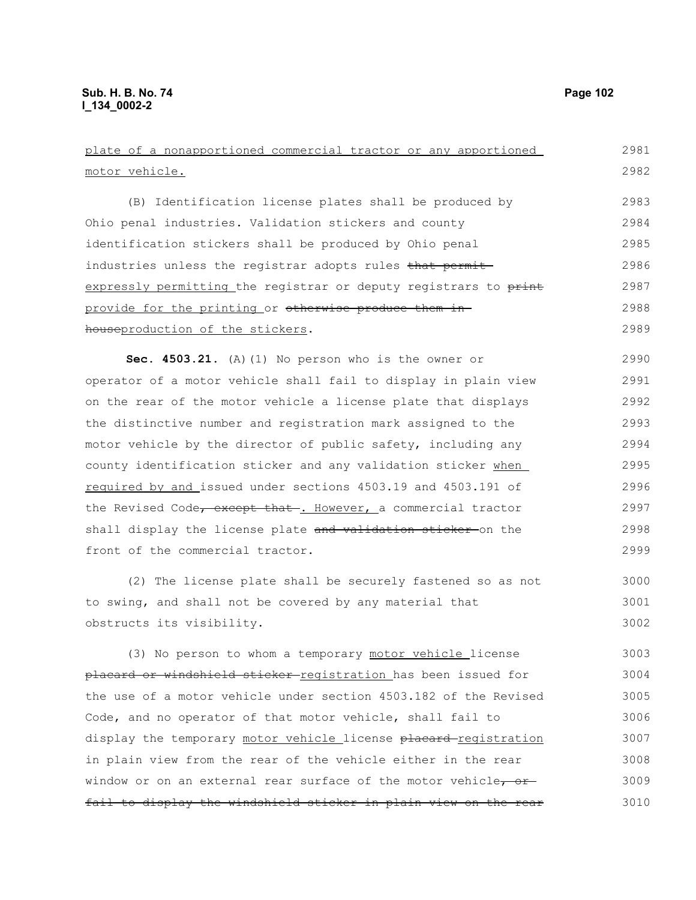3008

| plate of a nonapportioned commercial tractor or any apportioned  | 2981 |
|------------------------------------------------------------------|------|
| motor vehicle.                                                   | 2982 |
| (B) Identification license plates shall be produced by           | 2983 |
| Ohio penal industries. Validation stickers and county            | 2984 |
| identification stickers shall be produced by Ohio penal          | 2985 |
| industries unless the registrar adopts rules that permit         | 2986 |
| expressly permitting the registrar or deputy registrars to print | 2987 |
| provide for the printing or otherwise produce them in-           | 2988 |
| houseproduction of the stickers.                                 | 2989 |
| Sec. 4503.21. (A) (1) No person who is the owner or              | 2990 |
| operator of a motor vehicle shall fail to display in plain view  | 2991 |
| on the rear of the motor vehicle a license plate that displays   | 2992 |
| the distinctive number and registration mark assigned to the     | 2993 |
| motor vehicle by the director of public safety, including any    | 2994 |
| county identification sticker and any validation sticker when    | 2995 |
| required by and issued under sections 4503.19 and 4503.191 of    | 2996 |
| the Revised Code, except that . However, a commercial tractor    | 2997 |
| shall display the license plate and validation sticker-on the    | 2998 |
| front of the commercial tractor.                                 | 2999 |
| (2) The license plate shall be securely fastened so as not       | 3000 |
| to swing, and shall not be covered by any material that          | 3001 |
| obstructs its visibility.                                        | 3002 |
| (3) No person to whom a temporary motor vehicle license          | 3003 |
| placard or windshield sticker-registration has been issued for   | 3004 |
| the use of a motor vehicle under section 4503.182 of the Revised | 3005 |
| Code, and no operator of that motor vehicle, shall fail to       | 3006 |
| display the temporary motor vehicle_license placard-registration | 3007 |

window or on an external rear surface of the motor vehicle, or fail to display the windshield sticker in plain view on the rear 3009 3010

in plain view from the rear of the vehicle either in the rear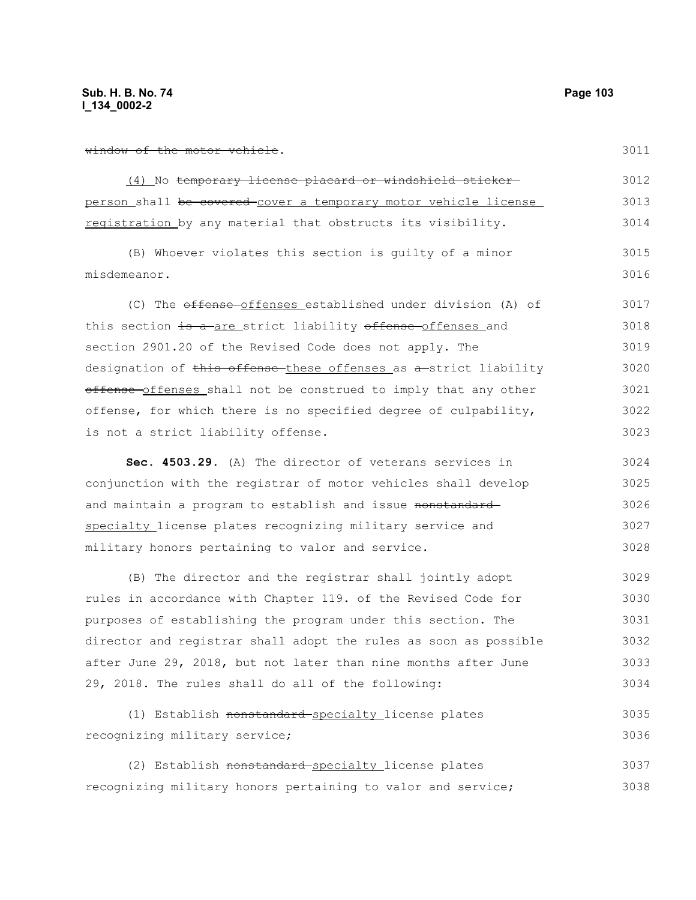| window of the motor vehicle.                                     | 3011 |
|------------------------------------------------------------------|------|
| (4) No temporary license placard or windshield sticker-          | 3012 |
| person_shall be covered-cover a temporary motor vehicle license  | 3013 |
| registration by any material that obstructs its visibility.      | 3014 |
| (B) Whoever violates this section is quilty of a minor           | 3015 |
| misdemeanor.                                                     | 3016 |
| (C) The offense-offenses established under division (A) of       | 3017 |
| this section is a are strict liability offense offenses and      | 3018 |
| section 2901.20 of the Revised Code does not apply. The          | 3019 |
| designation of this offense-these offenses as a-strict liability | 3020 |
| offense-offenses shall not be construed to imply that any other  | 3021 |
| offense, for which there is no specified degree of culpability,  | 3022 |
| is not a strict liability offense.                               | 3023 |
| Sec. 4503.29. (A) The director of veterans services in           | 3024 |
| conjunction with the registrar of motor vehicles shall develop   | 3025 |
| and maintain a program to establish and issue nonstandard        | 3026 |
| specialty license plates recognizing military service and        | 3027 |
| military honors pertaining to valor and service.                 | 3028 |
| (B) The director and the registrar shall jointly adopt           | 3029 |
| rules in accordance with Chapter 119. of the Revised Code for    | 3030 |
| purposes of establishing the program under this section. The     | 3031 |
| director and registrar shall adopt the rules as soon as possible | 3032 |
| after June 29, 2018, but not later than nine months after June   | 3033 |
| 29, 2018. The rules shall do all of the following:               | 3034 |
| (1) Establish nonstandard-specialty_license plates               | 3035 |
| recognizing military service;                                    | 3036 |
| (2) Establish nonstandard-specialty_license plates               | 3037 |

recognizing military honors pertaining to valor and service; 3038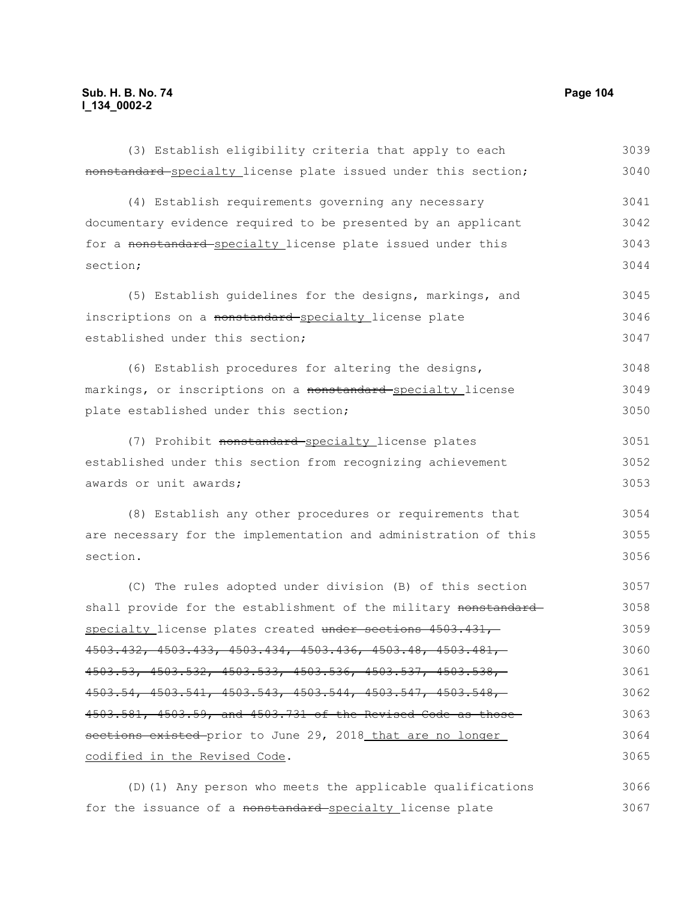(3) Establish eligibility criteria that apply to each nonstandard specialty license plate issued under this section; (4) Establish requirements governing any necessary documentary evidence required to be presented by an applicant for a nonstandard-specialty\_license plate issued under this section; (5) Establish guidelines for the designs, markings, and inscriptions on a nonstandard-specialty license plate established under this section; (6) Establish procedures for altering the designs, markings, or inscriptions on a nonstandard-specialty license plate established under this section; (7) Prohibit nonstandard specialty license plates established under this section from recognizing achievement awards or unit awards; (8) Establish any other procedures or requirements that are necessary for the implementation and administration of this section. (C) The rules adopted under division (B) of this section shall provide for the establishment of the military nonstandard specialty license plates created under sections 4503.431, 4503.432, 4503.433, 4503.434, 4503.436, 4503.48, 4503.481, 4503.53, 4503.532, 4503.533, 4503.536, 4503.537, 4503.538, 4503.54, 4503.541, 4503.543, 4503.544, 4503.547, 4503.548, 4503.581, 4503.59, and 4503.731 of the Revised Code as those sections existed prior to June 29, 2018 that are no longer codified in the Revised Code. (D)(1) Any person who meets the applicable qualifications 3039 3040 3041 3042 3043 3044 3045 3046 3047 3048 3049 3050 3051 3052 3053 3054 3055 3056 3057 3058 3059 3060 3061 3062 3063 3064 3065 3066

for the issuance of a nonstandard-specialty license plate 3067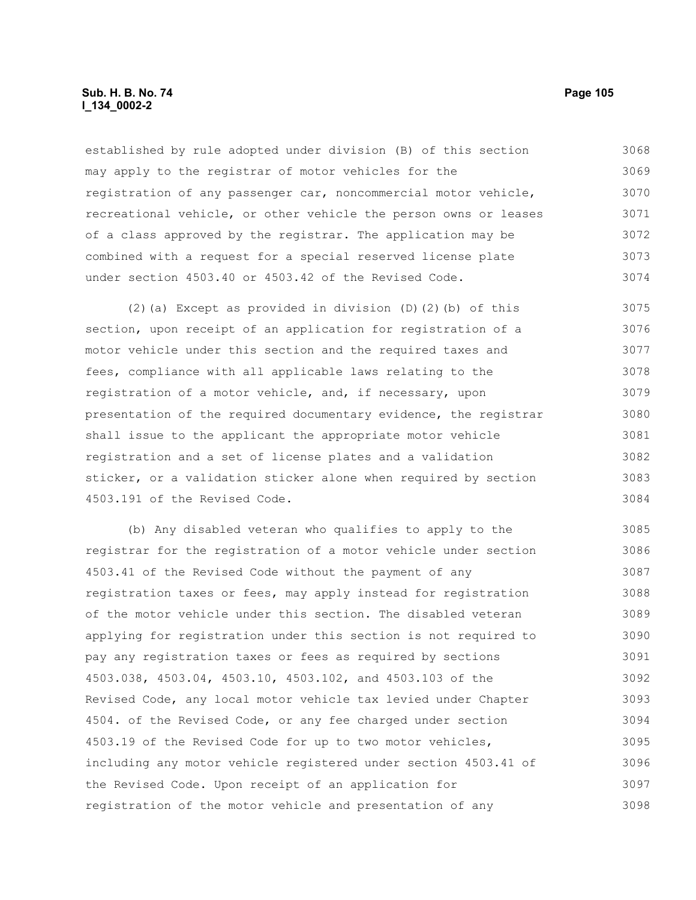#### **Sub. H. B. No. 74** Page 105 **l\_134\_0002-2**

established by rule adopted under division (B) of this section may apply to the registrar of motor vehicles for the registration of any passenger car, noncommercial motor vehicle, recreational vehicle, or other vehicle the person owns or leases of a class approved by the registrar. The application may be combined with a request for a special reserved license plate under section 4503.40 or 4503.42 of the Revised Code. 3068 3069 3070 3071 3072 3073 3074

(2)(a) Except as provided in division  $(D)(2)(b)$  of this section, upon receipt of an application for registration of a motor vehicle under this section and the required taxes and fees, compliance with all applicable laws relating to the registration of a motor vehicle, and, if necessary, upon presentation of the required documentary evidence, the registrar shall issue to the applicant the appropriate motor vehicle registration and a set of license plates and a validation sticker, or a validation sticker alone when required by section 4503.191 of the Revised Code. 3075 3076 3077 3078 3079 3080 3081 3082 3083 3084

(b) Any disabled veteran who qualifies to apply to the registrar for the registration of a motor vehicle under section 4503.41 of the Revised Code without the payment of any registration taxes or fees, may apply instead for registration of the motor vehicle under this section. The disabled veteran applying for registration under this section is not required to pay any registration taxes or fees as required by sections 4503.038, 4503.04, 4503.10, 4503.102, and 4503.103 of the Revised Code, any local motor vehicle tax levied under Chapter 4504. of the Revised Code, or any fee charged under section 4503.19 of the Revised Code for up to two motor vehicles, including any motor vehicle registered under section 4503.41 of the Revised Code. Upon receipt of an application for registration of the motor vehicle and presentation of any 3085 3086 3087 3088 3089 3090 3091 3092 3093 3094 3095 3096 3097 3098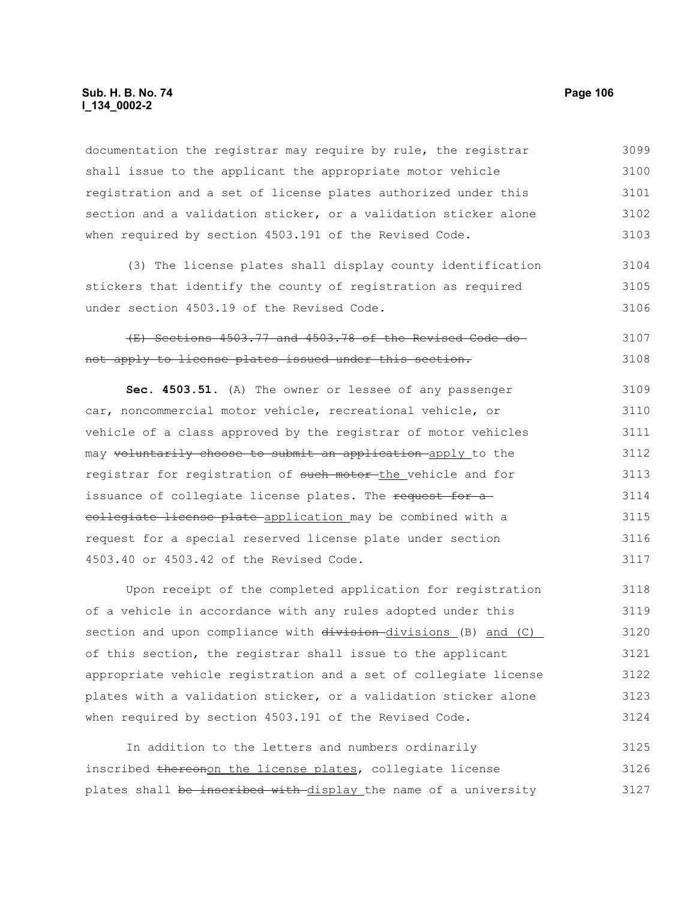#### **Sub. H. B. No. 74** Page 106 **l\_134\_0002-2**

documentation the registrar may require by rule, the registrar shall issue to the applicant the appropriate motor vehicle registration and a set of license plates authorized under this section and a validation sticker, or a validation sticker alone when required by section 4503.191 of the Revised Code. 3099 3100 3101 3102 3103

(3) The license plates shall display county identification stickers that identify the county of registration as required under section 4503.19 of the Revised Code. 3104 3105 3106

(E) Sections 4503.77 and 4503.78 of the Revised Code do not apply to license plates issued under this section. 3107 3108

**Sec. 4503.51.** (A) The owner or lessee of any passenger car, noncommercial motor vehicle, recreational vehicle, or vehicle of a class approved by the registrar of motor vehicles may voluntarily choose to submit an application apply to the registrar for registration of such motor-the vehicle and for issuance of collegiate license plates. The request for a collegiate license plate application may be combined with a request for a special reserved license plate under section 4503.40 or 4503.42 of the Revised Code. 3109 3110 3111 3112 3113 3114 3115 3116 3117

Upon receipt of the completed application for registration of a vehicle in accordance with any rules adopted under this section and upon compliance with division-divisions (B) and (C) of this section, the registrar shall issue to the applicant appropriate vehicle registration and a set of collegiate license plates with a validation sticker, or a validation sticker alone when required by section 4503.191 of the Revised Code. 3118 3119 3120 3121 3122 3123 3124

In addition to the letters and numbers ordinarily inscribed thereonon the license plates, collegiate license plates shall be inscribed with display the name of a university 3125 3126 3127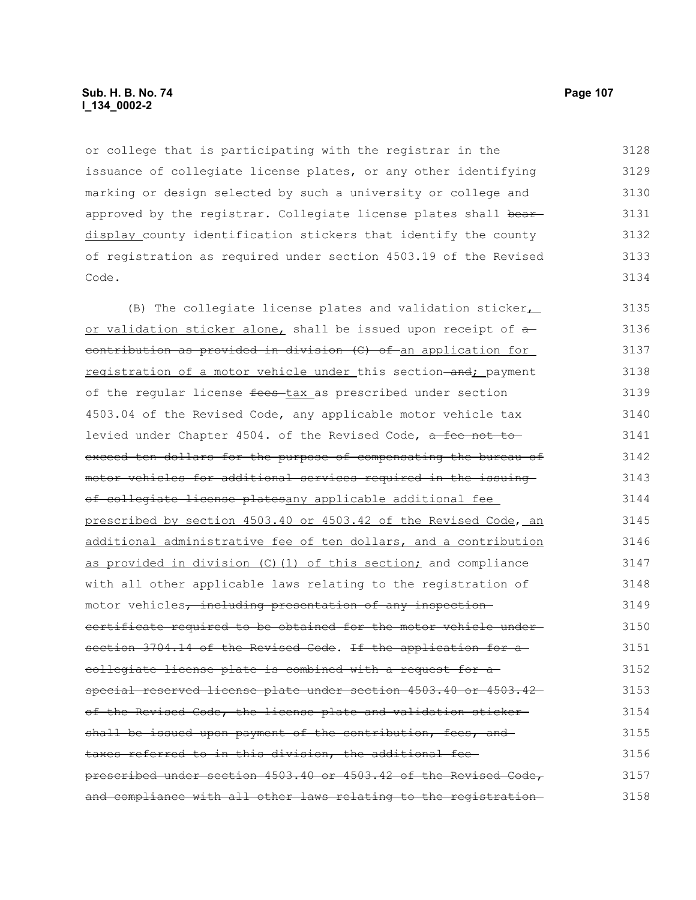### **Sub. H. B. No. 74 Page 107 l\_134\_0002-2**

or college that is participating with the registrar in the issuance of collegiate license plates, or any other identifying marking or design selected by such a university or college and approved by the registrar. Collegiate license plates shall beardisplay county identification stickers that identify the county of registration as required under section 4503.19 of the Revised Code. 3128 3129 3130 3131 3132 3133 3134

(B) The collegiate license plates and validation sticker, or validation sticker alone, shall be issued upon receipt of  $a$ contribution as provided in division (C) of an application for registration of a motor vehicle under this section-and; payment of the regular license fees-tax as prescribed under section 4503.04 of the Revised Code, any applicable motor vehicle tax levied under Chapter 4504. of the Revised Code, a fee not to exceed ten dollars for the purpose of compensating the bureau of motor vehicles for additional services required in the issuing of collegiate license platesany applicable additional fee prescribed by section 4503.40 or 4503.42 of the Revised Code, an additional administrative fee of ten dollars, and a contribution as provided in division (C)(1) of this section; and compliance with all other applicable laws relating to the registration of motor vehicles, including presentation of any inspectioncertificate required to be obtained for the motor vehicle under section 3704.14 of the Revised Code. If the application for a collegiate license plate is combined with a request for a special reserved license plate under section 4503.40 or 4503.42 of the Revised Code, the license plate and validation sticker shall be issued upon payment of the contribution, fees, and taxes referred to in this division, the additional fee prescribed under section 4503.40 or 4503.42 of the Revised Code, and compliance with all other laws relating to the registration 3135 3136 3137 3138 3139 3140 3141 3142 3143 3144 3145 3146 3147 3148 3149 3150 3151 3152 3153 3154 3155 3156 3157 3158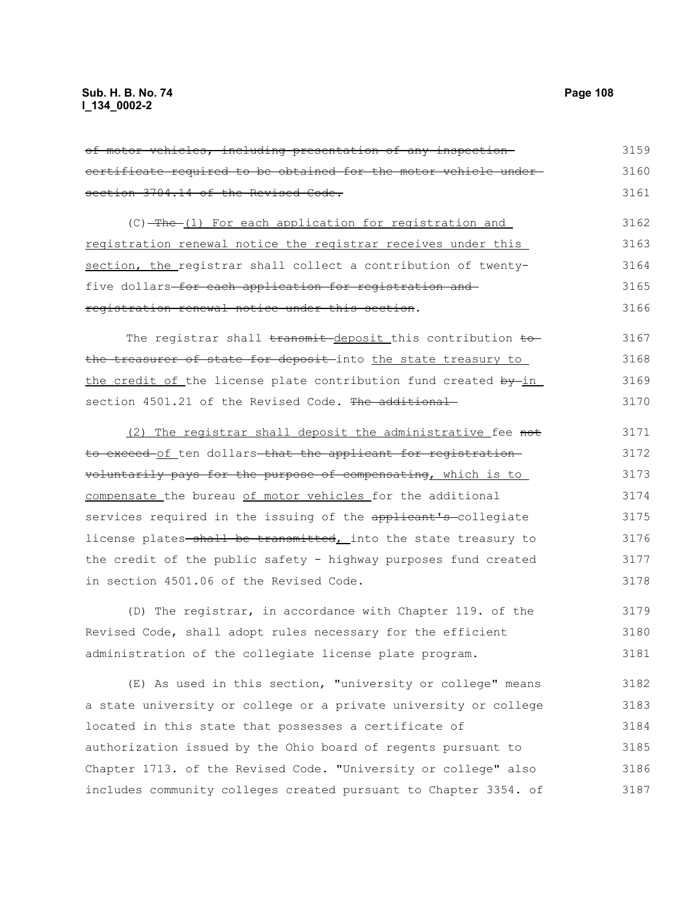#### **Sub. H. B. No. 74 Page 108 l\_134\_0002-2**

| of motor vehicles, including presentation of any inspection-                           | 3159 |
|----------------------------------------------------------------------------------------|------|
| certificate required to be obtained for the motor vehicle under-                       | 3160 |
| section 3704.14 of the Revised Code.                                                   | 3161 |
| (C)-The-(1) For each application for registration and                                  | 3162 |
| registration renewal notice the registrar receives under this                          | 3163 |
| section, the registrar shall collect a contribution of twenty-                         | 3164 |
| five dollars for each application for registration and                                 | 3165 |
| registration renewal notice under this section.                                        | 3166 |
| The registrar shall transmit-deposit this contribution to                              | 3167 |
| the treasurer of state for deposit-into the state treasury to                          | 3168 |
| the credit of the license plate contribution fund created by-in                        | 3169 |
| section 4501.21 of the Revised Code. The additional                                    | 3170 |
| (2) The registrar shall deposit the administrative fee not                             | 3171 |
| <del>to exceed </del> of ten dollars <del> that the applicant for registration -</del> | 3172 |
| <u>voluntarily pays for the purpose of compensating, which is to </u>                  | 3173 |
| compensate the bureau of motor vehicles for the additional                             | 3174 |
| services required in the issuing of the applicant's-collegiate                         | 3175 |
| license plates <del>-shall be transmitted</del> into the state treasury to             | 3176 |
| the credit of the public safety - highway purposes fund created                        | 3177 |
| in section 4501.06 of the Revised Code.                                                | 3178 |
| (D) The registrar, in accordance with Chapter 119. of the                              | 3179 |
| Revised Code, shall adopt rules necessary for the efficient                            | 3180 |
| administration of the collegiate license plate program.                                | 3181 |
| (E) As used in this section, "university or college" means                             | 3182 |
| a state university or college or a private university or college                       | 3183 |
| located in this state that possesses a certificate of                                  | 3184 |
| authorization issued by the Ohio board of regents pursuant to                          | 3185 |
| Chapter 1713. of the Revised Code. "University or college" also                        | 3186 |
| includes community colleges created pursuant to Chapter 3354. of                       | 3187 |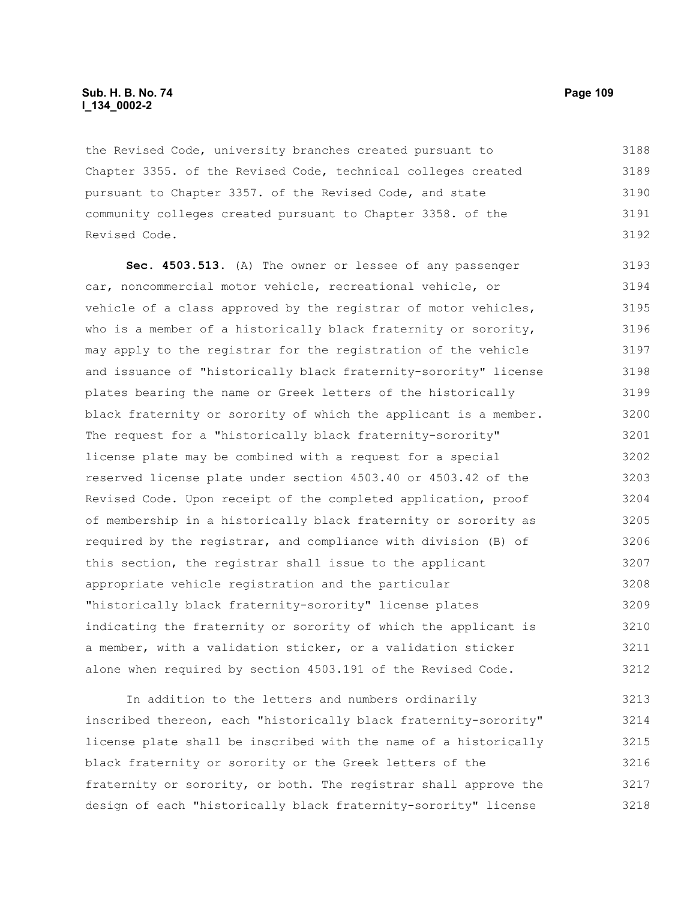## **Sub. H. B. No. 74** Page 109 **l\_134\_0002-2**

the Revised Code, university branches created pursuant to Chapter 3355. of the Revised Code, technical colleges created pursuant to Chapter 3357. of the Revised Code, and state community colleges created pursuant to Chapter 3358. of the Revised Code. 3188 3189 3190 3191 3192

**Sec. 4503.513.** (A) The owner or lessee of any passenger car, noncommercial motor vehicle, recreational vehicle, or vehicle of a class approved by the registrar of motor vehicles, who is a member of a historically black fraternity or sorority, may apply to the registrar for the registration of the vehicle and issuance of "historically black fraternity-sorority" license plates bearing the name or Greek letters of the historically black fraternity or sorority of which the applicant is a member. The request for a "historically black fraternity-sorority" license plate may be combined with a request for a special reserved license plate under section 4503.40 or 4503.42 of the Revised Code. Upon receipt of the completed application, proof of membership in a historically black fraternity or sorority as required by the registrar, and compliance with division (B) of this section, the registrar shall issue to the applicant appropriate vehicle registration and the particular "historically black fraternity-sorority" license plates indicating the fraternity or sorority of which the applicant is a member, with a validation sticker, or a validation sticker alone when required by section 4503.191 of the Revised Code. 3193 3194 3195 3196 3197 3198 3199 3200 3201 3202 3203 3204 3205 3206 3207 3208 3209 3210 3211 3212

In addition to the letters and numbers ordinarily inscribed thereon, each "historically black fraternity-sorority" license plate shall be inscribed with the name of a historically black fraternity or sorority or the Greek letters of the fraternity or sorority, or both. The registrar shall approve the design of each "historically black fraternity-sorority" license 3213 3214 3215 3216 3217 3218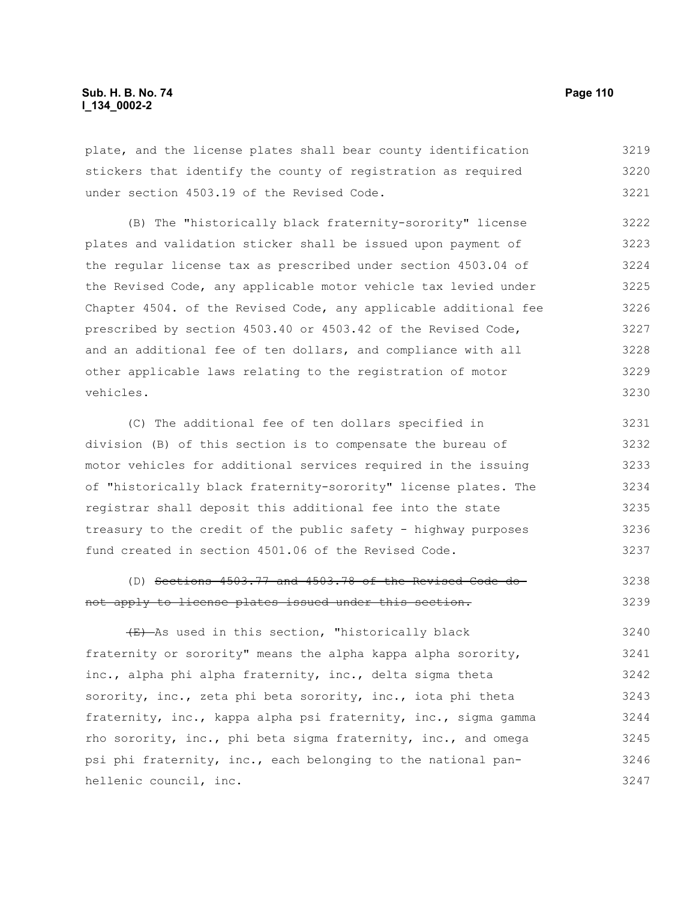# **Sub. H. B. No. 74** Page 110 **l\_134\_0002-2**

plate, and the license plates shall bear county identification stickers that identify the county of registration as required under section 4503.19 of the Revised Code. 3219 3220 3221

(B) The "historically black fraternity-sorority" license plates and validation sticker shall be issued upon payment of the regular license tax as prescribed under section 4503.04 of the Revised Code, any applicable motor vehicle tax levied under Chapter 4504. of the Revised Code, any applicable additional fee prescribed by section 4503.40 or 4503.42 of the Revised Code, and an additional fee of ten dollars, and compliance with all other applicable laws relating to the registration of motor vehicles. 3222 3223 3224 3225 3226 3227 3228 3229 3230

(C) The additional fee of ten dollars specified in division (B) of this section is to compensate the bureau of motor vehicles for additional services required in the issuing of "historically black fraternity-sorority" license plates. The registrar shall deposit this additional fee into the state treasury to the credit of the public safety - highway purposes fund created in section 4501.06 of the Revised Code. 3231 3232 3233 3234 3235 3236 3237

#### (D) Sections 4503.77 and 4503.78 of the Revised Code do not apply to license plates issued under this section. 3238 3239

(E) As used in this section, "historically black fraternity or sorority" means the alpha kappa alpha sorority, inc., alpha phi alpha fraternity, inc., delta sigma theta sorority, inc., zeta phi beta sorority, inc., iota phi theta fraternity, inc., kappa alpha psi fraternity, inc., sigma gamma rho sorority, inc., phi beta sigma fraternity, inc., and omega psi phi fraternity, inc., each belonging to the national panhellenic council, inc. 3240 3241 3242 3243 3244 3245 3246 3247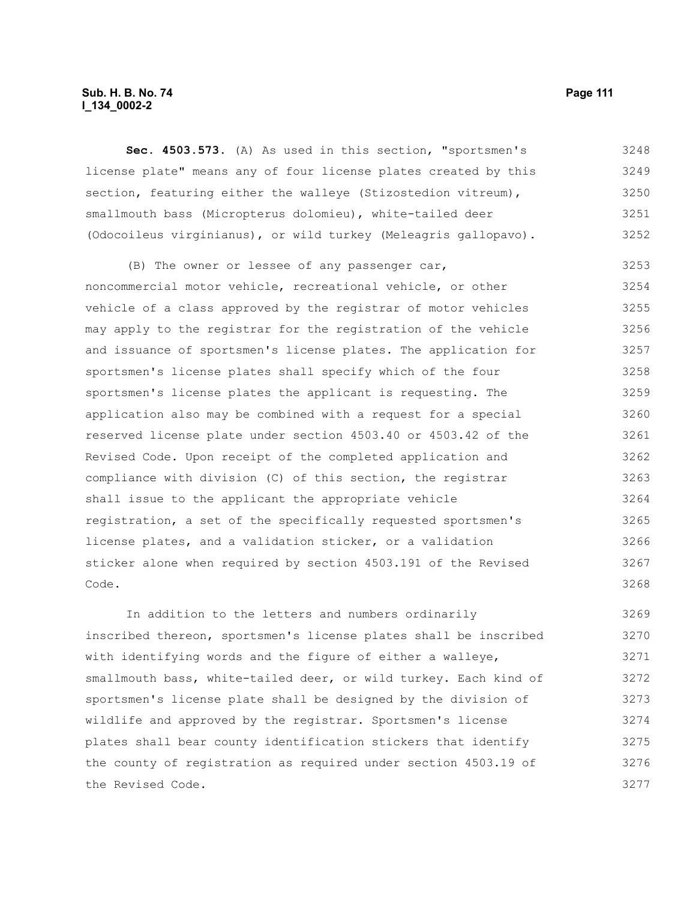## **Sub. H. B. No. 74** Page 111 **l\_134\_0002-2**

**Sec. 4503.573.** (A) As used in this section, "sportsmen's license plate" means any of four license plates created by this section, featuring either the walleye (Stizostedion vitreum), smallmouth bass (Micropterus dolomieu), white-tailed deer (Odocoileus virginianus), or wild turkey (Meleagris gallopavo). 3248 3249 3250 3251 3252

(B) The owner or lessee of any passenger car, noncommercial motor vehicle, recreational vehicle, or other vehicle of a class approved by the registrar of motor vehicles may apply to the registrar for the registration of the vehicle and issuance of sportsmen's license plates. The application for sportsmen's license plates shall specify which of the four sportsmen's license plates the applicant is requesting. The application also may be combined with a request for a special reserved license plate under section 4503.40 or 4503.42 of the Revised Code. Upon receipt of the completed application and compliance with division (C) of this section, the registrar shall issue to the applicant the appropriate vehicle registration, a set of the specifically requested sportsmen's license plates, and a validation sticker, or a validation sticker alone when required by section 4503.191 of the Revised Code. 3253 3254 3255 3256 3257 3258 3259 3260 3261 3262 3263 3264 3265 3266 3267 3268

In addition to the letters and numbers ordinarily inscribed thereon, sportsmen's license plates shall be inscribed with identifying words and the figure of either a walleye, smallmouth bass, white-tailed deer, or wild turkey. Each kind of sportsmen's license plate shall be designed by the division of wildlife and approved by the registrar. Sportsmen's license plates shall bear county identification stickers that identify the county of registration as required under section 4503.19 of the Revised Code. 3269 3270 3271 3272 3273 3274 3275 3276 3277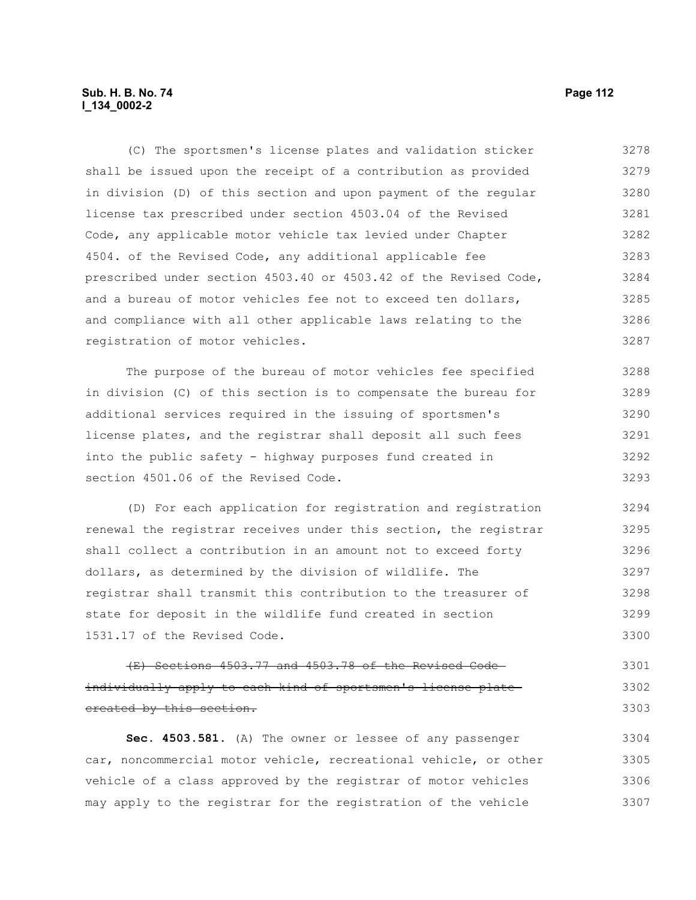# **Sub. H. B. No. 74** Page 112 **l\_134\_0002-2**

(C) The sportsmen's license plates and validation sticker shall be issued upon the receipt of a contribution as provided in division (D) of this section and upon payment of the regular license tax prescribed under section 4503.04 of the Revised Code, any applicable motor vehicle tax levied under Chapter 4504. of the Revised Code, any additional applicable fee prescribed under section 4503.40 or 4503.42 of the Revised Code, and a bureau of motor vehicles fee not to exceed ten dollars, and compliance with all other applicable laws relating to the registration of motor vehicles. 3278 3279 3280 3281 3282 3283 3284 3285 3286 3287

The purpose of the bureau of motor vehicles fee specified in division (C) of this section is to compensate the bureau for additional services required in the issuing of sportsmen's license plates, and the registrar shall deposit all such fees into the public safety - highway purposes fund created in section 4501.06 of the Revised Code. 3288 3289 3290 3291 3292 3293

(D) For each application for registration and registration renewal the registrar receives under this section, the registrar shall collect a contribution in an amount not to exceed forty dollars, as determined by the division of wildlife. The registrar shall transmit this contribution to the treasurer of state for deposit in the wildlife fund created in section 1531.17 of the Revised Code. 3294 3295 3296 3297 3298 3299 3300

(E) Sections 4503.77 and 4503.78 of the Revised Code individually apply to each kind of sportsmen's license plate created by this section. 3301 3302 3303

**Sec. 4503.581.** (A) The owner or lessee of any passenger car, noncommercial motor vehicle, recreational vehicle, or other vehicle of a class approved by the registrar of motor vehicles may apply to the registrar for the registration of the vehicle 3304 3305 3306 3307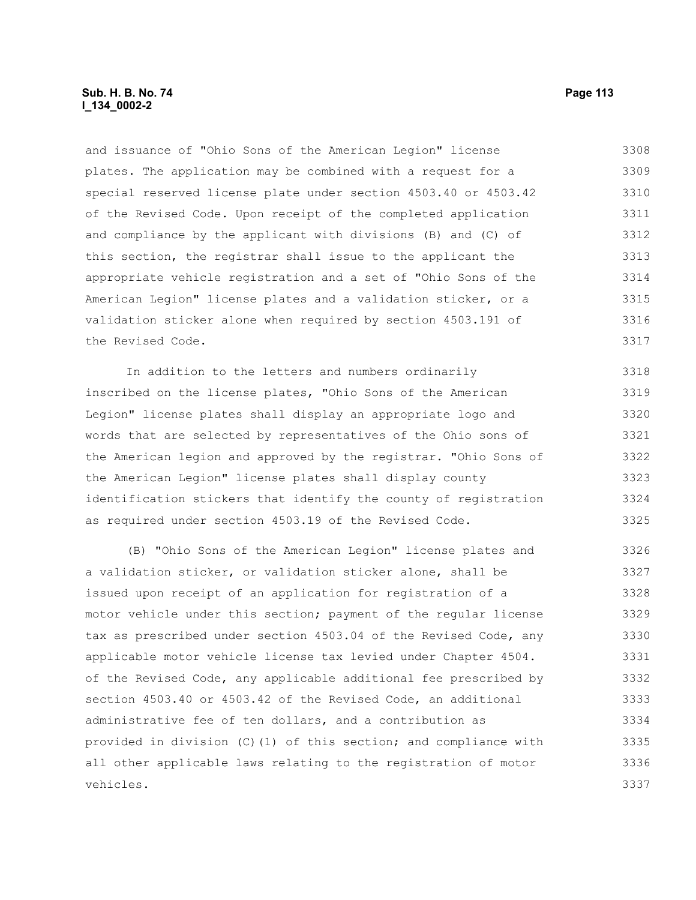# **Sub. H. B. No. 74** Page 113 **l\_134\_0002-2**

and issuance of "Ohio Sons of the American Legion" license plates. The application may be combined with a request for a special reserved license plate under section 4503.40 or 4503.42 of the Revised Code. Upon receipt of the completed application and compliance by the applicant with divisions (B) and (C) of this section, the registrar shall issue to the applicant the appropriate vehicle registration and a set of "Ohio Sons of the American Legion" license plates and a validation sticker, or a validation sticker alone when required by section 4503.191 of the Revised Code. 3308 3309 3310 3311 3312 3313 3314 3315 3316 3317

In addition to the letters and numbers ordinarily inscribed on the license plates, "Ohio Sons of the American Legion" license plates shall display an appropriate logo and words that are selected by representatives of the Ohio sons of the American legion and approved by the registrar. "Ohio Sons of the American Legion" license plates shall display county identification stickers that identify the county of registration as required under section 4503.19 of the Revised Code. 3318 3319 3320 3321 3322 3323 3324 3325

(B) "Ohio Sons of the American Legion" license plates and a validation sticker, or validation sticker alone, shall be issued upon receipt of an application for registration of a motor vehicle under this section; payment of the regular license tax as prescribed under section 4503.04 of the Revised Code, any applicable motor vehicle license tax levied under Chapter 4504. of the Revised Code, any applicable additional fee prescribed by section 4503.40 or 4503.42 of the Revised Code, an additional administrative fee of ten dollars, and a contribution as provided in division (C)(1) of this section; and compliance with all other applicable laws relating to the registration of motor vehicles. 3326 3327 3328 3329 3330 3331 3332 3333 3334 3335 3336 3337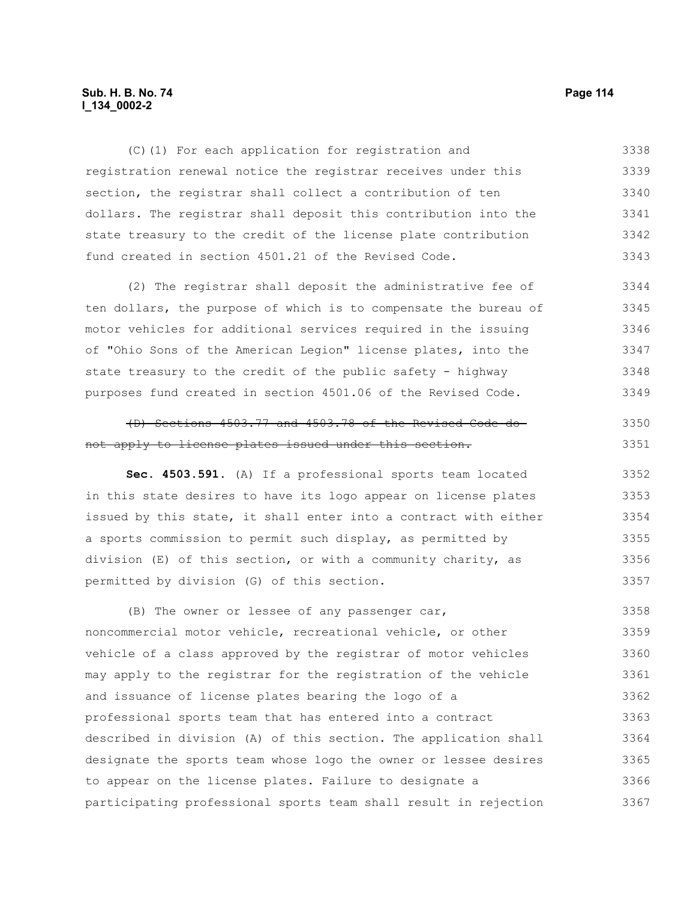## **Sub. H. B. No. 74** Page 114 **l\_134\_0002-2**

(C)(1) For each application for registration and registration renewal notice the registrar receives under this section, the registrar shall collect a contribution of ten dollars. The registrar shall deposit this contribution into the state treasury to the credit of the license plate contribution fund created in section 4501.21 of the Revised Code. 3338 3339 3340 3341 3342 3343

(2) The registrar shall deposit the administrative fee of ten dollars, the purpose of which is to compensate the bureau of motor vehicles for additional services required in the issuing of "Ohio Sons of the American Legion" license plates, into the state treasury to the credit of the public safety - highway purposes fund created in section 4501.06 of the Revised Code. 3344 3345 3346 3347 3348 3349

#### (D) Sections 4503.77 and 4503.78 of the Revised Code do not apply to license plates issued under this section. 3350 3351

**Sec. 4503.591.** (A) If a professional sports team located in this state desires to have its logo appear on license plates issued by this state, it shall enter into a contract with either a sports commission to permit such display, as permitted by division (E) of this section, or with a community charity, as permitted by division (G) of this section. 3352 3353 3354 3355 3356 3357

(B) The owner or lessee of any passenger car, noncommercial motor vehicle, recreational vehicle, or other vehicle of a class approved by the registrar of motor vehicles may apply to the registrar for the registration of the vehicle and issuance of license plates bearing the logo of a professional sports team that has entered into a contract described in division (A) of this section. The application shall designate the sports team whose logo the owner or lessee desires to appear on the license plates. Failure to designate a participating professional sports team shall result in rejection 3358 3359 3360 3361 3362 3363 3364 3365 3366 3367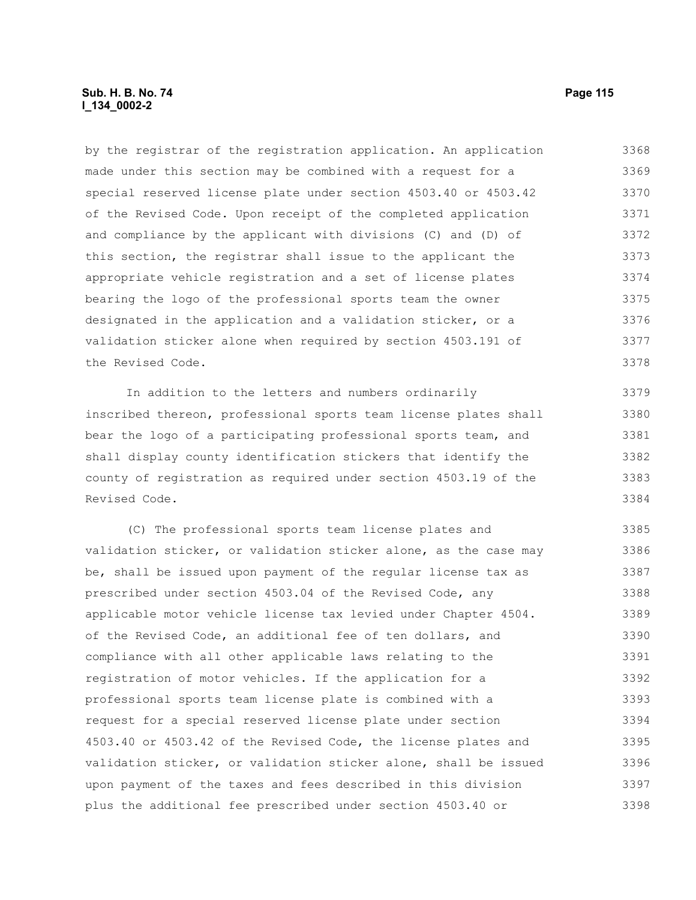# **Sub. H. B. No. 74** Page 115 **l\_134\_0002-2**

by the registrar of the registration application. An application made under this section may be combined with a request for a special reserved license plate under section 4503.40 or 4503.42 of the Revised Code. Upon receipt of the completed application and compliance by the applicant with divisions (C) and (D) of this section, the registrar shall issue to the applicant the appropriate vehicle registration and a set of license plates bearing the logo of the professional sports team the owner designated in the application and a validation sticker, or a validation sticker alone when required by section 4503.191 of the Revised Code. 3368 3369 3370 3371 3372 3373 3374 3375 3376 3377 3378

In addition to the letters and numbers ordinarily inscribed thereon, professional sports team license plates shall bear the logo of a participating professional sports team, and shall display county identification stickers that identify the county of registration as required under section 4503.19 of the Revised Code. 3379 3380 3381 3382 3383 3384

(C) The professional sports team license plates and validation sticker, or validation sticker alone, as the case may be, shall be issued upon payment of the regular license tax as prescribed under section 4503.04 of the Revised Code, any applicable motor vehicle license tax levied under Chapter 4504. of the Revised Code, an additional fee of ten dollars, and compliance with all other applicable laws relating to the registration of motor vehicles. If the application for a professional sports team license plate is combined with a request for a special reserved license plate under section 4503.40 or 4503.42 of the Revised Code, the license plates and validation sticker, or validation sticker alone, shall be issued upon payment of the taxes and fees described in this division plus the additional fee prescribed under section 4503.40 or 3385 3386 3387 3388 3389 3390 3391 3392 3393 3394 3395 3396 3397 3398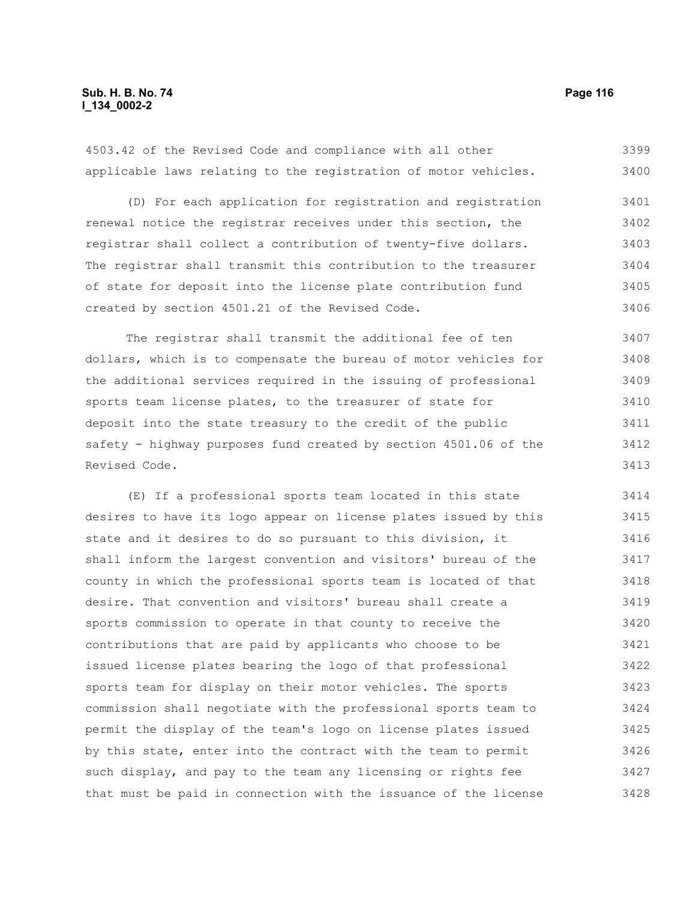# **Sub. H. B. No. 74 Page 116 l\_134\_0002-2**

4503.42 of the Revised Code and compliance with all other applicable laws relating to the registration of motor vehicles. 3399 3400

(D) For each application for registration and registration renewal notice the registrar receives under this section, the registrar shall collect a contribution of twenty-five dollars. The registrar shall transmit this contribution to the treasurer of state for deposit into the license plate contribution fund created by section 4501.21 of the Revised Code. 3401 3402 3403 3404 3405 3406

The registrar shall transmit the additional fee of ten dollars, which is to compensate the bureau of motor vehicles for the additional services required in the issuing of professional sports team license plates, to the treasurer of state for deposit into the state treasury to the credit of the public safety - highway purposes fund created by section 4501.06 of the Revised Code. 3407 3408 3409 3410 3411 3412 3413

(E) If a professional sports team located in this state desires to have its logo appear on license plates issued by this state and it desires to do so pursuant to this division, it shall inform the largest convention and visitors' bureau of the county in which the professional sports team is located of that desire. That convention and visitors' bureau shall create a sports commission to operate in that county to receive the contributions that are paid by applicants who choose to be issued license plates bearing the logo of that professional sports team for display on their motor vehicles. The sports commission shall negotiate with the professional sports team to permit the display of the team's logo on license plates issued by this state, enter into the contract with the team to permit such display, and pay to the team any licensing or rights fee that must be paid in connection with the issuance of the license 3414 3415 3416 3417 3418 3419 3420 3421 3422 3423 3424 3425 3426 3427 3428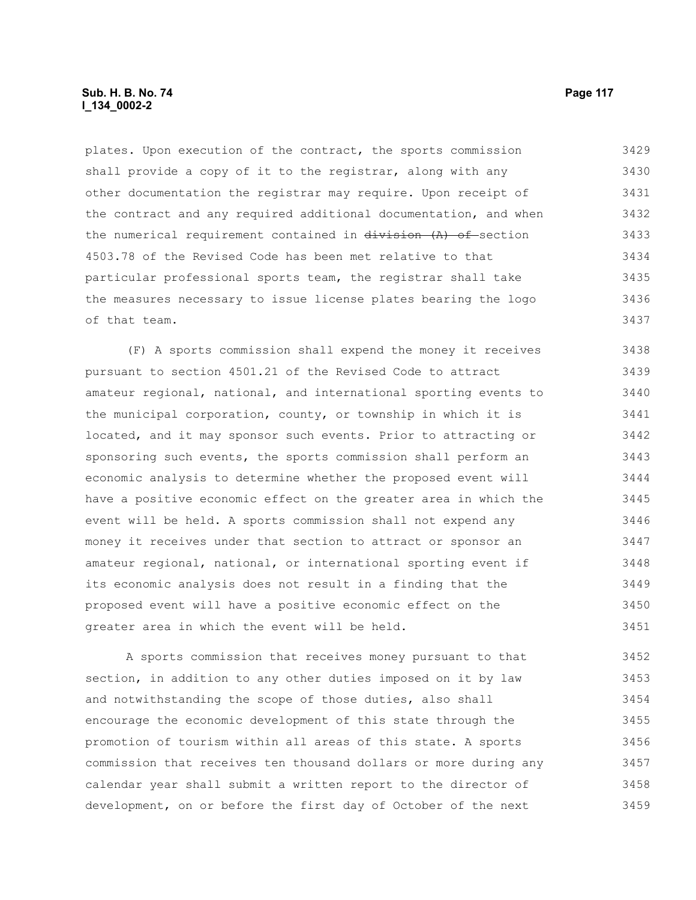## **Sub. H. B. No. 74** Page 117 **l\_134\_0002-2**

plates. Upon execution of the contract, the sports commission shall provide a copy of it to the registrar, along with any other documentation the registrar may require. Upon receipt of the contract and any required additional documentation, and when the numerical requirement contained in  $\frac{div}{\sin \theta}$  (A) of section 4503.78 of the Revised Code has been met relative to that particular professional sports team, the registrar shall take the measures necessary to issue license plates bearing the logo of that team. 3429 3430 3431 3432 3433 3434 3435 3436 3437

(F) A sports commission shall expend the money it receives pursuant to section 4501.21 of the Revised Code to attract amateur regional, national, and international sporting events to the municipal corporation, county, or township in which it is located, and it may sponsor such events. Prior to attracting or sponsoring such events, the sports commission shall perform an economic analysis to determine whether the proposed event will have a positive economic effect on the greater area in which the event will be held. A sports commission shall not expend any money it receives under that section to attract or sponsor an amateur regional, national, or international sporting event if its economic analysis does not result in a finding that the proposed event will have a positive economic effect on the greater area in which the event will be held. 3438 3439 3440 3441 3442 3443 3444 3445 3446 3447 3448 3449 3450 3451

A sports commission that receives money pursuant to that section, in addition to any other duties imposed on it by law and notwithstanding the scope of those duties, also shall encourage the economic development of this state through the promotion of tourism within all areas of this state. A sports commission that receives ten thousand dollars or more during any calendar year shall submit a written report to the director of development, on or before the first day of October of the next 3452 3453 3454 3455 3456 3457 3458 3459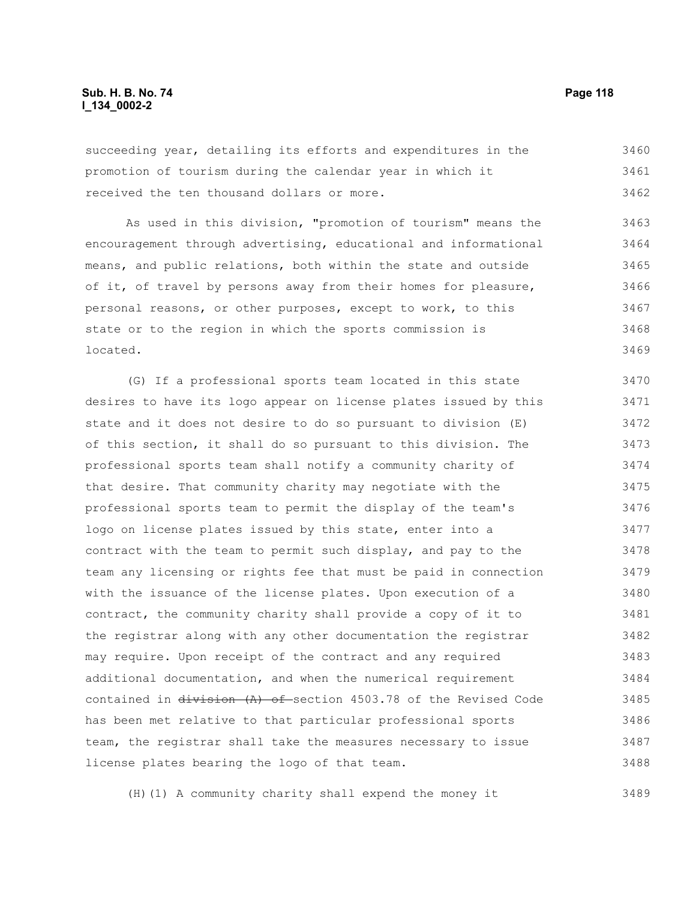# **Sub. H. B. No. 74** Page 118 **l\_134\_0002-2**

succeeding year, detailing its efforts and expenditures in the promotion of tourism during the calendar year in which it received the ten thousand dollars or more. 3460 3461 3462

As used in this division, "promotion of tourism" means the encouragement through advertising, educational and informational means, and public relations, both within the state and outside of it, of travel by persons away from their homes for pleasure, personal reasons, or other purposes, except to work, to this state or to the region in which the sports commission is located. 3463 3464 3465 3466 3467 3468 3469

(G) If a professional sports team located in this state desires to have its logo appear on license plates issued by this state and it does not desire to do so pursuant to division (E) of this section, it shall do so pursuant to this division. The professional sports team shall notify a community charity of that desire. That community charity may negotiate with the professional sports team to permit the display of the team's logo on license plates issued by this state, enter into a contract with the team to permit such display, and pay to the team any licensing or rights fee that must be paid in connection with the issuance of the license plates. Upon execution of a contract, the community charity shall provide a copy of it to the registrar along with any other documentation the registrar may require. Upon receipt of the contract and any required additional documentation, and when the numerical requirement contained in  $\frac{divission(A)}{f}$  of section 4503.78 of the Revised Code has been met relative to that particular professional sports team, the registrar shall take the measures necessary to issue license plates bearing the logo of that team. 3470 3471 3472 3473 3474 3475 3476 3477 3478 3479 3480 3481 3482 3483 3484 3485 3486 3487 3488

(H)(1) A community charity shall expend the money it

3489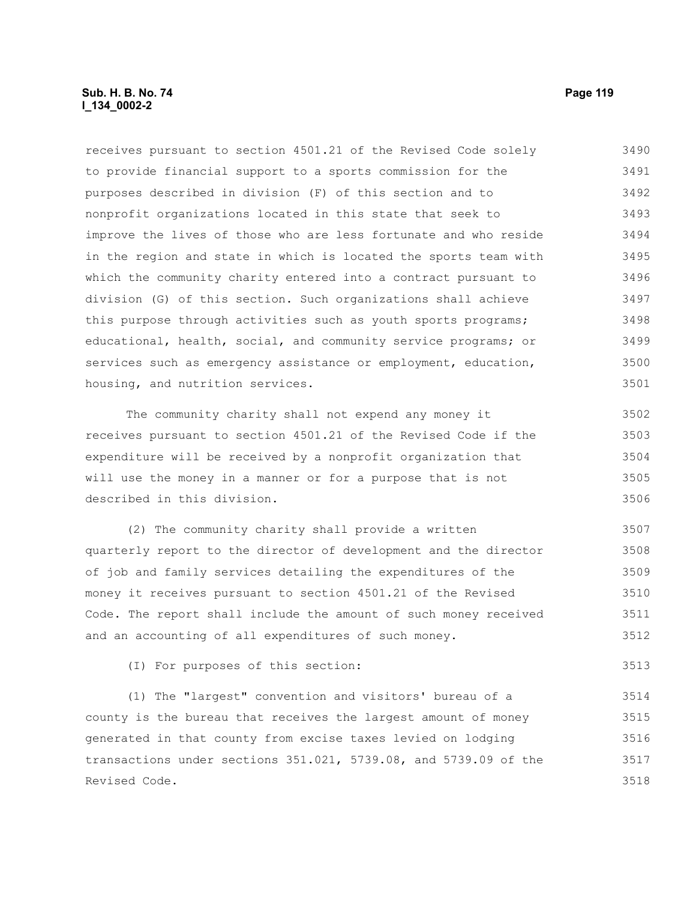# **Sub. H. B. No. 74** Page 119 **l\_134\_0002-2**

receives pursuant to section 4501.21 of the Revised Code solely to provide financial support to a sports commission for the purposes described in division (F) of this section and to nonprofit organizations located in this state that seek to improve the lives of those who are less fortunate and who reside in the region and state in which is located the sports team with which the community charity entered into a contract pursuant to division (G) of this section. Such organizations shall achieve this purpose through activities such as youth sports programs; educational, health, social, and community service programs; or services such as emergency assistance or employment, education, housing, and nutrition services. 3490 3491 3492 3493 3494 3495 3496 3497 3498 3499 3500 3501

The community charity shall not expend any money it receives pursuant to section 4501.21 of the Revised Code if the expenditure will be received by a nonprofit organization that will use the money in a manner or for a purpose that is not described in this division.

(2) The community charity shall provide a written quarterly report to the director of development and the director of job and family services detailing the expenditures of the money it receives pursuant to section 4501.21 of the Revised Code. The report shall include the amount of such money received and an accounting of all expenditures of such money. 3507 3508 3509 3510 3511 3512

(I) For purposes of this section: 3513

(1) The "largest" convention and visitors' bureau of a county is the bureau that receives the largest amount of money generated in that county from excise taxes levied on lodging transactions under sections 351.021, 5739.08, and 5739.09 of the Revised Code. 3514 3515 3516 3517 3518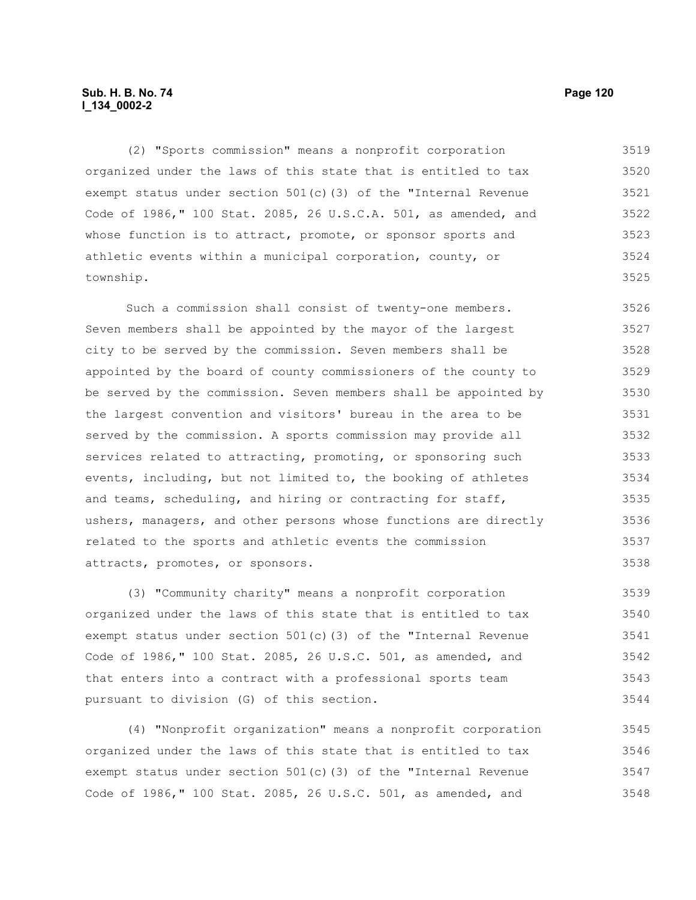## **Sub. H. B. No. 74** Page 120 **l\_134\_0002-2**

(2) "Sports commission" means a nonprofit corporation organized under the laws of this state that is entitled to tax exempt status under section 501(c)(3) of the "Internal Revenue Code of 1986," 100 Stat. 2085, 26 U.S.C.A. 501, as amended, and whose function is to attract, promote, or sponsor sports and athletic events within a municipal corporation, county, or township. 3519 3520 3521 3522 3523 3524 3525

Such a commission shall consist of twenty-one members. Seven members shall be appointed by the mayor of the largest city to be served by the commission. Seven members shall be appointed by the board of county commissioners of the county to be served by the commission. Seven members shall be appointed by the largest convention and visitors' bureau in the area to be served by the commission. A sports commission may provide all services related to attracting, promoting, or sponsoring such events, including, but not limited to, the booking of athletes and teams, scheduling, and hiring or contracting for staff, ushers, managers, and other persons whose functions are directly related to the sports and athletic events the commission attracts, promotes, or sponsors. 3526 3527 3528 3529 3530 3531 3532 3533 3534 3535 3536 3537 3538

(3) "Community charity" means a nonprofit corporation organized under the laws of this state that is entitled to tax exempt status under section 501(c)(3) of the "Internal Revenue Code of 1986," 100 Stat. 2085, 26 U.S.C. 501, as amended, and that enters into a contract with a professional sports team pursuant to division (G) of this section. 3539 3540 3541 3542 3543 3544

(4) "Nonprofit organization" means a nonprofit corporation organized under the laws of this state that is entitled to tax exempt status under section  $501(c)(3)$  of the "Internal Revenue Code of 1986," 100 Stat. 2085, 26 U.S.C. 501, as amended, and 3545 3546 3547 3548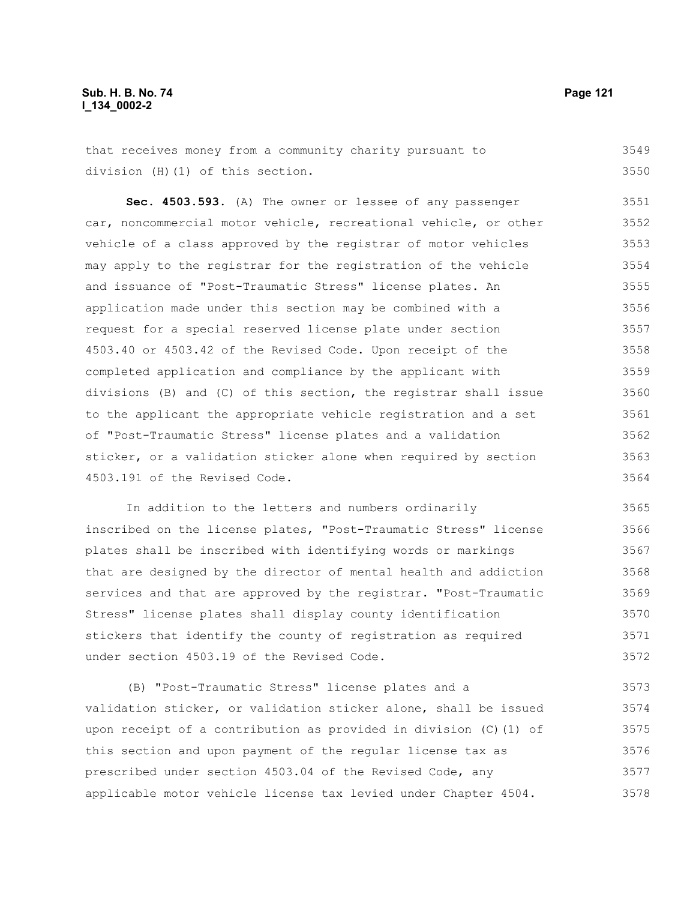# **Sub. H. B. No. 74** Page 121 **l\_134\_0002-2**

that receives money from a community charity pursuant to division (H)(1) of this section. 3549 3550

**Sec. 4503.593.** (A) The owner or lessee of any passenger car, noncommercial motor vehicle, recreational vehicle, or other vehicle of a class approved by the registrar of motor vehicles may apply to the registrar for the registration of the vehicle and issuance of "Post-Traumatic Stress" license plates. An application made under this section may be combined with a request for a special reserved license plate under section 4503.40 or 4503.42 of the Revised Code. Upon receipt of the completed application and compliance by the applicant with divisions (B) and (C) of this section, the registrar shall issue to the applicant the appropriate vehicle registration and a set of "Post-Traumatic Stress" license plates and a validation sticker, or a validation sticker alone when required by section 4503.191 of the Revised Code. 3551 3552 3553 3554 3555 3556 3557 3558 3559 3560 3561 3562 3563 3564

In addition to the letters and numbers ordinarily inscribed on the license plates, "Post-Traumatic Stress" license plates shall be inscribed with identifying words or markings that are designed by the director of mental health and addiction services and that are approved by the registrar. "Post-Traumatic Stress" license plates shall display county identification stickers that identify the county of registration as required under section 4503.19 of the Revised Code. 3565 3566 3567 3568 3569 3570 3571 3572

(B) "Post-Traumatic Stress" license plates and a validation sticker, or validation sticker alone, shall be issued upon receipt of a contribution as provided in division (C)(1) of this section and upon payment of the regular license tax as prescribed under section 4503.04 of the Revised Code, any applicable motor vehicle license tax levied under Chapter 4504. 3573 3574 3575 3576 3577 3578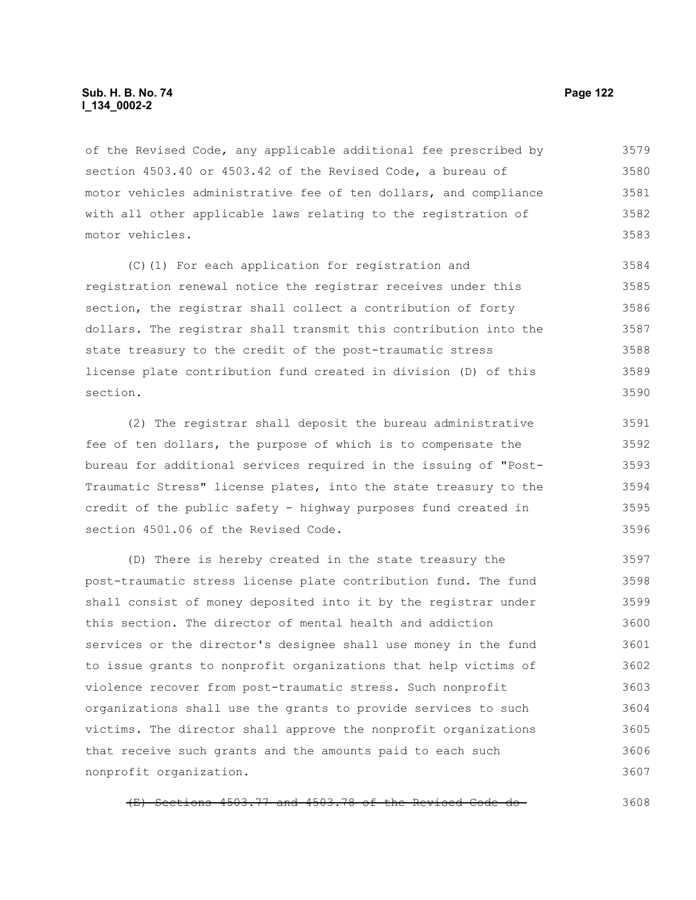## **Sub. H. B. No. 74** Page 122 **l\_134\_0002-2**

of the Revised Code, any applicable additional fee prescribed by section 4503.40 or 4503.42 of the Revised Code, a bureau of motor vehicles administrative fee of ten dollars, and compliance with all other applicable laws relating to the registration of motor vehicles. 3579 3580 3581 3582 3583

(C)(1) For each application for registration and registration renewal notice the registrar receives under this section, the registrar shall collect a contribution of forty dollars. The registrar shall transmit this contribution into the state treasury to the credit of the post-traumatic stress license plate contribution fund created in division (D) of this section. 3584 3585 3586 3587 3588 3589 3590

(2) The registrar shall deposit the bureau administrative fee of ten dollars, the purpose of which is to compensate the bureau for additional services required in the issuing of "Post-Traumatic Stress" license plates, into the state treasury to the credit of the public safety - highway purposes fund created in section 4501.06 of the Revised Code. 3591 3592 3593 3594 3595 3596

(D) There is hereby created in the state treasury the post-traumatic stress license plate contribution fund. The fund shall consist of money deposited into it by the registrar under this section. The director of mental health and addiction services or the director's designee shall use money in the fund to issue grants to nonprofit organizations that help victims of violence recover from post-traumatic stress. Such nonprofit organizations shall use the grants to provide services to such victims. The director shall approve the nonprofit organizations that receive such grants and the amounts paid to each such nonprofit organization. 3597 3598 3599 3600 3601 3602 3603 3604 3605 3606 3607

(E) Sections 4503.77 and 4503.78 of the Revised Code do 3608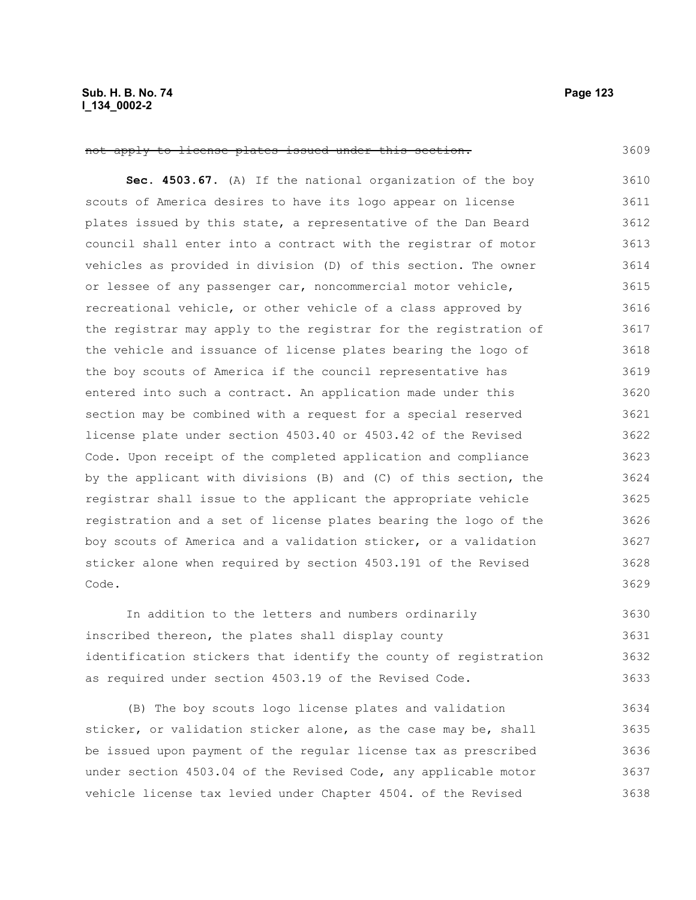not apply to license plates issued under this section.

**Sec. 4503.67.** (A) If the national organization of the boy scouts of America desires to have its logo appear on license plates issued by this state, a representative of the Dan Beard council shall enter into a contract with the registrar of motor vehicles as provided in division (D) of this section. The owner or lessee of any passenger car, noncommercial motor vehicle, recreational vehicle, or other vehicle of a class approved by the registrar may apply to the registrar for the registration of the vehicle and issuance of license plates bearing the logo of the boy scouts of America if the council representative has entered into such a contract. An application made under this section may be combined with a request for a special reserved license plate under section 4503.40 or 4503.42 of the Revised Code. Upon receipt of the completed application and compliance by the applicant with divisions (B) and (C) of this section, the registrar shall issue to the applicant the appropriate vehicle registration and a set of license plates bearing the logo of the boy scouts of America and a validation sticker, or a validation sticker alone when required by section 4503.191 of the Revised Code. 3610 3611 3612 3613 3614 3615 3616 3617 3618 3619 3620 3621 3622 3623 3624 3625 3626 3627 3628 3629

In addition to the letters and numbers ordinarily inscribed thereon, the plates shall display county identification stickers that identify the county of registration as required under section 4503.19 of the Revised Code. 3630 3631 3632 3633

(B) The boy scouts logo license plates and validation sticker, or validation sticker alone, as the case may be, shall be issued upon payment of the regular license tax as prescribed under section 4503.04 of the Revised Code, any applicable motor vehicle license tax levied under Chapter 4504. of the Revised 3634 3635 3636 3637 3638

3609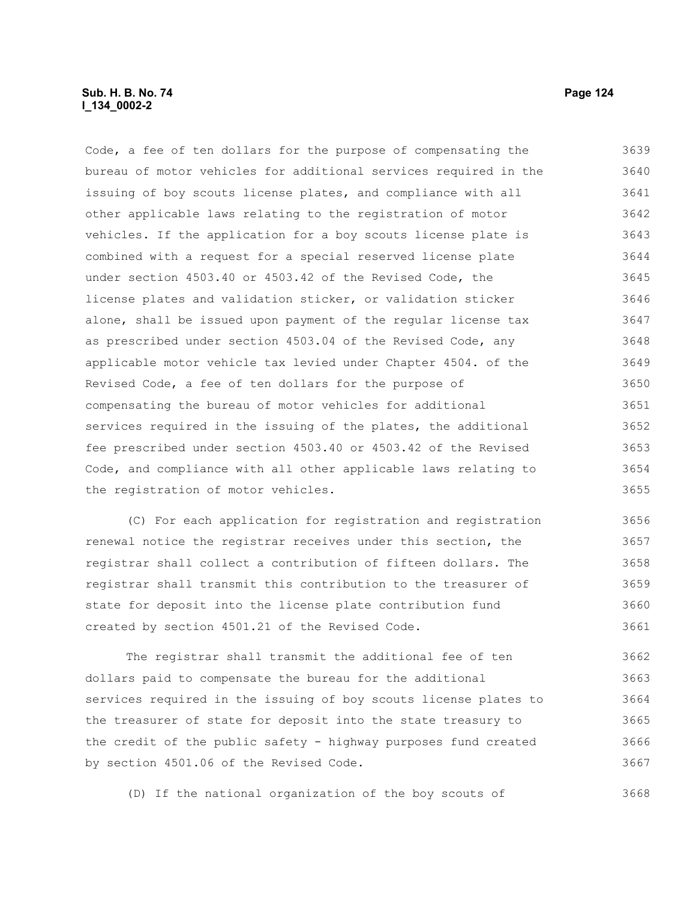## **Sub. H. B. No. 74** Page 124 **l\_134\_0002-2**

Code, a fee of ten dollars for the purpose of compensating the bureau of motor vehicles for additional services required in the issuing of boy scouts license plates, and compliance with all other applicable laws relating to the registration of motor vehicles. If the application for a boy scouts license plate is combined with a request for a special reserved license plate under section 4503.40 or 4503.42 of the Revised Code, the license plates and validation sticker, or validation sticker alone, shall be issued upon payment of the regular license tax as prescribed under section 4503.04 of the Revised Code, any applicable motor vehicle tax levied under Chapter 4504. of the Revised Code, a fee of ten dollars for the purpose of compensating the bureau of motor vehicles for additional services required in the issuing of the plates, the additional fee prescribed under section 4503.40 or 4503.42 of the Revised Code, and compliance with all other applicable laws relating to the registration of motor vehicles. 3639 3640 3641 3642 3643 3644 3645 3646 3647 3648 3649 3650 3651 3652 3653 3654 3655

(C) For each application for registration and registration renewal notice the registrar receives under this section, the registrar shall collect a contribution of fifteen dollars. The registrar shall transmit this contribution to the treasurer of state for deposit into the license plate contribution fund created by section 4501.21 of the Revised Code. 3656 3657 3658 3659 3660 3661

The registrar shall transmit the additional fee of ten dollars paid to compensate the bureau for the additional services required in the issuing of boy scouts license plates to the treasurer of state for deposit into the state treasury to the credit of the public safety - highway purposes fund created by section 4501.06 of the Revised Code. 3662 3663 3664 3665 3666 3667

(D) If the national organization of the boy scouts of

3668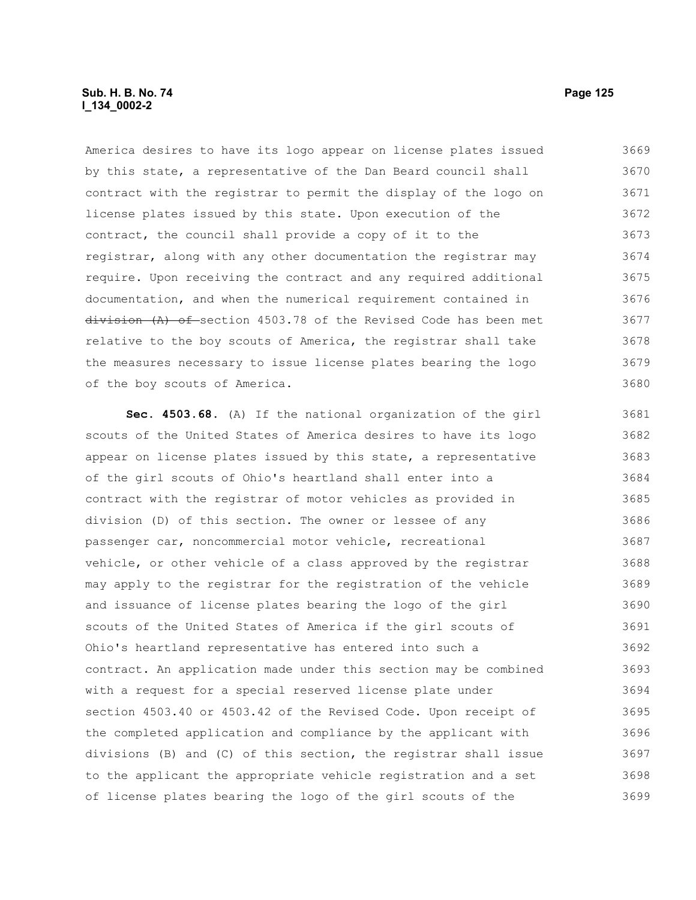# **Sub. H. B. No. 74** Page 125 **l\_134\_0002-2**

America desires to have its logo appear on license plates issued by this state, a representative of the Dan Beard council shall contract with the registrar to permit the display of the logo on license plates issued by this state. Upon execution of the contract, the council shall provide a copy of it to the registrar, along with any other documentation the registrar may require. Upon receiving the contract and any required additional documentation, and when the numerical requirement contained in division (A) of section 4503.78 of the Revised Code has been met relative to the boy scouts of America, the registrar shall take the measures necessary to issue license plates bearing the logo of the boy scouts of America. 3669 3670 3671 3672 3673 3674 3675 3676 3677 3678 3679 3680

**Sec. 4503.68.** (A) If the national organization of the girl scouts of the United States of America desires to have its logo appear on license plates issued by this state, a representative of the girl scouts of Ohio's heartland shall enter into a contract with the registrar of motor vehicles as provided in division (D) of this section. The owner or lessee of any passenger car, noncommercial motor vehicle, recreational vehicle, or other vehicle of a class approved by the registrar may apply to the registrar for the registration of the vehicle and issuance of license plates bearing the logo of the girl scouts of the United States of America if the girl scouts of Ohio's heartland representative has entered into such a contract. An application made under this section may be combined with a request for a special reserved license plate under section 4503.40 or 4503.42 of the Revised Code. Upon receipt of the completed application and compliance by the applicant with divisions (B) and (C) of this section, the registrar shall issue to the applicant the appropriate vehicle registration and a set of license plates bearing the logo of the girl scouts of the 3681 3682 3683 3684 3685 3686 3687 3688 3689 3690 3691 3692 3693 3694 3695 3696 3697 3698 3699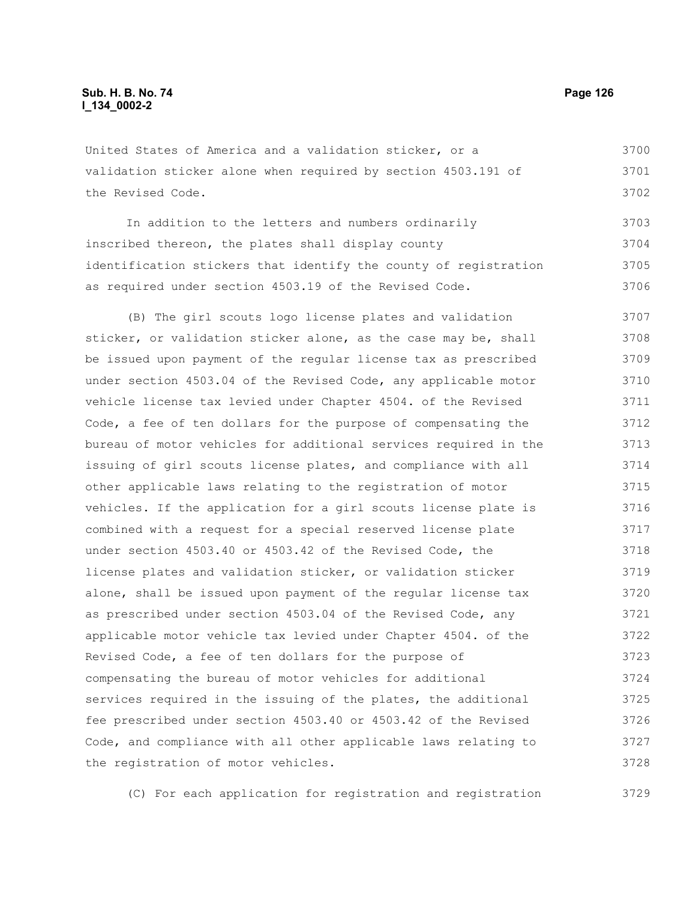| United States of America and a validation sticker, or a          | 3700 |
|------------------------------------------------------------------|------|
| validation sticker alone when required by section 4503.191 of    | 3701 |
| the Revised Code.                                                | 3702 |
| In addition to the letters and numbers ordinarily                | 3703 |
| inscribed thereon, the plates shall display county               | 3704 |
| identification stickers that identify the county of registration | 3705 |
| as required under section 4503.19 of the Revised Code.           | 3706 |
| (B) The girl scouts logo license plates and validation           | 3707 |
| sticker, or validation sticker alone, as the case may be, shall  | 3708 |
| be issued upon payment of the regular license tax as prescribed  | 3709 |
| under section 4503.04 of the Revised Code, any applicable motor  | 3710 |
| vehicle license tax levied under Chapter 4504. of the Revised    | 3711 |
| Code, a fee of ten dollars for the purpose of compensating the   | 3712 |
| bureau of motor vehicles for additional services required in the | 3713 |
| issuing of girl scouts license plates, and compliance with all   | 3714 |
| other applicable laws relating to the registration of motor      | 3715 |
| vehicles. If the application for a girl scouts license plate is  | 3716 |
| combined with a request for a special reserved license plate     | 3717 |
| under section 4503.40 or 4503.42 of the Revised Code, the        | 3718 |
| license plates and validation sticker, or validation sticker     | 3719 |
| alone, shall be issued upon payment of the reqular license tax   | 3720 |
| as prescribed under section 4503.04 of the Revised Code, any     | 3721 |
| applicable motor vehicle tax levied under Chapter 4504. of the   | 3722 |
| Revised Code, a fee of ten dollars for the purpose of            | 3723 |
| compensating the bureau of motor vehicles for additional         | 3724 |
| services required in the issuing of the plates, the additional   | 3725 |
| fee prescribed under section 4503.40 or 4503.42 of the Revised   | 3726 |
| Code, and compliance with all other applicable laws relating to  | 3727 |
| the registration of motor vehicles.                              | 3728 |

(C) For each application for registration and registration 3729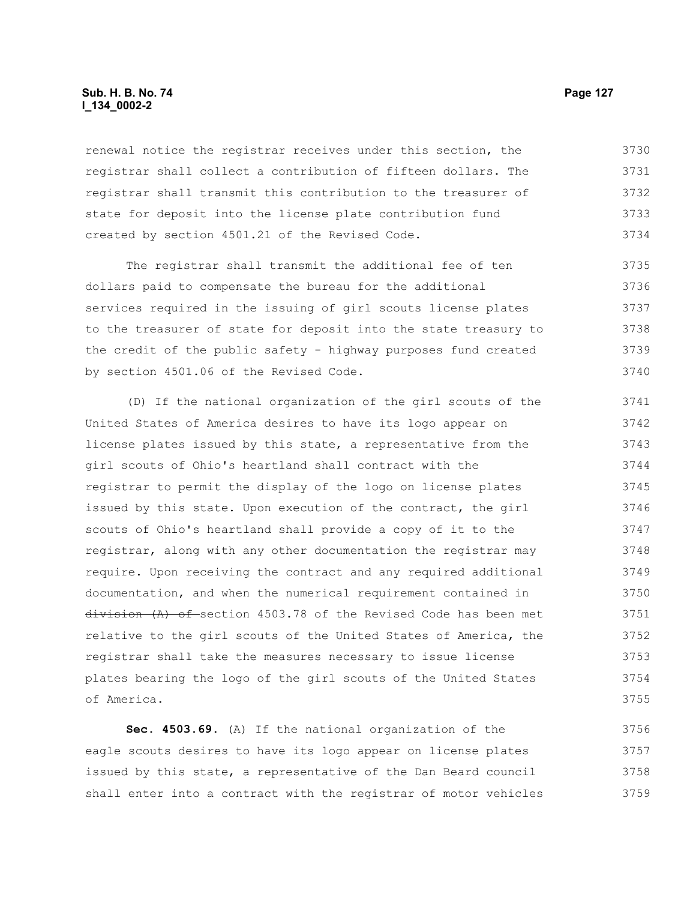## **Sub. H. B. No. 74** Page 127 **l\_134\_0002-2**

renewal notice the registrar receives under this section, the registrar shall collect a contribution of fifteen dollars. The registrar shall transmit this contribution to the treasurer of state for deposit into the license plate contribution fund created by section 4501.21 of the Revised Code. 3730 3731 3732 3733 3734

The registrar shall transmit the additional fee of ten dollars paid to compensate the bureau for the additional services required in the issuing of girl scouts license plates to the treasurer of state for deposit into the state treasury to the credit of the public safety - highway purposes fund created by section 4501.06 of the Revised Code. 3735 3736 3737 3738 3739 3740

(D) If the national organization of the girl scouts of the United States of America desires to have its logo appear on license plates issued by this state, a representative from the girl scouts of Ohio's heartland shall contract with the registrar to permit the display of the logo on license plates issued by this state. Upon execution of the contract, the girl scouts of Ohio's heartland shall provide a copy of it to the registrar, along with any other documentation the registrar may require. Upon receiving the contract and any required additional documentation, and when the numerical requirement contained in division (A) of section 4503.78 of the Revised Code has been met relative to the girl scouts of the United States of America, the registrar shall take the measures necessary to issue license plates bearing the logo of the girl scouts of the United States of America. 3741 3742 3743 3744 3745 3746 3747 3748 3749 3750 3751 3752 3753 3754 3755

**Sec. 4503.69.** (A) If the national organization of the eagle scouts desires to have its logo appear on license plates issued by this state, a representative of the Dan Beard council shall enter into a contract with the registrar of motor vehicles 3756 3757 3758 3759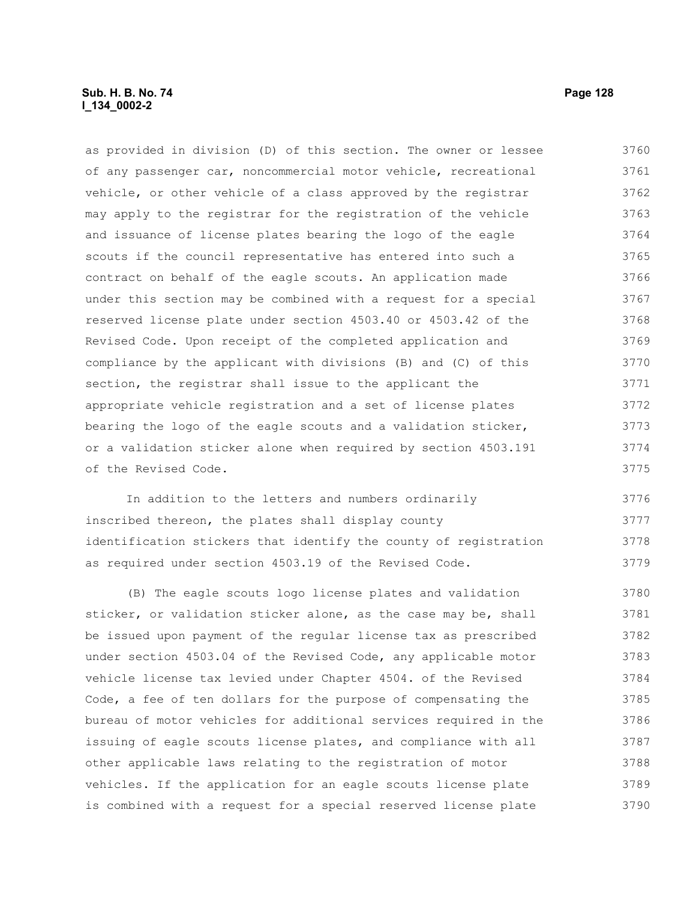as provided in division (D) of this section. The owner or lessee of any passenger car, noncommercial motor vehicle, recreational vehicle, or other vehicle of a class approved by the registrar may apply to the registrar for the registration of the vehicle and issuance of license plates bearing the logo of the eagle scouts if the council representative has entered into such a contract on behalf of the eagle scouts. An application made under this section may be combined with a request for a special reserved license plate under section 4503.40 or 4503.42 of the Revised Code. Upon receipt of the completed application and compliance by the applicant with divisions (B) and (C) of this section, the registrar shall issue to the applicant the appropriate vehicle registration and a set of license plates bearing the logo of the eagle scouts and a validation sticker, or a validation sticker alone when required by section 4503.191 of the Revised Code. 3760 3761 3762 3763 3764 3765 3766 3767 3768 3769 3770 3771 3772 3773 3774 3775

In addition to the letters and numbers ordinarily inscribed thereon, the plates shall display county identification stickers that identify the county of registration as required under section 4503.19 of the Revised Code. 3776 3777 3778 3779

(B) The eagle scouts logo license plates and validation sticker, or validation sticker alone, as the case may be, shall be issued upon payment of the regular license tax as prescribed under section 4503.04 of the Revised Code, any applicable motor vehicle license tax levied under Chapter 4504. of the Revised Code, a fee of ten dollars for the purpose of compensating the bureau of motor vehicles for additional services required in the issuing of eagle scouts license plates, and compliance with all other applicable laws relating to the registration of motor vehicles. If the application for an eagle scouts license plate is combined with a request for a special reserved license plate 3780 3781 3782 3783 3784 3785 3786 3787 3788 3789 3790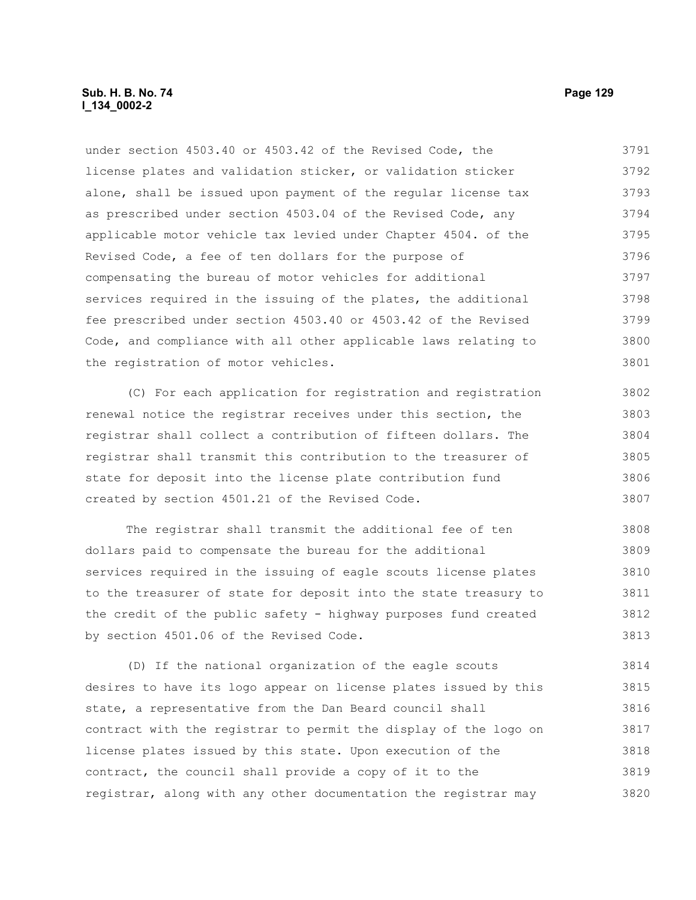## **Sub. H. B. No. 74** Page 129 **l\_134\_0002-2**

under section 4503.40 or 4503.42 of the Revised Code, the license plates and validation sticker, or validation sticker alone, shall be issued upon payment of the regular license tax as prescribed under section 4503.04 of the Revised Code, any applicable motor vehicle tax levied under Chapter 4504. of the Revised Code, a fee of ten dollars for the purpose of compensating the bureau of motor vehicles for additional services required in the issuing of the plates, the additional fee prescribed under section 4503.40 or 4503.42 of the Revised Code, and compliance with all other applicable laws relating to the registration of motor vehicles. 3791 3792 3793 3794 3795 3796 3797 3798 3799 3800 3801

(C) For each application for registration and registration renewal notice the registrar receives under this section, the registrar shall collect a contribution of fifteen dollars. The registrar shall transmit this contribution to the treasurer of state for deposit into the license plate contribution fund created by section 4501.21 of the Revised Code. 3802 3803 3804 3805 3806 3807

The registrar shall transmit the additional fee of ten dollars paid to compensate the bureau for the additional services required in the issuing of eagle scouts license plates to the treasurer of state for deposit into the state treasury to the credit of the public safety - highway purposes fund created by section 4501.06 of the Revised Code. 3808 3809 3810 3811 3812 3813

(D) If the national organization of the eagle scouts desires to have its logo appear on license plates issued by this state, a representative from the Dan Beard council shall contract with the registrar to permit the display of the logo on license plates issued by this state. Upon execution of the contract, the council shall provide a copy of it to the registrar, along with any other documentation the registrar may 3814 3815 3816 3817 3818 3819 3820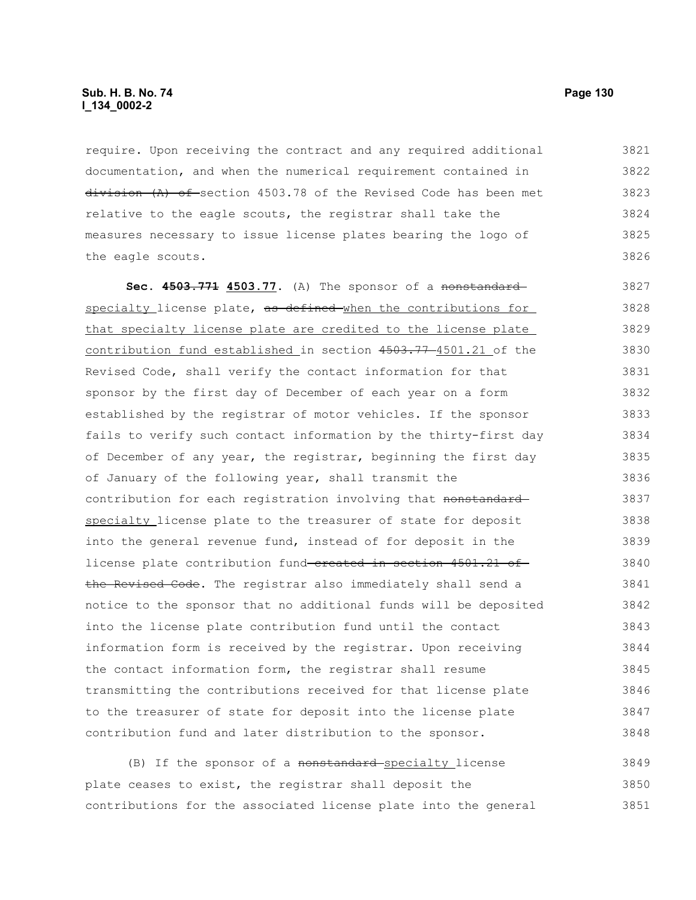require. Upon receiving the contract and any required additional documentation, and when the numerical requirement contained in division (A) of section 4503.78 of the Revised Code has been met relative to the eagle scouts, the registrar shall take the measures necessary to issue license plates bearing the logo of the eagle scouts. 3821 3822 3823 3824 3825 3826

Sec. 4503.771 4503.77. (A) The sponsor of a nonstandard specialty license plate, as defined when the contributions for that specialty license plate are credited to the license plate contribution fund established in section 4503.77 4501.21 of the Revised Code, shall verify the contact information for that sponsor by the first day of December of each year on a form established by the registrar of motor vehicles. If the sponsor fails to verify such contact information by the thirty-first day of December of any year, the registrar, beginning the first day of January of the following year, shall transmit the contribution for each registration involving that nonstandard specialty license plate to the treasurer of state for deposit into the general revenue fund, instead of for deposit in the license plate contribution fund created in section 4501.21 of the Revised Code. The registrar also immediately shall send a notice to the sponsor that no additional funds will be deposited into the license plate contribution fund until the contact information form is received by the registrar. Upon receiving the contact information form, the registrar shall resume transmitting the contributions received for that license plate to the treasurer of state for deposit into the license plate contribution fund and later distribution to the sponsor. 3827 3828 3829 3830 3831 3832 3833 3834 3835 3836 3837 3838 3839 3840 3841 3842 3843 3844 3845 3846 3847 3848

(B) If the sponsor of a nonstandard specialty license plate ceases to exist, the registrar shall deposit the contributions for the associated license plate into the general 3849 3850 3851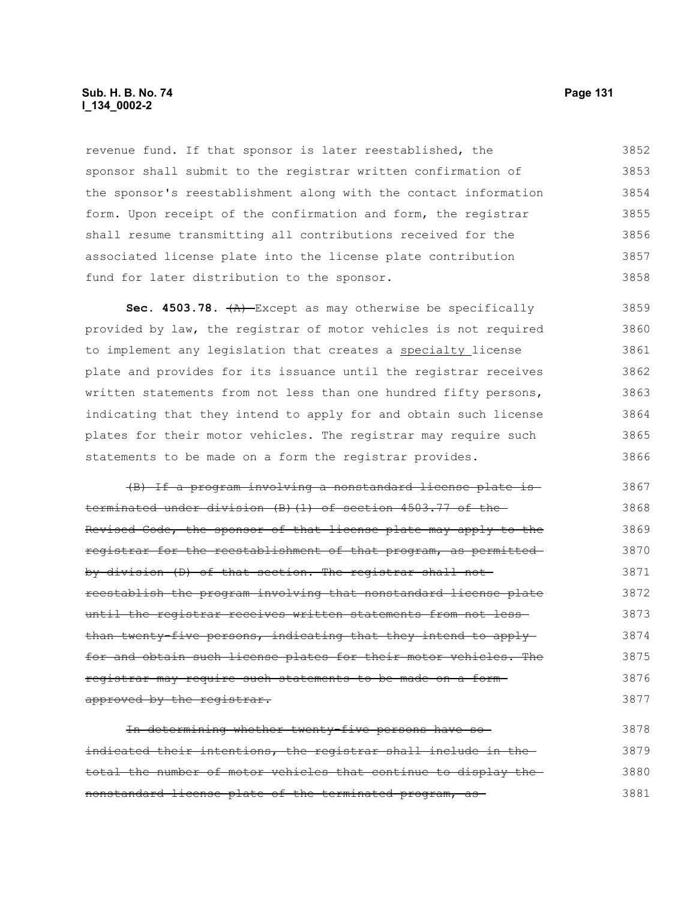# **Sub. H. B. No. 74** Page 131 **l\_134\_0002-2**

revenue fund. If that sponsor is later reestablished, the sponsor shall submit to the registrar written confirmation of the sponsor's reestablishment along with the contact information form. Upon receipt of the confirmation and form, the registrar shall resume transmitting all contributions received for the associated license plate into the license plate contribution fund for later distribution to the sponsor. 3852 3853 3854 3855 3856 3857 3858

**Sec. 4503.78.**  $\{A\}$ -Except as may otherwise be specifically provided by law, the registrar of motor vehicles is not required to implement any legislation that creates a specialty license plate and provides for its issuance until the registrar receives written statements from not less than one hundred fifty persons, indicating that they intend to apply for and obtain such license plates for their motor vehicles. The registrar may require such statements to be made on a form the registrar provides. 3859 3860 3861 3862 3863 3864 3865 3866

(B) If a program involving a nonstandard license plate is terminated under division (B)(1) of section 4503.77 of the Revised Code, the sponsor of that license plate may apply to the registrar for the reestablishment of that program, as permitted by division (D) of that section. The registrar shall not reestablish the program involving that nonstandard license plate until the registrar receives written statements from not lessthan twenty-five persons, indicating that they intend to applyfor and obtain such license plates for their motor vehicles. The registrar may require such statements to be made on a form approved by the registrar. 3867 3868 3869 3870 3871 3872 3873 3874 3875 3876 3877

In determining whether twenty-five persons have so indicated their intentions, the registrar shall include in the total the number of motor vehicles that continue to display the nonstandard license plate of the terminated program, 3878 3879 3880 3881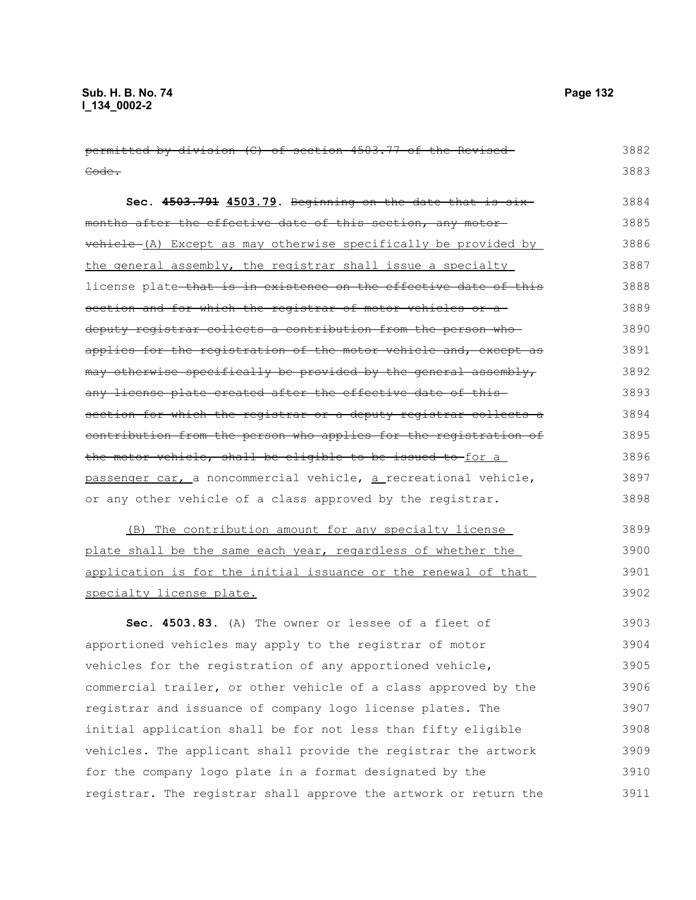| permitted by division (C) of section 4503.77 of the Revised      | 3882 |
|------------------------------------------------------------------|------|
| Code.                                                            | 3883 |
| Sec. 4503.791 4503.79. Beginning on the date that is six-        | 3884 |
| months after the effective date of this section, any motor-      | 3885 |
| vehicle (A) Except as may otherwise specifically be provided by  | 3886 |
| the general assembly, the registrar shall issue a specialty      | 3887 |
| license plate that is in existence on the effective date of this | 3888 |
| section and for which the registrar of motor vehicles or a       | 3889 |
| deputy registrar collects a contribution from the person who     | 3890 |
| applies for the registration of the motor vehicle and, except as | 3891 |
| may otherwise specifically be provided by the general assembly,  | 3892 |
| any license plate created after the effective date of this-      | 3893 |
| section for which the registrar or a deputy registrar collects a | 3894 |
| contribution from the person who applies for the registration of | 3895 |
| the motor vehicle, shall be eligible to be issued to for a       | 3896 |
| passenger car, a noncommercial vehicle, a recreational vehicle,  | 3897 |
| or any other vehicle of a class approved by the registrar.       | 3898 |
| (B) The contribution amount for any specialty license            | 3899 |
| plate shall be the same each year, regardless of whether the     | 3900 |
| application is for the initial issuance or the renewal of that   | 3901 |
| specialty license plate.                                         | 3902 |
| Sec. 4503.83. (A) The owner or lessee of a fleet of              | 3903 |
| apportioned vehicles may apply to the registrar of motor         | 3904 |
| vehicles for the registration of any apportioned vehicle,        | 3905 |
| commercial trailer, or other vehicle of a class approved by the  | 3906 |
| registrar and issuance of company logo license plates. The       | 3907 |
| initial application shall be for not less than fifty eligible    | 3908 |
| vehicles. The applicant shall provide the registrar the artwork  | 3909 |
| for the company logo plate in a format designated by the         | 3910 |

registrar. The registrar shall approve the artwork or return the 3911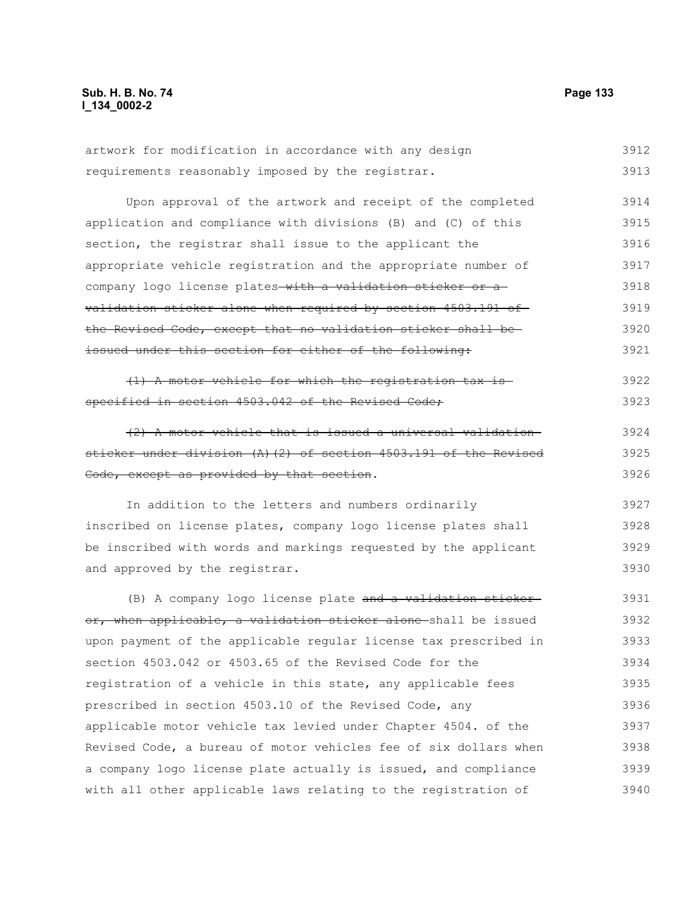# **Sub. H. B. No. 74** Page 133 **l\_134\_0002-2**

artwork for modification in accordance with any design requirements reasonably imposed by the registrar. Upon approval of the artwork and receipt of the completed application and compliance with divisions (B) and (C) of this section, the registrar shall issue to the applicant the appropriate vehicle registration and the appropriate number of company logo license plates-with a validation sticker or a validation sticker alone when required by section 4503.191 of the Revised Code, except that no validation sticker shall be issued under this section for either of the following: (1) A motor vehicle for which the registration tax is specified in section 4503.042 of the Revised Code; (2) A motor vehicle that is issued a universal validation sticker under division (A)(2) of section 4503.191 of the Revised Code, except as provided by that section. In addition to the letters and numbers ordinarily inscribed on license plates, company logo license plates shall be inscribed with words and markings requested by the applicant and approved by the registrar. (B) A company logo license plate and a validation sticker or, when applicable, a validation sticker alone-shall be issued 3912 3913 3914 3915 3916 3917 3918 3919 3920 3921 3922 3923 3924 3925 3926 3927 3928 3929 3930 3931 3932

upon payment of the applicable regular license tax prescribed in section 4503.042 or 4503.65 of the Revised Code for the registration of a vehicle in this state, any applicable fees prescribed in section 4503.10 of the Revised Code, any applicable motor vehicle tax levied under Chapter 4504. of the Revised Code, a bureau of motor vehicles fee of six dollars when a company logo license plate actually is issued, and compliance with all other applicable laws relating to the registration of 3933 3934 3935 3936 3937 3938 3939 3940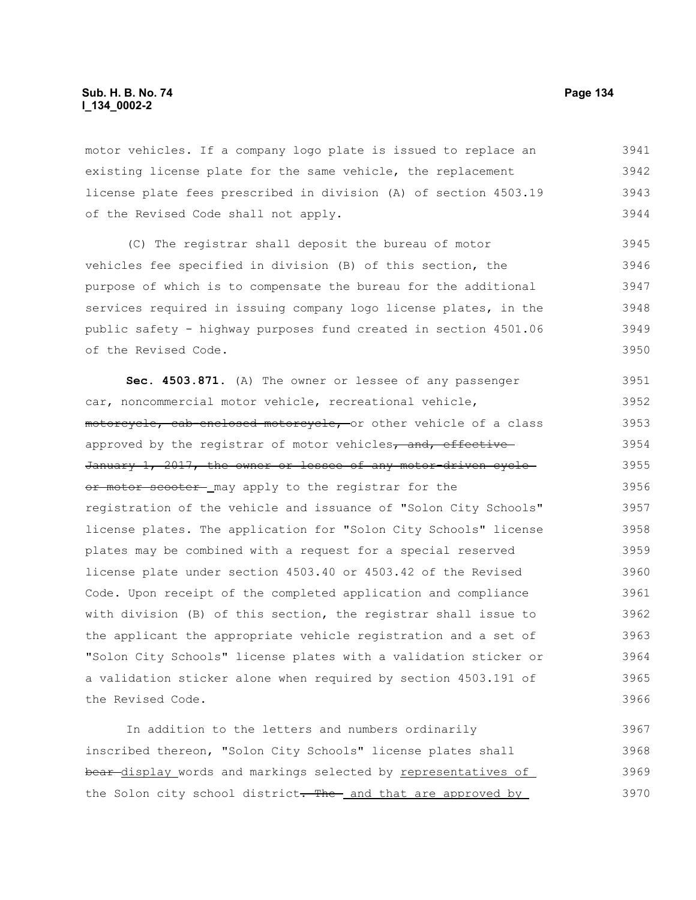# **Sub. H. B. No. 74** Page 134 **l\_134\_0002-2**

motor vehicles. If a company logo plate is issued to replace an existing license plate for the same vehicle, the replacement license plate fees prescribed in division (A) of section 4503.19 of the Revised Code shall not apply. 3941 3942 3943 3944

(C) The registrar shall deposit the bureau of motor vehicles fee specified in division (B) of this section, the purpose of which is to compensate the bureau for the additional services required in issuing company logo license plates, in the public safety - highway purposes fund created in section 4501.06 of the Revised Code. 3945 3946 3947 3948 3949 3950

**Sec. 4503.871.** (A) The owner or lessee of any passenger car, noncommercial motor vehicle, recreational vehicle, motorcycle, cab-enclosed motorcycle, or other vehicle of a class approved by the registrar of motor vehicles, and, effective January 1, 2017, the owner or lessee of any motor-driven cycleor motor scooter- may apply to the registrar for the registration of the vehicle and issuance of "Solon City Schools" license plates. The application for "Solon City Schools" license plates may be combined with a request for a special reserved license plate under section 4503.40 or 4503.42 of the Revised Code. Upon receipt of the completed application and compliance with division (B) of this section, the registrar shall issue to the applicant the appropriate vehicle registration and a set of "Solon City Schools" license plates with a validation sticker or a validation sticker alone when required by section 4503.191 of the Revised Code. 3951 3952 3953 3954 3955 3956 3957 3958 3959 3960 3961 3962 3963 3964 3965 3966

In addition to the letters and numbers ordinarily inscribed thereon, "Solon City Schools" license plates shall bear-display words and markings selected by representatives of the Solon city school district. The and that are approved by 3967 3968 3969 3970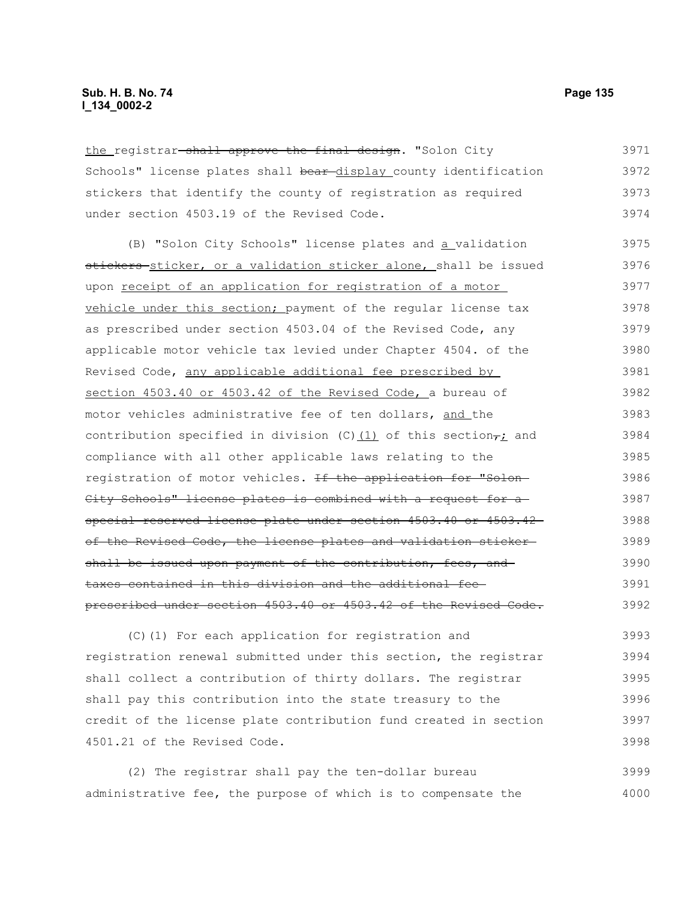## **Sub. H. B. No. 74** Page 135 **l\_134\_0002-2**

the registrar-shall approve the final design. "Solon City Schools" license plates shall bear-display county identification stickers that identify the county of registration as required under section 4503.19 of the Revised Code. 3971 3972 3973 3974

(B) "Solon City Schools" license plates and a validation stickers-sticker, or a validation sticker alone, shall be issued upon receipt of an application for registration of a motor vehicle under this section; payment of the regular license tax as prescribed under section 4503.04 of the Revised Code, any applicable motor vehicle tax levied under Chapter 4504. of the Revised Code, any applicable additional fee prescribed by section 4503.40 or 4503.42 of the Revised Code, a bureau of motor vehicles administrative fee of ten dollars, and the contribution specified in division (C) $(1)$  of this section $\tau_i$  and compliance with all other applicable laws relating to the registration of motor vehicles. <del>If the application for "Solon</del>-City Schools" license plates is combined with a request for a special reserved license plate under section 4503.40 or 4503.42 of the Revised Code, the license plates and validation stickershall be issued upon payment of the contribution, fees, and taxes contained in this division and the additional fee prescribed under section 4503.40 or 4503.42 of the Revised Code. 3975 3976 3977 3978 3979 3980 3981 3982 3983 3984 3985 3986 3987 3988 3989 3990 3991 3992

(C)(1) For each application for registration and registration renewal submitted under this section, the registrar shall collect a contribution of thirty dollars. The registrar shall pay this contribution into the state treasury to the credit of the license plate contribution fund created in section 4501.21 of the Revised Code. 3993 3994 3995 3996 3997 3998

(2) The registrar shall pay the ten-dollar bureau administrative fee, the purpose of which is to compensate the 3999 4000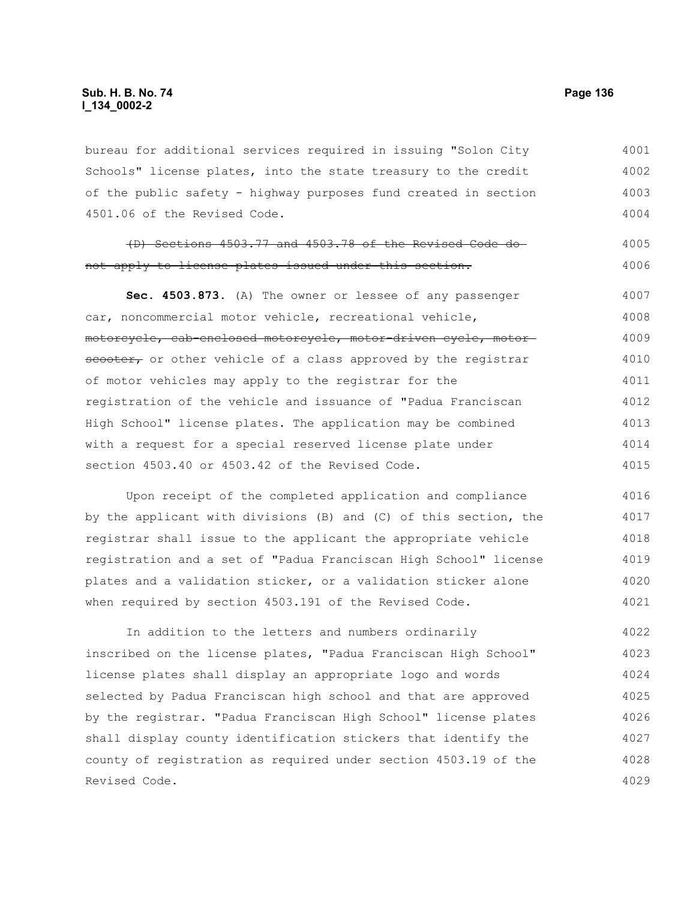bureau for additional services required in issuing "Solon City Schools" license plates, into the state treasury to the credit of the public safety - highway purposes fund created in section 4501.06 of the Revised Code. 4001 4002 4003 4004

(D) Sections 4503.77 and 4503.78 of the Revised Code do not apply to license plates issued under this section. 4005 4006

**Sec. 4503.873.** (A) The owner or lessee of any passenger car, noncommercial motor vehicle, recreational vehicle, motorcycle, cab-enclosed motorcycle, motor-driven cycle, motor scooter, or other vehicle of a class approved by the registrar of motor vehicles may apply to the registrar for the registration of the vehicle and issuance of "Padua Franciscan High School" license plates. The application may be combined with a request for a special reserved license plate under section 4503.40 or 4503.42 of the Revised Code. 4007 4008 4009 4010 4011 4012 4013 4014 4015

Upon receipt of the completed application and compliance by the applicant with divisions (B) and (C) of this section, the registrar shall issue to the applicant the appropriate vehicle registration and a set of "Padua Franciscan High School" license plates and a validation sticker, or a validation sticker alone when required by section 4503.191 of the Revised Code. 4016 4017 4018 4019 4020 4021

In addition to the letters and numbers ordinarily inscribed on the license plates, "Padua Franciscan High School" license plates shall display an appropriate logo and words selected by Padua Franciscan high school and that are approved by the registrar. "Padua Franciscan High School" license plates shall display county identification stickers that identify the county of registration as required under section 4503.19 of the Revised Code. 4022 4023 4024 4025 4026 4027 4028 4029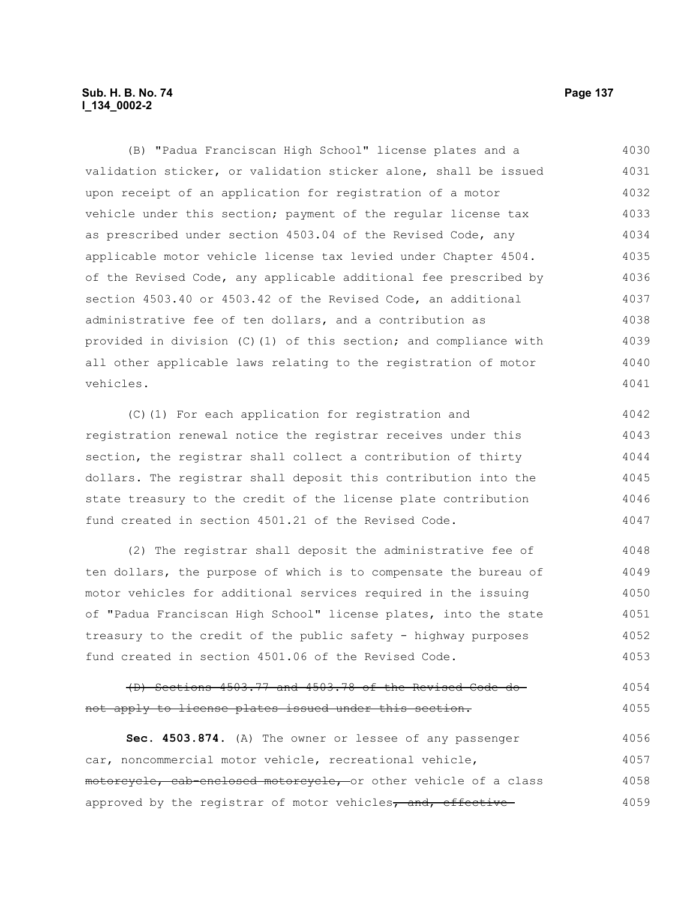## **Sub. H. B. No. 74** Page 137 **l\_134\_0002-2**

(B) "Padua Franciscan High School" license plates and a validation sticker, or validation sticker alone, shall be issued upon receipt of an application for registration of a motor vehicle under this section; payment of the regular license tax as prescribed under section 4503.04 of the Revised Code, any applicable motor vehicle license tax levied under Chapter 4504. of the Revised Code, any applicable additional fee prescribed by section 4503.40 or 4503.42 of the Revised Code, an additional administrative fee of ten dollars, and a contribution as provided in division (C)(1) of this section; and compliance with all other applicable laws relating to the registration of motor vehicles. 4030 4031 4032 4033 4034 4035 4036 4037 4038 4039 4040 4041

(C)(1) For each application for registration and registration renewal notice the registrar receives under this section, the registrar shall collect a contribution of thirty dollars. The registrar shall deposit this contribution into the state treasury to the credit of the license plate contribution fund created in section 4501.21 of the Revised Code. 4042 4043 4044 4045 4046 4047

(2) The registrar shall deposit the administrative fee of ten dollars, the purpose of which is to compensate the bureau of motor vehicles for additional services required in the issuing of "Padua Franciscan High School" license plates, into the state treasury to the credit of the public safety - highway purposes fund created in section 4501.06 of the Revised Code. 4048 4049 4050 4051 4052 4053

(D) Sections 4503.77 and 4503.78 of the Revised Code do not apply to license plates issued under this section. 4054 4055

**Sec. 4503.874.** (A) The owner or lessee of any passenger car, noncommercial motor vehicle, recreational vehicle, motorcycle, cab-enclosed motorcycle, or other vehicle of a class approved by the registrar of motor vehicles, and, effective 4056 4057 4058 4059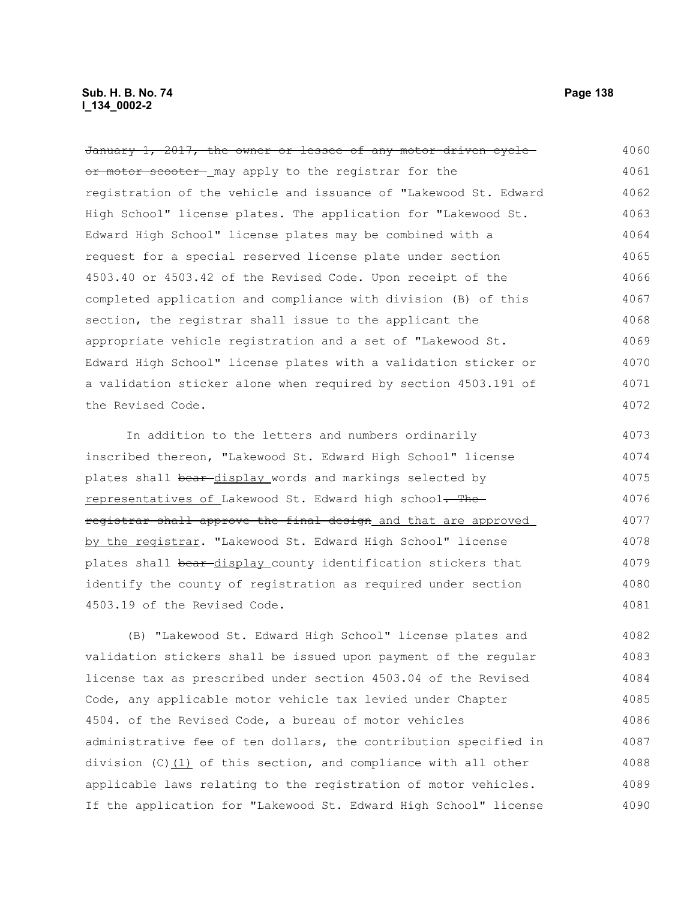## **Sub. H. B. No. 74** Page 138 **l\_134\_0002-2**

January 1, 2017, the owner or lessee of any motor-driven cycle or motor scooter- may apply to the registrar for the registration of the vehicle and issuance of "Lakewood St. Edward High School" license plates. The application for "Lakewood St. Edward High School" license plates may be combined with a request for a special reserved license plate under section 4503.40 or 4503.42 of the Revised Code. Upon receipt of the completed application and compliance with division (B) of this section, the registrar shall issue to the applicant the appropriate vehicle registration and a set of "Lakewood St. Edward High School" license plates with a validation sticker or a validation sticker alone when required by section 4503.191 of the Revised Code. 4060 4061 4062 4063 4064 4065 4066 4067 4068 4069 4070 4071 4072

In addition to the letters and numbers ordinarily inscribed thereon, "Lakewood St. Edward High School" license plates shall bear-display words and markings selected by representatives of Lakewood St. Edward high school-Theregistrar shall approve the final design and that are approved by the registrar. "Lakewood St. Edward High School" license plates shall bear display county identification stickers that identify the county of registration as required under section 4503.19 of the Revised Code. 4073 4074 4075 4076 4077 4078 4079 4080 4081

(B) "Lakewood St. Edward High School" license plates and validation stickers shall be issued upon payment of the regular license tax as prescribed under section 4503.04 of the Revised Code, any applicable motor vehicle tax levied under Chapter 4504. of the Revised Code, a bureau of motor vehicles administrative fee of ten dollars, the contribution specified in division (C) $(1)$  of this section, and compliance with all other applicable laws relating to the registration of motor vehicles. If the application for "Lakewood St. Edward High School" license 4082 4083 4084 4085 4086 4087 4088 4089 4090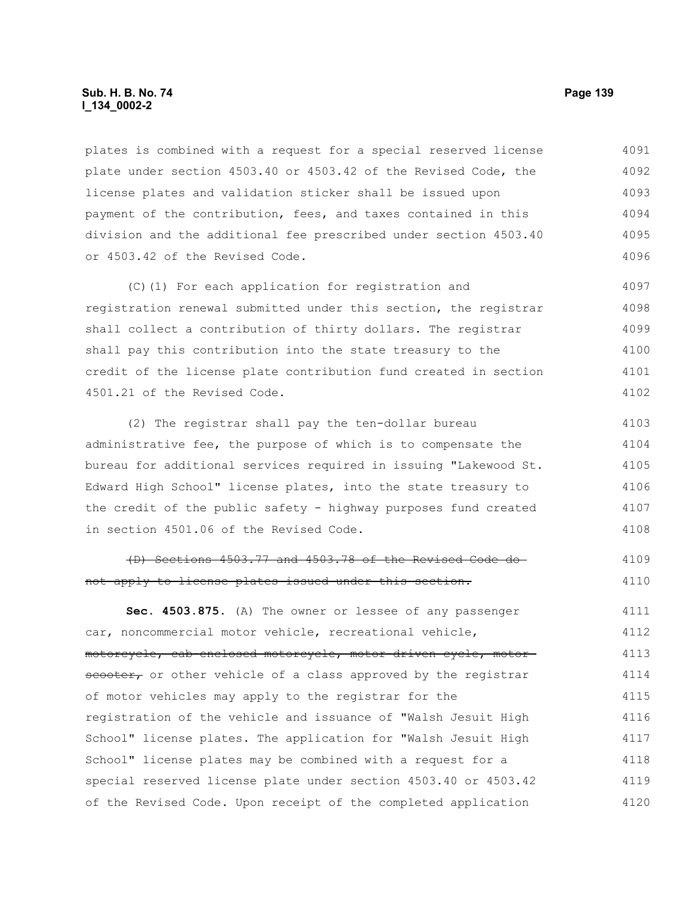## **Sub. H. B. No. 74** Page 139 **l\_134\_0002-2**

plates is combined with a request for a special reserved license plate under section 4503.40 or 4503.42 of the Revised Code, the license plates and validation sticker shall be issued upon payment of the contribution, fees, and taxes contained in this division and the additional fee prescribed under section 4503.40 or 4503.42 of the Revised Code. 4091 4092 4093 4094 4095 4096

(C)(1) For each application for registration and registration renewal submitted under this section, the registrar shall collect a contribution of thirty dollars. The registrar shall pay this contribution into the state treasury to the credit of the license plate contribution fund created in section 4501.21 of the Revised Code. 4097 4098 4099 4100 4101 4102

(2) The registrar shall pay the ten-dollar bureau administrative fee, the purpose of which is to compensate the bureau for additional services required in issuing "Lakewood St. Edward High School" license plates, into the state treasury to the credit of the public safety - highway purposes fund created in section 4501.06 of the Revised Code. 4103 4104 4105 4106 4107 4108

#### (D) Sections 4503.77 and 4503.78 of the Revised Code do not apply to license plates issued under this section. 4109 4110

**Sec. 4503.875.** (A) The owner or lessee of any passenger car, noncommercial motor vehicle, recreational vehicle, motorcycle, cab-enclosed motorcycle, motor-driven cycle, motor scooter, or other vehicle of a class approved by the registrar of motor vehicles may apply to the registrar for the registration of the vehicle and issuance of "Walsh Jesuit High School" license plates. The application for "Walsh Jesuit High School" license plates may be combined with a request for a special reserved license plate under section 4503.40 or 4503.42 of the Revised Code. Upon receipt of the completed application 4111 4112 4113 4114 4115 4116 4117 4118 4119 4120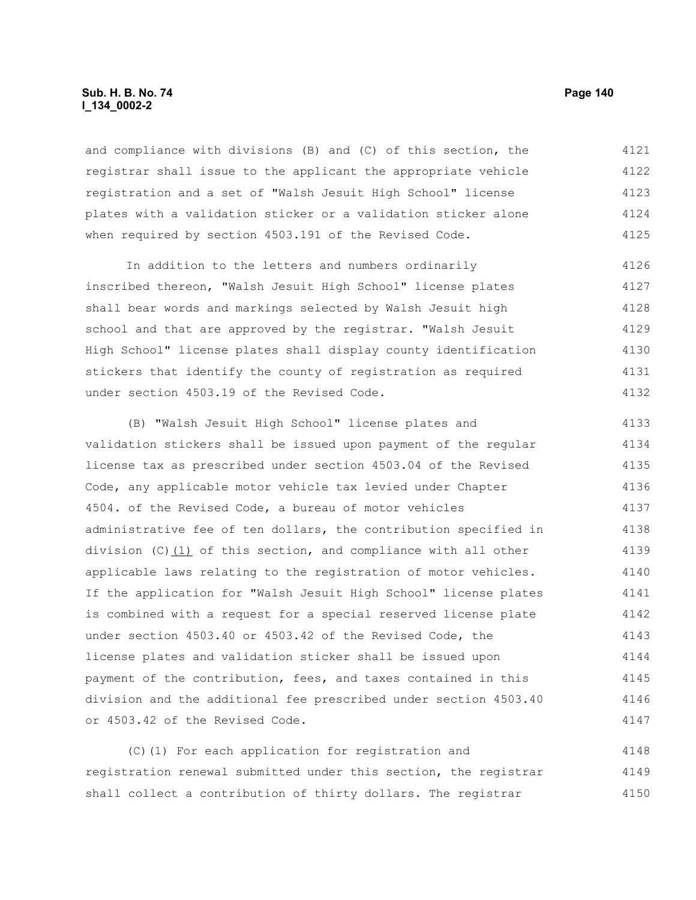## **Sub. H. B. No. 74** Page 140 **l\_134\_0002-2**

and compliance with divisions (B) and (C) of this section, the registrar shall issue to the applicant the appropriate vehicle registration and a set of "Walsh Jesuit High School" license plates with a validation sticker or a validation sticker alone when required by section 4503.191 of the Revised Code. 4121 4122 4123 4124 4125

In addition to the letters and numbers ordinarily inscribed thereon, "Walsh Jesuit High School" license plates shall bear words and markings selected by Walsh Jesuit high school and that are approved by the registrar. "Walsh Jesuit High School" license plates shall display county identification stickers that identify the county of registration as required under section 4503.19 of the Revised Code. 4126 4127 4128 4129 4130 4131 4132

(B) "Walsh Jesuit High School" license plates and validation stickers shall be issued upon payment of the regular license tax as prescribed under section 4503.04 of the Revised Code, any applicable motor vehicle tax levied under Chapter 4504. of the Revised Code, a bureau of motor vehicles administrative fee of ten dollars, the contribution specified in division (C) $(1)$  of this section, and compliance with all other applicable laws relating to the registration of motor vehicles. If the application for "Walsh Jesuit High School" license plates is combined with a request for a special reserved license plate under section 4503.40 or 4503.42 of the Revised Code, the license plates and validation sticker shall be issued upon payment of the contribution, fees, and taxes contained in this division and the additional fee prescribed under section 4503.40 or 4503.42 of the Revised Code. 4133 4134 4135 4136 4137 4138 4139 4140 4141 4142 4143 4144 4145 4146 4147

(C)(1) For each application for registration and registration renewal submitted under this section, the registrar shall collect a contribution of thirty dollars. The registrar 4148 4149 4150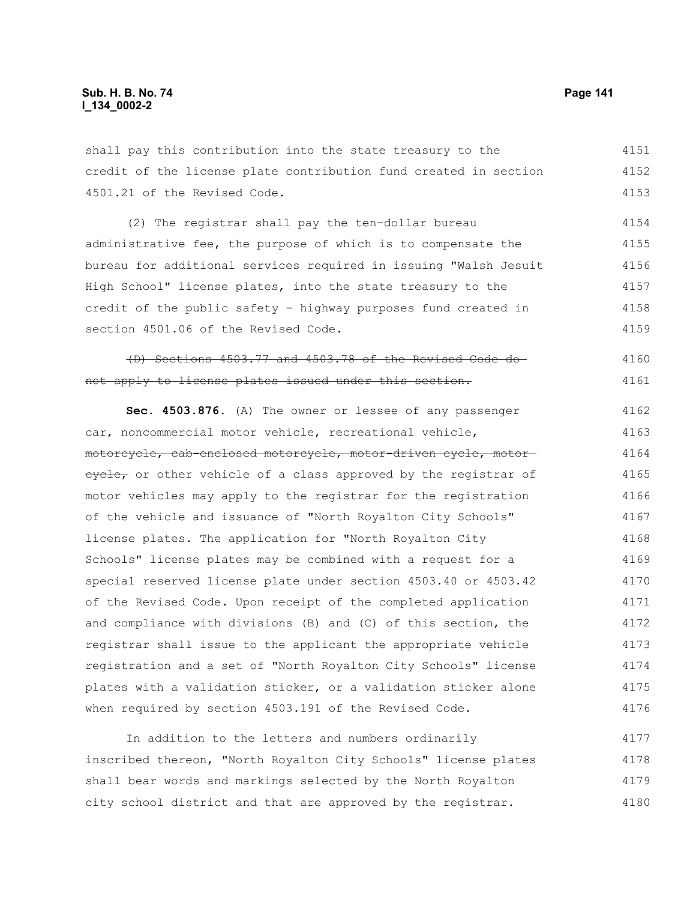shall pay this contribution into the state treasury to the credit of the license plate contribution fund created in section 4501.21 of the Revised Code. 4151 4152 4153

(2) The registrar shall pay the ten-dollar bureau administrative fee, the purpose of which is to compensate the bureau for additional services required in issuing "Walsh Jesuit High School" license plates, into the state treasury to the credit of the public safety - highway purposes fund created in section 4501.06 of the Revised Code. 4154 4155 4156 4157 4158 4159

#### (D) Sections 4503.77 and 4503.78 of the Revised Code do not apply to license plates issued under this section. 4160 4161

**Sec. 4503.876.** (A) The owner or lessee of any passenger car, noncommercial motor vehicle, recreational vehicle, motorcycle, cab-enclosed motorcycle, motor-driven cycle, motor eyele, or other vehicle of a class approved by the registrar of motor vehicles may apply to the registrar for the registration of the vehicle and issuance of "North Royalton City Schools" license plates. The application for "North Royalton City Schools" license plates may be combined with a request for a special reserved license plate under section 4503.40 or 4503.42 of the Revised Code. Upon receipt of the completed application and compliance with divisions (B) and (C) of this section, the registrar shall issue to the applicant the appropriate vehicle registration and a set of "North Royalton City Schools" license plates with a validation sticker, or a validation sticker alone when required by section 4503.191 of the Revised Code. 4162 4163 4164 4165 4166 4167 4168 4169 4170 4171 4172 4173 4174 4175 4176

In addition to the letters and numbers ordinarily inscribed thereon, "North Royalton City Schools" license plates shall bear words and markings selected by the North Royalton city school district and that are approved by the registrar. 4177 4178 4179 4180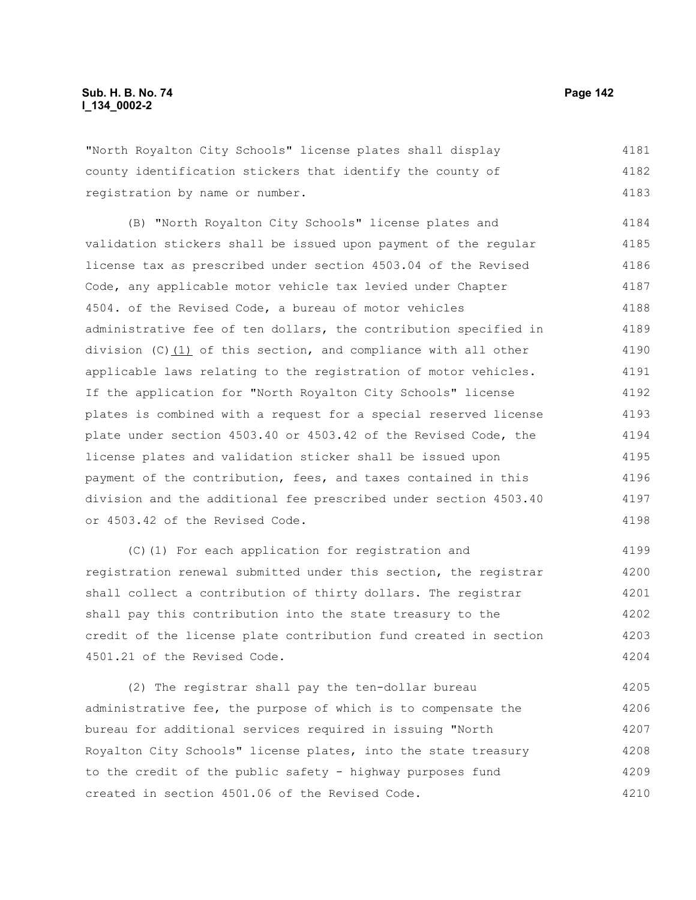"North Royalton City Schools" license plates shall display county identification stickers that identify the county of registration by name or number. 4181 4182 4183

(B) "North Royalton City Schools" license plates and validation stickers shall be issued upon payment of the regular license tax as prescribed under section 4503.04 of the Revised Code, any applicable motor vehicle tax levied under Chapter 4504. of the Revised Code, a bureau of motor vehicles administrative fee of ten dollars, the contribution specified in division (C) $(1)$  of this section, and compliance with all other applicable laws relating to the registration of motor vehicles. If the application for "North Royalton City Schools" license plates is combined with a request for a special reserved license plate under section 4503.40 or 4503.42 of the Revised Code, the license plates and validation sticker shall be issued upon payment of the contribution, fees, and taxes contained in this division and the additional fee prescribed under section 4503.40 or 4503.42 of the Revised Code. 4184 4185 4186 4187 4188 4189 4190 4191 4192 4193 4194 4195 4196 4197 4198

(C)(1) For each application for registration and registration renewal submitted under this section, the registrar shall collect a contribution of thirty dollars. The registrar shall pay this contribution into the state treasury to the credit of the license plate contribution fund created in section 4501.21 of the Revised Code. 4199 4200 4201 4202 4203 4204

(2) The registrar shall pay the ten-dollar bureau administrative fee, the purpose of which is to compensate the bureau for additional services required in issuing "North Royalton City Schools" license plates, into the state treasury to the credit of the public safety - highway purposes fund created in section 4501.06 of the Revised Code. 4205 4206 4207 4208 4209 4210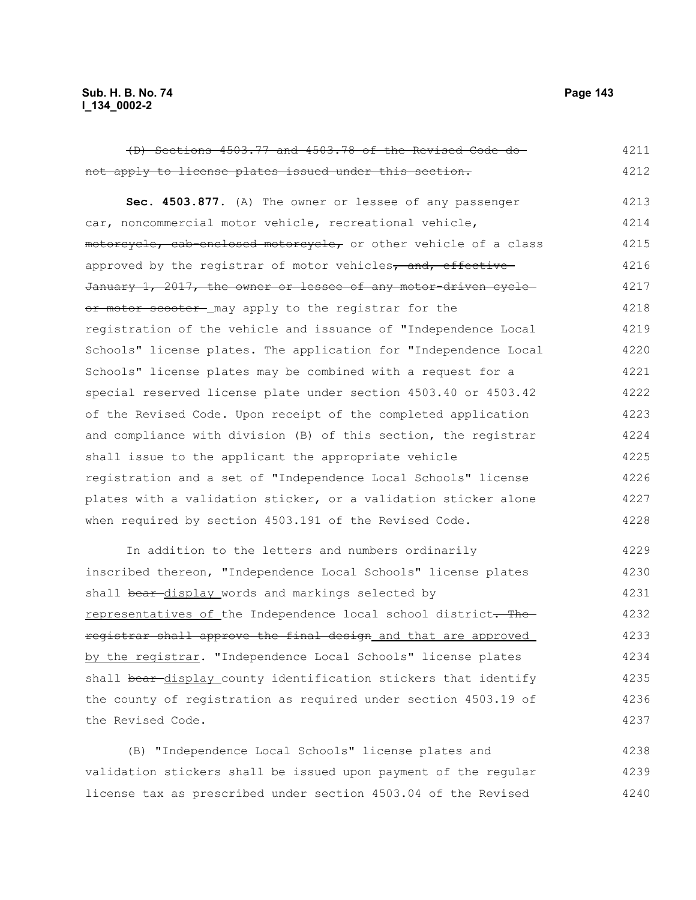## **Sub. H. B. No. 74** Page 143 **l\_134\_0002-2**

(D) Sections 4503.77 and 4503.78 of the Revised Code do not apply to license plates issued under this section. **Sec. 4503.877.** (A) The owner or lessee of any passenger car, noncommercial motor vehicle, recreational vehicle, motorcycle, cab-enclosed motorcycle, or other vehicle of a class approved by the registrar of motor vehicles, and, effective January 1, 2017, the owner or lessee of any motor-driven cycleor motor scooter may apply to the registrar for the registration of the vehicle and issuance of "Independence Local Schools" license plates. The application for "Independence Local Schools" license plates may be combined with a request for a special reserved license plate under section 4503.40 or 4503.42 of the Revised Code. Upon receipt of the completed application and compliance with division (B) of this section, the registrar shall issue to the applicant the appropriate vehicle registration and a set of "Independence Local Schools" license plates with a validation sticker, or a validation sticker alone when required by section 4503.191 of the Revised Code. In addition to the letters and numbers ordinarily inscribed thereon, "Independence Local Schools" license plates shall bear-display words and markings selected by representatives of the Independence local school district. The registrar shall approve the final design and that are approved by the registrar. "Independence Local Schools" license plates 4211 4212 4213 4214 4215 4216 4217 4218 4219 4220 4221 4222 4223 4224 4225 4226 4227 4228 4229 4230 4231 4232 4233 4234

shall bear-display county identification stickers that identify the county of registration as required under section 4503.19 of the Revised Code. 4235 4236 4237

(B) "Independence Local Schools" license plates and validation stickers shall be issued upon payment of the regular license tax as prescribed under section 4503.04 of the Revised 4238 4239 4240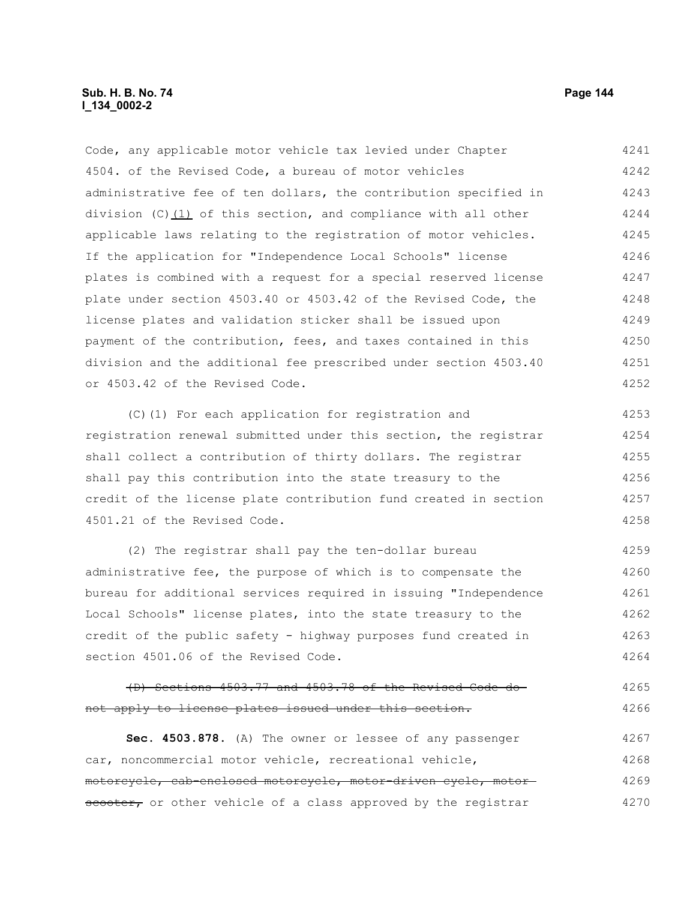## **Sub. H. B. No. 74** Page 144 **Page 144 l\_134\_0002-2**

Code, any applicable motor vehicle tax levied under Chapter 4504. of the Revised Code, a bureau of motor vehicles administrative fee of ten dollars, the contribution specified in division (C)(1) of this section, and compliance with all other applicable laws relating to the registration of motor vehicles. If the application for "Independence Local Schools" license plates is combined with a request for a special reserved license plate under section 4503.40 or 4503.42 of the Revised Code, the license plates and validation sticker shall be issued upon payment of the contribution, fees, and taxes contained in this division and the additional fee prescribed under section 4503.40 or 4503.42 of the Revised Code. 4241 4242 4243 4244 4245 4246 4247 4248 4249 4250 4251 4252

(C)(1) For each application for registration and registration renewal submitted under this section, the registrar shall collect a contribution of thirty dollars. The registrar shall pay this contribution into the state treasury to the credit of the license plate contribution fund created in section 4501.21 of the Revised Code. 4253 4254 4255 4256 4257 4258

(2) The registrar shall pay the ten-dollar bureau administrative fee, the purpose of which is to compensate the bureau for additional services required in issuing "Independence Local Schools" license plates, into the state treasury to the credit of the public safety - highway purposes fund created in section 4501.06 of the Revised Code. 4259 4260 4261 4262 4263 4264

(D) Sections 4503.77 and 4503.78 of the Revised Code do not apply to license plates issued under this section. 4265 4266

**Sec. 4503.878.** (A) The owner or lessee of any passenger car, noncommercial motor vehicle, recreational vehicle, motorcycle, cab-enclosed motorcycle, motor-driven cycle, motor scooter, or other vehicle of a class approved by the registrar 4267 4268 4269 4270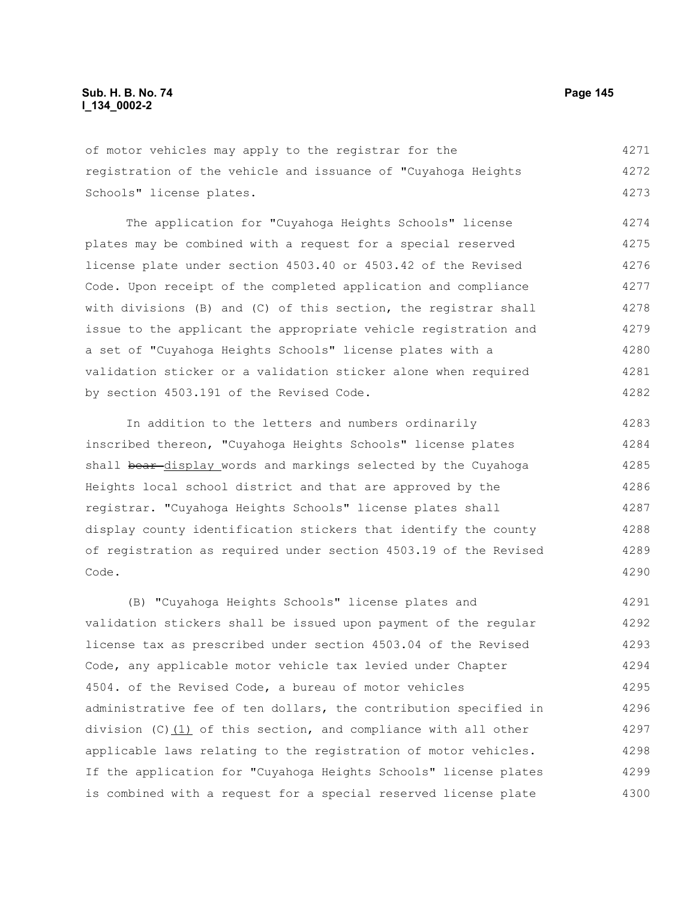## **Sub. H. B. No. 74** Page 145 **l\_134\_0002-2**

of motor vehicles may apply to the registrar for the registration of the vehicle and issuance of "Cuyahoga Heights Schools" license plates. 4271 4272 4273

The application for "Cuyahoga Heights Schools" license plates may be combined with a request for a special reserved license plate under section 4503.40 or 4503.42 of the Revised Code. Upon receipt of the completed application and compliance with divisions (B) and (C) of this section, the registrar shall issue to the applicant the appropriate vehicle registration and a set of "Cuyahoga Heights Schools" license plates with a validation sticker or a validation sticker alone when required by section 4503.191 of the Revised Code. 4274 4275 4276 4277 4278 4279 4280 4281 4282

In addition to the letters and numbers ordinarily inscribed thereon, "Cuyahoga Heights Schools" license plates shall bear display words and markings selected by the Cuyahoga Heights local school district and that are approved by the registrar. "Cuyahoga Heights Schools" license plates shall display county identification stickers that identify the county of registration as required under section 4503.19 of the Revised Code. 4283 4284 4285 4286 4287 4288 4289 4290

(B) "Cuyahoga Heights Schools" license plates and validation stickers shall be issued upon payment of the regular license tax as prescribed under section 4503.04 of the Revised Code, any applicable motor vehicle tax levied under Chapter 4504. of the Revised Code, a bureau of motor vehicles administrative fee of ten dollars, the contribution specified in division (C) $(1)$  of this section, and compliance with all other applicable laws relating to the registration of motor vehicles. If the application for "Cuyahoga Heights Schools" license plates is combined with a request for a special reserved license plate 4291 4292 4293 4294 4295 4296 4297 4298 4299 4300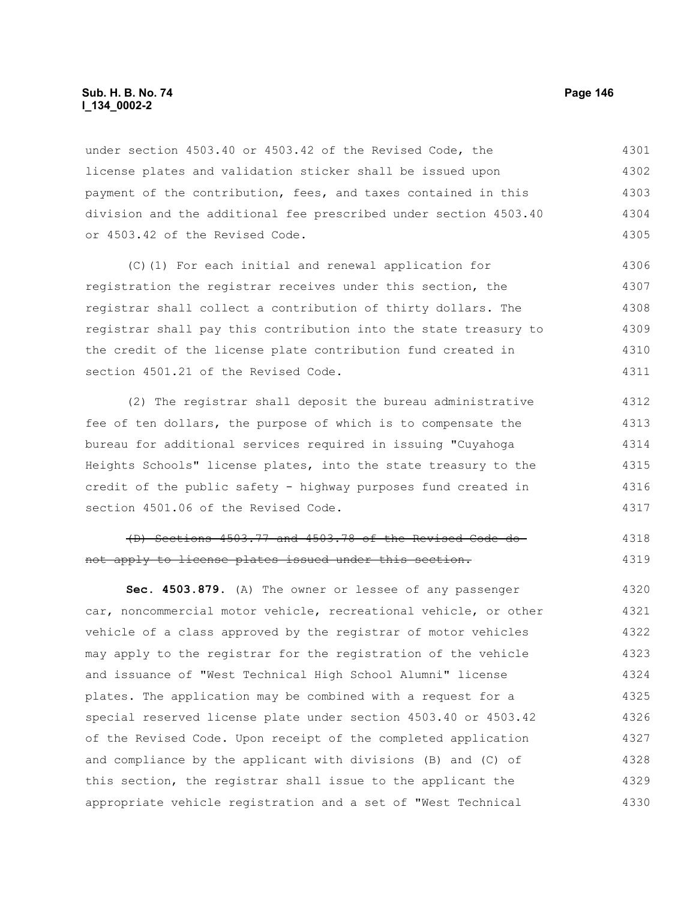## **Sub. H. B. No. 74** Page 146 **l\_134\_0002-2**

under section 4503.40 or 4503.42 of the Revised Code, the license plates and validation sticker shall be issued upon payment of the contribution, fees, and taxes contained in this division and the additional fee prescribed under section 4503.40 or 4503.42 of the Revised Code. 4301 4302 4303 4304 4305

(C)(1) For each initial and renewal application for registration the registrar receives under this section, the registrar shall collect a contribution of thirty dollars. The registrar shall pay this contribution into the state treasury to the credit of the license plate contribution fund created in section 4501.21 of the Revised Code. 4306 4307 4308 4309 4310 4311

(2) The registrar shall deposit the bureau administrative fee of ten dollars, the purpose of which is to compensate the bureau for additional services required in issuing "Cuyahoga Heights Schools" license plates, into the state treasury to the credit of the public safety - highway purposes fund created in section 4501.06 of the Revised Code. 4312 4313 4314 4315 4316 4317

(D) Sections 4503.77 and 4503.78 of the Revised Code do not apply to license plates issued under this section. 4318 4319

**Sec. 4503.879.** (A) The owner or lessee of any passenger car, noncommercial motor vehicle, recreational vehicle, or other vehicle of a class approved by the registrar of motor vehicles may apply to the registrar for the registration of the vehicle and issuance of "West Technical High School Alumni" license plates. The application may be combined with a request for a special reserved license plate under section 4503.40 or 4503.42 of the Revised Code. Upon receipt of the completed application and compliance by the applicant with divisions (B) and (C) of this section, the registrar shall issue to the applicant the appropriate vehicle registration and a set of "West Technical 4320 4321 4322 4323 4324 4325 4326 4327 4328 4329 4330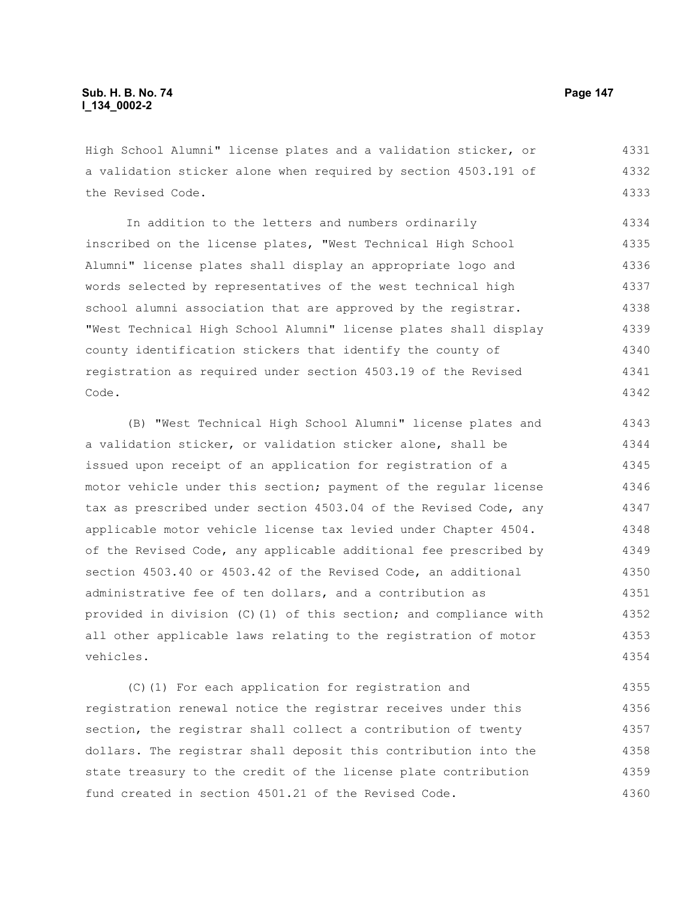## **Sub. H. B. No. 74** Page 147 **l\_134\_0002-2**

High School Alumni" license plates and a validation sticker, or a validation sticker alone when required by section 4503.191 of the Revised Code. 4331 4332 4333

In addition to the letters and numbers ordinarily inscribed on the license plates, "West Technical High School Alumni" license plates shall display an appropriate logo and words selected by representatives of the west technical high school alumni association that are approved by the registrar. "West Technical High School Alumni" license plates shall display county identification stickers that identify the county of registration as required under section 4503.19 of the Revised Code. 4334 4335 4336 4337 4338 4339 4340 4341 4342

(B) "West Technical High School Alumni" license plates and a validation sticker, or validation sticker alone, shall be issued upon receipt of an application for registration of a motor vehicle under this section; payment of the regular license tax as prescribed under section 4503.04 of the Revised Code, any applicable motor vehicle license tax levied under Chapter 4504. of the Revised Code, any applicable additional fee prescribed by section 4503.40 or 4503.42 of the Revised Code, an additional administrative fee of ten dollars, and a contribution as provided in division (C)(1) of this section; and compliance with all other applicable laws relating to the registration of motor vehicles. 4343 4344 4345 4346 4347 4348 4349 4350 4351 4352 4353 4354

(C)(1) For each application for registration and registration renewal notice the registrar receives under this section, the registrar shall collect a contribution of twenty dollars. The registrar shall deposit this contribution into the state treasury to the credit of the license plate contribution fund created in section 4501.21 of the Revised Code. 4355 4356 4357 4358 4359 4360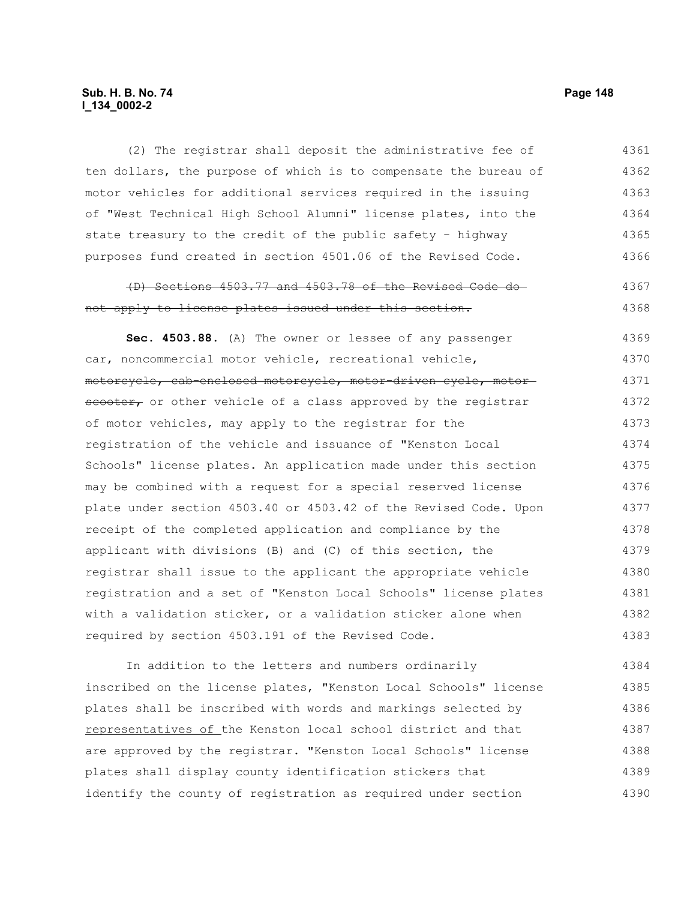## **Sub. H. B. No. 74** Page 148 **l\_134\_0002-2**

(2) The registrar shall deposit the administrative fee of ten dollars, the purpose of which is to compensate the bureau of motor vehicles for additional services required in the issuing of "West Technical High School Alumni" license plates, into the state treasury to the credit of the public safety - highway purposes fund created in section 4501.06 of the Revised Code. 4361 4362 4363 4364 4365 4366

# (D) Sections 4503.77 and 4503.78 of the Revised Code do not apply to license plates issued under this section.

**Sec. 4503.88.** (A) The owner or lessee of any passenger car, noncommercial motor vehicle, recreational vehicle, motorcycle, cab enclosed motorcycle, motor driven cycle, motorscooter, or other vehicle of a class approved by the registrar of motor vehicles, may apply to the registrar for the registration of the vehicle and issuance of "Kenston Local Schools" license plates. An application made under this section may be combined with a request for a special reserved license plate under section 4503.40 or 4503.42 of the Revised Code. Upon receipt of the completed application and compliance by the applicant with divisions (B) and (C) of this section, the registrar shall issue to the applicant the appropriate vehicle registration and a set of "Kenston Local Schools" license plates with a validation sticker, or a validation sticker alone when required by section 4503.191 of the Revised Code. 4369 4370 4371 4372 4373 4374 4375 4376 4377 4378 4379 4380 4381 4382 4383

In addition to the letters and numbers ordinarily inscribed on the license plates, "Kenston Local Schools" license plates shall be inscribed with words and markings selected by representatives of the Kenston local school district and that are approved by the registrar. "Kenston Local Schools" license plates shall display county identification stickers that identify the county of registration as required under section 4384 4385 4386 4387 4388 4389 4390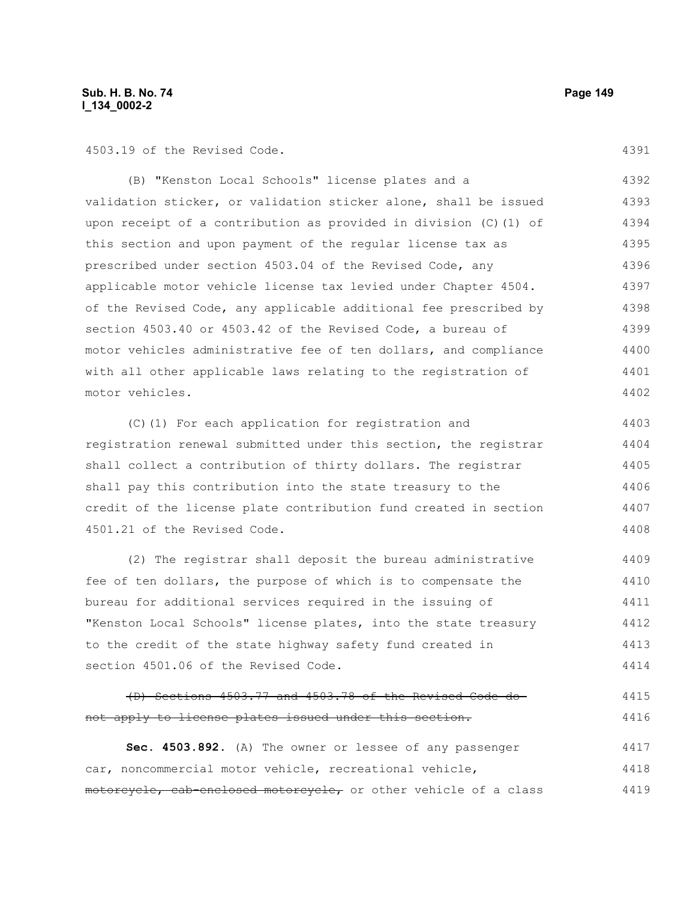4503.19 of the Revised Code.

(B) "Kenston Local Schools" license plates and a validation sticker, or validation sticker alone, shall be issued upon receipt of a contribution as provided in division (C)(1) of this section and upon payment of the regular license tax as prescribed under section 4503.04 of the Revised Code, any applicable motor vehicle license tax levied under Chapter 4504. of the Revised Code, any applicable additional fee prescribed by section 4503.40 or 4503.42 of the Revised Code, a bureau of motor vehicles administrative fee of ten dollars, and compliance with all other applicable laws relating to the registration of motor vehicles. 4392 4393 4394 4395 4396 4397 4398 4399 4400 4401 4402

(C)(1) For each application for registration and registration renewal submitted under this section, the registrar shall collect a contribution of thirty dollars. The registrar shall pay this contribution into the state treasury to the credit of the license plate contribution fund created in section 4501.21 of the Revised Code. 4403 4404 4405 4406 4407 4408

(2) The registrar shall deposit the bureau administrative fee of ten dollars, the purpose of which is to compensate the bureau for additional services required in the issuing of "Kenston Local Schools" license plates, into the state treasury to the credit of the state highway safety fund created in section 4501.06 of the Revised Code. 4409 4410 4411 4412 4413 4414

#### (D) Sections 4503.77 and 4503.78 of the Revised Code do not apply to license plates issued under this section. 4415 4416

**Sec. 4503.892.** (A) The owner or lessee of any passenger car, noncommercial motor vehicle, recreational vehicle, motorcycle, cab-enclosed motorcycle, or other vehicle of a class 4417 4418 4419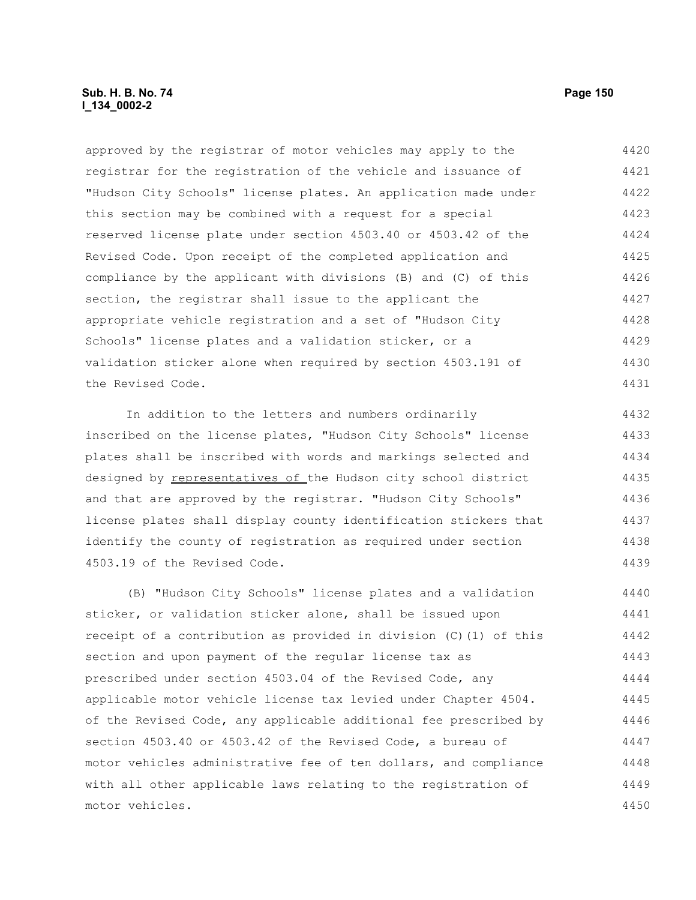## **Sub. H. B. No. 74** Page 150 **l\_134\_0002-2**

approved by the registrar of motor vehicles may apply to the registrar for the registration of the vehicle and issuance of "Hudson City Schools" license plates. An application made under this section may be combined with a request for a special reserved license plate under section 4503.40 or 4503.42 of the Revised Code. Upon receipt of the completed application and compliance by the applicant with divisions (B) and (C) of this section, the registrar shall issue to the applicant the appropriate vehicle registration and a set of "Hudson City Schools" license plates and a validation sticker, or a validation sticker alone when required by section 4503.191 of the Revised Code. 4420 4421 4422 4423 4424 4425 4426 4427 4428 4429 4430 4431

In addition to the letters and numbers ordinarily inscribed on the license plates, "Hudson City Schools" license plates shall be inscribed with words and markings selected and designed by representatives of the Hudson city school district and that are approved by the registrar. "Hudson City Schools" license plates shall display county identification stickers that identify the county of registration as required under section 4503.19 of the Revised Code. 4432 4433 4434 4435 4436 4437 4438 4439

(B) "Hudson City Schools" license plates and a validation sticker, or validation sticker alone, shall be issued upon receipt of a contribution as provided in division (C)(1) of this section and upon payment of the regular license tax as prescribed under section 4503.04 of the Revised Code, any applicable motor vehicle license tax levied under Chapter 4504. of the Revised Code, any applicable additional fee prescribed by section 4503.40 or 4503.42 of the Revised Code, a bureau of motor vehicles administrative fee of ten dollars, and compliance with all other applicable laws relating to the registration of motor vehicles. 4440 4441 4442 4443 4444 4445 4446 4447 4448 4449 4450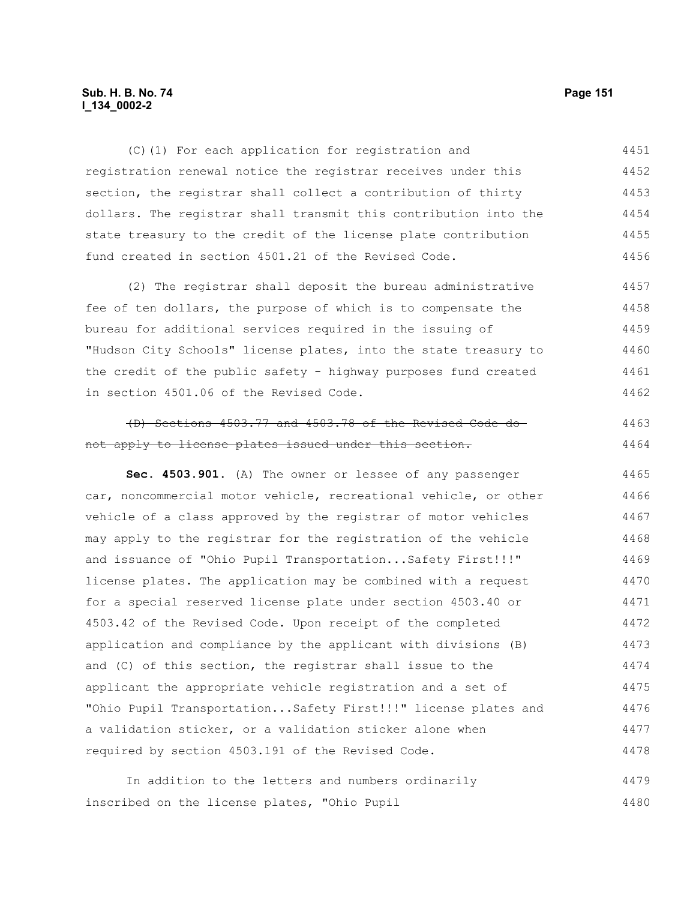## **Sub. H. B. No. 74** Page 151 **l\_134\_0002-2**

(C)(1) For each application for registration and registration renewal notice the registrar receives under this section, the registrar shall collect a contribution of thirty dollars. The registrar shall transmit this contribution into the state treasury to the credit of the license plate contribution fund created in section 4501.21 of the Revised Code. 4451 4452 4453 4454 4455 4456

(2) The registrar shall deposit the bureau administrative fee of ten dollars, the purpose of which is to compensate the bureau for additional services required in the issuing of "Hudson City Schools" license plates, into the state treasury to the credit of the public safety - highway purposes fund created in section 4501.06 of the Revised Code. 4457 4458 4459 4460 4461 4462

# (D) Sections 4503.77 and 4503.78 of the Revised Code do not apply to license plates issued under this section.

**Sec. 4503.901.** (A) The owner or lessee of any passenger car, noncommercial motor vehicle, recreational vehicle, or other vehicle of a class approved by the registrar of motor vehicles may apply to the registrar for the registration of the vehicle and issuance of "Ohio Pupil Transportation...Safety First!!!" license plates. The application may be combined with a request for a special reserved license plate under section 4503.40 or 4503.42 of the Revised Code. Upon receipt of the completed application and compliance by the applicant with divisions (B) and (C) of this section, the registrar shall issue to the applicant the appropriate vehicle registration and a set of "Ohio Pupil Transportation...Safety First!!!" license plates and a validation sticker, or a validation sticker alone when required by section 4503.191 of the Revised Code. 4465 4466 4467 4468 4469 4470 4471 4472 4473 4474 4475 4476 4477 4478

In addition to the letters and numbers ordinarily inscribed on the license plates, "Ohio Pupil 4479 4480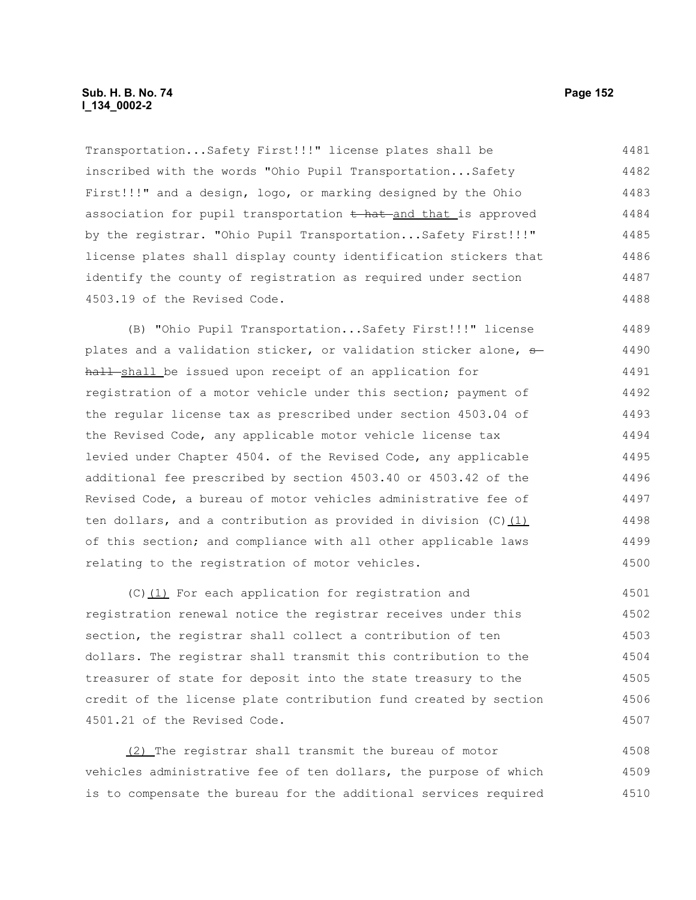Transportation...Safety First!!!" license plates shall be inscribed with the words "Ohio Pupil Transportation...Safety First!!!" and a design, logo, or marking designed by the Ohio association for pupil transportation  $t$  hat and that is approved by the registrar. "Ohio Pupil Transportation...Safety First!!!" license plates shall display county identification stickers that identify the county of registration as required under section 4503.19 of the Revised Code. 4481 4482 4483 4484 4485 4486 4487 4488

(B) "Ohio Pupil Transportation...Safety First!!!" license plates and a validation sticker, or validation sticker alone,  $s$ hall-shall be issued upon receipt of an application for registration of a motor vehicle under this section; payment of the regular license tax as prescribed under section 4503.04 of the Revised Code, any applicable motor vehicle license tax levied under Chapter 4504. of the Revised Code, any applicable additional fee prescribed by section 4503.40 or 4503.42 of the Revised Code, a bureau of motor vehicles administrative fee of ten dollars, and a contribution as provided in division (C)(1) of this section; and compliance with all other applicable laws relating to the registration of motor vehicles. 4489 4490 4491 4492 4493 4494 4495 4496 4497 4498 4499 4500

(C) (1) For each application for registration and registration renewal notice the registrar receives under this section, the registrar shall collect a contribution of ten dollars. The registrar shall transmit this contribution to the treasurer of state for deposit into the state treasury to the credit of the license plate contribution fund created by section 4501.21 of the Revised Code. 4501 4502 4503 4504 4505 4506 4507

(2) The registrar shall transmit the bureau of motor vehicles administrative fee of ten dollars, the purpose of which is to compensate the bureau for the additional services required 4508 4509 4510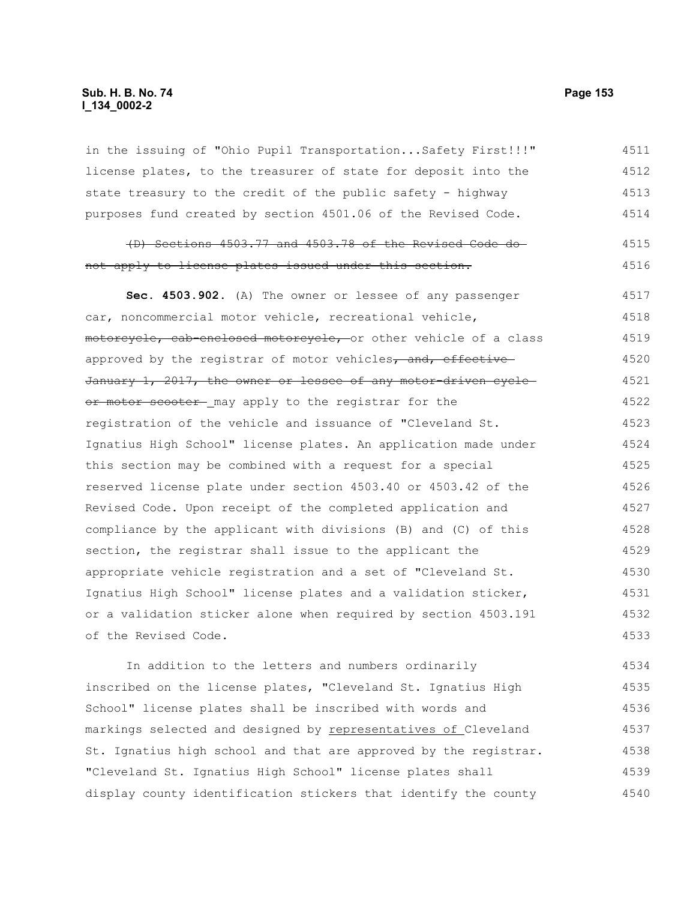#### **Sub. H. B. No. 74** Page 153 **l\_134\_0002-2**

in the issuing of "Ohio Pupil Transportation...Safety First!!!" license plates, to the treasurer of state for deposit into the state treasury to the credit of the public safety - highway purposes fund created by section 4501.06 of the Revised Code. 4511 4512 4513 4514

(D) Sections 4503.77 and 4503.78 of the Revised Code do not apply to license plates issued under this section. 4515 4516

**Sec. 4503.902.** (A) The owner or lessee of any passenger car, noncommercial motor vehicle, recreational vehicle, motorcycle, cab enclosed motorcycle, or other vehicle of a class approved by the registrar of motor vehicles<sub>7</sub> and, effective January 1, 2017, the owner or lessee of any motor-driven cycleor motor scooter- may apply to the registrar for the registration of the vehicle and issuance of "Cleveland St. Ignatius High School" license plates. An application made under this section may be combined with a request for a special reserved license plate under section 4503.40 or 4503.42 of the Revised Code. Upon receipt of the completed application and compliance by the applicant with divisions (B) and (C) of this section, the registrar shall issue to the applicant the appropriate vehicle registration and a set of "Cleveland St. Ignatius High School" license plates and a validation sticker, or a validation sticker alone when required by section 4503.191 of the Revised Code. 4517 4518 4519 4520 4521 4522 4523 4524 4525 4526 4527 4528 4529 4530 4531 4532 4533

In addition to the letters and numbers ordinarily inscribed on the license plates, "Cleveland St. Ignatius High School" license plates shall be inscribed with words and markings selected and designed by representatives of Cleveland St. Ignatius high school and that are approved by the registrar. "Cleveland St. Ignatius High School" license plates shall display county identification stickers that identify the county 4534 4535 4536 4537 4538 4539 4540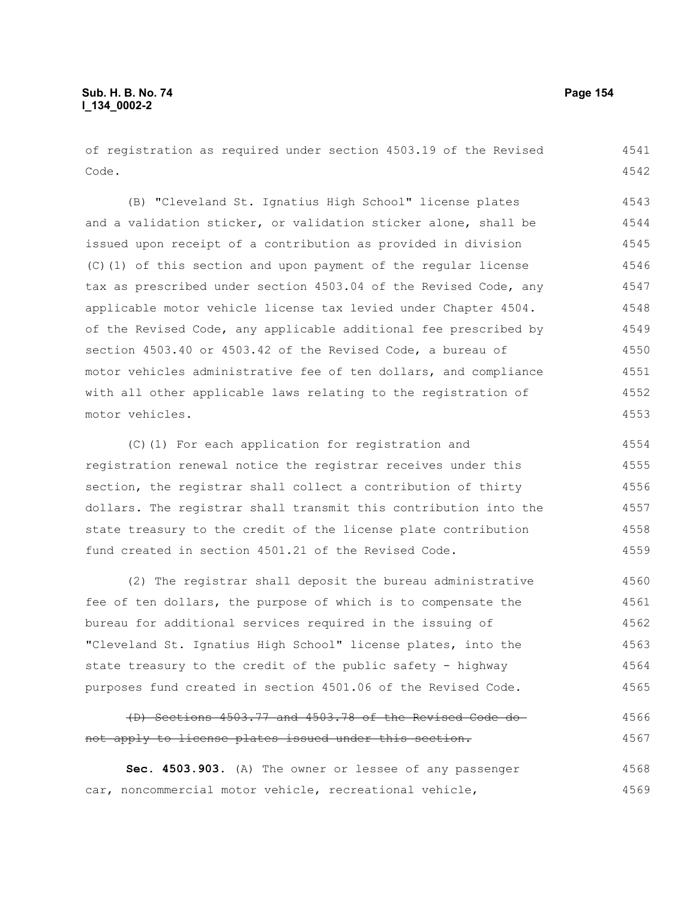of registration as required under section 4503.19 of the Revised Code. 4541 4542

(B) "Cleveland St. Ignatius High School" license plates and a validation sticker, or validation sticker alone, shall be issued upon receipt of a contribution as provided in division (C)(1) of this section and upon payment of the regular license tax as prescribed under section 4503.04 of the Revised Code, any applicable motor vehicle license tax levied under Chapter 4504. of the Revised Code, any applicable additional fee prescribed by section 4503.40 or 4503.42 of the Revised Code, a bureau of motor vehicles administrative fee of ten dollars, and compliance with all other applicable laws relating to the registration of motor vehicles. 4543 4544 4545 4546 4547 4548 4549 4550 4551 4552 4553

(C)(1) For each application for registration and registration renewal notice the registrar receives under this section, the registrar shall collect a contribution of thirty dollars. The registrar shall transmit this contribution into the state treasury to the credit of the license plate contribution fund created in section 4501.21 of the Revised Code. 4554 4555 4556 4557 4558 4559

(2) The registrar shall deposit the bureau administrative fee of ten dollars, the purpose of which is to compensate the bureau for additional services required in the issuing of "Cleveland St. Ignatius High School" license plates, into the state treasury to the credit of the public safety - highway purposes fund created in section 4501.06 of the Revised Code. 4560 4561 4562 4563 4564 4565

#### (D) Sections 4503.77 and 4503.78 of the Revised Code do not apply to license plates issued under this section. 4566 4567

**Sec. 4503.903.** (A) The owner or lessee of any passenger car, noncommercial motor vehicle, recreational vehicle, 4568 4569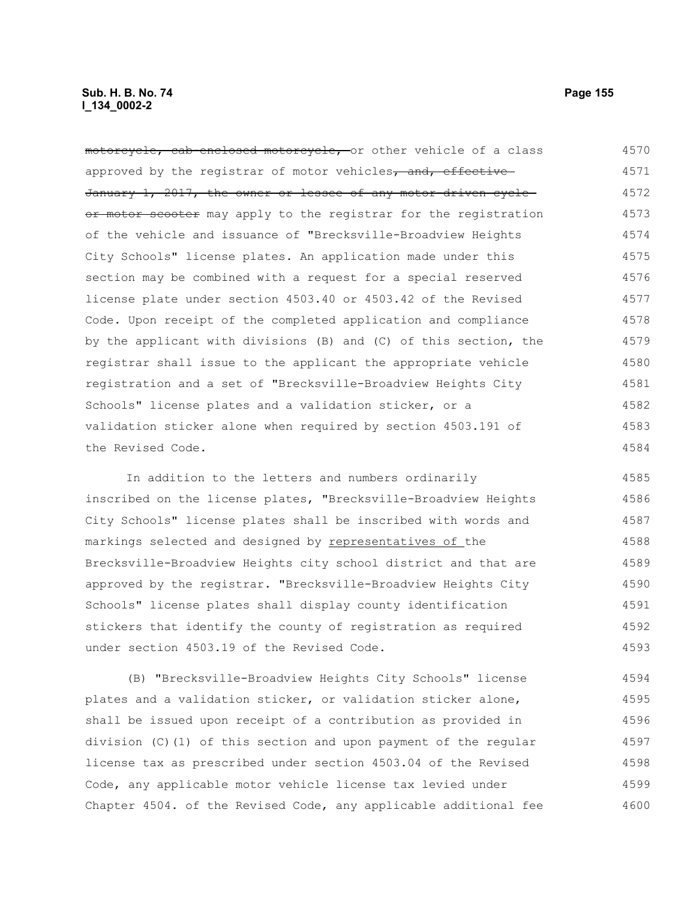## **Sub. H. B. No. 74** Page 155 **l\_134\_0002-2**

motorcycle, cab enclosed motorcycle, or other vehicle of a class approved by the registrar of motor vehicles, and, effective January 1, 2017, the owner or lessee of any motor-driven cycleor motor scooter may apply to the registrar for the registration of the vehicle and issuance of "Brecksville-Broadview Heights City Schools" license plates. An application made under this section may be combined with a request for a special reserved license plate under section 4503.40 or 4503.42 of the Revised Code. Upon receipt of the completed application and compliance by the applicant with divisions (B) and (C) of this section, the registrar shall issue to the applicant the appropriate vehicle registration and a set of "Brecksville-Broadview Heights City Schools" license plates and a validation sticker, or a validation sticker alone when required by section 4503.191 of the Revised Code. 4570 4571 4572 4573 4574 4575 4576 4577 4578 4579 4580 4581 4582 4583 4584

In addition to the letters and numbers ordinarily inscribed on the license plates, "Brecksville-Broadview Heights City Schools" license plates shall be inscribed with words and markings selected and designed by representatives of the Brecksville-Broadview Heights city school district and that are approved by the registrar. "Brecksville-Broadview Heights City Schools" license plates shall display county identification stickers that identify the county of registration as required under section 4503.19 of the Revised Code. 4585 4586 4587 4588 4589 4590 4591 4592 4593

(B) "Brecksville-Broadview Heights City Schools" license plates and a validation sticker, or validation sticker alone, shall be issued upon receipt of a contribution as provided in division (C)(1) of this section and upon payment of the regular license tax as prescribed under section 4503.04 of the Revised Code, any applicable motor vehicle license tax levied under Chapter 4504. of the Revised Code, any applicable additional fee 4594 4595 4596 4597 4598 4599 4600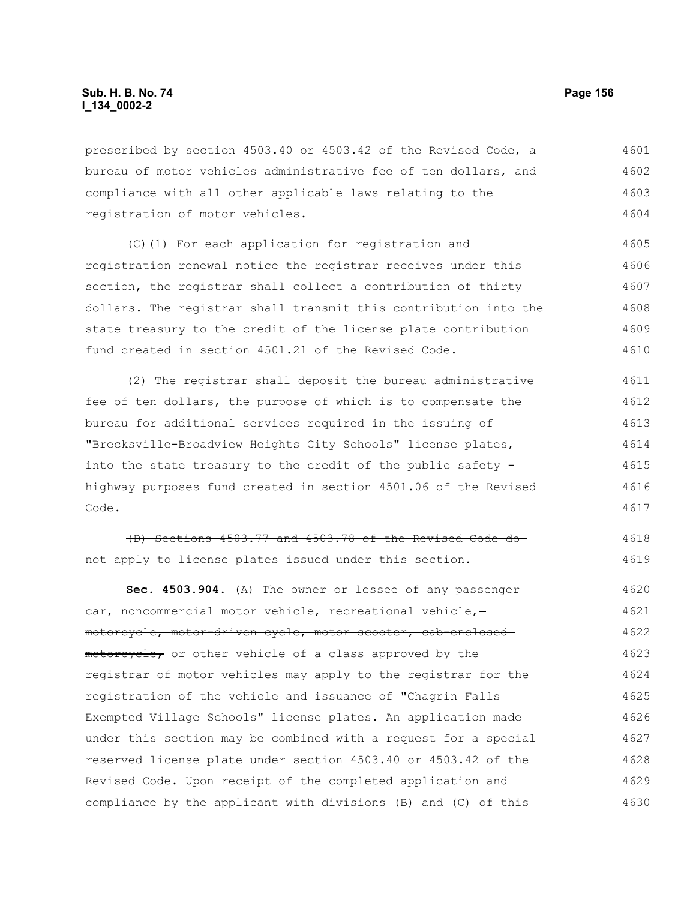## **Sub. H. B. No. 74** Page 156 **l\_134\_0002-2**

prescribed by section 4503.40 or 4503.42 of the Revised Code, a bureau of motor vehicles administrative fee of ten dollars, and compliance with all other applicable laws relating to the registration of motor vehicles. 4601 4602 4603 4604

(C)(1) For each application for registration and registration renewal notice the registrar receives under this section, the registrar shall collect a contribution of thirty dollars. The registrar shall transmit this contribution into the state treasury to the credit of the license plate contribution fund created in section 4501.21 of the Revised Code. 4605 4606 4607 4608 4609 4610

(2) The registrar shall deposit the bureau administrative fee of ten dollars, the purpose of which is to compensate the bureau for additional services required in the issuing of "Brecksville-Broadview Heights City Schools" license plates, into the state treasury to the credit of the public safety highway purposes fund created in section 4501.06 of the Revised Code. 4611 4612 4613 4614 4615 4616 4617

(D) Sections 4503.77 and 4503.78 of the Revised Code do not apply to license plates issued under this section. 4618 4619

**Sec. 4503.904.** (A) The owner or lessee of any passenger car, noncommercial motor vehicle, recreational vehicle, motorcycle, motor-driven cycle, motor scooter, cab-enclosed motorcycle, or other vehicle of a class approved by the registrar of motor vehicles may apply to the registrar for the registration of the vehicle and issuance of "Chagrin Falls Exempted Village Schools" license plates. An application made under this section may be combined with a request for a special reserved license plate under section 4503.40 or 4503.42 of the Revised Code. Upon receipt of the completed application and compliance by the applicant with divisions (B) and (C) of this 4620 4621 4622 4623 4624 4625 4626 4627 4628 4629 4630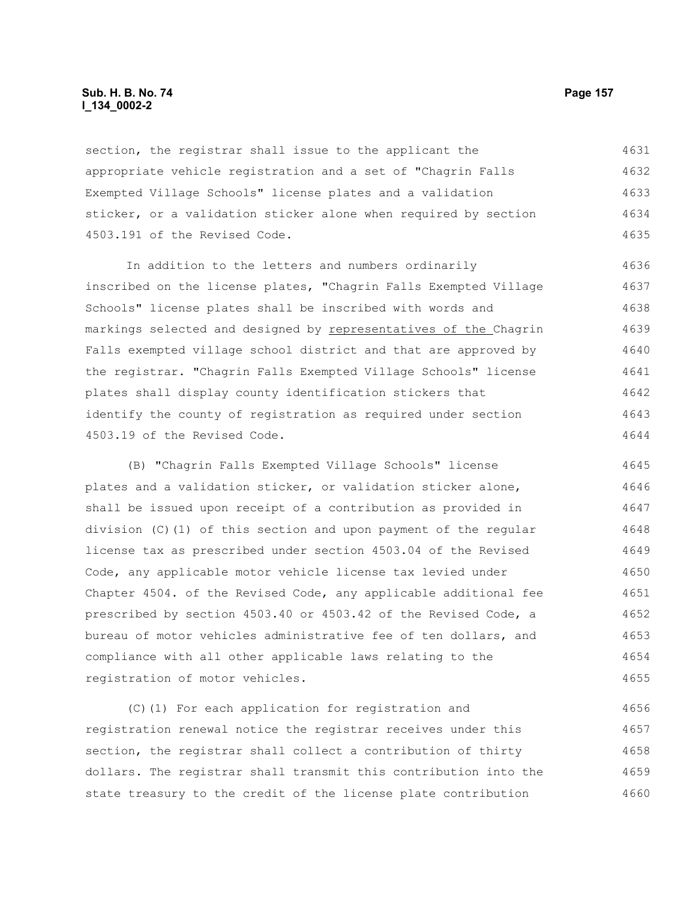#### **Sub. H. B. No. 74** Page 157 **l\_134\_0002-2**

section, the registrar shall issue to the applicant the appropriate vehicle registration and a set of "Chagrin Falls Exempted Village Schools" license plates and a validation sticker, or a validation sticker alone when required by section 4503.191 of the Revised Code. 4631 4632 4633 4634 4635

In addition to the letters and numbers ordinarily inscribed on the license plates, "Chagrin Falls Exempted Village Schools" license plates shall be inscribed with words and markings selected and designed by representatives of the Chagrin Falls exempted village school district and that are approved by the registrar. "Chagrin Falls Exempted Village Schools" license plates shall display county identification stickers that identify the county of registration as required under section 4503.19 of the Revised Code. 4636 4637 4638 4639 4640 4641 4642 4643 4644

(B) "Chagrin Falls Exempted Village Schools" license plates and a validation sticker, or validation sticker alone, shall be issued upon receipt of a contribution as provided in division (C)(1) of this section and upon payment of the regular license tax as prescribed under section 4503.04 of the Revised Code, any applicable motor vehicle license tax levied under Chapter 4504. of the Revised Code, any applicable additional fee prescribed by section 4503.40 or 4503.42 of the Revised Code, a bureau of motor vehicles administrative fee of ten dollars, and compliance with all other applicable laws relating to the registration of motor vehicles. 4645 4646 4647 4648 4649 4650 4651 4652 4653 4654 4655

(C)(1) For each application for registration and registration renewal notice the registrar receives under this section, the registrar shall collect a contribution of thirty dollars. The registrar shall transmit this contribution into the state treasury to the credit of the license plate contribution 4656 4657 4658 4659 4660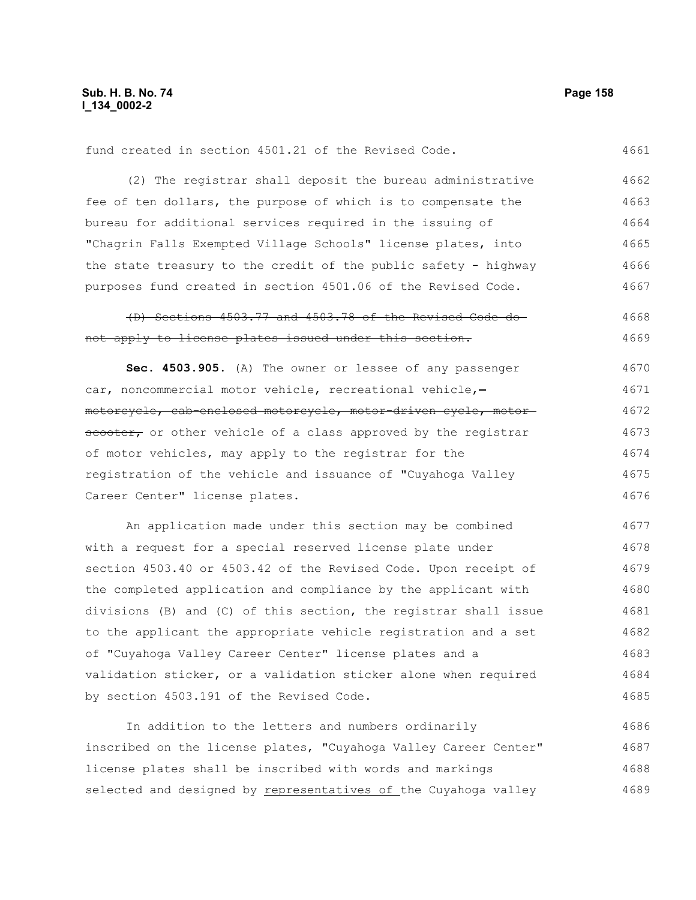4661

fund created in section 4501.21 of the Revised Code.

(2) The registrar shall deposit the bureau administrative fee of ten dollars, the purpose of which is to compensate the bureau for additional services required in the issuing of "Chagrin Falls Exempted Village Schools" license plates, into the state treasury to the credit of the public safety - highway purposes fund created in section 4501.06 of the Revised Code. 4662 4663 4664 4665 4666 4667

(D) Sections 4503.77 and 4503.78 of the Revised Code do not apply to license plates issued under this section. 4668 4669

**Sec. 4503.905.** (A) The owner or lessee of any passenger car, noncommercial motor vehicle, recreational vehicle, motorcycle, cab-enclosed motorcycle, motor-driven cycle, motor scooter, or other vehicle of a class approved by the registrar of motor vehicles, may apply to the registrar for the registration of the vehicle and issuance of "Cuyahoga Valley Career Center" license plates. 4670 4671 4672 4673 4674 4675 4676

An application made under this section may be combined with a request for a special reserved license plate under section 4503.40 or 4503.42 of the Revised Code. Upon receipt of the completed application and compliance by the applicant with divisions (B) and (C) of this section, the registrar shall issue to the applicant the appropriate vehicle registration and a set of "Cuyahoga Valley Career Center" license plates and a validation sticker, or a validation sticker alone when required by section 4503.191 of the Revised Code. 4677 4678 4679 4680 4681 4682 4683 4684 4685

In addition to the letters and numbers ordinarily inscribed on the license plates, "Cuyahoga Valley Career Center" license plates shall be inscribed with words and markings selected and designed by representatives of the Cuyahoga valley 4686 4687 4688 4689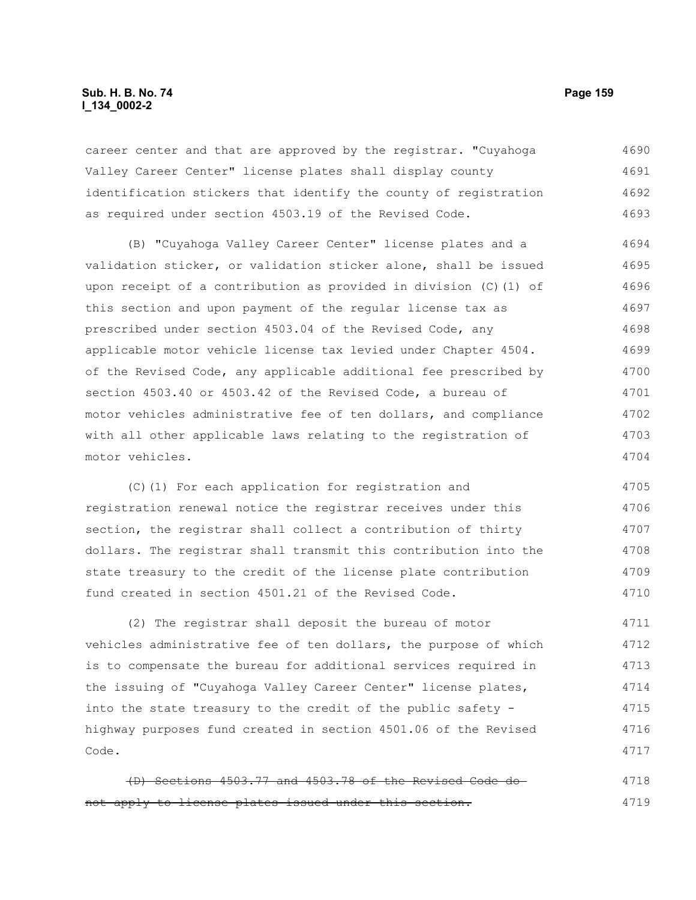## **Sub. H. B. No. 74** Page 159 **l\_134\_0002-2**

career center and that are approved by the registrar. "Cuyahoga Valley Career Center" license plates shall display county identification stickers that identify the county of registration as required under section 4503.19 of the Revised Code. 4690 4691 4692 4693

(B) "Cuyahoga Valley Career Center" license plates and a validation sticker, or validation sticker alone, shall be issued upon receipt of a contribution as provided in division (C)(1) of this section and upon payment of the regular license tax as prescribed under section 4503.04 of the Revised Code, any applicable motor vehicle license tax levied under Chapter 4504. of the Revised Code, any applicable additional fee prescribed by section 4503.40 or 4503.42 of the Revised Code, a bureau of motor vehicles administrative fee of ten dollars, and compliance with all other applicable laws relating to the registration of motor vehicles. 4694 4695 4696 4697 4698 4699 4700 4701 4702 4703 4704

(C)(1) For each application for registration and registration renewal notice the registrar receives under this section, the registrar shall collect a contribution of thirty dollars. The registrar shall transmit this contribution into the state treasury to the credit of the license plate contribution fund created in section 4501.21 of the Revised Code. 4705 4706 4707 4708 4709 4710

(2) The registrar shall deposit the bureau of motor vehicles administrative fee of ten dollars, the purpose of which is to compensate the bureau for additional services required in the issuing of "Cuyahoga Valley Career Center" license plates, into the state treasury to the credit of the public safety highway purposes fund created in section 4501.06 of the Revised Code. 4711 4712 4713 4714 4715 4716 4717

(D) Sections 4503.77 and 4503.78 of the Revised Code do not apply to license plates issued under this section. 4718 4719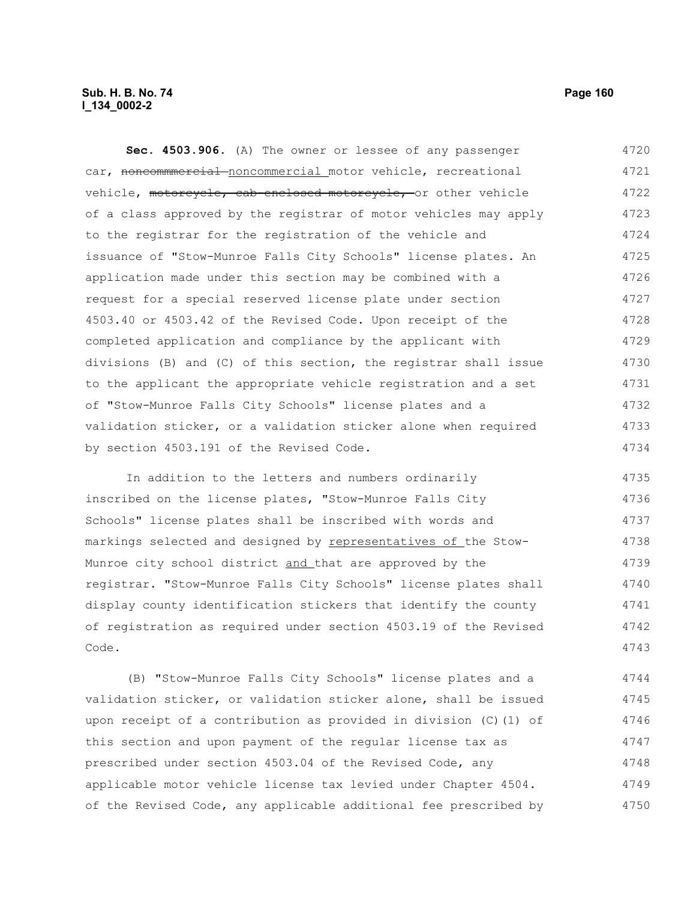**Sec. 4503.906.** (A) The owner or lessee of any passenger car, noncommmercial-noncommercial motor vehicle, recreational vehicle, motorcycle, cab-enclosed motorcycle, or other vehicle of a class approved by the registrar of motor vehicles may apply to the registrar for the registration of the vehicle and issuance of "Stow-Munroe Falls City Schools" license plates. An application made under this section may be combined with a request for a special reserved license plate under section 4503.40 or 4503.42 of the Revised Code. Upon receipt of the completed application and compliance by the applicant with divisions (B) and (C) of this section, the registrar shall issue to the applicant the appropriate vehicle registration and a set of "Stow-Munroe Falls City Schools" license plates and a validation sticker, or a validation sticker alone when required by section 4503.191 of the Revised Code. 4720 4721 4722 4723 4724 4725 4726 4727 4728 4729 4730 4731 4732 4733 4734

In addition to the letters and numbers ordinarily inscribed on the license plates, "Stow-Munroe Falls City Schools" license plates shall be inscribed with words and markings selected and designed by representatives of the Stow-Munroe city school district and that are approved by the registrar. "Stow-Munroe Falls City Schools" license plates shall display county identification stickers that identify the county of registration as required under section 4503.19 of the Revised Code. 4735 4736 4737 4738 4739 4740 4741 4742 4743

(B) "Stow-Munroe Falls City Schools" license plates and a validation sticker, or validation sticker alone, shall be issued upon receipt of a contribution as provided in division (C)(1) of this section and upon payment of the regular license tax as prescribed under section 4503.04 of the Revised Code, any applicable motor vehicle license tax levied under Chapter 4504. of the Revised Code, any applicable additional fee prescribed by 4744 4745 4746 4747 4748 4749 4750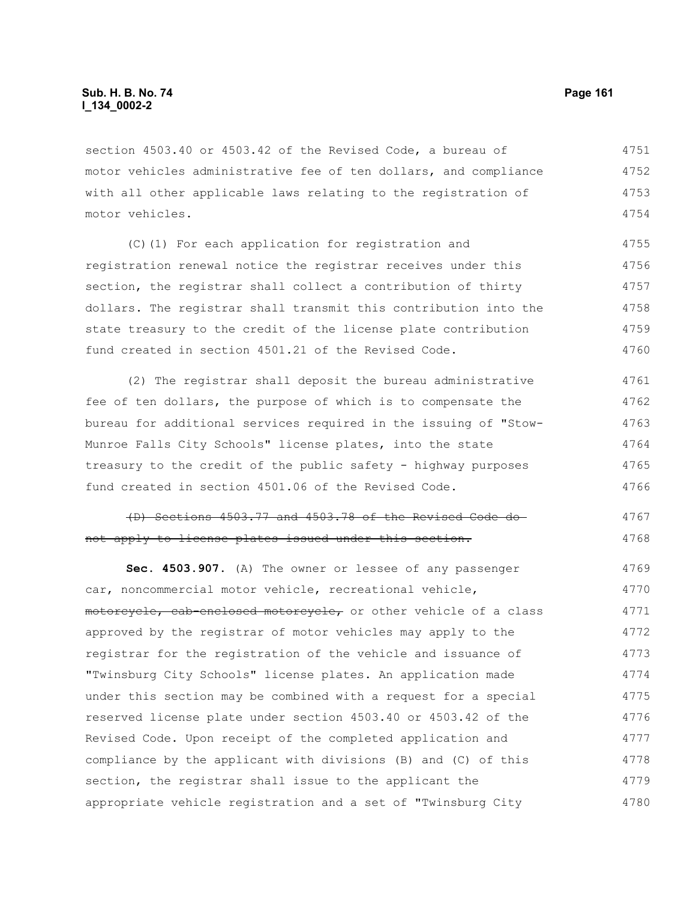## **Sub. H. B. No. 74** Page 161 **l\_134\_0002-2**

section 4503.40 or 4503.42 of the Revised Code, a bureau of motor vehicles administrative fee of ten dollars, and compliance with all other applicable laws relating to the registration of motor vehicles. 4751 4752 4753 4754

(C)(1) For each application for registration and registration renewal notice the registrar receives under this section, the registrar shall collect a contribution of thirty dollars. The registrar shall transmit this contribution into the state treasury to the credit of the license plate contribution fund created in section 4501.21 of the Revised Code. 4755 4756 4757 4758 4759 4760

(2) The registrar shall deposit the bureau administrative fee of ten dollars, the purpose of which is to compensate the bureau for additional services required in the issuing of "Stow-Munroe Falls City Schools" license plates, into the state treasury to the credit of the public safety - highway purposes fund created in section 4501.06 of the Revised Code. 4761 4762 4763 4764 4765 4766

(D) Sections 4503.77 and 4503.78 of the Revised Code do not apply to license plates issued under this section. 4767 4768

**Sec. 4503.907.** (A) The owner or lessee of any passenger car, noncommercial motor vehicle, recreational vehicle, motorcycle, cab-enclosed motorcycle, or other vehicle of a class approved by the registrar of motor vehicles may apply to the registrar for the registration of the vehicle and issuance of "Twinsburg City Schools" license plates. An application made under this section may be combined with a request for a special reserved license plate under section 4503.40 or 4503.42 of the Revised Code. Upon receipt of the completed application and compliance by the applicant with divisions (B) and (C) of this section, the registrar shall issue to the applicant the appropriate vehicle registration and a set of "Twinsburg City 4769 4770 4771 4772 4773 4774 4775 4776 4777 4778 4779 4780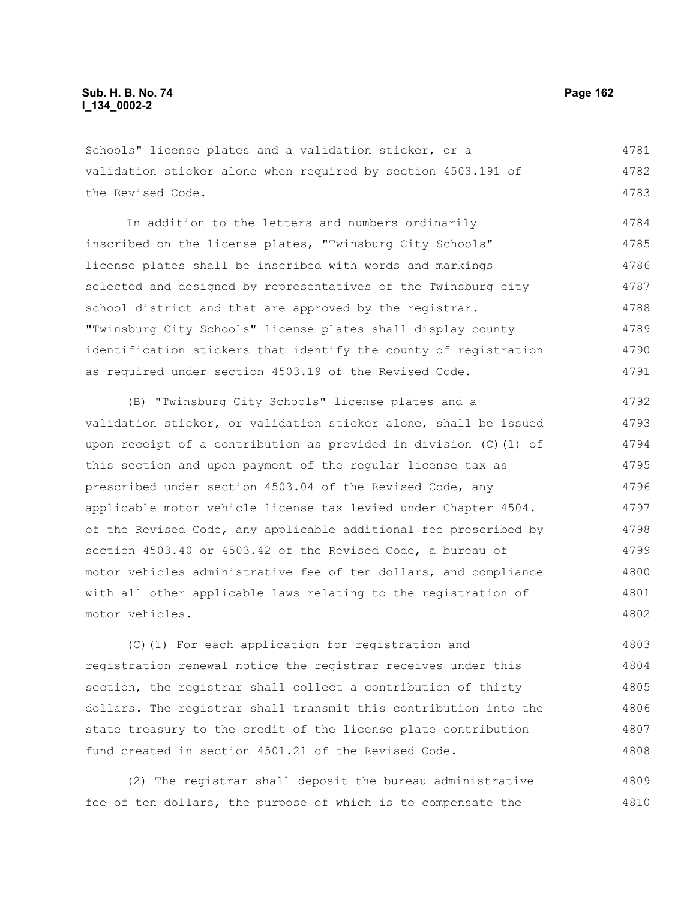Schools" license plates and a validation sticker, or a validation sticker alone when required by section 4503.191 of the Revised Code. 4781 4782 4783

In addition to the letters and numbers ordinarily inscribed on the license plates, "Twinsburg City Schools" license plates shall be inscribed with words and markings selected and designed by representatives of the Twinsburg city school district and that are approved by the registrar. "Twinsburg City Schools" license plates shall display county identification stickers that identify the county of registration as required under section 4503.19 of the Revised Code. 4784 4785 4786 4787 4788 4789 4790 4791

(B) "Twinsburg City Schools" license plates and a validation sticker, or validation sticker alone, shall be issued upon receipt of a contribution as provided in division (C)(1) of this section and upon payment of the regular license tax as prescribed under section 4503.04 of the Revised Code, any applicable motor vehicle license tax levied under Chapter 4504. of the Revised Code, any applicable additional fee prescribed by section 4503.40 or 4503.42 of the Revised Code, a bureau of motor vehicles administrative fee of ten dollars, and compliance with all other applicable laws relating to the registration of motor vehicles. 4792 4793 4794 4795 4796 4797 4798 4799 4800 4801 4802

(C)(1) For each application for registration and registration renewal notice the registrar receives under this section, the registrar shall collect a contribution of thirty dollars. The registrar shall transmit this contribution into the state treasury to the credit of the license plate contribution fund created in section 4501.21 of the Revised Code. 4803 4804 4805 4806 4807 4808

(2) The registrar shall deposit the bureau administrative fee of ten dollars, the purpose of which is to compensate the 4809 4810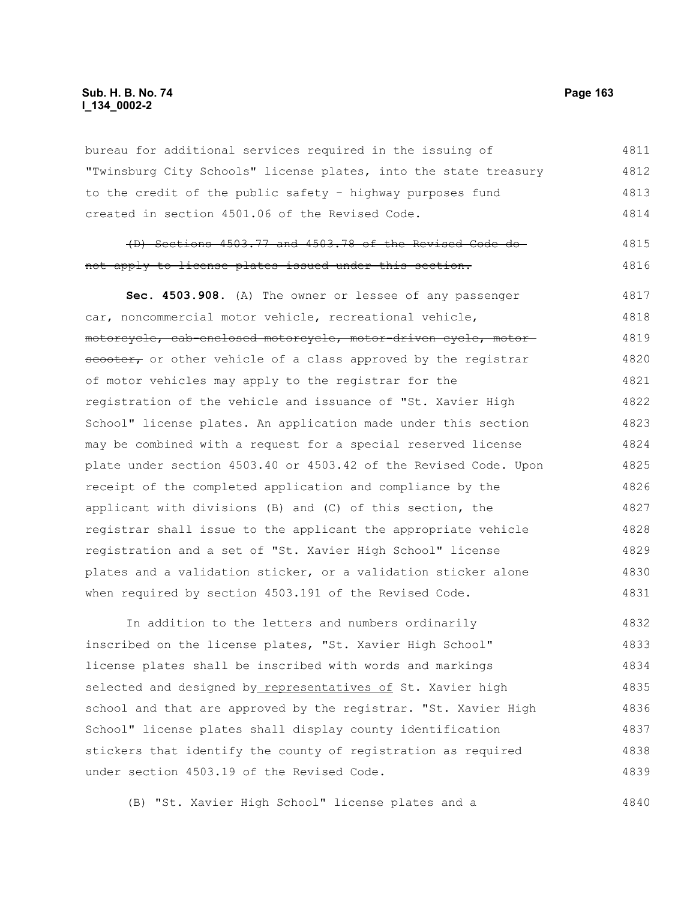#### **Sub. H. B. No. 74** Page 163 **l\_134\_0002-2**

bureau for additional services required in the issuing of "Twinsburg City Schools" license plates, into the state treasury to the credit of the public safety - highway purposes fund created in section 4501.06 of the Revised Code. 4811 4812 4813 4814

(D) Sections 4503.77 and 4503.78 of the Revised Code do not apply to license plates issued under this section. 4815 4816

**Sec. 4503.908.** (A) The owner or lessee of any passenger car, noncommercial motor vehicle, recreational vehicle, motorcycle, cab-enclosed motorcycle, motor-driven cycle, motor scooter, or other vehicle of a class approved by the registrar of motor vehicles may apply to the registrar for the registration of the vehicle and issuance of "St. Xavier High School" license plates. An application made under this section may be combined with a request for a special reserved license plate under section 4503.40 or 4503.42 of the Revised Code. Upon receipt of the completed application and compliance by the applicant with divisions (B) and (C) of this section, the registrar shall issue to the applicant the appropriate vehicle registration and a set of "St. Xavier High School" license plates and a validation sticker, or a validation sticker alone when required by section 4503.191 of the Revised Code. 4817 4818 4819 4820 4821 4822 4823 4824 4825 4826 4827 4828 4829 4830 4831

In addition to the letters and numbers ordinarily inscribed on the license plates, "St. Xavier High School" license plates shall be inscribed with words and markings selected and designed by representatives of St. Xavier high school and that are approved by the registrar. "St. Xavier High School" license plates shall display county identification stickers that identify the county of registration as required under section 4503.19 of the Revised Code. 4832 4833 4834 4835 4836 4837 4838 4839

(B) "St. Xavier High School" license plates and a 4840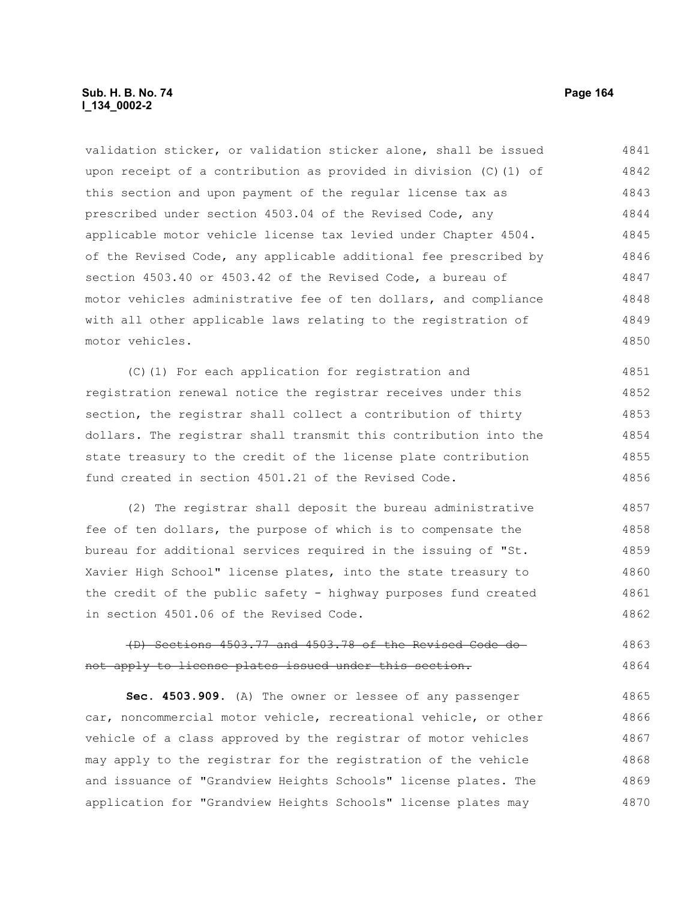## **Sub. H. B. No. 74** Page 164 **l\_134\_0002-2**

validation sticker, or validation sticker alone, shall be issued upon receipt of a contribution as provided in division (C)(1) of this section and upon payment of the regular license tax as prescribed under section 4503.04 of the Revised Code, any applicable motor vehicle license tax levied under Chapter 4504. of the Revised Code, any applicable additional fee prescribed by section 4503.40 or 4503.42 of the Revised Code, a bureau of motor vehicles administrative fee of ten dollars, and compliance with all other applicable laws relating to the registration of motor vehicles. 4841 4842 4843 4844 4845 4846 4847 4848 4849 4850

(C)(1) For each application for registration and registration renewal notice the registrar receives under this section, the registrar shall collect a contribution of thirty dollars. The registrar shall transmit this contribution into the state treasury to the credit of the license plate contribution fund created in section 4501.21 of the Revised Code. 4851 4852 4853 4854 4855 4856

(2) The registrar shall deposit the bureau administrative fee of ten dollars, the purpose of which is to compensate the bureau for additional services required in the issuing of "St. Xavier High School" license plates, into the state treasury to the credit of the public safety - highway purposes fund created in section 4501.06 of the Revised Code. 4857 4858 4859 4860 4861 4862

(D) Sections 4503.77 and 4503.78 of the Revised Code do not apply to license plates issued under this section. 4863 4864

**Sec. 4503.909.** (A) The owner or lessee of any passenger car, noncommercial motor vehicle, recreational vehicle, or other vehicle of a class approved by the registrar of motor vehicles may apply to the registrar for the registration of the vehicle and issuance of "Grandview Heights Schools" license plates. The application for "Grandview Heights Schools" license plates may 4865 4866 4867 4868 4869 4870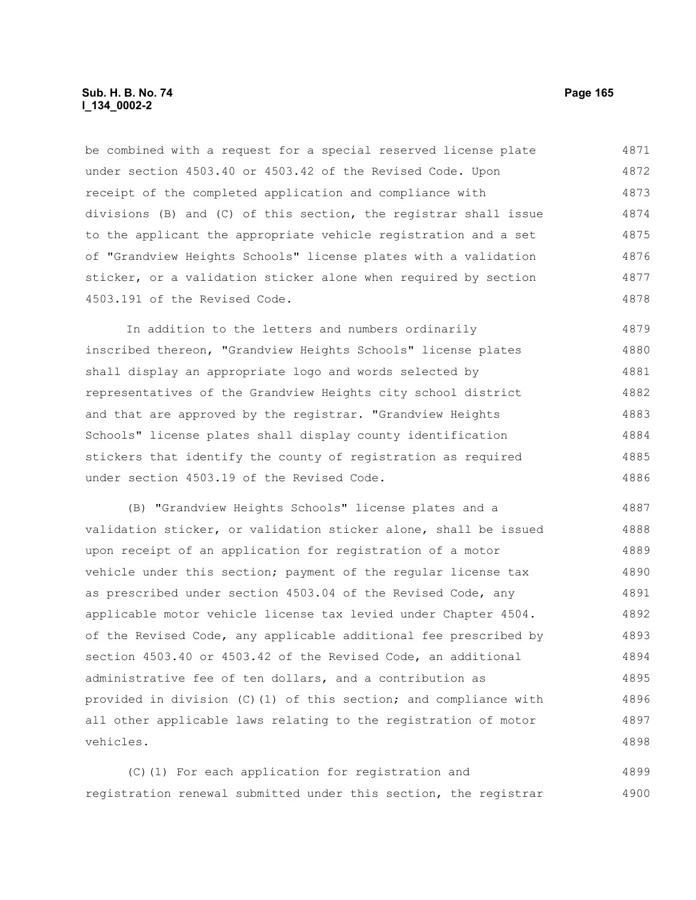#### **Sub. H. B. No. 74** Page 165 **l\_134\_0002-2**

be combined with a request for a special reserved license plate under section 4503.40 or 4503.42 of the Revised Code. Upon receipt of the completed application and compliance with divisions (B) and (C) of this section, the registrar shall issue to the applicant the appropriate vehicle registration and a set of "Grandview Heights Schools" license plates with a validation sticker, or a validation sticker alone when required by section 4503.191 of the Revised Code. 4871 4872 4873 4874 4875 4876 4877 4878

In addition to the letters and numbers ordinarily inscribed thereon, "Grandview Heights Schools" license plates shall display an appropriate logo and words selected by representatives of the Grandview Heights city school district and that are approved by the registrar. "Grandview Heights Schools" license plates shall display county identification stickers that identify the county of registration as required under section 4503.19 of the Revised Code. 4879 4880 4881 4882 4883 4884 4885 4886

(B) "Grandview Heights Schools" license plates and a validation sticker, or validation sticker alone, shall be issued upon receipt of an application for registration of a motor vehicle under this section; payment of the regular license tax as prescribed under section 4503.04 of the Revised Code, any applicable motor vehicle license tax levied under Chapter 4504. of the Revised Code, any applicable additional fee prescribed by section 4503.40 or 4503.42 of the Revised Code, an additional administrative fee of ten dollars, and a contribution as provided in division (C)(1) of this section; and compliance with all other applicable laws relating to the registration of motor vehicles. 4887 4888 4889 4890 4891 4892 4893 4894 4895 4896 4897 4898

(C)(1) For each application for registration and registration renewal submitted under this section, the registrar 4899 4900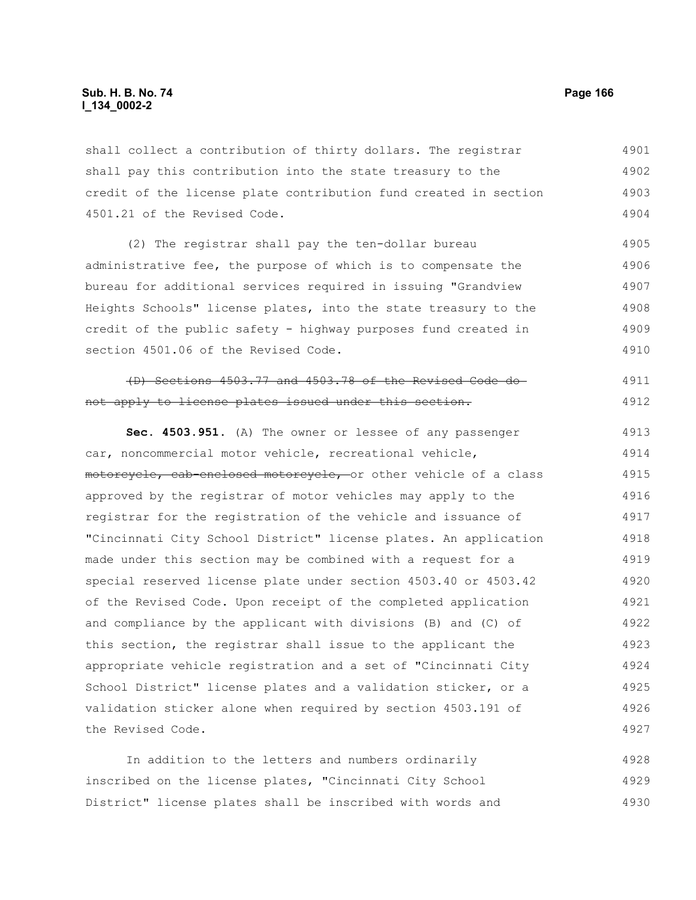## **Sub. H. B. No. 74 Page 166 l\_134\_0002-2**

shall collect a contribution of thirty dollars. The registrar shall pay this contribution into the state treasury to the credit of the license plate contribution fund created in section 4501.21 of the Revised Code. 4901 4902 4903 4904

(2) The registrar shall pay the ten-dollar bureau administrative fee, the purpose of which is to compensate the bureau for additional services required in issuing "Grandview Heights Schools" license plates, into the state treasury to the credit of the public safety - highway purposes fund created in section 4501.06 of the Revised Code. 4905 4906 4907 4908 4909 4910

#### (D) Sections 4503.77 and 4503.78 of the Revised Code do not apply to license plates issued under this section. 4911 4912

**Sec. 4503.951.** (A) The owner or lessee of any passenger car, noncommercial motor vehicle, recreational vehicle, motorcycle, cab-enclosed motorcycle, or other vehicle of a class approved by the registrar of motor vehicles may apply to the registrar for the registration of the vehicle and issuance of "Cincinnati City School District" license plates. An application made under this section may be combined with a request for a special reserved license plate under section 4503.40 or 4503.42 of the Revised Code. Upon receipt of the completed application and compliance by the applicant with divisions (B) and (C) of this section, the registrar shall issue to the applicant the appropriate vehicle registration and a set of "Cincinnati City School District" license plates and a validation sticker, or a validation sticker alone when required by section 4503.191 of the Revised Code. 4913 4914 4915 4916 4917 4918 4919 4920 4921 4922 4923 4924 4925 4926 4927

In addition to the letters and numbers ordinarily inscribed on the license plates, "Cincinnati City School District" license plates shall be inscribed with words and 4928 4929 4930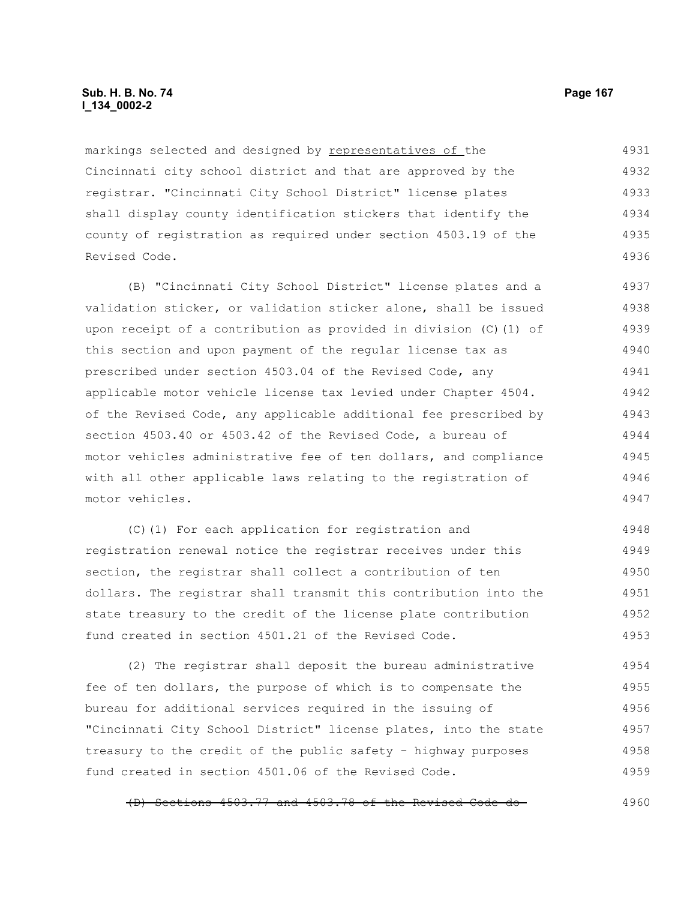## **Sub. H. B. No. 74** Page 167 **l\_134\_0002-2**

markings selected and designed by representatives of the Cincinnati city school district and that are approved by the registrar. "Cincinnati City School District" license plates shall display county identification stickers that identify the county of registration as required under section 4503.19 of the Revised Code. 4931 4932 4933 4934 4935 4936

(B) "Cincinnati City School District" license plates and a validation sticker, or validation sticker alone, shall be issued upon receipt of a contribution as provided in division (C)(1) of this section and upon payment of the regular license tax as prescribed under section 4503.04 of the Revised Code, any applicable motor vehicle license tax levied under Chapter 4504. of the Revised Code, any applicable additional fee prescribed by section 4503.40 or 4503.42 of the Revised Code, a bureau of motor vehicles administrative fee of ten dollars, and compliance with all other applicable laws relating to the registration of motor vehicles. 4937 4938 4939 4940 4941 4942 4943 4944 4945 4946 4947

(C)(1) For each application for registration and registration renewal notice the registrar receives under this section, the registrar shall collect a contribution of ten dollars. The registrar shall transmit this contribution into the state treasury to the credit of the license plate contribution fund created in section 4501.21 of the Revised Code. 4948 4949 4950 4951 4952 4953

(2) The registrar shall deposit the bureau administrative fee of ten dollars, the purpose of which is to compensate the bureau for additional services required in the issuing of "Cincinnati City School District" license plates, into the state treasury to the credit of the public safety - highway purposes fund created in section 4501.06 of the Revised Code. 4954 4955 4956 4957 4958 4959

(D) Sections 4503.77 and 4503.78 of the Revised Code do 4960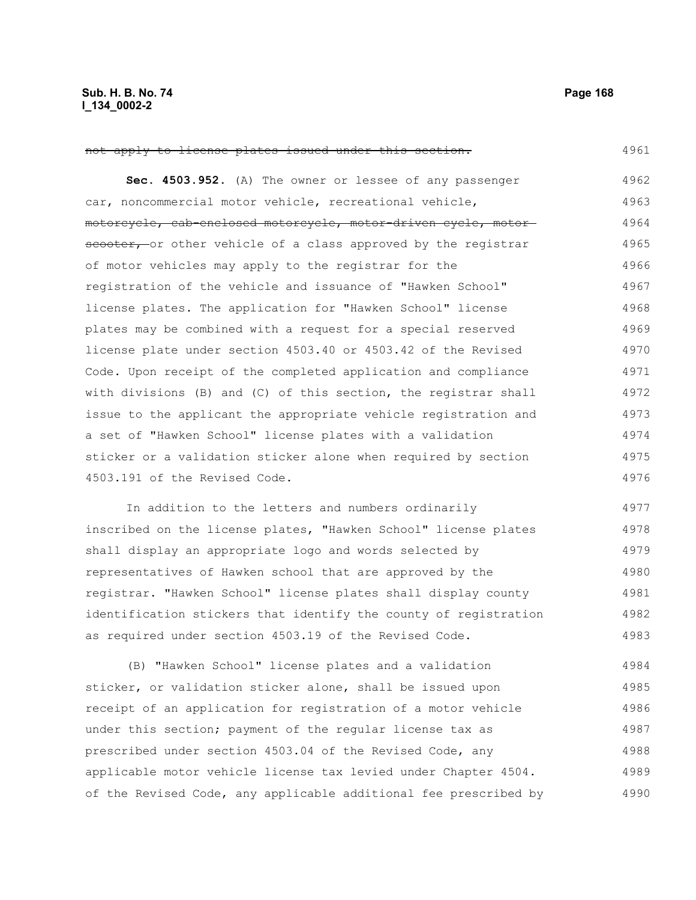not apply to license plates issued under this section.

**Sec. 4503.952.** (A) The owner or lessee of any passenger car, noncommercial motor vehicle, recreational vehicle, motorcycle, cab-enclosed motorcycle, motor-driven cycle, motorscooter, or other vehicle of a class approved by the registrar of motor vehicles may apply to the registrar for the registration of the vehicle and issuance of "Hawken School" license plates. The application for "Hawken School" license plates may be combined with a request for a special reserved license plate under section 4503.40 or 4503.42 of the Revised Code. Upon receipt of the completed application and compliance with divisions (B) and (C) of this section, the registrar shall issue to the applicant the appropriate vehicle registration and a set of "Hawken School" license plates with a validation sticker or a validation sticker alone when required by section 4503.191 of the Revised Code. 4962 4963 4964 4965 4966 4967 4968 4969 4970 4971 4972 4973 4974 4975 4976

In addition to the letters and numbers ordinarily inscribed on the license plates, "Hawken School" license plates shall display an appropriate logo and words selected by representatives of Hawken school that are approved by the registrar. "Hawken School" license plates shall display county identification stickers that identify the county of registration as required under section 4503.19 of the Revised Code. 4977 4978 4979 4980 4981 4982 4983

(B) "Hawken School" license plates and a validation sticker, or validation sticker alone, shall be issued upon receipt of an application for registration of a motor vehicle under this section; payment of the regular license tax as prescribed under section 4503.04 of the Revised Code, any applicable motor vehicle license tax levied under Chapter 4504. of the Revised Code, any applicable additional fee prescribed by 4984 4985 4986 4987 4988 4989 4990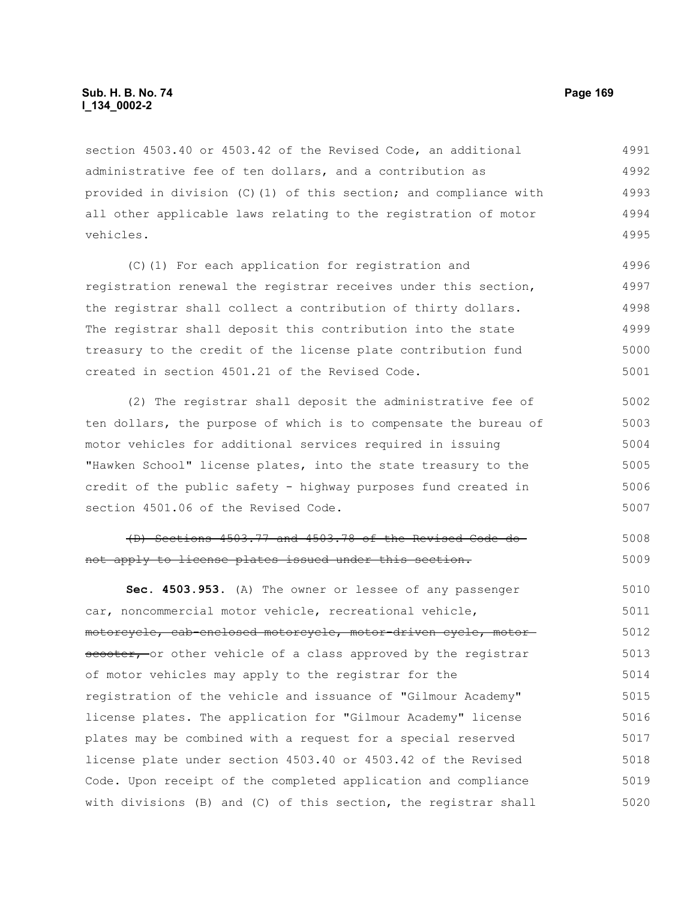#### **Sub. H. B. No. 74** Page 169 **l\_134\_0002-2**

section 4503.40 or 4503.42 of the Revised Code, an additional administrative fee of ten dollars, and a contribution as provided in division (C)(1) of this section; and compliance with all other applicable laws relating to the registration of motor vehicles. 4991 4992 4993 4994 4995

(C)(1) For each application for registration and registration renewal the registrar receives under this section, the registrar shall collect a contribution of thirty dollars. The registrar shall deposit this contribution into the state treasury to the credit of the license plate contribution fund created in section 4501.21 of the Revised Code. 4996 4997 4998 4999 5000 5001

(2) The registrar shall deposit the administrative fee of ten dollars, the purpose of which is to compensate the bureau of motor vehicles for additional services required in issuing "Hawken School" license plates, into the state treasury to the credit of the public safety - highway purposes fund created in section 4501.06 of the Revised Code. 5002 5003 5004 5005 5006 5007

(D) Sections 4503.77 and 4503.78 of the Revised Code do not apply to license plates issued under this section. 5008 5009

**Sec. 4503.953.** (A) The owner or lessee of any passenger car, noncommercial motor vehicle, recreational vehicle, motorcycle, cab-enclosed motorcycle, motor-driven cycle, motor scooter, or other vehicle of a class approved by the registrar of motor vehicles may apply to the registrar for the registration of the vehicle and issuance of "Gilmour Academy" license plates. The application for "Gilmour Academy" license plates may be combined with a request for a special reserved license plate under section 4503.40 or 4503.42 of the Revised Code. Upon receipt of the completed application and compliance with divisions (B) and (C) of this section, the registrar shall 5010 5011 5012 5013 5014 5015 5016 5017 5018 5019 5020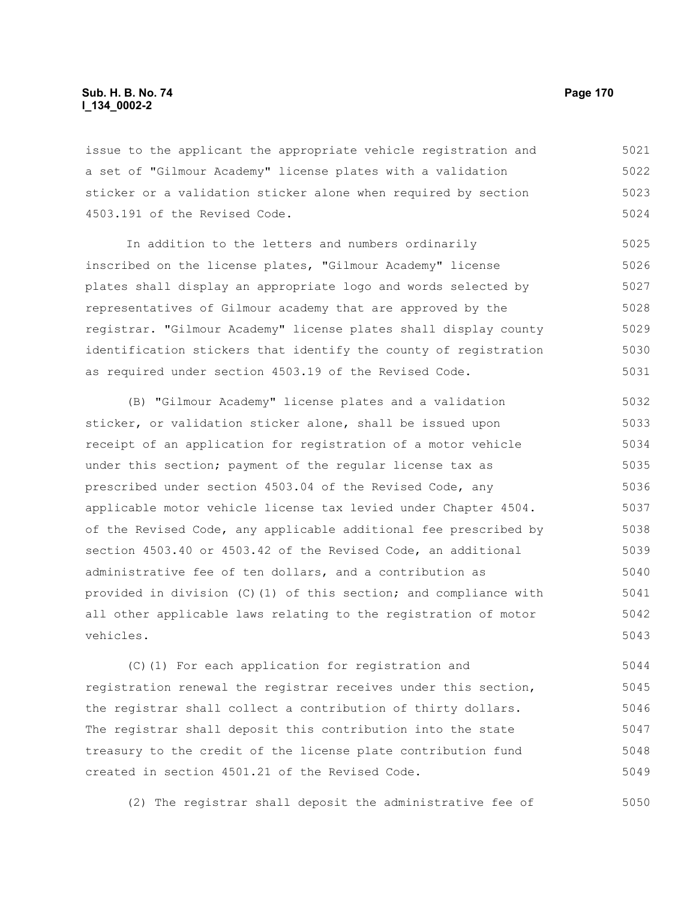## **Sub. H. B. No. 74** Page 170 **l\_134\_0002-2**

issue to the applicant the appropriate vehicle registration and a set of "Gilmour Academy" license plates with a validation sticker or a validation sticker alone when required by section 4503.191 of the Revised Code. 5021 5022 5023 5024

In addition to the letters and numbers ordinarily inscribed on the license plates, "Gilmour Academy" license plates shall display an appropriate logo and words selected by representatives of Gilmour academy that are approved by the registrar. "Gilmour Academy" license plates shall display county identification stickers that identify the county of registration as required under section 4503.19 of the Revised Code. 5025 5026 5027 5028 5029 5030 5031

(B) "Gilmour Academy" license plates and a validation sticker, or validation sticker alone, shall be issued upon receipt of an application for registration of a motor vehicle under this section; payment of the regular license tax as prescribed under section 4503.04 of the Revised Code, any applicable motor vehicle license tax levied under Chapter 4504. of the Revised Code, any applicable additional fee prescribed by section 4503.40 or 4503.42 of the Revised Code, an additional administrative fee of ten dollars, and a contribution as provided in division (C)(1) of this section; and compliance with all other applicable laws relating to the registration of motor vehicles. 5032 5033 5034 5035 5036 5037 5038 5039 5040 5041 5042 5043

(C)(1) For each application for registration and registration renewal the registrar receives under this section, the registrar shall collect a contribution of thirty dollars. The registrar shall deposit this contribution into the state treasury to the credit of the license plate contribution fund created in section 4501.21 of the Revised Code. 5044 5045 5046 5047 5048 5049

(2) The registrar shall deposit the administrative fee of 5050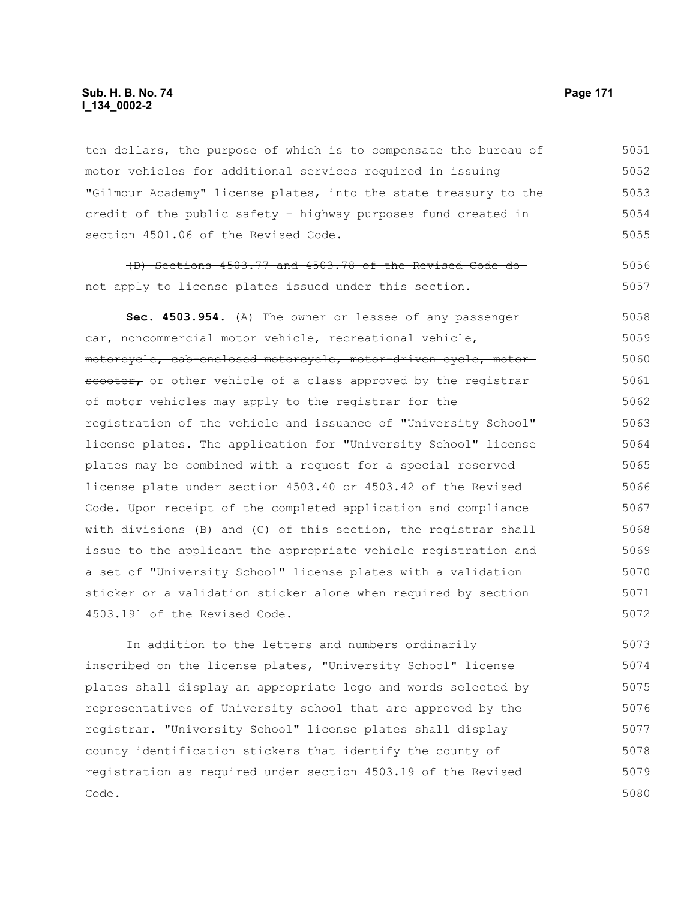#### **Sub. H. B. No. 74** Page 171 **l\_134\_0002-2**

ten dollars, the purpose of which is to compensate the bureau of motor vehicles for additional services required in issuing "Gilmour Academy" license plates, into the state treasury to the credit of the public safety - highway purposes fund created in section 4501.06 of the Revised Code. 5051 5052 5053 5054 5055

#### (D) Sections 4503.77 and 4503.78 of the Revised Code do not apply to license plates issued under this section. 5056 5057

**Sec. 4503.954.** (A) The owner or lessee of any passenger car, noncommercial motor vehicle, recreational vehicle, motorcycle, cab-enclosed motorcycle, motor-driven cycle, motor scooter, or other vehicle of a class approved by the registrar of motor vehicles may apply to the registrar for the registration of the vehicle and issuance of "University School" license plates. The application for "University School" license plates may be combined with a request for a special reserved license plate under section 4503.40 or 4503.42 of the Revised Code. Upon receipt of the completed application and compliance with divisions (B) and (C) of this section, the registrar shall issue to the applicant the appropriate vehicle registration and a set of "University School" license plates with a validation sticker or a validation sticker alone when required by section 4503.191 of the Revised Code. 5058 5059 5060 5061 5062 5063 5064 5065 5066 5067 5068 5069 5070 5071 5072

In addition to the letters and numbers ordinarily inscribed on the license plates, "University School" license plates shall display an appropriate logo and words selected by representatives of University school that are approved by the registrar. "University School" license plates shall display county identification stickers that identify the county of registration as required under section 4503.19 of the Revised Code. 5073 5074 5075 5076 5077 5078 5079 5080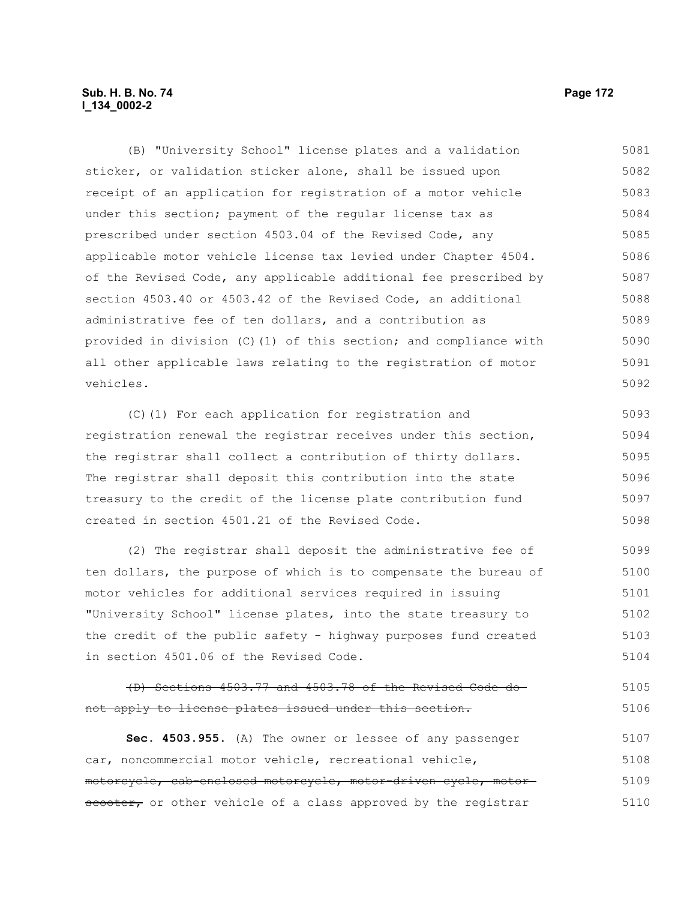## **Sub. H. B. No. 74** Page 172 **l\_134\_0002-2**

(B) "University School" license plates and a validation sticker, or validation sticker alone, shall be issued upon receipt of an application for registration of a motor vehicle under this section; payment of the regular license tax as prescribed under section 4503.04 of the Revised Code, any applicable motor vehicle license tax levied under Chapter 4504. of the Revised Code, any applicable additional fee prescribed by section 4503.40 or 4503.42 of the Revised Code, an additional administrative fee of ten dollars, and a contribution as provided in division (C)(1) of this section; and compliance with all other applicable laws relating to the registration of motor vehicles. 5081 5082 5083 5084 5085 5086 5087 5088 5089 5090 5091 5092

(C)(1) For each application for registration and registration renewal the registrar receives under this section, the registrar shall collect a contribution of thirty dollars. The registrar shall deposit this contribution into the state treasury to the credit of the license plate contribution fund created in section 4501.21 of the Revised Code. 5093 5094 5095 5096 5097 5098

(2) The registrar shall deposit the administrative fee of ten dollars, the purpose of which is to compensate the bureau of motor vehicles for additional services required in issuing "University School" license plates, into the state treasury to the credit of the public safety - highway purposes fund created in section 4501.06 of the Revised Code. 5099 5100 5101 5102 5103 5104

```
(D) Sections 4503.77 and 4503.78 of the Revised Code do 
not apply to license plates issued under this section.
                                                                           5105
                                                                            5106
```
**Sec. 4503.955.** (A) The owner or lessee of any passenger car, noncommercial motor vehicle, recreational vehicle, motorcycle, cab-enclosed motorcycle, motor-driven cycle, motorscooter, or other vehicle of a class approved by the registrar 5107 5108 5109 5110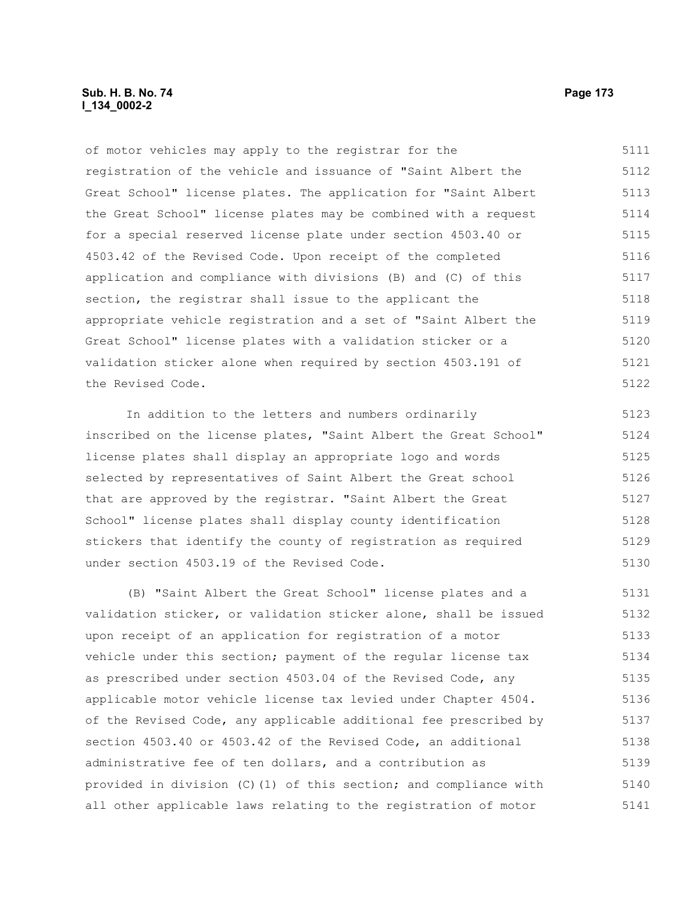## **Sub. H. B. No. 74** Page 173 **l\_134\_0002-2**

of motor vehicles may apply to the registrar for the registration of the vehicle and issuance of "Saint Albert the Great School" license plates. The application for "Saint Albert the Great School" license plates may be combined with a request for a special reserved license plate under section 4503.40 or 4503.42 of the Revised Code. Upon receipt of the completed application and compliance with divisions (B) and (C) of this section, the registrar shall issue to the applicant the appropriate vehicle registration and a set of "Saint Albert the Great School" license plates with a validation sticker or a validation sticker alone when required by section 4503.191 of the Revised Code. 5111 5112 5113 5114 5115 5116 5117 5118 5119 5120 5121 5122

In addition to the letters and numbers ordinarily inscribed on the license plates, "Saint Albert the Great School" license plates shall display an appropriate logo and words selected by representatives of Saint Albert the Great school that are approved by the registrar. "Saint Albert the Great School" license plates shall display county identification stickers that identify the county of registration as required under section 4503.19 of the Revised Code. 5123 5124 5125 5126 5127 5128 5129 5130

(B) "Saint Albert the Great School" license plates and a validation sticker, or validation sticker alone, shall be issued upon receipt of an application for registration of a motor vehicle under this section; payment of the regular license tax as prescribed under section 4503.04 of the Revised Code, any applicable motor vehicle license tax levied under Chapter 4504. of the Revised Code, any applicable additional fee prescribed by section 4503.40 or 4503.42 of the Revised Code, an additional administrative fee of ten dollars, and a contribution as provided in division (C)(1) of this section; and compliance with all other applicable laws relating to the registration of motor 5131 5132 5133 5134 5135 5136 5137 5138 5139 5140 5141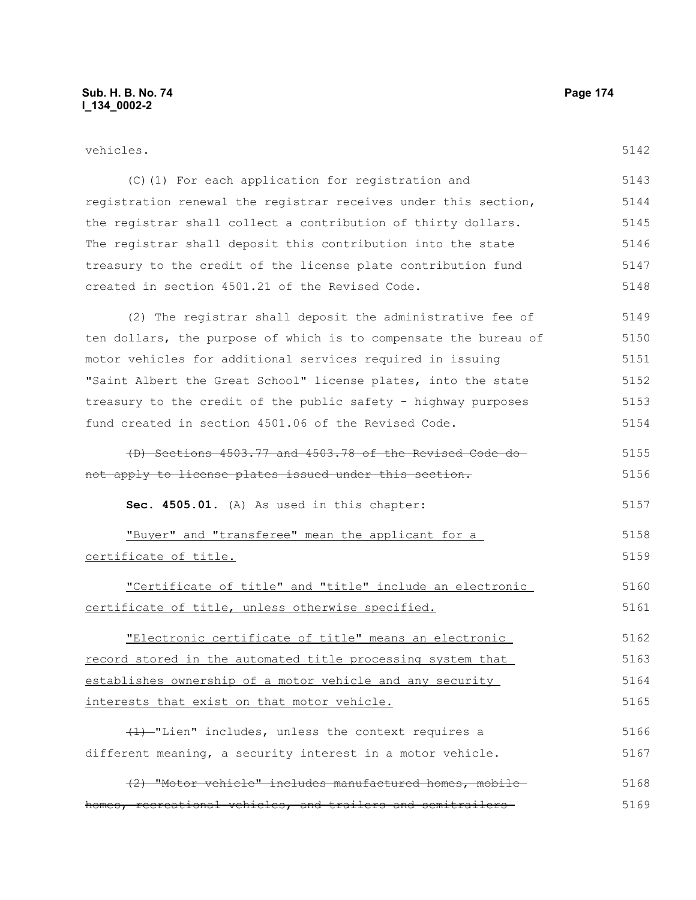vehicles.

| (C) (1) For each application for registration and                          | 5143 |
|----------------------------------------------------------------------------|------|
| registration renewal the registrar receives under this section,            | 5144 |
| the registrar shall collect a contribution of thirty dollars.              | 5145 |
| The registrar shall deposit this contribution into the state               | 5146 |
| treasury to the credit of the license plate contribution fund              | 5147 |
| created in section 4501.21 of the Revised Code.                            | 5148 |
| (2) The registrar shall deposit the administrative fee of                  | 5149 |
| ten dollars, the purpose of which is to compensate the bureau of           | 5150 |
| motor vehicles for additional services required in issuing                 | 5151 |
| "Saint Albert the Great School" license plates, into the state             | 5152 |
| treasury to the credit of the public safety - highway purposes             | 5153 |
| fund created in section 4501.06 of the Revised Code.                       | 5154 |
| (D) Sections 4503.77 and 4503.78 of the Revised Code do                    | 5155 |
| not apply to license plates issued under this section.                     | 5156 |
| Sec. 4505.01. (A) As used in this chapter:                                 | 5157 |
| "Buyer" and "transferee" mean the applicant for a                          | 5158 |
| certificate of title.                                                      | 5159 |
| "Certificate of title" and "title" include an electronic                   | 5160 |
| certificate of title, unless otherwise specified.                          | 5161 |
| "Electronic certificate of title" means an electronic                      | 5162 |
| record stored in the automated title processing system that                | 5163 |
| establishes ownership of a motor vehicle and any security                  | 5164 |
| interests that exist on that motor vehicle.                                | 5165 |
| $\left(\frac{1}{1}\right)$ -"Lien" includes, unless the context requires a | 5166 |
| different meaning, a security interest in a motor vehicle.                 | 5167 |
| (2) "Motor vehicle" includes manufactured homes, mobile                    | 5168 |
| homes, recreational vehicles, and trailers and semitrailers                | 5169 |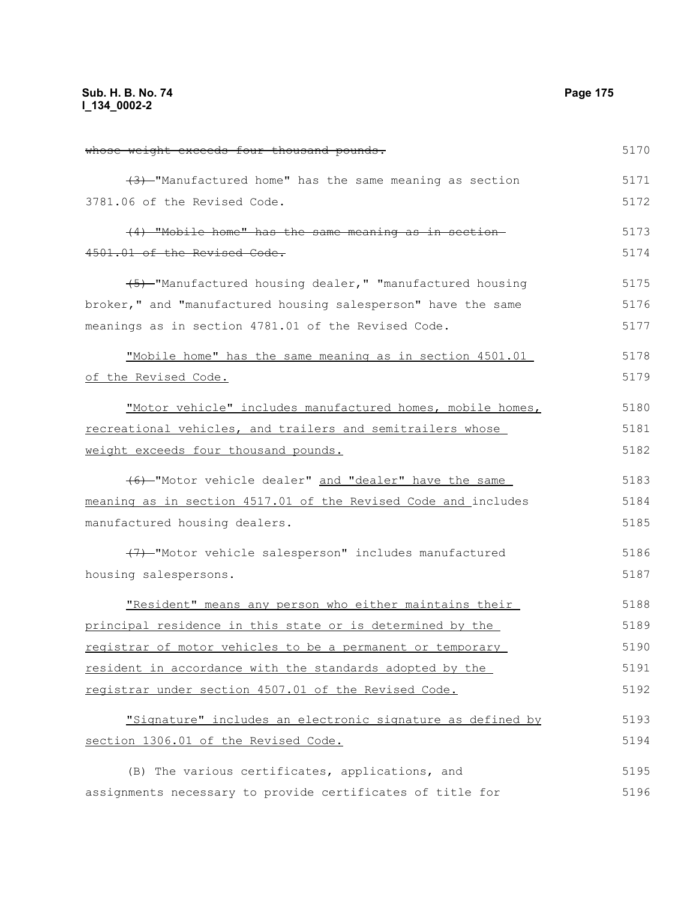whose weight exceeds four thousand pounds. (3) "Manufactured home" has the same meaning as section 3781.06 of the Revised Code. (4) "Mobile home" has the same meaning as in section 4501.01 of the Revised Code. (5) "Manufactured housing dealer," "manufactured housing broker," and "manufactured housing salesperson" have the same meanings as in section 4781.01 of the Revised Code. "Mobile home" has the same meaning as in section 4501.01 of the Revised Code. "Motor vehicle" includes manufactured homes, mobile homes, recreational vehicles, and trailers and semitrailers whose weight exceeds four thousand pounds. (6) "Motor vehicle dealer" and "dealer" have the same meaning as in section 4517.01 of the Revised Code and includes manufactured housing dealers. (7) "Motor vehicle salesperson" includes manufactured housing salespersons. "Resident" means any person who either maintains their principal residence in this state or is determined by the registrar of motor vehicles to be a permanent or temporary resident in accordance with the standards adopted by the registrar under section 4507.01 of the Revised Code. "Signature" includes an electronic signature as defined by section 1306.01 of the Revised Code. (B) The various certificates, applications, and 5170 5171 5172 5173 5174 5175 5176 5177 5178 5179 5180 5181 5182 5183 5184 5185 5186 5187 5188 5189 5190 5191 5192 5193 5194 5195

assignments necessary to provide certificates of title for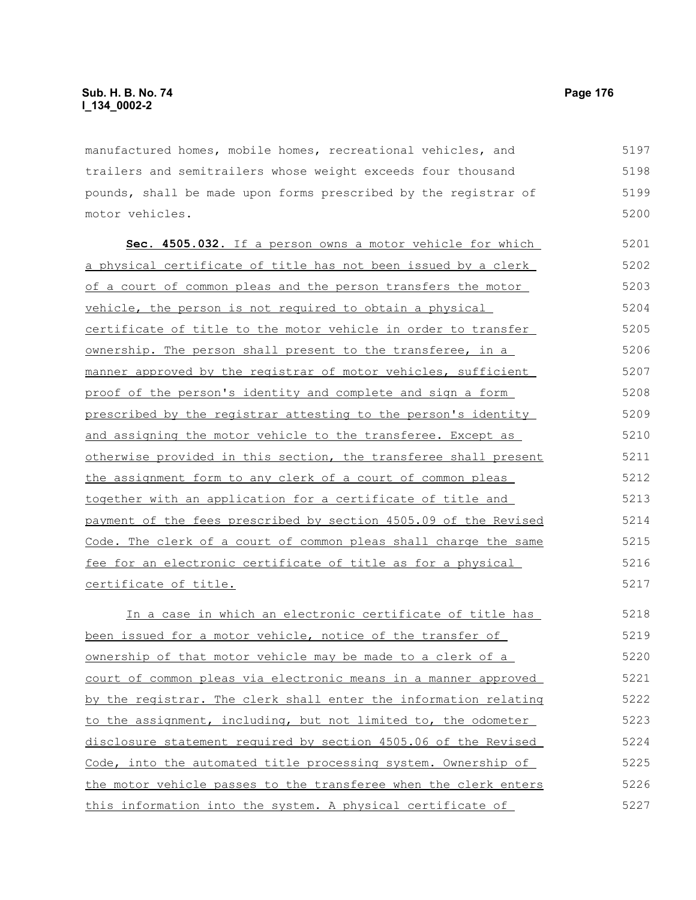manufactured homes, mobile homes, recreational vehicles, and trailers and semitrailers whose weight exceeds four thousand pounds, shall be made upon forms prescribed by the registrar of motor vehicles. 5197 5198 5199 5200

 **Sec. 4505.032.** If a person owns a motor vehicle for which a physical certificate of title has not been issued by a clerk of a court of common pleas and the person transfers the motor vehicle, the person is not required to obtain a physical certificate of title to the motor vehicle in order to transfer ownership. The person shall present to the transferee, in a manner approved by the registrar of motor vehicles, sufficient proof of the person's identity and complete and sign a form prescribed by the registrar attesting to the person's identity and assigning the motor vehicle to the transferee. Except as otherwise provided in this section, the transferee shall present the assignment form to any clerk of a court of common pleas together with an application for a certificate of title and payment of the fees prescribed by section 4505.09 of the Revised Code. The clerk of a court of common pleas shall charge the same fee for an electronic certificate of title as for a physical certificate of title. 5201 5202 5203 5204 5205 5206 5207 5208 5209 5210 5211 5212 5213 5214 5215 5216 5217

In a case in which an electronic certificate of title has been issued for a motor vehicle, notice of the transfer of ownership of that motor vehicle may be made to a clerk of a court of common pleas via electronic means in a manner approved by the registrar. The clerk shall enter the information relating to the assignment, including, but not limited to, the odometer disclosure statement required by section 4505.06 of the Revised Code, into the automated title processing system. Ownership of the motor vehicle passes to the transferee when the clerk enters this information into the system. A physical certificate of 5218 5219 5220 5221 5222 5223 5224 5225 5226 5227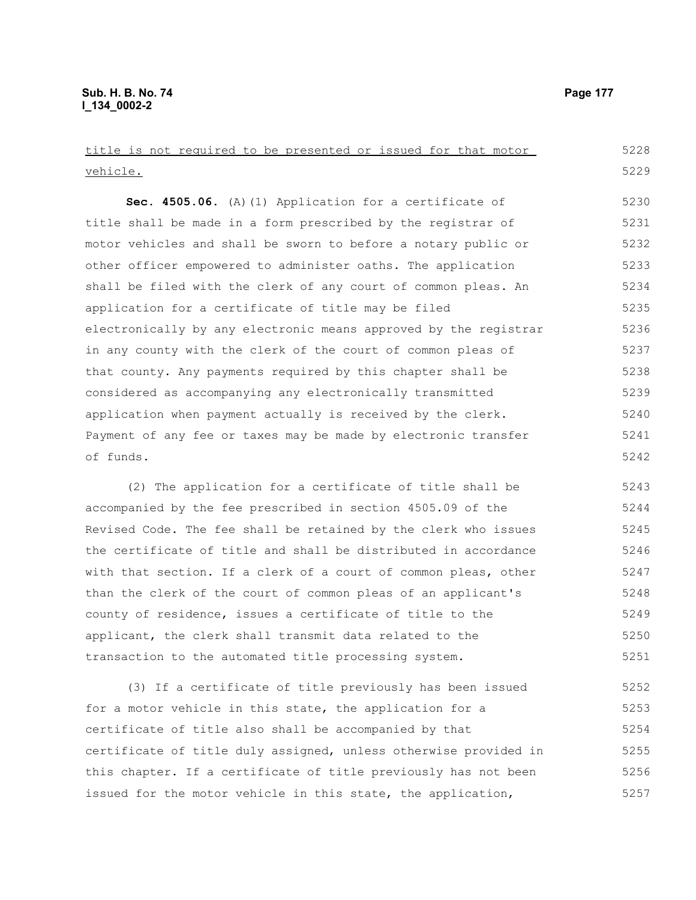title is not required to be presented or issued for that motor vehicle. **Sec. 4505.06.** (A)(1) Application for a certificate of title shall be made in a form prescribed by the registrar of motor vehicles and shall be sworn to before a notary public or other officer empowered to administer oaths. The application shall be filed with the clerk of any court of common pleas. An application for a certificate of title may be filed electronically by any electronic means approved by the registrar in any county with the clerk of the court of common pleas of that county. Any payments required by this chapter shall be considered as accompanying any electronically transmitted application when payment actually is received by the clerk. Payment of any fee or taxes may be made by electronic transfer of funds. (2) The application for a certificate of title shall be 5228 5229 5230 5231 5232 5233 5234 5235 5236 5237 5238 5239 5240 5241 5242 5243

accompanied by the fee prescribed in section 4505.09 of the Revised Code. The fee shall be retained by the clerk who issues the certificate of title and shall be distributed in accordance with that section. If a clerk of a court of common pleas, other than the clerk of the court of common pleas of an applicant's county of residence, issues a certificate of title to the applicant, the clerk shall transmit data related to the transaction to the automated title processing system. 5244 5245 5246 5247 5248 5249 5250 5251

(3) If a certificate of title previously has been issued for a motor vehicle in this state, the application for a certificate of title also shall be accompanied by that certificate of title duly assigned, unless otherwise provided in this chapter. If a certificate of title previously has not been issued for the motor vehicle in this state, the application, 5252 5253 5254 5255 5256 5257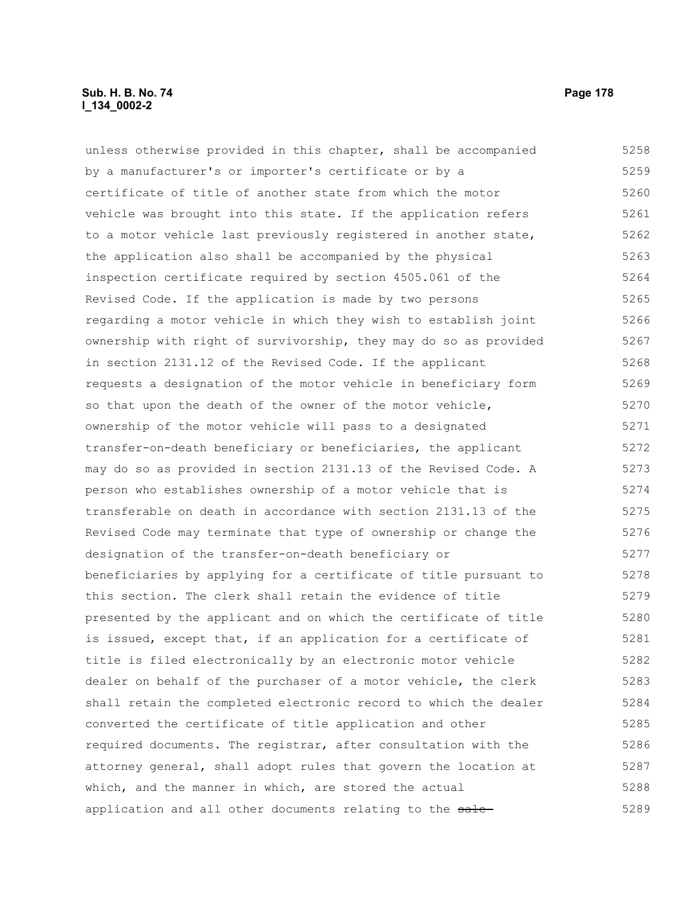## **Sub. H. B. No. 74** Page 178 **l\_134\_0002-2**

unless otherwise provided in this chapter, shall be accompanied by a manufacturer's or importer's certificate or by a certificate of title of another state from which the motor vehicle was brought into this state. If the application refers to a motor vehicle last previously registered in another state, the application also shall be accompanied by the physical inspection certificate required by section 4505.061 of the Revised Code. If the application is made by two persons regarding a motor vehicle in which they wish to establish joint ownership with right of survivorship, they may do so as provided in section 2131.12 of the Revised Code. If the applicant requests a designation of the motor vehicle in beneficiary form so that upon the death of the owner of the motor vehicle, ownership of the motor vehicle will pass to a designated transfer-on-death beneficiary or beneficiaries, the applicant may do so as provided in section 2131.13 of the Revised Code. A person who establishes ownership of a motor vehicle that is transferable on death in accordance with section 2131.13 of the Revised Code may terminate that type of ownership or change the designation of the transfer-on-death beneficiary or beneficiaries by applying for a certificate of title pursuant to this section. The clerk shall retain the evidence of title presented by the applicant and on which the certificate of title is issued, except that, if an application for a certificate of title is filed electronically by an electronic motor vehicle dealer on behalf of the purchaser of a motor vehicle, the clerk shall retain the completed electronic record to which the dealer converted the certificate of title application and other required documents. The registrar, after consultation with the attorney general, shall adopt rules that govern the location at which, and the manner in which, are stored the actual 5258 5259 5260 5261 5262 5263 5264 5265 5266 5267 5268 5269 5270 5271 5272 5273 5274 5275 5276 5277 5278 5279 5280 5281 5282 5283 5284 5285 5286 5287 5288

application and all other documents relating to the sale-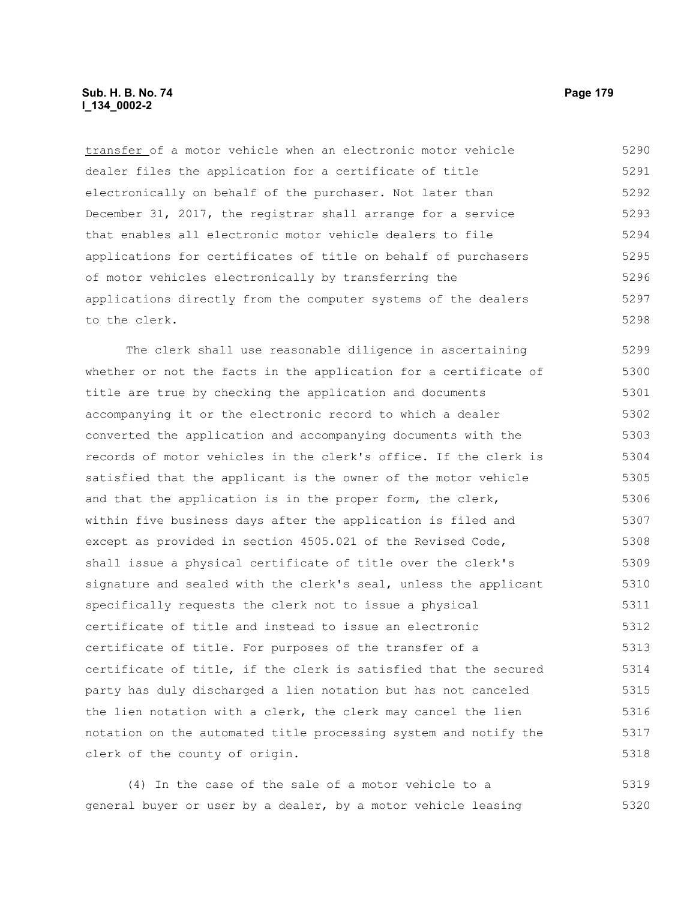## **Sub. H. B. No. 74** Page 179 **l\_134\_0002-2**

transfer of a motor vehicle when an electronic motor vehicle dealer files the application for a certificate of title electronically on behalf of the purchaser. Not later than December 31, 2017, the registrar shall arrange for a service that enables all electronic motor vehicle dealers to file applications for certificates of title on behalf of purchasers of motor vehicles electronically by transferring the applications directly from the computer systems of the dealers to the clerk. 5290 5291 5292 5293 5294 5295 5296 5297 5298

The clerk shall use reasonable diligence in ascertaining whether or not the facts in the application for a certificate of title are true by checking the application and documents accompanying it or the electronic record to which a dealer converted the application and accompanying documents with the records of motor vehicles in the clerk's office. If the clerk is satisfied that the applicant is the owner of the motor vehicle and that the application is in the proper form, the clerk, within five business days after the application is filed and except as provided in section 4505.021 of the Revised Code, shall issue a physical certificate of title over the clerk's signature and sealed with the clerk's seal, unless the applicant specifically requests the clerk not to issue a physical certificate of title and instead to issue an electronic certificate of title. For purposes of the transfer of a certificate of title, if the clerk is satisfied that the secured party has duly discharged a lien notation but has not canceled the lien notation with a clerk, the clerk may cancel the lien notation on the automated title processing system and notify the clerk of the county of origin. 5299 5300 5301 5302 5303 5304 5305 5306 5307 5308 5309 5310 5311 5312 5313 5314 5315 5316 5317 5318

(4) In the case of the sale of a motor vehicle to a general buyer or user by a dealer, by a motor vehicle leasing 5319 5320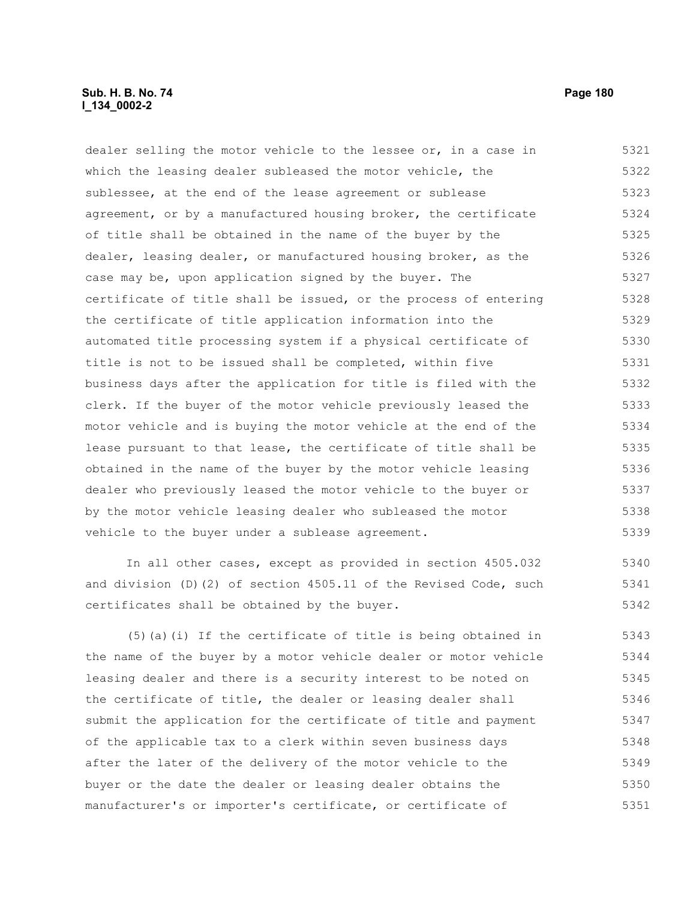## **Sub. H. B. No. 74** Page 180 **l\_134\_0002-2**

dealer selling the motor vehicle to the lessee or, in a case in which the leasing dealer subleased the motor vehicle, the sublessee, at the end of the lease agreement or sublease agreement, or by a manufactured housing broker, the certificate of title shall be obtained in the name of the buyer by the dealer, leasing dealer, or manufactured housing broker, as the case may be, upon application signed by the buyer. The certificate of title shall be issued, or the process of entering the certificate of title application information into the automated title processing system if a physical certificate of title is not to be issued shall be completed, within five 5321 5322 5323 5324 5325 5326 5327 5328 5329 5330 5331

clerk. If the buyer of the motor vehicle previously leased the motor vehicle and is buying the motor vehicle at the end of the lease pursuant to that lease, the certificate of title shall be obtained in the name of the buyer by the motor vehicle leasing dealer who previously leased the motor vehicle to the buyer or by the motor vehicle leasing dealer who subleased the motor vehicle to the buyer under a sublease agreement. 5333 5334 5335 5336 5337 5338 5339

business days after the application for title is filed with the

In all other cases, except as provided in section 4505.032 and division (D)(2) of section  $4505.11$  of the Revised Code, such certificates shall be obtained by the buyer.

(5)(a)(i) If the certificate of title is being obtained in the name of the buyer by a motor vehicle dealer or motor vehicle leasing dealer and there is a security interest to be noted on the certificate of title, the dealer or leasing dealer shall submit the application for the certificate of title and payment of the applicable tax to a clerk within seven business days after the later of the delivery of the motor vehicle to the buyer or the date the dealer or leasing dealer obtains the manufacturer's or importer's certificate, or certificate of 5343 5344 5345 5346 5347 5348 5349 5350 5351

5332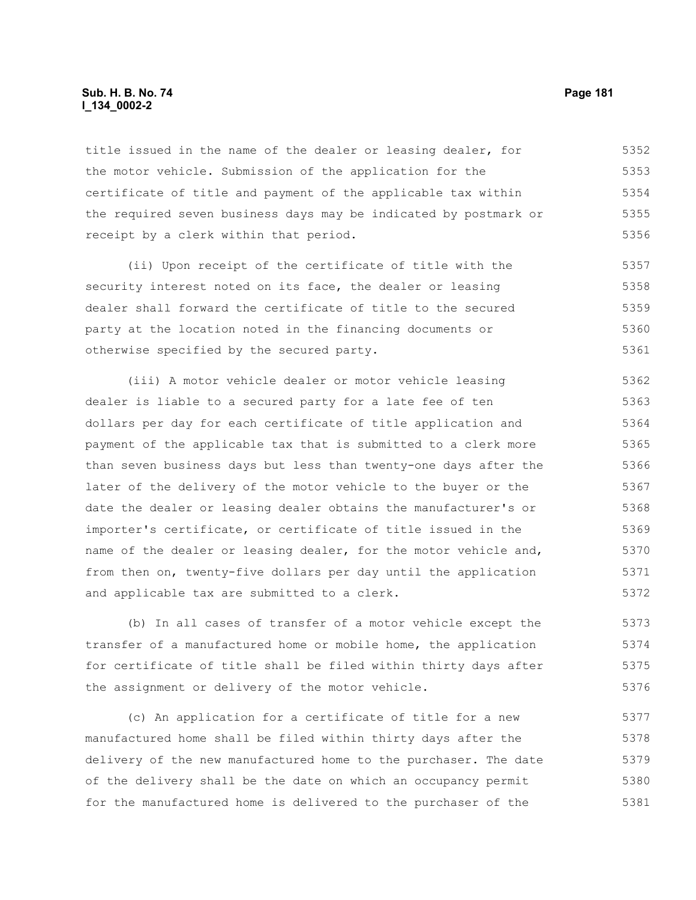## **Sub. H. B. No. 74** Page 181 **l\_134\_0002-2**

title issued in the name of the dealer or leasing dealer, for the motor vehicle. Submission of the application for the certificate of title and payment of the applicable tax within the required seven business days may be indicated by postmark or receipt by a clerk within that period. 5352 5353 5354 5355 5356

(ii) Upon receipt of the certificate of title with the security interest noted on its face, the dealer or leasing dealer shall forward the certificate of title to the secured party at the location noted in the financing documents or otherwise specified by the secured party. 5357 5358 5359 5360 5361

(iii) A motor vehicle dealer or motor vehicle leasing dealer is liable to a secured party for a late fee of ten dollars per day for each certificate of title application and payment of the applicable tax that is submitted to a clerk more than seven business days but less than twenty-one days after the later of the delivery of the motor vehicle to the buyer or the date the dealer or leasing dealer obtains the manufacturer's or importer's certificate, or certificate of title issued in the name of the dealer or leasing dealer, for the motor vehicle and, from then on, twenty-five dollars per day until the application and applicable tax are submitted to a clerk. 5362 5363 5364 5365 5366 5367 5368 5369 5370 5371 5372

(b) In all cases of transfer of a motor vehicle except the transfer of a manufactured home or mobile home, the application for certificate of title shall be filed within thirty days after the assignment or delivery of the motor vehicle. 5373 5374 5375 5376

(c) An application for a certificate of title for a new manufactured home shall be filed within thirty days after the delivery of the new manufactured home to the purchaser. The date of the delivery shall be the date on which an occupancy permit for the manufactured home is delivered to the purchaser of the 5377 5378 5379 5380 5381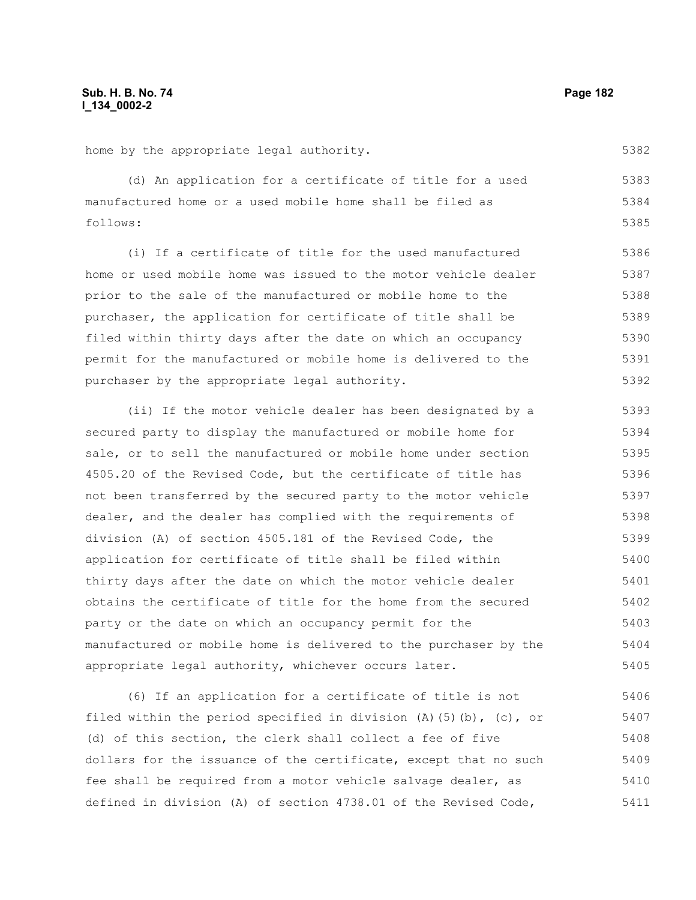5382

home by the appropriate legal authority.

(d) An application for a certificate of title for a used manufactured home or a used mobile home shall be filed as follows: 5383 5384 5385

(i) If a certificate of title for the used manufactured home or used mobile home was issued to the motor vehicle dealer prior to the sale of the manufactured or mobile home to the purchaser, the application for certificate of title shall be filed within thirty days after the date on which an occupancy permit for the manufactured or mobile home is delivered to the purchaser by the appropriate legal authority. 5386 5387 5388 5389 5390 5391 5392

(ii) If the motor vehicle dealer has been designated by a secured party to display the manufactured or mobile home for sale, or to sell the manufactured or mobile home under section 4505.20 of the Revised Code, but the certificate of title has not been transferred by the secured party to the motor vehicle dealer, and the dealer has complied with the requirements of division (A) of section 4505.181 of the Revised Code, the application for certificate of title shall be filed within thirty days after the date on which the motor vehicle dealer obtains the certificate of title for the home from the secured party or the date on which an occupancy permit for the manufactured or mobile home is delivered to the purchaser by the appropriate legal authority, whichever occurs later. 5393 5394 5395 5396 5397 5398 5399 5400 5401 5402 5403 5404 5405

(6) If an application for a certificate of title is not filed within the period specified in division  $(A)$  (5)(b), (c), or (d) of this section, the clerk shall collect a fee of five dollars for the issuance of the certificate, except that no such fee shall be required from a motor vehicle salvage dealer, as defined in division (A) of section 4738.01 of the Revised Code, 5406 5407 5408 5409 5410 5411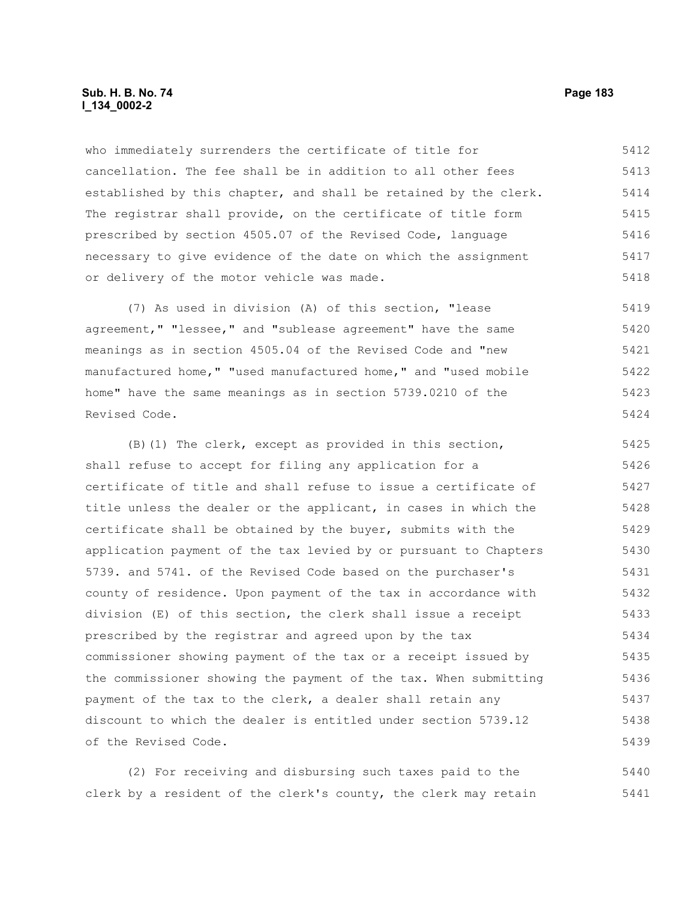## **Sub. H. B. No. 74** Page 183 **l\_134\_0002-2**

who immediately surrenders the certificate of title for cancellation. The fee shall be in addition to all other fees established by this chapter, and shall be retained by the clerk. The registrar shall provide, on the certificate of title form prescribed by section 4505.07 of the Revised Code, language necessary to give evidence of the date on which the assignment or delivery of the motor vehicle was made. 5412 5413 5414 5415 5416 5417 5418

(7) As used in division (A) of this section, "lease agreement," "lessee," and "sublease agreement" have the same meanings as in section 4505.04 of the Revised Code and "new manufactured home," "used manufactured home," and "used mobile home" have the same meanings as in section 5739.0210 of the Revised Code. 5419 5420 5421 5422 5423 5424

(B)(1) The clerk, except as provided in this section, shall refuse to accept for filing any application for a certificate of title and shall refuse to issue a certificate of title unless the dealer or the applicant, in cases in which the certificate shall be obtained by the buyer, submits with the application payment of the tax levied by or pursuant to Chapters 5739. and 5741. of the Revised Code based on the purchaser's county of residence. Upon payment of the tax in accordance with division (E) of this section, the clerk shall issue a receipt prescribed by the registrar and agreed upon by the tax commissioner showing payment of the tax or a receipt issued by the commissioner showing the payment of the tax. When submitting payment of the tax to the clerk, a dealer shall retain any discount to which the dealer is entitled under section 5739.12 of the Revised Code. 5425 5426 5427 5428 5429 5430 5431 5432 5433 5434 5435 5436 5437 5438 5439

(2) For receiving and disbursing such taxes paid to the clerk by a resident of the clerk's county, the clerk may retain 5440 5441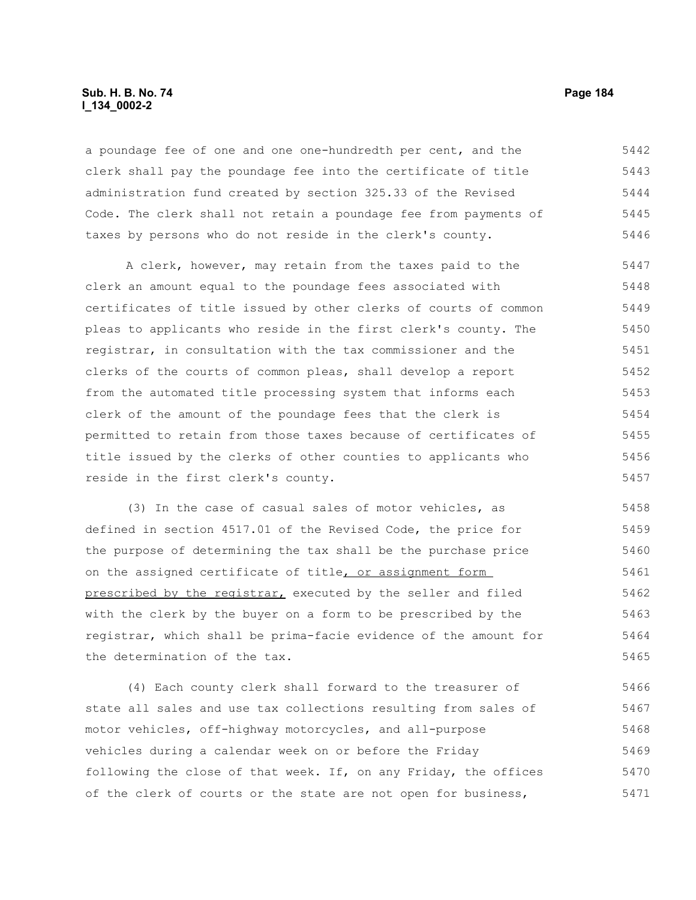## **Sub. H. B. No. 74** Page 184 **l\_134\_0002-2**

a poundage fee of one and one one-hundredth per cent, and the clerk shall pay the poundage fee into the certificate of title administration fund created by section 325.33 of the Revised Code. The clerk shall not retain a poundage fee from payments of taxes by persons who do not reside in the clerk's county. 5442 5443 5444 5445 5446

A clerk, however, may retain from the taxes paid to the clerk an amount equal to the poundage fees associated with certificates of title issued by other clerks of courts of common pleas to applicants who reside in the first clerk's county. The registrar, in consultation with the tax commissioner and the clerks of the courts of common pleas, shall develop a report from the automated title processing system that informs each clerk of the amount of the poundage fees that the clerk is permitted to retain from those taxes because of certificates of title issued by the clerks of other counties to applicants who reside in the first clerk's county. 5447 5448 5449 5450 5451 5452 5453 5454 5455 5456 5457

(3) In the case of casual sales of motor vehicles, as defined in section 4517.01 of the Revised Code, the price for the purpose of determining the tax shall be the purchase price on the assigned certificate of title, or assignment form prescribed by the registrar, executed by the seller and filed with the clerk by the buyer on a form to be prescribed by the registrar, which shall be prima-facie evidence of the amount for the determination of the tax. 5458 5459 5460 5461 5462 5463 5464 5465

(4) Each county clerk shall forward to the treasurer of state all sales and use tax collections resulting from sales of motor vehicles, off-highway motorcycles, and all-purpose vehicles during a calendar week on or before the Friday following the close of that week. If, on any Friday, the offices of the clerk of courts or the state are not open for business, 5466 5467 5468 5469 5470 5471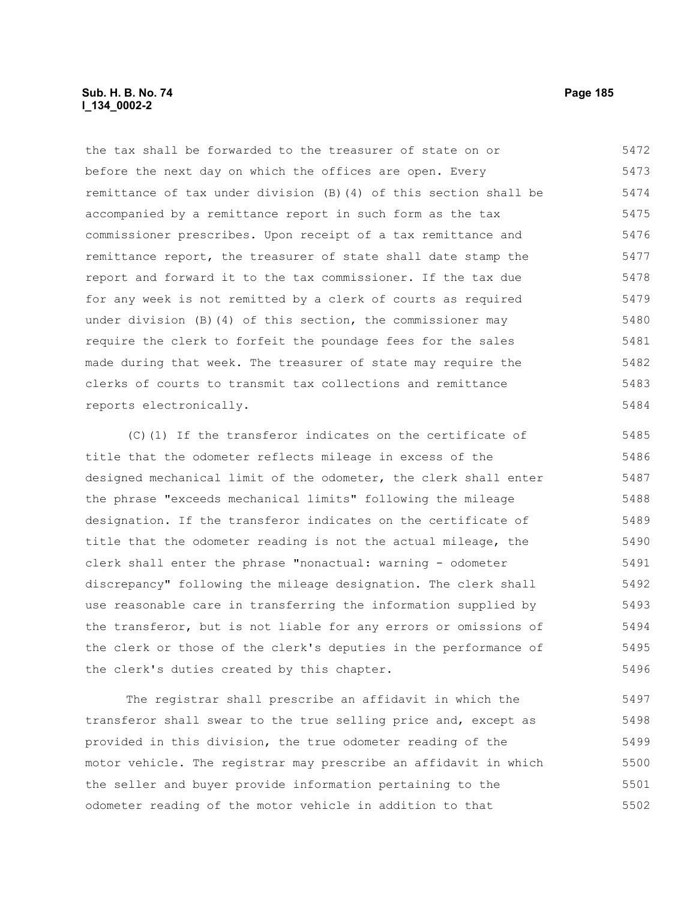# **Sub. H. B. No. 74** Page 185 **l\_134\_0002-2**

the tax shall be forwarded to the treasurer of state on or before the next day on which the offices are open. Every remittance of tax under division (B)(4) of this section shall be accompanied by a remittance report in such form as the tax commissioner prescribes. Upon receipt of a tax remittance and remittance report, the treasurer of state shall date stamp the report and forward it to the tax commissioner. If the tax due for any week is not remitted by a clerk of courts as required under division (B)(4) of this section, the commissioner may require the clerk to forfeit the poundage fees for the sales made during that week. The treasurer of state may require the clerks of courts to transmit tax collections and remittance reports electronically. 5472 5473 5474 5475 5476 5477 5478 5479 5480 5481 5482 5483 5484

(C)(1) If the transferor indicates on the certificate of title that the odometer reflects mileage in excess of the designed mechanical limit of the odometer, the clerk shall enter the phrase "exceeds mechanical limits" following the mileage designation. If the transferor indicates on the certificate of title that the odometer reading is not the actual mileage, the clerk shall enter the phrase "nonactual: warning - odometer discrepancy" following the mileage designation. The clerk shall use reasonable care in transferring the information supplied by the transferor, but is not liable for any errors or omissions of the clerk or those of the clerk's deputies in the performance of the clerk's duties created by this chapter. 5485 5486 5487 5488 5489 5490 5491 5492 5493 5494 5495 5496

The registrar shall prescribe an affidavit in which the transferor shall swear to the true selling price and, except as provided in this division, the true odometer reading of the motor vehicle. The registrar may prescribe an affidavit in which the seller and buyer provide information pertaining to the odometer reading of the motor vehicle in addition to that 5497 5498 5499 5500 5501 5502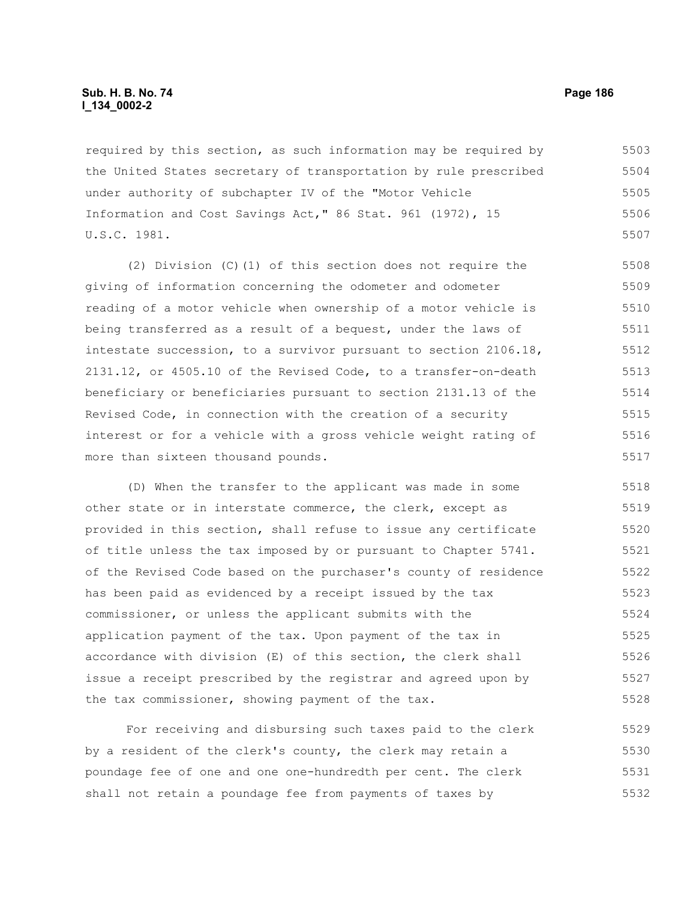required by this section, as such information may be required by the United States secretary of transportation by rule prescribed under authority of subchapter IV of the "Motor Vehicle Information and Cost Savings Act," 86 Stat. 961 (1972), 15 U.S.C. 1981. 5503 5504 5505 5506 5507

(2) Division (C)(1) of this section does not require the giving of information concerning the odometer and odometer reading of a motor vehicle when ownership of a motor vehicle is being transferred as a result of a bequest, under the laws of intestate succession, to a survivor pursuant to section 2106.18, 2131.12, or 4505.10 of the Revised Code, to a transfer-on-death beneficiary or beneficiaries pursuant to section 2131.13 of the Revised Code, in connection with the creation of a security interest or for a vehicle with a gross vehicle weight rating of more than sixteen thousand pounds. 5508 5509 5510 5511 5512 5513 5514 5515 5516 5517

(D) When the transfer to the applicant was made in some other state or in interstate commerce, the clerk, except as provided in this section, shall refuse to issue any certificate of title unless the tax imposed by or pursuant to Chapter 5741. of the Revised Code based on the purchaser's county of residence has been paid as evidenced by a receipt issued by the tax commissioner, or unless the applicant submits with the application payment of the tax. Upon payment of the tax in accordance with division (E) of this section, the clerk shall issue a receipt prescribed by the registrar and agreed upon by the tax commissioner, showing payment of the tax. 5518 5519 5520 5521 5522 5523 5524 5525 5526 5527 5528

For receiving and disbursing such taxes paid to the clerk by a resident of the clerk's county, the clerk may retain a poundage fee of one and one one-hundredth per cent. The clerk shall not retain a poundage fee from payments of taxes by 5529 5530 5531 5532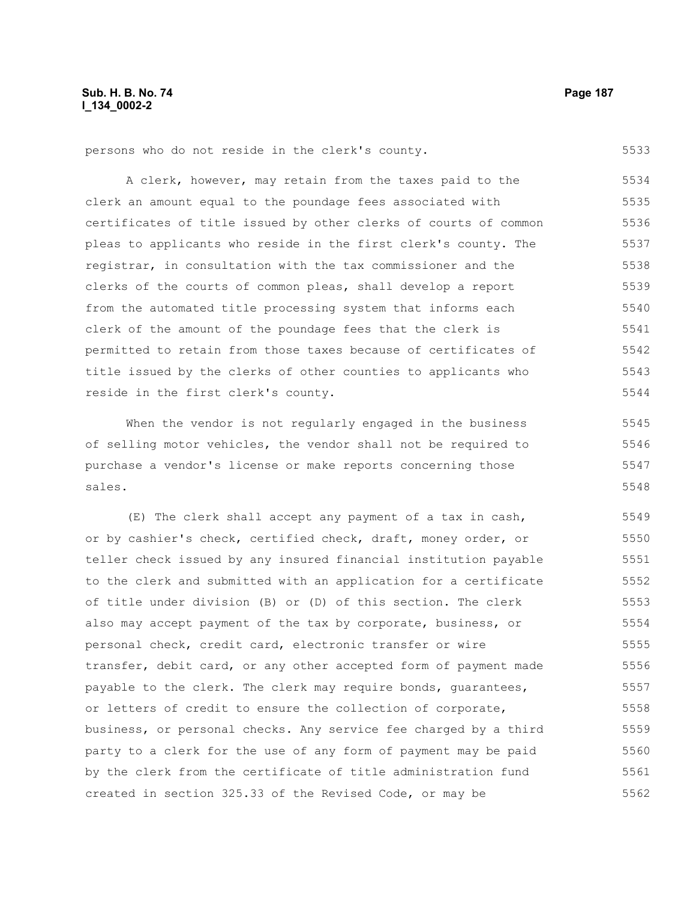5533

persons who do not reside in the clerk's county.

A clerk, however, may retain from the taxes paid to the clerk an amount equal to the poundage fees associated with certificates of title issued by other clerks of courts of common pleas to applicants who reside in the first clerk's county. The registrar, in consultation with the tax commissioner and the clerks of the courts of common pleas, shall develop a report from the automated title processing system that informs each clerk of the amount of the poundage fees that the clerk is permitted to retain from those taxes because of certificates of title issued by the clerks of other counties to applicants who reside in the first clerk's county. 5534 5535 5536 5537 5538 5539 5540 5541 5542 5543 5544

When the vendor is not regularly engaged in the business of selling motor vehicles, the vendor shall not be required to purchase a vendor's license or make reports concerning those sales. 5545 5546 5547 5548

(E) The clerk shall accept any payment of a tax in cash, or by cashier's check, certified check, draft, money order, or teller check issued by any insured financial institution payable to the clerk and submitted with an application for a certificate of title under division (B) or (D) of this section. The clerk also may accept payment of the tax by corporate, business, or personal check, credit card, electronic transfer or wire transfer, debit card, or any other accepted form of payment made payable to the clerk. The clerk may require bonds, guarantees, or letters of credit to ensure the collection of corporate, business, or personal checks. Any service fee charged by a third party to a clerk for the use of any form of payment may be paid by the clerk from the certificate of title administration fund created in section 325.33 of the Revised Code, or may be 5549 5550 5551 5552 5553 5554 5555 5556 5557 5558 5559 5560 5561 5562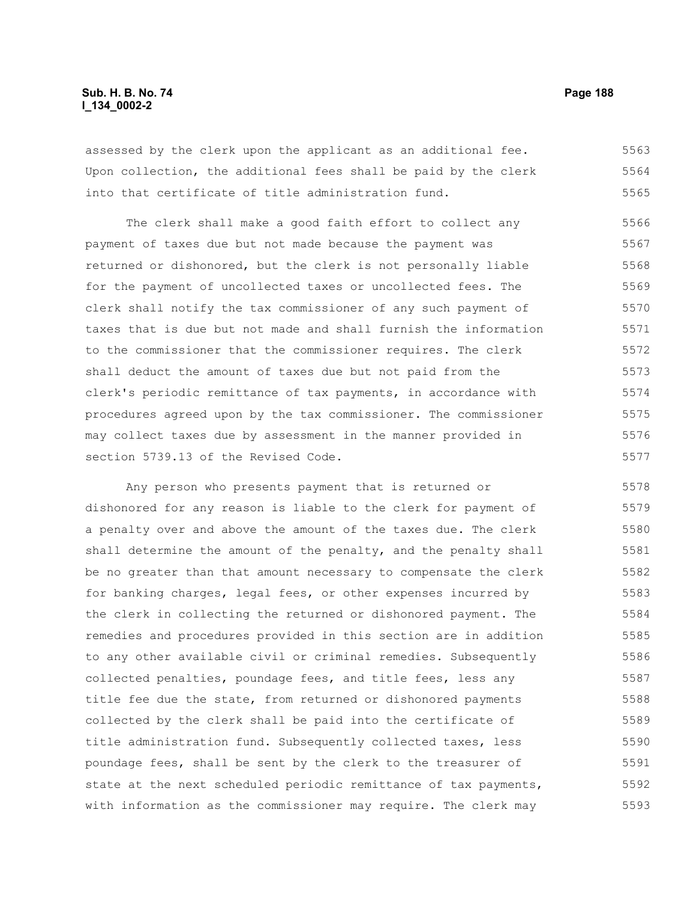# **Sub. H. B. No. 74** Page 188 **l\_134\_0002-2**

assessed by the clerk upon the applicant as an additional fee. Upon collection, the additional fees shall be paid by the clerk into that certificate of title administration fund. 5563 5564 5565

The clerk shall make a good faith effort to collect any payment of taxes due but not made because the payment was returned or dishonored, but the clerk is not personally liable for the payment of uncollected taxes or uncollected fees. The clerk shall notify the tax commissioner of any such payment of taxes that is due but not made and shall furnish the information to the commissioner that the commissioner requires. The clerk shall deduct the amount of taxes due but not paid from the clerk's periodic remittance of tax payments, in accordance with procedures agreed upon by the tax commissioner. The commissioner may collect taxes due by assessment in the manner provided in section 5739.13 of the Revised Code. 5566 5567 5568 5569 5570 5571 5572 5573 5574 5575 5576 5577

Any person who presents payment that is returned or dishonored for any reason is liable to the clerk for payment of a penalty over and above the amount of the taxes due. The clerk shall determine the amount of the penalty, and the penalty shall be no greater than that amount necessary to compensate the clerk for banking charges, legal fees, or other expenses incurred by the clerk in collecting the returned or dishonored payment. The remedies and procedures provided in this section are in addition to any other available civil or criminal remedies. Subsequently collected penalties, poundage fees, and title fees, less any title fee due the state, from returned or dishonored payments collected by the clerk shall be paid into the certificate of title administration fund. Subsequently collected taxes, less poundage fees, shall be sent by the clerk to the treasurer of state at the next scheduled periodic remittance of tax payments, with information as the commissioner may require. The clerk may 5578 5579 5580 5581 5582 5583 5584 5585 5586 5587 5588 5589 5590 5591 5592 5593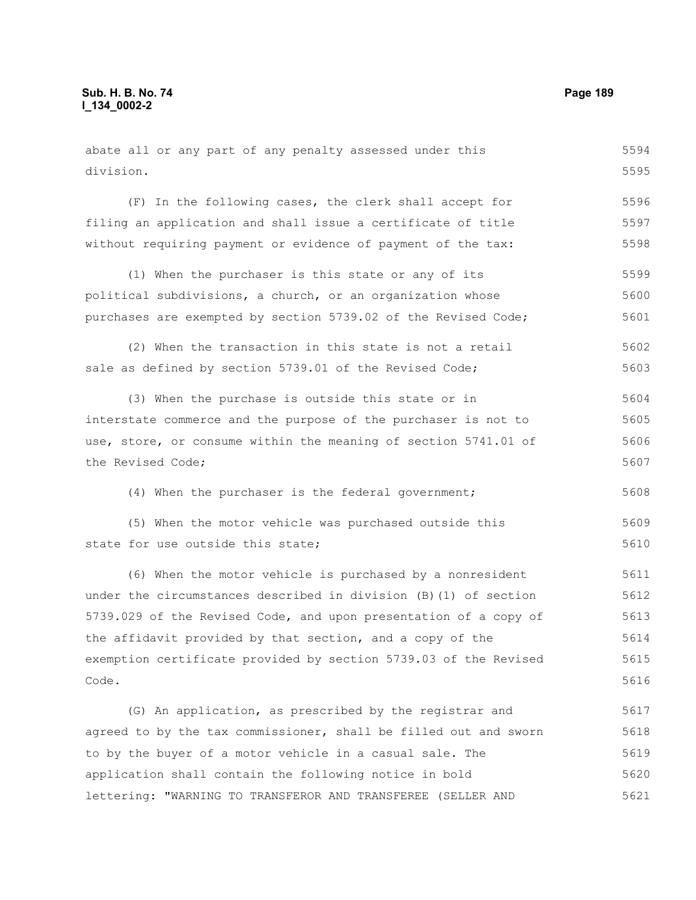| abate all or any part of any penalty assessed under this         | 5594 |
|------------------------------------------------------------------|------|
| division.                                                        | 5595 |
| (F) In the following cases, the clerk shall accept for           | 5596 |
| filing an application and shall issue a certificate of title     | 5597 |
| without requiring payment or evidence of payment of the tax:     | 5598 |
| (1) When the purchaser is this state or any of its               | 5599 |
| political subdivisions, a church, or an organization whose       | 5600 |
| purchases are exempted by section 5739.02 of the Revised Code;   | 5601 |
|                                                                  |      |
| (2) When the transaction in this state is not a retail           | 5602 |
| sale as defined by section 5739.01 of the Revised Code;          | 5603 |
| (3) When the purchase is outside this state or in                | 5604 |
| interstate commerce and the purpose of the purchaser is not to   | 5605 |
| use, store, or consume within the meaning of section 5741.01 of  | 5606 |
| the Revised Code;                                                | 5607 |
| (4) When the purchaser is the federal government;                | 5608 |
|                                                                  |      |
| (5) When the motor vehicle was purchased outside this            | 5609 |
| state for use outside this state;                                | 5610 |
| (6) When the motor vehicle is purchased by a nonresident         | 5611 |
| under the circumstances described in division (B) (1) of section | 5612 |
| 5739.029 of the Revised Code, and upon presentation of a copy of | 5613 |
| the affidavit provided by that section, and a copy of the        | 5614 |
| exemption certificate provided by section 5739.03 of the Revised | 5615 |
| Code.                                                            | 5616 |
| (G) An application, as prescribed by the registrar and           | 5617 |
| agreed to by the tax commissioner, shall be filled out and sworn | 5618 |
| to by the buyer of a motor vehicle in a casual sale. The         | 5619 |
| application shall contain the following notice in bold           | 5620 |
| lettering: "WARNING TO TRANSFEROR AND TRANSFEREE (SELLER AND     | 5621 |
|                                                                  |      |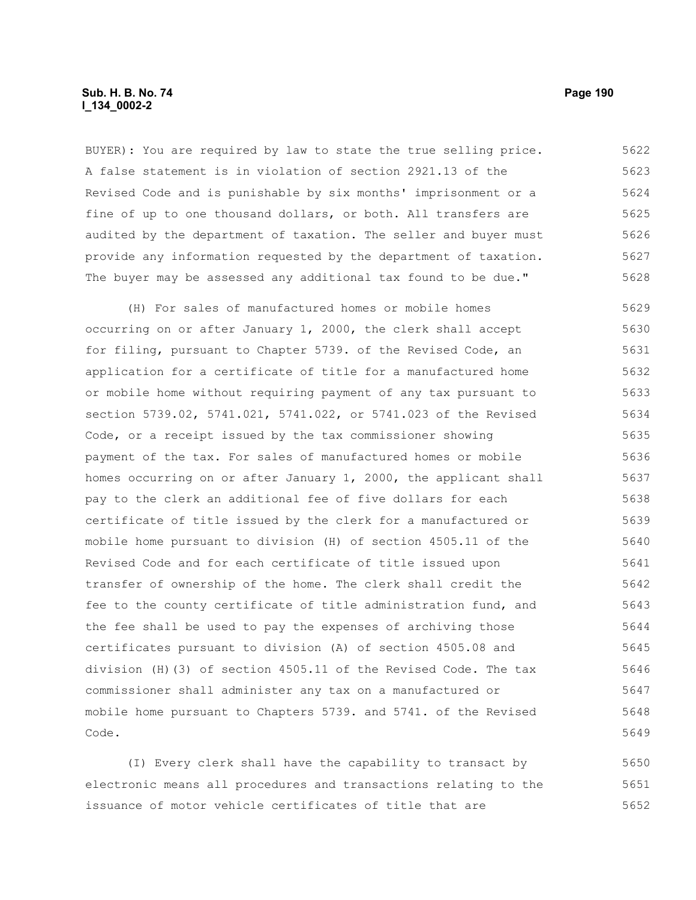## **Sub. H. B. No. 74** Page 190 **l\_134\_0002-2**

BUYER): You are required by law to state the true selling price. A false statement is in violation of section 2921.13 of the Revised Code and is punishable by six months' imprisonment or a fine of up to one thousand dollars, or both. All transfers are audited by the department of taxation. The seller and buyer must provide any information requested by the department of taxation. The buyer may be assessed any additional tax found to be due." 5622 5623 5624 5625 5626 5627 5628

(H) For sales of manufactured homes or mobile homes occurring on or after January 1, 2000, the clerk shall accept for filing, pursuant to Chapter 5739. of the Revised Code, an application for a certificate of title for a manufactured home or mobile home without requiring payment of any tax pursuant to section 5739.02, 5741.021, 5741.022, or 5741.023 of the Revised Code, or a receipt issued by the tax commissioner showing payment of the tax. For sales of manufactured homes or mobile homes occurring on or after January 1, 2000, the applicant shall pay to the clerk an additional fee of five dollars for each certificate of title issued by the clerk for a manufactured or mobile home pursuant to division (H) of section 4505.11 of the Revised Code and for each certificate of title issued upon transfer of ownership of the home. The clerk shall credit the fee to the county certificate of title administration fund, and the fee shall be used to pay the expenses of archiving those certificates pursuant to division (A) of section 4505.08 and division (H)(3) of section 4505.11 of the Revised Code. The tax commissioner shall administer any tax on a manufactured or mobile home pursuant to Chapters 5739. and 5741. of the Revised Code. 5629 5630 5631 5632 5633 5634 5635 5636 5637 5638 5639 5640 5641 5642 5643 5644 5645 5646 5647 5648 5649

(I) Every clerk shall have the capability to transact by electronic means all procedures and transactions relating to the issuance of motor vehicle certificates of title that are 5650 5651 5652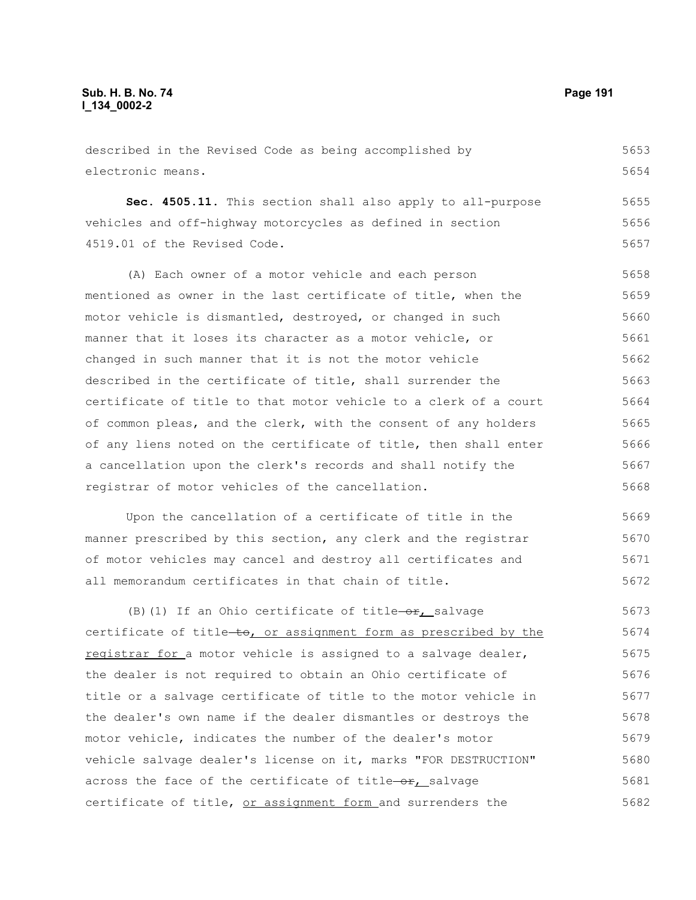described in the Revised Code as being accomplished by electronic means. 5653 5654

**Sec. 4505.11.** This section shall also apply to all-purpose vehicles and off-highway motorcycles as defined in section 4519.01 of the Revised Code. 5655 5656 5657

(A) Each owner of a motor vehicle and each person mentioned as owner in the last certificate of title, when the motor vehicle is dismantled, destroyed, or changed in such manner that it loses its character as a motor vehicle, or changed in such manner that it is not the motor vehicle described in the certificate of title, shall surrender the certificate of title to that motor vehicle to a clerk of a court of common pleas, and the clerk, with the consent of any holders of any liens noted on the certificate of title, then shall enter a cancellation upon the clerk's records and shall notify the registrar of motor vehicles of the cancellation. 5658 5659 5660 5661 5662 5663 5664 5665 5666 5667 5668

Upon the cancellation of a certificate of title in the manner prescribed by this section, any clerk and the registrar of motor vehicles may cancel and destroy all certificates and all memorandum certificates in that chain of title. 5669 5670 5671 5672

(B)(1) If an Ohio certificate of title $-0f$ , salvage certificate of title-to, or assignment form as prescribed by the registrar for a motor vehicle is assigned to a salvage dealer, the dealer is not required to obtain an Ohio certificate of title or a salvage certificate of title to the motor vehicle in the dealer's own name if the dealer dismantles or destroys the motor vehicle, indicates the number of the dealer's motor vehicle salvage dealer's license on it, marks "FOR DESTRUCTION" across the face of the certificate of title-or, salvage certificate of title, or assignment form and surrenders the 5673 5674 5675 5676 5677 5678 5679 5680 5681 5682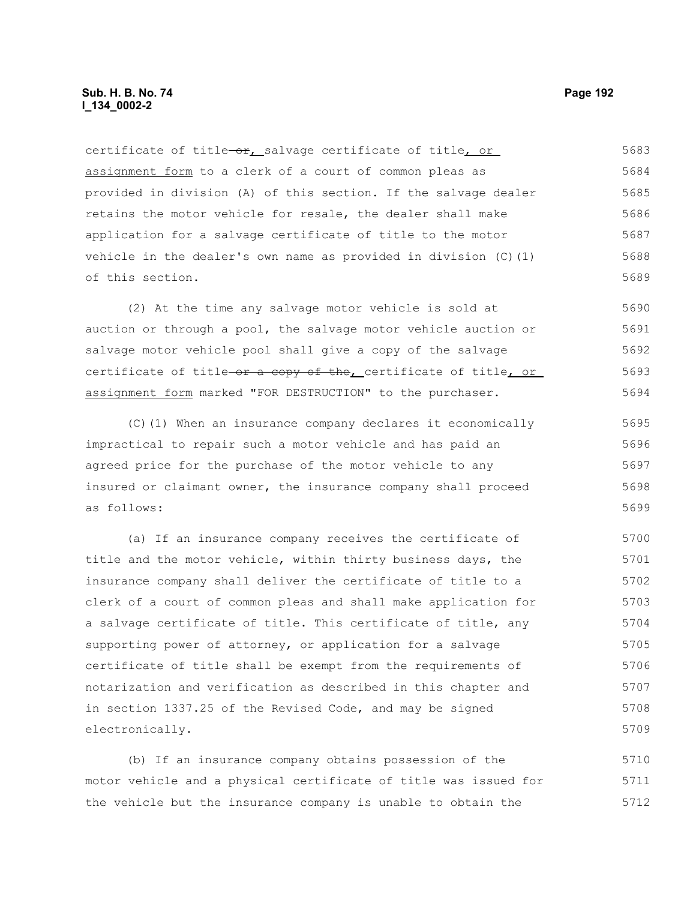## **Sub. H. B. No. 74** Page 192 **l\_134\_0002-2**

certificate of title-or, salvage certificate of title, or assignment form to a clerk of a court of common pleas as provided in division (A) of this section. If the salvage dealer retains the motor vehicle for resale, the dealer shall make application for a salvage certificate of title to the motor vehicle in the dealer's own name as provided in division (C)(1) of this section. 5683 5684 5685 5686 5687 5688 5689

(2) At the time any salvage motor vehicle is sold at auction or through a pool, the salvage motor vehicle auction or salvage motor vehicle pool shall give a copy of the salvage certificate of title-or a copy of the, certificate of title, or assignment form marked "FOR DESTRUCTION" to the purchaser. 5690 5691 5692 5693 5694

(C)(1) When an insurance company declares it economically impractical to repair such a motor vehicle and has paid an agreed price for the purchase of the motor vehicle to any insured or claimant owner, the insurance company shall proceed as follows: 5695 5696 5697 5698 5699

(a) If an insurance company receives the certificate of title and the motor vehicle, within thirty business days, the insurance company shall deliver the certificate of title to a clerk of a court of common pleas and shall make application for a salvage certificate of title. This certificate of title, any supporting power of attorney, or application for a salvage certificate of title shall be exempt from the requirements of notarization and verification as described in this chapter and in section 1337.25 of the Revised Code, and may be signed electronically. 5700 5701 5702 5703 5704 5705 5706 5707 5708 5709

(b) If an insurance company obtains possession of the motor vehicle and a physical certificate of title was issued for the vehicle but the insurance company is unable to obtain the 5710 5711 5712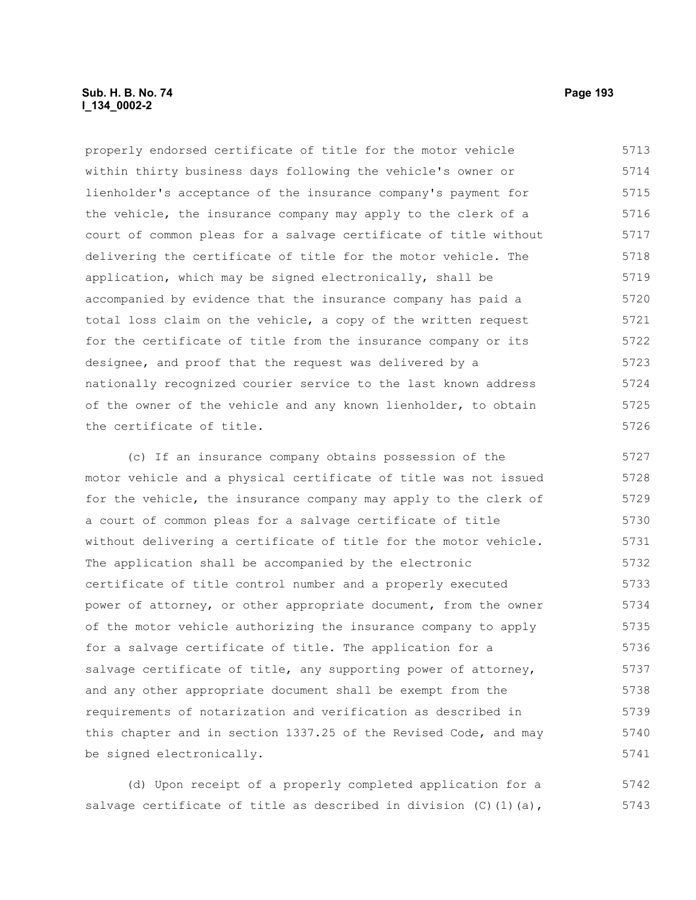# **Sub. H. B. No. 74** Page 193 **l\_134\_0002-2**

properly endorsed certificate of title for the motor vehicle within thirty business days following the vehicle's owner or lienholder's acceptance of the insurance company's payment for the vehicle, the insurance company may apply to the clerk of a court of common pleas for a salvage certificate of title without delivering the certificate of title for the motor vehicle. The application, which may be signed electronically, shall be accompanied by evidence that the insurance company has paid a total loss claim on the vehicle, a copy of the written request for the certificate of title from the insurance company or its designee, and proof that the request was delivered by a nationally recognized courier service to the last known address of the owner of the vehicle and any known lienholder, to obtain the certificate of title. 5713 5714 5715 5716 5717 5718 5719 5720 5721 5722 5723 5724 5725 5726

(c) If an insurance company obtains possession of the motor vehicle and a physical certificate of title was not issued for the vehicle, the insurance company may apply to the clerk of a court of common pleas for a salvage certificate of title without delivering a certificate of title for the motor vehicle. The application shall be accompanied by the electronic certificate of title control number and a properly executed power of attorney, or other appropriate document, from the owner of the motor vehicle authorizing the insurance company to apply for a salvage certificate of title. The application for a salvage certificate of title, any supporting power of attorney, and any other appropriate document shall be exempt from the requirements of notarization and verification as described in this chapter and in section 1337.25 of the Revised Code, and may be signed electronically. 5727 5728 5729 5730 5731 5732 5733 5734 5735 5736 5737 5738 5739 5740 5741

(d) Upon receipt of a properly completed application for a salvage certificate of title as described in division (C)(1)(a), 5742 5743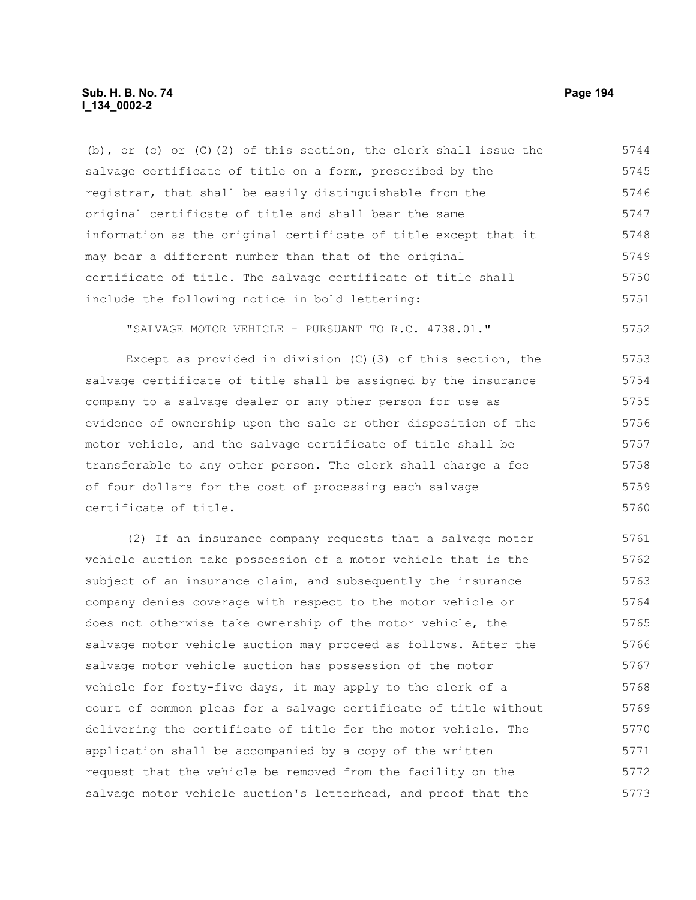(b), or (c) or (C)(2) of this section, the clerk shall issue the salvage certificate of title on a form, prescribed by the registrar, that shall be easily distinguishable from the original certificate of title and shall bear the same information as the original certificate of title except that it may bear a different number than that of the original certificate of title. The salvage certificate of title shall include the following notice in bold lettering: 5744 5745 5746 5747 5748 5749 5750 5751

"SALVAGE MOTOR VEHICLE - PURSUANT TO R.C. 4738.01." 5752

Except as provided in division (C)(3) of this section, the salvage certificate of title shall be assigned by the insurance company to a salvage dealer or any other person for use as evidence of ownership upon the sale or other disposition of the motor vehicle, and the salvage certificate of title shall be transferable to any other person. The clerk shall charge a fee of four dollars for the cost of processing each salvage certificate of title. 5753 5754 5755 5756 5757 5758 5759 5760

(2) If an insurance company requests that a salvage motor vehicle auction take possession of a motor vehicle that is the subject of an insurance claim, and subsequently the insurance company denies coverage with respect to the motor vehicle or does not otherwise take ownership of the motor vehicle, the salvage motor vehicle auction may proceed as follows. After the salvage motor vehicle auction has possession of the motor vehicle for forty-five days, it may apply to the clerk of a court of common pleas for a salvage certificate of title without delivering the certificate of title for the motor vehicle. The application shall be accompanied by a copy of the written request that the vehicle be removed from the facility on the salvage motor vehicle auction's letterhead, and proof that the 5761 5762 5763 5764 5765 5766 5767 5768 5769 5770 5771 5772 5773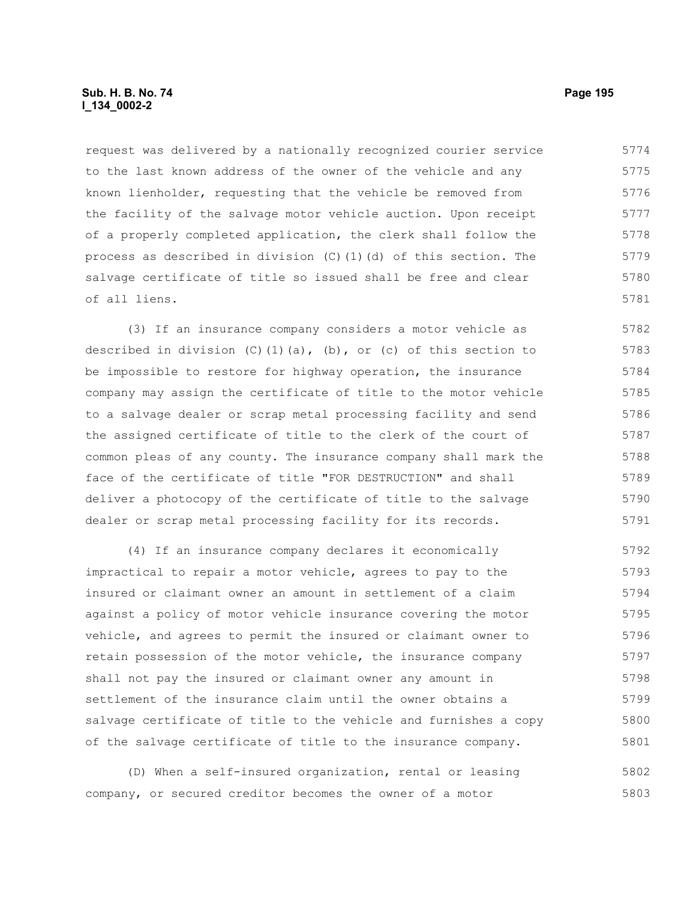## **Sub. H. B. No. 74** Page 195 **l\_134\_0002-2**

request was delivered by a nationally recognized courier service to the last known address of the owner of the vehicle and any known lienholder, requesting that the vehicle be removed from the facility of the salvage motor vehicle auction. Upon receipt of a properly completed application, the clerk shall follow the process as described in division (C)(1)(d) of this section. The salvage certificate of title so issued shall be free and clear of all liens. 5774 5775 5776 5777 5778 5779 5780 5781

(3) If an insurance company considers a motor vehicle as described in division  $(C)$  (1)(a), (b), or (c) of this section to be impossible to restore for highway operation, the insurance company may assign the certificate of title to the motor vehicle to a salvage dealer or scrap metal processing facility and send the assigned certificate of title to the clerk of the court of common pleas of any county. The insurance company shall mark the face of the certificate of title "FOR DESTRUCTION" and shall deliver a photocopy of the certificate of title to the salvage dealer or scrap metal processing facility for its records. 5782 5783 5784 5785 5786 5787 5788 5789 5790 5791

(4) If an insurance company declares it economically impractical to repair a motor vehicle, agrees to pay to the insured or claimant owner an amount in settlement of a claim against a policy of motor vehicle insurance covering the motor vehicle, and agrees to permit the insured or claimant owner to retain possession of the motor vehicle, the insurance company shall not pay the insured or claimant owner any amount in settlement of the insurance claim until the owner obtains a salvage certificate of title to the vehicle and furnishes a copy of the salvage certificate of title to the insurance company. 5792 5793 5794 5795 5796 5797 5798 5799 5800 5801

(D) When a self-insured organization, rental or leasing company, or secured creditor becomes the owner of a motor 5802 5803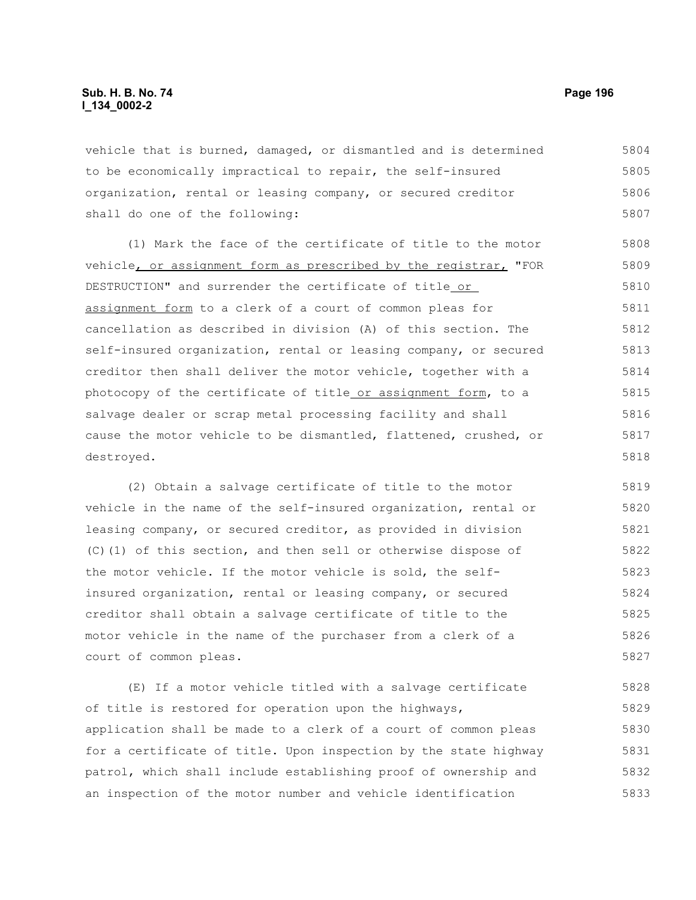vehicle that is burned, damaged, or dismantled and is determined to be economically impractical to repair, the self-insured organization, rental or leasing company, or secured creditor shall do one of the following: 5804 5805 5806 5807

(1) Mark the face of the certificate of title to the motor vehicle, or assignment form as prescribed by the registrar, "FOR DESTRUCTION" and surrender the certificate of title or assignment form to a clerk of a court of common pleas for cancellation as described in division (A) of this section. The self-insured organization, rental or leasing company, or secured creditor then shall deliver the motor vehicle, together with a photocopy of the certificate of title\_or assignment form, to a salvage dealer or scrap metal processing facility and shall cause the motor vehicle to be dismantled, flattened, crushed, or destroyed. 5808 5809 5810 5811 5812 5813 5814 5815 5816 5817 5818

(2) Obtain a salvage certificate of title to the motor vehicle in the name of the self-insured organization, rental or leasing company, or secured creditor, as provided in division (C)(1) of this section, and then sell or otherwise dispose of the motor vehicle. If the motor vehicle is sold, the selfinsured organization, rental or leasing company, or secured creditor shall obtain a salvage certificate of title to the motor vehicle in the name of the purchaser from a clerk of a court of common pleas. 5819 5820 5821 5822 5823 5824 5825 5826 5827

(E) If a motor vehicle titled with a salvage certificate of title is restored for operation upon the highways, application shall be made to a clerk of a court of common pleas for a certificate of title. Upon inspection by the state highway patrol, which shall include establishing proof of ownership and an inspection of the motor number and vehicle identification 5828 5829 5830 5831 5832 5833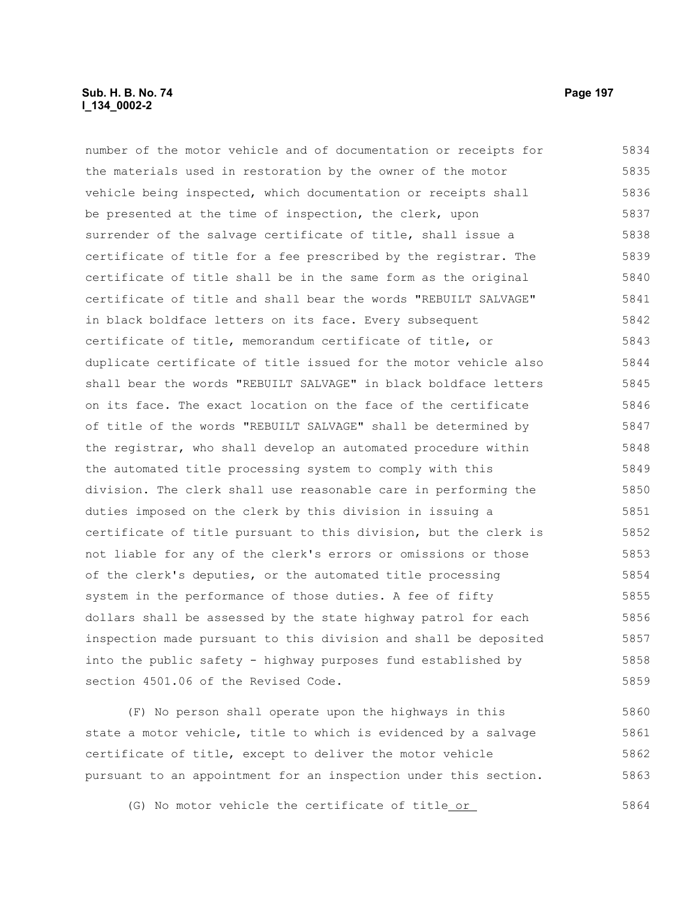## **Sub. H. B. No. 74** Page 197 **l\_134\_0002-2**

number of the motor vehicle and of documentation or receipts for the materials used in restoration by the owner of the motor vehicle being inspected, which documentation or receipts shall be presented at the time of inspection, the clerk, upon surrender of the salvage certificate of title, shall issue a certificate of title for a fee prescribed by the registrar. The certificate of title shall be in the same form as the original certificate of title and shall bear the words "REBUILT SALVAGE" in black boldface letters on its face. Every subsequent certificate of title, memorandum certificate of title, or duplicate certificate of title issued for the motor vehicle also shall bear the words "REBUILT SALVAGE" in black boldface letters on its face. The exact location on the face of the certificate of title of the words "REBUILT SALVAGE" shall be determined by the registrar, who shall develop an automated procedure within the automated title processing system to comply with this division. The clerk shall use reasonable care in performing the duties imposed on the clerk by this division in issuing a certificate of title pursuant to this division, but the clerk is not liable for any of the clerk's errors or omissions or those of the clerk's deputies, or the automated title processing system in the performance of those duties. A fee of fifty dollars shall be assessed by the state highway patrol for each inspection made pursuant to this division and shall be deposited into the public safety - highway purposes fund established by section 4501.06 of the Revised Code. 5834 5835 5836 5837 5838 5839 5840 5841 5842 5843 5844 5845 5846 5847 5848 5849 5850 5851 5852 5853 5854 5855 5856 5857 5858 5859

(F) No person shall operate upon the highways in this state a motor vehicle, title to which is evidenced by a salvage certificate of title, except to deliver the motor vehicle pursuant to an appointment for an inspection under this section. 5860 5861 5862 5863

(G) No motor vehicle the certificate of title or 5864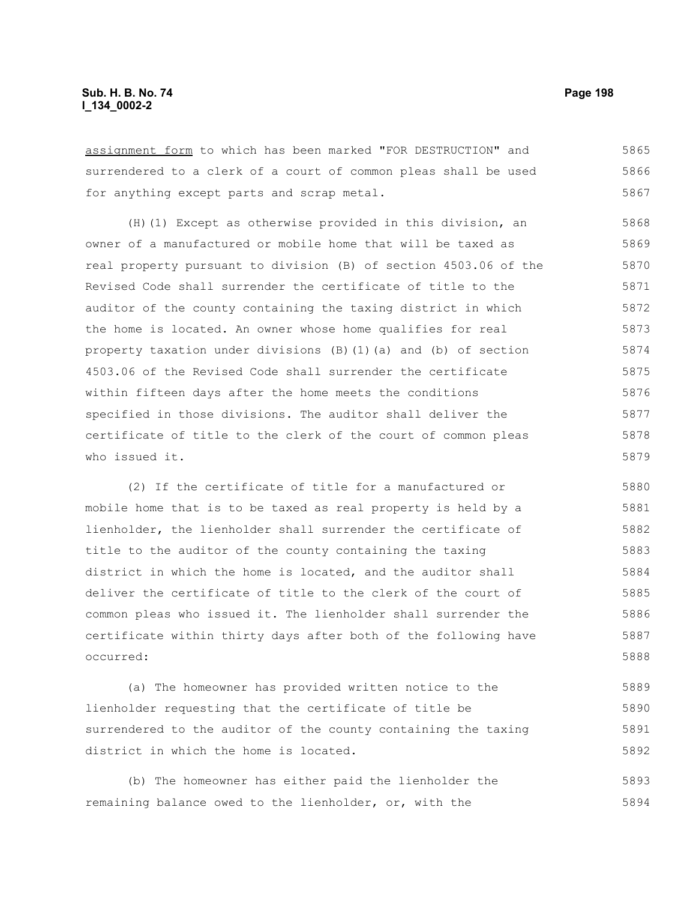## **Sub. H. B. No. 74** Page 198 **l\_134\_0002-2**

assignment form to which has been marked "FOR DESTRUCTION" and surrendered to a clerk of a court of common pleas shall be used for anything except parts and scrap metal. 5865 5866 5867

(H)(1) Except as otherwise provided in this division, an owner of a manufactured or mobile home that will be taxed as real property pursuant to division (B) of section 4503.06 of the Revised Code shall surrender the certificate of title to the auditor of the county containing the taxing district in which the home is located. An owner whose home qualifies for real property taxation under divisions (B)(1)(a) and (b) of section 4503.06 of the Revised Code shall surrender the certificate within fifteen days after the home meets the conditions specified in those divisions. The auditor shall deliver the certificate of title to the clerk of the court of common pleas who issued it. 5868 5869 5870 5871 5872 5873 5874 5875 5876 5877 5878 5879

(2) If the certificate of title for a manufactured or mobile home that is to be taxed as real property is held by a lienholder, the lienholder shall surrender the certificate of title to the auditor of the county containing the taxing district in which the home is located, and the auditor shall deliver the certificate of title to the clerk of the court of common pleas who issued it. The lienholder shall surrender the certificate within thirty days after both of the following have occurred: 5880 5881 5882 5883 5884 5885 5886 5887 5888

(a) The homeowner has provided written notice to the lienholder requesting that the certificate of title be surrendered to the auditor of the county containing the taxing district in which the home is located. 5889 5890 5891 5892

(b) The homeowner has either paid the lienholder the remaining balance owed to the lienholder, or, with the 5893 5894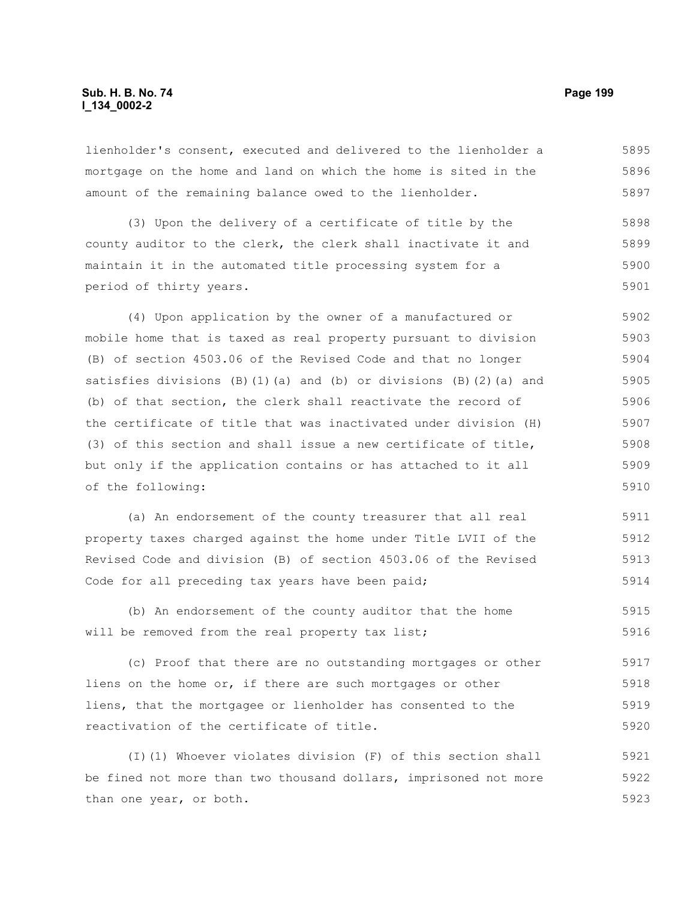## **Sub. H. B. No. 74** Page 199 **l\_134\_0002-2**

lienholder's consent, executed and delivered to the lienholder a mortgage on the home and land on which the home is sited in the amount of the remaining balance owed to the lienholder. 5895 5896 5897

(3) Upon the delivery of a certificate of title by the county auditor to the clerk, the clerk shall inactivate it and maintain it in the automated title processing system for a period of thirty years. 5898 5899 5900 5901

(4) Upon application by the owner of a manufactured or mobile home that is taxed as real property pursuant to division (B) of section 4503.06 of the Revised Code and that no longer satisfies divisions (B)(1)(a) and (b) or divisions (B)(2)(a) and (b) of that section, the clerk shall reactivate the record of the certificate of title that was inactivated under division (H) (3) of this section and shall issue a new certificate of title, but only if the application contains or has attached to it all of the following: 5902 5903 5904 5905 5906 5907 5908 5909 5910

(a) An endorsement of the county treasurer that all real property taxes charged against the home under Title LVII of the Revised Code and division (B) of section 4503.06 of the Revised Code for all preceding tax years have been paid; 5911 5912 5913 5914

(b) An endorsement of the county auditor that the home will be removed from the real property tax list; 5915 5916

(c) Proof that there are no outstanding mortgages or other liens on the home or, if there are such mortgages or other liens, that the mortgagee or lienholder has consented to the reactivation of the certificate of title. 5917 5918 5919 5920

(I)(1) Whoever violates division (F) of this section shall be fined not more than two thousand dollars, imprisoned not more than one year, or both. 5921 5922 5923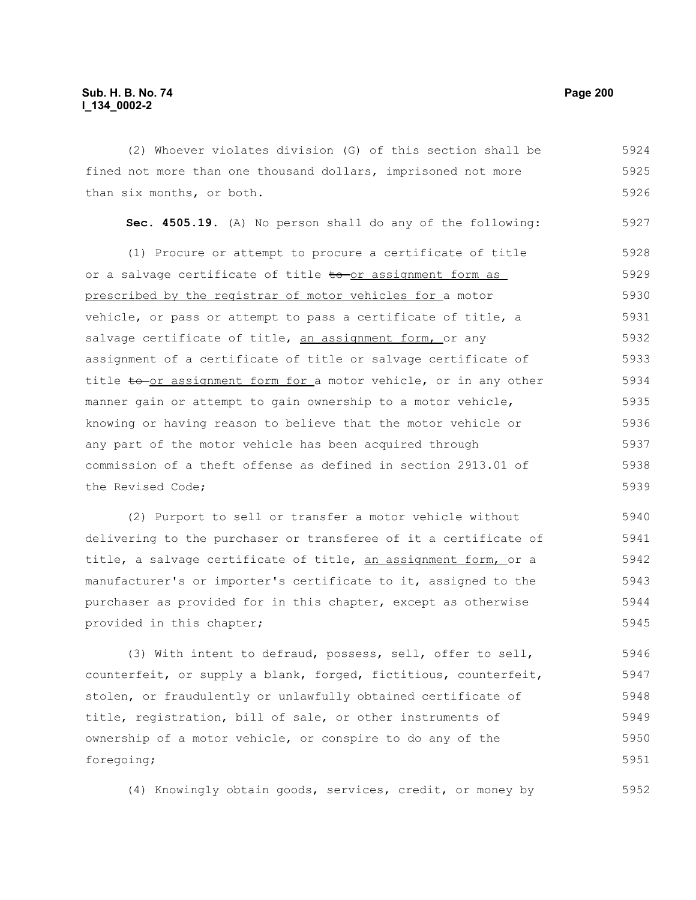(2) Whoever violates division (G) of this section shall be fined not more than one thousand dollars, imprisoned not more than six months, or both. 5924 5925 5926

**Sec. 4505.19.** (A) No person shall do any of the following: 5927

(1) Procure or attempt to procure a certificate of title or a salvage certificate of title to or assignment form as prescribed by the registrar of motor vehicles for a motor vehicle, or pass or attempt to pass a certificate of title, a salvage certificate of title, an assignment form, or any assignment of a certificate of title or salvage certificate of title to or assignment form for a motor vehicle, or in any other manner gain or attempt to gain ownership to a motor vehicle, knowing or having reason to believe that the motor vehicle or any part of the motor vehicle has been acquired through commission of a theft offense as defined in section 2913.01 of the Revised Code; 5928 5929 5930 5931 5932 5933 5934 5935 5936 5937 5938 5939

(2) Purport to sell or transfer a motor vehicle without delivering to the purchaser or transferee of it a certificate of title, a salvage certificate of title, an assignment form, or a manufacturer's or importer's certificate to it, assigned to the purchaser as provided for in this chapter, except as otherwise provided in this chapter; 5940 5941 5942 5943 5944 5945

(3) With intent to defraud, possess, sell, offer to sell, counterfeit, or supply a blank, forged, fictitious, counterfeit, stolen, or fraudulently or unlawfully obtained certificate of title, registration, bill of sale, or other instruments of ownership of a motor vehicle, or conspire to do any of the foregoing; 5946 5947 5948 5949 5950 5951

(4) Knowingly obtain goods, services, credit, or money by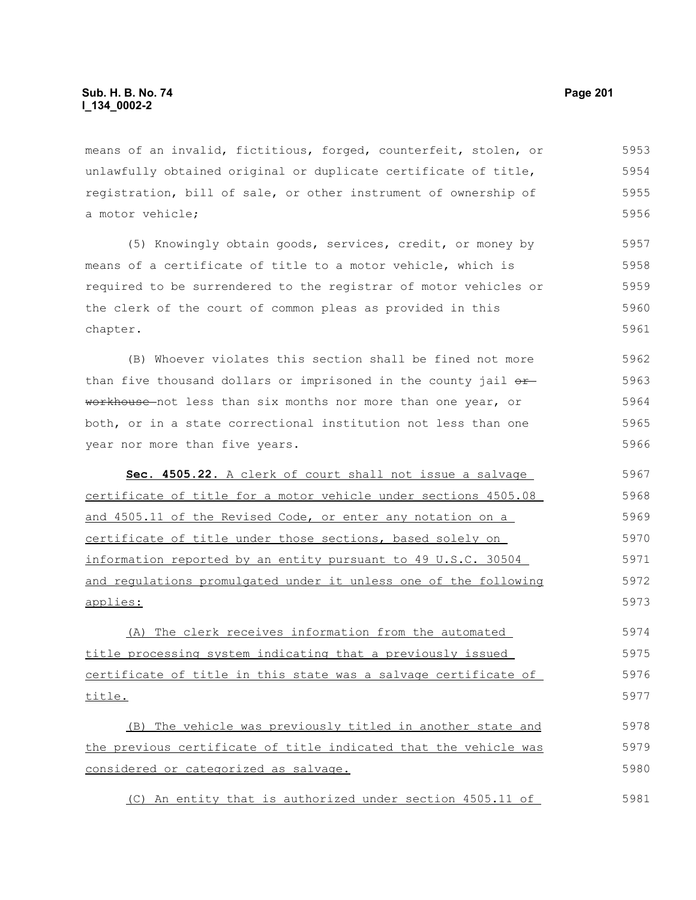means of an invalid, fictitious, forged, counterfeit, stolen, or unlawfully obtained original or duplicate certificate of title, registration, bill of sale, or other instrument of ownership of a motor vehicle; 5953 5954 5955 5956

(5) Knowingly obtain goods, services, credit, or money by means of a certificate of title to a motor vehicle, which is required to be surrendered to the registrar of motor vehicles or the clerk of the court of common pleas as provided in this chapter. 5957 5958 5959 5960 5961

(B) Whoever violates this section shall be fined not more than five thousand dollars or imprisoned in the county jail  $\theta$ <sup>-</sup> workhouse not less than six months nor more than one year, or both, or in a state correctional institution not less than one year nor more than five years. 5962 5963 5964 5965 5966

 **Sec. 4505.22.** A clerk of court shall not issue a salvage certificate of title for a motor vehicle under sections 4505.08 and 4505.11 of the Revised Code, or enter any notation on a certificate of title under those sections, based solely on information reported by an entity pursuant to 49 U.S.C. 30504 and regulations promulgated under it unless one of the following applies: 5967 5968 5969 5970 5971 5972 5973

(A) The clerk receives information from the automated title processing system indicating that a previously issued certificate of title in this state was a salvage certificate of title. 5974 5975 5976 5977

(B) The vehicle was previously titled in another state and the previous certificate of title indicated that the vehicle was considered or categorized as salvage. 5978 5979 5980

(C) An entity that is authorized under section 4505.11 of 5981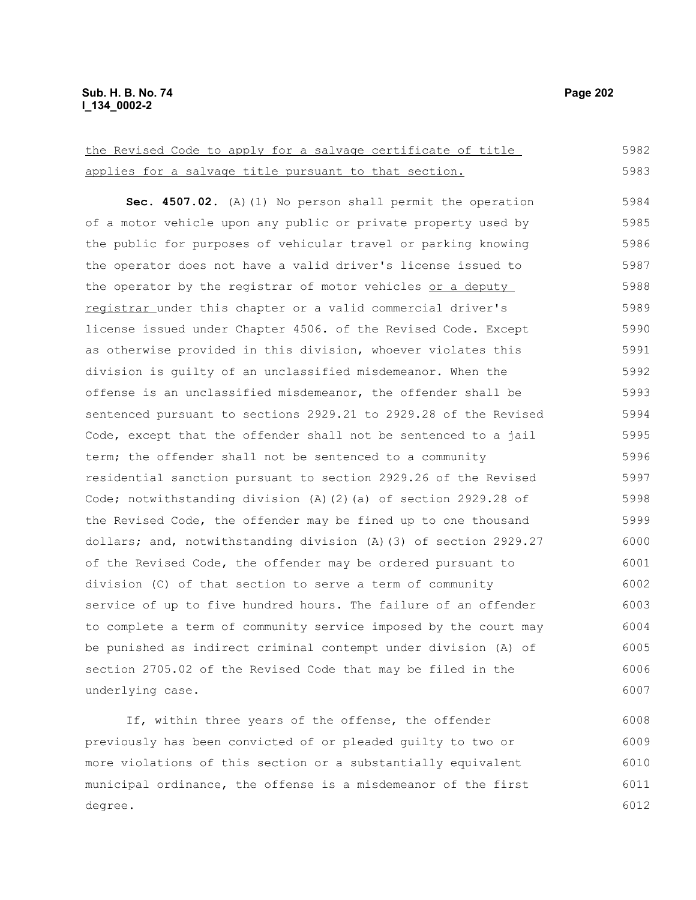| the Revised Code to apply for a salvage certificate of title      | 5982 |
|-------------------------------------------------------------------|------|
| applies for a salvage title pursuant to that section.             | 5983 |
| Sec. 4507.02. (A) (1) No person shall permit the operation        | 5984 |
| of a motor vehicle upon any public or private property used by    | 5985 |
| the public for purposes of vehicular travel or parking knowing    | 5986 |
| the operator does not have a valid driver's license issued to     | 5987 |
| the operator by the registrar of motor vehicles or a deputy       | 5988 |
| registrar under this chapter or a valid commercial driver's       | 5989 |
| license issued under Chapter 4506. of the Revised Code. Except    | 5990 |
| as otherwise provided in this division, whoever violates this     | 5991 |
| division is quilty of an unclassified misdemeanor. When the       | 5992 |
| offense is an unclassified misdemeanor, the offender shall be     | 5993 |
| sentenced pursuant to sections 2929.21 to 2929.28 of the Revised  | 5994 |
| Code, except that the offender shall not be sentenced to a jail   | 5995 |
| term; the offender shall not be sentenced to a community          | 5996 |
| residential sanction pursuant to section 2929.26 of the Revised   | 5997 |
| Code; notwithstanding division (A)(2)(a) of section 2929.28 of    | 5998 |
| the Revised Code, the offender may be fined up to one thousand    | 5999 |
| dollars; and, notwithstanding division (A) (3) of section 2929.27 | 6000 |
| of the Revised Code, the offender may be ordered pursuant to      | 6001 |
| division (C) of that section to serve a term of community         | 6002 |
| service of up to five hundred hours. The failure of an offender   | 6003 |
| to complete a term of community service imposed by the court may  | 6004 |
| be punished as indirect criminal contempt under division (A) of   | 6005 |
| section 2705.02 of the Revised Code that may be filed in the      | 6006 |
| underlying case.                                                  | 6007 |
| If, within three years of the offense, the offender               | 6008 |

previously has been convicted of or pleaded guilty to two or more violations of this section or a substantially equivalent municipal ordinance, the offense is a misdemeanor of the first degree. 6009 6010 6011 6012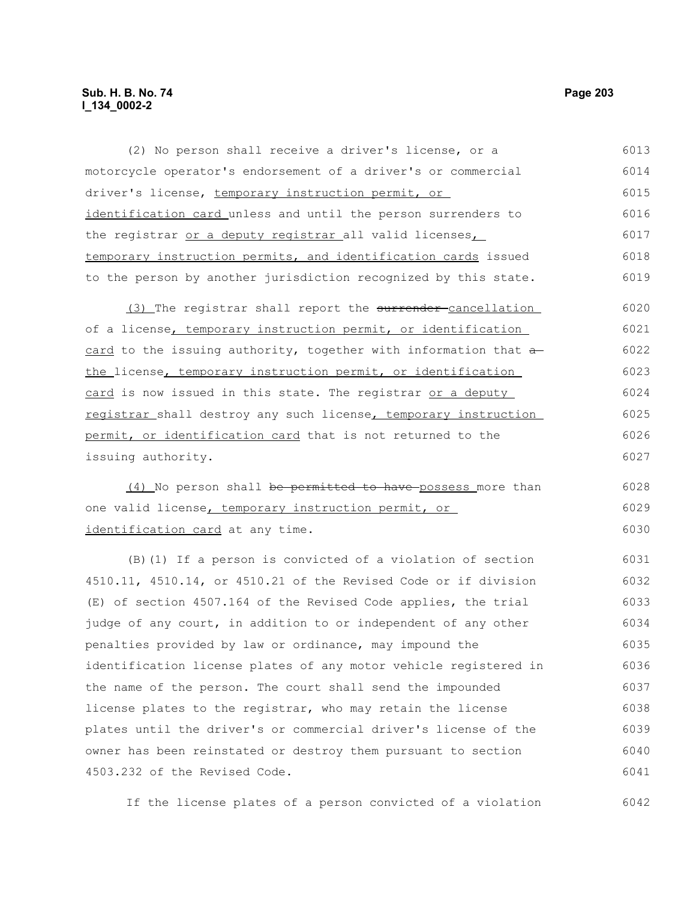# **Sub. H. B. No. 74** Page 203 **l\_134\_0002-2**

(2) No person shall receive a driver's license, or a motorcycle operator's endorsement of a driver's or commercial driver's license, temporary instruction permit, or identification card unless and until the person surrenders to the registrar or a deputy registrar all valid licenses, temporary instruction permits, and identification cards issued to the person by another jurisdiction recognized by this state. 6013 6014 6015 6016 6017 6018 6019

(3) The registrar shall report the surrender-cancellation of a license, temporary instruction permit, or identification card to the issuing authority, together with information that  $a$ the license, temporary instruction permit, or identification card is now issued in this state. The registrar or a deputy registrar shall destroy any such license, temporary instruction permit, or identification card that is not returned to the issuing authority. 6020 6021 6022 6023 6024 6025 6026 6027

(4) No person shall be permitted to have possess more than one valid license, temporary instruction permit, or identification card at any time. 6028 6029 6030

(B)(1) If a person is convicted of a violation of section 4510.11, 4510.14, or 4510.21 of the Revised Code or if division (E) of section 4507.164 of the Revised Code applies, the trial judge of any court, in addition to or independent of any other penalties provided by law or ordinance, may impound the identification license plates of any motor vehicle registered in the name of the person. The court shall send the impounded license plates to the registrar, who may retain the license plates until the driver's or commercial driver's license of the owner has been reinstated or destroy them pursuant to section 4503.232 of the Revised Code. 6031 6032 6033 6034 6035 6036 6037 6038 6039 6040 6041

If the license plates of a person convicted of a violation 6042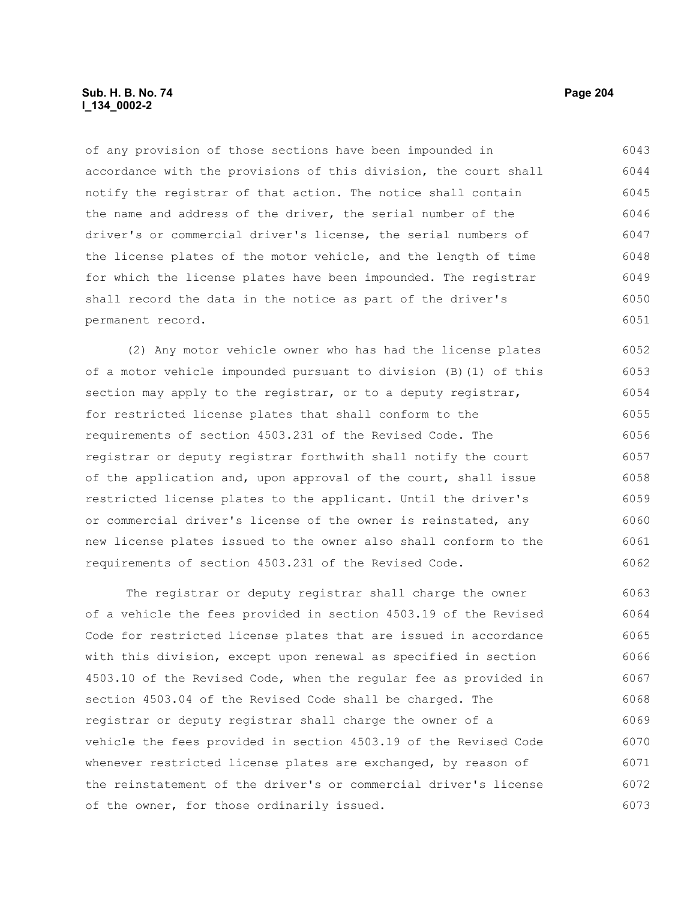## **Sub. H. B. No. 74** Page 204 **l\_134\_0002-2**

of any provision of those sections have been impounded in accordance with the provisions of this division, the court shall notify the registrar of that action. The notice shall contain the name and address of the driver, the serial number of the driver's or commercial driver's license, the serial numbers of the license plates of the motor vehicle, and the length of time for which the license plates have been impounded. The registrar shall record the data in the notice as part of the driver's permanent record. 6043 6044 6045 6046 6047 6048 6049 6050 6051

(2) Any motor vehicle owner who has had the license plates of a motor vehicle impounded pursuant to division (B)(1) of this section may apply to the registrar, or to a deputy registrar, for restricted license plates that shall conform to the requirements of section 4503.231 of the Revised Code. The registrar or deputy registrar forthwith shall notify the court of the application and, upon approval of the court, shall issue restricted license plates to the applicant. Until the driver's or commercial driver's license of the owner is reinstated, any new license plates issued to the owner also shall conform to the requirements of section 4503.231 of the Revised Code. 6052 6053 6054 6055 6056 6057 6058 6059 6060 6061 6062

The registrar or deputy registrar shall charge the owner of a vehicle the fees provided in section 4503.19 of the Revised Code for restricted license plates that are issued in accordance with this division, except upon renewal as specified in section 4503.10 of the Revised Code, when the regular fee as provided in section 4503.04 of the Revised Code shall be charged. The registrar or deputy registrar shall charge the owner of a vehicle the fees provided in section 4503.19 of the Revised Code whenever restricted license plates are exchanged, by reason of the reinstatement of the driver's or commercial driver's license of the owner, for those ordinarily issued. 6063 6064 6065 6066 6067 6068 6069 6070 6071 6072 6073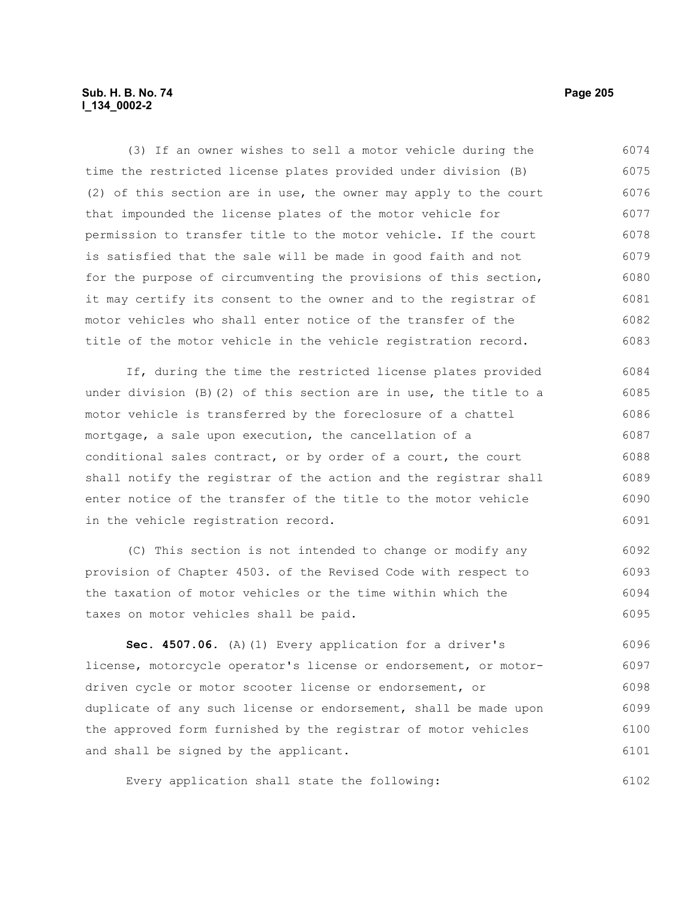# **Sub. H. B. No. 74** Page 205 **l\_134\_0002-2**

(3) If an owner wishes to sell a motor vehicle during the time the restricted license plates provided under division (B) (2) of this section are in use, the owner may apply to the court that impounded the license plates of the motor vehicle for permission to transfer title to the motor vehicle. If the court is satisfied that the sale will be made in good faith and not for the purpose of circumventing the provisions of this section, it may certify its consent to the owner and to the registrar of motor vehicles who shall enter notice of the transfer of the title of the motor vehicle in the vehicle registration record. 6074 6075 6076 6077 6078 6079 6080 6081 6082 6083

If, during the time the restricted license plates provided under division (B)(2) of this section are in use, the title to a motor vehicle is transferred by the foreclosure of a chattel mortgage, a sale upon execution, the cancellation of a conditional sales contract, or by order of a court, the court shall notify the registrar of the action and the registrar shall enter notice of the transfer of the title to the motor vehicle in the vehicle registration record. 6084 6085 6086 6087 6088 6089 6090 6091

(C) This section is not intended to change or modify any provision of Chapter 4503. of the Revised Code with respect to the taxation of motor vehicles or the time within which the taxes on motor vehicles shall be paid. 6092 6093 6094 6095

**Sec. 4507.06.** (A)(1) Every application for a driver's license, motorcycle operator's license or endorsement, or motordriven cycle or motor scooter license or endorsement, or duplicate of any such license or endorsement, shall be made upon the approved form furnished by the registrar of motor vehicles and shall be signed by the applicant. 6096 6097 6098 6099 6100 6101

Every application shall state the following: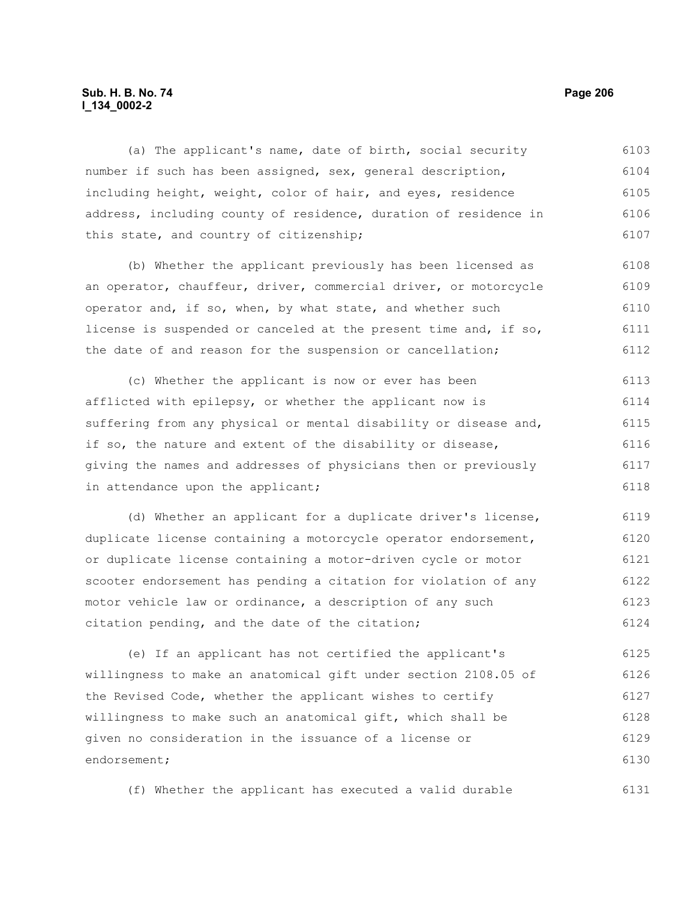## **Sub. H. B. No. 74** Page 206 **l\_134\_0002-2**

(a) The applicant's name, date of birth, social security number if such has been assigned, sex, general description, including height, weight, color of hair, and eyes, residence address, including county of residence, duration of residence in this state, and country of citizenship; 6103 6104 6105 6106 6107

(b) Whether the applicant previously has been licensed as an operator, chauffeur, driver, commercial driver, or motorcycle operator and, if so, when, by what state, and whether such license is suspended or canceled at the present time and, if so, the date of and reason for the suspension or cancellation; 6108 6109 6110 6111 6112

(c) Whether the applicant is now or ever has been afflicted with epilepsy, or whether the applicant now is suffering from any physical or mental disability or disease and, if so, the nature and extent of the disability or disease, giving the names and addresses of physicians then or previously in attendance upon the applicant; 6113 6114 6115 6116 6117 6118

(d) Whether an applicant for a duplicate driver's license, duplicate license containing a motorcycle operator endorsement, or duplicate license containing a motor-driven cycle or motor scooter endorsement has pending a citation for violation of any motor vehicle law or ordinance, a description of any such citation pending, and the date of the citation; 6119 6120 6121 6122 6123 6124

(e) If an applicant has not certified the applicant's willingness to make an anatomical gift under section 2108.05 of the Revised Code, whether the applicant wishes to certify willingness to make such an anatomical gift, which shall be given no consideration in the issuance of a license or endorsement; 6125 6126 6127 6128 6129 6130

(f) Whether the applicant has executed a valid durable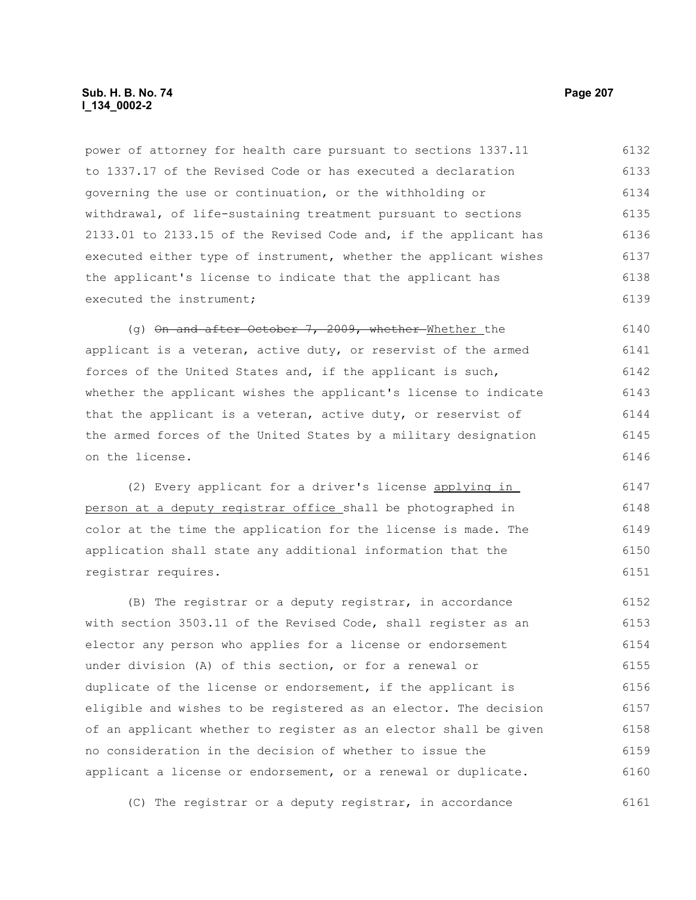## **Sub. H. B. No. 74** Page 207 **l\_134\_0002-2**

power of attorney for health care pursuant to sections 1337.11 to 1337.17 of the Revised Code or has executed a declaration governing the use or continuation, or the withholding or withdrawal, of life-sustaining treatment pursuant to sections 2133.01 to 2133.15 of the Revised Code and, if the applicant has executed either type of instrument, whether the applicant wishes the applicant's license to indicate that the applicant has executed the instrument; 6132 6133 6134 6135 6136 6137 6138 6139

(g) On and after October 7, 2009, whether Whether the applicant is a veteran, active duty, or reservist of the armed forces of the United States and, if the applicant is such, whether the applicant wishes the applicant's license to indicate that the applicant is a veteran, active duty, or reservist of the armed forces of the United States by a military designation on the license. 6140 6141 6142 6143 6144 6145 6146

(2) Every applicant for a driver's license applying in person at a deputy registrar office shall be photographed in color at the time the application for the license is made. The application shall state any additional information that the registrar requires. 6147 6148 6149 6150 6151

(B) The registrar or a deputy registrar, in accordance with section 3503.11 of the Revised Code, shall register as an elector any person who applies for a license or endorsement under division (A) of this section, or for a renewal or duplicate of the license or endorsement, if the applicant is eligible and wishes to be registered as an elector. The decision of an applicant whether to register as an elector shall be given no consideration in the decision of whether to issue the applicant a license or endorsement, or a renewal or duplicate. 6152 6153 6154 6155 6156 6157 6158 6159 6160

(C) The registrar or a deputy registrar, in accordance 6161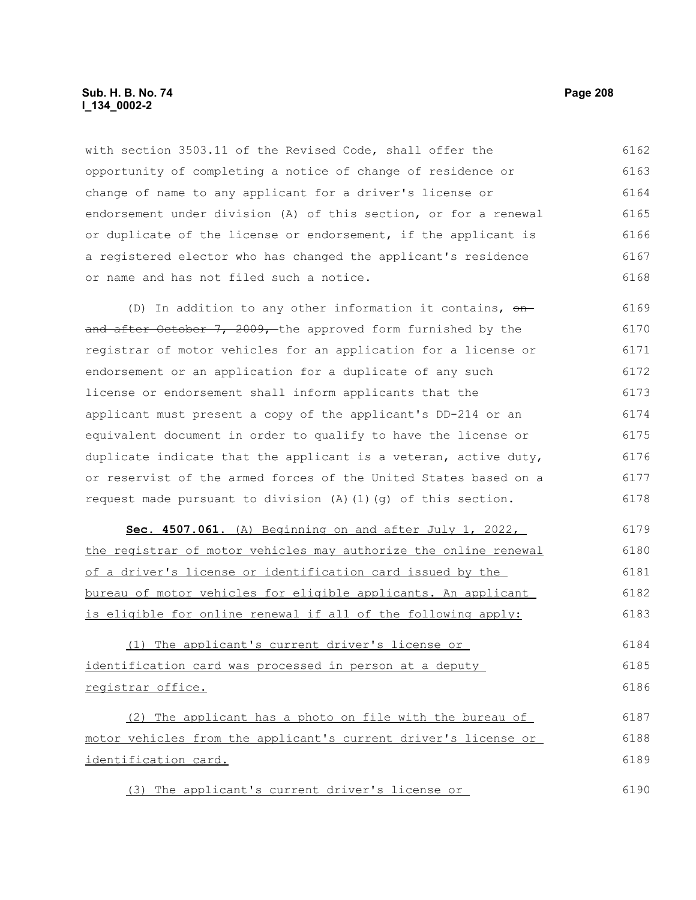## **Sub. H. B. No. 74 Page 208 l\_134\_0002-2**

with section 3503.11 of the Revised Code, shall offer the opportunity of completing a notice of change of residence or change of name to any applicant for a driver's license or endorsement under division (A) of this section, or for a renewal or duplicate of the license or endorsement, if the applicant is a registered elector who has changed the applicant's residence or name and has not filed such a notice. 6162 6163 6164 6165 6166 6167 6168

(D) In addition to any other information it contains,  $\Theta$ and after October 7, 2009, the approved form furnished by the registrar of motor vehicles for an application for a license or endorsement or an application for a duplicate of any such license or endorsement shall inform applicants that the applicant must present a copy of the applicant's DD-214 or an equivalent document in order to qualify to have the license or duplicate indicate that the applicant is a veteran, active duty, or reservist of the armed forces of the United States based on a request made pursuant to division (A)(1)(g) of this section. 6169 6170 6171 6172 6173 6174 6175 6176 6177 6178

 **Sec. 4507.061.** (A) Beginning on and after July 1, 2022, the registrar of motor vehicles may authorize the online renewal of a driver's license or identification card issued by the bureau of motor vehicles for eligible applicants. An applicant is eligible for online renewal if all of the following apply: 6179 6180 6181 6182 6183

(1) The applicant's current driver's license or identification card was processed in person at a deputy registrar office. 6184 6185 6186

(2) The applicant has a photo on file with the bureau of motor vehicles from the applicant's current driver's license or identification card. 6187 6188 6189

(3) The applicant's current driver's license or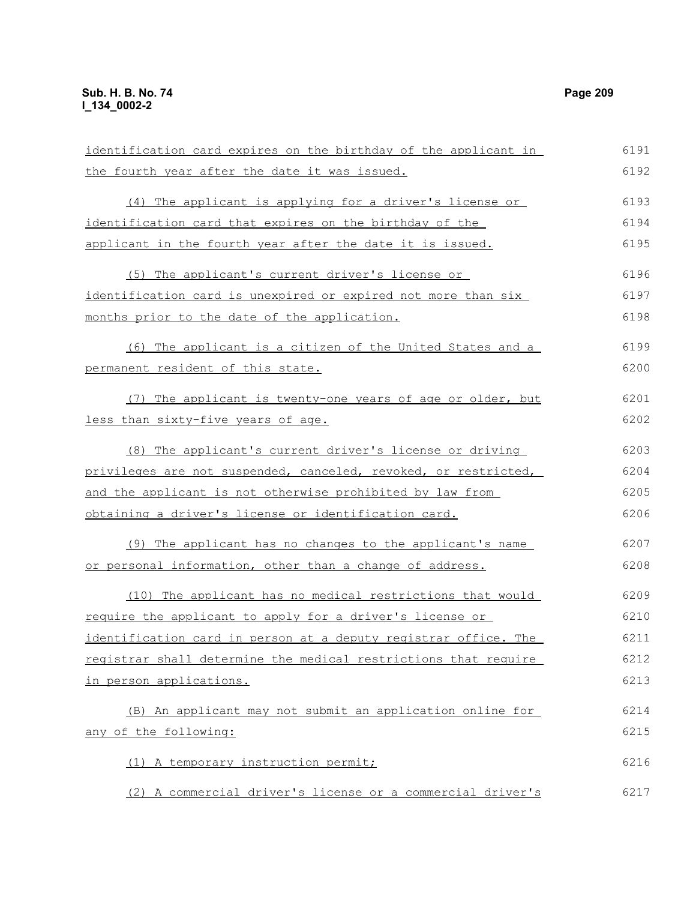| identification card expires on the birthday of the applicant in | 6191 |
|-----------------------------------------------------------------|------|
| the fourth year after the date it was issued.                   | 6192 |
| (4) The applicant is applying for a driver's license or         | 6193 |
| identification card that expires on the birthday of the         | 6194 |
| applicant in the fourth year after the date it is issued.       | 6195 |
| (5) The applicant's current driver's license or                 | 6196 |
| identification card is unexpired or expired not more than six   | 6197 |
| months prior to the date of the application.                    | 6198 |
| (6) The applicant is a citizen of the United States and a       | 6199 |
| permanent resident of this state.                               | 6200 |
| (7) The applicant is twenty-one years of age or older, but      | 6201 |
| less than sixty-five years of age.                              | 6202 |
| (8) The applicant's current driver's license or driving         | 6203 |
| privileges are not suspended, canceled, revoked, or restricted, | 6204 |
| and the applicant is not otherwise prohibited by law from       | 6205 |
| obtaining a driver's license or identification card.            | 6206 |
| (9) The applicant has no changes to the applicant's name        | 6207 |
| or personal information, other than a change of address.        | 6208 |
| (10) The applicant has no medical restrictions that would       | 6209 |
| require the applicant to apply for a driver's license or        | 6210 |
| identification card in person at a deputy registrar office. The | 6211 |
| registrar shall determine the medical restrictions that require | 6212 |
| in person applications.                                         | 6213 |
| (B) An applicant may not submit an application online for       | 6214 |
| any of the following:                                           | 6215 |
| (1) A temporary instruction permit;                             | 6216 |
| (2) A commercial driver's license or a commercial driver's      | 6217 |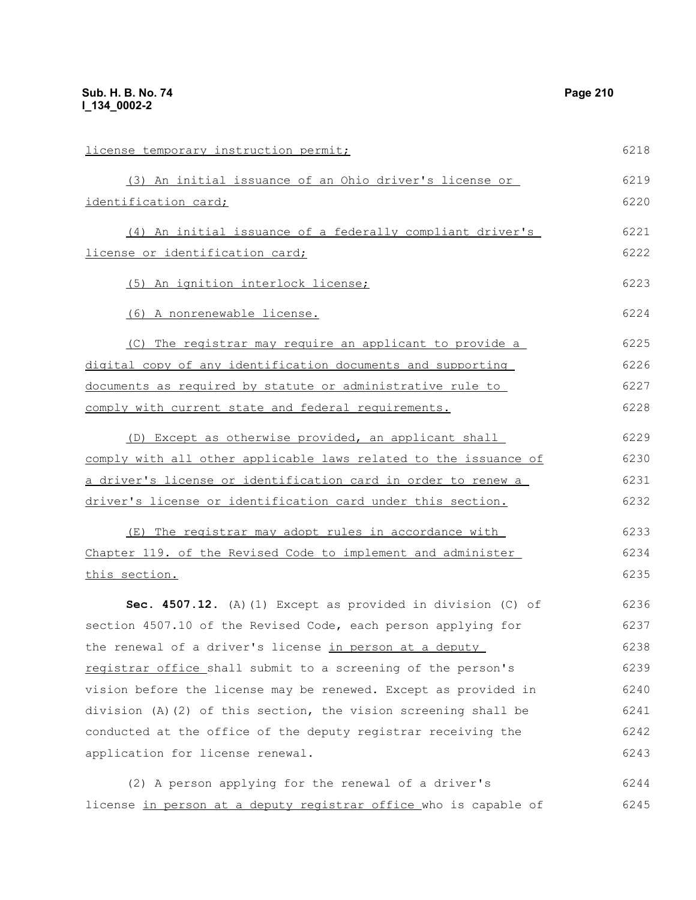license temporary instruction permit;

(3) An initial issuance of an Ohio driver's license or identification card; (4) An initial issuance of a federally compliant driver's license or identification card; (5) An ignition interlock license; (6) A nonrenewable license. (C) The registrar may require an applicant to provide a digital copy of any identification documents and supporting documents as required by statute or administrative rule to comply with current state and federal requirements. (D) Except as otherwise provided, an applicant shall comply with all other applicable laws related to the issuance of a driver's license or identification card in order to renew a driver's license or identification card under this section. (E) The registrar may adopt rules in accordance with Chapter 119. of the Revised Code to implement and administer this section. **Sec. 4507.12.** (A)(1) Except as provided in division (C) of section 4507.10 of the Revised Code, each person applying for the renewal of a driver's license in person at a deputy registrar office shall submit to a screening of the person's vision before the license may be renewed. Except as provided in division (A)(2) of this section, the vision screening shall be conducted at the office of the deputy registrar receiving the application for license renewal. (2) A person applying for the renewal of a driver's license in person at a deputy registrar office who is capable of 6219 6220 6221 6222 6223 6224 6225 6226 6227 6228 6229 6230 6231 6232 6233 6234 6235 6236 6237 6238 6239 6240 6241 6242 6243 6244 6245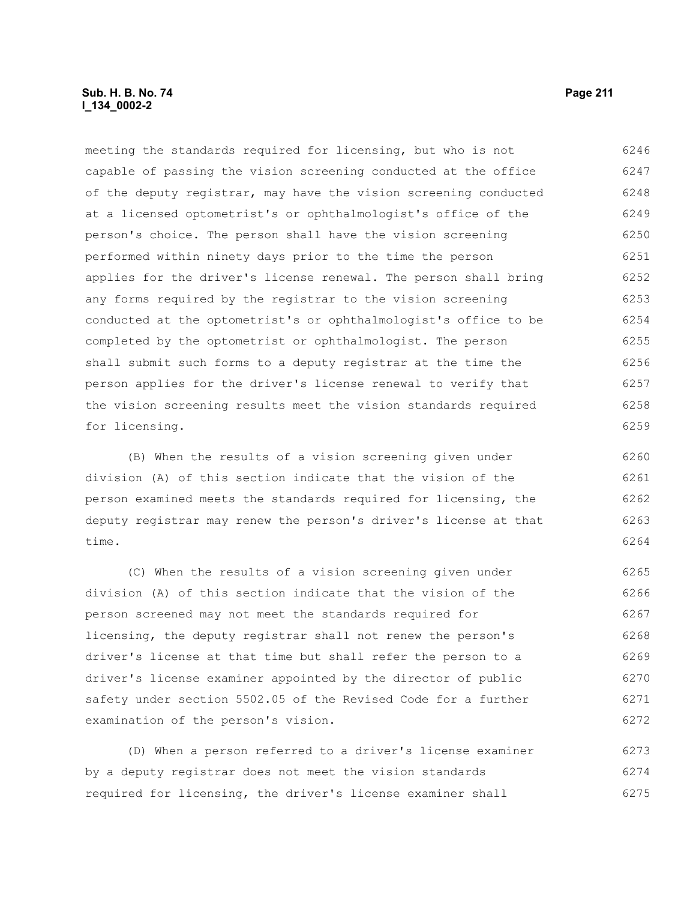## **Sub. H. B. No. 74** Page 211 **l\_134\_0002-2**

meeting the standards required for licensing, but who is not capable of passing the vision screening conducted at the office of the deputy registrar, may have the vision screening conducted at a licensed optometrist's or ophthalmologist's office of the person's choice. The person shall have the vision screening performed within ninety days prior to the time the person applies for the driver's license renewal. The person shall bring any forms required by the registrar to the vision screening conducted at the optometrist's or ophthalmologist's office to be completed by the optometrist or ophthalmologist. The person shall submit such forms to a deputy registrar at the time the person applies for the driver's license renewal to verify that the vision screening results meet the vision standards required for licensing. 6246 6247 6248 6249 6250 6251 6252 6253 6254 6255 6256 6257 6258 6259

(B) When the results of a vision screening given under division (A) of this section indicate that the vision of the person examined meets the standards required for licensing, the deputy registrar may renew the person's driver's license at that time. 6260 6261 6262 6263 6264

(C) When the results of a vision screening given under division (A) of this section indicate that the vision of the person screened may not meet the standards required for licensing, the deputy registrar shall not renew the person's driver's license at that time but shall refer the person to a driver's license examiner appointed by the director of public safety under section 5502.05 of the Revised Code for a further examination of the person's vision. 6265 6266 6267 6268 6269 6270 6271 6272

(D) When a person referred to a driver's license examiner by a deputy registrar does not meet the vision standards required for licensing, the driver's license examiner shall 6273 6274 6275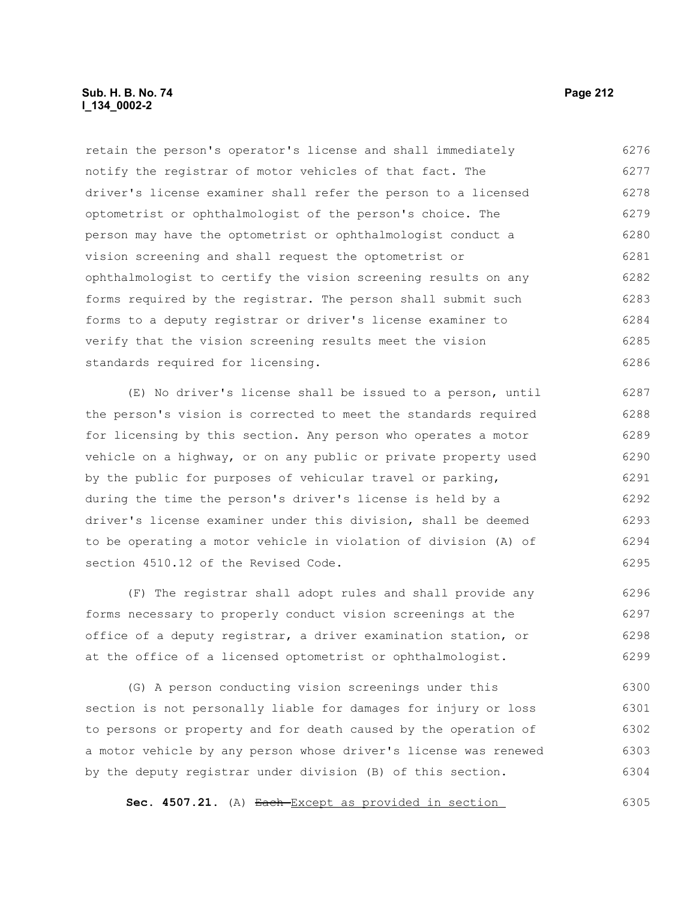## **Sub. H. B. No. 74 Page 212 l\_134\_0002-2**

retain the person's operator's license and shall immediately notify the registrar of motor vehicles of that fact. The driver's license examiner shall refer the person to a licensed optometrist or ophthalmologist of the person's choice. The person may have the optometrist or ophthalmologist conduct a vision screening and shall request the optometrist or ophthalmologist to certify the vision screening results on any forms required by the registrar. The person shall submit such forms to a deputy registrar or driver's license examiner to verify that the vision screening results meet the vision standards required for licensing. 6276 6277 6278 6279 6280 6281 6282 6283 6284 6285 6286

(E) No driver's license shall be issued to a person, until the person's vision is corrected to meet the standards required for licensing by this section. Any person who operates a motor vehicle on a highway, or on any public or private property used by the public for purposes of vehicular travel or parking, during the time the person's driver's license is held by a driver's license examiner under this division, shall be deemed to be operating a motor vehicle in violation of division (A) of section 4510.12 of the Revised Code. 6287 6288 6289 6290 6291 6292 6293 6294 6295

(F) The registrar shall adopt rules and shall provide any forms necessary to properly conduct vision screenings at the office of a deputy registrar, a driver examination station, or at the office of a licensed optometrist or ophthalmologist. 6296 6297 6298 6299

(G) A person conducting vision screenings under this section is not personally liable for damages for injury or loss to persons or property and for death caused by the operation of a motor vehicle by any person whose driver's license was renewed by the deputy registrar under division (B) of this section. 6300 6301 6302 6303 6304

Sec. 4507.21. (A) Each Except as provided in section 6305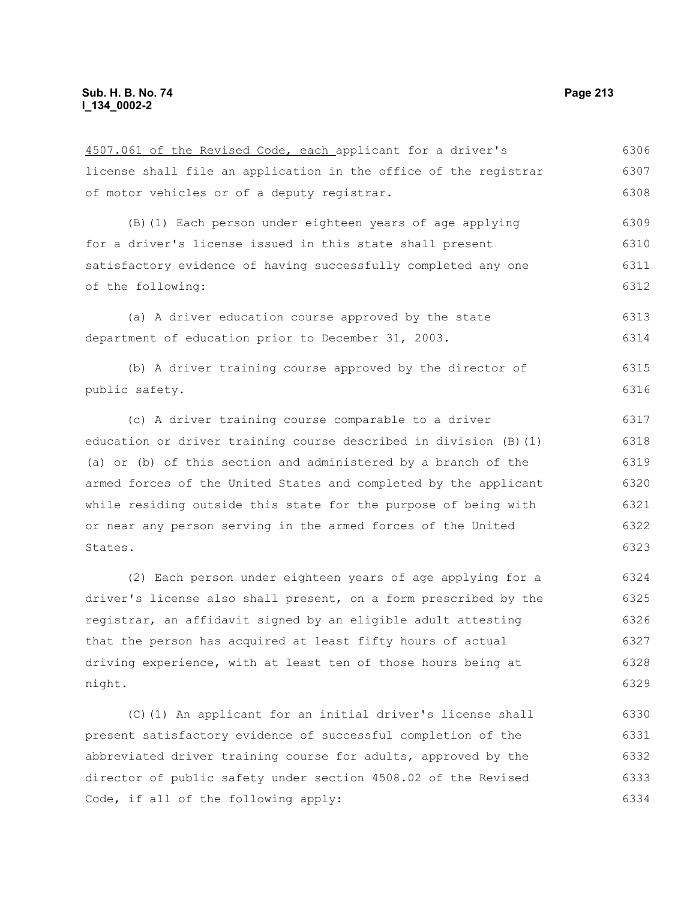4507.061 of the Revised Code, each applicant for a driver's license shall file an application in the office of the registrar of motor vehicles or of a deputy registrar. (B)(1) Each person under eighteen years of age applying for a driver's license issued in this state shall present satisfactory evidence of having successfully completed any one of the following: (a) A driver education course approved by the state department of education prior to December 31, 2003. 6306 6307 6308 6309 6310 6311 6312 6313 6314

(b) A driver training course approved by the director of public safety. 6315 6316

(c) A driver training course comparable to a driver education or driver training course described in division (B)(1) (a) or (b) of this section and administered by a branch of the armed forces of the United States and completed by the applicant while residing outside this state for the purpose of being with or near any person serving in the armed forces of the United States. 6317 6318 6319 6320 6321 6322 6323

(2) Each person under eighteen years of age applying for a driver's license also shall present, on a form prescribed by the registrar, an affidavit signed by an eligible adult attesting that the person has acquired at least fifty hours of actual driving experience, with at least ten of those hours being at night. 6324 6325 6326 6327 6328 6329

(C)(1) An applicant for an initial driver's license shall present satisfactory evidence of successful completion of the abbreviated driver training course for adults, approved by the director of public safety under section 4508.02 of the Revised Code, if all of the following apply: 6330 6331 6332 6333 6334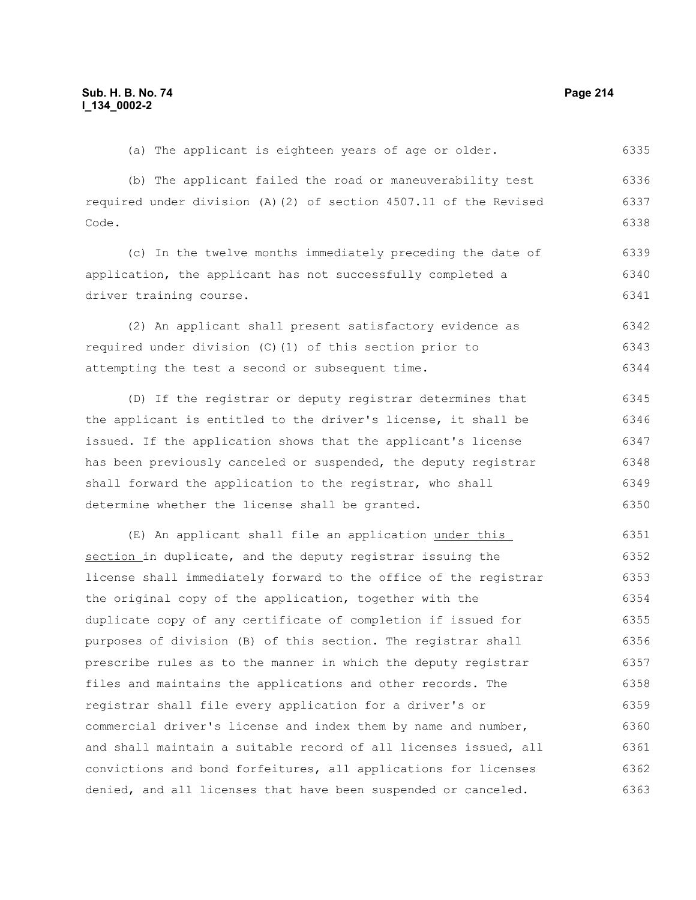Code.

(a) The applicant is eighteen years of age or older. (b) The applicant failed the road or maneuverability test required under division (A)(2) of section 4507.11 of the Revised 6335 6336 6337

(c) In the twelve months immediately preceding the date of application, the applicant has not successfully completed a driver training course. 6339 6340 6341

(2) An applicant shall present satisfactory evidence as required under division (C)(1) of this section prior to attempting the test a second or subsequent time. 6342 6343 6344

(D) If the registrar or deputy registrar determines that the applicant is entitled to the driver's license, it shall be issued. If the application shows that the applicant's license has been previously canceled or suspended, the deputy registrar shall forward the application to the registrar, who shall determine whether the license shall be granted. 6345 6346 6347 6348 6349 6350

(E) An applicant shall file an application under this section in duplicate, and the deputy registrar issuing the license shall immediately forward to the office of the registrar the original copy of the application, together with the duplicate copy of any certificate of completion if issued for purposes of division (B) of this section. The registrar shall prescribe rules as to the manner in which the deputy registrar files and maintains the applications and other records. The registrar shall file every application for a driver's or commercial driver's license and index them by name and number, and shall maintain a suitable record of all licenses issued, all convictions and bond forfeitures, all applications for licenses denied, and all licenses that have been suspended or canceled. 6351 6352 6353 6354 6355 6356 6357 6358 6359 6360 6361 6362 6363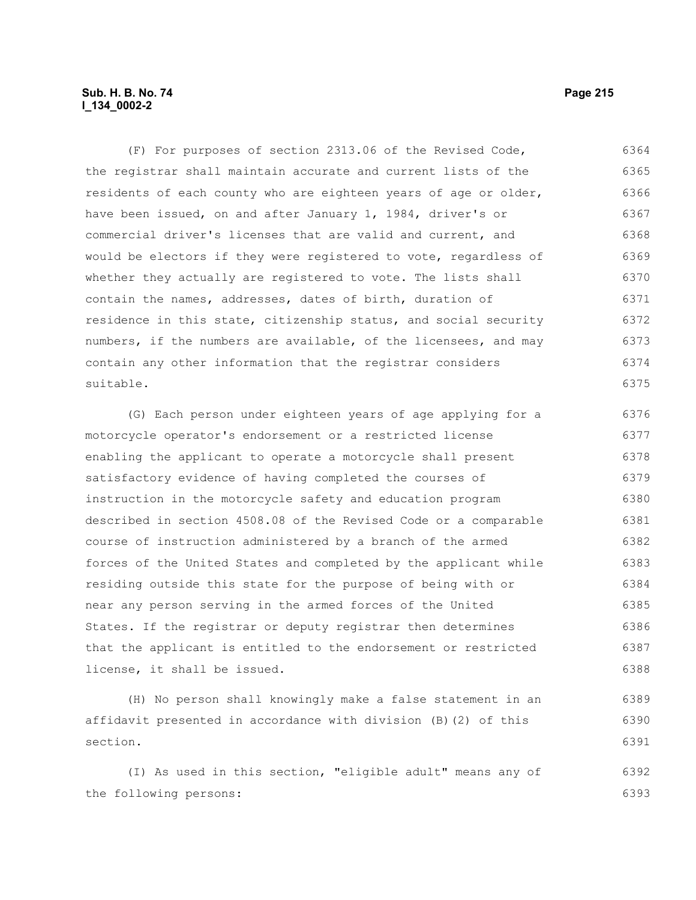# **Sub. H. B. No. 74** Page 215 **l\_134\_0002-2**

(F) For purposes of section 2313.06 of the Revised Code, the registrar shall maintain accurate and current lists of the residents of each county who are eighteen years of age or older, have been issued, on and after January 1, 1984, driver's or commercial driver's licenses that are valid and current, and would be electors if they were registered to vote, regardless of whether they actually are registered to vote. The lists shall contain the names, addresses, dates of birth, duration of residence in this state, citizenship status, and social security numbers, if the numbers are available, of the licensees, and may contain any other information that the registrar considers suitable. 6364 6365 6366 6367 6368 6369 6370 6371 6372 6373 6374 6375

(G) Each person under eighteen years of age applying for a motorcycle operator's endorsement or a restricted license enabling the applicant to operate a motorcycle shall present satisfactory evidence of having completed the courses of instruction in the motorcycle safety and education program described in section 4508.08 of the Revised Code or a comparable course of instruction administered by a branch of the armed forces of the United States and completed by the applicant while residing outside this state for the purpose of being with or near any person serving in the armed forces of the United States. If the registrar or deputy registrar then determines that the applicant is entitled to the endorsement or restricted license, it shall be issued. 6376 6377 6378 6379 6380 6381 6382 6383 6384 6385 6386 6387 6388

(H) No person shall knowingly make a false statement in an affidavit presented in accordance with division (B)(2) of this section. 6389 6390 6391

(I) As used in this section, "eligible adult" means any of the following persons: 6392 6393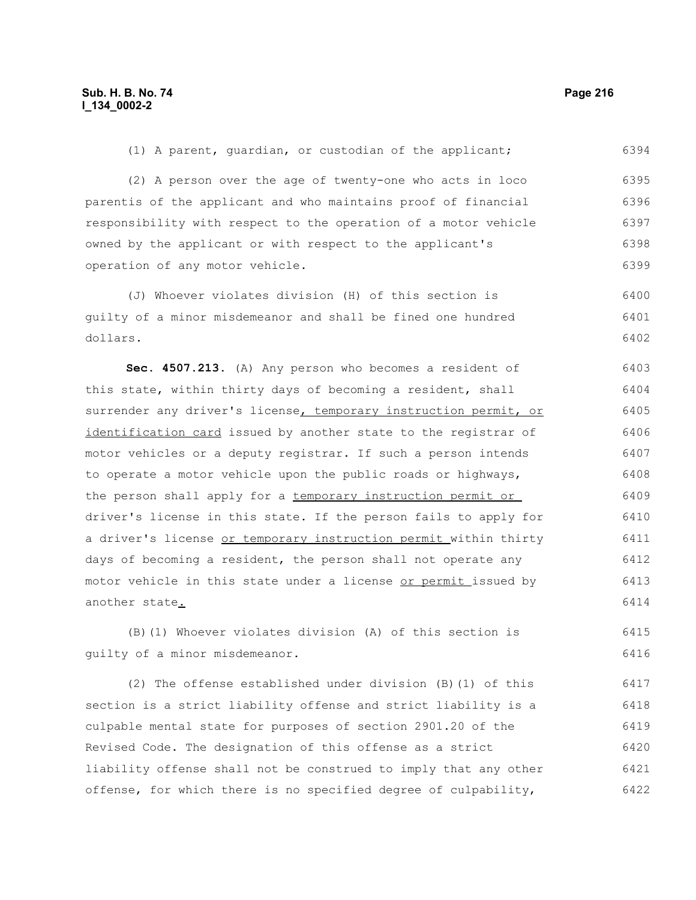(1) A parent, guardian, or custodian of the applicant; 6394

(2) A person over the age of twenty-one who acts in loco parentis of the applicant and who maintains proof of financial responsibility with respect to the operation of a motor vehicle owned by the applicant or with respect to the applicant's operation of any motor vehicle. 6395 6396 6397 6398 6399

(J) Whoever violates division (H) of this section is guilty of a minor misdemeanor and shall be fined one hundred dollars. 6400 6401 6402

**Sec. 4507.213.** (A) Any person who becomes a resident of this state, within thirty days of becoming a resident, shall surrender any driver's license, temporary instruction permit, or identification card issued by another state to the registrar of motor vehicles or a deputy registrar. If such a person intends to operate a motor vehicle upon the public roads or highways, the person shall apply for a temporary instruction permit or driver's license in this state. If the person fails to apply for a driver's license or temporary instruction permit within thirty days of becoming a resident, the person shall not operate any motor vehicle in this state under a license or permit issued by another state. 6403 6404 6405 6406 6407 6408 6409 6410 6411 6412 6413 6414

(B)(1) Whoever violates division (A) of this section is guilty of a minor misdemeanor.

(2) The offense established under division (B)(1) of this section is a strict liability offense and strict liability is a culpable mental state for purposes of section 2901.20 of the Revised Code. The designation of this offense as a strict liability offense shall not be construed to imply that any other offense, for which there is no specified degree of culpability, 6417 6418 6419 6420 6421 6422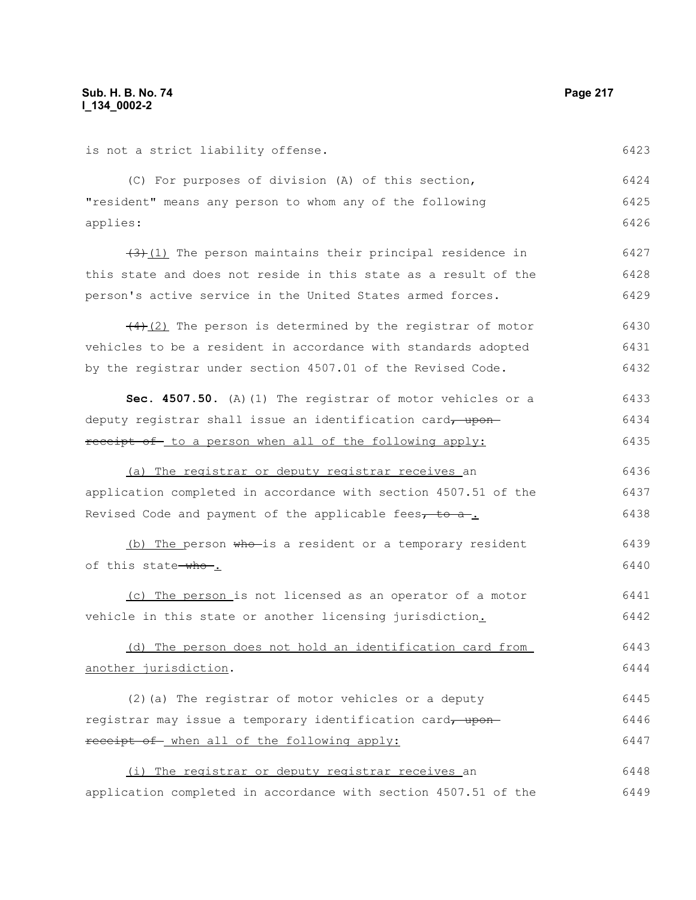6423

is not a strict liability offense.

(C) For purposes of division (A) of this section, "resident" means any person to whom any of the following applies: 6424 6425 6426

 $(3)(1)$  The person maintains their principal residence in this state and does not reside in this state as a result of the person's active service in the United States armed forces. 6427 6428 6429

 $(4)$  (2) The person is determined by the registrar of motor vehicles to be a resident in accordance with standards adopted by the registrar under section 4507.01 of the Revised Code. 6430 6431 6432

| <b>Sec. 4507.50.</b> (A) (1) The registrar of motor vehicles or a     | 6433 |
|-----------------------------------------------------------------------|------|
| deputy registrar shall issue an identification card <del>, upon</del> | 6434 |
| receipt of to a person when all of the following apply:               | 6435 |

(a) The registrar or deputy registrar receives an application completed in accordance with section 4507.51 of the Revised Code and payment of the applicable fees $\frac{1}{100}$ 6436 6437 6438

(b) The person who is a resident or a temporary resident of this state-who-. 6439 6440

(c) The person is not licensed as an operator of a motor vehicle in this state or another licensing jurisdiction. 6441 6442

(d) The person does not hold an identification card from another jurisdiction. 6443 6444

(2)(a) The registrar of motor vehicles or a deputy registrar may issue a temporary identification card, uponreceipt of when all of the following apply: 6445 6446 6447

(i) The registrar or deputy registrar receives an application completed in accordance with section 4507.51 of the 6448 6449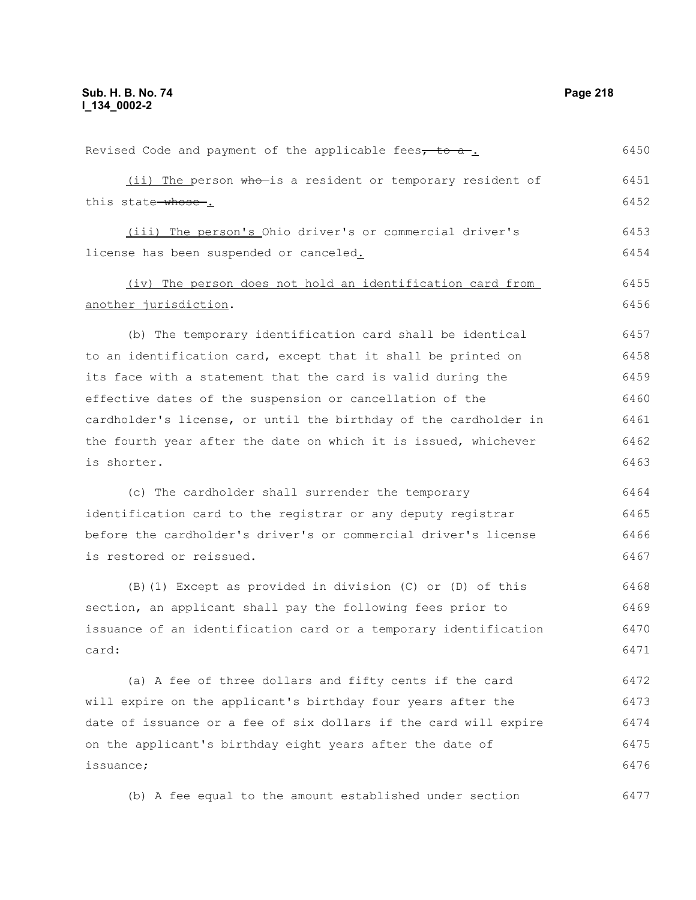(ii) The person who is a resident or temporary resident of this state-whose-. (iii) The person's Ohio driver's or commercial driver's license has been suspended or canceled. (iv) The person does not hold an identification card from another jurisdiction. (b) The temporary identification card shall be identical to an identification card, except that it shall be printed on its face with a statement that the card is valid during the effective dates of the suspension or cancellation of the cardholder's license, or until the birthday of the cardholder in the fourth year after the date on which it is issued, whichever is shorter. (c) The cardholder shall surrender the temporary identification card to the registrar or any deputy registrar before the cardholder's driver's or commercial driver's license is restored or reissued. (B)(1) Except as provided in division (C) or (D) of this section, an applicant shall pay the following fees prior to issuance of an identification card or a temporary identification card: (a) A fee of three dollars and fifty cents if the card will expire on the applicant's birthday four years after the date of issuance or a fee of six dollars if the card will expire on the applicant's birthday eight years after the date of issuance; 6451 6452 6453 6454 6455 6456 6457 6458 6459 6460 6461 6462 6463 6464 6465 6466 6467 6468 6469 6470 6471 6472 6473 6474 6475 6476

Revised Code and payment of the applicable fees $\tau$  to  $a_{-}$ .

(b) A fee equal to the amount established under section 6477

6450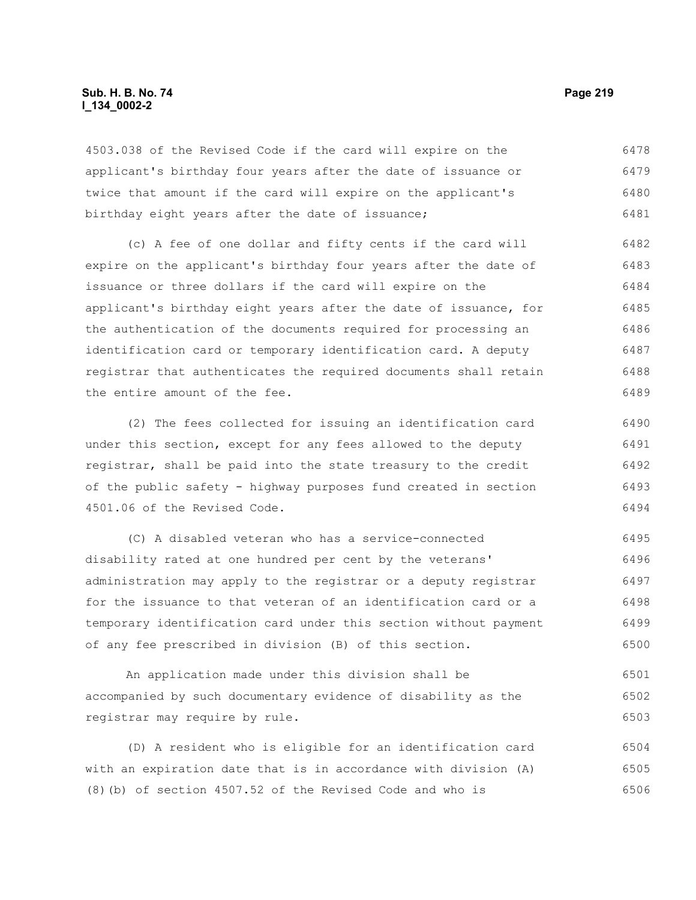# **Sub. H. B. No. 74** Page 219 **l\_134\_0002-2**

4503.038 of the Revised Code if the card will expire on the applicant's birthday four years after the date of issuance or twice that amount if the card will expire on the applicant's birthday eight years after the date of issuance; 6478 6479 6480 6481

(c) A fee of one dollar and fifty cents if the card will expire on the applicant's birthday four years after the date of issuance or three dollars if the card will expire on the applicant's birthday eight years after the date of issuance, for the authentication of the documents required for processing an identification card or temporary identification card. A deputy registrar that authenticates the required documents shall retain the entire amount of the fee. 6482 6483 6484 6485 6486 6487 6488 6489

(2) The fees collected for issuing an identification card under this section, except for any fees allowed to the deputy registrar, shall be paid into the state treasury to the credit of the public safety - highway purposes fund created in section 4501.06 of the Revised Code. 6490 6491 6492 6493 6494

(C) A disabled veteran who has a service-connected disability rated at one hundred per cent by the veterans' administration may apply to the registrar or a deputy registrar for the issuance to that veteran of an identification card or a temporary identification card under this section without payment of any fee prescribed in division (B) of this section. 6495 6496 6497 6498 6499 6500

An application made under this division shall be accompanied by such documentary evidence of disability as the registrar may require by rule. 6501 6502 6503

(D) A resident who is eligible for an identification card with an expiration date that is in accordance with division (A) (8)(b) of section 4507.52 of the Revised Code and who is 6504 6505 6506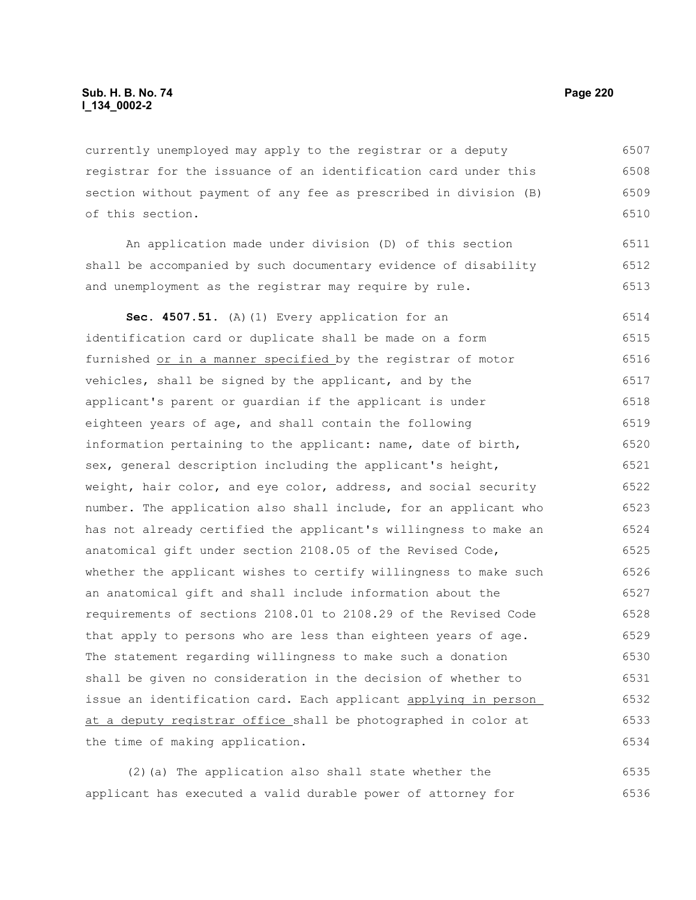# **Sub. H. B. No. 74** Page 220 **l\_134\_0002-2**

currently unemployed may apply to the registrar or a deputy registrar for the issuance of an identification card under this section without payment of any fee as prescribed in division (B) of this section. 6507 6508 6509 6510

An application made under division (D) of this section shall be accompanied by such documentary evidence of disability and unemployment as the registrar may require by rule. 6511 6512 6513

Sec. 4507.51. (A)(1) Every application for an identification card or duplicate shall be made on a form furnished or in a manner specified by the registrar of motor vehicles, shall be signed by the applicant, and by the applicant's parent or guardian if the applicant is under eighteen years of age, and shall contain the following information pertaining to the applicant: name, date of birth, sex, general description including the applicant's height, weight, hair color, and eye color, address, and social security number. The application also shall include, for an applicant who has not already certified the applicant's willingness to make an anatomical gift under section 2108.05 of the Revised Code, whether the applicant wishes to certify willingness to make such an anatomical gift and shall include information about the requirements of sections 2108.01 to 2108.29 of the Revised Code that apply to persons who are less than eighteen years of age. The statement regarding willingness to make such a donation shall be given no consideration in the decision of whether to issue an identification card. Each applicant applying in person at a deputy registrar office shall be photographed in color at the time of making application. 6514 6515 6516 6517 6518 6519 6520 6521 6522 6523 6524 6525 6526 6527 6528 6529 6530 6531 6532 6533 6534

(2)(a) The application also shall state whether the applicant has executed a valid durable power of attorney for 6535 6536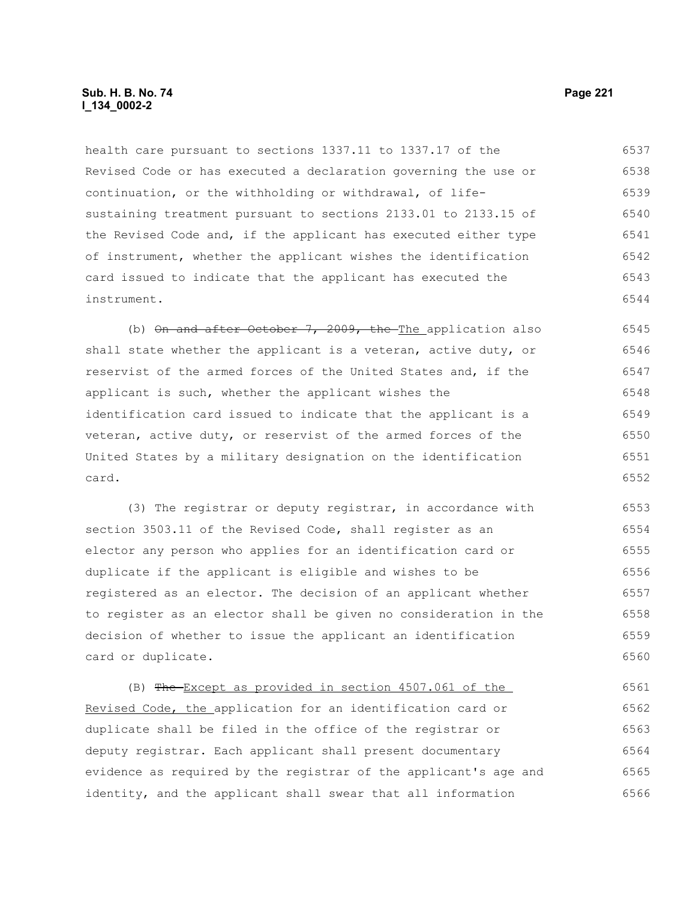# **Sub. H. B. No. 74** Page 221 **l\_134\_0002-2**

health care pursuant to sections 1337.11 to 1337.17 of the Revised Code or has executed a declaration governing the use or continuation, or the withholding or withdrawal, of lifesustaining treatment pursuant to sections 2133.01 to 2133.15 of the Revised Code and, if the applicant has executed either type of instrument, whether the applicant wishes the identification card issued to indicate that the applicant has executed the instrument. 6537 6538 6539 6540 6541 6542 6543 6544

(b) On and after October 7, 2009, the The application also shall state whether the applicant is a veteran, active duty, or reservist of the armed forces of the United States and, if the applicant is such, whether the applicant wishes the identification card issued to indicate that the applicant is a veteran, active duty, or reservist of the armed forces of the United States by a military designation on the identification card. 6545 6546 6547 6548 6549 6550 6551 6552

(3) The registrar or deputy registrar, in accordance with section 3503.11 of the Revised Code, shall register as an elector any person who applies for an identification card or duplicate if the applicant is eligible and wishes to be registered as an elector. The decision of an applicant whether to register as an elector shall be given no consideration in the decision of whether to issue the applicant an identification card or duplicate. 6553 6554 6555 6556 6557 6558 6559 6560

(B) The Except as provided in section 4507.061 of the Revised Code, the application for an identification card or duplicate shall be filed in the office of the registrar or deputy registrar. Each applicant shall present documentary evidence as required by the registrar of the applicant's age and identity, and the applicant shall swear that all information 6561 6562 6563 6564 6565 6566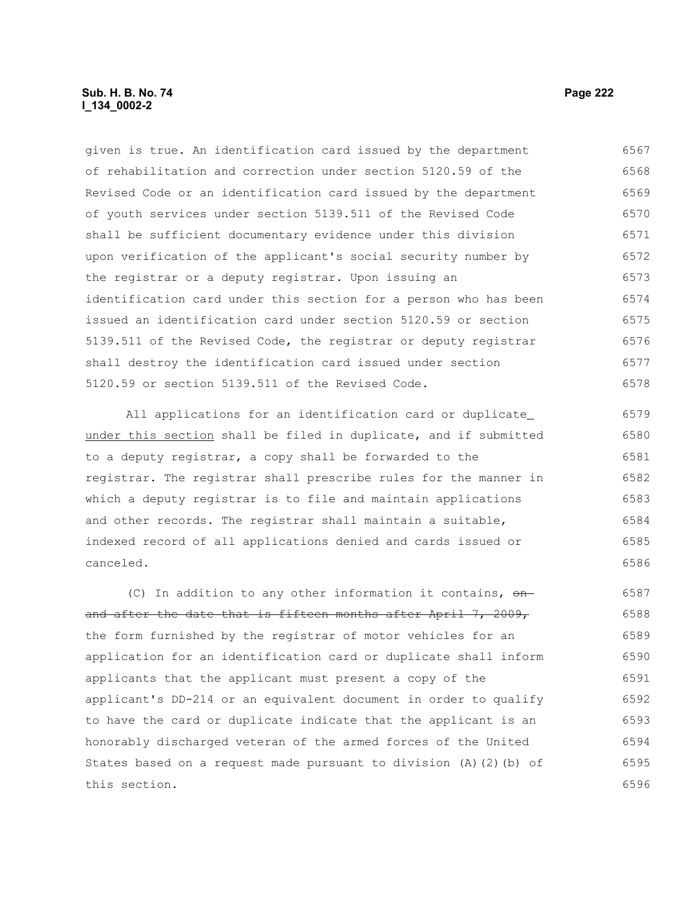# **Sub. H. B. No. 74** Page 222 **l\_134\_0002-2**

given is true. An identification card issued by the department of rehabilitation and correction under section 5120.59 of the Revised Code or an identification card issued by the department of youth services under section 5139.511 of the Revised Code shall be sufficient documentary evidence under this division upon verification of the applicant's social security number by the registrar or a deputy registrar. Upon issuing an identification card under this section for a person who has been issued an identification card under section 5120.59 or section 5139.511 of the Revised Code, the registrar or deputy registrar shall destroy the identification card issued under section 5120.59 or section 5139.511 of the Revised Code. 6567 6568 6569 6570 6571 6572 6573 6574 6575 6576 6577 6578

All applications for an identification card or duplicate under this section shall be filed in duplicate, and if submitted to a deputy registrar, a copy shall be forwarded to the registrar. The registrar shall prescribe rules for the manner in which a deputy registrar is to file and maintain applications and other records. The registrar shall maintain a suitable, indexed record of all applications denied and cards issued or canceled.

(C) In addition to any other information it contains,  $\Theta n$ and after the date that is fifteen months after April 7, 2009, the form furnished by the registrar of motor vehicles for an application for an identification card or duplicate shall inform applicants that the applicant must present a copy of the applicant's DD-214 or an equivalent document in order to qualify to have the card or duplicate indicate that the applicant is an honorably discharged veteran of the armed forces of the United States based on a request made pursuant to division (A)(2)(b) of this section. 6587 6588 6589 6590 6591 6592 6593 6594 6595 6596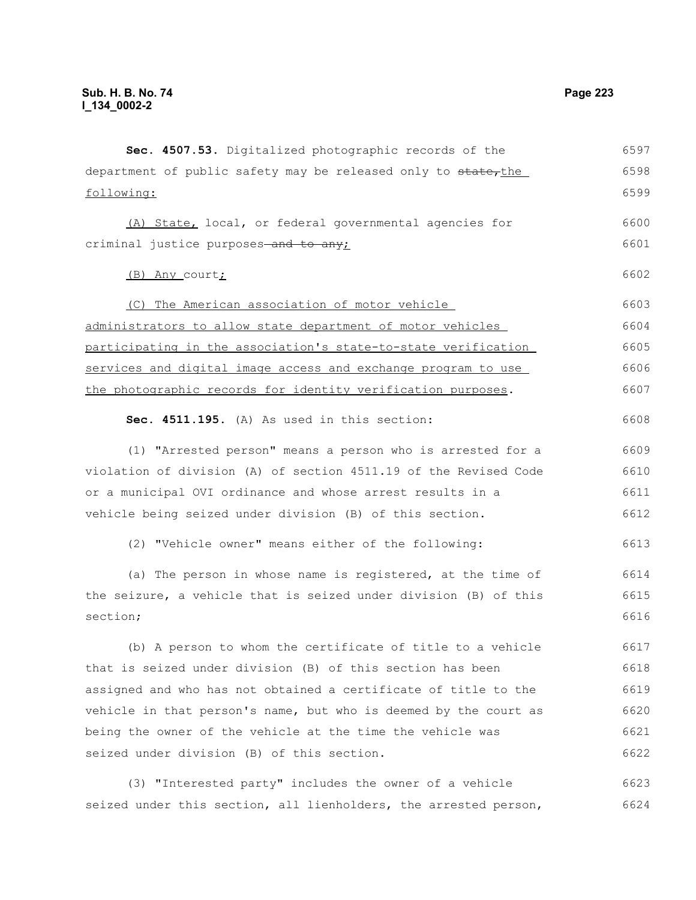**Sec. 4507.53.** Digitalized photographic records of the department of public safety may be released only to state, the following: (A) State, local, or federal governmental agencies for criminal justice purposes-and to any; (B) Any court; (C) The American association of motor vehicle administrators to allow state department of motor vehicles participating in the association's state-to-state verification services and digital image access and exchange program to use the photographic records for identity verification purposes. **Sec. 4511.195.** (A) As used in this section: (1) "Arrested person" means a person who is arrested for a violation of division (A) of section 4511.19 of the Revised Code or a municipal OVI ordinance and whose arrest results in a vehicle being seized under division (B) of this section. (2) "Vehicle owner" means either of the following: (a) The person in whose name is registered, at the time of the seizure, a vehicle that is seized under division (B) of this section; (b) A person to whom the certificate of title to a vehicle that is seized under division (B) of this section has been assigned and who has not obtained a certificate of title to the vehicle in that person's name, but who is deemed by the court as being the owner of the vehicle at the time the vehicle was seized under division (B) of this section. (3) "Interested party" includes the owner of a vehicle 6597 6598 6599 6600 6601 6602 6603 6604 6605 6606 6607 6608 6609 6610 6611 6612 6613 6614 6615 6616 6617 6618 6619 6620 6621 6622 6623

seized under this section, all lienholders, the arrested person,

6624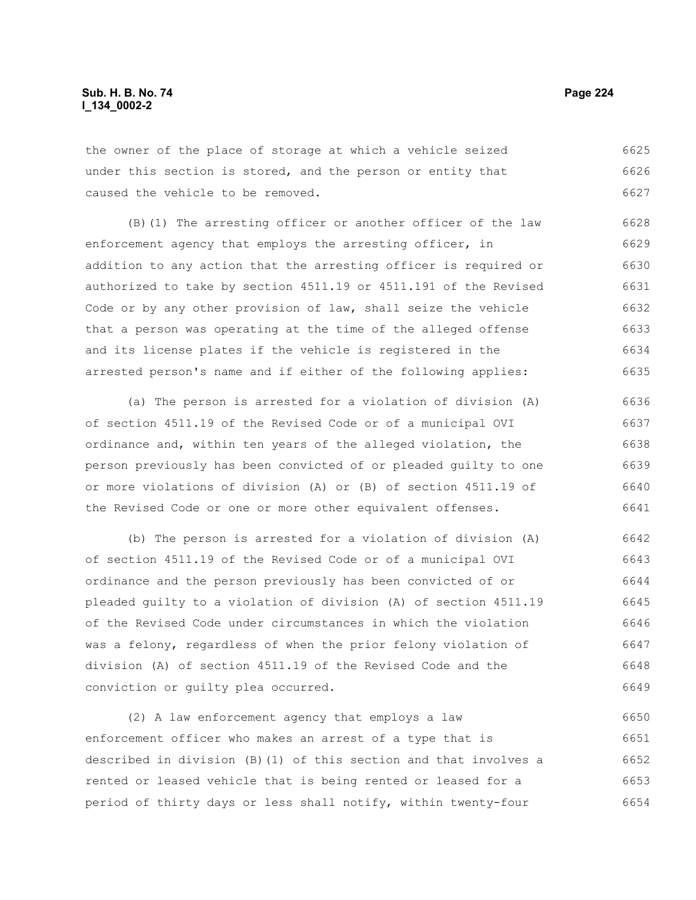the owner of the place of storage at which a vehicle seized under this section is stored, and the person or entity that caused the vehicle to be removed. 6625 6626 6627

(B)(1) The arresting officer or another officer of the law enforcement agency that employs the arresting officer, in addition to any action that the arresting officer is required or authorized to take by section 4511.19 or 4511.191 of the Revised Code or by any other provision of law, shall seize the vehicle that a person was operating at the time of the alleged offense and its license plates if the vehicle is registered in the arrested person's name and if either of the following applies: 6628 6629 6630 6631 6632 6633 6634 6635

(a) The person is arrested for a violation of division (A) of section 4511.19 of the Revised Code or of a municipal OVI ordinance and, within ten years of the alleged violation, the person previously has been convicted of or pleaded guilty to one or more violations of division (A) or (B) of section 4511.19 of the Revised Code or one or more other equivalent offenses. 6636 6637 6638 6639 6640 6641

(b) The person is arrested for a violation of division (A) of section 4511.19 of the Revised Code or of a municipal OVI ordinance and the person previously has been convicted of or pleaded guilty to a violation of division (A) of section 4511.19 of the Revised Code under circumstances in which the violation was a felony, regardless of when the prior felony violation of division (A) of section 4511.19 of the Revised Code and the conviction or guilty plea occurred. 6642 6643 6644 6645 6646 6647 6648 6649

(2) A law enforcement agency that employs a law enforcement officer who makes an arrest of a type that is described in division (B)(1) of this section and that involves a rented or leased vehicle that is being rented or leased for a period of thirty days or less shall notify, within twenty-four 6650 6651 6652 6653 6654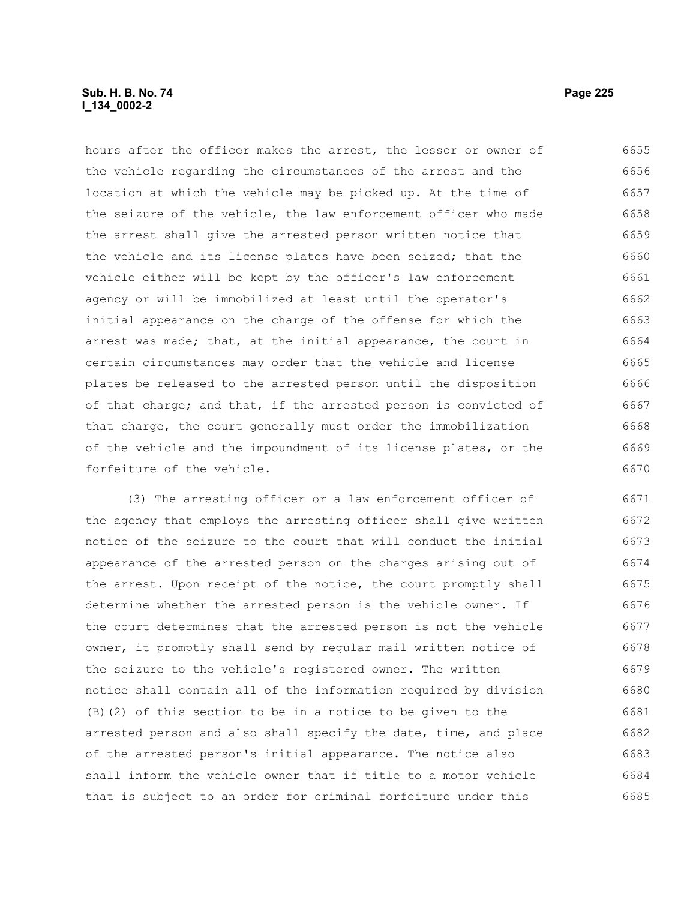hours after the officer makes the arrest, the lessor or owner of the vehicle regarding the circumstances of the arrest and the location at which the vehicle may be picked up. At the time of the seizure of the vehicle, the law enforcement officer who made the arrest shall give the arrested person written notice that the vehicle and its license plates have been seized; that the vehicle either will be kept by the officer's law enforcement agency or will be immobilized at least until the operator's initial appearance on the charge of the offense for which the arrest was made; that, at the initial appearance, the court in certain circumstances may order that the vehicle and license plates be released to the arrested person until the disposition of that charge; and that, if the arrested person is convicted of that charge, the court generally must order the immobilization of the vehicle and the impoundment of its license plates, or the forfeiture of the vehicle. 6655 6656 6657 6658 6659 6660 6661 6662 6663 6664 6665 6666 6667 6668 6669 6670

(3) The arresting officer or a law enforcement officer of the agency that employs the arresting officer shall give written notice of the seizure to the court that will conduct the initial appearance of the arrested person on the charges arising out of the arrest. Upon receipt of the notice, the court promptly shall determine whether the arrested person is the vehicle owner. If the court determines that the arrested person is not the vehicle owner, it promptly shall send by regular mail written notice of the seizure to the vehicle's registered owner. The written notice shall contain all of the information required by division (B)(2) of this section to be in a notice to be given to the arrested person and also shall specify the date, time, and place of the arrested person's initial appearance. The notice also shall inform the vehicle owner that if title to a motor vehicle that is subject to an order for criminal forfeiture under this 6671 6672 6673 6674 6675 6676 6677 6678 6679 6680 6681 6682 6683 6684 6685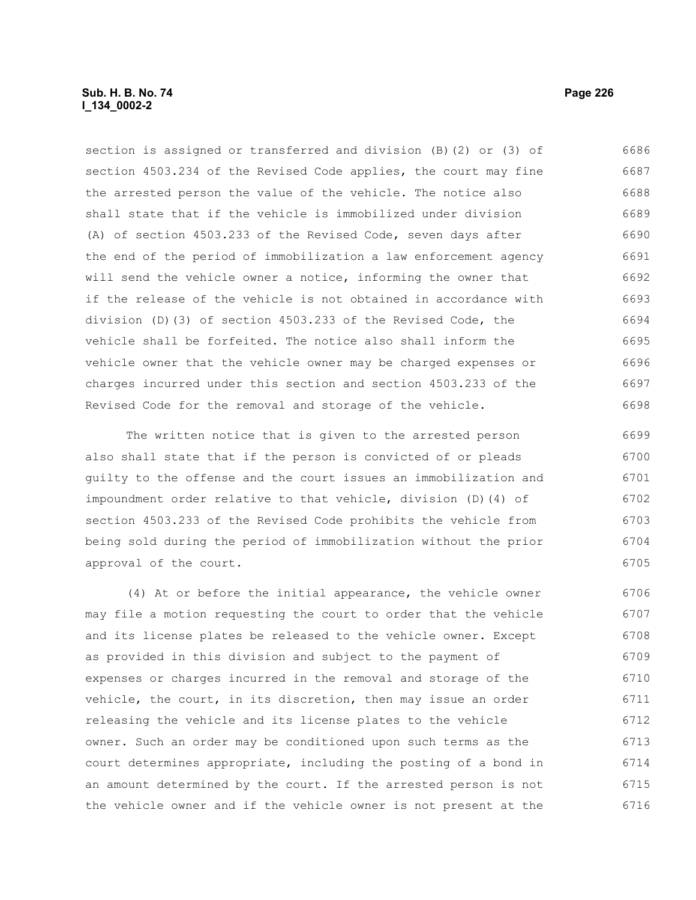# **Sub. H. B. No. 74** Page 226 **l\_134\_0002-2**

section is assigned or transferred and division (B)(2) or (3) of section 4503.234 of the Revised Code applies, the court may fine the arrested person the value of the vehicle. The notice also shall state that if the vehicle is immobilized under division (A) of section 4503.233 of the Revised Code, seven days after the end of the period of immobilization a law enforcement agency will send the vehicle owner a notice, informing the owner that if the release of the vehicle is not obtained in accordance with division (D)(3) of section 4503.233 of the Revised Code, the vehicle shall be forfeited. The notice also shall inform the vehicle owner that the vehicle owner may be charged expenses or charges incurred under this section and section 4503.233 of the Revised Code for the removal and storage of the vehicle. 6686 6687 6688 6689 6690 6691 6692 6693 6694 6695 6696 6697 6698

The written notice that is given to the arrested person also shall state that if the person is convicted of or pleads guilty to the offense and the court issues an immobilization and impoundment order relative to that vehicle, division (D)(4) of section 4503.233 of the Revised Code prohibits the vehicle from being sold during the period of immobilization without the prior approval of the court. 6699 6700 6701 6702 6703 6704 6705

(4) At or before the initial appearance, the vehicle owner may file a motion requesting the court to order that the vehicle and its license plates be released to the vehicle owner. Except as provided in this division and subject to the payment of expenses or charges incurred in the removal and storage of the vehicle, the court, in its discretion, then may issue an order releasing the vehicle and its license plates to the vehicle owner. Such an order may be conditioned upon such terms as the court determines appropriate, including the posting of a bond in an amount determined by the court. If the arrested person is not the vehicle owner and if the vehicle owner is not present at the 6706 6707 6708 6709 6710 6711 6712 6713 6714 6715 6716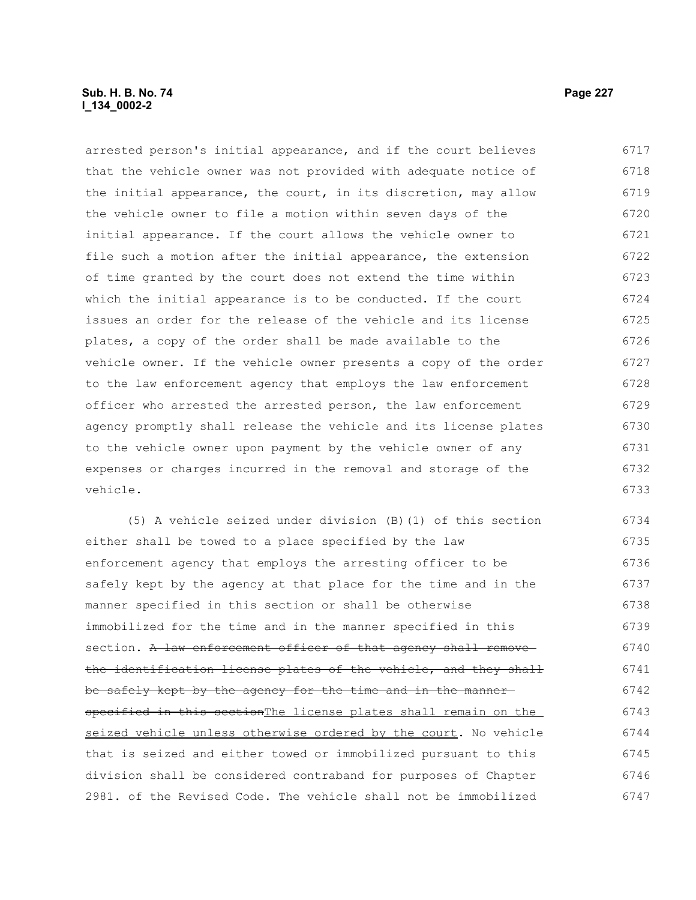# **Sub. H. B. No. 74** Page 227 **l\_134\_0002-2**

arrested person's initial appearance, and if the court believes that the vehicle owner was not provided with adequate notice of the initial appearance, the court, in its discretion, may allow the vehicle owner to file a motion within seven days of the initial appearance. If the court allows the vehicle owner to file such a motion after the initial appearance, the extension of time granted by the court does not extend the time within which the initial appearance is to be conducted. If the court issues an order for the release of the vehicle and its license plates, a copy of the order shall be made available to the vehicle owner. If the vehicle owner presents a copy of the order to the law enforcement agency that employs the law enforcement officer who arrested the arrested person, the law enforcement agency promptly shall release the vehicle and its license plates to the vehicle owner upon payment by the vehicle owner of any expenses or charges incurred in the removal and storage of the vehicle. 6717 6718 6719 6720 6721 6722 6723 6724 6725 6726 6727 6728 6729 6730 6731 6732 6733

(5) A vehicle seized under division (B)(1) of this section either shall be towed to a place specified by the law enforcement agency that employs the arresting officer to be safely kept by the agency at that place for the time and in the manner specified in this section or shall be otherwise immobilized for the time and in the manner specified in this section. A law enforcement officer of that agency shall removethe identification license plates of the vehicle, and they shall be safely kept by the agency for the time and in the manner specified in this section The license plates shall remain on the seized vehicle unless otherwise ordered by the court. No vehicle that is seized and either towed or immobilized pursuant to this division shall be considered contraband for purposes of Chapter 2981. of the Revised Code. The vehicle shall not be immobilized 6734 6735 6736 6737 6738 6739 6740 6741 6742 6743 6744 6745 6746 6747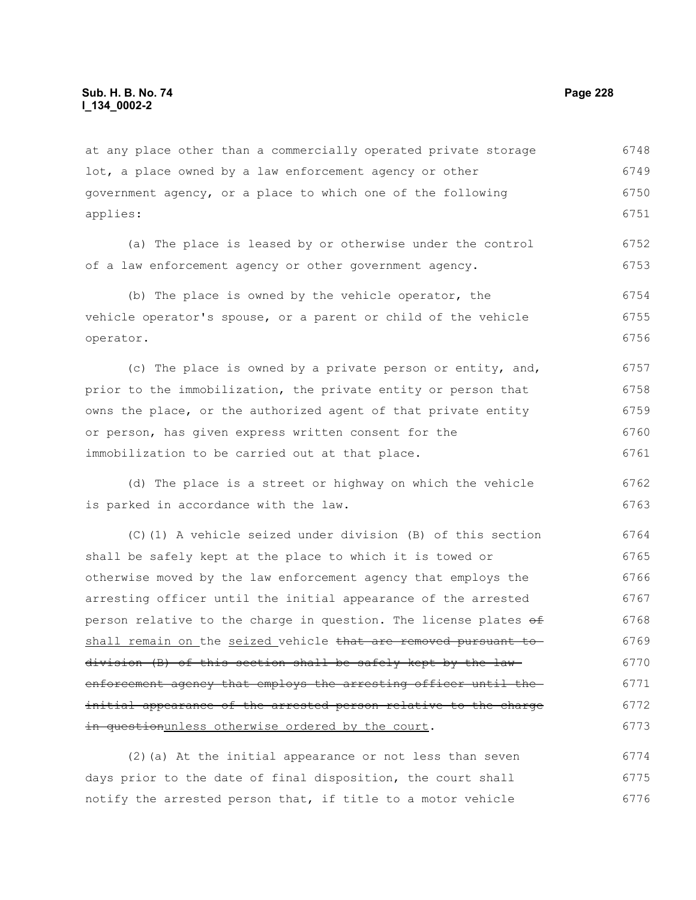# **Sub. H. B. No. 74** Page 228 **l\_134\_0002-2**

at any place other than a commercially operated private storage lot, a place owned by a law enforcement agency or other government agency, or a place to which one of the following applies: 6748 6749 6750 6751

(a) The place is leased by or otherwise under the control of a law enforcement agency or other government agency. 6752 6753

(b) The place is owned by the vehicle operator, the vehicle operator's spouse, or a parent or child of the vehicle operator. 6754 6755 6756

(c) The place is owned by a private person or entity, and, prior to the immobilization, the private entity or person that owns the place, or the authorized agent of that private entity or person, has given express written consent for the immobilization to be carried out at that place. 6757 6758 6759 6760 6761

(d) The place is a street or highway on which the vehicle is parked in accordance with the law. 6762 6763

(C)(1) A vehicle seized under division (B) of this section shall be safely kept at the place to which it is towed or otherwise moved by the law enforcement agency that employs the arresting officer until the initial appearance of the arrested person relative to the charge in question. The license plates of shall remain on the seized vehicle that are removed pursuant to division (B) of this section shall be safely kept by the law enforcement agency that employs the arresting officer until the initial appearance of the arrested person relative to the charge in questionunless otherwise ordered by the court. 6764 6765 6766 6767 6768 6769 6770 6771 6772 6773

(2)(a) At the initial appearance or not less than seven days prior to the date of final disposition, the court shall notify the arrested person that, if title to a motor vehicle 6774 6775 6776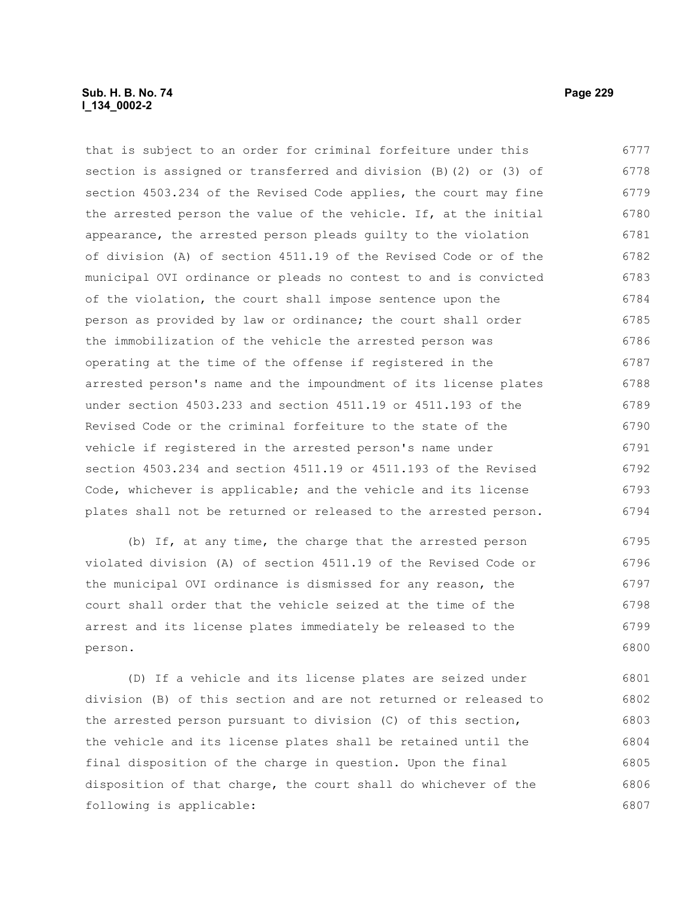# **Sub. H. B. No. 74** Page 229 **l\_134\_0002-2**

that is subject to an order for criminal forfeiture under this section is assigned or transferred and division (B)(2) or (3) of section 4503.234 of the Revised Code applies, the court may fine the arrested person the value of the vehicle. If, at the initial appearance, the arrested person pleads guilty to the violation of division (A) of section 4511.19 of the Revised Code or of the municipal OVI ordinance or pleads no contest to and is convicted of the violation, the court shall impose sentence upon the person as provided by law or ordinance; the court shall order the immobilization of the vehicle the arrested person was operating at the time of the offense if registered in the arrested person's name and the impoundment of its license plates under section 4503.233 and section 4511.19 or 4511.193 of the Revised Code or the criminal forfeiture to the state of the vehicle if registered in the arrested person's name under section 4503.234 and section 4511.19 or 4511.193 of the Revised Code, whichever is applicable; and the vehicle and its license plates shall not be returned or released to the arrested person. 6777 6778 6779 6780 6781 6782 6783 6784 6785 6786 6787 6788 6789 6790 6791 6792 6793 6794

(b) If, at any time, the charge that the arrested person violated division (A) of section 4511.19 of the Revised Code or the municipal OVI ordinance is dismissed for any reason, the court shall order that the vehicle seized at the time of the arrest and its license plates immediately be released to the person. 6795 6796 6797 6798 6799 6800

(D) If a vehicle and its license plates are seized under division (B) of this section and are not returned or released to the arrested person pursuant to division (C) of this section, the vehicle and its license plates shall be retained until the final disposition of the charge in question. Upon the final disposition of that charge, the court shall do whichever of the following is applicable: 6801 6802 6803 6804 6805 6806 6807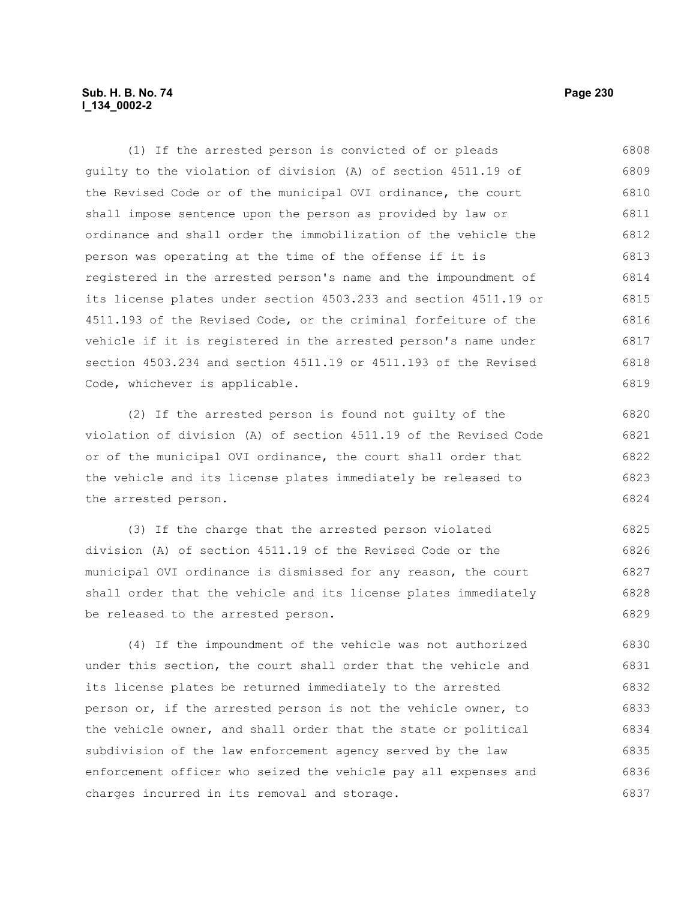# **Sub. H. B. No. 74** Page 230 **l\_134\_0002-2**

(1) If the arrested person is convicted of or pleads guilty to the violation of division (A) of section 4511.19 of the Revised Code or of the municipal OVI ordinance, the court shall impose sentence upon the person as provided by law or ordinance and shall order the immobilization of the vehicle the person was operating at the time of the offense if it is registered in the arrested person's name and the impoundment of its license plates under section 4503.233 and section 4511.19 or 4511.193 of the Revised Code, or the criminal forfeiture of the vehicle if it is registered in the arrested person's name under section 4503.234 and section 4511.19 or 4511.193 of the Revised Code, whichever is applicable. 6808 6809 6810 6811 6812 6813 6814 6815 6816 6817 6818 6819

(2) If the arrested person is found not guilty of the violation of division (A) of section 4511.19 of the Revised Code or of the municipal OVI ordinance, the court shall order that the vehicle and its license plates immediately be released to the arrested person.

(3) If the charge that the arrested person violated division (A) of section 4511.19 of the Revised Code or the municipal OVI ordinance is dismissed for any reason, the court shall order that the vehicle and its license plates immediately be released to the arrested person. 6825 6826 6827 6828 6829

(4) If the impoundment of the vehicle was not authorized under this section, the court shall order that the vehicle and its license plates be returned immediately to the arrested person or, if the arrested person is not the vehicle owner, to the vehicle owner, and shall order that the state or political subdivision of the law enforcement agency served by the law enforcement officer who seized the vehicle pay all expenses and charges incurred in its removal and storage. 6830 6831 6832 6833 6834 6835 6836 6837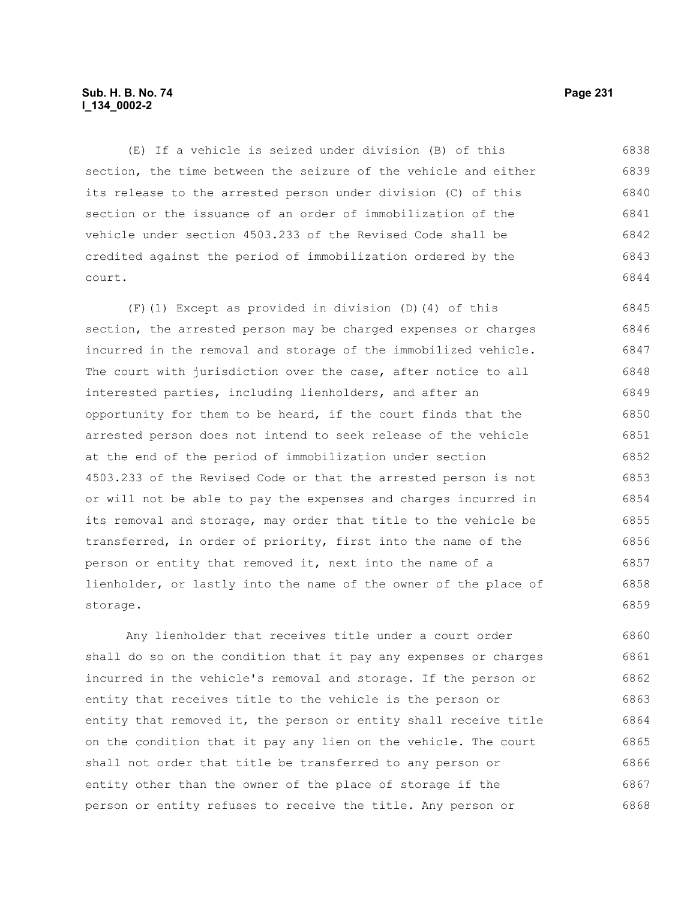# **Sub. H. B. No. 74** Page 231 **l\_134\_0002-2**

(E) If a vehicle is seized under division (B) of this section, the time between the seizure of the vehicle and either its release to the arrested person under division (C) of this section or the issuance of an order of immobilization of the vehicle under section 4503.233 of the Revised Code shall be credited against the period of immobilization ordered by the court. 6838 6839 6840 6841 6842 6843 6844

(F)(1) Except as provided in division (D)(4) of this section, the arrested person may be charged expenses or charges incurred in the removal and storage of the immobilized vehicle. The court with jurisdiction over the case, after notice to all interested parties, including lienholders, and after an opportunity for them to be heard, if the court finds that the arrested person does not intend to seek release of the vehicle at the end of the period of immobilization under section 4503.233 of the Revised Code or that the arrested person is not or will not be able to pay the expenses and charges incurred in its removal and storage, may order that title to the vehicle be transferred, in order of priority, first into the name of the person or entity that removed it, next into the name of a lienholder, or lastly into the name of the owner of the place of storage. 6845 6846 6847 6848 6849 6850 6851 6852 6853 6854 6855 6856 6857 6858 6859

Any lienholder that receives title under a court order shall do so on the condition that it pay any expenses or charges incurred in the vehicle's removal and storage. If the person or entity that receives title to the vehicle is the person or entity that removed it, the person or entity shall receive title on the condition that it pay any lien on the vehicle. The court shall not order that title be transferred to any person or entity other than the owner of the place of storage if the person or entity refuses to receive the title. Any person or 6860 6861 6862 6863 6864 6865 6866 6867 6868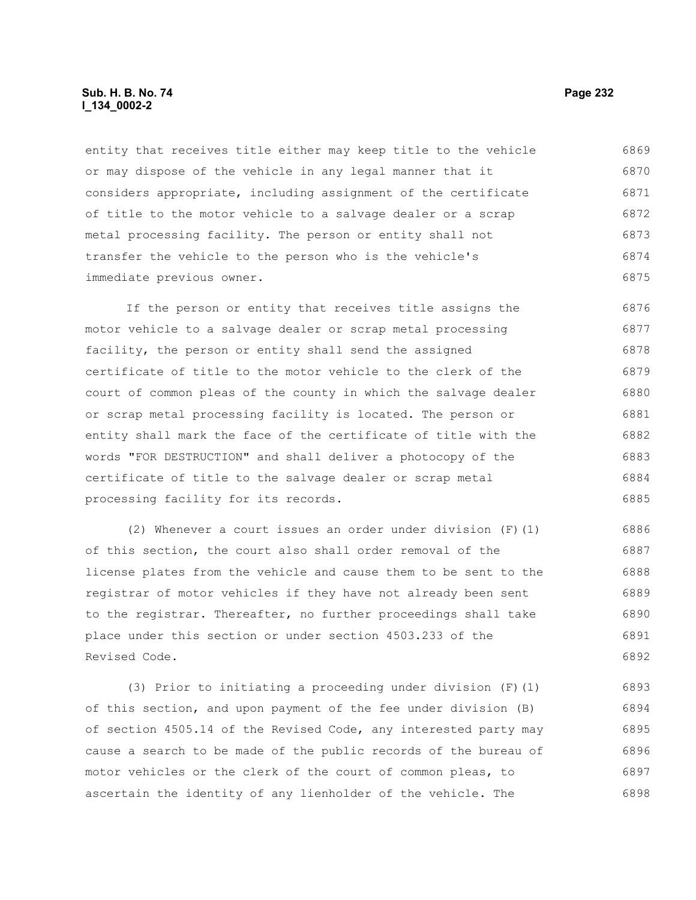# **Sub. H. B. No. 74** Page 232 **l\_134\_0002-2**

entity that receives title either may keep title to the vehicle or may dispose of the vehicle in any legal manner that it considers appropriate, including assignment of the certificate of title to the motor vehicle to a salvage dealer or a scrap metal processing facility. The person or entity shall not transfer the vehicle to the person who is the vehicle's immediate previous owner. 6869 6870 6871 6872 6873 6874 6875

If the person or entity that receives title assigns the motor vehicle to a salvage dealer or scrap metal processing facility, the person or entity shall send the assigned certificate of title to the motor vehicle to the clerk of the court of common pleas of the county in which the salvage dealer or scrap metal processing facility is located. The person or entity shall mark the face of the certificate of title with the words "FOR DESTRUCTION" and shall deliver a photocopy of the certificate of title to the salvage dealer or scrap metal processing facility for its records. 6876 6877 6878 6879 6880 6881 6882 6883 6884 6885

(2) Whenever a court issues an order under division (F)(1) of this section, the court also shall order removal of the license plates from the vehicle and cause them to be sent to the registrar of motor vehicles if they have not already been sent to the registrar. Thereafter, no further proceedings shall take place under this section or under section 4503.233 of the Revised Code. 6886 6887 6888 6889 6890 6891 6892

(3) Prior to initiating a proceeding under division (F)(1) of this section, and upon payment of the fee under division (B) of section 4505.14 of the Revised Code, any interested party may cause a search to be made of the public records of the bureau of motor vehicles or the clerk of the court of common pleas, to ascertain the identity of any lienholder of the vehicle. The 6893 6894 6895 6896 6897 6898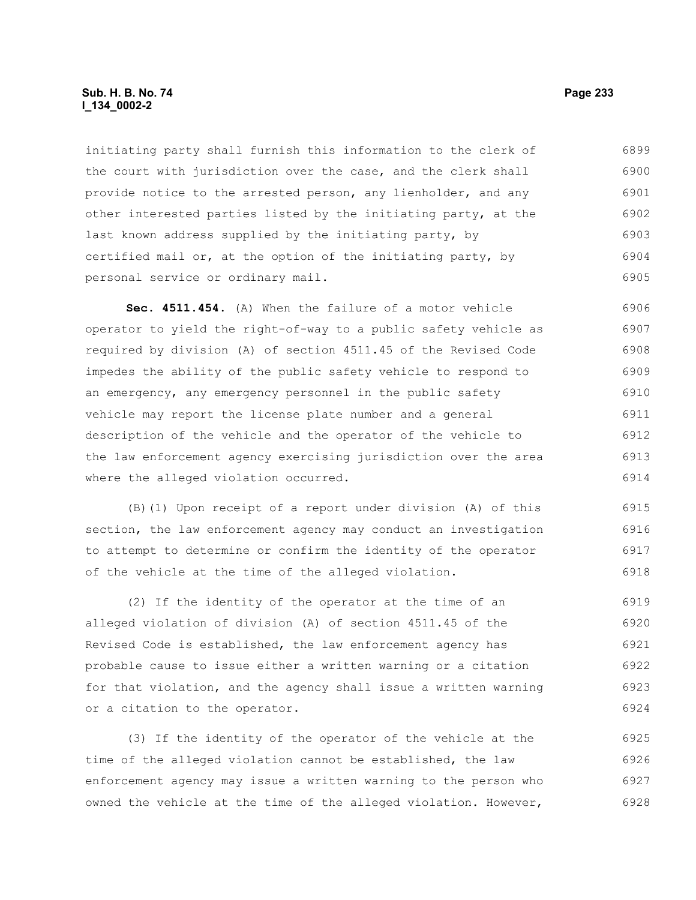# **Sub. H. B. No. 74 Page 233 l\_134\_0002-2**

initiating party shall furnish this information to the clerk of the court with jurisdiction over the case, and the clerk shall provide notice to the arrested person, any lienholder, and any other interested parties listed by the initiating party, at the last known address supplied by the initiating party, by certified mail or, at the option of the initiating party, by personal service or ordinary mail. 6899 6900 6901 6902 6903 6904 6905

**Sec. 4511.454.** (A) When the failure of a motor vehicle operator to yield the right-of-way to a public safety vehicle as required by division (A) of section 4511.45 of the Revised Code impedes the ability of the public safety vehicle to respond to an emergency, any emergency personnel in the public safety vehicle may report the license plate number and a general description of the vehicle and the operator of the vehicle to the law enforcement agency exercising jurisdiction over the area where the alleged violation occurred. 6906 6907 6908 6909 6910 6911 6912 6913 6914

(B)(1) Upon receipt of a report under division (A) of this section, the law enforcement agency may conduct an investigation to attempt to determine or confirm the identity of the operator of the vehicle at the time of the alleged violation. 6915 6916 6917 6918

(2) If the identity of the operator at the time of an alleged violation of division (A) of section 4511.45 of the Revised Code is established, the law enforcement agency has probable cause to issue either a written warning or a citation for that violation, and the agency shall issue a written warning or a citation to the operator. 6919 6920 6921 6922 6923 6924

(3) If the identity of the operator of the vehicle at the time of the alleged violation cannot be established, the law enforcement agency may issue a written warning to the person who owned the vehicle at the time of the alleged violation. However, 6925 6926 6927 6928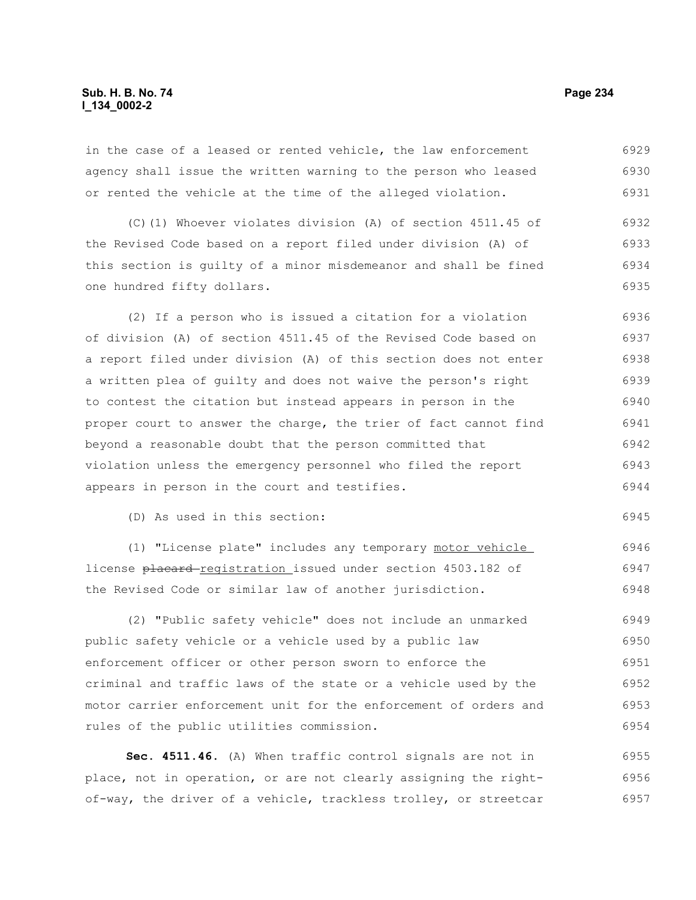# **Sub. H. B. No. 74** Page 234 **l\_134\_0002-2**

in the case of a leased or rented vehicle, the law enforcement agency shall issue the written warning to the person who leased or rented the vehicle at the time of the alleged violation. 6929 6930 6931

(C)(1) Whoever violates division (A) of section 4511.45 of the Revised Code based on a report filed under division (A) of this section is guilty of a minor misdemeanor and shall be fined one hundred fifty dollars. 6932 6933 6934 6935

(2) If a person who is issued a citation for a violation of division (A) of section 4511.45 of the Revised Code based on a report filed under division (A) of this section does not enter a written plea of guilty and does not waive the person's right to contest the citation but instead appears in person in the proper court to answer the charge, the trier of fact cannot find beyond a reasonable doubt that the person committed that violation unless the emergency personnel who filed the report appears in person in the court and testifies. 6936 6937 6938 6939 6940 6941 6942 6943 6944

(D) As used in this section:

(1) "License plate" includes any temporary motor vehicle license placard registration issued under section 4503.182 of the Revised Code or similar law of another jurisdiction. 6946 6947 6948

(2) "Public safety vehicle" does not include an unmarked public safety vehicle or a vehicle used by a public law enforcement officer or other person sworn to enforce the criminal and traffic laws of the state or a vehicle used by the motor carrier enforcement unit for the enforcement of orders and rules of the public utilities commission. 6949 6950 6951 6952 6953 6954

**Sec. 4511.46.** (A) When traffic control signals are not in place, not in operation, or are not clearly assigning the rightof-way, the driver of a vehicle, trackless trolley, or streetcar 6955 6956 6957

6945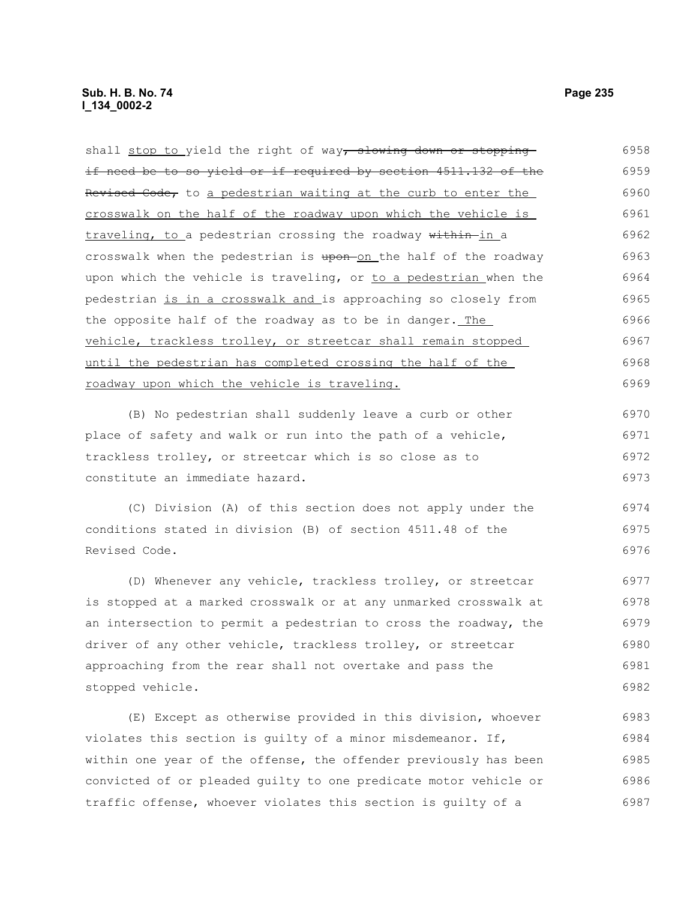shall stop to yield the right of way, slowing down or stopping if need be to so yield or if required by section 4511.132 of the Revised Code, to a pedestrian waiting at the curb to enter the crosswalk on the half of the roadway upon which the vehicle is traveling, to a pedestrian crossing the roadway within-in a crosswalk when the pedestrian is upon-on the half of the roadway upon which the vehicle is traveling, or to a pedestrian when the pedestrian is in a crosswalk and is approaching so closely from the opposite half of the roadway as to be in danger. The vehicle, trackless trolley, or streetcar shall remain stopped until the pedestrian has completed crossing the half of the roadway upon which the vehicle is traveling. (B) No pedestrian shall suddenly leave a curb or other place of safety and walk or run into the path of a vehicle, trackless trolley, or streetcar which is so close as to constitute an immediate hazard. (C) Division (A) of this section does not apply under the conditions stated in division (B) of section 4511.48 of the Revised Code. 6958 6959 6960 6961 6962 6963 6964 6965 6966 6967 6968 6969 6970 6971 6972 6973 6974 6975 6976

(D) Whenever any vehicle, trackless trolley, or streetcar is stopped at a marked crosswalk or at any unmarked crosswalk at an intersection to permit a pedestrian to cross the roadway, the driver of any other vehicle, trackless trolley, or streetcar approaching from the rear shall not overtake and pass the stopped vehicle. 6977 6978 6979 6980 6981 6982

(E) Except as otherwise provided in this division, whoever violates this section is guilty of a minor misdemeanor. If, within one year of the offense, the offender previously has been convicted of or pleaded guilty to one predicate motor vehicle or traffic offense, whoever violates this section is guilty of a 6983 6984 6985 6986 6987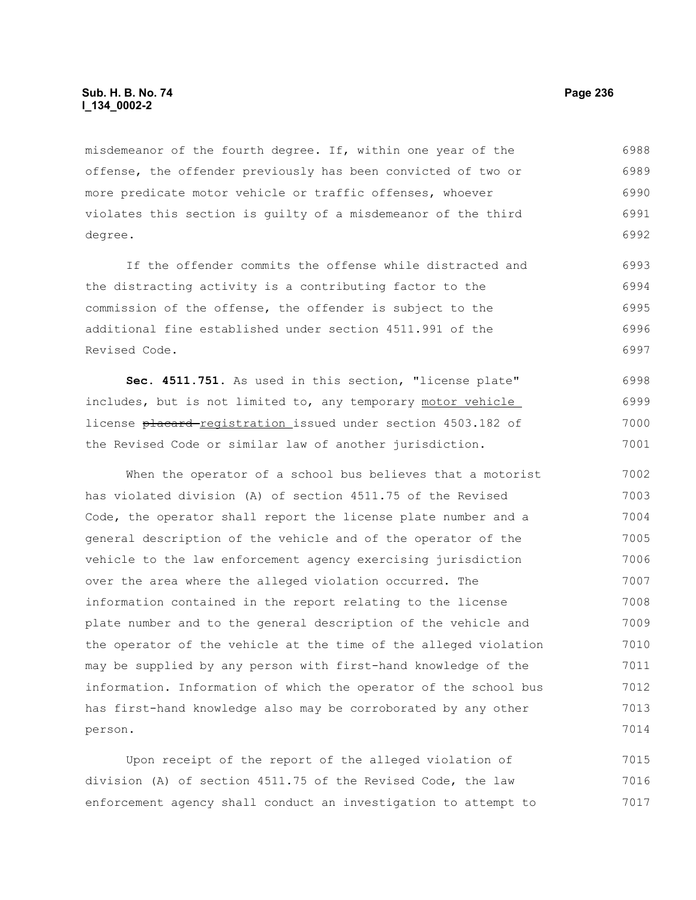misdemeanor of the fourth degree. If, within one year of the offense, the offender previously has been convicted of two or more predicate motor vehicle or traffic offenses, whoever violates this section is guilty of a misdemeanor of the third degree. 6988 6989 6990 6991 6992

If the offender commits the offense while distracted and the distracting activity is a contributing factor to the commission of the offense, the offender is subject to the additional fine established under section 4511.991 of the Revised Code. 6993 6994 6995 6996 6997

**Sec. 4511.751.** As used in this section, "license plate" includes, but is not limited to, any temporary motor vehicle license placard-registration issued under section 4503.182 of the Revised Code or similar law of another jurisdiction. 6998 6999 7000 7001

When the operator of a school bus believes that a motorist has violated division (A) of section 4511.75 of the Revised Code, the operator shall report the license plate number and a general description of the vehicle and of the operator of the vehicle to the law enforcement agency exercising jurisdiction over the area where the alleged violation occurred. The information contained in the report relating to the license plate number and to the general description of the vehicle and the operator of the vehicle at the time of the alleged violation may be supplied by any person with first-hand knowledge of the information. Information of which the operator of the school bus has first-hand knowledge also may be corroborated by any other person. 7002 7003 7004 7005 7006 7007 7008 7009 7010 7011 7012 7013 7014

Upon receipt of the report of the alleged violation of division (A) of section 4511.75 of the Revised Code, the law enforcement agency shall conduct an investigation to attempt to 7015 7016 7017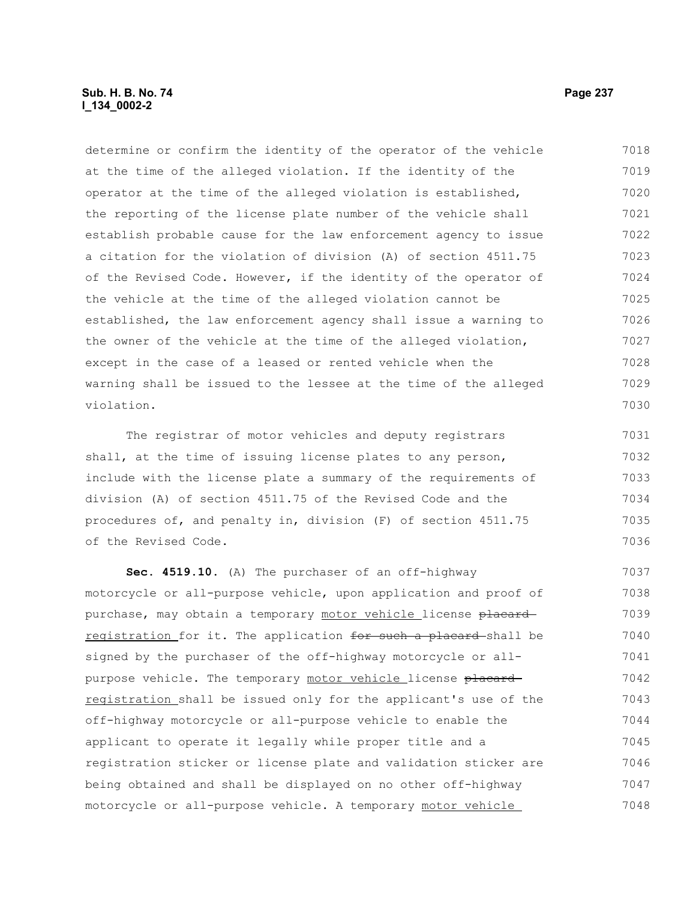# **Sub. H. B. No. 74** Page 237 **l\_134\_0002-2**

determine or confirm the identity of the operator of the vehicle at the time of the alleged violation. If the identity of the operator at the time of the alleged violation is established, the reporting of the license plate number of the vehicle shall establish probable cause for the law enforcement agency to issue a citation for the violation of division (A) of section 4511.75 of the Revised Code. However, if the identity of the operator of the vehicle at the time of the alleged violation cannot be established, the law enforcement agency shall issue a warning to the owner of the vehicle at the time of the alleged violation, except in the case of a leased or rented vehicle when the warning shall be issued to the lessee at the time of the alleged violation. 7018 7019 7020 7021 7022 7023 7024 7025 7026 7027 7028 7029 7030

The registrar of motor vehicles and deputy registrars shall, at the time of issuing license plates to any person, include with the license plate a summary of the requirements of division (A) of section 4511.75 of the Revised Code and the procedures of, and penalty in, division (F) of section 4511.75 of the Revised Code. 7031 7032 7033 7034 7035 7036

**Sec. 4519.10.** (A) The purchaser of an off-highway motorcycle or all-purpose vehicle, upon application and proof of purchase, may obtain a temporary motor vehicle license placard registration for it. The application for such a placard shall be signed by the purchaser of the off-highway motorcycle or allpurpose vehicle. The temporary motor vehicle license placard registration shall be issued only for the applicant's use of the off-highway motorcycle or all-purpose vehicle to enable the applicant to operate it legally while proper title and a registration sticker or license plate and validation sticker are being obtained and shall be displayed on no other off-highway motorcycle or all-purpose vehicle. A temporary motor vehicle 7037 7038 7039 7040 7041 7042 7043 7044 7045 7046 7047 7048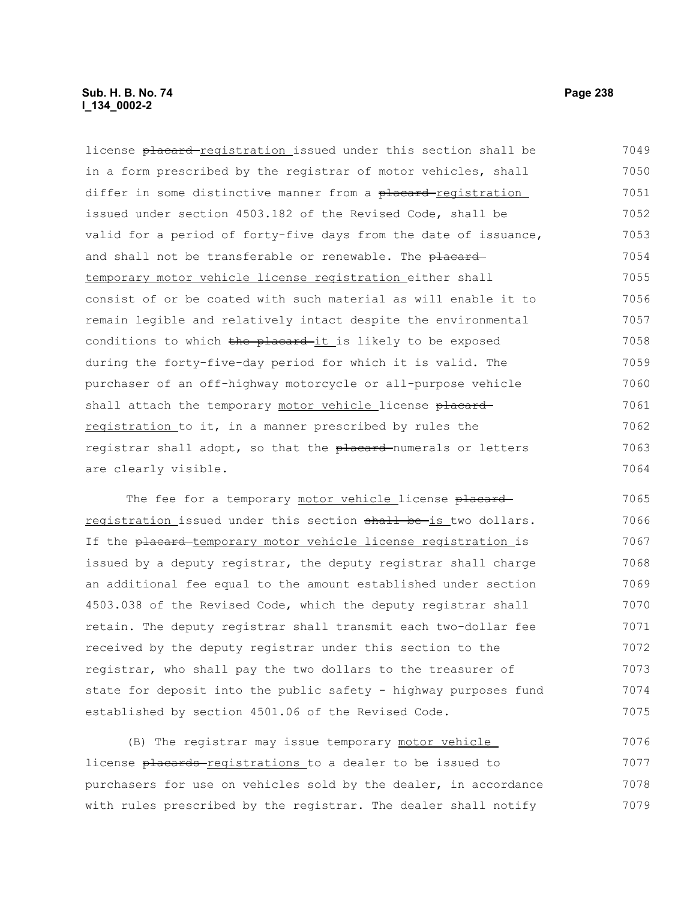# **Sub. H. B. No. 74** Page 238 **l\_134\_0002-2**

license placard-registration issued under this section shall be in a form prescribed by the registrar of motor vehicles, shall differ in some distinctive manner from a placard-registration issued under section 4503.182 of the Revised Code, shall be valid for a period of forty-five days from the date of issuance, and shall not be transferable or renewable. The placardtemporary motor vehicle license registration either shall consist of or be coated with such material as will enable it to remain legible and relatively intact despite the environmental conditions to which the placard-it is likely to be exposed during the forty-five-day period for which it is valid. The purchaser of an off-highway motorcycle or all-purpose vehicle shall attach the temporary motor vehicle license placardregistration to it, in a manner prescribed by rules the registrar shall adopt, so that the placard-numerals or letters are clearly visible. 7049 7050 7051 7052 7053 7054 7055 7056 7057 7058 7059 7060 7061 7062 7063 7064

The fee for a temporary motor vehicle license placardregistration issued under this section shall be-is two dollars. If the placard-temporary motor vehicle license registration is issued by a deputy registrar, the deputy registrar shall charge an additional fee equal to the amount established under section 4503.038 of the Revised Code, which the deputy registrar shall retain. The deputy registrar shall transmit each two-dollar fee received by the deputy registrar under this section to the registrar, who shall pay the two dollars to the treasurer of state for deposit into the public safety - highway purposes fund established by section 4501.06 of the Revised Code. 7065 7066 7067 7068 7069 7070 7071 7072 7073 7074 7075

(B) The registrar may issue temporary motor vehicle license placards-registrations to a dealer to be issued to purchasers for use on vehicles sold by the dealer, in accordance with rules prescribed by the registrar. The dealer shall notify 7076 7077 7078 7079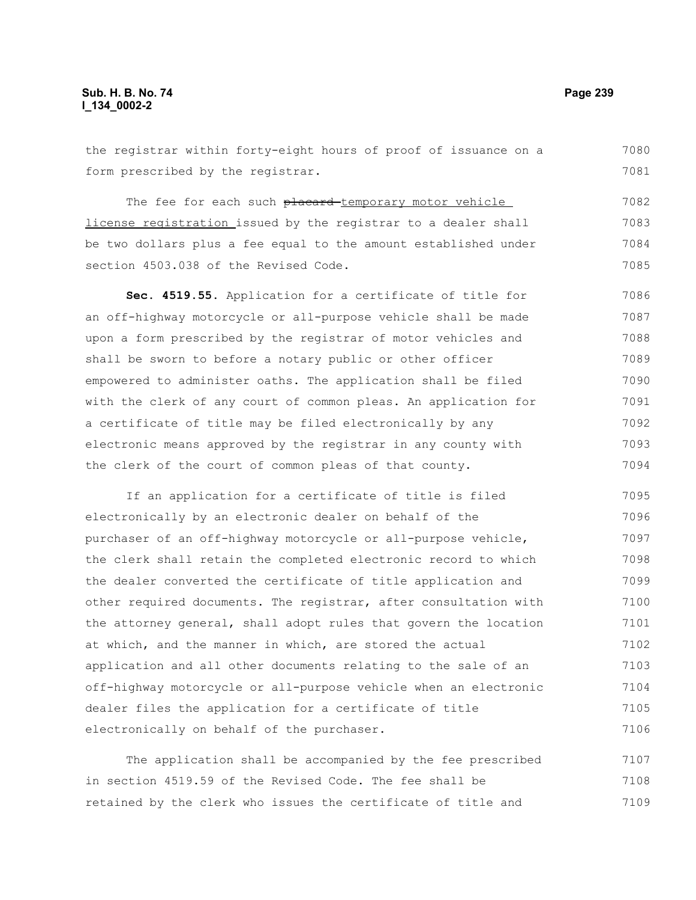# **Sub. H. B. No. 74** Page 239 **l\_134\_0002-2**

the registrar within forty-eight hours of proof of issuance on a form prescribed by the registrar. 7080 7081

The fee for each such placard-temporary motor vehicle license registration issued by the registrar to a dealer shall be two dollars plus a fee equal to the amount established under section 4503.038 of the Revised Code. 7082 7083 7084 7085

**Sec. 4519.55.** Application for a certificate of title for an off-highway motorcycle or all-purpose vehicle shall be made upon a form prescribed by the registrar of motor vehicles and shall be sworn to before a notary public or other officer empowered to administer oaths. The application shall be filed with the clerk of any court of common pleas. An application for a certificate of title may be filed electronically by any electronic means approved by the registrar in any county with the clerk of the court of common pleas of that county. 7086 7087 7088 7089 7090 7091 7092 7093 7094

If an application for a certificate of title is filed electronically by an electronic dealer on behalf of the purchaser of an off-highway motorcycle or all-purpose vehicle, the clerk shall retain the completed electronic record to which the dealer converted the certificate of title application and other required documents. The registrar, after consultation with the attorney general, shall adopt rules that govern the location at which, and the manner in which, are stored the actual application and all other documents relating to the sale of an off-highway motorcycle or all-purpose vehicle when an electronic dealer files the application for a certificate of title electronically on behalf of the purchaser. 7095 7096 7097 7098 7099 7100 7101 7102 7103 7104 7105 7106

The application shall be accompanied by the fee prescribed in section 4519.59 of the Revised Code. The fee shall be retained by the clerk who issues the certificate of title and 7107 7108 7109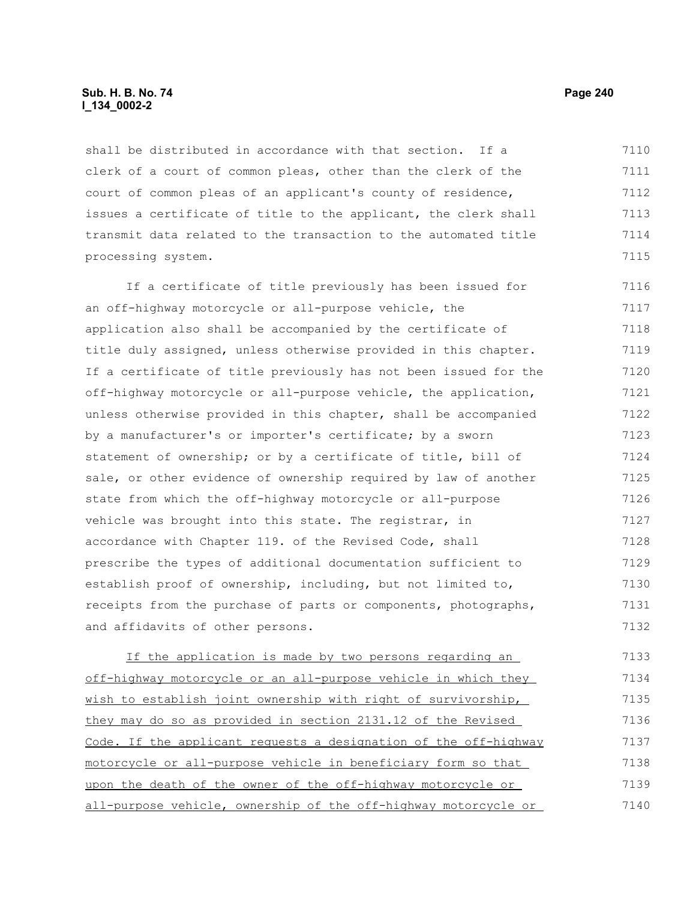# **Sub. H. B. No. 74** Page 240 **l\_134\_0002-2**

shall be distributed in accordance with that section. If a clerk of a court of common pleas, other than the clerk of the court of common pleas of an applicant's county of residence, issues a certificate of title to the applicant, the clerk shall transmit data related to the transaction to the automated title processing system. 7110 7111 7112 7113 7114 7115

If a certificate of title previously has been issued for an off-highway motorcycle or all-purpose vehicle, the application also shall be accompanied by the certificate of title duly assigned, unless otherwise provided in this chapter. If a certificate of title previously has not been issued for the off-highway motorcycle or all-purpose vehicle, the application, unless otherwise provided in this chapter, shall be accompanied by a manufacturer's or importer's certificate; by a sworn statement of ownership; or by a certificate of title, bill of sale, or other evidence of ownership required by law of another state from which the off-highway motorcycle or all-purpose vehicle was brought into this state. The registrar, in accordance with Chapter 119. of the Revised Code, shall prescribe the types of additional documentation sufficient to establish proof of ownership, including, but not limited to, receipts from the purchase of parts or components, photographs, and affidavits of other persons. 7116 7117 7118 7119 7120 7121 7122 7123 7124 7125 7126 7127 7128 7129 7130 7131 7132

If the application is made by two persons regarding an off-highway motorcycle or an all-purpose vehicle in which they wish to establish joint ownership with right of survivorship, they may do so as provided in section 2131.12 of the Revised Code. If the applicant requests a designation of the off-highway motorcycle or all-purpose vehicle in beneficiary form so that upon the death of the owner of the off-highway motorcycle or all-purpose vehicle, ownership of the off-highway motorcycle or 7133 7134 7135 7136 7137 7138 7139 7140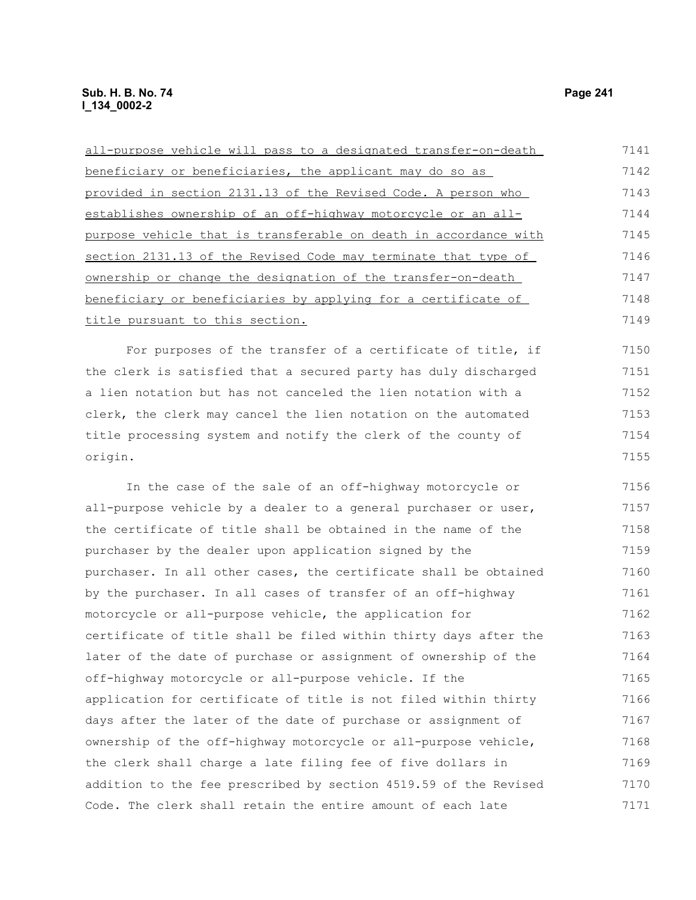| all-purpose vehicle will pass to a designated transfer-on-death  | 7141 |
|------------------------------------------------------------------|------|
| beneficiary or beneficiaries, the applicant may do so as         | 7142 |
| provided in section 2131.13 of the Revised Code. A person who    | 7143 |
| establishes ownership of an off-highway motorcycle or an all-    | 7144 |
| purpose vehicle that is transferable on death in accordance with | 7145 |
| section 2131.13 of the Revised Code may terminate that type of   | 7146 |
| ownership or change the designation of the transfer-on-death     | 7147 |
| beneficiary or beneficiaries by applying for a certificate of    | 7148 |
| title pursuant to this section.                                  | 7149 |
| For purposes of the transfer of a certificate of title, if       | 7150 |
| the clerk is satisfied that a secured party has duly discharged  | 7151 |
| a lien notation but has not canceled the lien notation with a    | 7152 |
| clerk, the clerk may cancel the lien notation on the automated   | 7153 |
| title processing system and notify the clerk of the county of    | 7154 |
| origin.                                                          | 7155 |
| In the case of the sale of an off-highway motorcycle or          | 7156 |
| all-purpose vehicle by a dealer to a general purchaser or user,  | 7157 |
| the certificate of title shall be obtained in the name of the    | 7158 |
| purchaser by the dealer upon application signed by the           | 7159 |
| purchaser. In all other cases, the certificate shall be obtained | 7160 |
| by the purchaser. In all cases of transfer of an off-highway     | 7161 |
| motorcycle or all-purpose vehicle, the application for           | 7162 |
| certificate of title shall be filed within thirty days after the | 7163 |
| later of the date of purchase or assignment of ownership of the  | 7164 |
| off-highway motorcycle or all-purpose vehicle. If the            | 7165 |
| application for certificate of title is not filed within thirty  | 7166 |
| days after the later of the date of purchase or assignment of    | 7167 |
| ownership of the off-highway motorcycle or all-purpose vehicle,  | 7168 |
| the clerk shall charge a late filing fee of five dollars in      | 7169 |
| addition to the fee prescribed by section 4519.59 of the Revised | 7170 |
| Code. The clerk shall retain the entire amount of each late      | 7171 |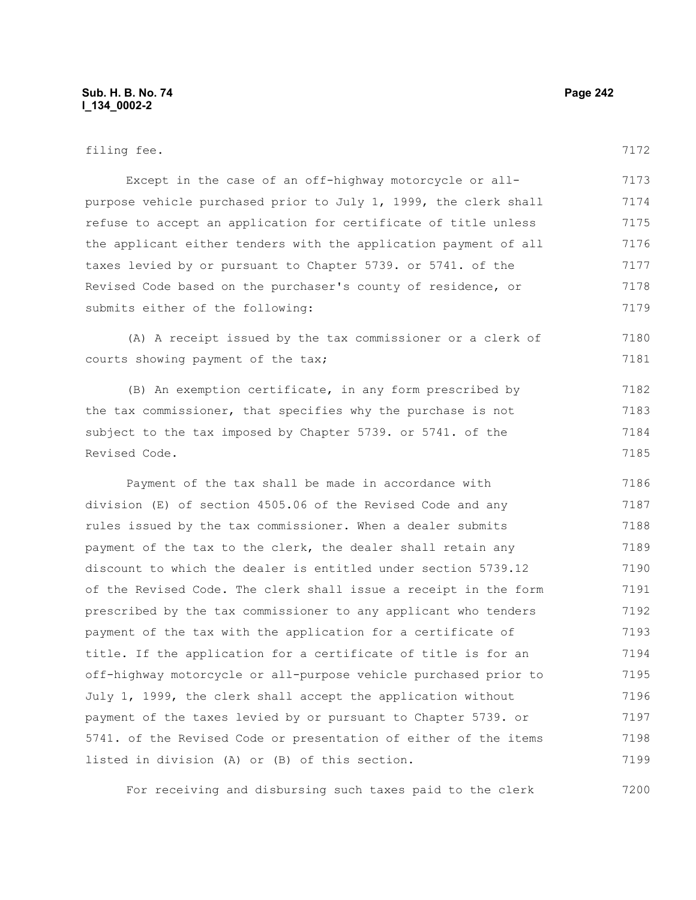| filing fee.                                                      | 7172 |
|------------------------------------------------------------------|------|
| Except in the case of an off-highway motorcycle or all-          | 7173 |
| purpose vehicle purchased prior to July 1, 1999, the clerk shall | 7174 |
| refuse to accept an application for certificate of title unless  | 7175 |
| the applicant either tenders with the application payment of all | 7176 |
| taxes levied by or pursuant to Chapter 5739. or 5741. of the     | 7177 |
| Revised Code based on the purchaser's county of residence, or    | 7178 |
| submits either of the following:                                 | 7179 |
| (A) A receipt issued by the tax commissioner or a clerk of       | 7180 |
| courts showing payment of the tax;                               | 7181 |
| (B) An exemption certificate, in any form prescribed by          | 7182 |
| the tax commissioner, that specifies why the purchase is not     | 7183 |
| subject to the tax imposed by Chapter 5739. or 5741. of the      | 7184 |
| Revised Code.                                                    | 7185 |
| Payment of the tax shall be made in accordance with              | 7186 |
| division (E) of section 4505.06 of the Revised Code and any      | 7187 |
| rules issued by the tax commissioner. When a dealer submits      | 7188 |
| payment of the tax to the clerk, the dealer shall retain any     | 7189 |
| discount to which the dealer is entitled under section 5739.12   | 7190 |
| of the Revised Code. The clerk shall issue a receipt in the form | 7191 |
| prescribed by the tax commissioner to any applicant who tenders  | 7192 |
| payment of the tax with the application for a certificate of     | 7193 |
| title. If the application for a certificate of title is for an   | 7194 |
| off-highway motorcycle or all-purpose vehicle purchased prior to | 7195 |
| July 1, 1999, the clerk shall accept the application without     | 7196 |
| payment of the taxes levied by or pursuant to Chapter 5739. or   | 7197 |
| 5741. of the Revised Code or presentation of either of the items | 7198 |
| listed in division (A) or (B) of this section.                   | 7199 |
|                                                                  |      |

For receiving and disbursing such taxes paid to the clerk 7200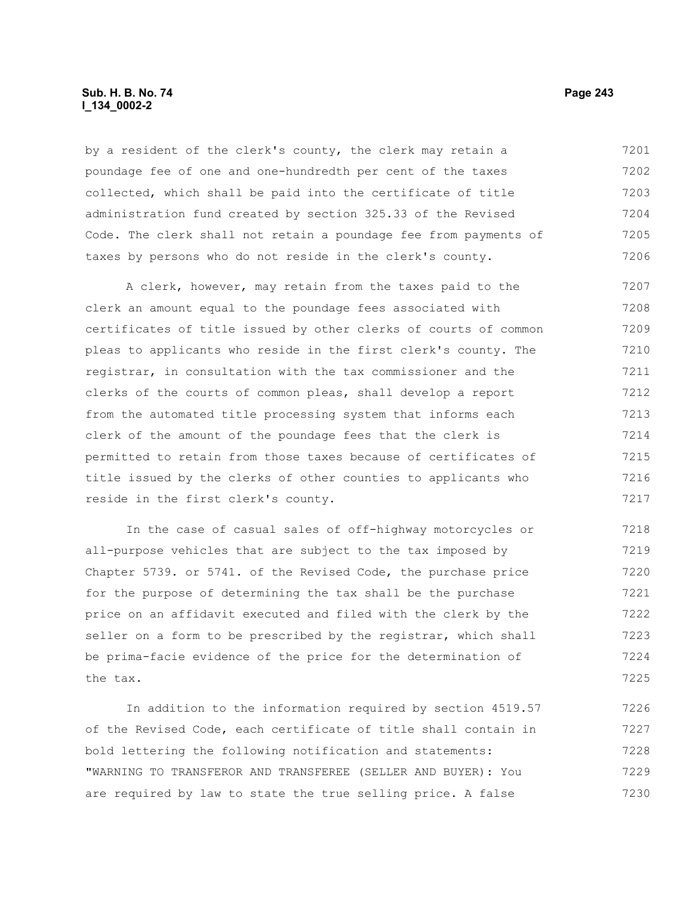# **Sub. H. B. No. 74** Page 243 **l\_134\_0002-2**

by a resident of the clerk's county, the clerk may retain a poundage fee of one and one-hundredth per cent of the taxes collected, which shall be paid into the certificate of title administration fund created by section 325.33 of the Revised Code. The clerk shall not retain a poundage fee from payments of taxes by persons who do not reside in the clerk's county. 7201 7202 7203 7204 7205 7206

A clerk, however, may retain from the taxes paid to the clerk an amount equal to the poundage fees associated with certificates of title issued by other clerks of courts of common pleas to applicants who reside in the first clerk's county. The registrar, in consultation with the tax commissioner and the clerks of the courts of common pleas, shall develop a report from the automated title processing system that informs each clerk of the amount of the poundage fees that the clerk is permitted to retain from those taxes because of certificates of title issued by the clerks of other counties to applicants who reside in the first clerk's county. 7207 7208 7209 7210 7211 7212 7213 7214 7215 7216 7217

In the case of casual sales of off-highway motorcycles or all-purpose vehicles that are subject to the tax imposed by Chapter 5739. or 5741. of the Revised Code, the purchase price for the purpose of determining the tax shall be the purchase price on an affidavit executed and filed with the clerk by the seller on a form to be prescribed by the registrar, which shall be prima-facie evidence of the price for the determination of the tax. 7218 7219 7220 7221 7222 7223 7224 7225

In addition to the information required by section 4519.57 of the Revised Code, each certificate of title shall contain in bold lettering the following notification and statements: "WARNING TO TRANSFEROR AND TRANSFEREE (SELLER AND BUYER): You are required by law to state the true selling price. A false 7226 7227 7228 7229 7230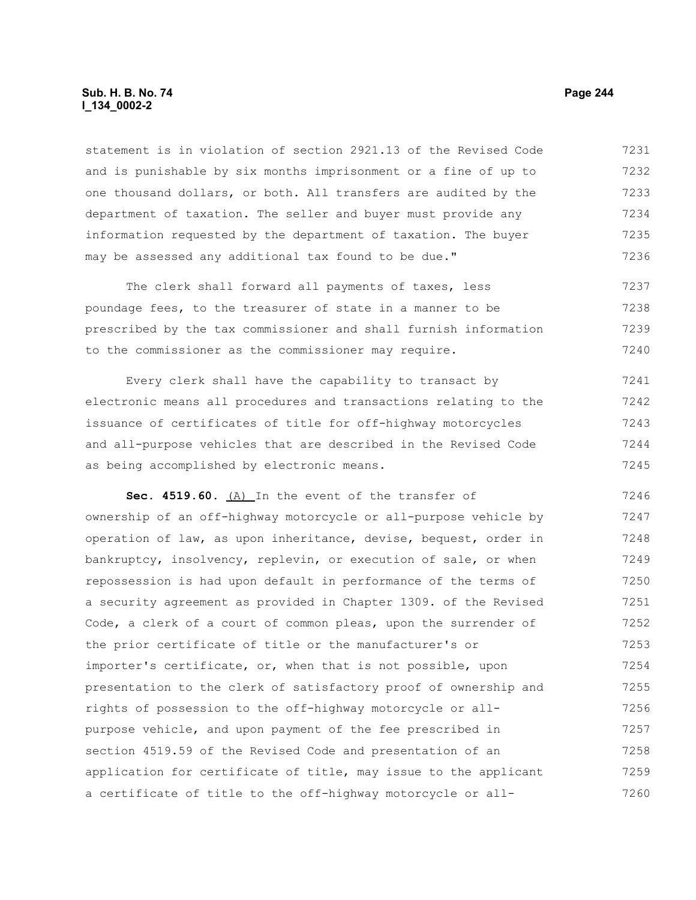# **Sub. H. B. No. 74** Page 244 **l\_134\_0002-2**

statement is in violation of section 2921.13 of the Revised Code and is punishable by six months imprisonment or a fine of up to one thousand dollars, or both. All transfers are audited by the department of taxation. The seller and buyer must provide any information requested by the department of taxation. The buyer may be assessed any additional tax found to be due." 7231 7232 7233 7234 7235 7236

The clerk shall forward all payments of taxes, less poundage fees, to the treasurer of state in a manner to be prescribed by the tax commissioner and shall furnish information to the commissioner as the commissioner may require. 7237 7238 7239 7240

Every clerk shall have the capability to transact by electronic means all procedures and transactions relating to the issuance of certificates of title for off-highway motorcycles and all-purpose vehicles that are described in the Revised Code as being accomplished by electronic means. 7241 7242 7243 7244 7245

**Sec. 4519.60.** (A) In the event of the transfer of ownership of an off-highway motorcycle or all-purpose vehicle by operation of law, as upon inheritance, devise, bequest, order in bankruptcy, insolvency, replevin, or execution of sale, or when repossession is had upon default in performance of the terms of a security agreement as provided in Chapter 1309. of the Revised Code, a clerk of a court of common pleas, upon the surrender of the prior certificate of title or the manufacturer's or importer's certificate, or, when that is not possible, upon presentation to the clerk of satisfactory proof of ownership and rights of possession to the off-highway motorcycle or allpurpose vehicle, and upon payment of the fee prescribed in section 4519.59 of the Revised Code and presentation of an application for certificate of title, may issue to the applicant a certificate of title to the off-highway motorcycle or all-7246 7247 7248 7249 7250 7251 7252 7253 7254 7255 7256 7257 7258 7259 7260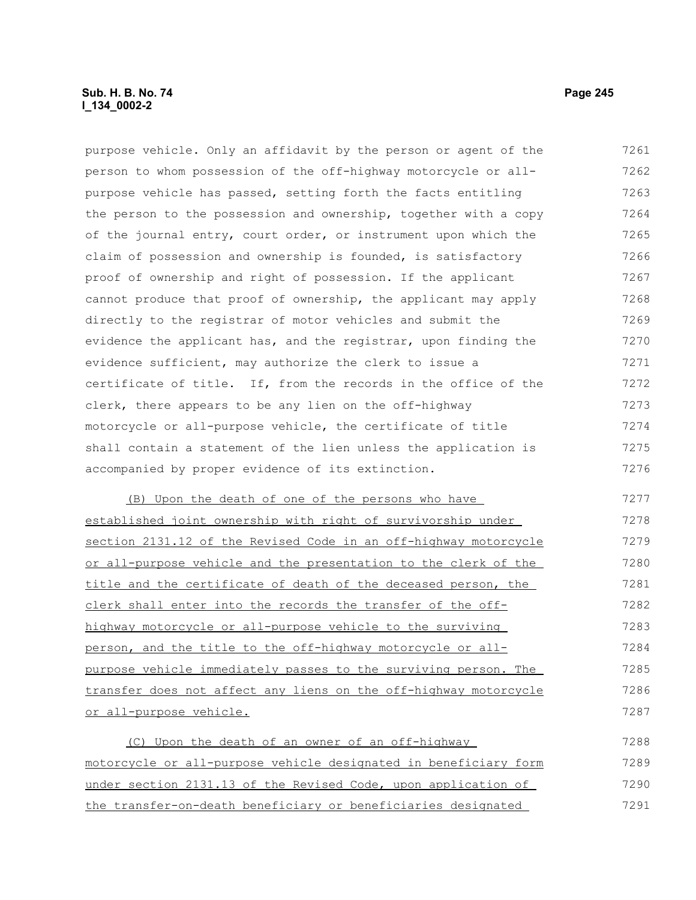# **Sub. H. B. No. 74 Page 245 l\_134\_0002-2**

purpose vehicle. Only an affidavit by the person or agent of the person to whom possession of the off-highway motorcycle or allpurpose vehicle has passed, setting forth the facts entitling the person to the possession and ownership, together with a copy of the journal entry, court order, or instrument upon which the claim of possession and ownership is founded, is satisfactory proof of ownership and right of possession. If the applicant cannot produce that proof of ownership, the applicant may apply directly to the registrar of motor vehicles and submit the evidence the applicant has, and the registrar, upon finding the evidence sufficient, may authorize the clerk to issue a certificate of title. If, from the records in the office of the clerk, there appears to be any lien on the off-highway motorcycle or all-purpose vehicle, the certificate of title shall contain a statement of the lien unless the application is accompanied by proper evidence of its extinction. 7261 7262 7263 7264 7265 7266 7267 7268 7269 7270 7271 7272 7273 7274 7275 7276

(B) Upon the death of one of the persons who have established joint ownership with right of survivorship under section 2131.12 of the Revised Code in an off-highway motorcycle or all-purpose vehicle and the presentation to the clerk of the title and the certificate of death of the deceased person, the clerk shall enter into the records the transfer of the offhighway motorcycle or all-purpose vehicle to the surviving person, and the title to the off-highway motorcycle or allpurpose vehicle immediately passes to the surviving person. The transfer does not affect any liens on the off-highway motorcycle or all-purpose vehicle. 7277 7278 7279 7280 7281 7282 7283 7284 7285 7286 7287

(C) Upon the death of an owner of an off-highway motorcycle or all-purpose vehicle designated in beneficiary form under section 2131.13 of the Revised Code, upon application of the transfer-on-death beneficiary or beneficiaries designated 7288 7289 7290 7291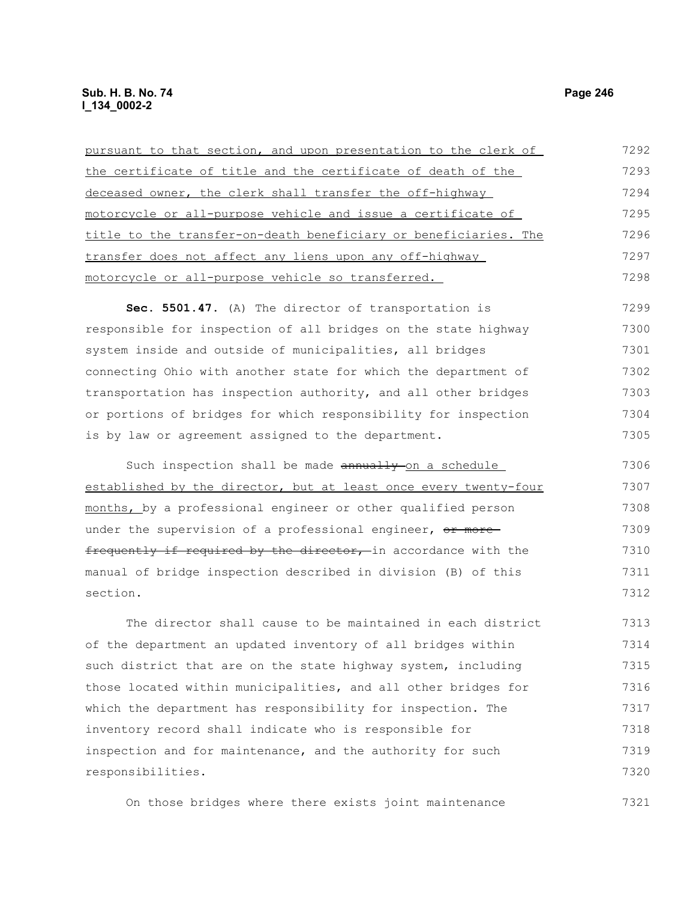| pursuant to that section, and upon presentation to the clerk of  | 7292 |
|------------------------------------------------------------------|------|
| the certificate of title and the certificate of death of the     | 7293 |
| deceased owner, the clerk shall transfer the off-highway         | 7294 |
| motorcycle or all-purpose vehicle and issue a certificate of     | 7295 |
| title to the transfer-on-death beneficiary or beneficiaries. The | 7296 |
| transfer does not affect any liens upon any off-highway          | 7297 |
| motorcycle or all-purpose vehicle so transferred.                | 7298 |
| Sec. 5501.47. (A) The director of transportation is              | 7299 |
| responsible for inspection of all bridges on the state highway   | 7300 |
| system inside and outside of municipalities, all bridges         | 7301 |
| connecting Ohio with another state for which the department of   | 7302 |
| transportation has inspection authority, and all other bridges   | 7303 |
| or portions of bridges for which responsibility for inspection   | 7304 |
| is by law or agreement assigned to the department.               | 7305 |
| Such inspection shall be made annually on a schedule             | 7306 |
| established by the director, but at least once every twenty-four | 7307 |
| months, by a professional engineer or other qualified person     | 7308 |
| under the supervision of a professional engineer, or more-       | 7309 |
| frequently if required by the director, in accordance with the   | 7310 |
| manual of bridge inspection described in division (B) of this    | 7311 |
| section.                                                         | 7312 |
| The director shall cause to be maintained in each district       | 7313 |
| of the department an updated inventory of all bridges within     | 7314 |
| such district that are on the state highway system, including    | 7315 |
| those located within municipalities, and all other bridges for   | 7316 |
| which the department has responsibility for inspection. The      | 7317 |
| inventory record shall indicate who is responsible for           | 7318 |
| inspection and for maintenance, and the authority for such       | 7319 |
| responsibilities.                                                | 7320 |

On those bridges where there exists joint maintenance 7321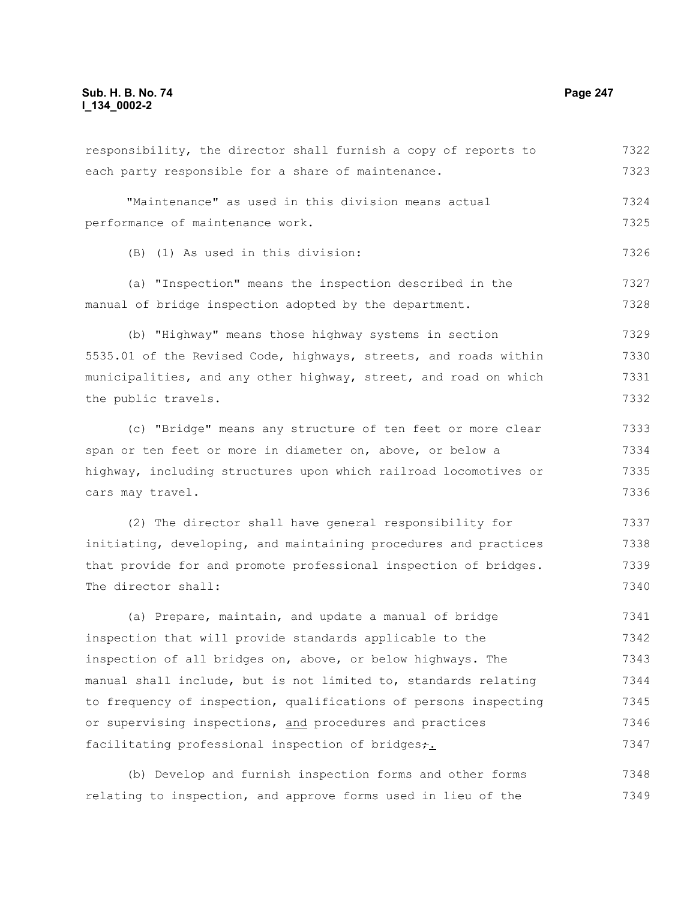| responsibility, the director shall furnish a copy of reports to  | 7322 |
|------------------------------------------------------------------|------|
| each party responsible for a share of maintenance.               | 7323 |
| "Maintenance" as used in this division means actual              | 7324 |
| performance of maintenance work.                                 | 7325 |
| (B) (1) As used in this division:                                | 7326 |
| (a) "Inspection" means the inspection described in the           | 7327 |
| manual of bridge inspection adopted by the department.           | 7328 |
| (b) "Highway" means those highway systems in section             | 7329 |
| 5535.01 of the Revised Code, highways, streets, and roads within | 7330 |
| municipalities, and any other highway, street, and road on which | 7331 |
| the public travels.                                              | 7332 |
| (c) "Bridge" means any structure of ten feet or more clear       | 7333 |
| span or ten feet or more in diameter on, above, or below a       | 7334 |
| highway, including structures upon which railroad locomotives or | 7335 |
| cars may travel.                                                 | 7336 |
| (2) The director shall have general responsibility for           | 7337 |
| initiating, developing, and maintaining procedures and practices | 7338 |
| that provide for and promote professional inspection of bridges. | 7339 |
| The director shall:                                              | 7340 |
| (a) Prepare, maintain, and update a manual of bridge             | 7341 |
| inspection that will provide standards applicable to the         | 7342 |
| inspection of all bridges on, above, or below highways. The      | 7343 |
| manual shall include, but is not limited to, standards relating  | 7344 |
| to frequency of inspection, qualifications of persons inspecting | 7345 |
| or supervising inspections, and procedures and practices         | 7346 |
| facilitating professional inspection of bridges+.                | 7347 |
| (b) Develop and furnish inspection forms and other forms         | 7348 |
| relating to inspection, and approve forms used in lieu of the    | 7349 |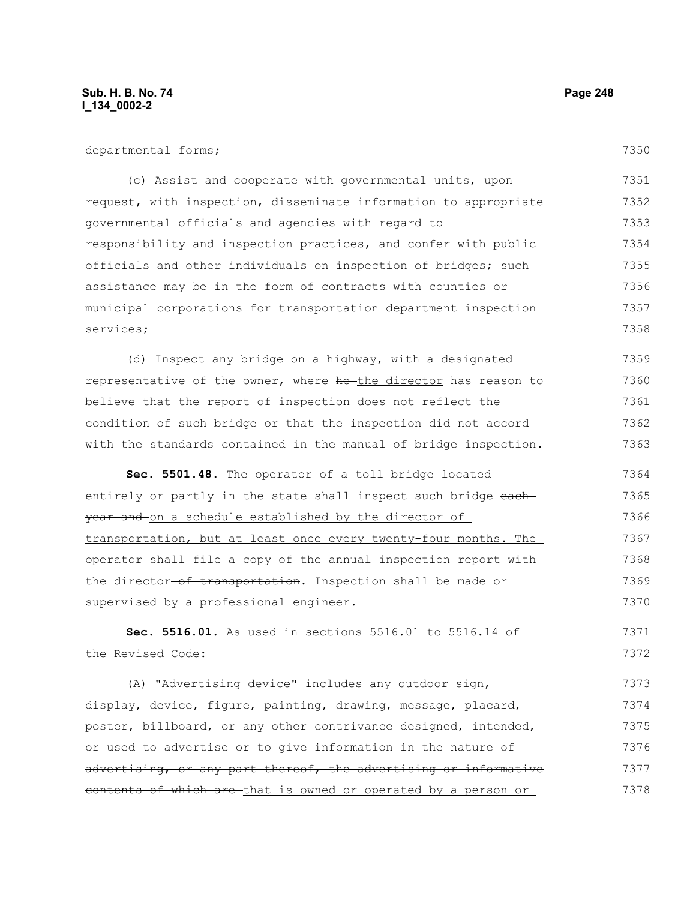| departmental forms;                                              | 7350 |
|------------------------------------------------------------------|------|
| (c) Assist and cooperate with governmental units, upon           | 7351 |
| request, with inspection, disseminate information to appropriate | 7352 |
| governmental officials and agencies with regard to               | 7353 |
| responsibility and inspection practices, and confer with public  | 7354 |
| officials and other individuals on inspection of bridges; such   | 7355 |
| assistance may be in the form of contracts with counties or      | 7356 |
| municipal corporations for transportation department inspection  | 7357 |
| services;                                                        | 7358 |
| (d) Inspect any bridge on a highway, with a designated           | 7359 |
| representative of the owner, where he the director has reason to | 7360 |
| believe that the report of inspection does not reflect the       | 7361 |
| condition of such bridge or that the inspection did not accord   | 7362 |
| with the standards contained in the manual of bridge inspection. | 7363 |
| Sec. 5501.48. The operator of a toll bridge located              | 7364 |
| entirely or partly in the state shall inspect such bridge each-  | 7365 |
| year and on a schedule established by the director of            | 7366 |
| transportation, but at least once every twenty-four months. The  | 7367 |
| operator shall file a copy of the annual-inspection report with  | 7368 |
| the director-of transportation. Inspection shall be made or      | 7369 |
| supervised by a professional engineer.                           | 7370 |
| Sec. 5516.01. As used in sections 5516.01 to 5516.14 of          | 7371 |
| the Revised Code:                                                | 7372 |
| (A) "Advertising device" includes any outdoor sign,              | 7373 |
| display, device, figure, painting, drawing, message, placard,    | 7374 |
| poster, billboard, or any other contrivance designed, intended,  | 7375 |
| or used to advertise or to give information in the nature of     | 7376 |
| advertising, or any part thereof, the advertising or informative | 7377 |
| eontents of which are that is owned or operated by a person or   | 7378 |
|                                                                  |      |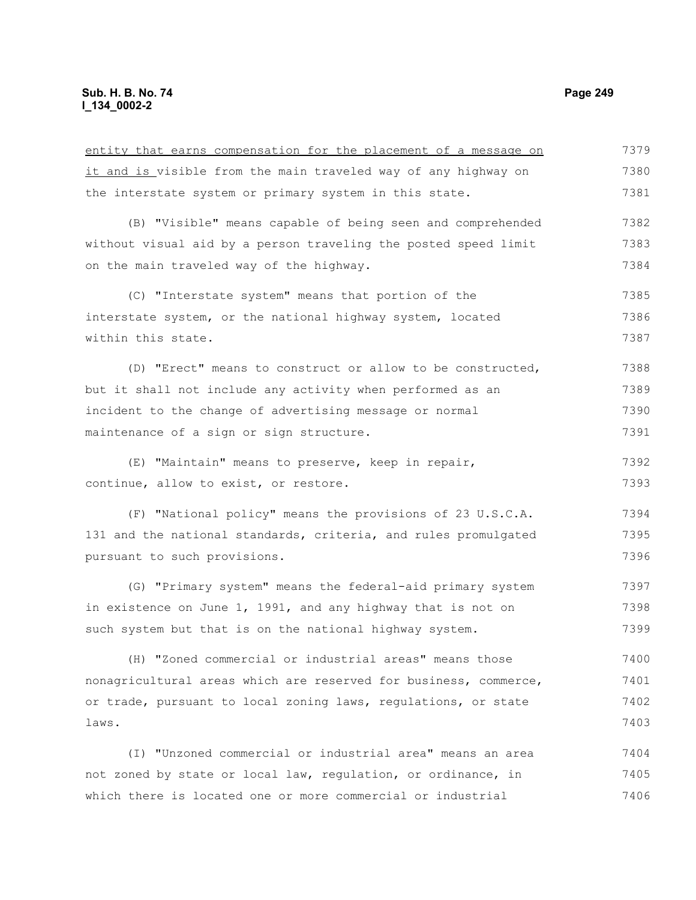| entity that earns compensation for the placement of a message on | 7379 |
|------------------------------------------------------------------|------|
| it and is visible from the main traveled way of any highway on   | 7380 |
| the interstate system or primary system in this state.           | 7381 |
| (B) "Visible" means capable of being seen and comprehended       | 7382 |
| without visual aid by a person traveling the posted speed limit  | 7383 |
| on the main traveled way of the highway.                         | 7384 |
| (C) "Interstate system" means that portion of the                | 7385 |
| interstate system, or the national highway system, located       | 7386 |
| within this state.                                               | 7387 |
| (D) "Erect" means to construct or allow to be constructed,       | 7388 |
| but it shall not include any activity when performed as an       | 7389 |
| incident to the change of advertising message or normal          | 7390 |
| maintenance of a sign or sign structure.                         | 7391 |
| (E) "Maintain" means to preserve, keep in repair,                | 7392 |
| continue, allow to exist, or restore.                            | 7393 |
| (F) "National policy" means the provisions of 23 U.S.C.A.        | 7394 |
| 131 and the national standards, criteria, and rules promulgated  | 7395 |
| pursuant to such provisions.                                     | 7396 |
| (G) "Primary system" means the federal-aid primary system        | 7397 |
| in existence on June 1, 1991, and any highway that is not on     | 7398 |
| such system but that is on the national highway system.          | 7399 |
| (H) "Zoned commercial or industrial areas" means those           | 7400 |
| nonagricultural areas which are reserved for business, commerce, | 7401 |
| or trade, pursuant to local zoning laws, regulations, or state   | 7402 |
| laws.                                                            | 7403 |
| (I) "Unzoned commercial or industrial area" means an area        | 7404 |
| not zoned by state or local law, regulation, or ordinance, in    | 7405 |
| which there is located one or more commercial or industrial      | 7406 |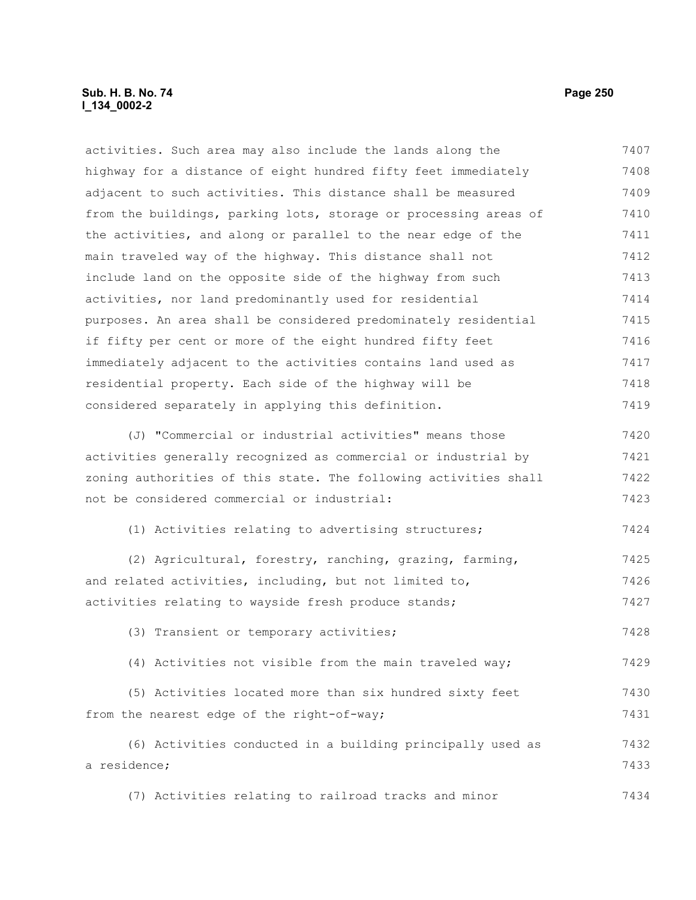# **Sub. H. B. No. 74** Page 250 **l\_134\_0002-2**

activities. Such area may also include the lands along the highway for a distance of eight hundred fifty feet immediately adjacent to such activities. This distance shall be measured from the buildings, parking lots, storage or processing areas of the activities, and along or parallel to the near edge of the main traveled way of the highway. This distance shall not include land on the opposite side of the highway from such activities, nor land predominantly used for residential purposes. An area shall be considered predominately residential if fifty per cent or more of the eight hundred fifty feet immediately adjacent to the activities contains land used as residential property. Each side of the highway will be considered separately in applying this definition. 7407 7408 7409 7410 7411 7412 7413 7414 7415 7416 7417 7418 7419

(J) "Commercial or industrial activities" means those activities generally recognized as commercial or industrial by zoning authorities of this state. The following activities shall not be considered commercial or industrial: 7420 7421 7422 7423

(1) Activities relating to advertising structures; 7424

(2) Agricultural, forestry, ranching, grazing, farming, and related activities, including, but not limited to, activities relating to wayside fresh produce stands; 7425 7426 7427

(3) Transient or temporary activities; (4) Activities not visible from the main traveled way; (5) Activities located more than six hundred sixty feet from the nearest edge of the right-of-way; (6) Activities conducted in a building principally used as a residence; 7428 7429 7430 7431 7432 7433

(7) Activities relating to railroad tracks and minor 7434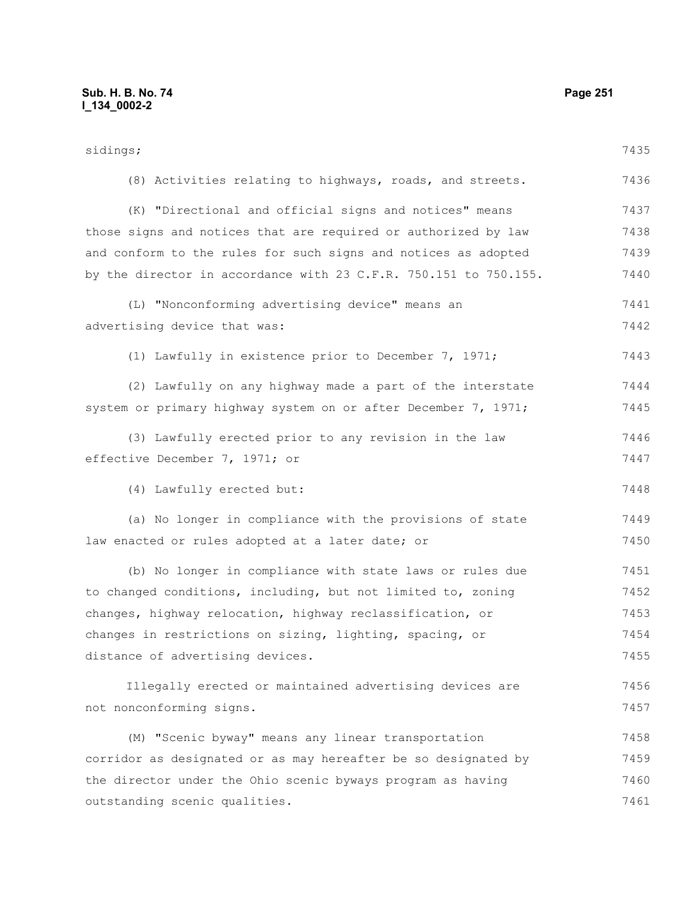outstanding scenic qualities.

sidings; (8) Activities relating to highways, roads, and streets. (K) "Directional and official signs and notices" means those signs and notices that are required or authorized by law and conform to the rules for such signs and notices as adopted by the director in accordance with 23 C.F.R. 750.151 to 750.155. (L) "Nonconforming advertising device" means an advertising device that was: (1) Lawfully in existence prior to December 7, 1971; (2) Lawfully on any highway made a part of the interstate system or primary highway system on or after December 7, 1971; (3) Lawfully erected prior to any revision in the law effective December 7, 1971; or (4) Lawfully erected but: (a) No longer in compliance with the provisions of state law enacted or rules adopted at a later date; or (b) No longer in compliance with state laws or rules due to changed conditions, including, but not limited to, zoning changes, highway relocation, highway reclassification, or changes in restrictions on sizing, lighting, spacing, or distance of advertising devices. Illegally erected or maintained advertising devices are not nonconforming signs. (M) "Scenic byway" means any linear transportation corridor as designated or as may hereafter be so designated by the director under the Ohio scenic byways program as having 7435 7436 7437 7438 7439 7440 7441 7442 7443 7444 7445 7446 7447 7448 7449 7450 7451 7452 7453 7454 7455 7456 7457 7458 7459 7460

7461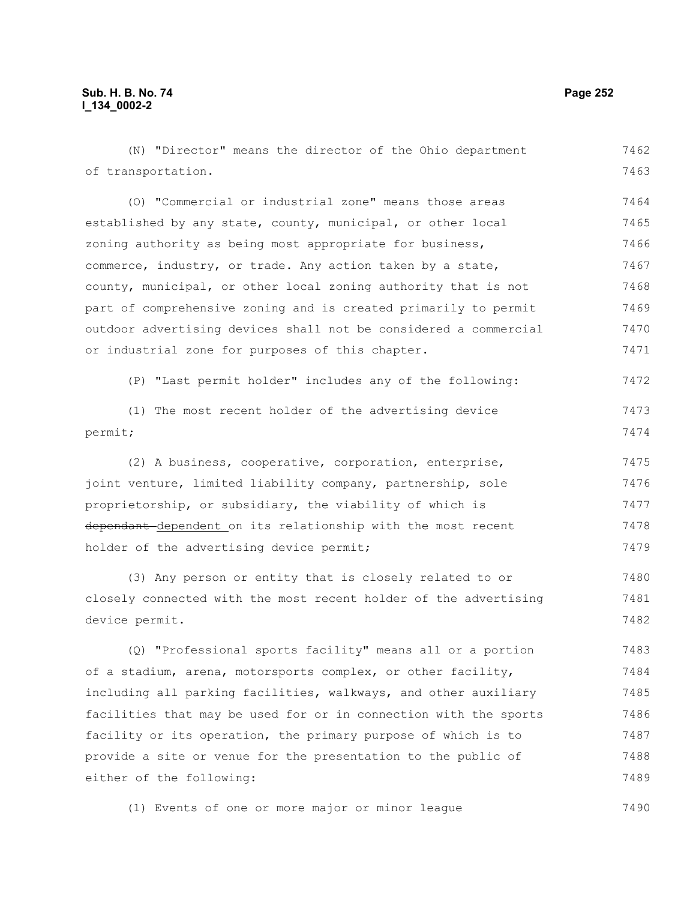| (N) "Director" means the director of the Ohio department         | 7462 |
|------------------------------------------------------------------|------|
| of transportation.                                               | 7463 |
| (0) "Commercial or industrial zone" means those areas            | 7464 |
| established by any state, county, municipal, or other local      | 7465 |
| zoning authority as being most appropriate for business,         | 7466 |
| commerce, industry, or trade. Any action taken by a state,       | 7467 |
| county, municipal, or other local zoning authority that is not   | 7468 |
| part of comprehensive zoning and is created primarily to permit  | 7469 |
| outdoor advertising devices shall not be considered a commercial | 7470 |
| or industrial zone for purposes of this chapter.                 | 7471 |
| (P) "Last permit holder" includes any of the following:          | 7472 |
| (1) The most recent holder of the advertising device             | 7473 |
| permit;                                                          | 7474 |
| (2) A business, cooperative, corporation, enterprise,            | 7475 |
| joint venture, limited liability company, partnership, sole      | 7476 |
| proprietorship, or subsidiary, the viability of which is         | 7477 |
| dependant dependent on its relationship with the most recent     | 7478 |
| holder of the advertising device permit;                         | 7479 |
| (3) Any person or entity that is closely related to or           | 7480 |
| closely connected with the most recent holder of the advertising | 7481 |
| device permit.                                                   | 7482 |
| (Q) "Professional sports facility" means all or a portion        | 7483 |
| of a stadium, arena, motorsports complex, or other facility,     | 7484 |
| including all parking facilities, walkways, and other auxiliary  | 7485 |
| facilities that may be used for or in connection with the sports | 7486 |
| facility or its operation, the primary purpose of which is to    | 7487 |
| provide a site or venue for the presentation to the public of    | 7488 |
| either of the following:                                         | 7489 |

(1) Events of one or more major or minor league 7490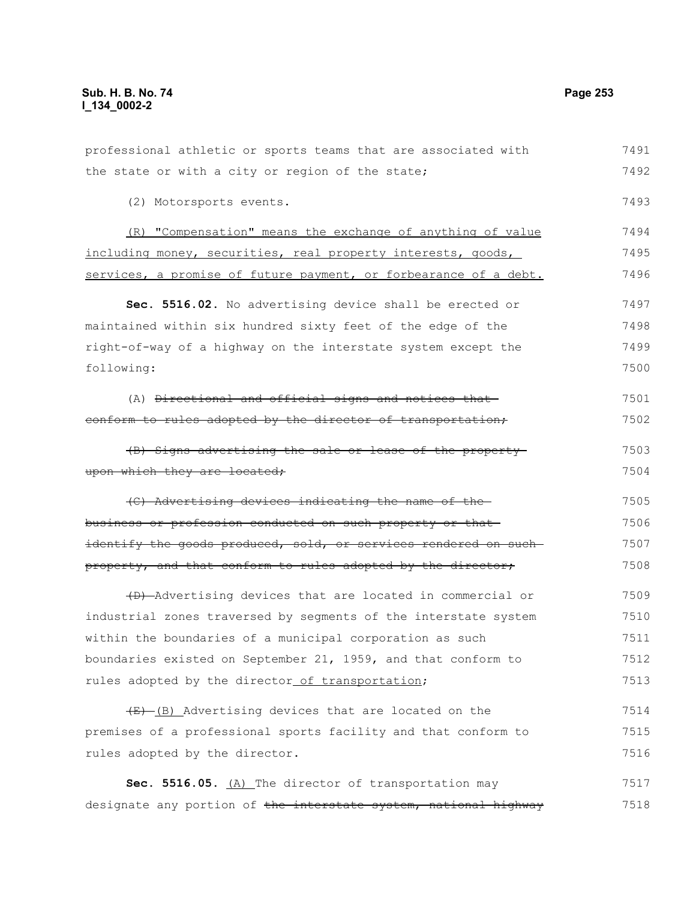### **Sub. H. B. No. 74** Page 253 **l\_134\_0002-2**

professional athletic or sports teams that are associated with the state or with a city or region of the state; (2) Motorsports events. (R) "Compensation" means the exchange of anything of value including money, securities, real property interests, goods, services, a promise of future payment, or forbearance of a debt. **Sec. 5516.02.** No advertising device shall be erected or maintained within six hundred sixty feet of the edge of the right-of-way of a highway on the interstate system except the following: (A) Directional and official signs and notices that conform to rules adopted by the director of transportation; (B) Signs advertising the sale or lease of the property upon which they are located; (C) Advertising devices indicating the name of the business or profession conducted on such property or that identify the goods produced, sold, or services rendered on suchproperty, and that conform to rules adopted by the director, (D) Advertising devices that are located in commercial or industrial zones traversed by segments of the interstate system within the boundaries of a municipal corporation as such boundaries existed on September 21, 1959, and that conform to rules adopted by the director of transportation;  $(E)$  (B) Advertising devices that are located on the premises of a professional sports facility and that conform to rules adopted by the director. **Sec. 5516.05.** (A) The director of transportation may 7491 7492 7493 7494 7495 7496 7497 7498 7499 7500 7501 7502 7503 7504 7505 7506 7507 7508 7509 7510 7511 7512 7513 7514 7515 7516 7517

designate any portion of the interstate system, national highway 7518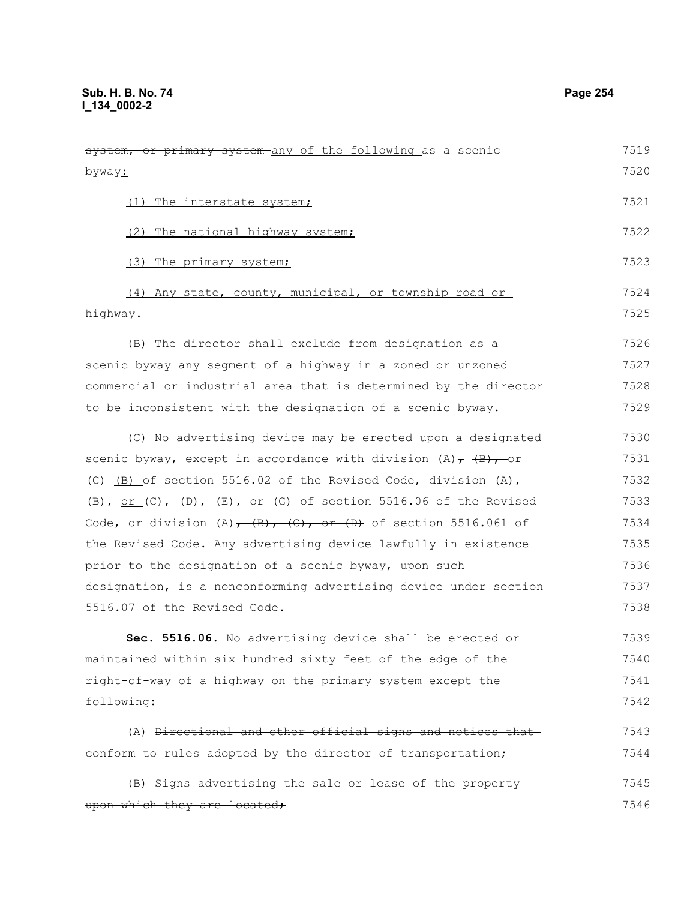| system, or primary system any of the following as a scenic                          | 7519 |
|-------------------------------------------------------------------------------------|------|
| byway:                                                                              | 7520 |
| (1) The interstate system;                                                          | 7521 |
| (2) The national highway system;                                                    | 7522 |
| (3) The primary system;                                                             | 7523 |
| (4) Any state, county, municipal, or township road or                               | 7524 |
| highway.                                                                            | 7525 |
| (B) The director shall exclude from designation as a                                | 7526 |
| scenic byway any segment of a highway in a zoned or unzoned                         | 7527 |
| commercial or industrial area that is determined by the director                    | 7528 |
| to be inconsistent with the designation of a scenic byway.                          | 7529 |
| (C) No advertising device may be erected upon a designated                          | 7530 |
| scenic byway, except in accordance with division $(A)$ $\tau$ $(\overline{B})$ , or | 7531 |
| $\overline{(C) - (B)}$ of section 5516.02 of the Revised Code, division (A),        | 7532 |
| (B), or $(C)$ , $(D)$ , $(E)$ , or $(G)$ of section 5516.06 of the Revised          | 7533 |
| Code, or division (A), $(B)$ , $(C)$ , or $(D)$ of section 5516.061 of              | 7534 |
| the Revised Code. Any advertising device lawfully in existence                      | 7535 |
| prior to the designation of a scenic byway, upon such                               | 7536 |
| designation, is a nonconforming advertising device under section                    | 7537 |
| 5516.07 of the Revised Code.                                                        | 7538 |
| Sec. 5516.06. No advertising device shall be erected or                             | 7539 |
| maintained within six hundred sixty feet of the edge of the                         | 7540 |
| right-of-way of a highway on the primary system except the                          | 7541 |
| following:                                                                          | 7542 |
| (A) Directional and other official signs and notices that                           | 7543 |
| conform to rules adopted by the director of transportation,                         | 7544 |
| (B) Signs advertising the sale or lease of the property                             | 7545 |
| upon which they are located;                                                        | 7546 |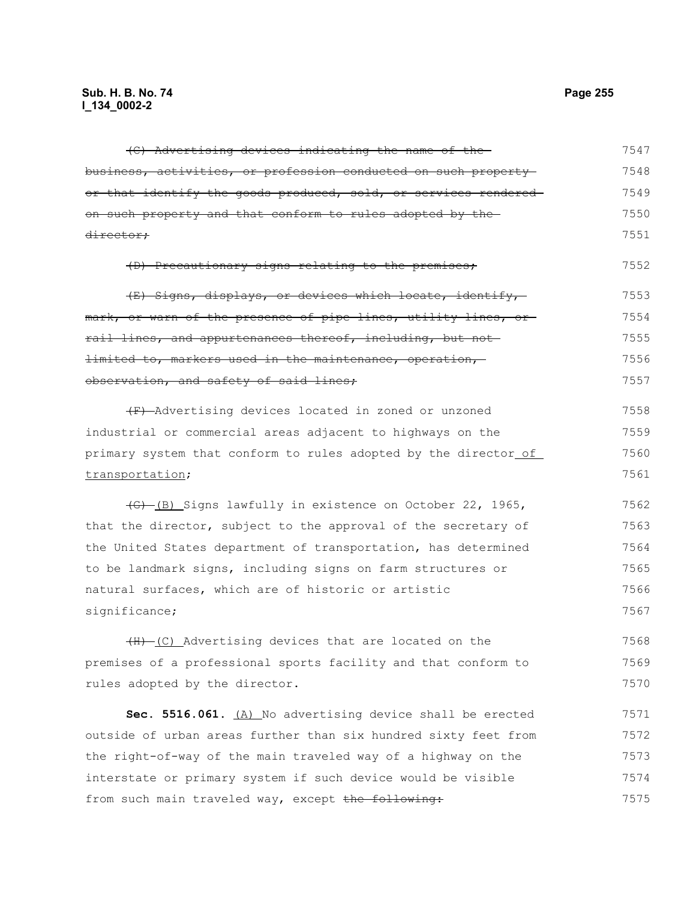(C) Advertising devices indicating the name of the business, activities, or profession conducted on such property or that identify the goods produced, sold, or services rendered on such property and that conform to rules adopted by the director; (D) Precautionary signs relating to the premises; (E) Signs, displays, or devices which locate, identify, mark, or warn of the presence of pipe lines, utility lines, or rail lines, and appurtenances thereof, including, but not limited to, markers used in the maintenance, operation, observation, and safety of said lines; (F) Advertising devices located in zoned or unzoned industrial or commercial areas adjacent to highways on the primary system that conform to rules adopted by the director of transportation; (G) (B) Signs lawfully in existence on October 22, 1965, that the director, subject to the approval of the secretary of the United States department of transportation, has determined to be landmark signs, including signs on farm structures or natural surfaces, which are of historic or artistic significance;  $(H)$  (C) Advertising devices that are located on the premises of a professional sports facility and that conform to rules adopted by the director. **Sec. 5516.061.** (A) No advertising device shall be erected outside of urban areas further than six hundred sixty feet from the right-of-way of the main traveled way of a highway on the interstate or primary system if such device would be visible from such main traveled way, except the following: 7548 7549 7550 7551 7552 7553 7554 7555 7556 7557 7558 7559 7560 7561 7562 7563 7564 7565 7566 7567 7568 7569 7570 7571 7572 7573 7574 7575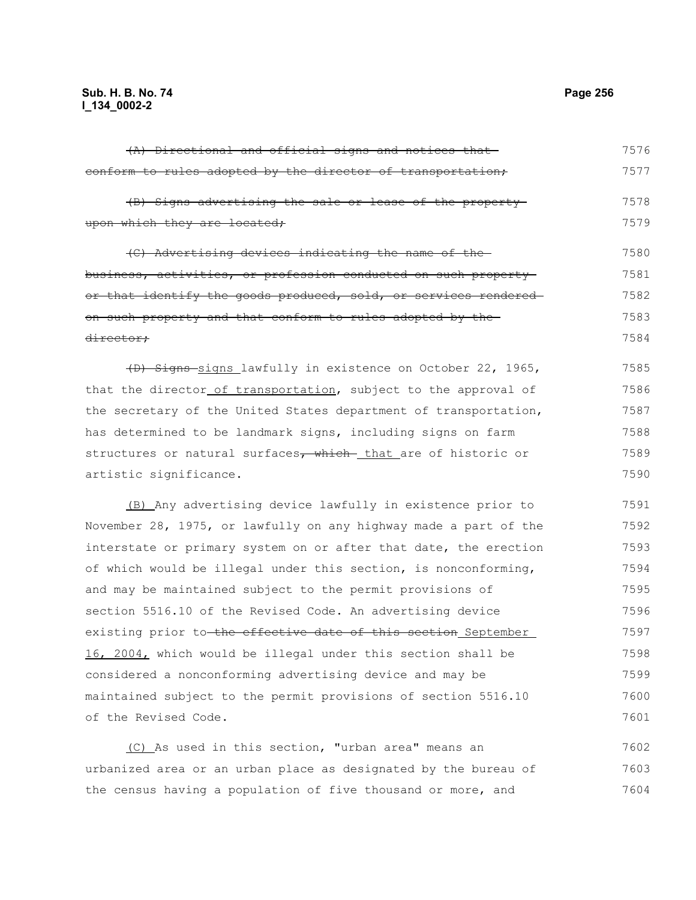(A) Directional and official signs and notices that conform to rules adopted by the director of transportation; (B) Signs advertising the sale or lease of the property upon which they are located; (C) Advertising devices indicating the name of the business, activities, or profession conducted on such property or that identify the goods produced, sold, or services rendered on such property and that conform to rules adopted by the director; (D) Signs signs lawfully in existence on October 22, 1965, that the director of transportation, subject to the approval of the secretary of the United States department of transportation, has determined to be landmark signs, including signs on farm structures or natural surfaces, which-that are of historic or artistic significance. (B) Any advertising device lawfully in existence prior to November 28, 1975, or lawfully on any highway made a part of the interstate or primary system on or after that date, the erection of which would be illegal under this section, is nonconforming, and may be maintained subject to the permit provisions of section 5516.10 of the Revised Code. An advertising device existing prior to the effective date of this section September 16, 2004, which would be illegal under this section shall be considered a nonconforming advertising device and may be maintained subject to the permit provisions of section 5516.10 of the Revised Code. (C) As used in this section, "urban area" means an urbanized area or an urban place as designated by the bureau of 7576 7577 7578 7579 7580 7581 7582 7583 7584 7585 7586 7587 7588 7589 7590 7591 7592 7593 7594 7595 7596 7597 7598 7599 7600 7601 7602 7603

the census having a population of five thousand or more, and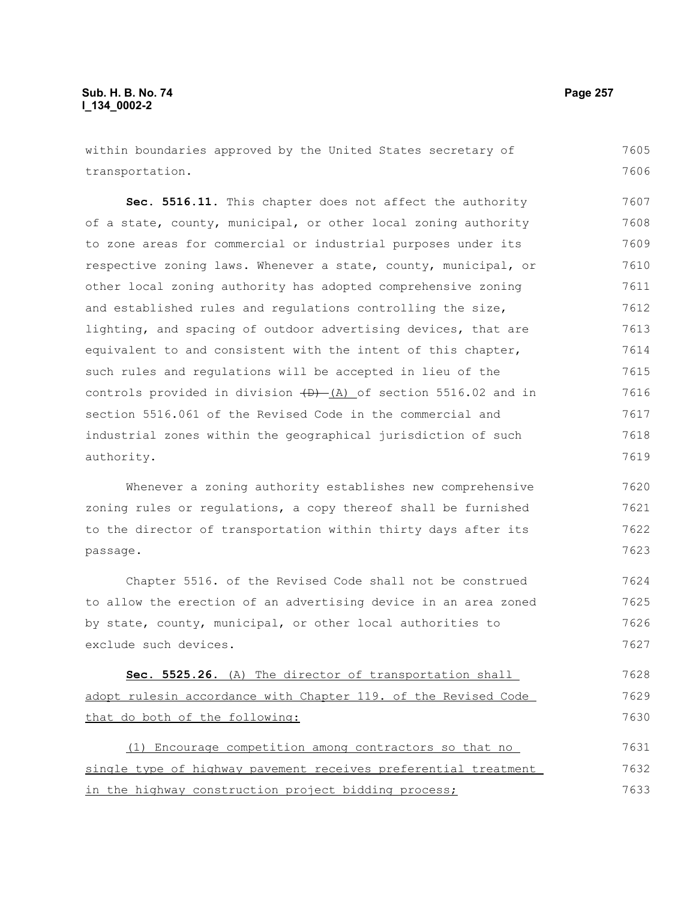within boundaries approved by the United States secretary of transportation. 7605 7606

**Sec. 5516.11.** This chapter does not affect the authority of a state, county, municipal, or other local zoning authority to zone areas for commercial or industrial purposes under its respective zoning laws. Whenever a state, county, municipal, or other local zoning authority has adopted comprehensive zoning and established rules and regulations controlling the size, lighting, and spacing of outdoor advertising devices, that are equivalent to and consistent with the intent of this chapter, such rules and regulations will be accepted in lieu of the controls provided in division  $(D)$  (A) of section 5516.02 and in section 5516.061 of the Revised Code in the commercial and industrial zones within the geographical jurisdiction of such authority. 7607 7608 7609 7610 7611 7612 7613 7614 7615 7616 7617 7618 7619

Whenever a zoning authority establishes new comprehensive zoning rules or regulations, a copy thereof shall be furnished to the director of transportation within thirty days after its passage. 7620 7621 7622 7623

Chapter 5516. of the Revised Code shall not be construed to allow the erection of an advertising device in an area zoned by state, county, municipal, or other local authorities to exclude such devices. 7624 7625 7626 7627

Sec. 5525.26. (A) The director of transportation shall adopt rulesin accordance with Chapter 119. of the Revised Code that do both of the following: 7628 7629 7630

(1) Encourage competition among contractors so that no single type of highway pavement receives preferential treatment in the highway construction project bidding process; 7631 7632 7633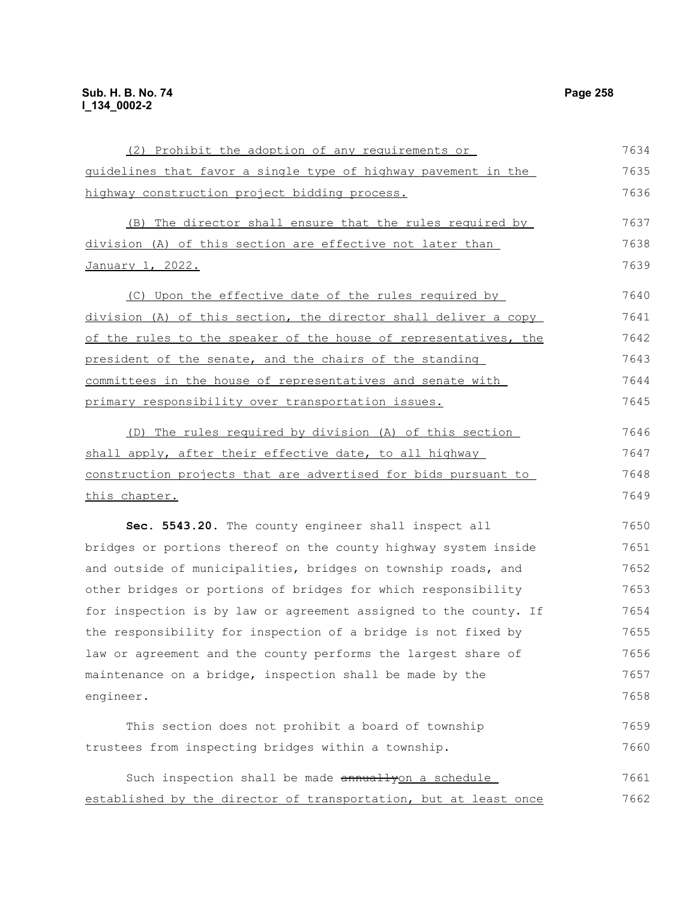guidelines that favor a single type of highway pavement in the highway construction project bidding process. (B) The director shall ensure that the rules required by division (A) of this section are effective not later than January 1, 2022. (C) Upon the effective date of the rules required by division (A) of this section, the director shall deliver a copy of the rules to the speaker of the house of representatives, the president of the senate, and the chairs of the standing committees in the house of representatives and senate with primary responsibility over transportation issues. (D) The rules required by division (A) of this section shall apply, after their effective date, to all highway construction projects that are advertised for bids pursuant to this chapter. **Sec. 5543.20.** The county engineer shall inspect all bridges or portions thereof on the county highway system inside and outside of municipalities, bridges on township roads, and other bridges or portions of bridges for which responsibility for inspection is by law or agreement assigned to the county. If the responsibility for inspection of a bridge is not fixed by law or agreement and the county performs the largest share of maintenance on a bridge, inspection shall be made by the engineer. This section does not prohibit a board of township trustees from inspecting bridges within a township. Such inspection shall be made annuallyon a schedule established by the director of transportation, but at least once 7635 7636 7637 7638 7639 7640 7641 7642 7643 7644 7645 7646 7647 7648 7649 7650 7651 7652 7653 7654 7655 7656 7657 7658 7659 7660 7661 7662

(2) Prohibit the adoption of any requirements or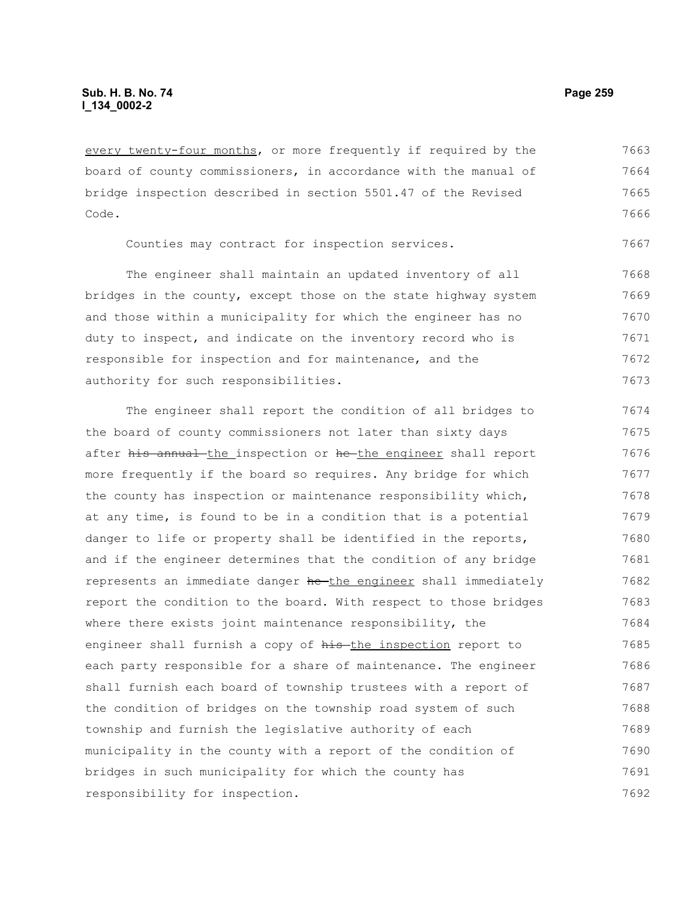every twenty-four months, or more frequently if required by the board of county commissioners, in accordance with the manual of bridge inspection described in section 5501.47 of the Revised Code. 7663 7664 7665 7666

Counties may contract for inspection services.

The engineer shall maintain an updated inventory of all bridges in the county, except those on the state highway system and those within a municipality for which the engineer has no duty to inspect, and indicate on the inventory record who is responsible for inspection and for maintenance, and the authority for such responsibilities. 7668 7669 7670 7671 7672 7673

The engineer shall report the condition of all bridges to the board of county commissioners not later than sixty days after his annual the inspection or he the engineer shall report more frequently if the board so requires. Any bridge for which the county has inspection or maintenance responsibility which, at any time, is found to be in a condition that is a potential danger to life or property shall be identified in the reports, and if the engineer determines that the condition of any bridge represents an immediate danger he-the engineer shall immediately report the condition to the board. With respect to those bridges where there exists joint maintenance responsibility, the engineer shall furnish a copy of his-the inspection report to each party responsible for a share of maintenance. The engineer shall furnish each board of township trustees with a report of the condition of bridges on the township road system of such township and furnish the legislative authority of each municipality in the county with a report of the condition of bridges in such municipality for which the county has responsibility for inspection. 7674 7675 7676 7677 7678 7679 7680 7681 7682 7683 7684 7685 7686 7687 7688 7689 7690 7691 7692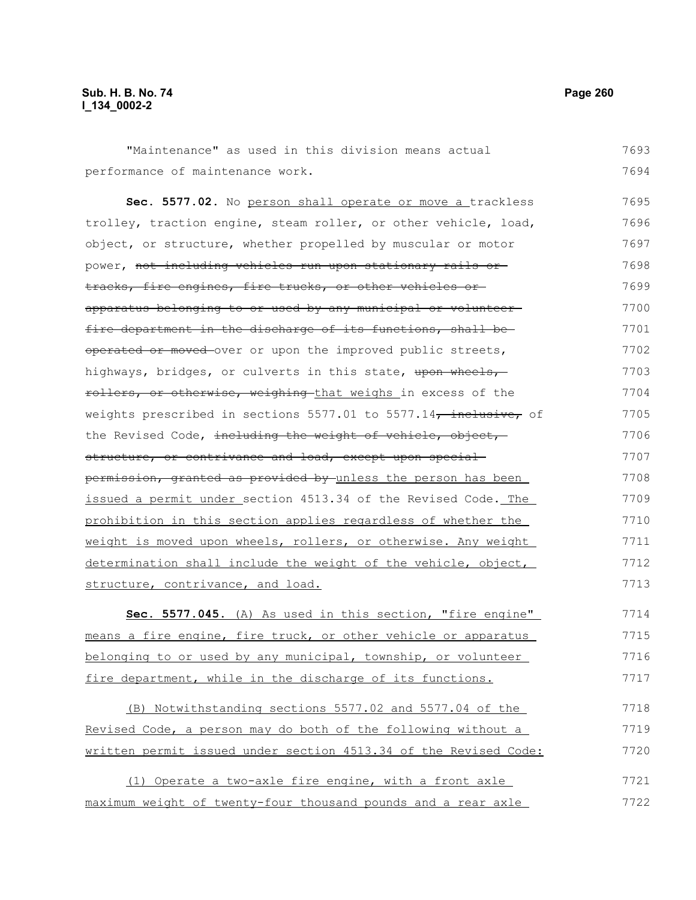# **Sub. H. B. No. 74 Page 260 l\_134\_0002-2**

"Maintenance" as used in this division means actual performance of maintenance work. 7693 7694

**Sec. 5577.02.** No person shall operate or move a trackless trolley, traction engine, steam roller, or other vehicle, load, object, or structure, whether propelled by muscular or motor power, not including vehicles run upon stationary rails or tracks, fire engines, fire trucks, or other vehicles or apparatus belonging to or used by any municipal or volunteer fire department in the discharge of its functions, shall beoperated or moved-over or upon the improved public streets, highways, bridges, or culverts in this state, upon wheels, rollers, or otherwise, weighing that weighs in excess of the weights prescribed in sections  $5577.01$  to  $5577.14$ , inclusive, of the Revised Code, including the weight of vehicle, object, structure, or contrivance and load, except upon specialpermission, granted as provided by unless the person has been issued a permit under section 4513.34 of the Revised Code. The prohibition in this section applies regardless of whether the weight is moved upon wheels, rollers, or otherwise. Any weight determination shall include the weight of the vehicle, object, structure, contrivance, and load. 7695 7696 7697 7698 7699 7700 7701 7702 7703 7704 7705 7706 7707 7708 7709 7710 7711 7712 7713

 **Sec. 5577.045.** (A) As used in this section, "fire engine" means a fire engine, fire truck, or other vehicle or apparatus belonging to or used by any municipal, township, or volunteer fire department, while in the discharge of its functions. 7714 7715 7716 7717

(B) Notwithstanding sections 5577.02 and 5577.04 of the Revised Code, a person may do both of the following without a written permit issued under section 4513.34 of the Revised Code: 7718 7719 7720

(1) Operate a two-axle fire engine, with a front axle maximum weight of twenty-four thousand pounds and a rear axle 7721 7722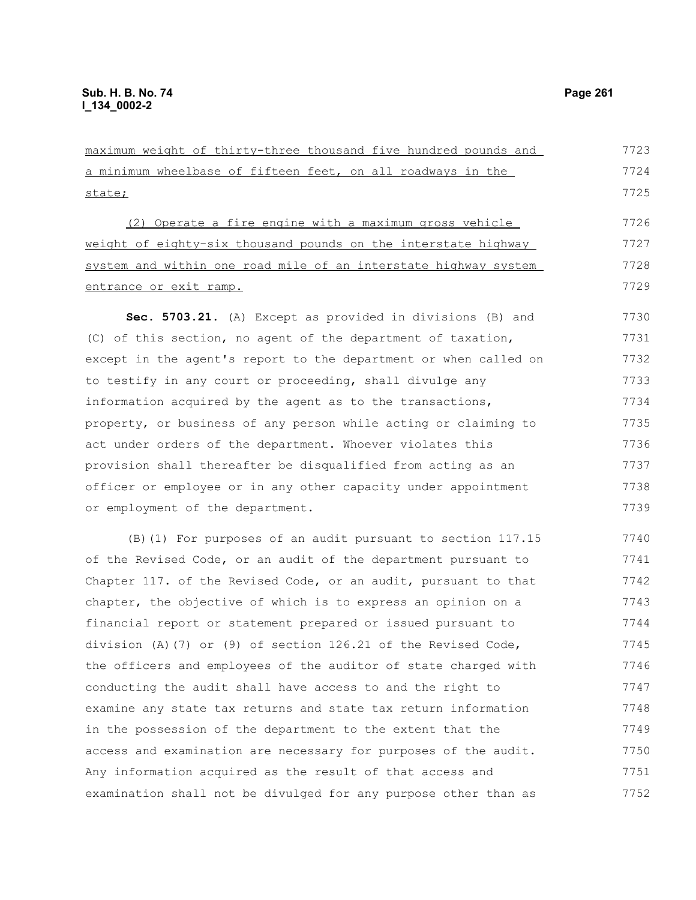maximum weight of thirty-three thousand five hundred pounds and a minimum wheelbase of fifteen feet, on all roadways in the state; (2) Operate a fire engine with a maximum gross vehicle weight of eighty-six thousand pounds on the interstate highway system and within one road mile of an interstate highway system entrance or exit ramp. **Sec. 5703.21.** (A) Except as provided in divisions (B) and (C) of this section, no agent of the department of taxation, except in the agent's report to the department or when called on to testify in any court or proceeding, shall divulge any information acquired by the agent as to the transactions, property, or business of any person while acting or claiming to act under orders of the department. Whoever violates this provision shall thereafter be disqualified from acting as an officer or employee or in any other capacity under appointment or employment of the department. (B)(1) For purposes of an audit pursuant to section 117.15 of the Revised Code, or an audit of the department pursuant to Chapter 117. of the Revised Code, or an audit, pursuant to that chapter, the objective of which is to express an opinion on a financial report or statement prepared or issued pursuant to division (A)(7) or (9) of section  $126.21$  of the Revised Code, the officers and employees of the auditor of state charged with conducting the audit shall have access to and the right to examine any state tax returns and state tax return information 7723 7724 7725 7726 7727 7728 7729 7730 7731 7732 7733 7734 7735 7736 7737 7738 7739 7740 7741 7742 7743 7744 7745 7746 7747 7748

in the possession of the department to the extent that the access and examination are necessary for purposes of the audit. Any information acquired as the result of that access and examination shall not be divulged for any purpose other than as 7749 7750 7751 7752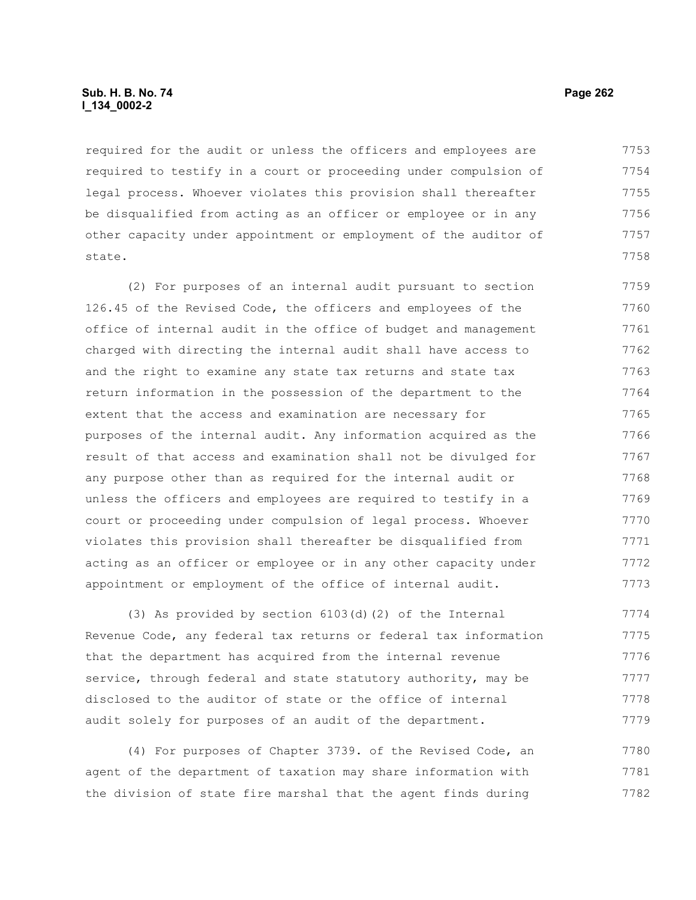#### **Sub. H. B. No. 74** Page 262 **l\_134\_0002-2**

required for the audit or unless the officers and employees are required to testify in a court or proceeding under compulsion of legal process. Whoever violates this provision shall thereafter be disqualified from acting as an officer or employee or in any other capacity under appointment or employment of the auditor of state. 7753 7754 7755 7756 7757 7758

(2) For purposes of an internal audit pursuant to section 126.45 of the Revised Code, the officers and employees of the office of internal audit in the office of budget and management charged with directing the internal audit shall have access to and the right to examine any state tax returns and state tax return information in the possession of the department to the extent that the access and examination are necessary for purposes of the internal audit. Any information acquired as the result of that access and examination shall not be divulged for any purpose other than as required for the internal audit or unless the officers and employees are required to testify in a court or proceeding under compulsion of legal process. Whoever violates this provision shall thereafter be disqualified from acting as an officer or employee or in any other capacity under appointment or employment of the office of internal audit. 7759 7760 7761 7762 7763 7764 7765 7766 7767 7768 7769 7770 7771 7772 7773

(3) As provided by section 6103(d)(2) of the Internal Revenue Code, any federal tax returns or federal tax information that the department has acquired from the internal revenue service, through federal and state statutory authority, may be disclosed to the auditor of state or the office of internal audit solely for purposes of an audit of the department. 7774 7775 7776 7777 7778 7779

(4) For purposes of Chapter 3739. of the Revised Code, an agent of the department of taxation may share information with the division of state fire marshal that the agent finds during 7780 7781 7782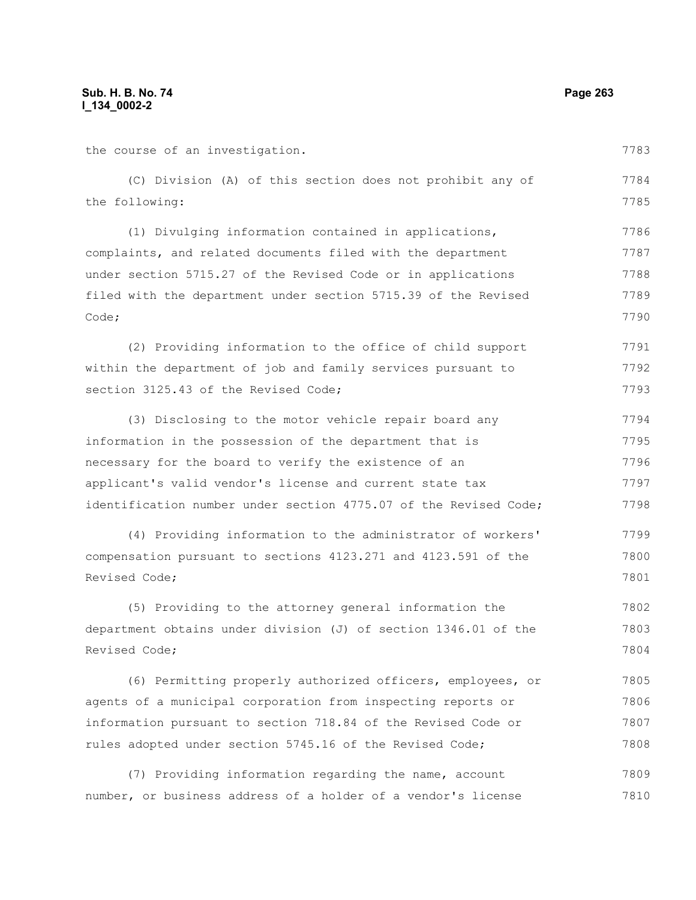| the course of an investigation.                                  | 7783 |
|------------------------------------------------------------------|------|
| (C) Division (A) of this section does not prohibit any of        | 7784 |
| the following:                                                   | 7785 |
| (1) Divulging information contained in applications,             | 7786 |
| complaints, and related documents filed with the department      | 7787 |
| under section 5715.27 of the Revised Code or in applications     | 7788 |
| filed with the department under section 5715.39 of the Revised   | 7789 |
| Code;                                                            | 7790 |
| (2) Providing information to the office of child support         | 7791 |
| within the department of job and family services pursuant to     | 7792 |
| section 3125.43 of the Revised Code;                             | 7793 |
| (3) Disclosing to the motor vehicle repair board any             | 7794 |
| information in the possession of the department that is          | 7795 |
| necessary for the board to verify the existence of an            | 7796 |
| applicant's valid vendor's license and current state tax         | 7797 |
| identification number under section 4775.07 of the Revised Code; | 7798 |
| (4) Providing information to the administrator of workers'       | 7799 |
| compensation pursuant to sections 4123.271 and 4123.591 of the   | 7800 |
| Revised Code;                                                    | 7801 |
| (5) Providing to the attorney general information the            | 7802 |
| department obtains under division (J) of section 1346.01 of the  | 7803 |
| Revised Code;                                                    | 7804 |
| (6) Permitting properly authorized officers, employees, or       | 7805 |
| agents of a municipal corporation from inspecting reports or     | 7806 |
| information pursuant to section 718.84 of the Revised Code or    | 7807 |
| rules adopted under section 5745.16 of the Revised Code;         | 7808 |
| (7) Providing information regarding the name, account            | 7809 |

number, or business address of a holder of a vendor's license 7810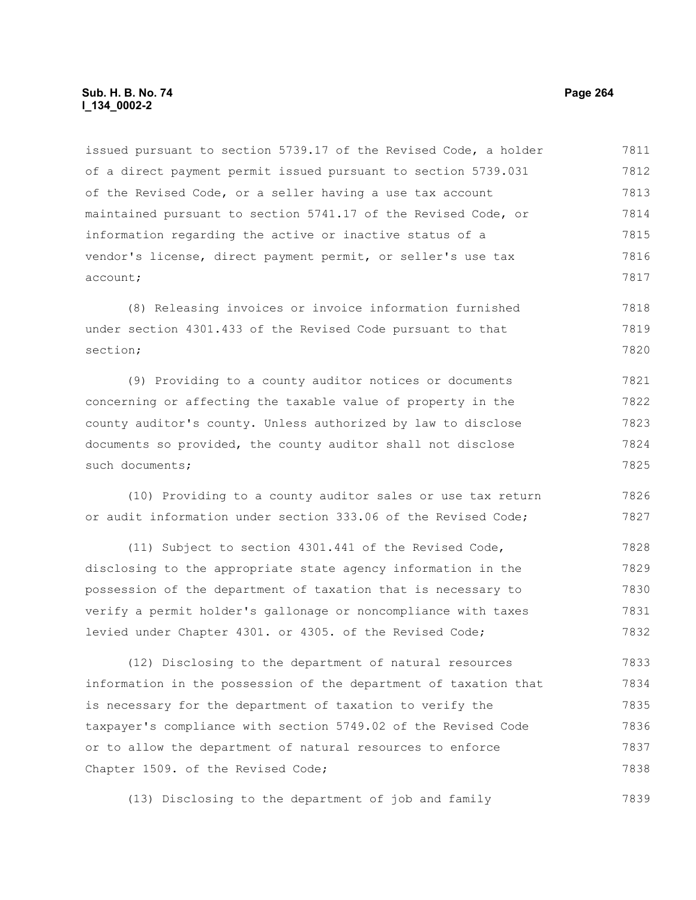### **Sub. H. B. No. 74** Page 264 **l\_134\_0002-2**

issued pursuant to section 5739.17 of the Revised Code, a holder of a direct payment permit issued pursuant to section 5739.031 of the Revised Code, or a seller having a use tax account maintained pursuant to section 5741.17 of the Revised Code, or information regarding the active or inactive status of a vendor's license, direct payment permit, or seller's use tax account; 7811 7812 7813 7814 7815 7816 7817

(8) Releasing invoices or invoice information furnished under section 4301.433 of the Revised Code pursuant to that section; 7818 7819 7820

(9) Providing to a county auditor notices or documents concerning or affecting the taxable value of property in the county auditor's county. Unless authorized by law to disclose documents so provided, the county auditor shall not disclose such documents; 7821 7822 7823 7824 7825

(10) Providing to a county auditor sales or use tax return or audit information under section 333.06 of the Revised Code; 7826 7827

(11) Subject to section 4301.441 of the Revised Code, disclosing to the appropriate state agency information in the possession of the department of taxation that is necessary to verify a permit holder's gallonage or noncompliance with taxes levied under Chapter 4301. or 4305. of the Revised Code; 7828 7829 7830 7831 7832

(12) Disclosing to the department of natural resources information in the possession of the department of taxation that is necessary for the department of taxation to verify the taxpayer's compliance with section 5749.02 of the Revised Code or to allow the department of natural resources to enforce Chapter 1509. of the Revised Code; 7833 7834 7835 7836 7837 7838

(13) Disclosing to the department of job and family 7839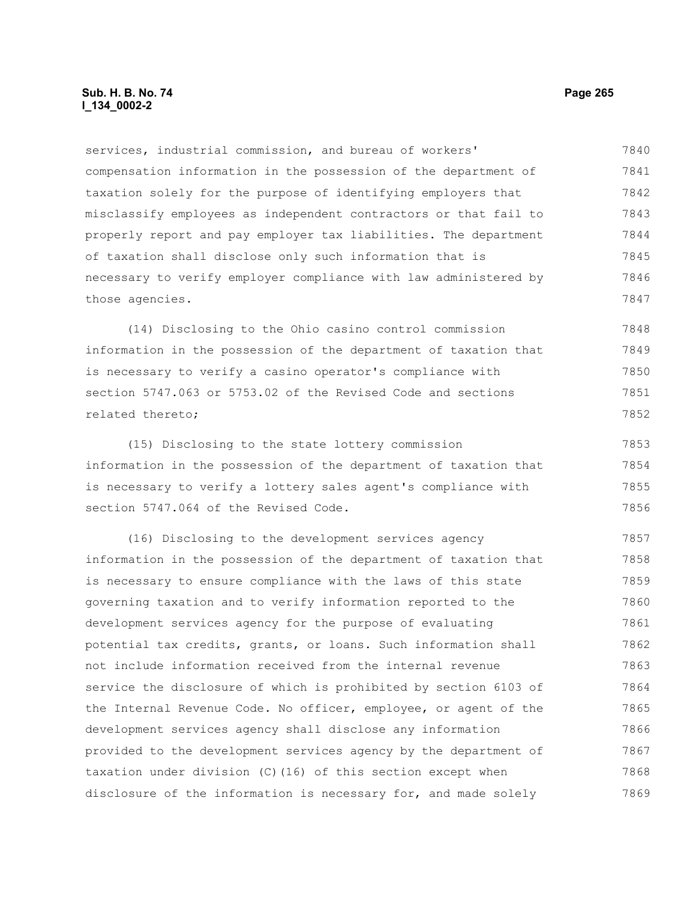#### **Sub. H. B. No. 74** Page 265 **l\_134\_0002-2**

services, industrial commission, and bureau of workers' compensation information in the possession of the department of taxation solely for the purpose of identifying employers that misclassify employees as independent contractors or that fail to properly report and pay employer tax liabilities. The department of taxation shall disclose only such information that is necessary to verify employer compliance with law administered by those agencies. 7840 7841 7842 7843 7844 7845 7846 7847

(14) Disclosing to the Ohio casino control commission information in the possession of the department of taxation that is necessary to verify a casino operator's compliance with section 5747.063 or 5753.02 of the Revised Code and sections related thereto; 7848 7849 7850 7851 7852

(15) Disclosing to the state lottery commission information in the possession of the department of taxation that is necessary to verify a lottery sales agent's compliance with section 5747.064 of the Revised Code. 7853 7854 7855 7856

(16) Disclosing to the development services agency information in the possession of the department of taxation that is necessary to ensure compliance with the laws of this state governing taxation and to verify information reported to the development services agency for the purpose of evaluating potential tax credits, grants, or loans. Such information shall not include information received from the internal revenue service the disclosure of which is prohibited by section 6103 of the Internal Revenue Code. No officer, employee, or agent of the development services agency shall disclose any information provided to the development services agency by the department of taxation under division (C)(16) of this section except when disclosure of the information is necessary for, and made solely 7857 7858 7859 7860 7861 7862 7863 7864 7865 7866 7867 7868 7869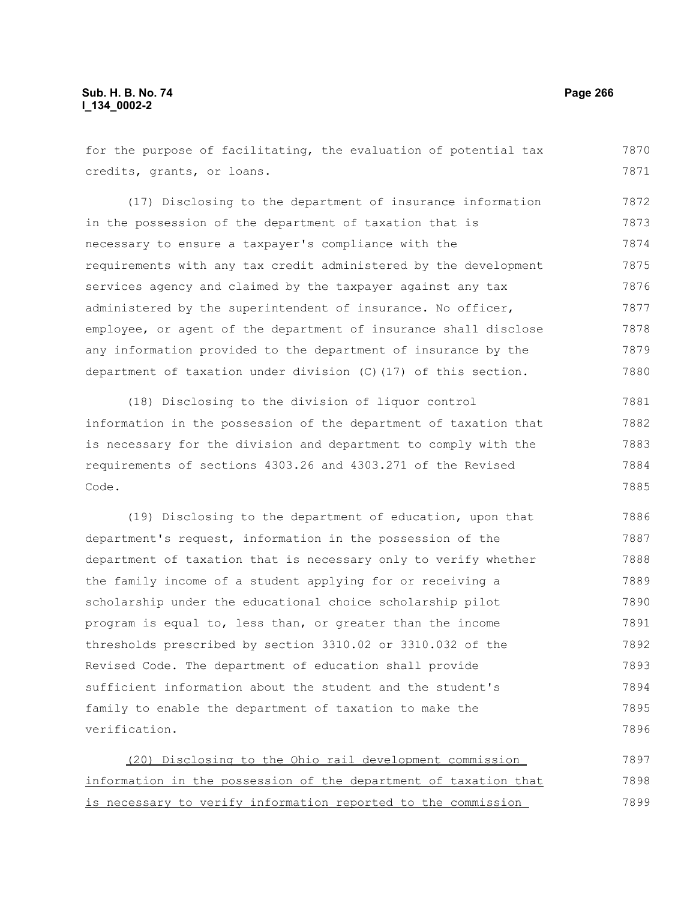for the purpose of facilitating, the evaluation of potential tax credits, grants, or loans. 7870 7871

(17) Disclosing to the department of insurance information in the possession of the department of taxation that is necessary to ensure a taxpayer's compliance with the requirements with any tax credit administered by the development services agency and claimed by the taxpayer against any tax administered by the superintendent of insurance. No officer, employee, or agent of the department of insurance shall disclose any information provided to the department of insurance by the department of taxation under division (C)(17) of this section. 7872 7873 7874 7875 7876 7877 7878 7879 7880

(18) Disclosing to the division of liquor control information in the possession of the department of taxation that is necessary for the division and department to comply with the requirements of sections 4303.26 and 4303.271 of the Revised Code. 7881 7882 7883 7884 7885

(19) Disclosing to the department of education, upon that department's request, information in the possession of the department of taxation that is necessary only to verify whether the family income of a student applying for or receiving a scholarship under the educational choice scholarship pilot program is equal to, less than, or greater than the income thresholds prescribed by section 3310.02 or 3310.032 of the Revised Code. The department of education shall provide sufficient information about the student and the student's family to enable the department of taxation to make the verification. 7886 7887 7888 7889 7890 7891 7892 7893 7894 7895 7896

(20) Disclosing to the Ohio rail development commission information in the possession of the department of taxation that is necessary to verify information reported to the commission 7897 7898 7899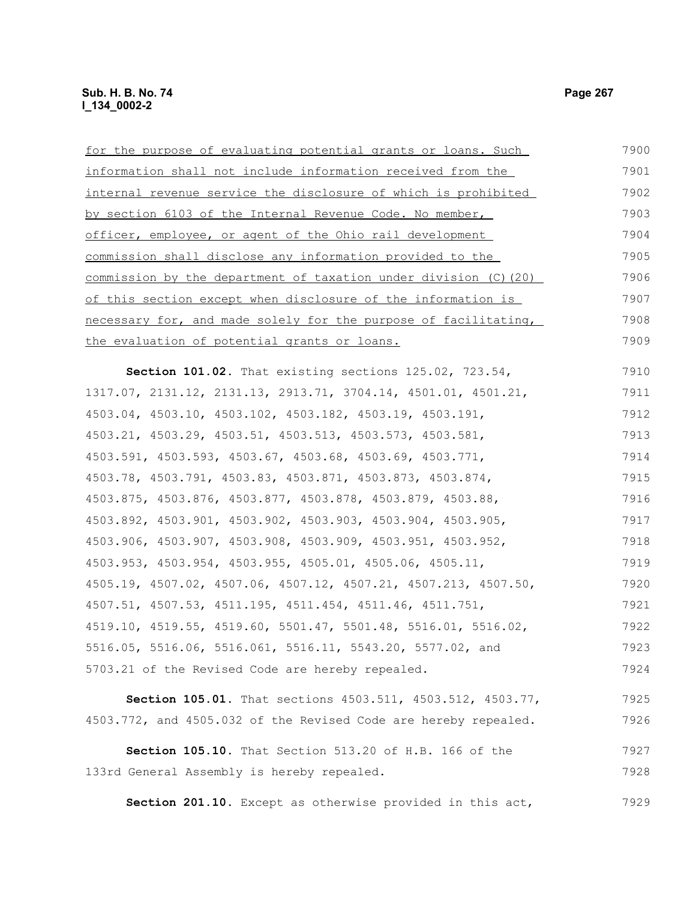for the purpose of evaluating potential grants or loans. Such information shall not include information received from the internal revenue service the disclosure of which is prohibited by section 6103 of the Internal Revenue Code. No member, officer, employee, or agent of the Ohio rail development commission shall disclose any information provided to the commission by the department of taxation under division (C)(20) of this section except when disclosure of the information is necessary for, and made solely for the purpose of facilitating, the evaluation of potential grants or loans. **Section 101.02.** That existing sections 125.02, 723.54, 1317.07, 2131.12, 2131.13, 2913.71, 3704.14, 4501.01, 4501.21, 4503.04, 4503.10, 4503.102, 4503.182, 4503.19, 4503.191, 4503.21, 4503.29, 4503.51, 4503.513, 4503.573, 4503.581, 4503.591, 4503.593, 4503.67, 4503.68, 4503.69, 4503.771, 4503.78, 4503.791, 4503.83, 4503.871, 4503.873, 4503.874, 4503.875, 4503.876, 4503.877, 4503.878, 4503.879, 4503.88, 4503.892, 4503.901, 4503.902, 4503.903, 4503.904, 4503.905, 4503.906, 4503.907, 4503.908, 4503.909, 4503.951, 4503.952, 4503.953, 4503.954, 4503.955, 4505.01, 4505.06, 4505.11, 4505.19, 4507.02, 4507.06, 4507.12, 4507.21, 4507.213, 4507.50, 4507.51, 4507.53, 4511.195, 4511.454, 4511.46, 4511.751, 4519.10, 4519.55, 4519.60, 5501.47, 5501.48, 5516.01, 5516.02, 5516.05, 5516.06, 5516.061, 5516.11, 5543.20, 5577.02, and 5703.21 of the Revised Code are hereby repealed. **Section 105.01.** That sections 4503.511, 4503.512, 4503.77, 4503.772, and 4505.032 of the Revised Code are hereby repealed. **Section 105.10.** That Section 513.20 of H.B. 166 of the 133rd General Assembly is hereby repealed. 7900 7901 7902 7903 7904 7905 7906 7907 7908 7909 7910 7911 7912 7913 7914 7915 7916 7917 7918 7919 7920 7921 7922 7923 7924 7925 7926 7927 7928

**Section 201.10.** Except as otherwise provided in this act, 7929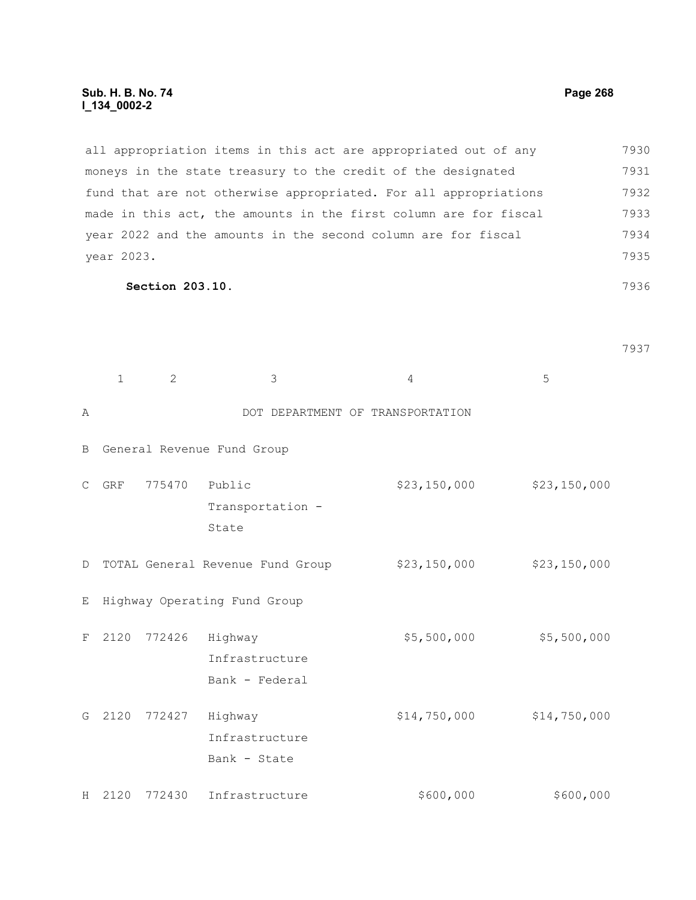# **Sub. H. B. No. 74 Page 268 l\_134\_0002-2**

all appropriation items in this act are appropriated out of any moneys in the state treasury to the credit of the designated fund that are not otherwise appropriated. For all appropriations made in this act, the amounts in the first column are for fiscal year 2022 and the amounts in the second column are for fiscal year 2023. 7930 7931 7932 7933 7934 7935

**Section 203.10.** 

7937

|               | $\mathbf{1}$ | $\overline{2}$ | 3                                           | 4                                | 5            |
|---------------|--------------|----------------|---------------------------------------------|----------------------------------|--------------|
| Α             |              |                |                                             | DOT DEPARTMENT OF TRANSPORTATION |              |
| B             |              |                | General Revenue Fund Group                  |                                  |              |
| $\mathcal{C}$ | GRF          | 775470 Public  | Transportation -<br>State                   | \$23,150,000                     | \$23,150,000 |
|               |              |                | D TOTAL General Revenue Fund Group          | \$23,150,000                     | \$23,150,000 |
| Е             |              |                | Highway Operating Fund Group                |                                  |              |
| $\mathbf F$   |              | 2120 772426    | Highway<br>Infrastructure<br>Bank - Federal | \$5,500,000                      | \$5,500,000  |
| G             |              | 2120 772427    | Highway<br>Infrastructure<br>Bank - State   | \$14,750,000                     | \$14,750,000 |
| H             | 2120         | 772430         | Infrastructure                              | \$600,000                        | \$600,000    |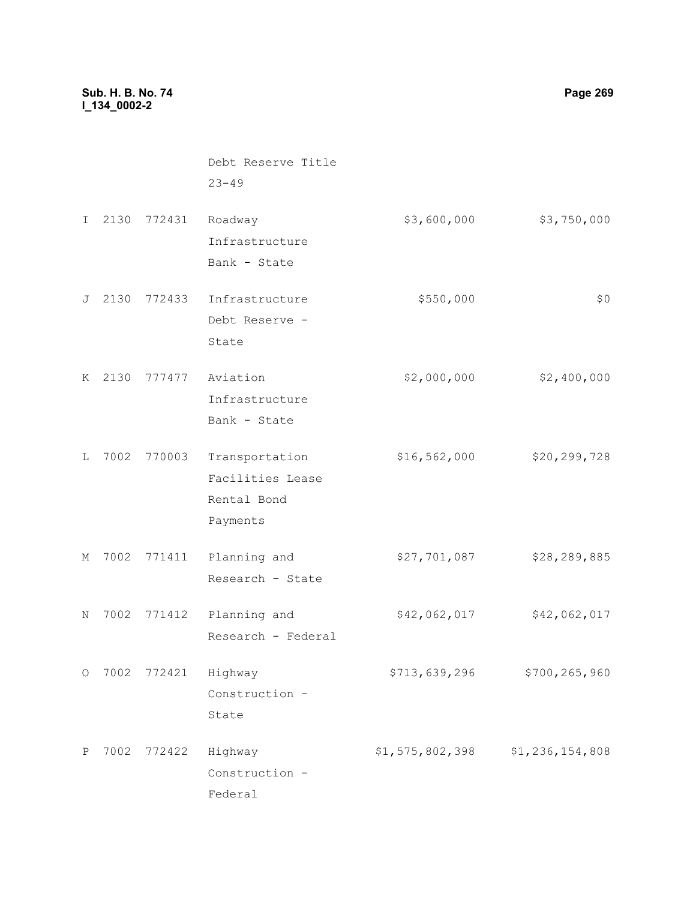|           |      |                     | Debt Reserve Title<br>$23 - 49$                               |                 |                 |
|-----------|------|---------------------|---------------------------------------------------------------|-----------------|-----------------|
| I.        |      | 2130 772431 Roadway | Infrastructure<br>Bank - State                                | \$3,600,000     | \$3,750,000     |
|           |      | J 2130 772433       | Infrastructure<br>Debt Reserve -<br>State                     | \$550,000       | \$0             |
|           |      |                     | K 2130 777477 Aviation<br>Infrastructure<br>Bank - State      | \$2,000,000     | \$2,400,000     |
| L         |      | 7002 770003         | Transportation<br>Facilities Lease<br>Rental Bond<br>Payments | \$16,562,000    | \$20,299,728    |
| М         |      |                     | 7002 771411 Planning and<br>Research - State                  | \$27,701,087    | \$28,289,885    |
| Ν         |      |                     | 7002 771412 Planning and<br>Research - Federal                | \$42,062,017    | \$42,062,017    |
| О         | 7002 | 772421              | Highway<br>Construction -<br>State                            | \$713,639,296   | \$700,265,960   |
| ${\rm P}$ | 7002 | 772422              | Highway<br>Construction -                                     | \$1,575,802,398 | \$1,236,154,808 |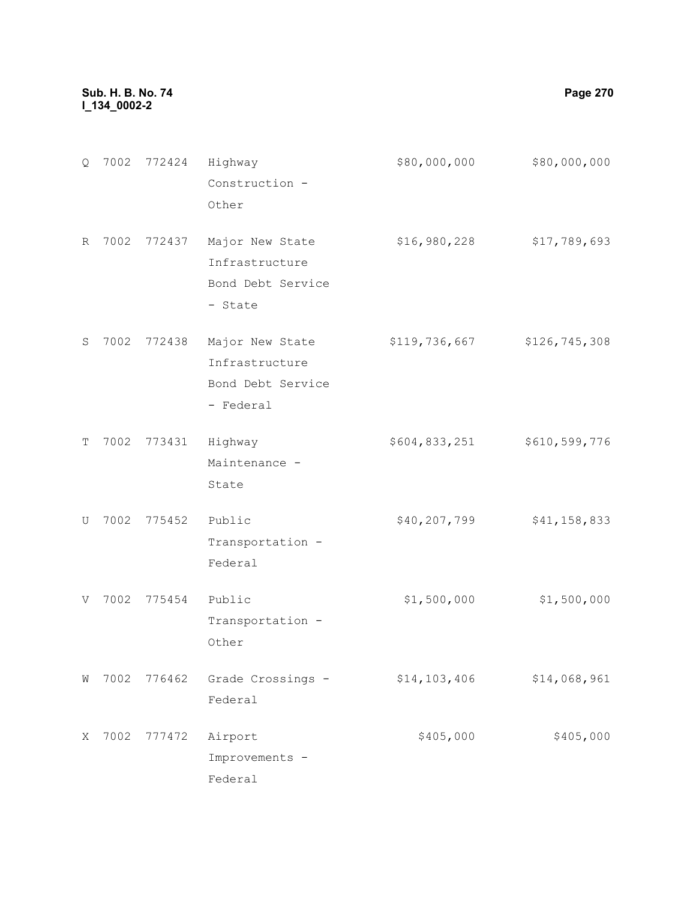# **Sub. H. B. No. 74 Page 270 l\_134\_0002-2**

| Q. |      | 7002 772424 | Highway<br>Construction -<br>Other                                  | \$80,000,000  | \$80,000,000  |
|----|------|-------------|---------------------------------------------------------------------|---------------|---------------|
| R  |      | 7002 772437 | Major New State<br>Infrastructure<br>Bond Debt Service<br>- State   | \$16,980,228  | \$17,789,693  |
| S  |      | 7002 772438 | Major New State<br>Infrastructure<br>Bond Debt Service<br>- Federal | \$119,736,667 | \$126,745,308 |
| T  |      | 7002 773431 | Highway<br>Maintenance -<br>State                                   | \$604,833,251 | \$610,599,776 |
| U  |      | 7002 775452 | Public<br>Transportation -<br>Federal                               | \$40,207,799  | \$41,158,833  |
| V  |      | 7002 775454 | Public<br>Transportation -<br>Other                                 | \$1,500,000   | \$1,500,000   |
| W  | 7002 | 776462      | Grade Crossings -<br>Federal                                        | \$14,103,406  | \$14,068,961  |
| Χ  | 7002 | 777472      | Airport<br>Improvements -<br>Federal                                | \$405,000     | \$405,000     |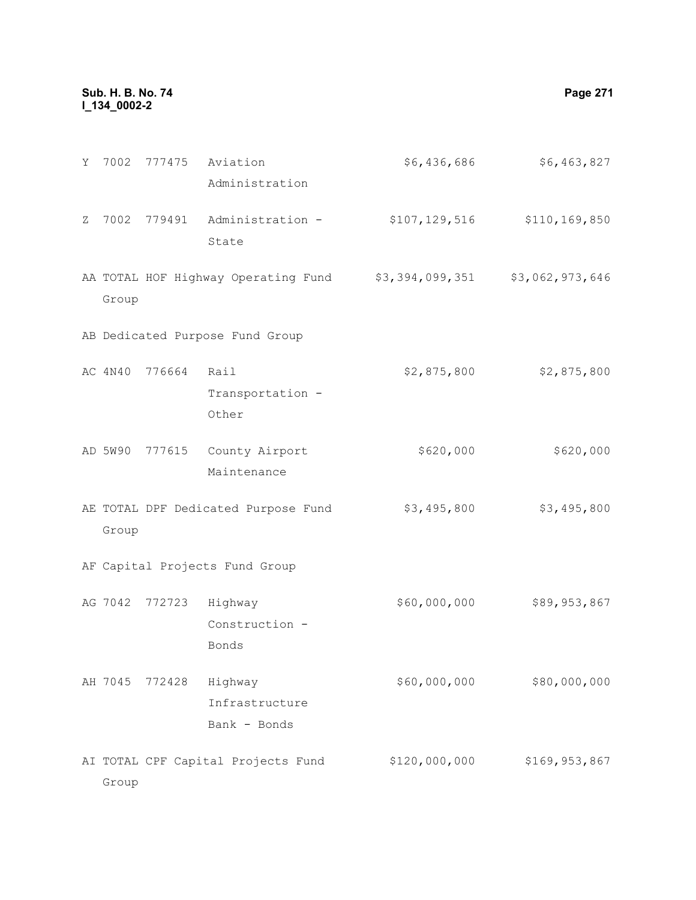|       | Y 7002 777475          | Aviation<br>Administration                                          | \$6,436,686   | \$6,463,827                       |
|-------|------------------------|---------------------------------------------------------------------|---------------|-----------------------------------|
|       | Z 7002 779491          | Administration -<br>State                                           |               | $$107, 129, 516$ $$110, 169, 850$ |
| Group |                        | AA TOTAL HOF Highway Operating Fund \$3,394,099,351 \$3,062,973,646 |               |                                   |
|       |                        | AB Dedicated Purpose Fund Group                                     |               |                                   |
|       | AC 4N40 776664         | Rail<br>Transportation -<br>Other                                   | \$2,875,800   | \$2,875,800                       |
|       |                        | AD 5W90 777615 County Airport<br>Maintenance                        | \$620,000     | \$620,000                         |
| Group |                        | AE TOTAL DPF Dedicated Purpose Fund                                 | \$3,495,800   | \$3,495,800                       |
|       |                        | AF Capital Projects Fund Group                                      |               |                                   |
|       | AG 7042 772723 Highway | Construction -<br>Bonds                                             | \$60,000,000  | \$89,953,867                      |
|       | AH 7045 772428         | Highway<br>Infrastructure<br>Bank - Bonds                           | \$60,000,000  | \$80,000,000                      |
| Group |                        | AI TOTAL CPF Capital Projects Fund                                  | \$120,000,000 | \$169,953,867                     |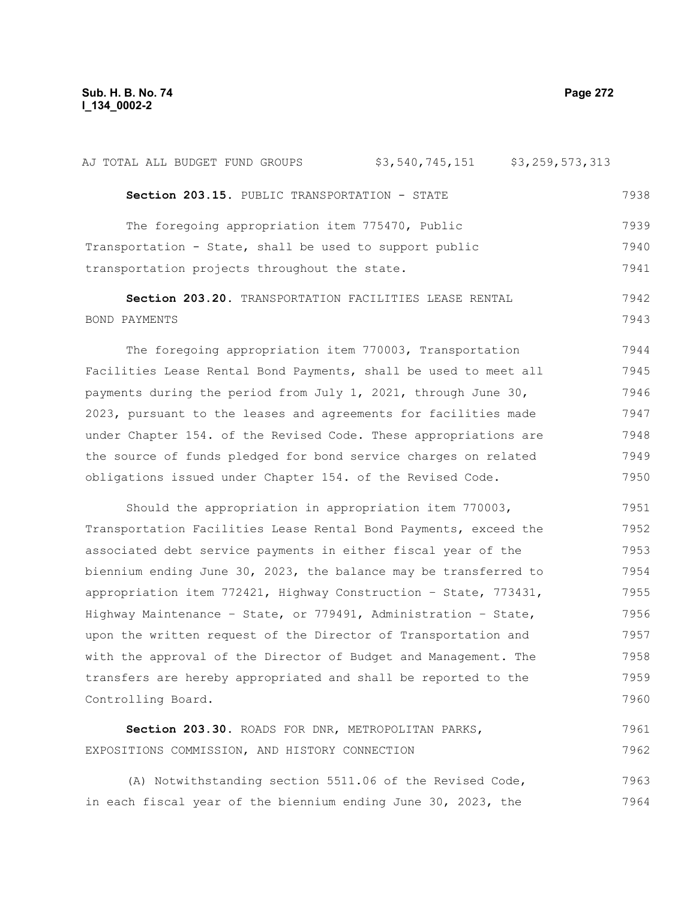| AJ TOTAL ALL BUDGET FUND GROUPS                                  | \$3,540,745,151 | \$3, 259, 573, 313 |      |
|------------------------------------------------------------------|-----------------|--------------------|------|
| Section 203.15. PUBLIC TRANSPORTATION - STATE                    |                 |                    | 7938 |
| The foregoing appropriation item 775470, Public                  |                 |                    | 7939 |
| Transportation - State, shall be used to support public          |                 |                    | 7940 |
| transportation projects throughout the state.                    |                 |                    | 7941 |
| Section 203.20. TRANSPORTATION FACILITIES LEASE RENTAL           |                 |                    | 7942 |
| BOND PAYMENTS                                                    |                 |                    | 7943 |
| The foregoing appropriation item 770003, Transportation          |                 |                    | 7944 |
| Facilities Lease Rental Bond Payments, shall be used to meet all |                 |                    | 7945 |
| payments during the period from July 1, 2021, through June 30,   |                 |                    | 7946 |
| 2023, pursuant to the leases and agreements for facilities made  |                 |                    | 7947 |
| under Chapter 154. of the Revised Code. These appropriations are |                 |                    | 7948 |
| the source of funds pledged for bond service charges on related  |                 |                    | 7949 |
| obligations issued under Chapter 154. of the Revised Code.       |                 |                    | 7950 |
| Should the appropriation in appropriation item 770003,           |                 |                    | 7951 |
| Transportation Facilities Lease Rental Bond Payments, exceed the |                 |                    | 7952 |
| associated debt service payments in either fiscal year of the    |                 |                    | 7953 |
| biennium ending June 30, 2023, the balance may be transferred to |                 |                    | 7954 |
| appropriation item 772421, Highway Construction - State, 773431, |                 |                    | 7955 |
| Highway Maintenance - State, or 779491, Administration - State,  |                 |                    | 7956 |
| upon the written request of the Director of Transportation and   |                 |                    | 7957 |
| with the approval of the Director of Budget and Management. The  |                 |                    | 7958 |
| transfers are hereby appropriated and shall be reported to the   |                 |                    | 7959 |
| Controlling Board.                                               |                 |                    | 7960 |
| Section 203.30. ROADS FOR DNR, METROPOLITAN PARKS,               |                 |                    | 7961 |
| EXPOSITIONS COMMISSION, AND HISTORY CONNECTION                   |                 |                    | 7962 |
| (A) Notwithstanding section 5511.06 of the Revised Code,         |                 |                    | 7963 |
| in each fiscal year of the biennium ending June 30, 2023, the    |                 |                    | 7964 |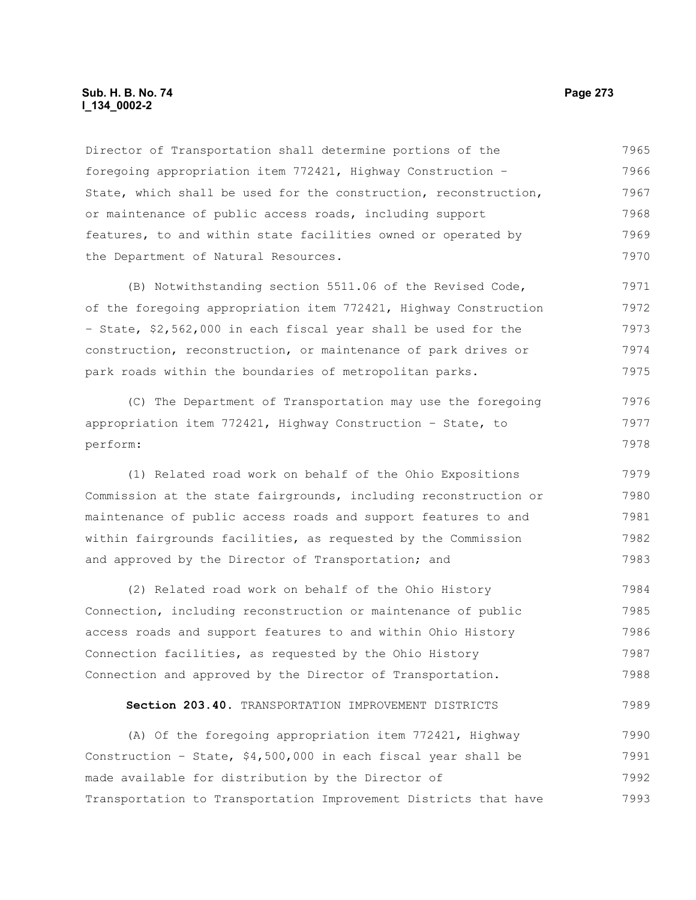#### **Sub. H. B. No. 74** Page 273 **l\_134\_0002-2**

Director of Transportation shall determine portions of the foregoing appropriation item 772421, Highway Construction – State, which shall be used for the construction, reconstruction, or maintenance of public access roads, including support features, to and within state facilities owned or operated by the Department of Natural Resources. 7965 7966 7967 7968 7969 7970

(B) Notwithstanding section 5511.06 of the Revised Code, of the foregoing appropriation item 772421, Highway Construction – State, \$2,562,000 in each fiscal year shall be used for the construction, reconstruction, or maintenance of park drives or park roads within the boundaries of metropolitan parks. 7971 7972 7973 7974 7975

(C) The Department of Transportation may use the foregoing appropriation item 772421, Highway Construction – State, to perform: 7976 7977 7978

(1) Related road work on behalf of the Ohio Expositions Commission at the state fairgrounds, including reconstruction or maintenance of public access roads and support features to and within fairgrounds facilities, as requested by the Commission and approved by the Director of Transportation; and 7979 7980 7981 7982 7983

(2) Related road work on behalf of the Ohio History Connection, including reconstruction or maintenance of public access roads and support features to and within Ohio History Connection facilities, as requested by the Ohio History Connection and approved by the Director of Transportation. 7984 7985 7986 7987 7988

**Section 203.40.** TRANSPORTATION IMPROVEMENT DISTRICTS 7989

(A) Of the foregoing appropriation item 772421, Highway Construction – State, \$4,500,000 in each fiscal year shall be made available for distribution by the Director of Transportation to Transportation Improvement Districts that have 7990 7991 7992 7993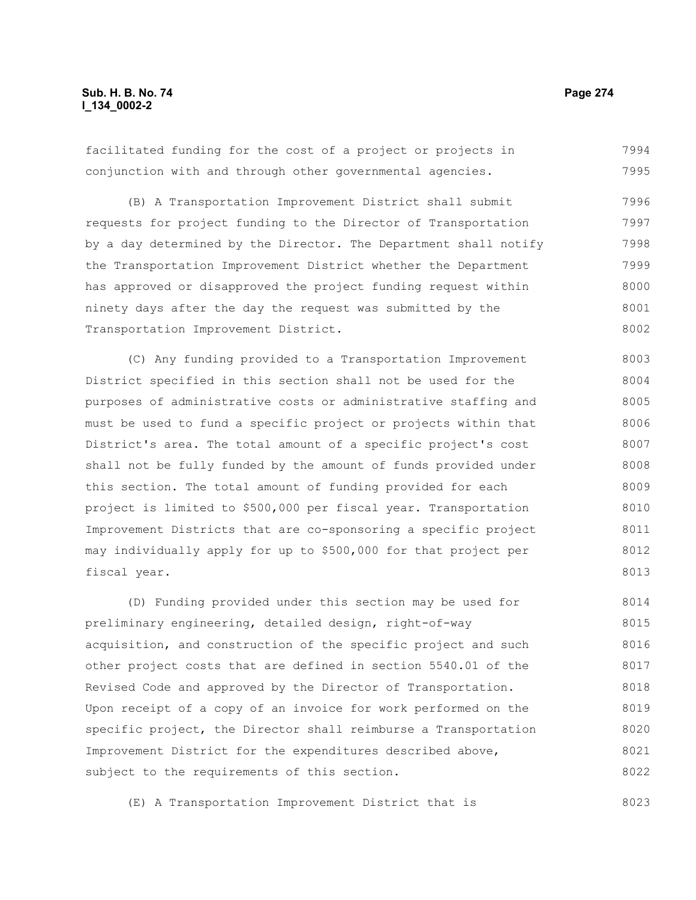# **Sub. H. B. No. 74 Page 274 l\_134\_0002-2**

| facilitated funding for the cost of a project or projects in     | 7994 |
|------------------------------------------------------------------|------|
| conjunction with and through other governmental agencies.        | 7995 |
| (B) A Transportation Improvement District shall submit           | 7996 |
| requests for project funding to the Director of Transportation   | 7997 |
| by a day determined by the Director. The Department shall notify | 7998 |
| the Transportation Improvement District whether the Department   | 7999 |
| has approved or disapproved the project funding request within   | 8000 |
| ninety days after the day the request was submitted by the       | 8001 |
| Transportation Improvement District.                             | 8002 |
| (C) Any funding provided to a Transportation Improvement         | 8003 |
| District specified in this section shall not be used for the     | 8004 |
| purposes of administrative costs or administrative staffing and  | 8005 |
| must be used to fund a specific project or projects within that  | 8006 |
| District's area. The total amount of a specific project's cost   | 8007 |
| shall not be fully funded by the amount of funds provided under  | 8008 |
| this section. The total amount of funding provided for each      | 8009 |
| project is limited to \$500,000 per fiscal year. Transportation  | 8010 |
| Improvement Districts that are co-sponsoring a specific project  | 8011 |
| may individually apply for up to \$500,000 for that project per  | 8012 |
| fiscal year.                                                     | 8013 |
| (D) Funding provided under this section may be used for          | 8014 |
| preliminary engineering, detailed design, right-of-way           | 8015 |
| acquisition, and construction of the specific project and such   | 8016 |

other project costs that are defined in section 5540.01 of the Revised Code and approved by the Director of Transportation. Upon receipt of a copy of an invoice for work performed on the specific project, the Director shall reimburse a Transportation Improvement District for the expenditures described above, subject to the requirements of this section. 8017 8018 8019 8020 8021 8022

(E) A Transportation Improvement District that is 8023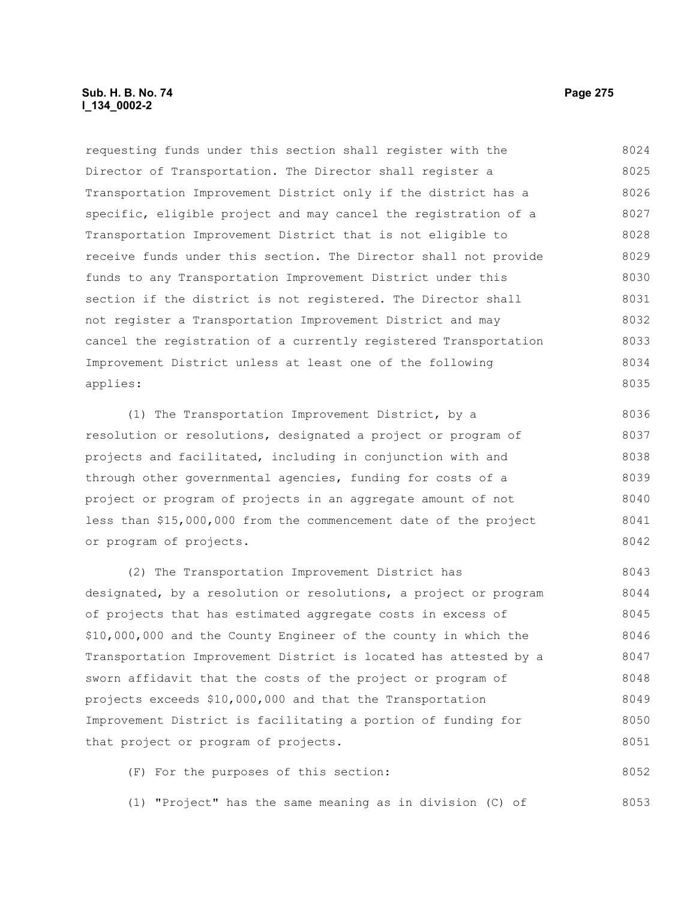### **Sub. H. B. No. 74** Page 275 **l\_134\_0002-2**

requesting funds under this section shall register with the Director of Transportation. The Director shall register a Transportation Improvement District only if the district has a specific, eligible project and may cancel the registration of a Transportation Improvement District that is not eligible to receive funds under this section. The Director shall not provide funds to any Transportation Improvement District under this section if the district is not registered. The Director shall not register a Transportation Improvement District and may cancel the registration of a currently registered Transportation Improvement District unless at least one of the following applies: 8024 8025 8026 8027 8028 8029 8030 8031 8032 8033 8034 8035

(1) The Transportation Improvement District, by a resolution or resolutions, designated a project or program of projects and facilitated, including in conjunction with and through other governmental agencies, funding for costs of a project or program of projects in an aggregate amount of not less than \$15,000,000 from the commencement date of the project or program of projects. 8036 8037 8038 8039 8040 8041 8042

(2) The Transportation Improvement District has designated, by a resolution or resolutions, a project or program of projects that has estimated aggregate costs in excess of \$10,000,000 and the County Engineer of the county in which the Transportation Improvement District is located has attested by a sworn affidavit that the costs of the project or program of projects exceeds \$10,000,000 and that the Transportation Improvement District is facilitating a portion of funding for that project or program of projects. 8043 8044 8045 8046 8047 8048 8049 8050 8051

(F) For the purposes of this section: 8052

(1) "Project" has the same meaning as in division (C) of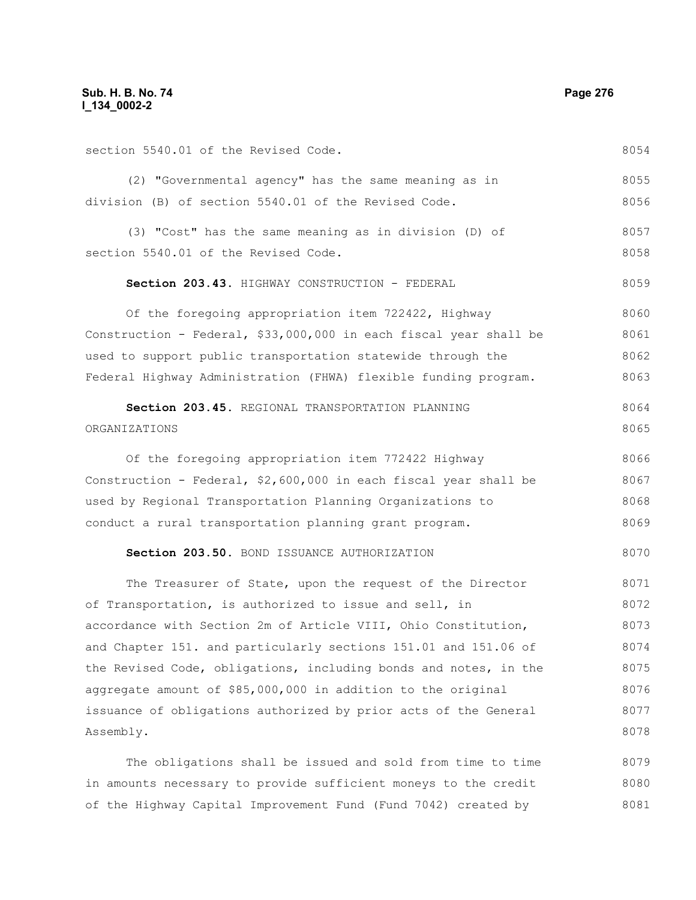| section 5540.01 of the Revised Code.                              | 8054 |
|-------------------------------------------------------------------|------|
| (2) "Governmental agency" has the same meaning as in              | 8055 |
| division (B) of section 5540.01 of the Revised Code.              | 8056 |
| (3) "Cost" has the same meaning as in division (D) of             | 8057 |
| section 5540.01 of the Revised Code.                              | 8058 |
| Section 203.43. HIGHWAY CONSTRUCTION - FEDERAL                    | 8059 |
| Of the foregoing appropriation item 722422, Highway               | 8060 |
| Construction - Federal, \$33,000,000 in each fiscal year shall be | 8061 |
| used to support public transportation statewide through the       | 8062 |
| Federal Highway Administration (FHWA) flexible funding program.   | 8063 |
| Section 203.45. REGIONAL TRANSPORTATION PLANNING                  | 8064 |
| ORGANIZATIONS                                                     | 8065 |
| Of the foregoing appropriation item 772422 Highway                | 8066 |
| Construction - Federal, \$2,600,000 in each fiscal year shall be  | 8067 |
| used by Regional Transportation Planning Organizations to         | 8068 |
| conduct a rural transportation planning grant program.            | 8069 |
| Section 203.50. BOND ISSUANCE AUTHORIZATION                       | 8070 |
| The Treasurer of State, upon the request of the Director          | 8071 |
| of Transportation, is authorized to issue and sell, in            | 8072 |

accordance with Section 2m of Article VIII, Ohio Constitution, and Chapter 151. and particularly sections 151.01 and 151.06 of the Revised Code, obligations, including bonds and notes, in the aggregate amount of \$85,000,000 in addition to the original issuance of obligations authorized by prior acts of the General Assembly. 8073 8074 8075 8076 8077 8078

The obligations shall be issued and sold from time to time in amounts necessary to provide sufficient moneys to the credit of the Highway Capital Improvement Fund (Fund 7042) created by 8079 8080 8081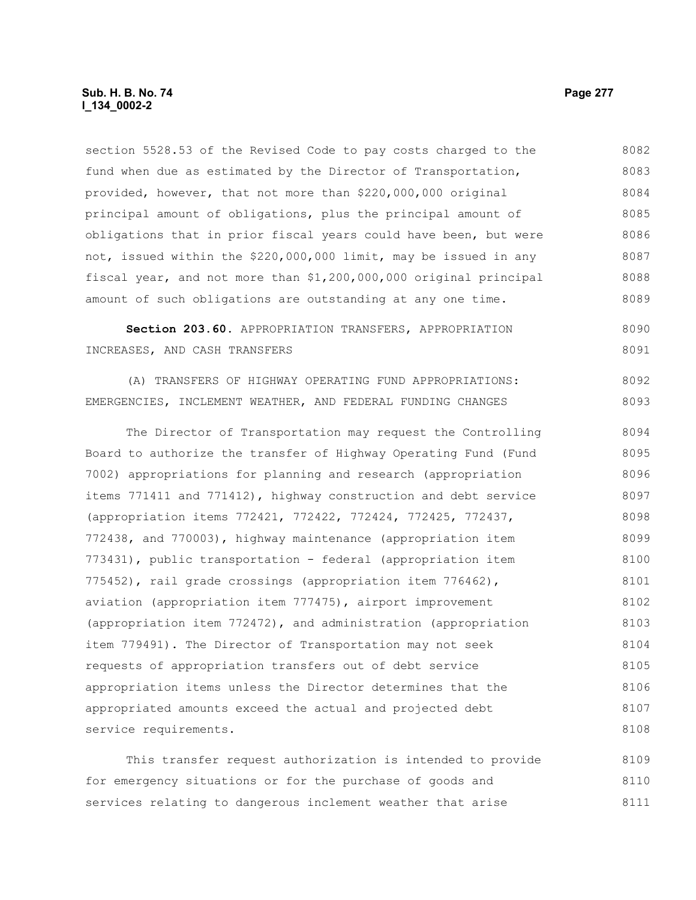#### **Sub. H. B. No. 74** Page 277 **l\_134\_0002-2**

section 5528.53 of the Revised Code to pay costs charged to the fund when due as estimated by the Director of Transportation, provided, however, that not more than \$220,000,000 original principal amount of obligations, plus the principal amount of obligations that in prior fiscal years could have been, but were not, issued within the \$220,000,000 limit, may be issued in any fiscal year, and not more than \$1,200,000,000 original principal amount of such obligations are outstanding at any one time. 8082 8083 8084 8085 8086 8087 8088 8089

**Section 203.60.** APPROPRIATION TRANSFERS, APPROPRIATION INCREASES, AND CASH TRANSFERS 8090 8091

(A) TRANSFERS OF HIGHWAY OPERATING FUND APPROPRIATIONS: EMERGENCIES, INCLEMENT WEATHER, AND FEDERAL FUNDING CHANGES 8092 8093

The Director of Transportation may request the Controlling Board to authorize the transfer of Highway Operating Fund (Fund 7002) appropriations for planning and research (appropriation items 771411 and 771412), highway construction and debt service (appropriation items 772421, 772422, 772424, 772425, 772437, 772438, and 770003), highway maintenance (appropriation item 773431), public transportation - federal (appropriation item 775452), rail grade crossings (appropriation item 776462), aviation (appropriation item 777475), airport improvement (appropriation item 772472), and administration (appropriation item 779491). The Director of Transportation may not seek requests of appropriation transfers out of debt service appropriation items unless the Director determines that the appropriated amounts exceed the actual and projected debt service requirements. 8094 8095 8096 8097 8098 8099 8100 8101 8102 8103 8104 8105 8106 8107 8108

This transfer request authorization is intended to provide for emergency situations or for the purchase of goods and services relating to dangerous inclement weather that arise 8109 8110 8111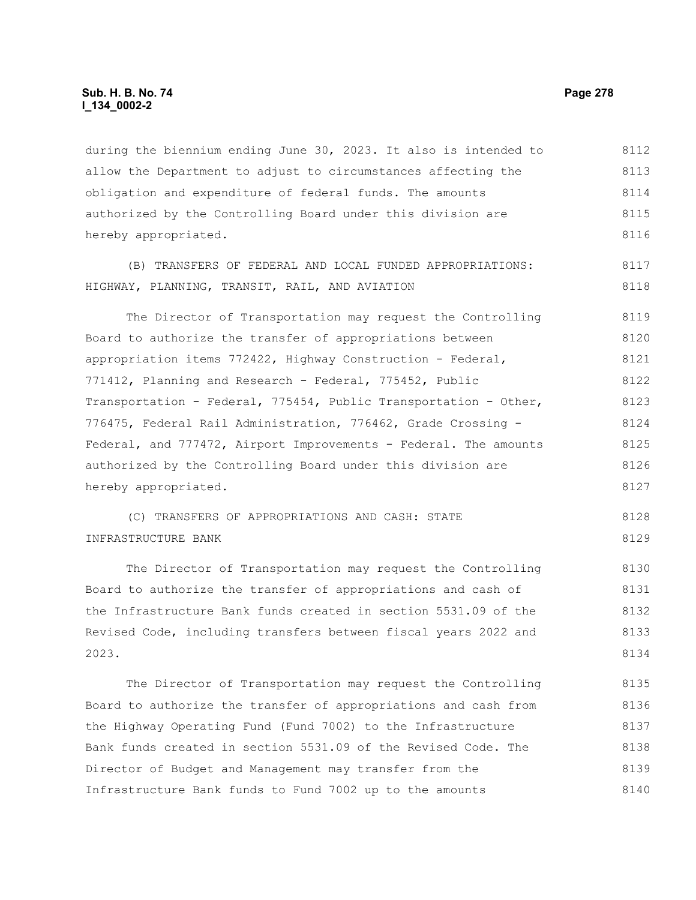during the biennium ending June 30, 2023. It also is intended to allow the Department to adjust to circumstances affecting the obligation and expenditure of federal funds. The amounts authorized by the Controlling Board under this division are hereby appropriated. (B) TRANSFERS OF FEDERAL AND LOCAL FUNDED APPROPRIATIONS: HIGHWAY, PLANNING, TRANSIT, RAIL, AND AVIATION The Director of Transportation may request the Controlling Board to authorize the transfer of appropriations between appropriation items 772422, Highway Construction - Federal, 771412, Planning and Research - Federal, 775452, Public Transportation - Federal, 775454, Public Transportation - Other, 776475, Federal Rail Administration, 776462, Grade Crossing - Federal, and 777472, Airport Improvements - Federal. The amounts authorized by the Controlling Board under this division are hereby appropriated. (C) TRANSFERS OF APPROPRIATIONS AND CASH: STATE INFRASTRUCTURE BANK The Director of Transportation may request the Controlling Board to authorize the transfer of appropriations and cash of the Infrastructure Bank funds created in section 5531.09 of the 8112 8113 8114 8115 8116 8117 8118 8119 8120 8121 8122 8123 8124 8125 8126 8127 8128 8129 8130 8131 8132 8133

Revised Code, including transfers between fiscal years 2022 and 2023. 8134

The Director of Transportation may request the Controlling Board to authorize the transfer of appropriations and cash from the Highway Operating Fund (Fund 7002) to the Infrastructure Bank funds created in section 5531.09 of the Revised Code. The Director of Budget and Management may transfer from the Infrastructure Bank funds to Fund 7002 up to the amounts 8135 8136 8137 8138 8139 8140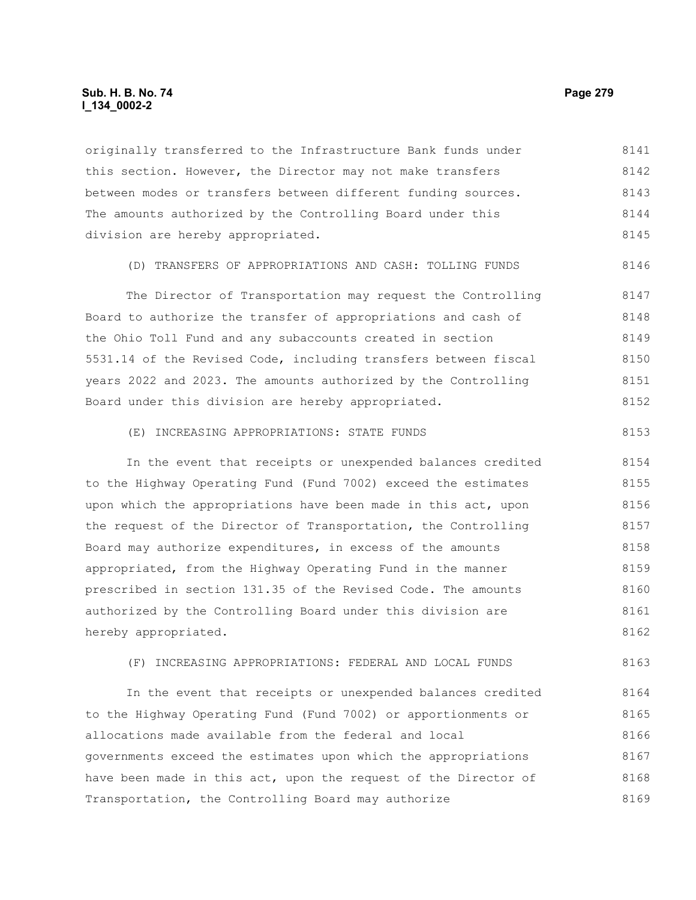#### **Sub. H. B. No. 74** Page 279 **l\_134\_0002-2**

originally transferred to the Infrastructure Bank funds under this section. However, the Director may not make transfers between modes or transfers between different funding sources. The amounts authorized by the Controlling Board under this division are hereby appropriated. 8141 8142 8143 8144 8145

(D) TRANSFERS OF APPROPRIATIONS AND CASH: TOLLING FUNDS 8146

The Director of Transportation may request the Controlling Board to authorize the transfer of appropriations and cash of the Ohio Toll Fund and any subaccounts created in section 5531.14 of the Revised Code, including transfers between fiscal years 2022 and 2023. The amounts authorized by the Controlling Board under this division are hereby appropriated. 8147 8148 8149 8150 8151 8152

#### (E) INCREASING APPROPRIATIONS: STATE FUNDS

In the event that receipts or unexpended balances credited to the Highway Operating Fund (Fund 7002) exceed the estimates upon which the appropriations have been made in this act, upon the request of the Director of Transportation, the Controlling Board may authorize expenditures, in excess of the amounts appropriated, from the Highway Operating Fund in the manner prescribed in section 131.35 of the Revised Code. The amounts authorized by the Controlling Board under this division are hereby appropriated. 8154 8155 8156 8157 8158 8159 8160 8161 8162

(F) INCREASING APPROPRIATIONS: FEDERAL AND LOCAL FUNDS 8163

In the event that receipts or unexpended balances credited to the Highway Operating Fund (Fund 7002) or apportionments or allocations made available from the federal and local governments exceed the estimates upon which the appropriations have been made in this act, upon the request of the Director of Transportation, the Controlling Board may authorize 8164 8165 8166 8167 8168 8169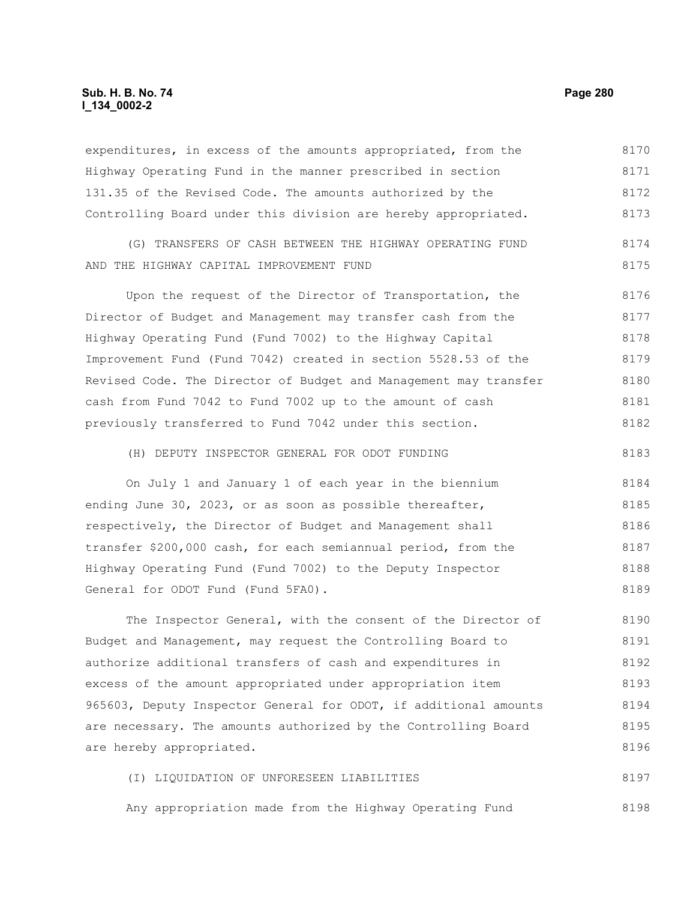#### **Sub. H. B. No. 74** Page 280 **l\_134\_0002-2**

expenditures, in excess of the amounts appropriated, from the Highway Operating Fund in the manner prescribed in section 131.35 of the Revised Code. The amounts authorized by the Controlling Board under this division are hereby appropriated. (G) TRANSFERS OF CASH BETWEEN THE HIGHWAY OPERATING FUND AND THE HIGHWAY CAPITAL IMPROVEMENT FUND Upon the request of the Director of Transportation, the Director of Budget and Management may transfer cash from the Highway Operating Fund (Fund 7002) to the Highway Capital Improvement Fund (Fund 7042) created in section 5528.53 of the Revised Code. The Director of Budget and Management may transfer cash from Fund 7042 to Fund 7002 up to the amount of cash previously transferred to Fund 7042 under this section. (H) DEPUTY INSPECTOR GENERAL FOR ODOT FUNDING On July 1 and January 1 of each year in the biennium ending June 30, 2023, or as soon as possible thereafter, respectively, the Director of Budget and Management shall transfer \$200,000 cash, for each semiannual period, from the Highway Operating Fund (Fund 7002) to the Deputy Inspector General for ODOT Fund (Fund 5FA0). The Inspector General, with the consent of the Director of Budget and Management, may request the Controlling Board to authorize additional transfers of cash and expenditures in excess of the amount appropriated under appropriation item 965603, Deputy Inspector General for ODOT, if additional amounts are necessary. The amounts authorized by the Controlling Board are hereby appropriated. (I) LIQUIDATION OF UNFORESEEN LIABILITIES 8170 8171 8172 8173 8174 8175 8176 8177 8178 8179 8180 8181 8182 8183 8184 8185 8186 8187 8188 8189 8190 8191 8192 8193 8194 8195 8196 8197

Any appropriation made from the Highway Operating Fund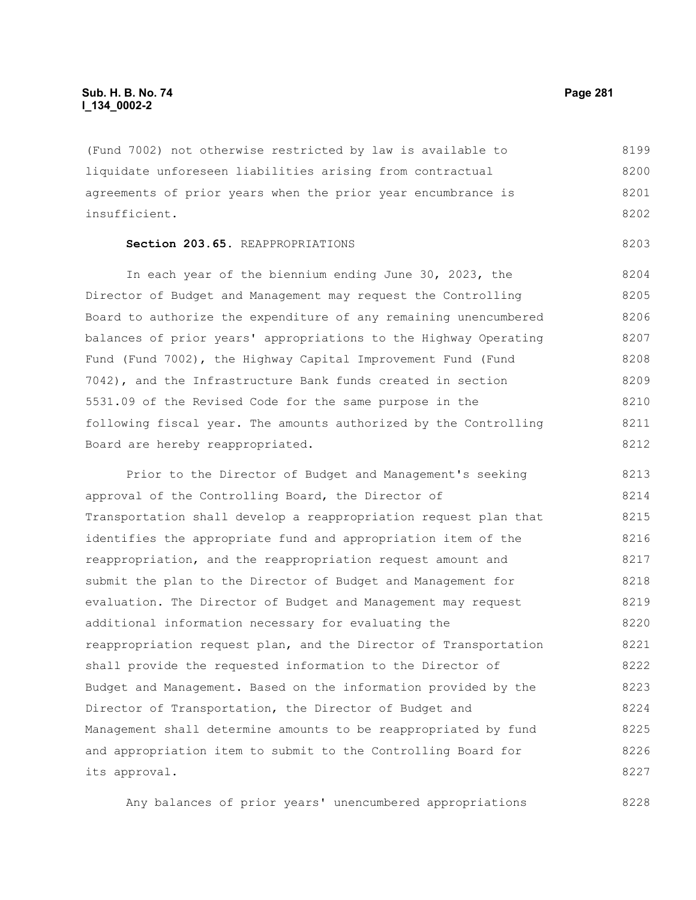#### **Sub. H. B. No. 74** Page 281 **l\_134\_0002-2**

(Fund 7002) not otherwise restricted by law is available to liquidate unforeseen liabilities arising from contractual agreements of prior years when the prior year encumbrance is insufficient. 8199 8200 8201 8202

### **Section 203.65.** REAPPROPRIATIONS

In each year of the biennium ending June 30, 2023, the Director of Budget and Management may request the Controlling Board to authorize the expenditure of any remaining unencumbered balances of prior years' appropriations to the Highway Operating Fund (Fund 7002), the Highway Capital Improvement Fund (Fund 7042), and the Infrastructure Bank funds created in section 5531.09 of the Revised Code for the same purpose in the following fiscal year. The amounts authorized by the Controlling Board are hereby reappropriated. 8204 8205 8206 8207 8208 8209 8210 8211 8212

Prior to the Director of Budget and Management's seeking approval of the Controlling Board, the Director of Transportation shall develop a reappropriation request plan that identifies the appropriate fund and appropriation item of the reappropriation, and the reappropriation request amount and submit the plan to the Director of Budget and Management for evaluation. The Director of Budget and Management may request additional information necessary for evaluating the reappropriation request plan, and the Director of Transportation shall provide the requested information to the Director of Budget and Management. Based on the information provided by the Director of Transportation, the Director of Budget and Management shall determine amounts to be reappropriated by fund and appropriation item to submit to the Controlling Board for its approval. 8213 8214 8215 8216 8217 8218 8219 8220 8221 8222 8223 8224 8225 8226 8227

Any balances of prior years' unencumbered appropriations 8228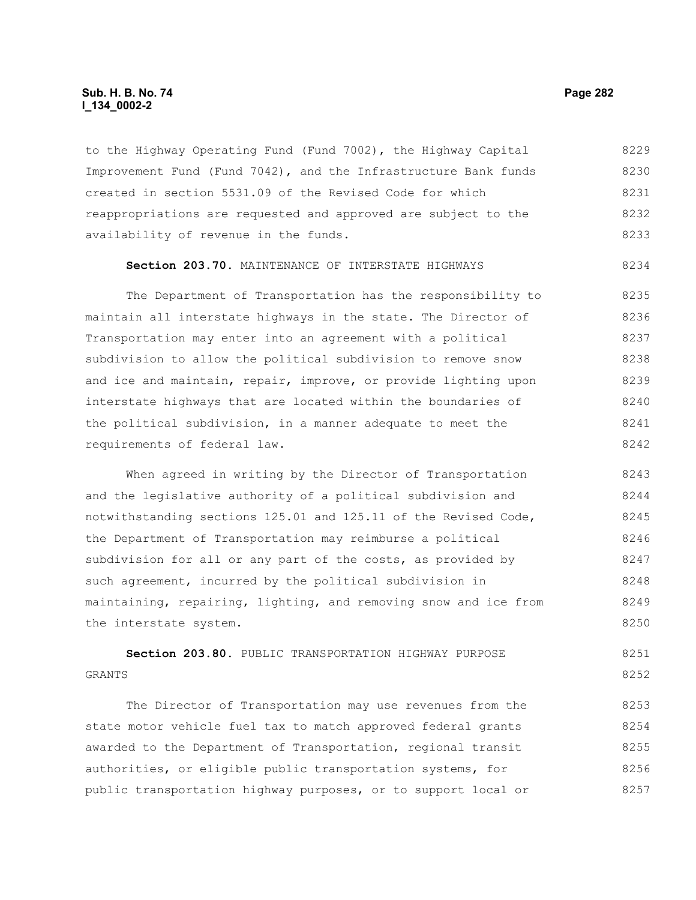#### **Sub. H. B. No. 74** Page 282 **l\_134\_0002-2**

to the Highway Operating Fund (Fund 7002), the Highway Capital Improvement Fund (Fund 7042), and the Infrastructure Bank funds created in section 5531.09 of the Revised Code for which reappropriations are requested and approved are subject to the availability of revenue in the funds. 8229 8230 8231 8232 8233

# **Section 203.70.** MAINTENANCE OF INTERSTATE HIGHWAYS

The Department of Transportation has the responsibility to maintain all interstate highways in the state. The Director of Transportation may enter into an agreement with a political subdivision to allow the political subdivision to remove snow and ice and maintain, repair, improve, or provide lighting upon interstate highways that are located within the boundaries of the political subdivision, in a manner adequate to meet the requirements of federal law. 8235 8236 8237 8238 8239 8240 8241 8242

When agreed in writing by the Director of Transportation and the legislative authority of a political subdivision and notwithstanding sections 125.01 and 125.11 of the Revised Code, the Department of Transportation may reimburse a political subdivision for all or any part of the costs, as provided by such agreement, incurred by the political subdivision in maintaining, repairing, lighting, and removing snow and ice from the interstate system. 8243 8244 8245 8246 8247 8248 8249 8250

**Section 203.80.** PUBLIC TRANSPORTATION HIGHWAY PURPOSE GRANTS 8251 8252

The Director of Transportation may use revenues from the state motor vehicle fuel tax to match approved federal grants awarded to the Department of Transportation, regional transit authorities, or eligible public transportation systems, for public transportation highway purposes, or to support local or 8253 8254 8255 8256 8257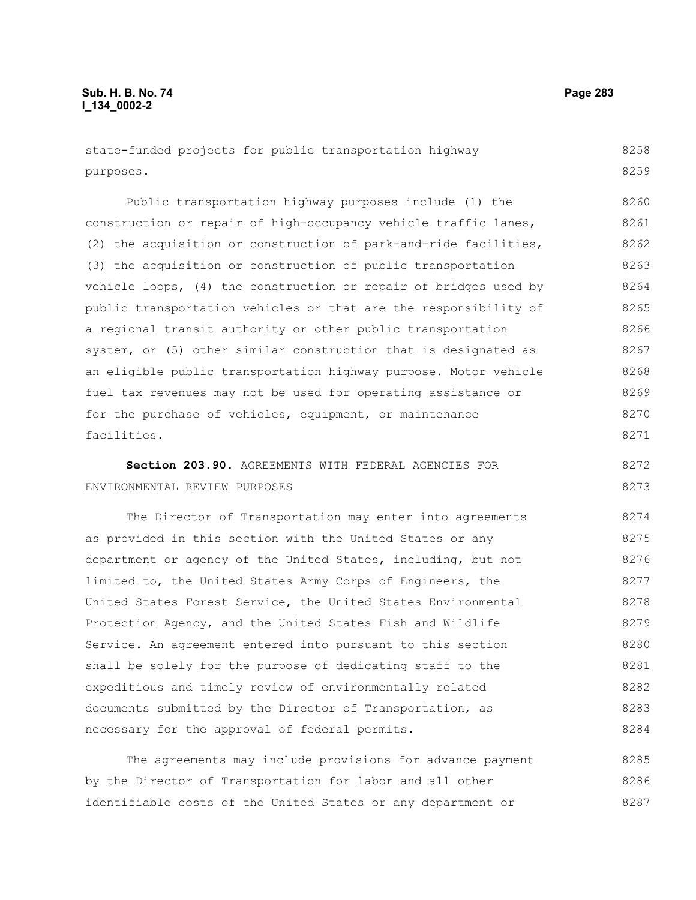8272 8273

state-funded projects for public transportation highway purposes. Public transportation highway purposes include (1) the construction or repair of high-occupancy vehicle traffic lanes, (2) the acquisition or construction of park-and-ride facilities, (3) the acquisition or construction of public transportation vehicle loops, (4) the construction or repair of bridges used by public transportation vehicles or that are the responsibility of a regional transit authority or other public transportation system, or (5) other similar construction that is designated as an eligible public transportation highway purpose. Motor vehicle fuel tax revenues may not be used for operating assistance or for the purchase of vehicles, equipment, or maintenance facilities. 8258 8259 8260 8261 8262 8263 8264 8265 8266 8267 8268 8269 8270 8271

**Section 203.90.** AGREEMENTS WITH FEDERAL AGENCIES FOR ENVIRONMENTAL REVIEW PURPOSES

The Director of Transportation may enter into agreements as provided in this section with the United States or any department or agency of the United States, including, but not limited to, the United States Army Corps of Engineers, the United States Forest Service, the United States Environmental Protection Agency, and the United States Fish and Wildlife Service. An agreement entered into pursuant to this section shall be solely for the purpose of dedicating staff to the expeditious and timely review of environmentally related documents submitted by the Director of Transportation, as necessary for the approval of federal permits. 8274 8275 8276 8277 8278 8279 8280 8281 8282 8283 8284

The agreements may include provisions for advance payment by the Director of Transportation for labor and all other identifiable costs of the United States or any department or 8285 8286 8287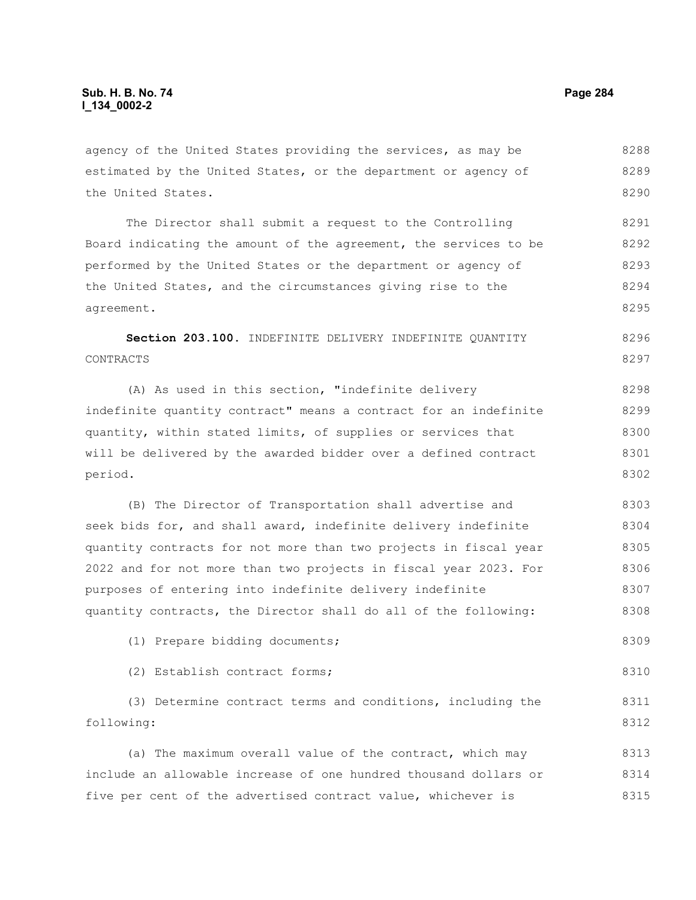| agency of the United States providing the services, as may be    | 8288 |
|------------------------------------------------------------------|------|
| estimated by the United States, or the department or agency of   | 8289 |
| the United States.                                               | 8290 |
| The Director shall submit a request to the Controlling           | 8291 |
| Board indicating the amount of the agreement, the services to be | 8292 |
| performed by the United States or the department or agency of    | 8293 |
| the United States, and the circumstances giving rise to the      | 8294 |
| agreement.                                                       | 8295 |
| Section 203.100. INDEFINITE DELIVERY INDEFINITE QUANTITY         | 8296 |
| CONTRACTS                                                        | 8297 |
| (A) As used in this section, "indefinite delivery                | 8298 |
| indefinite quantity contract" means a contract for an indefinite | 8299 |
| quantity, within stated limits, of supplies or services that     | 8300 |
| will be delivered by the awarded bidder over a defined contract  | 8301 |
| period.                                                          | 8302 |
| (B) The Director of Transportation shall advertise and           | 8303 |
| seek bids for, and shall award, indefinite delivery indefinite   | 8304 |
| quantity contracts for not more than two projects in fiscal year | 8305 |
| 2022 and for not more than two projects in fiscal year 2023. For | 8306 |
| purposes of entering into indefinite delivery indefinite         | 8307 |
| quantity contracts, the Director shall do all of the following:  | 8308 |
| (1) Prepare bidding documents;                                   | 8309 |
| (2) Establish contract forms;                                    | 8310 |
| (3) Determine contract terms and conditions, including the       | 8311 |
| following:                                                       | 8312 |
| (a) The maximum overall value of the contract, which may         | 8313 |
| include an allowable increase of one hundred thousand dollars or | 8314 |
| five per cent of the advertised contract value, whichever is     | 8315 |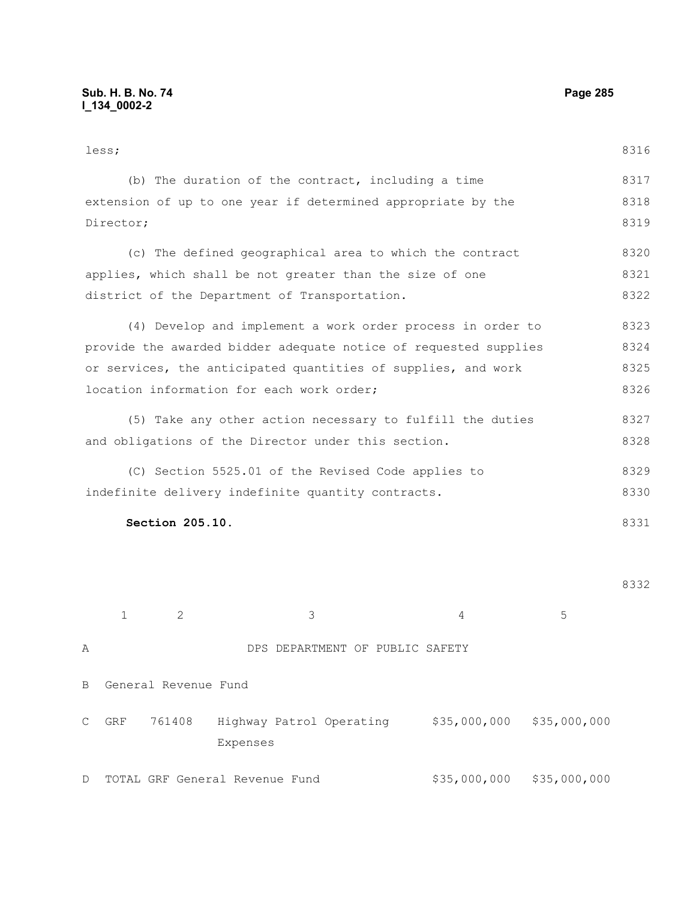less; (b) The duration of the contract, including a time extension of up to one year if determined appropriate by the Director; (c) The defined geographical area to which the contract applies, which shall be not greater than the size of one district of the Department of Transportation. (4) Develop and implement a work order process in order to provide the awarded bidder adequate notice of requested supplies or services, the anticipated quantities of supplies, and work location information for each work order; (5) Take any other action necessary to fulfill the duties and obligations of the Director under this section. (C) Section 5525.01 of the Revised Code applies to indefinite delivery indefinite quantity contracts. **Section 205.10.**  1 2 3 4 5 A DPS DEPARTMENT OF PUBLIC SAFETY 8316 8317 8318 8319 8320 8321 8322 8323 8324 8325 8326 8327 8328 8329 8330 8331 8332

B General Revenue Fund

C GRF 761408 Highway Patrol Operating \$35,000,000 \$35,000,000 Expenses

D TOTAL GRF General Revenue Fund \$35,000,000 \$35,000,000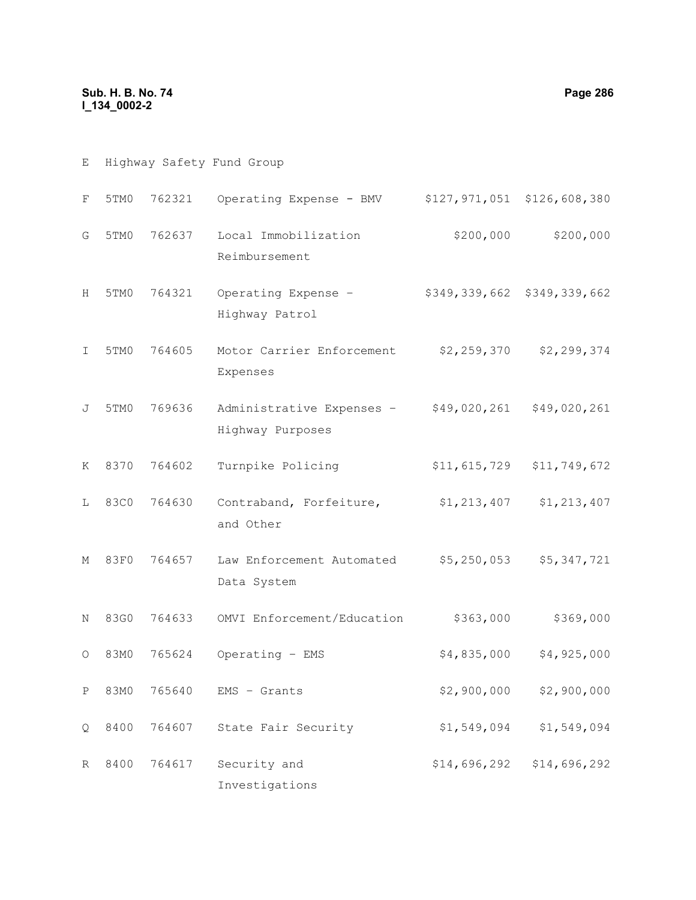E Highway Safety Fund Group

F 5TM0 762321 Operating Expense - BMV \$127,971,051 \$126,608,380 G 5TM0 762637 Local Immobilization Reimbursement \$200,000 \$200,000 H 5TM0 764321 Operating Expense – \$349,339,662 \$349,339,662 Highway Patrol I 5TM0 764605 Motor Carrier Enforcement \$2,259,370 \$2,299,374 Expenses J 5TM0 769636 Administrative Expenses – \$49,020,261 \$49,020,261 Highway Purposes K 8370 764602 Turnpike Policing \$11,615,729 \$11,749,672 L 83C0 764630 Contraband, Forfeiture, and Other \$1,213,407 \$1,213,407 M 83F0 764657 Law Enforcement Automated Data System \$5,250,053 \$5,347,721 N 83G0 764633 OMVI Enforcement/Education \$363,000 \$369,000 O 83M0 765624 Operating – EMS \$4,835,000 \$4,925,000 P 83M0 765640 EMS - Grants  $$2,900,000$  \$2,900,000 Q 8400 764607 State Fair Security 51,549,094 \$1,549,094 R 8400 764617 Security and Investigations \$14,696,292 \$14,696,292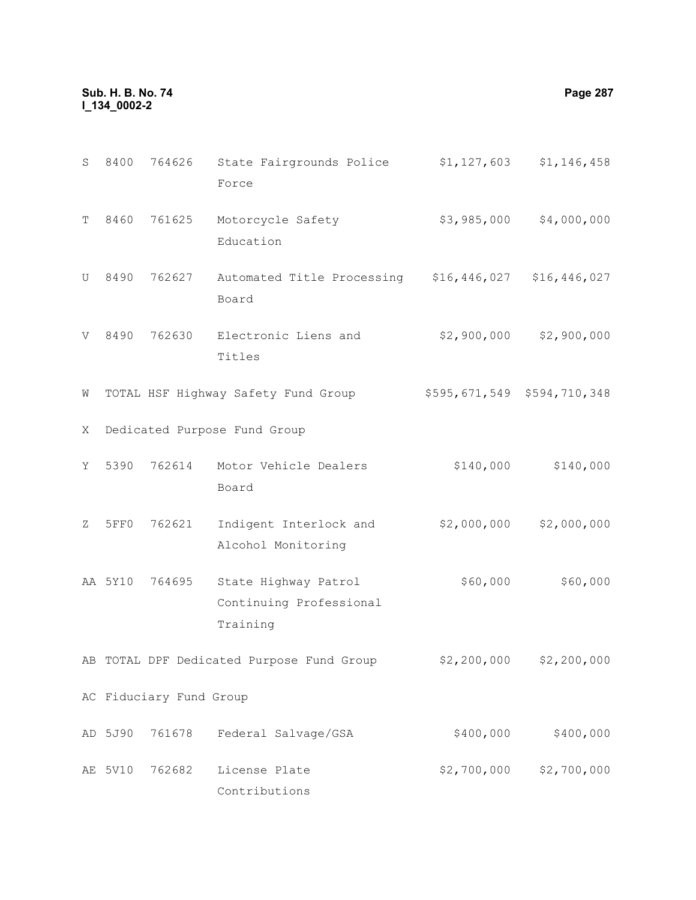#### **Sub. H. B. No. 74 Page 287 l\_134\_0002-2**

| S | 8400    | 764626                  | State Fairgrounds Police \$1,127,603 \$1,146,458<br>Force     |                             |                           |
|---|---------|-------------------------|---------------------------------------------------------------|-----------------------------|---------------------------|
| T |         | 8460 761625             | Motorcycle Safety<br>Education                                |                             | \$3,985,000 \$4,000,000   |
| U | 8490    | 762627                  | Automated Title Processing \$16,446,027 \$16,446,027<br>Board |                             |                           |
|   | V 8490  |                         | 762630 Electronic Liens and<br>Titles                         |                             | $$2,900,000$ $$2,900,000$ |
| W |         |                         | TOTAL HSF Highway Safety Fund Group                           | \$595,671,549 \$594,710,348 |                           |
| X |         |                         | Dedicated Purpose Fund Group                                  |                             |                           |
|   |         |                         | Y 5390 762614 Motor Vehicle Dealers<br>Board                  | \$140,000                   | \$140,000                 |
| Ζ | 5FF0    | 762621                  | Indigent Interlock and<br>Alcohol Monitoring                  | \$2,000,000                 | \$2,000,000               |
|   |         | AA 5Y10 764695          | State Highway Patrol<br>Continuing Professional<br>Training   | \$60,000                    | \$60,000                  |
|   |         |                         | AB TOTAL DPF Dedicated Purpose Fund Group                     | \$2,200,000                 | \$2,200,000               |
|   |         | AC Fiduciary Fund Group |                                                               |                             |                           |
|   | AD 5J90 | 761678                  | Federal Salvage/GSA                                           | \$400,000                   | \$400,000                 |
|   | AE 5V10 | 762682                  | License Plate<br>Contributions                                | \$2,700,000                 | \$2,700,000               |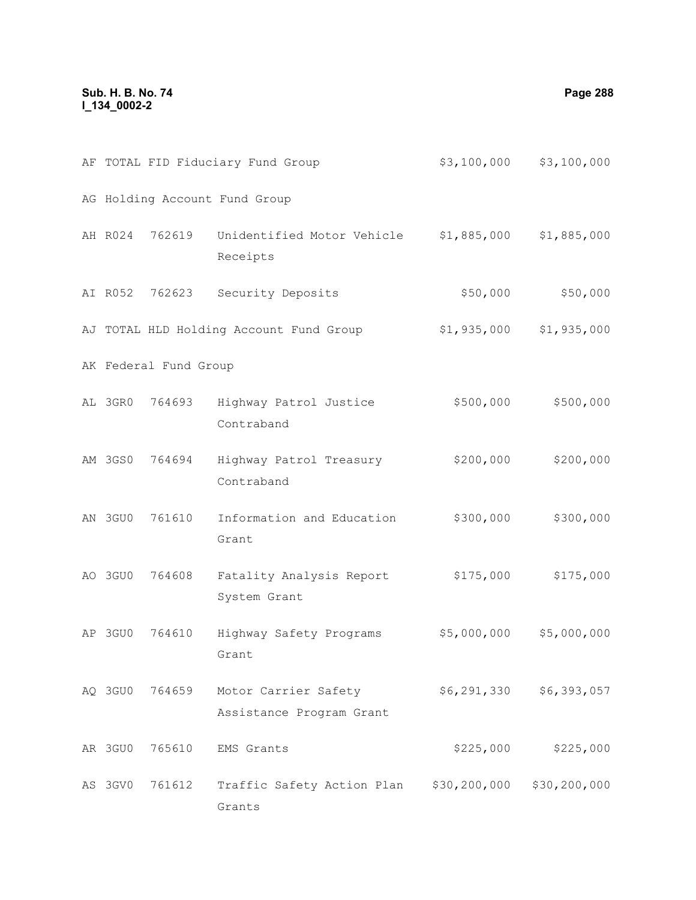# **Sub. H. B. No. 74 Page 288 l\_134\_0002-2**

|         |                       | AF TOTAL FID Fiduciary Fund Group                | \$3,100,000  | \$3,100,000  |
|---------|-----------------------|--------------------------------------------------|--------------|--------------|
|         |                       | AG Holding Account Fund Group                    |              |              |
| AH R024 | 762619                | Unidentified Motor Vehicle<br>Receipts           | \$1,885,000  | \$1,885,000  |
| AI R052 | 762623                | Security Deposits                                | \$50,000     | \$50,000     |
|         |                       | AJ TOTAL HLD Holding Account Fund Group          | \$1,935,000  | \$1,935,000  |
|         | AK Federal Fund Group |                                                  |              |              |
| AL 3GRO | 764693                | Highway Patrol Justice<br>Contraband             | \$500,000    | \$500,000    |
| AM 3GS0 | 764694                | Highway Patrol Treasury<br>Contraband            | \$200,000    | \$200,000    |
| AN 3GU0 | 761610                | Information and Education<br>Grant               | \$300,000    | \$300,000    |
| AO 3GUO | 764608                | Fatality Analysis Report<br>System Grant         | \$175,000    | \$175,000    |
| AP 3GU0 | 764610                | Highway Safety Programs<br>Grant                 | \$5,000,000  | \$5,000,000  |
|         | AQ 3GU0 764659        | Motor Carrier Safety<br>Assistance Program Grant | \$6,291,330  | \$6,393,057  |
| AR 3GU0 | 765610                | EMS Grants                                       | \$225,000    | \$225,000    |
| AS 3GV0 | 761612                | Traffic Safety Action Plan<br>Grants             | \$30,200,000 | \$30,200,000 |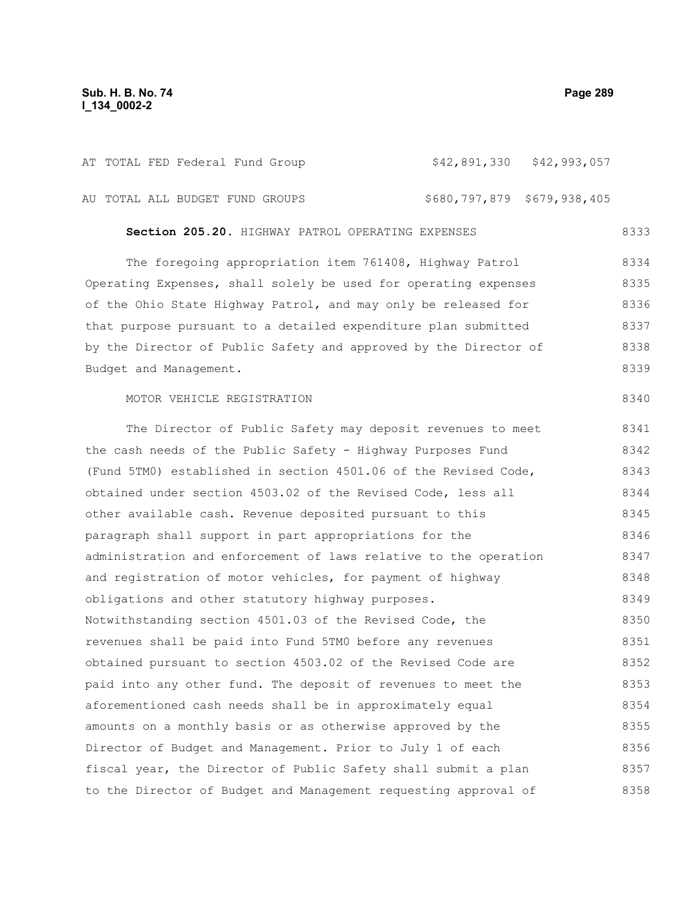# **Sub. H. B. No. 74** Page 289 **l\_134\_0002-2**

|  | AT TOTAL FED Federal Fund Group |  | \$42,891,330 \$42,993,057   |  |
|--|---------------------------------|--|-----------------------------|--|
|  | AU TOTAL ALL BUDGET FUND GROUPS |  | \$680,797,879 \$679,938,405 |  |

#### **Section 205.20.** HIGHWAY PATROL OPERATING EXPENSES 8333

The foregoing appropriation item 761408, Highway Patrol Operating Expenses, shall solely be used for operating expenses of the Ohio State Highway Patrol, and may only be released for that purpose pursuant to a detailed expenditure plan submitted by the Director of Public Safety and approved by the Director of Budget and Management. 8334 8335 8336 8337 8338 8339

#### MOTOR VEHICLE REGISTRATION

The Director of Public Safety may deposit revenues to meet the cash needs of the Public Safety - Highway Purposes Fund (Fund 5TM0) established in section 4501.06 of the Revised Code, obtained under section 4503.02 of the Revised Code, less all other available cash. Revenue deposited pursuant to this paragraph shall support in part appropriations for the administration and enforcement of laws relative to the operation and registration of motor vehicles, for payment of highway obligations and other statutory highway purposes. Notwithstanding section 4501.03 of the Revised Code, the revenues shall be paid into Fund 5TM0 before any revenues obtained pursuant to section 4503.02 of the Revised Code are paid into any other fund. The deposit of revenues to meet the aforementioned cash needs shall be in approximately equal amounts on a monthly basis or as otherwise approved by the Director of Budget and Management. Prior to July 1 of each fiscal year, the Director of Public Safety shall submit a plan to the Director of Budget and Management requesting approval of 8341 8342 8343 8344 8345 8346 8347 8348 8349 8350 8351 8352 8353 8354 8355 8356 8357 8358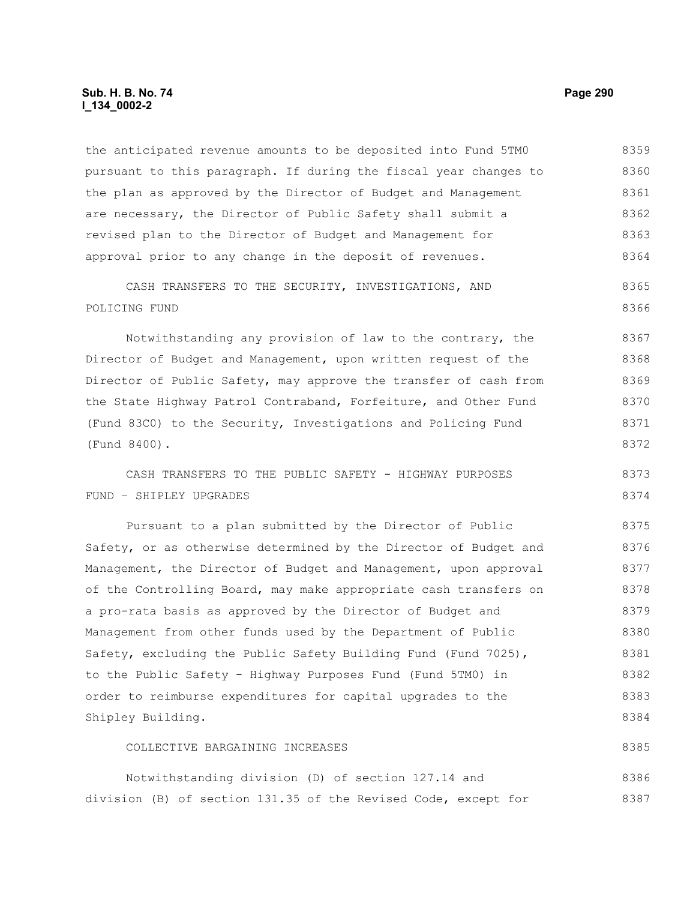## **Sub. H. B. No. 74** Page 290 **l\_134\_0002-2**

the anticipated revenue amounts to be deposited into Fund 5TM0 pursuant to this paragraph. If during the fiscal year changes to the plan as approved by the Director of Budget and Management are necessary, the Director of Public Safety shall submit a revised plan to the Director of Budget and Management for approval prior to any change in the deposit of revenues. 8359 8360 8361 8362 8363 8364

CASH TRANSFERS TO THE SECURITY, INVESTIGATIONS, AND POLICING FUND 8365 8366

Notwithstanding any provision of law to the contrary, the Director of Budget and Management, upon written request of the Director of Public Safety, may approve the transfer of cash from the State Highway Patrol Contraband, Forfeiture, and Other Fund (Fund 83C0) to the Security, Investigations and Policing Fund (Fund 8400). 8367 8368 8369 8370 8371 8372

CASH TRANSFERS TO THE PUBLIC SAFETY - HIGHWAY PURPOSES FUND – SHIPLEY UPGRADES 8373 8374

Pursuant to a plan submitted by the Director of Public Safety, or as otherwise determined by the Director of Budget and Management, the Director of Budget and Management, upon approval of the Controlling Board, may make appropriate cash transfers on a pro-rata basis as approved by the Director of Budget and Management from other funds used by the Department of Public Safety, excluding the Public Safety Building Fund (Fund 7025), to the Public Safety - Highway Purposes Fund (Fund 5TM0) in order to reimburse expenditures for capital upgrades to the Shipley Building. 8375 8376 8377 8378 8379 8380 8381 8382 8383 8384

COLLECTIVE BARGAINING INCREASES

Notwithstanding division (D) of section 127.14 and division (B) of section 131.35 of the Revised Code, except for 8386 8387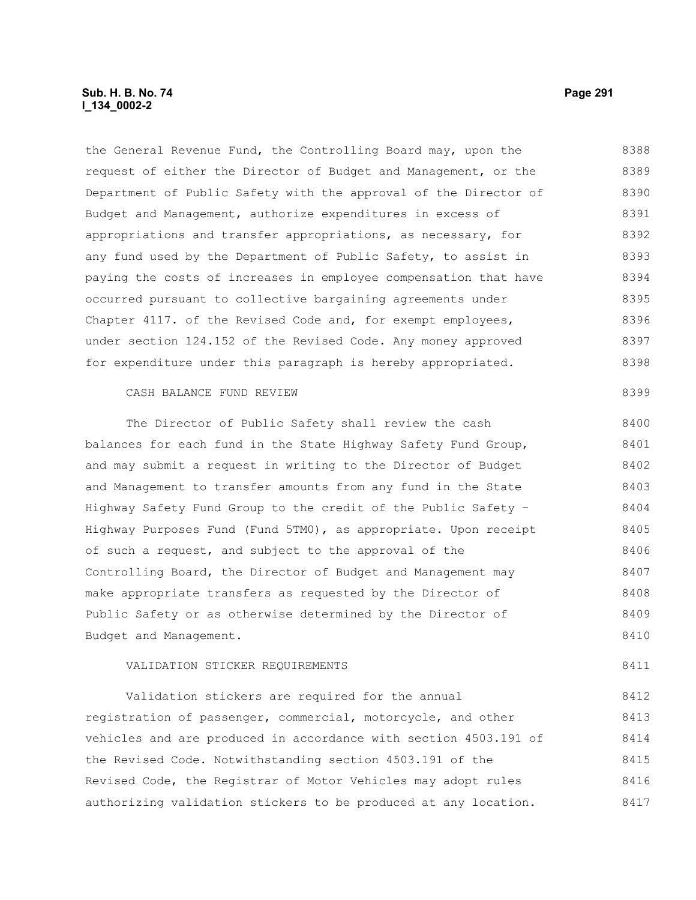# **Sub. H. B. No. 74** Page 291 **l\_134\_0002-2**

the General Revenue Fund, the Controlling Board may, upon the request of either the Director of Budget and Management, or the Department of Public Safety with the approval of the Director of Budget and Management, authorize expenditures in excess of appropriations and transfer appropriations, as necessary, for any fund used by the Department of Public Safety, to assist in paying the costs of increases in employee compensation that have occurred pursuant to collective bargaining agreements under Chapter 4117. of the Revised Code and, for exempt employees, under section 124.152 of the Revised Code. Any money approved for expenditure under this paragraph is hereby appropriated. 8388 8389 8390 8391 8392 8393 8394 8395 8396 8397 8398

#### CASH BALANCE FUND REVIEW

The Director of Public Safety shall review the cash balances for each fund in the State Highway Safety Fund Group, and may submit a request in writing to the Director of Budget and Management to transfer amounts from any fund in the State Highway Safety Fund Group to the credit of the Public Safety - Highway Purposes Fund (Fund 5TM0), as appropriate. Upon receipt of such a request, and subject to the approval of the Controlling Board, the Director of Budget and Management may make appropriate transfers as requested by the Director of Public Safety or as otherwise determined by the Director of Budget and Management. 8400 8401 8402 8403 8404 8405 8406 8407 8408 8409 8410

#### VALIDATION STICKER REQUIREMENTS

Validation stickers are required for the annual registration of passenger, commercial, motorcycle, and other vehicles and are produced in accordance with section 4503.191 of the Revised Code. Notwithstanding section 4503.191 of the Revised Code, the Registrar of Motor Vehicles may adopt rules authorizing validation stickers to be produced at any location. 8412 8413 8414 8415 8416 8417

8399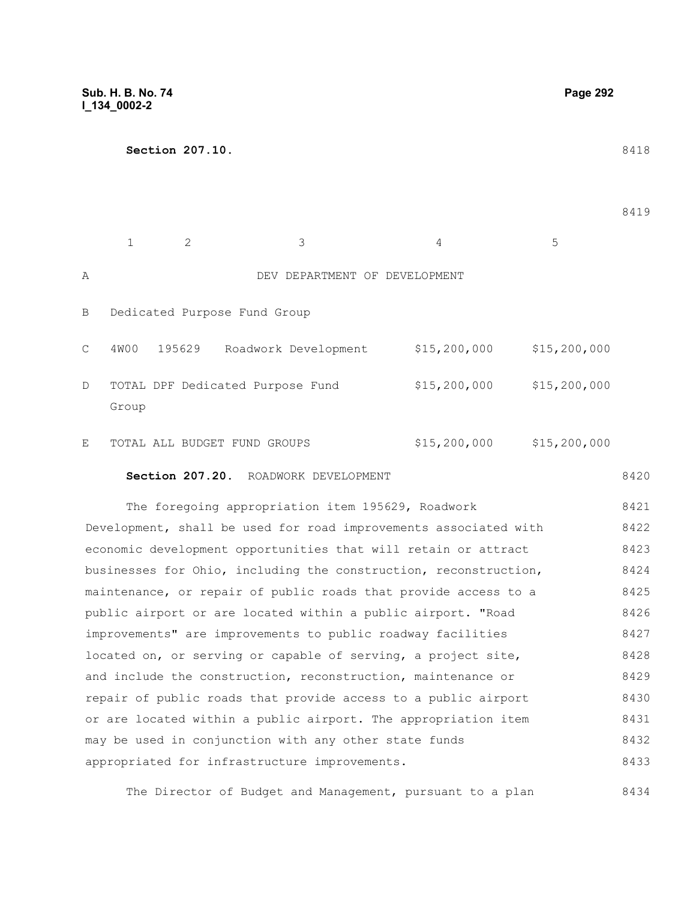|   | L_134_0002-2 | . ugu sve                            |                                                       |                           |      |
|---|--------------|--------------------------------------|-------------------------------------------------------|---------------------------|------|
|   |              | Section 207.10.                      |                                                       |                           | 8418 |
|   |              |                                      |                                                       |                           | 8419 |
|   | $\mathbf{1}$ | 3<br>2                               | 4                                                     | 5                         |      |
| Α |              |                                      | DEV DEPARTMENT OF DEVELOPMENT                         |                           |      |
| В |              | Dedicated Purpose Fund Group         |                                                       |                           |      |
| C | 4W00         |                                      | 195629 Roadwork Development \$15,200,000 \$15,200,000 |                           |      |
| D | Group        | TOTAL DPF Dedicated Purpose Fund     | \$15, 200, 000                                        | \$15,200,000              |      |
| E |              | TOTAL ALL BUDGET FUND GROUPS         |                                                       | \$15,200,000 \$15,200,000 |      |
|   |              | Section 207.20. ROADWORK DEVELOPMENT |                                                       |                           | 8420 |

The foregoing appropriation item 195629, Roadwork Development, shall be used for road improvements associated with economic development opportunities that will retain or attract businesses for Ohio, including the construction, reconstruction, maintenance, or repair of public roads that provide access to a public airport or are located within a public airport. "Road improvements" are improvements to public roadway facilities located on, or serving or capable of serving, a project site, and include the construction, reconstruction, maintenance or repair of public roads that provide access to a public airport or are located within a public airport. The appropriation item may be used in conjunction with any other state funds appropriated for infrastructure improvements. 8421 8422 8423 8424 8425 8426 8427 8428 8429 8430 8431 8432 8433

The Director of Budget and Management, pursuant to a plan 8434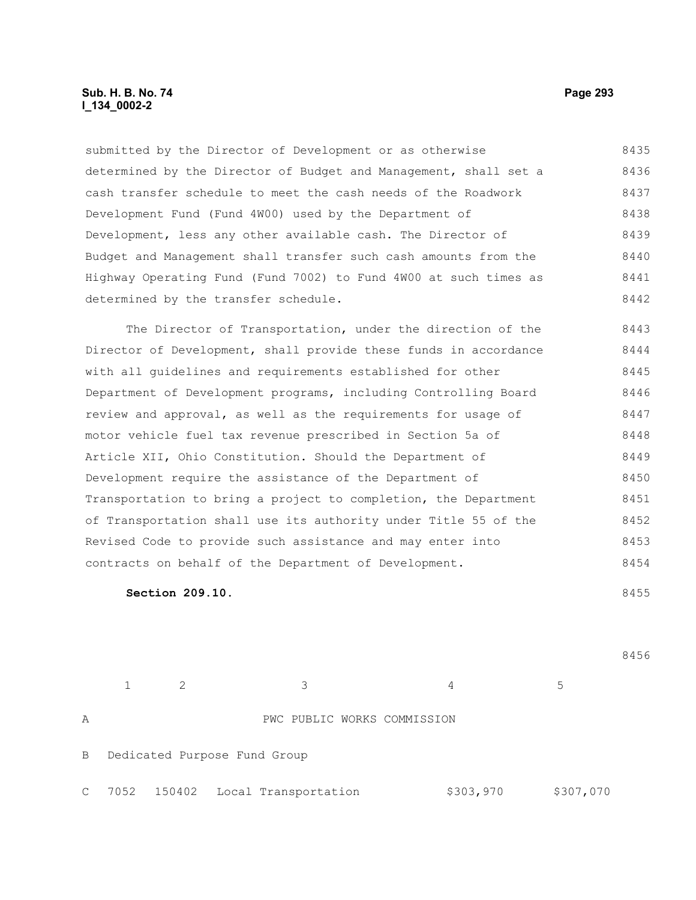# **Sub. H. B. No. 74** Page 293 **l\_134\_0002-2**

submitted by the Director of Development or as otherwise determined by the Director of Budget and Management, shall set a cash transfer schedule to meet the cash needs of the Roadwork Development Fund (Fund 4W00) used by the Department of Development, less any other available cash. The Director of Budget and Management shall transfer such cash amounts from the Highway Operating Fund (Fund 7002) to Fund 4W00 at such times as determined by the transfer schedule. 8435 8436 8437 8438 8439 8440 8441 8442

The Director of Transportation, under the direction of the Director of Development, shall provide these funds in accordance with all guidelines and requirements established for other Department of Development programs, including Controlling Board review and approval, as well as the requirements for usage of motor vehicle fuel tax revenue prescribed in Section 5a of Article XII, Ohio Constitution. Should the Department of Development require the assistance of the Department of Transportation to bring a project to completion, the Department of Transportation shall use its authority under Title 55 of the Revised Code to provide such assistance and may enter into contracts on behalf of the Department of Development. 8443 8444 8445 8446 8447 8448 8449 8450 8451 8452 8453 8454

#### **Section 209.10.**

B Dedicated Purpose Fund Group

A PWC PUBLIC WORKS COMMISSION

C 7052 150402 Local Transportation \$303,970 \$307,070

 $1 \t 2 \t 3 \t 4 \t 5$ 

8456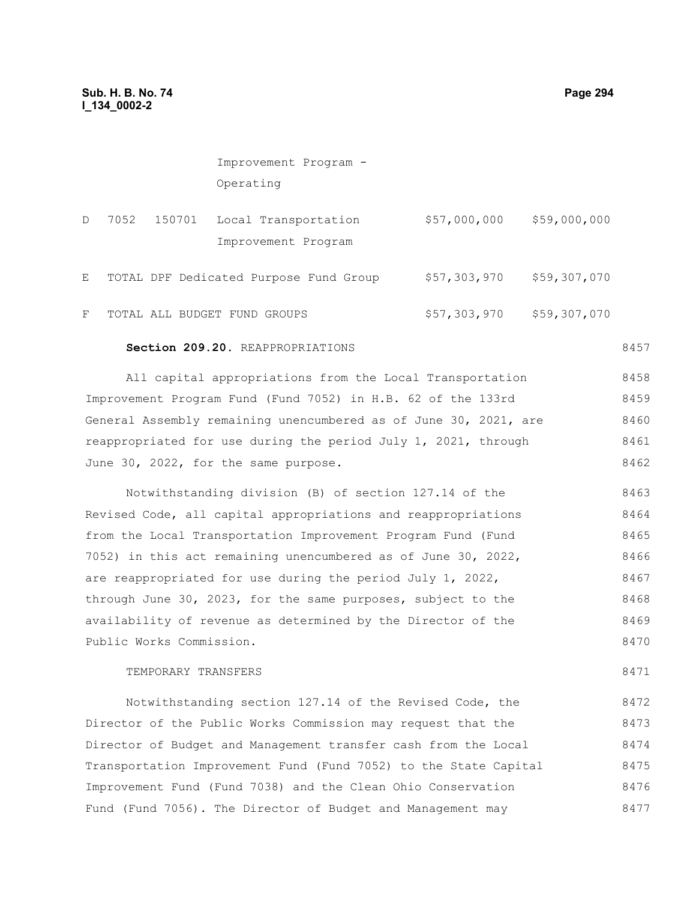Improvement Program - Operating

D 7052 150701 Local Transportation Improvement Program \$57,000,000 \$59,000,000

E TOTAL DPF Dedicated Purpose Fund Group \$57,303,970 \$59,307,070

F TOTAL ALL BUDGET FUND GROUPS  $$57,303,970$  \$59,307,070

# **Section 209.20.** REAPPROPRIATIONS

8457

8471

All capital appropriations from the Local Transportation Improvement Program Fund (Fund 7052) in H.B. 62 of the 133rd General Assembly remaining unencumbered as of June 30, 2021, are reappropriated for use during the period July 1, 2021, through June 30, 2022, for the same purpose. 8458 8459 8460 8461 8462

Notwithstanding division (B) of section 127.14 of the Revised Code, all capital appropriations and reappropriations from the Local Transportation Improvement Program Fund (Fund 7052) in this act remaining unencumbered as of June 30, 2022, are reappropriated for use during the period July 1, 2022, through June 30, 2023, for the same purposes, subject to the availability of revenue as determined by the Director of the Public Works Commission. 8463 8464 8465 8466 8467 8468 8469 8470

#### TEMPORARY TRANSFERS

Notwithstanding section 127.14 of the Revised Code, the Director of the Public Works Commission may request that the Director of Budget and Management transfer cash from the Local Transportation Improvement Fund (Fund 7052) to the State Capital Improvement Fund (Fund 7038) and the Clean Ohio Conservation Fund (Fund 7056). The Director of Budget and Management may 8472 8473 8474 8475 8476 8477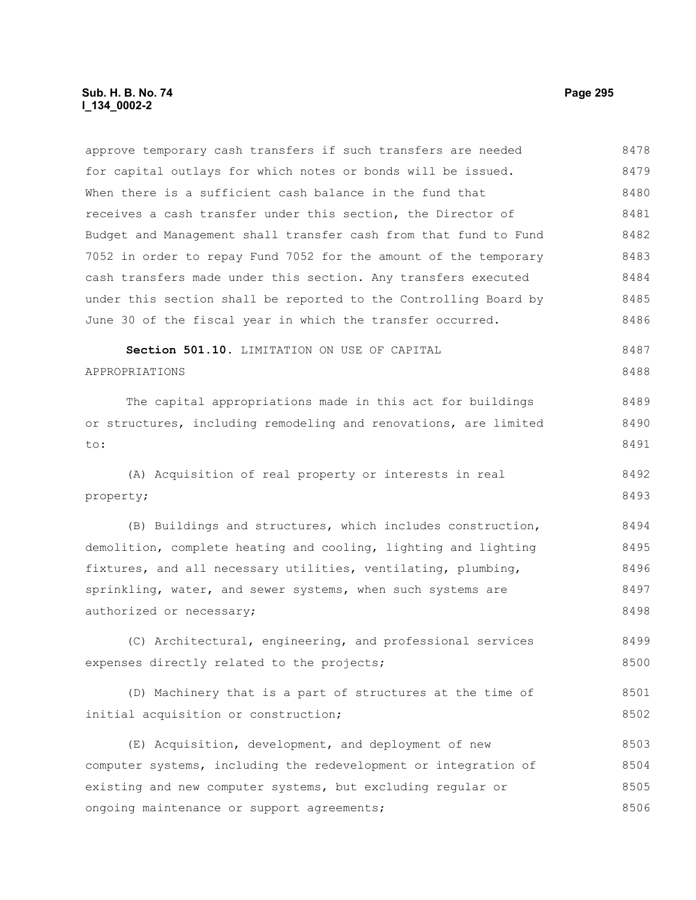## **Sub. H. B. No. 74** Page 295 **l\_134\_0002-2**

approve temporary cash transfers if such transfers are needed for capital outlays for which notes or bonds will be issued. When there is a sufficient cash balance in the fund that receives a cash transfer under this section, the Director of Budget and Management shall transfer cash from that fund to Fund 7052 in order to repay Fund 7052 for the amount of the temporary cash transfers made under this section. Any transfers executed under this section shall be reported to the Controlling Board by June 30 of the fiscal year in which the transfer occurred. **Section 501.10.** LIMITATION ON USE OF CAPITAL APPROPRIATIONS The capital appropriations made in this act for buildings or structures, including remodeling and renovations, are limited to: (A) Acquisition of real property or interests in real property; (B) Buildings and structures, which includes construction, demolition, complete heating and cooling, lighting and lighting fixtures, and all necessary utilities, ventilating, plumbing, sprinkling, water, and sewer systems, when such systems are authorized or necessary; (C) Architectural, engineering, and professional services expenses directly related to the projects; (D) Machinery that is a part of structures at the time of initial acquisition or construction; (E) Acquisition, development, and deployment of new computer systems, including the redevelopment or integration of existing and new computer systems, but excluding regular or 8478 8479 8480 8481 8482 8483 8484 8485 8486 8487 8488 8489 8490 8491 8492 8493 8494 8495 8496 8497 8498 8499 8500 8501 8502 8503 8504 8505

ongoing maintenance or support agreements;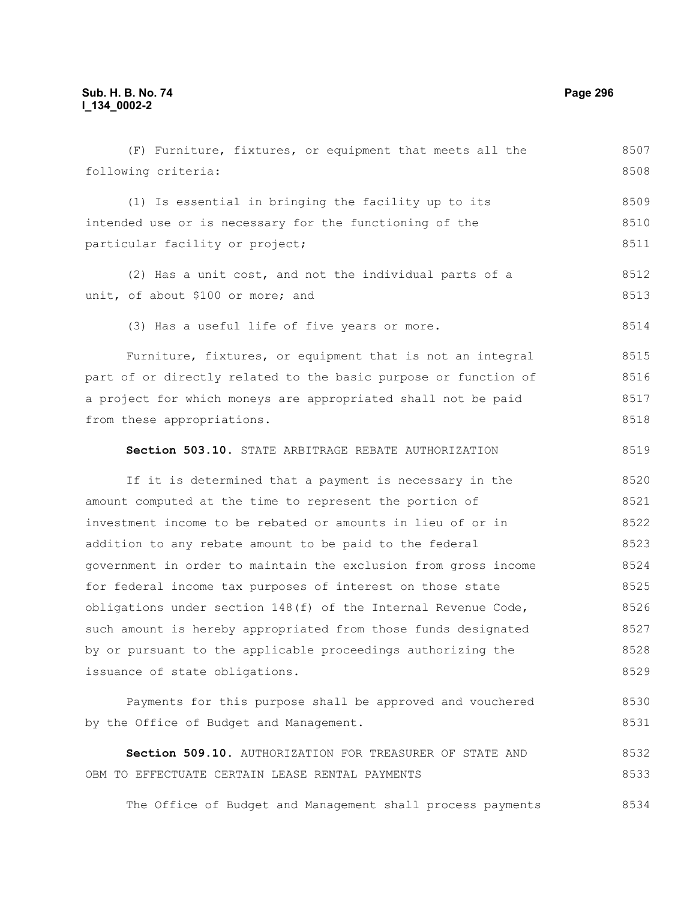following criteria: (1) Is essential in bringing the facility up to its intended use or is necessary for the functioning of the particular facility or project; (2) Has a unit cost, and not the individual parts of a unit, of about \$100 or more; and (3) Has a useful life of five years or more. Furniture, fixtures, or equipment that is not an integral part of or directly related to the basic purpose or function of a project for which moneys are appropriated shall not be paid from these appropriations. **Section 503.10.** STATE ARBITRAGE REBATE AUTHORIZATION If it is determined that a payment is necessary in the amount computed at the time to represent the portion of investment income to be rebated or amounts in lieu of or in addition to any rebate amount to be paid to the federal government in order to maintain the exclusion from gross income for federal income tax purposes of interest on those state obligations under section 148(f) of the Internal Revenue Code, such amount is hereby appropriated from those funds designated by or pursuant to the applicable proceedings authorizing the issuance of state obligations. Payments for this purpose shall be approved and vouchered by the Office of Budget and Management. **Section 509.10.** AUTHORIZATION FOR TREASURER OF STATE AND OBM TO EFFECTUATE CERTAIN LEASE RENTAL PAYMENTS 8508 8509 8510 8511 8512 8513 8514 8515 8516 8517 8518 8519 8520 8521 8522 8523 8524 8525 8526 8527 8528 8529 8530 8531 8532 8533

(F) Furniture, fixtures, or equipment that meets all the

The Office of Budget and Management shall process payments 8534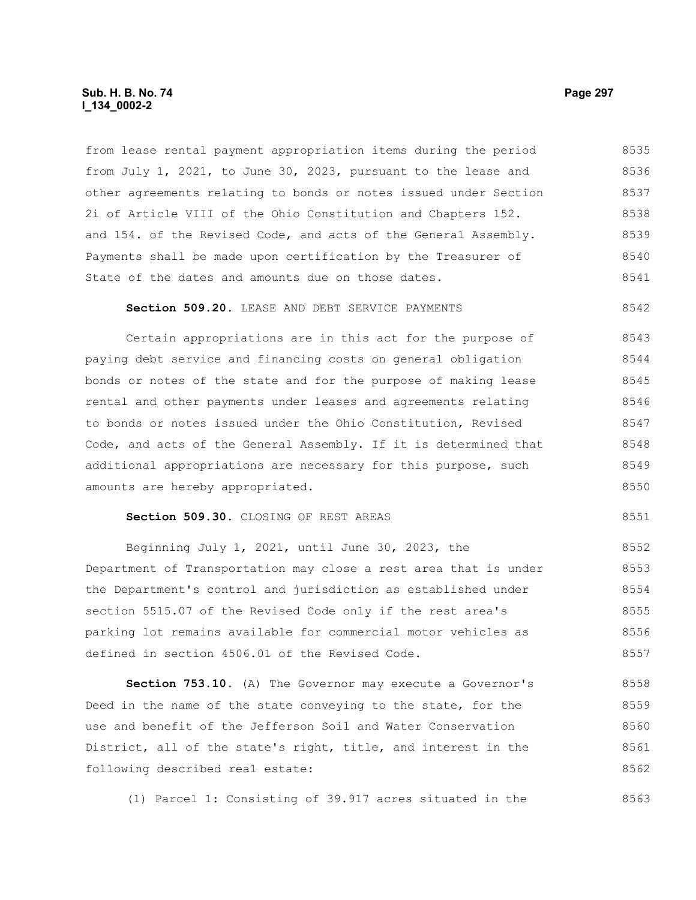## **Sub. H. B. No. 74** Page 297 **l\_134\_0002-2**

from lease rental payment appropriation items during the period from July 1, 2021, to June 30, 2023, pursuant to the lease and other agreements relating to bonds or notes issued under Section 2i of Article VIII of the Ohio Constitution and Chapters 152. and 154. of the Revised Code, and acts of the General Assembly. Payments shall be made upon certification by the Treasurer of State of the dates and amounts due on those dates. 8535 8536 8537 8538 8539 8540 8541

#### **Section 509.20.** LEASE AND DEBT SERVICE PAYMENTS

Certain appropriations are in this act for the purpose of paying debt service and financing costs on general obligation bonds or notes of the state and for the purpose of making lease rental and other payments under leases and agreements relating to bonds or notes issued under the Ohio Constitution, Revised Code, and acts of the General Assembly. If it is determined that additional appropriations are necessary for this purpose, such amounts are hereby appropriated. 8543 8544 8545 8546 8547 8548 8549 8550

#### **Section 509.30.** CLOSING OF REST AREAS

Beginning July 1, 2021, until June 30, 2023, the Department of Transportation may close a rest area that is under the Department's control and jurisdiction as established under section 5515.07 of the Revised Code only if the rest area's parking lot remains available for commercial motor vehicles as defined in section 4506.01 of the Revised Code. 8552 8553 8554 8555 8556 8557

**Section 753.10.** (A) The Governor may execute a Governor's Deed in the name of the state conveying to the state, for the use and benefit of the Jefferson Soil and Water Conservation District, all of the state's right, title, and interest in the following described real estate: 8558 8559 8560 8561 8562

(1) Parcel 1: Consisting of 39.917 acres situated in the 8563

8542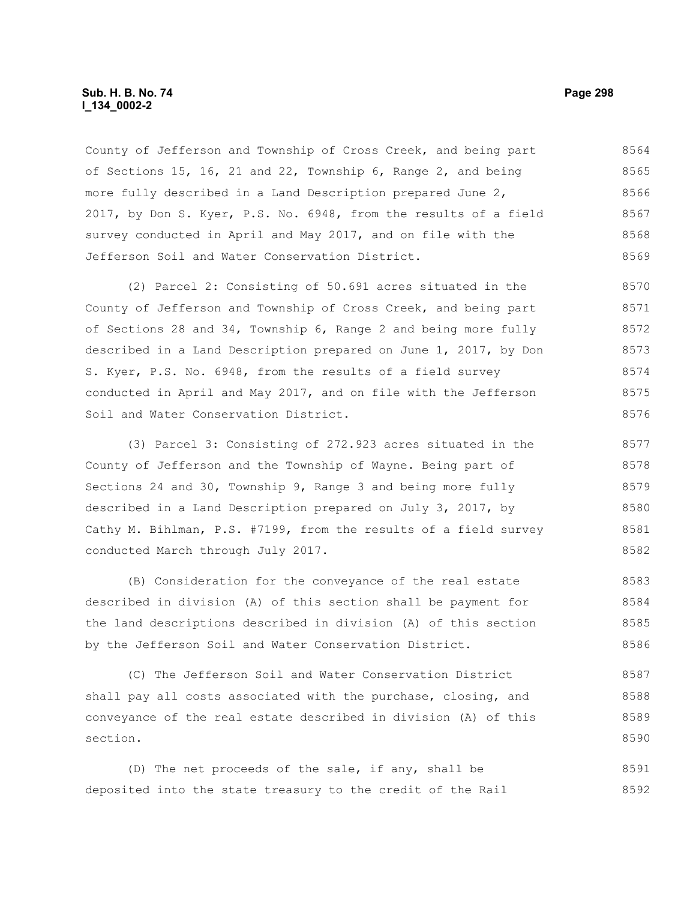# **Sub. H. B. No. 74** Page 298 **l\_134\_0002-2**

County of Jefferson and Township of Cross Creek, and being part of Sections 15, 16, 21 and 22, Township 6, Range 2, and being more fully described in a Land Description prepared June 2, 2017, by Don S. Kyer, P.S. No. 6948, from the results of a field survey conducted in April and May 2017, and on file with the Jefferson Soil and Water Conservation District. 8564 8565 8566 8567 8568 8569

(2) Parcel 2: Consisting of 50.691 acres situated in the County of Jefferson and Township of Cross Creek, and being part of Sections 28 and 34, Township 6, Range 2 and being more fully described in a Land Description prepared on June 1, 2017, by Don S. Kyer, P.S. No. 6948, from the results of a field survey conducted in April and May 2017, and on file with the Jefferson Soil and Water Conservation District. 8570 8571 8572 8573 8574 8575 8576

(3) Parcel 3: Consisting of 272.923 acres situated in the County of Jefferson and the Township of Wayne. Being part of Sections 24 and 30, Township 9, Range 3 and being more fully described in a Land Description prepared on July 3, 2017, by Cathy M. Bihlman, P.S. #7199, from the results of a field survey conducted March through July 2017. 8577 8578 8579 8580 8581 8582

(B) Consideration for the conveyance of the real estate described in division (A) of this section shall be payment for the land descriptions described in division (A) of this section by the Jefferson Soil and Water Conservation District. 8583 8584 8585 8586

(C) The Jefferson Soil and Water Conservation District shall pay all costs associated with the purchase, closing, and conveyance of the real estate described in division (A) of this section. 8587 8588 8589 8590

(D) The net proceeds of the sale, if any, shall be deposited into the state treasury to the credit of the Rail 8591 8592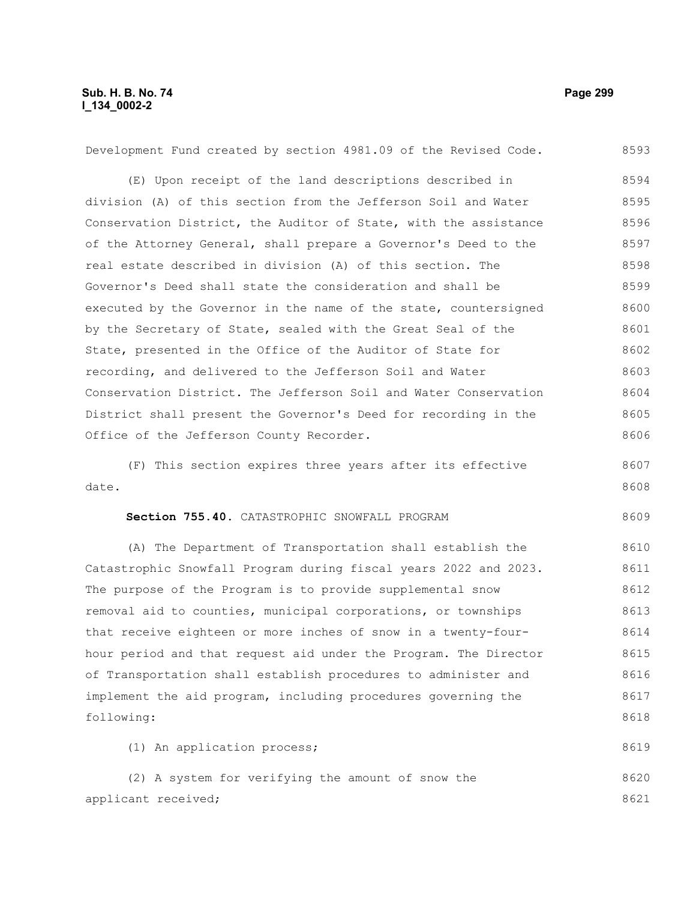Development Fund created by section 4981.09 of the Revised Code. (E) Upon receipt of the land descriptions described in division (A) of this section from the Jefferson Soil and Water Conservation District, the Auditor of State, with the assistance of the Attorney General, shall prepare a Governor's Deed to the real estate described in division (A) of this section. The Governor's Deed shall state the consideration and shall be executed by the Governor in the name of the state, countersigned by the Secretary of State, sealed with the Great Seal of the State, presented in the Office of the Auditor of State for recording, and delivered to the Jefferson Soil and Water Conservation District. The Jefferson Soil and Water Conservation District shall present the Governor's Deed for recording in the Office of the Jefferson County Recorder. (F) This section expires three years after its effective date. **Section 755.40.** CATASTROPHIC SNOWFALL PROGRAM (A) The Department of Transportation shall establish the Catastrophic Snowfall Program during fiscal years 2022 and 2023. The purpose of the Program is to provide supplemental snow removal aid to counties, municipal corporations, or townships 8593 8594 8595 8596 8597 8598 8599 8600 8601 8602 8603 8604 8605 8606 8607 8608 8609 8610 8611 8612 8613

that receive eighteen or more inches of snow in a twenty-fourhour period and that request aid under the Program. The Director of Transportation shall establish procedures to administer and implement the aid program, including procedures governing the following: 8614 8615 8616 8617 8618

(1) An application process; 8619

(2) A system for verifying the amount of snow the applicant received; 8620 8621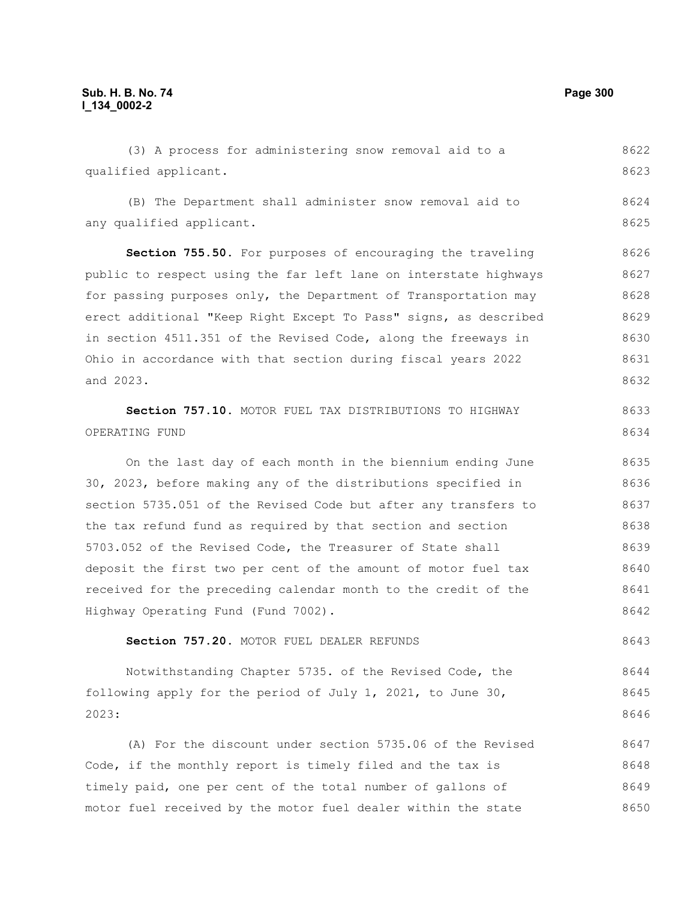(3) A process for administering snow removal aid to a qualified applicant. (B) The Department shall administer snow removal aid to any qualified applicant. **Section 755.50.** For purposes of encouraging the traveling public to respect using the far left lane on interstate highways for passing purposes only, the Department of Transportation may erect additional "Keep Right Except To Pass" signs, as described in section 4511.351 of the Revised Code, along the freeways in Ohio in accordance with that section during fiscal years 2022 and 2023. **Section 757.10.** MOTOR FUEL TAX DISTRIBUTIONS TO HIGHWAY OPERATING FUND On the last day of each month in the biennium ending June 30, 2023, before making any of the distributions specified in section 5735.051 of the Revised Code but after any transfers to the tax refund fund as required by that section and section 5703.052 of the Revised Code, the Treasurer of State shall deposit the first two per cent of the amount of motor fuel tax received for the preceding calendar month to the credit of the Highway Operating Fund (Fund 7002). **Section 757.20.** MOTOR FUEL DEALER REFUNDS Notwithstanding Chapter 5735. of the Revised Code, the following apply for the period of July 1, 2021, to June 30, 2023: (A) For the discount under section 5735.06 of the Revised Code, if the monthly report is timely filed and the tax is timely paid, one per cent of the total number of gallons of 8622 8623 8624 8625 8626 8627 8628 8629 8630 8631 8632 8633 8634 8635 8636 8637 8638 8639 8640 8641 8642 8643 8644 8645 8646 8647 8648 8649

motor fuel received by the motor fuel dealer within the state 8650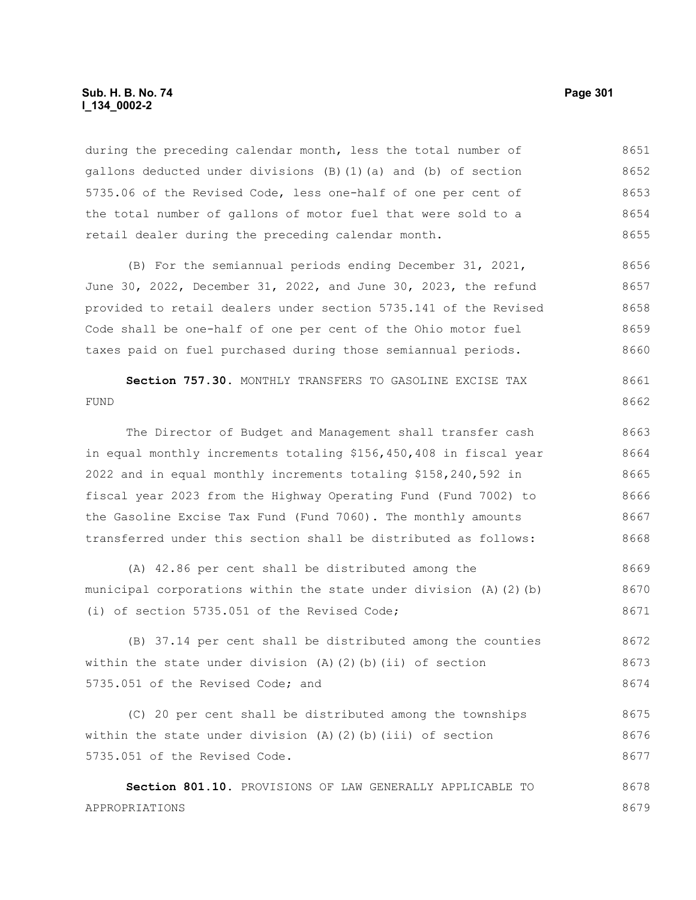## **Sub. H. B. No. 74** Page 301 **l\_134\_0002-2**

during the preceding calendar month, less the total number of gallons deducted under divisions (B)(1)(a) and (b) of section 5735.06 of the Revised Code, less one-half of one per cent of the total number of gallons of motor fuel that were sold to a retail dealer during the preceding calendar month. 8651 8652 8653 8654 8655

(B) For the semiannual periods ending December 31, 2021, June 30, 2022, December 31, 2022, and June 30, 2023, the refund provided to retail dealers under section 5735.141 of the Revised Code shall be one-half of one per cent of the Ohio motor fuel taxes paid on fuel purchased during those semiannual periods. 8656 8657 8658 8659 8660

**Section 757.30.** MONTHLY TRANSFERS TO GASOLINE EXCISE TAX FUND 8661 8662

The Director of Budget and Management shall transfer cash in equal monthly increments totaling \$156,450,408 in fiscal year 2022 and in equal monthly increments totaling \$158,240,592 in fiscal year 2023 from the Highway Operating Fund (Fund 7002) to the Gasoline Excise Tax Fund (Fund 7060). The monthly amounts transferred under this section shall be distributed as follows: 8663 8664 8665 8666 8667 8668

(A) 42.86 per cent shall be distributed among the municipal corporations within the state under division  $(A)$   $(2)$   $(b)$ (i) of section 5735.051 of the Revised Code; 8669 8670 8671

(B) 37.14 per cent shall be distributed among the counties within the state under division  $(A)$   $(2)$   $(b)$   $(ii)$  of section 5735.051 of the Revised Code; and 8672 8673 8674

(C) 20 per cent shall be distributed among the townships within the state under division  $(A)$   $(2)$   $(b)$   $(iii)$  of section 5735.051 of the Revised Code. 8675 8676 8677

**Section 801.10.** PROVISIONS OF LAW GENERALLY APPLICABLE TO APPROPRIATIONS 8678 8679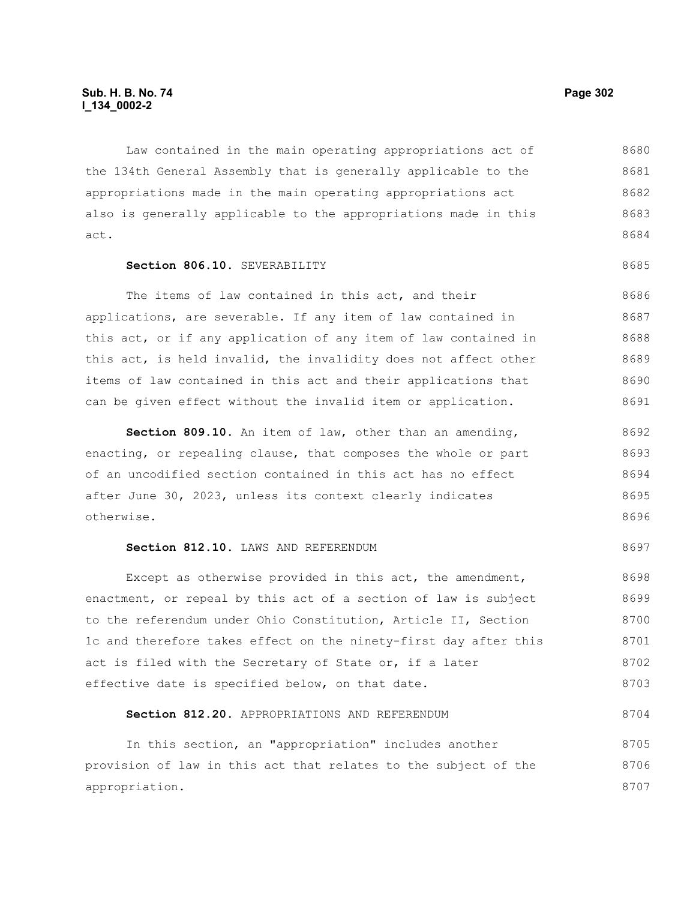Law contained in the main operating appropriations act of the 134th General Assembly that is generally applicable to the appropriations made in the main operating appropriations act also is generally applicable to the appropriations made in this act. 8680 8681 8682 8683 8684

#### **Section 806.10.** SEVERABILITY

The items of law contained in this act, and their applications, are severable. If any item of law contained in this act, or if any application of any item of law contained in this act, is held invalid, the invalidity does not affect other items of law contained in this act and their applications that can be given effect without the invalid item or application. 8686 8687 8688 8689 8690 8691

**Section 809.10.** An item of law, other than an amending, enacting, or repealing clause, that composes the whole or part of an uncodified section contained in this act has no effect after June 30, 2023, unless its context clearly indicates otherwise. 8692 8693 8694 8695 8696

# **Section 812.10.** LAWS AND REFERENDUM

Except as otherwise provided in this act, the amendment, enactment, or repeal by this act of a section of law is subject to the referendum under Ohio Constitution, Article II, Section 1c and therefore takes effect on the ninety-first day after this act is filed with the Secretary of State or, if a later effective date is specified below, on that date. 8698 8699 8700 8701 8702 8703

# **Section 812.20.** APPROPRIATIONS AND REFERENDUM

In this section, an "appropriation" includes another provision of law in this act that relates to the subject of the appropriation. 8705 8706 8707

8685

8697